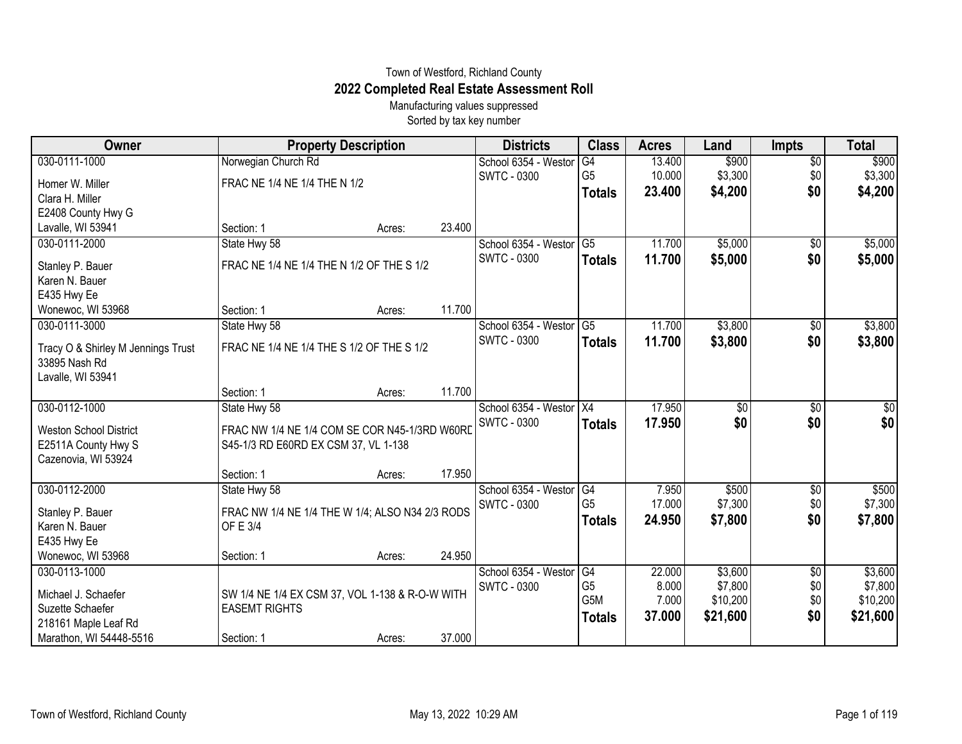## Town of Westford, Richland County **2022 Completed Real Estate Assessment Roll**

Manufacturing values suppressed Sorted by tax key number

| Owner                              |                                                 | <b>Property Description</b> |        | <b>Districts</b>     | <b>Class</b>    | <b>Acres</b> | Land            | <b>Impts</b>    | <b>Total</b> |
|------------------------------------|-------------------------------------------------|-----------------------------|--------|----------------------|-----------------|--------------|-----------------|-----------------|--------------|
| 030-0111-1000                      | Norwegian Church Rd                             |                             |        | School 6354 - Westor | $\overline{G4}$ | 13.400       | \$900           | $\overline{$0}$ | \$900        |
| Homer W. Miller                    | FRAC NE 1/4 NE 1/4 THE N 1/2                    |                             |        | <b>SWTC - 0300</b>   | G <sub>5</sub>  | 10.000       | \$3,300         | \$0             | \$3,300      |
| Clara H. Miller                    |                                                 |                             |        |                      | <b>Totals</b>   | 23.400       | \$4,200         | \$0             | \$4,200      |
| E2408 County Hwy G                 |                                                 |                             |        |                      |                 |              |                 |                 |              |
| Lavalle, WI 53941                  | Section: 1                                      | Acres:                      | 23.400 |                      |                 |              |                 |                 |              |
| 030-0111-2000                      | State Hwy 58                                    |                             |        | School 6354 - Westor | $\overline{G5}$ | 11.700       | \$5,000         | $\overline{60}$ | \$5,000      |
| Stanley P. Bauer                   | FRAC NE 1/4 NE 1/4 THE N 1/2 OF THE S 1/2       |                             |        | <b>SWTC - 0300</b>   | <b>Totals</b>   | 11.700       | \$5,000         | \$0             | \$5,000      |
| Karen N. Bauer                     |                                                 |                             |        |                      |                 |              |                 |                 |              |
| E435 Hwy Ee                        |                                                 |                             |        |                      |                 |              |                 |                 |              |
| Wonewoc, WI 53968                  | Section: 1                                      | Acres:                      | 11.700 |                      |                 |              |                 |                 |              |
| 030-0111-3000                      | State Hwy 58                                    |                             |        | School 6354 - Westor | G5              | 11.700       | \$3,800         | \$0             | \$3,800      |
| Tracy O & Shirley M Jennings Trust | FRAC NE 1/4 NE 1/4 THE S 1/2 OF THE S 1/2       |                             |        | <b>SWTC - 0300</b>   | <b>Totals</b>   | 11.700       | \$3,800         | \$0             | \$3,800      |
| 33895 Nash Rd                      |                                                 |                             |        |                      |                 |              |                 |                 |              |
| Lavalle, WI 53941                  |                                                 |                             |        |                      |                 |              |                 |                 |              |
|                                    | Section: 1                                      | Acres:                      | 11.700 |                      |                 |              |                 |                 |              |
| 030-0112-1000                      | State Hwy 58                                    |                             |        | School 6354 - Westor | X4              | 17.950       | $\overline{50}$ | \$0             | $\sqrt{50}$  |
| <b>Weston School District</b>      | FRAC NW 1/4 NE 1/4 COM SE COR N45-1/3RD W60RD   |                             |        | <b>SWTC - 0300</b>   | <b>Totals</b>   | 17.950       | \$0             | \$0             | \$0          |
| E2511A County Hwy S                | S45-1/3 RD E60RD EX CSM 37, VL 1-138            |                             |        |                      |                 |              |                 |                 |              |
| Cazenovia, WI 53924                |                                                 |                             |        |                      |                 |              |                 |                 |              |
|                                    | Section: 1                                      | Acres:                      | 17.950 |                      |                 |              |                 |                 |              |
| 030-0112-2000                      | State Hwy 58                                    |                             |        | School 6354 - Westor | G4              | 7.950        | \$500           | $\frac{1}{20}$  | \$500        |
| Stanley P. Bauer                   | FRAC NW 1/4 NE 1/4 THE W 1/4; ALSO N34 2/3 RODS |                             |        | <b>SWTC - 0300</b>   | G <sub>5</sub>  | 17.000       | \$7,300         | \$0             | \$7,300      |
| Karen N. Bauer                     | OF E 3/4                                        |                             |        |                      | <b>Totals</b>   | 24.950       | \$7,800         | \$0             | \$7,800      |
| E435 Hwy Ee                        |                                                 |                             |        |                      |                 |              |                 |                 |              |
| Wonewoc, WI 53968                  | Section: 1                                      | Acres:                      | 24.950 |                      |                 |              |                 |                 |              |
| 030-0113-1000                      |                                                 |                             |        | School 6354 - Westor | G4              | 22.000       | \$3,600         | \$0             | \$3,600      |
| Michael J. Schaefer                | SW 1/4 NE 1/4 EX CSM 37, VOL 1-138 & R-O-W WITH |                             |        | <b>SWTC - 0300</b>   | G <sub>5</sub>  | 8.000        | \$7,800         | \$0             | \$7,800      |
| Suzette Schaefer                   | <b>EASEMT RIGHTS</b>                            |                             |        |                      | G5M             | 7.000        | \$10,200        | \$0             | \$10,200     |
| 218161 Maple Leaf Rd               |                                                 |                             |        |                      | <b>Totals</b>   | 37.000       | \$21,600        | \$0             | \$21,600     |
| Marathon, WI 54448-5516            | Section: 1                                      | Acres:                      | 37.000 |                      |                 |              |                 |                 |              |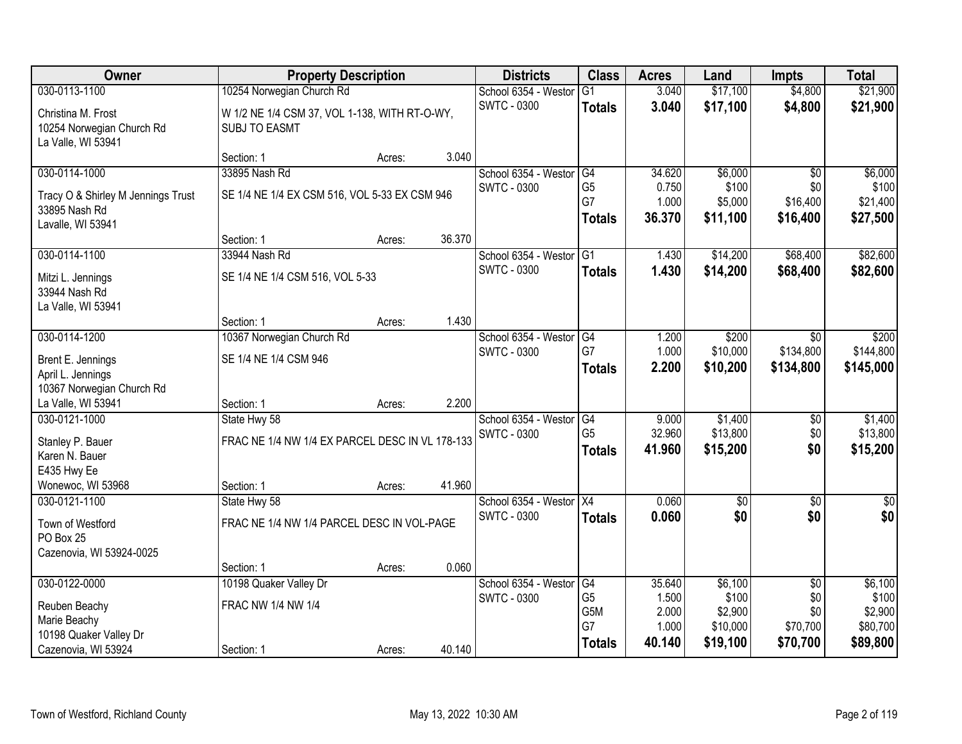| Owner                              | <b>Property Description</b>                     |        |        | <b>Districts</b>                              | <b>Class</b>         | <b>Acres</b>    | Land                   | <b>Impts</b>            | <b>Total</b>        |
|------------------------------------|-------------------------------------------------|--------|--------|-----------------------------------------------|----------------------|-----------------|------------------------|-------------------------|---------------------|
| 030-0113-1100                      | 10254 Norwegian Church Rd                       |        |        | School 6354 - Westor                          | $\overline{G1}$      | 3.040           | \$17,100               | \$4,800                 | \$21,900            |
| Christina M. Frost                 | W 1/2 NE 1/4 CSM 37, VOL 1-138, WITH RT-O-WY,   |        |        | <b>SWTC - 0300</b>                            | <b>Totals</b>        | 3.040           | \$17,100               | \$4,800                 | \$21,900            |
| 10254 Norwegian Church Rd          | <b>SUBJ TO EASMT</b>                            |        |        |                                               |                      |                 |                        |                         |                     |
| La Valle, WI 53941                 |                                                 |        |        |                                               |                      |                 |                        |                         |                     |
|                                    | Section: 1                                      | Acres: | 3.040  |                                               |                      |                 |                        |                         |                     |
| 030-0114-1000                      | 33895 Nash Rd                                   |        |        | School 6354 - Westor                          | G4                   | 34.620          | \$6,000                | \$0                     | \$6,000             |
| Tracy O & Shirley M Jennings Trust | SE 1/4 NE 1/4 EX CSM 516, VOL 5-33 EX CSM 946   |        |        | <b>SWTC - 0300</b>                            | G <sub>5</sub><br>G7 | 0.750<br>1.000  | \$100<br>\$5,000       | \$0<br>\$16,400         | \$100<br>\$21,400   |
| 33895 Nash Rd                      |                                                 |        |        |                                               |                      | 36.370          | \$11,100               | \$16,400                | \$27,500            |
| Lavalle, WI 53941                  |                                                 |        |        |                                               | <b>Totals</b>        |                 |                        |                         |                     |
|                                    | Section: 1                                      | Acres: | 36.370 |                                               |                      |                 |                        |                         |                     |
| 030-0114-1100                      | 33944 Nash Rd                                   |        |        | School 6354 - Westor                          | G1                   | 1.430           | \$14,200               | \$68,400                | \$82,600            |
| Mitzi L. Jennings                  | SE 1/4 NE 1/4 CSM 516, VOL 5-33                 |        |        | <b>SWTC - 0300</b>                            | <b>Totals</b>        | 1.430           | \$14,200               | \$68,400                | \$82,600            |
| 33944 Nash Rd                      |                                                 |        |        |                                               |                      |                 |                        |                         |                     |
| La Valle, WI 53941                 |                                                 |        |        |                                               |                      |                 |                        |                         |                     |
|                                    | Section: 1                                      | Acres: | 1.430  |                                               |                      |                 |                        |                         |                     |
| 030-0114-1200                      | 10367 Norwegian Church Rd                       |        |        | School 6354 - Westor                          | G4<br>G7             | 1.200<br>1.000  | \$200<br>\$10,000      | $\sqrt{6}$<br>\$134,800 | \$200<br>\$144,800  |
| Brent E. Jennings                  | SE 1/4 NE 1/4 CSM 946                           |        |        | <b>SWTC - 0300</b>                            |                      | 2.200           | \$10,200               | \$134,800               | \$145,000           |
| April L. Jennings                  |                                                 |        |        |                                               | <b>Totals</b>        |                 |                        |                         |                     |
| 10367 Norwegian Church Rd          |                                                 |        |        |                                               |                      |                 |                        |                         |                     |
| La Valle, WI 53941                 | Section: 1                                      | Acres: | 2.200  |                                               |                      |                 |                        |                         |                     |
| 030-0121-1000                      | State Hwy 58                                    |        |        | School 6354 - Westor                          | G4<br>G <sub>5</sub> | 9.000<br>32.960 | \$1,400<br>\$13,800    | $\overline{50}$<br>\$0  | \$1,400<br>\$13,800 |
| Stanley P. Bauer                   | FRAC NE 1/4 NW 1/4 EX PARCEL DESC IN VL 178-133 |        |        | <b>SWTC - 0300</b>                            | <b>Totals</b>        | 41.960          | \$15,200               | \$0                     | \$15,200            |
| Karen N. Bauer                     |                                                 |        |        |                                               |                      |                 |                        |                         |                     |
| E435 Hwy Ee                        |                                                 |        |        |                                               |                      |                 |                        |                         |                     |
| Wonewoc, WI 53968                  | Section: 1                                      | Acres: | 41.960 |                                               |                      |                 |                        |                         |                     |
| 030-0121-1100                      | State Hwy 58                                    |        |        | School 6354 - Westor X4<br><b>SWTC - 0300</b> |                      | 0.060<br>0.060  | $\overline{50}$<br>\$0 | $\overline{50}$<br>\$0  | $\sqrt{50}$<br>\$0  |
| Town of Westford                   | FRAC NE 1/4 NW 1/4 PARCEL DESC IN VOL-PAGE      |        |        |                                               | <b>Totals</b>        |                 |                        |                         |                     |
| PO Box 25                          |                                                 |        |        |                                               |                      |                 |                        |                         |                     |
| Cazenovia, WI 53924-0025           |                                                 |        | 0.060  |                                               |                      |                 |                        |                         |                     |
| 030-0122-0000                      | Section: 1<br>10198 Quaker Valley Dr            | Acres: |        | School 6354 - Westor                          | G4                   | 35.640          | \$6,100                | $\overline{50}$         | \$6,100             |
|                                    |                                                 |        |        | <b>SWTC - 0300</b>                            | G <sub>5</sub>       | 1.500           | \$100                  | \$0                     | \$100               |
| Reuben Beachy                      | FRAC NW 1/4 NW 1/4                              |        |        |                                               | G5M                  | 2.000           | \$2,900                | \$0                     | \$2,900             |
| Marie Beachy                       |                                                 |        |        |                                               | G7                   | 1.000           | \$10,000               | \$70,700                | \$80,700            |
| 10198 Quaker Valley Dr             |                                                 |        |        |                                               | <b>Totals</b>        | 40.140          | \$19,100               | \$70,700                | \$89,800            |
| Cazenovia, WI 53924                | Section: 1                                      | Acres: | 40.140 |                                               |                      |                 |                        |                         |                     |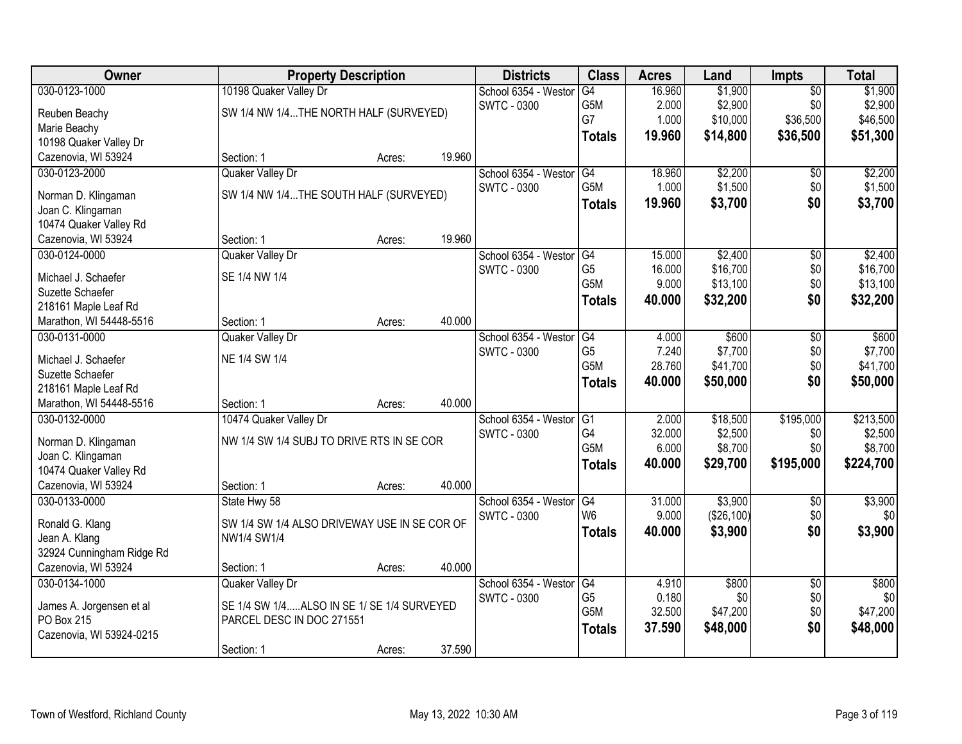| Owner                     |                                              | <b>Property Description</b> |        | <b>Districts</b>     | <b>Class</b>                       | <b>Acres</b>    | Land                 | <b>Impts</b>    | <b>Total</b> |
|---------------------------|----------------------------------------------|-----------------------------|--------|----------------------|------------------------------------|-----------------|----------------------|-----------------|--------------|
| 030-0123-1000             | 10198 Quaker Valley Dr                       |                             |        | School 6354 - Westor | G4                                 | 16.960          | \$1,900              | $\overline{50}$ | \$1,900      |
| Reuben Beachy             | SW 1/4 NW 1/4THE NORTH HALF (SURVEYED)       |                             |        | <b>SWTC - 0300</b>   | G5M                                | 2.000           | \$2,900              | \$0             | \$2,900      |
| Marie Beachy              |                                              |                             |        |                      | G7                                 | 1.000           | \$10,000             | \$36,500        | \$46,500     |
| 10198 Quaker Valley Dr    |                                              |                             |        |                      | <b>Totals</b>                      | 19.960          | \$14,800             | \$36,500        | \$51,300     |
| Cazenovia, WI 53924       | Section: 1                                   | Acres:                      | 19.960 |                      |                                    |                 |                      |                 |              |
| 030-0123-2000             | Quaker Valley Dr                             |                             |        | School 6354 - Weston | G4                                 | 18.960          | \$2,200              | \$0             | \$2,200      |
|                           |                                              |                             |        | <b>SWTC - 0300</b>   | G <sub>5</sub> M                   | 1.000           | \$1,500              | \$0             | \$1,500      |
| Norman D. Klingaman       | SW 1/4 NW 1/4THE SOUTH HALF (SURVEYED)       |                             |        |                      | <b>Totals</b>                      | 19.960          | \$3,700              | \$0             | \$3,700      |
| Joan C. Klingaman         |                                              |                             |        |                      |                                    |                 |                      |                 |              |
| 10474 Quaker Valley Rd    |                                              |                             |        |                      |                                    |                 |                      |                 |              |
| Cazenovia, WI 53924       | Section: 1                                   | Acres:                      | 19.960 |                      |                                    |                 |                      |                 |              |
| 030-0124-0000             | Quaker Valley Dr                             |                             |        | School 6354 - Westor | G4                                 | 15.000          | \$2,400              | \$0             | \$2,400      |
| Michael J. Schaefer       | SE 1/4 NW 1/4                                |                             |        | <b>SWTC - 0300</b>   | G <sub>5</sub><br>G <sub>5</sub> M | 16.000<br>9.000 | \$16,700<br>\$13,100 | \$0<br>\$0      | \$16,700     |
| Suzette Schaefer          |                                              |                             |        |                      |                                    |                 |                      |                 | \$13,100     |
| 218161 Maple Leaf Rd      |                                              |                             |        |                      | <b>Totals</b>                      | 40.000          | \$32,200             | \$0             | \$32,200     |
| Marathon, WI 54448-5516   | Section: 1                                   | Acres:                      | 40.000 |                      |                                    |                 |                      |                 |              |
| 030-0131-0000             | Quaker Valley Dr                             |                             |        | School 6354 - Weston | G4                                 | 4.000           | \$600                | \$0             | \$600        |
| Michael J. Schaefer       | NE 1/4 SW 1/4                                |                             |        | <b>SWTC - 0300</b>   | G <sub>5</sub>                     | 7.240           | \$7,700              | \$0             | \$7,700      |
| Suzette Schaefer          |                                              |                             |        |                      | G5M                                | 28.760          | \$41,700             | \$0             | \$41,700     |
| 218161 Maple Leaf Rd      |                                              |                             |        |                      | <b>Totals</b>                      | 40.000          | \$50,000             | \$0             | \$50,000     |
| Marathon, WI 54448-5516   | Section: 1                                   | Acres:                      | 40.000 |                      |                                    |                 |                      |                 |              |
| 030-0132-0000             | 10474 Quaker Valley Dr                       |                             |        | School 6354 - Weston | $\overline{G1}$                    | 2.000           | \$18,500             | \$195,000       | \$213,500    |
|                           |                                              |                             |        | <b>SWTC - 0300</b>   | G4                                 | 32.000          | \$2,500              | \$0             | \$2,500      |
| Norman D. Klingaman       | NW 1/4 SW 1/4 SUBJ TO DRIVE RTS IN SE COR    |                             |        |                      | G <sub>5</sub> M                   | 6.000           | \$8,700              | \$0             | \$8,700      |
| Joan C. Klingaman         |                                              |                             |        |                      | <b>Totals</b>                      | 40.000          | \$29,700             | \$195,000       | \$224,700    |
| 10474 Quaker Valley Rd    |                                              |                             |        |                      |                                    |                 |                      |                 |              |
| Cazenovia, WI 53924       | Section: 1                                   | Acres:                      | 40.000 |                      |                                    |                 |                      |                 |              |
| 030-0133-0000             | State Hwy 58                                 |                             |        | School 6354 - Westor | G4                                 | 31.000          | \$3,900              | $\sqrt{6}$      | \$3,900      |
| Ronald G. Klang           | SW 1/4 SW 1/4 ALSO DRIVEWAY USE IN SE COR OF |                             |        | <b>SWTC - 0300</b>   | W <sub>6</sub>                     | 9.000           | (\$26,100)           | \$0             | \$0          |
| Jean A. Klang             | NW1/4 SW1/4                                  |                             |        |                      | <b>Totals</b>                      | 40.000          | \$3,900              | \$0             | \$3,900      |
| 32924 Cunningham Ridge Rd |                                              |                             |        |                      |                                    |                 |                      |                 |              |
| Cazenovia, WI 53924       | Section: 1                                   | Acres:                      | 40.000 |                      |                                    |                 |                      |                 |              |
| 030-0134-1000             | Quaker Valley Dr                             |                             |        | School 6354 - Weston | G4                                 | 4.910           | \$800                | $\overline{50}$ | \$800        |
|                           |                                              |                             |        | <b>SWTC - 0300</b>   | G <sub>5</sub>                     | 0.180           | \$0                  | \$0             | \$0          |
| James A. Jorgensen et al  | SE 1/4 SW 1/4ALSO IN SE 1/ SE 1/4 SURVEYED   |                             |        |                      | G <sub>5</sub> M                   | 32.500          | \$47,200             | \$0             | \$47,200     |
| PO Box 215                | PARCEL DESC IN DOC 271551                    |                             |        |                      | <b>Totals</b>                      | 37.590          | \$48,000             | \$0             | \$48,000     |
| Cazenovia, WI 53924-0215  |                                              |                             |        |                      |                                    |                 |                      |                 |              |
|                           | Section: 1                                   | Acres:                      | 37.590 |                      |                                    |                 |                      |                 |              |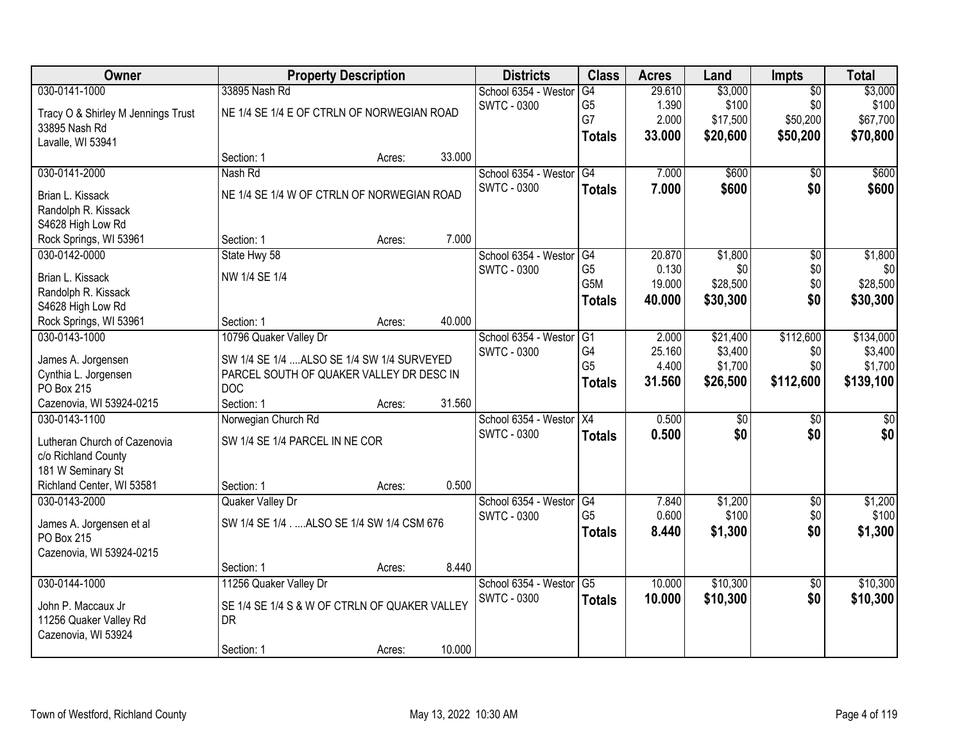| Owner                                    |                                               | <b>Property Description</b> |        | <b>Districts</b>     | <b>Class</b>     | <b>Acres</b> | Land            | <b>Impts</b>    | <b>Total</b> |
|------------------------------------------|-----------------------------------------------|-----------------------------|--------|----------------------|------------------|--------------|-----------------|-----------------|--------------|
| 030-0141-1000                            | 33895 Nash Rd                                 |                             |        | School 6354 - Westor | G4               | 29.610       | \$3,000         | $\overline{50}$ | \$3,000      |
| Tracy O & Shirley M Jennings Trust       | NE 1/4 SE 1/4 E OF CTRLN OF NORWEGIAN ROAD    |                             |        | <b>SWTC - 0300</b>   | G <sub>5</sub>   | 1.390        | \$100           | \$0             | \$100        |
| 33895 Nash Rd                            |                                               |                             |        |                      | G7               | 2.000        | \$17,500        | \$50,200        | \$67,700     |
| Lavalle, WI 53941                        |                                               |                             |        |                      | <b>Totals</b>    | 33.000       | \$20,600        | \$50,200        | \$70,800     |
|                                          | Section: 1                                    | Acres:                      | 33.000 |                      |                  |              |                 |                 |              |
| 030-0141-2000                            | Nash Rd                                       |                             |        | School 6354 - Westor | G4               | 7.000        | \$600           | \$0             | \$600        |
|                                          | NE 1/4 SE 1/4 W OF CTRLN OF NORWEGIAN ROAD    |                             |        | <b>SWTC - 0300</b>   | <b>Totals</b>    | 7.000        | \$600           | \$0             | \$600        |
| Brian L. Kissack                         |                                               |                             |        |                      |                  |              |                 |                 |              |
| Randolph R. Kissack<br>S4628 High Low Rd |                                               |                             |        |                      |                  |              |                 |                 |              |
| Rock Springs, WI 53961                   | Section: 1                                    | Acres:                      | 7.000  |                      |                  |              |                 |                 |              |
| 030-0142-0000                            | State Hwy 58                                  |                             |        | School 6354 - Westor | G4               | 20.870       | \$1,800         | \$0             | \$1,800      |
|                                          |                                               |                             |        | SWTC - 0300          | G <sub>5</sub>   | 0.130        | \$0             | \$0             | \$0          |
| Brian L. Kissack                         | NW 1/4 SE 1/4                                 |                             |        |                      | G <sub>5</sub> M | 19.000       | \$28,500        | \$0             | \$28,500     |
| Randolph R. Kissack                      |                                               |                             |        |                      | <b>Totals</b>    | 40.000       | \$30,300        | \$0             | \$30,300     |
| S4628 High Low Rd                        |                                               |                             |        |                      |                  |              |                 |                 |              |
| Rock Springs, WI 53961                   | Section: 1                                    | Acres:                      | 40.000 |                      |                  |              |                 |                 |              |
| 030-0143-1000                            | 10796 Quaker Valley Dr                        |                             |        | School 6354 - Weston | G <sub>1</sub>   | 2.000        | \$21,400        | \$112,600       | \$134,000    |
| James A. Jorgensen                       | SW 1/4 SE 1/4  ALSO SE 1/4 SW 1/4 SURVEYED    |                             |        | <b>SWTC - 0300</b>   | G4               | 25.160       | \$3,400         | \$0             | \$3,400      |
| Cynthia L. Jorgensen                     | PARCEL SOUTH OF QUAKER VALLEY DR DESC IN      |                             |        |                      | G <sub>5</sub>   | 4.400        | \$1,700         | \$0             | \$1,700      |
| PO Box 215                               | <b>DOC</b>                                    |                             |        |                      | <b>Totals</b>    | 31.560       | \$26,500        | \$112,600       | \$139,100    |
| Cazenovia, WI 53924-0215                 | Section: 1                                    | Acres:                      | 31.560 |                      |                  |              |                 |                 |              |
| 030-0143-1100                            | Norwegian Church Rd                           |                             |        | School 6354 - Weston | $\overline{X4}$  | 0.500        | $\overline{50}$ | $\overline{50}$ | $\sqrt{50}$  |
|                                          |                                               |                             |        | <b>SWTC - 0300</b>   | <b>Totals</b>    | 0.500        | \$0             | \$0             | \$0          |
| Lutheran Church of Cazenovia             | SW 1/4 SE 1/4 PARCEL IN NE COR                |                             |        |                      |                  |              |                 |                 |              |
| c/o Richland County<br>181 W Seminary St |                                               |                             |        |                      |                  |              |                 |                 |              |
| Richland Center, WI 53581                | Section: 1                                    | Acres:                      | 0.500  |                      |                  |              |                 |                 |              |
| 030-0143-2000                            | Quaker Valley Dr                              |                             |        | School 6354 - Westor | G4               | 7.840        | \$1,200         | $\sqrt{6}$      | \$1,200      |
|                                          |                                               |                             |        | <b>SWTC - 0300</b>   | G <sub>5</sub>   | 0.600        | \$100           | \$0             | \$100        |
| James A. Jorgensen et al                 | SW 1/4 SE 1/4 ALSO SE 1/4 SW 1/4 CSM 676      |                             |        |                      | <b>Totals</b>    | 8.440        | \$1,300         | \$0             | \$1,300      |
| PO Box 215                               |                                               |                             |        |                      |                  |              |                 |                 |              |
| Cazenovia, WI 53924-0215                 |                                               |                             |        |                      |                  |              |                 |                 |              |
|                                          | Section: 1                                    | Acres:                      | 8.440  |                      |                  |              |                 |                 |              |
| 030-0144-1000                            | 11256 Quaker Valley Dr                        |                             |        | School 6354 - Westor | $\overline{G5}$  | 10.000       | \$10,300        | $\overline{30}$ | \$10,300     |
| John P. Maccaux Jr                       | SE 1/4 SE 1/4 S & W OF CTRLN OF QUAKER VALLEY |                             |        | <b>SWTC - 0300</b>   | <b>Totals</b>    | 10.000       | \$10,300        | \$0             | \$10,300     |
| 11256 Quaker Valley Rd                   | <b>DR</b>                                     |                             |        |                      |                  |              |                 |                 |              |
| Cazenovia, WI 53924                      |                                               |                             |        |                      |                  |              |                 |                 |              |
|                                          | Section: 1                                    | Acres:                      | 10.000 |                      |                  |              |                 |                 |              |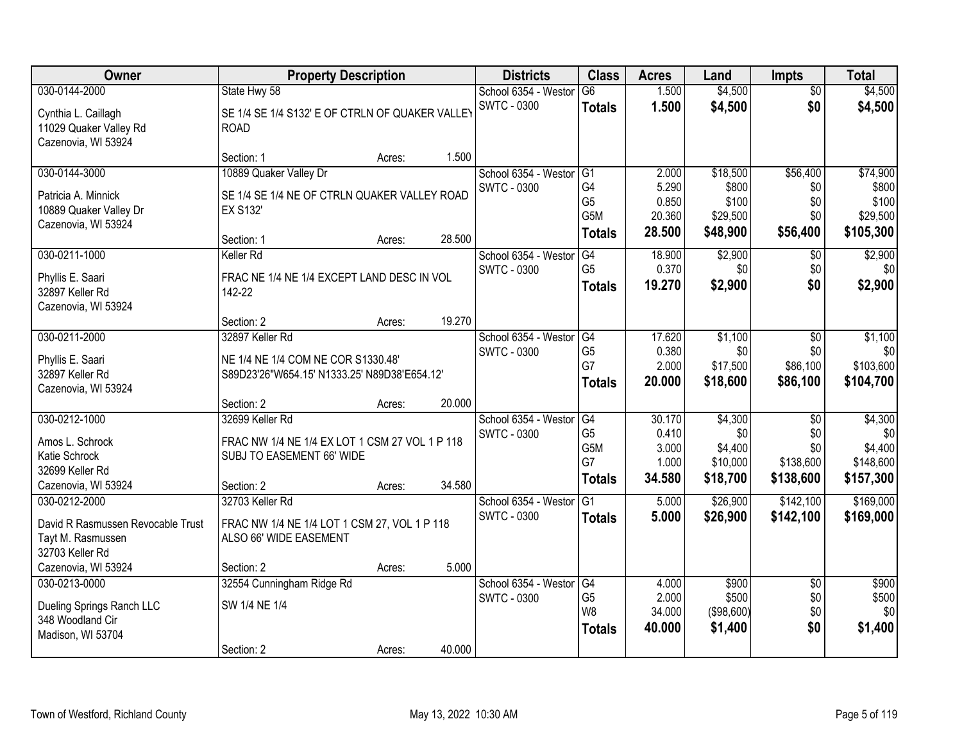| Owner                                                                                       | <b>Property Description</b>                                                                                  |        | <b>Districts</b>                                     | <b>Class</b>                                              | <b>Acres</b>                                | Land                                              | <b>Impts</b>                                | <b>Total</b>                                        |
|---------------------------------------------------------------------------------------------|--------------------------------------------------------------------------------------------------------------|--------|------------------------------------------------------|-----------------------------------------------------------|---------------------------------------------|---------------------------------------------------|---------------------------------------------|-----------------------------------------------------|
| 030-0144-2000                                                                               | State Hwy 58                                                                                                 |        | School 6354 - Westor                                 | G6                                                        | 1.500                                       | \$4,500                                           | $\overline{50}$                             | \$4,500                                             |
| Cynthia L. Caillagh<br>11029 Quaker Valley Rd<br>Cazenovia, WI 53924                        | SE 1/4 SE 1/4 S132' E OF CTRLN OF QUAKER VALLEY<br><b>ROAD</b>                                               |        | <b>SWTC - 0300</b>                                   | <b>Totals</b>                                             | 1.500                                       | \$4,500                                           | \$0                                         | \$4,500                                             |
|                                                                                             | Section: 1                                                                                                   | Acres: | 1.500                                                |                                                           |                                             |                                                   |                                             |                                                     |
| 030-0144-3000                                                                               | 10889 Quaker Valley Dr                                                                                       |        | School 6354 - Westor                                 | G1                                                        | 2.000                                       | \$18,500                                          | \$56,400                                    | \$74,900                                            |
| Patricia A. Minnick<br>10889 Quaker Valley Dr<br>Cazenovia, WI 53924                        | SE 1/4 SE 1/4 NE OF CTRLN QUAKER VALLEY ROAD<br><b>EX S132</b><br>Section: 1                                 | Acres: | <b>SWTC - 0300</b><br>28.500                         | G4<br>G <sub>5</sub><br>G <sub>5</sub> M<br><b>Totals</b> | 5.290<br>0.850<br>20.360<br>28.500          | \$800<br>\$100<br>\$29,500<br>\$48,900            | \$0<br>\$0<br>\$0<br>\$56,400               | \$800<br>\$100<br>\$29,500<br>\$105,300             |
| 030-0211-1000                                                                               | <b>Keller Rd</b>                                                                                             |        | School 6354 - Westor                                 | G4                                                        | 18.900                                      | \$2,900                                           | \$0                                         | \$2,900                                             |
| Phyllis E. Saari<br>32897 Keller Rd<br>Cazenovia, WI 53924                                  | FRAC NE 1/4 NE 1/4 EXCEPT LAND DESC IN VOL<br>142-22                                                         |        | SWTC - 0300                                          | G <sub>5</sub><br><b>Totals</b>                           | 0.370<br>19.270                             | \$0<br>\$2,900                                    | \$0<br>\$0                                  | \$0<br>\$2,900                                      |
|                                                                                             | Section: 2                                                                                                   | Acres: | 19.270                                               |                                                           |                                             |                                                   |                                             |                                                     |
| 030-0211-2000                                                                               | 32897 Keller Rd                                                                                              |        | School 6354 - Weston<br><b>SWTC - 0300</b>           | G4<br>G <sub>5</sub>                                      | 17.620<br>0.380                             | \$1,100<br>\$0                                    | $\sqrt[6]{3}$<br>\$0                        | \$1,100<br>\$0                                      |
| Phyllis E. Saari<br>32897 Keller Rd<br>Cazenovia, WI 53924                                  | NE 1/4 NE 1/4 COM NE COR S1330.48'<br>S89D23'26"W654.15' N1333.25' N89D38'E654.12'                           |        |                                                      | G7<br><b>Totals</b>                                       | 2.000<br>20.000                             | \$17,500<br>\$18,600                              | \$86,100<br>\$86,100                        | \$103,600<br>\$104,700                              |
|                                                                                             | Section: 2                                                                                                   | Acres: | 20.000                                               |                                                           |                                             |                                                   |                                             |                                                     |
| 030-0212-1000<br>Amos L. Schrock<br>Katie Schrock<br>32699 Keller Rd<br>Cazenovia, WI 53924 | 32699 Keller Rd<br>FRAC NW 1/4 NE 1/4 EX LOT 1 CSM 27 VOL 1 P 118<br>SUBJ TO EASEMENT 66' WIDE<br>Section: 2 | Acres: | School 6354 - Westor<br><b>SWTC - 0300</b><br>34.580 | G4<br>G <sub>5</sub><br>G5M<br>G7<br><b>Totals</b>        | 30.170<br>0.410<br>3.000<br>1.000<br>34.580 | \$4,300<br>\$0<br>\$4,400<br>\$10,000<br>\$18,700 | \$0<br>\$0<br>\$0<br>\$138,600<br>\$138,600 | \$4,300<br>\$0<br>\$4,400<br>\$148,600<br>\$157,300 |
| 030-0212-2000<br>David R Rasmussen Revocable Trust<br>Tayt M. Rasmussen<br>32703 Keller Rd  | 32703 Keller Rd<br>FRAC NW 1/4 NE 1/4 LOT 1 CSM 27, VOL 1 P 118<br>ALSO 66' WIDE EASEMENT                    |        | School 6354 - Westor<br><b>SWTC - 0300</b>           | $\overline{G1}$<br><b>Totals</b>                          | 5.000<br>5.000                              | \$26,900<br>\$26,900                              | \$142,100<br>\$142,100                      | \$169,000<br>\$169,000                              |
| Cazenovia, WI 53924                                                                         | Section: 2                                                                                                   | Acres: | 5.000                                                |                                                           |                                             |                                                   |                                             |                                                     |
| 030-0213-0000<br>Dueling Springs Ranch LLC<br>348 Woodland Cir<br>Madison, WI 53704         | 32554 Cunningham Ridge Rd<br>SW 1/4 NE 1/4                                                                   |        | School 6354 - Westor<br><b>SWTC - 0300</b>           | G4<br>G <sub>5</sub><br>W <sub>8</sub><br><b>Totals</b>   | 4.000<br>2.000<br>34.000<br>40.000          | \$900<br>\$500<br>(\$98,600)<br>\$1,400           | $\overline{50}$<br>\$0<br>\$0<br>\$0        | \$900<br>\$500<br>\$0<br>\$1,400                    |
|                                                                                             | Section: 2                                                                                                   | Acres: | 40.000                                               |                                                           |                                             |                                                   |                                             |                                                     |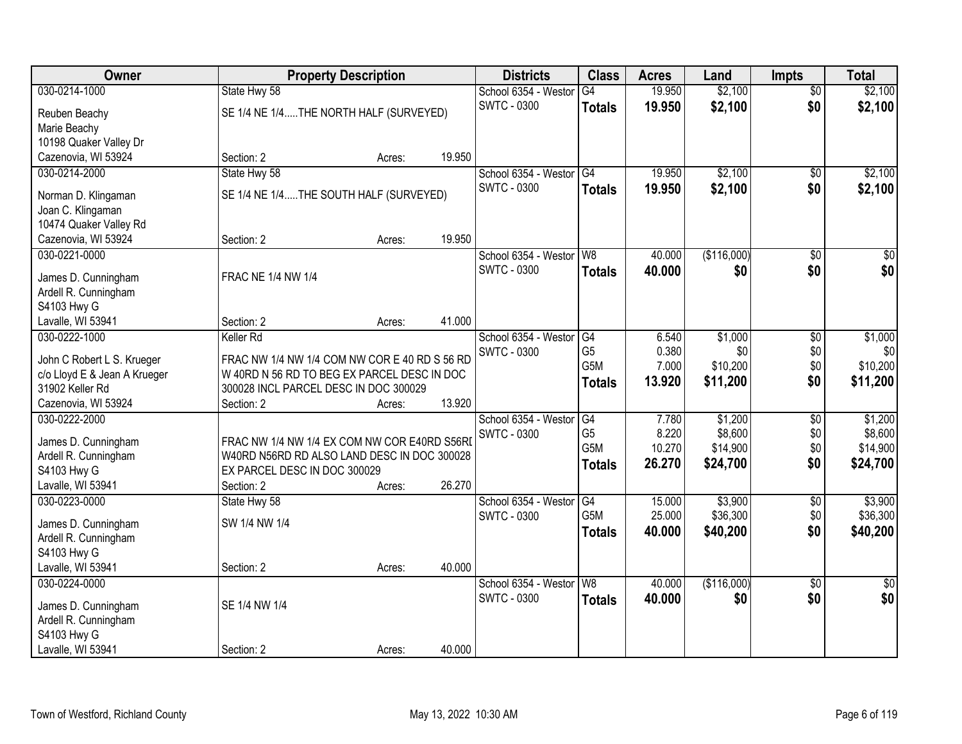| Owner                        | <b>Property Description</b>                   |        |        | <b>Districts</b>     | <b>Class</b>     | <b>Acres</b> | Land        | <b>Impts</b>    | <b>Total</b>    |
|------------------------------|-----------------------------------------------|--------|--------|----------------------|------------------|--------------|-------------|-----------------|-----------------|
| 030-0214-1000                | State Hwy 58                                  |        |        | School 6354 - Westor | G4               | 19.950       | \$2,100     | $\overline{50}$ | \$2,100         |
| Reuben Beachy                | SE 1/4 NE 1/4THE NORTH HALF (SURVEYED)        |        |        | <b>SWTC - 0300</b>   | <b>Totals</b>    | 19.950       | \$2,100     | \$0             | \$2,100         |
| Marie Beachy                 |                                               |        |        |                      |                  |              |             |                 |                 |
| 10198 Quaker Valley Dr       |                                               |        |        |                      |                  |              |             |                 |                 |
| Cazenovia, WI 53924          | Section: 2                                    | Acres: | 19.950 |                      |                  |              |             |                 |                 |
| 030-0214-2000                | State Hwy 58                                  |        |        | School 6354 - Westor | G4               | 19.950       | \$2,100     | $\overline{50}$ | \$2,100         |
|                              |                                               |        |        | <b>SWTC - 0300</b>   | <b>Totals</b>    | 19.950       | \$2,100     | \$0             | \$2,100         |
| Norman D. Klingaman          | SE 1/4 NE 1/4THE SOUTH HALF (SURVEYED)        |        |        |                      |                  |              |             |                 |                 |
| Joan C. Klingaman            |                                               |        |        |                      |                  |              |             |                 |                 |
| 10474 Quaker Valley Rd       |                                               |        | 19.950 |                      |                  |              |             |                 |                 |
| Cazenovia, WI 53924          | Section: 2                                    | Acres: |        |                      |                  |              |             |                 |                 |
| 030-0221-0000                |                                               |        |        | School 6354 - Westor | W <sub>8</sub>   | 40.000       | (\$116,000) | $\overline{50}$ | $\overline{30}$ |
| James D. Cunningham          | <b>FRAC NE 1/4 NW 1/4</b>                     |        |        | <b>SWTC - 0300</b>   | <b>Totals</b>    | 40.000       | \$0         | \$0             | \$0             |
| Ardell R. Cunningham         |                                               |        |        |                      |                  |              |             |                 |                 |
| S4103 Hwy G                  |                                               |        |        |                      |                  |              |             |                 |                 |
| Lavalle, WI 53941            | Section: 2                                    | Acres: | 41.000 |                      |                  |              |             |                 |                 |
| 030-0222-1000                | Keller Rd                                     |        |        | School 6354 - Westor | G4               | 6.540        | \$1,000     | \$0             | \$1,000         |
| John C Robert L S. Krueger   | FRAC NW 1/4 NW 1/4 COM NW COR E 40 RD S 56 RD |        |        | <b>SWTC - 0300</b>   | G <sub>5</sub>   | 0.380        | \$0         | \$0             | \$0             |
| c/o Lloyd E & Jean A Krueger | W 40RD N 56 RD TO BEG EX PARCEL DESC IN DOC   |        |        |                      | G <sub>5</sub> M | 7.000        | \$10,200    | \$0             | \$10,200        |
| 31902 Keller Rd              | 300028 INCL PARCEL DESC IN DOC 300029         |        |        |                      | <b>Totals</b>    | 13.920       | \$11,200    | \$0             | \$11,200        |
| Cazenovia, WI 53924          | Section: 2                                    | Acres: | 13.920 |                      |                  |              |             |                 |                 |
| 030-0222-2000                |                                               |        |        | School 6354 - Weston | G4               | 7.780        | \$1,200     | \$0             | \$1,200         |
|                              |                                               |        |        | <b>SWTC - 0300</b>   | G <sub>5</sub>   | 8.220        | \$8,600     | \$0             | \$8,600         |
| James D. Cunningham          | FRAC NW 1/4 NW 1/4 EX COM NW COR E40RD S56RD  |        |        |                      | G <sub>5</sub> M | 10.270       | \$14,900    | \$0             | \$14,900        |
| Ardell R. Cunningham         | W40RD N56RD RD ALSO LAND DESC IN DOC 300028   |        |        |                      | <b>Totals</b>    | 26.270       | \$24,700    | \$0             | \$24,700        |
| S4103 Hwy G                  | EX PARCEL DESC IN DOC 300029                  |        |        |                      |                  |              |             |                 |                 |
| Lavalle, WI 53941            | Section: 2                                    | Acres: | 26.270 |                      |                  |              |             |                 |                 |
| 030-0223-0000                | State Hwy 58                                  |        |        | School 6354 - Westor | $\overline{G4}$  | 15.000       | \$3,900     | $\overline{60}$ | \$3,900         |
| James D. Cunningham          | SW 1/4 NW 1/4                                 |        |        | <b>SWTC - 0300</b>   | G <sub>5</sub> M | 25.000       | \$36,300    | \$0             | \$36,300        |
| Ardell R. Cunningham         |                                               |        |        |                      | <b>Totals</b>    | 40.000       | \$40,200    | \$0             | \$40,200        |
| S4103 Hwy G                  |                                               |        |        |                      |                  |              |             |                 |                 |
| Lavalle, WI 53941            | Section: 2                                    | Acres: | 40.000 |                      |                  |              |             |                 |                 |
| 030-0224-0000                |                                               |        |        | School 6354 - Westor | W8               | 40.000       | (\$116,000) | $\overline{30}$ | $\overline{50}$ |
|                              |                                               |        |        | <b>SWTC - 0300</b>   | <b>Totals</b>    | 40.000       | \$0         | \$0             | \$0             |
| James D. Cunningham          | SE 1/4 NW 1/4                                 |        |        |                      |                  |              |             |                 |                 |
| Ardell R. Cunningham         |                                               |        |        |                      |                  |              |             |                 |                 |
| S4103 Hwy G                  |                                               |        |        |                      |                  |              |             |                 |                 |
| Lavalle, WI 53941            | Section: 2                                    | Acres: | 40.000 |                      |                  |              |             |                 |                 |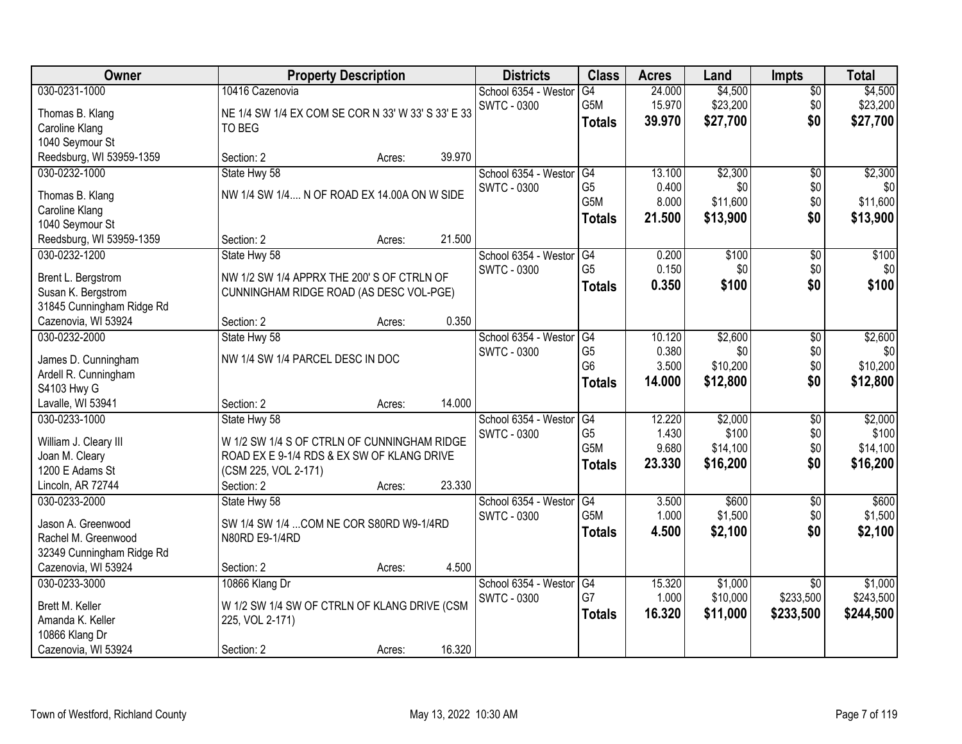| Owner                               |                                                    | <b>Property Description</b> |        | <b>Districts</b>     | <b>Class</b>         | <b>Acres</b> | Land     | <b>Impts</b>    | <b>Total</b> |
|-------------------------------------|----------------------------------------------------|-----------------------------|--------|----------------------|----------------------|--------------|----------|-----------------|--------------|
| 030-0231-1000                       | 10416 Cazenovia                                    |                             |        | School 6354 - Westor | G4                   | 24.000       | \$4,500  | $\overline{50}$ | \$4,500      |
| Thomas B. Klang                     | NE 1/4 SW 1/4 EX COM SE COR N 33' W 33' S 33' E 33 |                             |        | <b>SWTC - 0300</b>   | G5M                  | 15.970       | \$23,200 | \$0             | \$23,200     |
| Caroline Klang                      | TO BEG                                             |                             |        |                      | <b>Totals</b>        | 39.970       | \$27,700 | \$0             | \$27,700     |
| 1040 Seymour St                     |                                                    |                             |        |                      |                      |              |          |                 |              |
| Reedsburg, WI 53959-1359            | Section: 2                                         | Acres:                      | 39.970 |                      |                      |              |          |                 |              |
| 030-0232-1000                       | State Hwy 58                                       |                             |        | School 6354 - Weston | G4                   | 13.100       | \$2,300  | $\overline{50}$ | \$2,300      |
|                                     |                                                    |                             |        | <b>SWTC - 0300</b>   | G <sub>5</sub>       | 0.400        | \$0      | \$0             | \$0          |
| Thomas B. Klang                     | NW 1/4 SW 1/4 N OF ROAD EX 14.00A ON W SIDE        |                             |        |                      | G <sub>5</sub> M     | 8.000        | \$11,600 | \$0             | \$11,600     |
| Caroline Klang                      |                                                    |                             |        |                      | <b>Totals</b>        | 21.500       | \$13,900 | \$0             | \$13,900     |
| 1040 Seymour St                     |                                                    |                             |        |                      |                      |              |          |                 |              |
| Reedsburg, WI 53959-1359            | Section: 2                                         | Acres:                      | 21.500 |                      |                      |              |          |                 |              |
| 030-0232-1200                       | State Hwy 58                                       |                             |        | School 6354 - Westor | G4<br>G <sub>5</sub> | 0.200        | \$100    | \$0             | \$100        |
| Brent L. Bergstrom                  | NW 1/2 SW 1/4 APPRX THE 200' S OF CTRLN OF         |                             |        | <b>SWTC - 0300</b>   |                      | 0.150        | \$0      | \$0             | \$0          |
| Susan K. Bergstrom                  | CUNNINGHAM RIDGE ROAD (AS DESC VOL-PGE)            |                             |        |                      | <b>Totals</b>        | 0.350        | \$100    | \$0             | \$100        |
| 31845 Cunningham Ridge Rd           |                                                    |                             |        |                      |                      |              |          |                 |              |
| Cazenovia, WI 53924                 | Section: 2                                         | Acres:                      | 0.350  |                      |                      |              |          |                 |              |
| 030-0232-2000                       | State Hwy 58                                       |                             |        | School 6354 - Weston | G4                   | 10.120       | \$2,600  | \$0             | \$2,600      |
|                                     | NW 1/4 SW 1/4 PARCEL DESC IN DOC                   |                             |        | <b>SWTC - 0300</b>   | G <sub>5</sub>       | 0.380        | \$0      | \$0             | \$0          |
| James D. Cunningham                 |                                                    |                             |        |                      | G <sub>6</sub>       | 3.500        | \$10,200 | \$0             | \$10,200     |
| Ardell R. Cunningham<br>S4103 Hwy G |                                                    |                             |        |                      | <b>Totals</b>        | 14.000       | \$12,800 | \$0             | \$12,800     |
| Lavalle, WI 53941                   | Section: 2                                         | Acres:                      | 14.000 |                      |                      |              |          |                 |              |
| 030-0233-1000                       | State Hwy 58                                       |                             |        | School 6354 - Weston | $\overline{G4}$      | 12.220       | \$2,000  | \$0             | \$2,000      |
|                                     |                                                    |                             |        | <b>SWTC - 0300</b>   | G <sub>5</sub>       | 1.430        | \$100    | \$0             | \$100        |
| William J. Cleary III               | W 1/2 SW 1/4 S OF CTRLN OF CUNNINGHAM RIDGE        |                             |        |                      | G <sub>5</sub> M     | 9.680        | \$14,100 | \$0             | \$14,100     |
| Joan M. Cleary                      | ROAD EX E 9-1/4 RDS & EX SW OF KLANG DRIVE         |                             |        |                      | <b>Totals</b>        | 23.330       | \$16,200 | \$0             | \$16,200     |
| 1200 E Adams St                     | (CSM 225, VOL 2-171)                               |                             |        |                      |                      |              |          |                 |              |
| Lincoln, AR 72744                   | Section: 2                                         | Acres:                      | 23.330 |                      |                      |              |          |                 |              |
| 030-0233-2000                       | State Hwy 58                                       |                             |        | School 6354 - Westor | G4                   | 3.500        | \$600    | $\sqrt{$0}$     | \$600        |
| Jason A. Greenwood                  | SW 1/4 SW 1/4  COM NE COR S80RD W9-1/4RD           |                             |        | <b>SWTC - 0300</b>   | G <sub>5</sub> M     | 1.000        | \$1,500  | \$0             | \$1,500      |
| Rachel M. Greenwood                 | N80RD E9-1/4RD                                     |                             |        |                      | <b>Totals</b>        | 4.500        | \$2,100  | \$0             | \$2,100      |
| 32349 Cunningham Ridge Rd           |                                                    |                             |        |                      |                      |              |          |                 |              |
| Cazenovia, WI 53924                 | Section: 2                                         | Acres:                      | 4.500  |                      |                      |              |          |                 |              |
| 030-0233-3000                       | 10866 Klang Dr                                     |                             |        | School 6354 - Weston | G4                   | 15.320       | \$1,000  | $\overline{30}$ | \$1,000      |
|                                     |                                                    |                             |        | <b>SWTC - 0300</b>   | G7                   | 1.000        | \$10,000 | \$233,500       | \$243,500    |
| Brett M. Keller                     | W 1/2 SW 1/4 SW OF CTRLN OF KLANG DRIVE (CSM       |                             |        |                      | <b>Totals</b>        | 16.320       | \$11,000 | \$233,500       | \$244,500    |
| Amanda K. Keller                    | 225, VOL 2-171)                                    |                             |        |                      |                      |              |          |                 |              |
| 10866 Klang Dr                      |                                                    |                             |        |                      |                      |              |          |                 |              |
| Cazenovia, WI 53924                 | Section: 2                                         | Acres:                      | 16.320 |                      |                      |              |          |                 |              |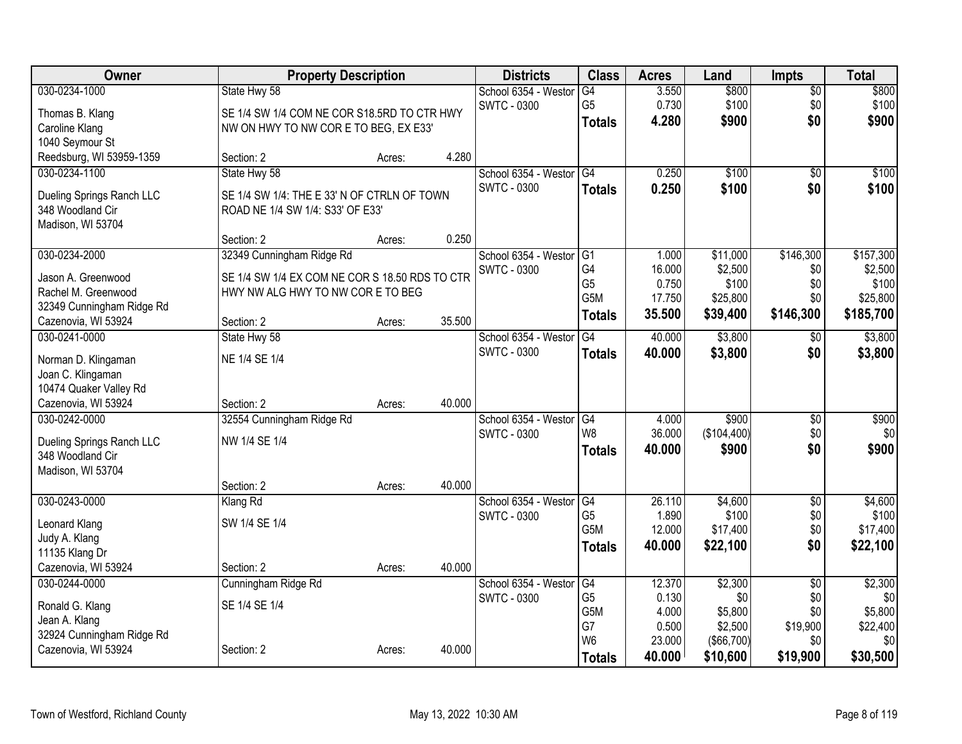| Owner                     | <b>Property Description</b>                    |        |        | <b>Districts</b>     | <b>Class</b>         | <b>Acres</b>    | Land                  | <b>Impts</b>    | <b>Total</b>    |
|---------------------------|------------------------------------------------|--------|--------|----------------------|----------------------|-----------------|-----------------------|-----------------|-----------------|
| 030-0234-1000             | State Hwy 58                                   |        |        | School 6354 - Weston | G4                   | 3.550           | \$800                 | $\overline{50}$ | \$800           |
| Thomas B. Klang           | SE 1/4 SW 1/4 COM NE COR S18.5RD TO CTR HWY    |        |        | <b>SWTC - 0300</b>   | G <sub>5</sub>       | 0.730           | \$100                 | \$0             | \$100           |
| Caroline Klang            | NW ON HWY TO NW COR E TO BEG, EX E33'          |        |        |                      | <b>Totals</b>        | 4.280           | \$900                 | \$0             | \$900           |
| 1040 Seymour St           |                                                |        |        |                      |                      |                 |                       |                 |                 |
| Reedsburg, WI 53959-1359  | Section: 2                                     | Acres: | 4.280  |                      |                      |                 |                       |                 |                 |
| 030-0234-1100             | State Hwy 58                                   |        |        | School 6354 - Weston | G4                   | 0.250           | \$100                 | \$0             | \$100           |
| Dueling Springs Ranch LLC | SE 1/4 SW 1/4: THE E 33' N OF CTRLN OF TOWN    |        |        | <b>SWTC - 0300</b>   | <b>Totals</b>        | 0.250           | \$100                 | \$0             | \$100           |
| 348 Woodland Cir          | ROAD NE 1/4 SW 1/4: S33' OF E33'               |        |        |                      |                      |                 |                       |                 |                 |
| Madison, WI 53704         |                                                |        |        |                      |                      |                 |                       |                 |                 |
|                           | Section: 2                                     | Acres: | 0.250  |                      |                      |                 |                       |                 |                 |
| 030-0234-2000             | 32349 Cunningham Ridge Rd                      |        |        | School 6354 - Weston | $\overline{G1}$      | 1.000           | \$11,000              | \$146,300       | \$157,300       |
| Jason A. Greenwood        | SE 1/4 SW 1/4 EX COM NE COR S 18.50 RDS TO CTR |        |        | <b>SWTC - 0300</b>   | G4                   | 16.000          | \$2,500               | \$0             | \$2,500         |
| Rachel M. Greenwood       | HWY NW ALG HWY TO NW COR E TO BEG              |        |        |                      | G <sub>5</sub>       | 0.750           | \$100                 | \$0             | \$100           |
| 32349 Cunningham Ridge Rd |                                                |        |        |                      | G5M                  | 17.750          | \$25,800              | \$0             | \$25,800        |
| Cazenovia, WI 53924       | Section: 2                                     | Acres: | 35.500 |                      | <b>Totals</b>        | 35.500          | \$39,400              | \$146,300       | \$185,700       |
| 030-0241-0000             | State Hwy 58                                   |        |        | School 6354 - Weston | G4                   | 40.000          | \$3,800               | \$0             | \$3,800         |
| Norman D. Klingaman       | NE 1/4 SE 1/4                                  |        |        | <b>SWTC - 0300</b>   | <b>Totals</b>        | 40.000          | \$3,800               | \$0             | \$3,800         |
| Joan C. Klingaman         |                                                |        |        |                      |                      |                 |                       |                 |                 |
| 10474 Quaker Valley Rd    |                                                |        |        |                      |                      |                 |                       |                 |                 |
| Cazenovia, WI 53924       | Section: 2                                     | Acres: | 40.000 |                      |                      |                 |                       |                 |                 |
| 030-0242-0000             | 32554 Cunningham Ridge Rd                      |        |        | School 6354 - Weston | G4                   | 4.000           | \$900                 | \$0             | \$900           |
| Dueling Springs Ranch LLC | NW 1/4 SE 1/4                                  |        |        | <b>SWTC - 0300</b>   | W <sub>8</sub>       | 36.000          | (\$104,400)           | \$0             | \$0             |
| 348 Woodland Cir          |                                                |        |        |                      | <b>Totals</b>        | 40.000          | \$900                 | \$0             | \$900           |
| Madison, WI 53704         |                                                |        |        |                      |                      |                 |                       |                 |                 |
|                           | Section: 2                                     | Acres: | 40.000 |                      |                      |                 |                       |                 |                 |
| 030-0243-0000             | Klang Rd                                       |        |        | School 6354 - Westor | G4                   | 26.110          | \$4,600               | $\overline{50}$ | \$4,600         |
| Leonard Klang             | SW 1/4 SE 1/4                                  |        |        | <b>SWTC - 0300</b>   | G <sub>5</sub>       | 1.890           | \$100                 | \$0             | \$100           |
| Judy A. Klang             |                                                |        |        |                      | G5M                  | 12.000          | \$17,400              | \$0             | \$17,400        |
| 11135 Klang Dr            |                                                |        |        |                      | <b>Totals</b>        | 40.000          | \$22,100              | \$0             | \$22,100        |
| Cazenovia, WI 53924       | Section: 2                                     | Acres: | 40.000 |                      |                      |                 |                       |                 |                 |
| 030-0244-0000             | Cunningham Ridge Rd                            |        |        | School 6354 - Weston | G4                   | 12.370          | \$2,300               | $\overline{50}$ | \$2,300         |
| Ronald G. Klang           | SE 1/4 SE 1/4                                  |        |        | <b>SWTC - 0300</b>   | G <sub>5</sub>       | 0.130           | \$0                   | \$0             | \$0             |
| Jean A. Klang             |                                                |        |        |                      | G5M                  | 4.000           | \$5,800               | \$0             | \$5,800         |
| 32924 Cunningham Ridge Rd |                                                |        |        |                      | G7<br>W <sub>6</sub> | 0.500<br>23.000 | \$2,500<br>(\$66,700) | \$19,900<br>\$0 | \$22,400<br>\$0 |
| Cazenovia, WI 53924       | Section: 2                                     | Acres: | 40.000 |                      | <b>Totals</b>        | 40.000          | \$10,600              | \$19,900        | \$30,500        |
|                           |                                                |        |        |                      |                      |                 |                       |                 |                 |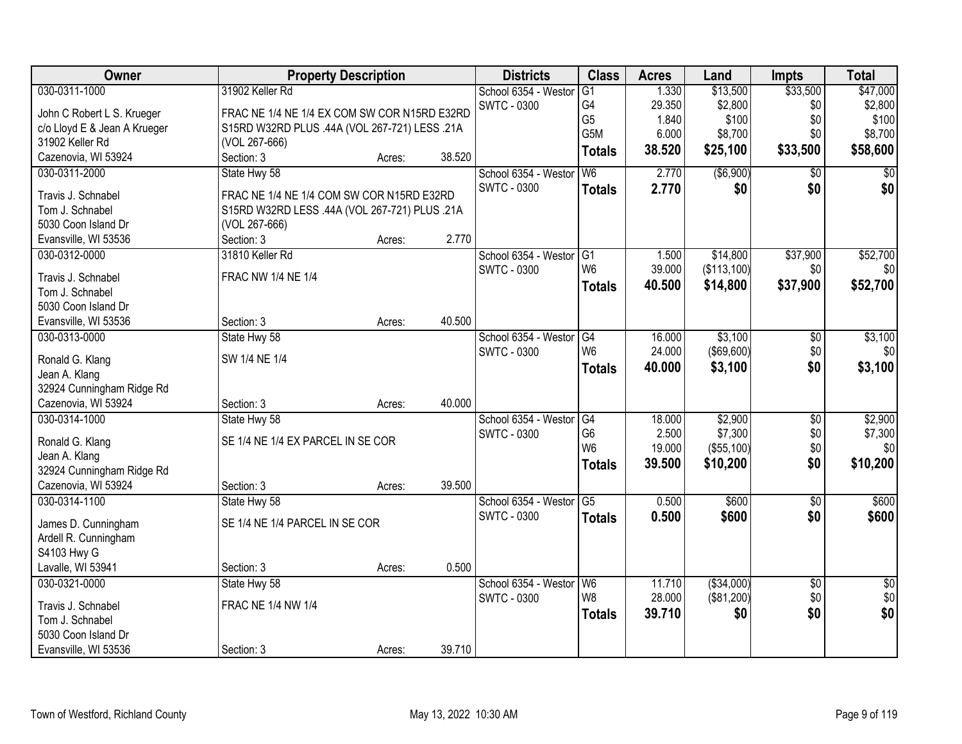| Owner                        |                                               | <b>Property Description</b> |        | <b>Districts</b>        | <b>Class</b>   | <b>Acres</b> | Land              | <b>Impts</b>    | <b>Total</b>     |
|------------------------------|-----------------------------------------------|-----------------------------|--------|-------------------------|----------------|--------------|-------------------|-----------------|------------------|
| 030-0311-1000                | 31902 Keller Rd                               |                             |        | School 6354 - Westor    | G1             | 1.330        | \$13,500          | \$33,500        | \$47,000         |
| John C Robert L S. Krueger   | FRAC NE 1/4 NE 1/4 EX COM SW COR N15RD E32RD  |                             |        | <b>SWTC - 0300</b>      | G4             | 29.350       | \$2,800           | \$0             | \$2,800          |
| c/o Lloyd E & Jean A Krueger | S15RD W32RD PLUS .44A (VOL 267-721) LESS .21A |                             |        |                         | G <sub>5</sub> | 1.840        | \$100             | \$0             | \$100            |
| 31902 Keller Rd              | (VOL 267-666)                                 |                             |        |                         | G5M            | 6.000        | \$8,700           | \$0             | \$8,700          |
| Cazenovia, WI 53924          | Section: 3                                    | Acres:                      | 38.520 |                         | <b>Totals</b>  | 38.520       | \$25,100          | \$33,500        | \$58,600         |
| 030-0311-2000                | State Hwy 58                                  |                             |        | School 6354 - Westor    | W6             | 2.770        | ( \$6, 900)       | $\overline{30}$ | $\overline{50}$  |
|                              |                                               |                             |        | <b>SWTC - 0300</b>      |                | 2.770        |                   | \$0             | \$0              |
| Travis J. Schnabel           | FRAC NE 1/4 NE 1/4 COM SW COR N15RD E32RD     |                             |        |                         | <b>Totals</b>  |              | \$0               |                 |                  |
| Tom J. Schnabel              | S15RD W32RD LESS .44A (VOL 267-721) PLUS .21A |                             |        |                         |                |              |                   |                 |                  |
| 5030 Coon Island Dr          | (VOL 267-666)                                 |                             |        |                         |                |              |                   |                 |                  |
| Evansville, WI 53536         | Section: 3                                    | Acres:                      | 2.770  |                         |                |              |                   |                 |                  |
| 030-0312-0000                | 31810 Keller Rd                               |                             |        | School 6354 - Westor G1 |                | 1.500        | \$14,800          | \$37,900        | \$52,700         |
| Travis J. Schnabel           | <b>FRAC NW 1/4 NE 1/4</b>                     |                             |        | <b>SWTC - 0300</b>      | W <sub>6</sub> | 39.000       | (\$113,100)       | \$0             | \$0              |
| Tom J. Schnabel              |                                               |                             |        |                         | <b>Totals</b>  | 40.500       | \$14,800          | \$37,900        | \$52,700         |
| 5030 Coon Island Dr          |                                               |                             |        |                         |                |              |                   |                 |                  |
| Evansville, WI 53536         | Section: 3                                    |                             | 40.500 |                         |                |              |                   |                 |                  |
| 030-0313-0000                |                                               | Acres:                      |        | School 6354 - Westor    | G4             | 16.000       | \$3,100           |                 | \$3,100          |
|                              | State Hwy 58                                  |                             |        |                         | W <sub>6</sub> | 24.000       |                   | \$0             |                  |
| Ronald G. Klang              | SW 1/4 NE 1/4                                 |                             |        | <b>SWTC - 0300</b>      |                |              | $($ \$69,600) $ $ | \$0             | \$0              |
| Jean A. Klang                |                                               |                             |        |                         | <b>Totals</b>  | 40.000       | \$3,100           | \$0             | \$3,100          |
| 32924 Cunningham Ridge Rd    |                                               |                             |        |                         |                |              |                   |                 |                  |
| Cazenovia, WI 53924          | Section: 3                                    | Acres:                      | 40.000 |                         |                |              |                   |                 |                  |
| 030-0314-1000                | State Hwy 58                                  |                             |        | School 6354 - Westor    | G4             | 18.000       | \$2,900           | $\overline{50}$ | \$2,900          |
|                              |                                               |                             |        | <b>SWTC - 0300</b>      | G <sub>6</sub> | 2.500        | \$7,300           | \$0             | \$7,300          |
| Ronald G. Klang              | SE 1/4 NE 1/4 EX PARCEL IN SE COR             |                             |        |                         | W <sub>6</sub> | 19.000       | ( \$55, 100)      | \$0             | \$0              |
| Jean A. Klang                |                                               |                             |        |                         | <b>Totals</b>  | 39.500       | \$10,200          | \$0             | \$10,200         |
| 32924 Cunningham Ridge Rd    |                                               |                             | 39.500 |                         |                |              |                   |                 |                  |
| Cazenovia, WI 53924          | Section: 3                                    | Acres:                      |        |                         |                |              |                   |                 |                  |
| 030-0314-1100                | State Hwy 58                                  |                             |        | School 6354 - Westor G5 |                | 0.500        | \$600             | $\overline{60}$ | \$600            |
| James D. Cunningham          | SE 1/4 NE 1/4 PARCEL IN SE COR                |                             |        | <b>SWTC - 0300</b>      | <b>Totals</b>  | 0.500        | \$600             | \$0             | \$600            |
| Ardell R. Cunningham         |                                               |                             |        |                         |                |              |                   |                 |                  |
| S4103 Hwy G                  |                                               |                             |        |                         |                |              |                   |                 |                  |
| Lavalle, WI 53941            | Section: 3                                    | Acres:                      | 0.500  |                         |                |              |                   |                 |                  |
| 030-0321-0000                | State Hwy 58                                  |                             |        | School 6354 - Westor    | W <sub>6</sub> | 11.710       | ( \$34,000)       | $\overline{50}$ | \$0              |
| Travis J. Schnabel           | <b>FRAC NE 1/4 NW 1/4</b>                     |                             |        | <b>SWTC - 0300</b>      | W8             | 28.000       | (\$81,200)        | \$0             | $\overline{\$0}$ |
| Tom J. Schnabel              |                                               |                             |        |                         | <b>Totals</b>  | 39.710       | \$0               | \$0             | \$0              |
| 5030 Coon Island Dr          |                                               |                             |        |                         |                |              |                   |                 |                  |
|                              |                                               |                             | 39.710 |                         |                |              |                   |                 |                  |
| Evansville, WI 53536         | Section: 3                                    | Acres:                      |        |                         |                |              |                   |                 |                  |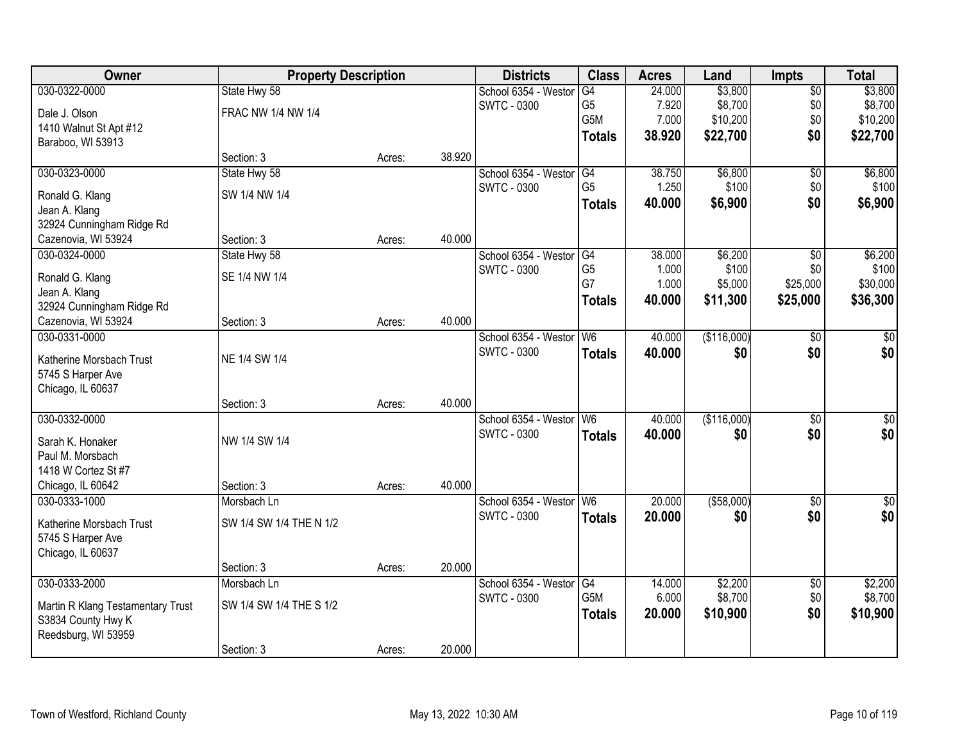| Owner                             | <b>Property Description</b> |        |        | <b>Districts</b>                           | <b>Class</b>   | <b>Acres</b> | Land        | <b>Impts</b>    | <b>Total</b> |
|-----------------------------------|-----------------------------|--------|--------|--------------------------------------------|----------------|--------------|-------------|-----------------|--------------|
| 030-0322-0000                     | State Hwy 58                |        |        | School 6354 - Westor                       | G4             | 24.000       | \$3,800     | $\sqrt{$0}$     | \$3,800      |
| Dale J. Olson                     | FRAC NW 1/4 NW 1/4          |        |        | <b>SWTC - 0300</b>                         | G5             | 7.920        | \$8,700     | \$0             | \$8,700      |
| 1410 Walnut St Apt #12            |                             |        |        |                                            | G5M            | 7.000        | \$10,200    | \$0             | \$10,200     |
| Baraboo, WI 53913                 |                             |        |        |                                            | <b>Totals</b>  | 38.920       | \$22,700    | \$0             | \$22,700     |
|                                   | Section: 3                  | Acres: | 38.920 |                                            |                |              |             |                 |              |
| 030-0323-0000                     | State Hwy 58                |        |        | School 6354 - Westor                       | G4             | 38.750       | \$6,800     | \$0             | \$6,800      |
| Ronald G. Klang                   | SW 1/4 NW 1/4               |        |        | <b>SWTC - 0300</b>                         | G <sub>5</sub> | 1.250        | \$100       | \$0             | \$100        |
| Jean A. Klang                     |                             |        |        |                                            | <b>Totals</b>  | 40.000       | \$6,900     | \$0             | \$6,900      |
| 32924 Cunningham Ridge Rd         |                             |        |        |                                            |                |              |             |                 |              |
| Cazenovia, WI 53924               | Section: 3                  | Acres: | 40.000 |                                            |                |              |             |                 |              |
| 030-0324-0000                     | State Hwy 58                |        |        | School 6354 - Westor                       | G4             | 38.000       | \$6,200     | \$0             | \$6,200      |
|                                   |                             |        |        | <b>SWTC - 0300</b>                         | G <sub>5</sub> | 1.000        | \$100       | \$0             | \$100        |
| Ronald G. Klang                   | SE 1/4 NW 1/4               |        |        |                                            | G7             | 1.000        | \$5,000     | \$25,000        | \$30,000     |
| Jean A. Klang                     |                             |        |        |                                            | <b>Totals</b>  | 40.000       | \$11,300    | \$25,000        | \$36,300     |
| 32924 Cunningham Ridge Rd         |                             |        |        |                                            |                |              |             |                 |              |
| Cazenovia, WI 53924               | Section: 3                  | Acres: | 40.000 |                                            |                |              |             |                 |              |
| 030-0331-0000                     |                             |        |        | School 6354 - Westor<br><b>SWTC - 0300</b> | W <sub>6</sub> | 40.000       | (\$116,000) | \$0             | $\sqrt{50}$  |
| Katherine Morsbach Trust          | NE 1/4 SW 1/4               |        |        |                                            | <b>Totals</b>  | 40.000       | \$0         | \$0             | \$0          |
| 5745 S Harper Ave                 |                             |        |        |                                            |                |              |             |                 |              |
| Chicago, IL 60637                 |                             |        |        |                                            |                |              |             |                 |              |
|                                   | Section: 3                  | Acres: | 40.000 |                                            |                |              |             |                 |              |
| 030-0332-0000                     |                             |        |        | School 6354 - Weston                       | W6             | 40.000       | (\$116,000) | $\overline{50}$ | $\sqrt{50}$  |
| Sarah K. Honaker                  | NW 1/4 SW 1/4               |        |        | <b>SWTC - 0300</b>                         | <b>Totals</b>  | 40.000       | \$0         | \$0             | \$0          |
| Paul M. Morsbach                  |                             |        |        |                                            |                |              |             |                 |              |
| 1418 W Cortez St #7               |                             |        |        |                                            |                |              |             |                 |              |
| Chicago, IL 60642                 | Section: 3                  | Acres: | 40.000 |                                            |                |              |             |                 |              |
| 030-0333-1000                     | Morsbach Ln                 |        |        | School 6354 - Westor W6                    |                | 20.000       | ( \$58,000) | $\overline{50}$ | \$0          |
| Katherine Morsbach Trust          | SW 1/4 SW 1/4 THE N 1/2     |        |        | <b>SWTC - 0300</b>                         | <b>Totals</b>  | 20.000       | \$0         | \$0             | \$0          |
| 5745 S Harper Ave                 |                             |        |        |                                            |                |              |             |                 |              |
| Chicago, IL 60637                 |                             |        |        |                                            |                |              |             |                 |              |
|                                   | Section: 3                  | Acres: | 20.000 |                                            |                |              |             |                 |              |
| 030-0333-2000                     | Morsbach Ln                 |        |        | School 6354 - Weston                       | G4             | 14.000       | \$2,200     | $\overline{60}$ | \$2,200      |
| Martin R Klang Testamentary Trust | SW 1/4 SW 1/4 THE S 1/2     |        |        | <b>SWTC - 0300</b>                         | G5M            | 6.000        | \$8,700     | \$0             | \$8,700      |
| S3834 County Hwy K                |                             |        |        |                                            | <b>Totals</b>  | 20.000       | \$10,900    | \$0             | \$10,900     |
| Reedsburg, WI 53959               |                             |        |        |                                            |                |              |             |                 |              |
|                                   | Section: 3                  | Acres: | 20.000 |                                            |                |              |             |                 |              |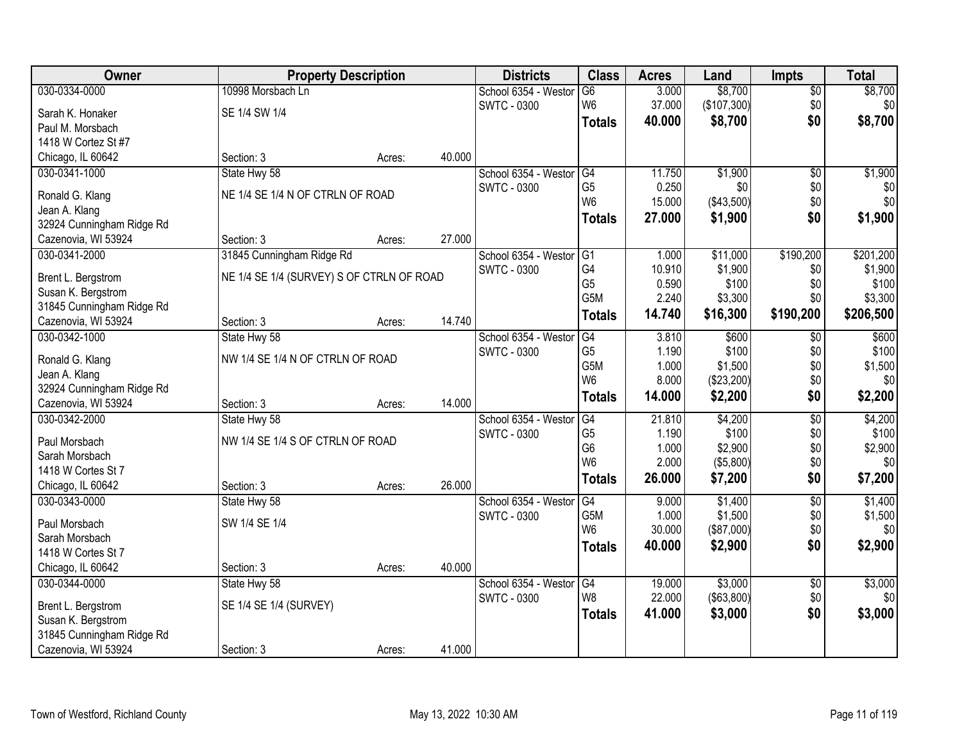| Owner                     | <b>Property Description</b>               |        |        | <b>Districts</b>     | <b>Class</b>                     | <b>Acres</b>   | Land        | <b>Impts</b>    | <b>Total</b>     |
|---------------------------|-------------------------------------------|--------|--------|----------------------|----------------------------------|----------------|-------------|-----------------|------------------|
| 030-0334-0000             | 10998 Morsbach Ln                         |        |        | School 6354 - Westor | $\overline{G6}$                  | 3.000          | \$8,700     | $\overline{50}$ | \$8,700          |
| Sarah K. Honaker          | SE 1/4 SW 1/4                             |        |        | <b>SWTC - 0300</b>   | W <sub>6</sub>                   | 37.000         | (\$107,300) | \$0             | \$0 <sub>1</sub> |
| Paul M. Morsbach          |                                           |        |        |                      | <b>Totals</b>                    | 40.000         | \$8,700     | \$0             | \$8,700          |
| 1418 W Cortez St #7       |                                           |        |        |                      |                                  |                |             |                 |                  |
| Chicago, IL 60642         | Section: 3                                | Acres: | 40.000 |                      |                                  |                |             |                 |                  |
| 030-0341-1000             | State Hwy 58                              |        |        | School 6354 - Westor | G4                               | 11.750         | \$1,900     | $\overline{50}$ | \$1,900          |
|                           |                                           |        |        | <b>SWTC - 0300</b>   | G <sub>5</sub>                   | 0.250          | \$0         | \$0             | \$0              |
| Ronald G. Klang           | NE 1/4 SE 1/4 N OF CTRLN OF ROAD          |        |        |                      | W <sub>6</sub>                   | 15.000         | (\$43,500)  | \$0             | \$0              |
| Jean A. Klang             |                                           |        |        |                      | <b>Totals</b>                    | 27.000         | \$1,900     | \$0             | \$1,900          |
| 32924 Cunningham Ridge Rd |                                           |        |        |                      |                                  |                |             |                 |                  |
| Cazenovia, WI 53924       | Section: 3                                | Acres: | 27.000 |                      |                                  |                |             |                 |                  |
| 030-0341-2000             | 31845 Cunningham Ridge Rd                 |        |        | School 6354 - Westor | G1                               | 1.000          | \$11,000    | \$190,200       | \$201,200        |
| Brent L. Bergstrom        | NE 1/4 SE 1/4 (SURVEY) S OF CTRLN OF ROAD |        |        | <b>SWTC - 0300</b>   | G4                               | 10.910         | \$1,900     | \$0             | \$1,900          |
| Susan K. Bergstrom        |                                           |        |        |                      | G <sub>5</sub>                   | 0.590          | \$100       | \$0             | \$100            |
| 31845 Cunningham Ridge Rd |                                           |        |        |                      | G <sub>5</sub> M                 | 2.240          | \$3,300     | \$0             | \$3,300          |
| Cazenovia, WI 53924       | Section: 3                                | Acres: | 14.740 |                      | <b>Totals</b>                    | 14.740         | \$16,300    | \$190,200       | \$206,500        |
| 030-0342-1000             | State Hwy 58                              |        |        | School 6354 - Westor | G4                               | 3.810          | \$600       | \$0             | \$600            |
|                           |                                           |        |        | <b>SWTC - 0300</b>   | G <sub>5</sub>                   | 1.190          | \$100       | \$0             | \$100            |
| Ronald G. Klang           | NW 1/4 SE 1/4 N OF CTRLN OF ROAD          |        |        |                      | G5M                              | 1.000          | \$1,500     | \$0             | \$1,500          |
| Jean A. Klang             |                                           |        |        |                      | W <sub>6</sub>                   | 8.000          | (\$23,200)  | \$0             | \$0              |
| 32924 Cunningham Ridge Rd |                                           |        |        |                      | <b>Totals</b>                    | 14.000         | \$2,200     | \$0             | \$2,200          |
| Cazenovia, WI 53924       | Section: 3                                | Acres: | 14.000 |                      |                                  |                |             |                 |                  |
| 030-0342-2000             | State Hwy 58                              |        |        | School 6354 - Westor | G4                               | 21.810         | \$4,200     | $\overline{50}$ | \$4,200          |
| Paul Morsbach             | NW 1/4 SE 1/4 S OF CTRLN OF ROAD          |        |        | <b>SWTC - 0300</b>   | G <sub>5</sub><br>G <sub>6</sub> | 1.190          | \$100       | \$0             | \$100            |
| Sarah Morsbach            |                                           |        |        |                      | W <sub>6</sub>                   | 1.000<br>2.000 | \$2,900     | \$0<br>\$0      | \$2,900<br>\$0   |
| 1418 W Cortes St 7        |                                           |        |        |                      |                                  |                | ( \$5,800)  |                 |                  |
| Chicago, IL 60642         | Section: 3                                | Acres: | 26.000 |                      | <b>Totals</b>                    | 26.000         | \$7,200     | \$0             | \$7,200          |
| 030-0343-0000             | State Hwy 58                              |        |        | School 6354 - Westor | G4                               | 9.000          | \$1,400     | $\overline{50}$ | \$1,400          |
| Paul Morsbach             | SW 1/4 SE 1/4                             |        |        | <b>SWTC - 0300</b>   | G <sub>5</sub> M                 | 1.000          | \$1,500     | \$0             | \$1,500          |
| Sarah Morsbach            |                                           |        |        |                      | W <sub>6</sub>                   | 30.000         | (\$87,000)  | \$0             | \$0              |
| 1418 W Cortes St 7        |                                           |        |        |                      | <b>Totals</b>                    | 40.000         | \$2,900     | \$0             | \$2,900          |
| Chicago, IL 60642         | Section: 3                                | Acres: | 40.000 |                      |                                  |                |             |                 |                  |
| 030-0344-0000             | State Hwy 58                              |        |        | School 6354 - Westor | G4                               | 19.000         | \$3,000     | $\overline{50}$ | \$3,000          |
|                           |                                           |        |        | <b>SWTC - 0300</b>   | W8                               | 22.000         | (\$63,800)  | \$0             | \$0              |
| Brent L. Bergstrom        | SE 1/4 SE 1/4 (SURVEY)                    |        |        |                      | <b>Totals</b>                    | 41.000         | \$3,000     | \$0             | \$3,000          |
| Susan K. Bergstrom        |                                           |        |        |                      |                                  |                |             |                 |                  |
| 31845 Cunningham Ridge Rd |                                           |        |        |                      |                                  |                |             |                 |                  |
| Cazenovia, WI 53924       | Section: 3                                | Acres: | 41.000 |                      |                                  |                |             |                 |                  |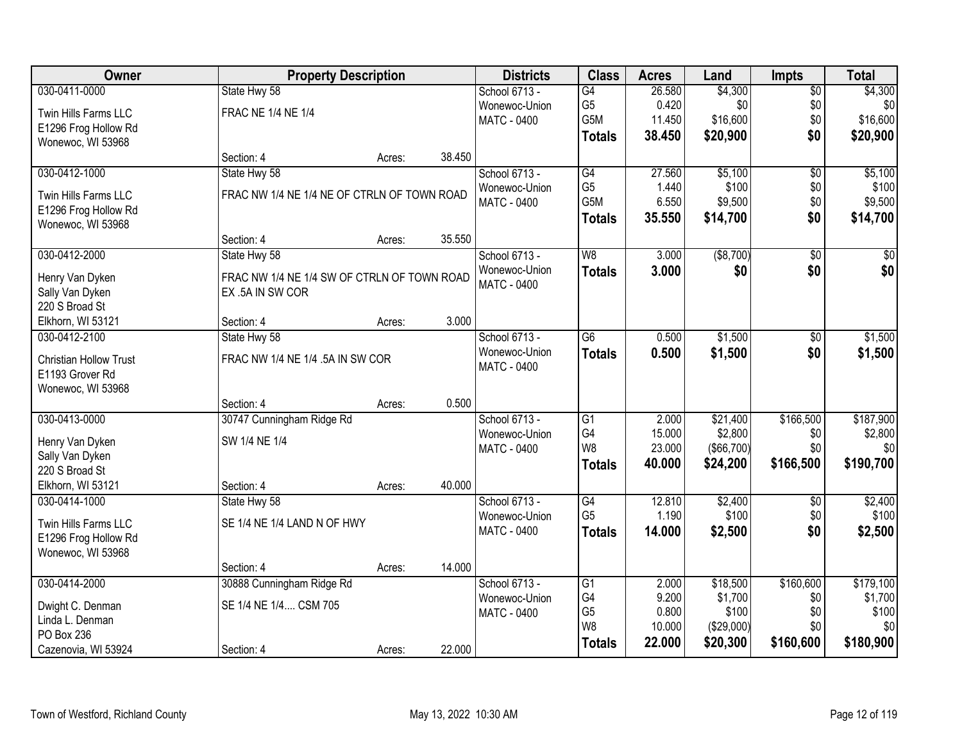| Owner                  | <b>Property Description</b>                 |        |        | <b>Districts</b>   | <b>Class</b>    | <b>Acres</b> | Land       | <b>Impts</b>    | <b>Total</b>    |
|------------------------|---------------------------------------------|--------|--------|--------------------|-----------------|--------------|------------|-----------------|-----------------|
| 030-0411-0000          | State Hwy 58                                |        |        | School 6713 -      | G4              | 26.580       | \$4,300    | $\overline{50}$ | \$4,300         |
| Twin Hills Farms LLC   | <b>FRAC NE 1/4 NE 1/4</b>                   |        |        | Wonewoc-Union      | G <sub>5</sub>  | 0.420        | \$0        | \$0             | \$0             |
| E1296 Frog Hollow Rd   |                                             |        |        | <b>MATC - 0400</b> | G5M             | 11.450       | \$16,600   | \$0             | \$16,600        |
| Wonewoc, WI 53968      |                                             |        |        |                    | <b>Totals</b>   | 38.450       | \$20,900   | \$0             | \$20,900        |
|                        | Section: 4                                  | Acres: | 38.450 |                    |                 |              |            |                 |                 |
| 030-0412-1000          | State Hwy 58                                |        |        | School 6713 -      | G4              | 27.560       | \$5,100    | $\overline{50}$ | \$5,100         |
| Twin Hills Farms LLC   | FRAC NW 1/4 NE 1/4 NE OF CTRLN OF TOWN ROAD |        |        | Wonewoc-Union      | G <sub>5</sub>  | 1.440        | \$100      | \$0             | \$100           |
| E1296 Frog Hollow Rd   |                                             |        |        | <b>MATC - 0400</b> | G5M             | 6.550        | \$9,500    | \$0             | \$9,500         |
| Wonewoc, WI 53968      |                                             |        |        |                    | <b>Totals</b>   | 35.550       | \$14,700   | \$0             | \$14,700        |
|                        | Section: 4                                  | Acres: | 35.550 |                    |                 |              |            |                 |                 |
| 030-0412-2000          | State Hwy 58                                |        |        | School 6713 -      | W8              | 3.000        | ( \$8,700) | $\overline{50}$ | $\overline{50}$ |
| Henry Van Dyken        | FRAC NW 1/4 NE 1/4 SW OF CTRLN OF TOWN ROAD |        |        | Wonewoc-Union      | <b>Totals</b>   | 3.000        | \$0        | \$0             | \$0             |
| Sally Van Dyken        | EX .5A IN SW COR                            |        |        | <b>MATC - 0400</b> |                 |              |            |                 |                 |
| 220 S Broad St         |                                             |        |        |                    |                 |              |            |                 |                 |
| Elkhorn, WI 53121      | Section: 4                                  | Acres: | 3.000  |                    |                 |              |            |                 |                 |
| 030-0412-2100          | State Hwy 58                                |        |        | School 6713 -      | $\overline{G6}$ | 0.500        | \$1,500    | \$0             | \$1,500         |
| Christian Hollow Trust | FRAC NW 1/4 NE 1/4 .5A IN SW COR            |        |        | Wonewoc-Union      | <b>Totals</b>   | 0.500        | \$1,500    | \$0             | \$1,500         |
| E1193 Grover Rd        |                                             |        |        | <b>MATC - 0400</b> |                 |              |            |                 |                 |
| Wonewoc, WI 53968      |                                             |        |        |                    |                 |              |            |                 |                 |
|                        | Section: 4                                  | Acres: | 0.500  |                    |                 |              |            |                 |                 |
| 030-0413-0000          | 30747 Cunningham Ridge Rd                   |        |        | School 6713 -      | $\overline{G1}$ | 2.000        | \$21,400   | \$166,500       | \$187,900       |
| Henry Van Dyken        | SW 1/4 NE 1/4                               |        |        | Wonewoc-Union      | G4              | 15.000       | \$2,800    | \$0             | \$2,800         |
| Sally Van Dyken        |                                             |        |        | <b>MATC - 0400</b> | W <sub>8</sub>  | 23.000       | (\$66,700) | \$0             | \$0             |
| 220 S Broad St         |                                             |        |        |                    | <b>Totals</b>   | 40.000       | \$24,200   | \$166,500       | \$190,700       |
| Elkhorn, WI 53121      | Section: 4                                  | Acres: | 40.000 |                    |                 |              |            |                 |                 |
| 030-0414-1000          | State Hwy 58                                |        |        | School 6713 -      | G4              | 12.810       | \$2,400    | $\sqrt{6}$      | \$2,400         |
| Twin Hills Farms LLC   | SE 1/4 NE 1/4 LAND N OF HWY                 |        |        | Wonewoc-Union      | G <sub>5</sub>  | 1.190        | \$100      | \$0             | \$100           |
| E1296 Frog Hollow Rd   |                                             |        |        | MATC - 0400        | <b>Totals</b>   | 14.000       | \$2,500    | \$0             | \$2,500         |
| Wonewoc, WI 53968      |                                             |        |        |                    |                 |              |            |                 |                 |
|                        | Section: 4                                  | Acres: | 14.000 |                    |                 |              |            |                 |                 |
| 030-0414-2000          | 30888 Cunningham Ridge Rd                   |        |        | School 6713 -      | G1              | 2.000        | \$18,500   | \$160,600       | \$179,100       |
| Dwight C. Denman       | SE 1/4 NE 1/4 CSM 705                       |        |        | Wonewoc-Union      | G4              | 9.200        | \$1,700    | \$0             | \$1,700         |
| Linda L. Denman        |                                             |        |        | <b>MATC - 0400</b> | G <sub>5</sub>  | 0.800        | \$100      | \$0             | \$100           |
| PO Box 236             |                                             |        |        |                    | W8              | 10.000       | (\$29,000) | \$0             | \$0             |
| Cazenovia, WI 53924    | Section: 4                                  | Acres: | 22.000 |                    | <b>Totals</b>   | 22.000       | \$20,300   | \$160,600       | \$180,900       |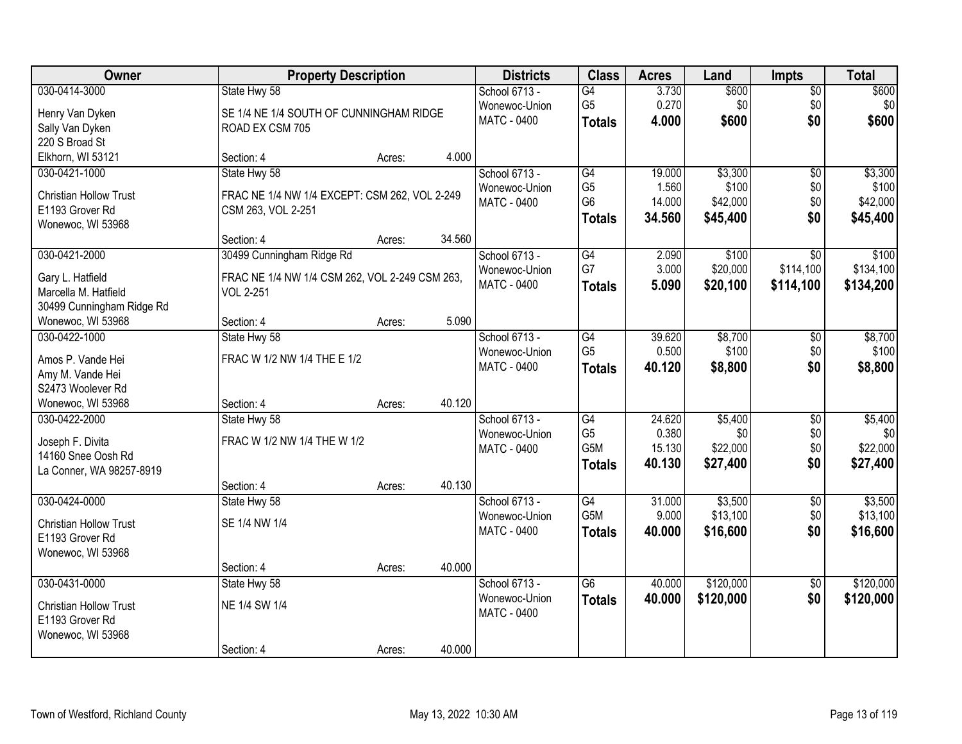| Owner                                 | <b>Property Description</b>                    |        |        | <b>Districts</b>   | <b>Class</b>    | <b>Acres</b> | Land      | <b>Impts</b>    | <b>Total</b> |
|---------------------------------------|------------------------------------------------|--------|--------|--------------------|-----------------|--------------|-----------|-----------------|--------------|
| 030-0414-3000                         | State Hwy 58                                   |        |        | School 6713 -      | G4              | 3.730        | \$600     | $\overline{50}$ | \$600        |
| Henry Van Dyken                       | SE 1/4 NE 1/4 SOUTH OF CUNNINGHAM RIDGE        |        |        | Wonewoc-Union      | G <sub>5</sub>  | 0.270        | \$0       | \$0             | \$0          |
| Sally Van Dyken                       | ROAD EX CSM 705                                |        |        | <b>MATC - 0400</b> | <b>Totals</b>   | 4.000        | \$600     | \$0             | \$600        |
| 220 S Broad St                        |                                                |        |        |                    |                 |              |           |                 |              |
| Elkhorn, WI 53121                     | Section: 4                                     | Acres: | 4.000  |                    |                 |              |           |                 |              |
| 030-0421-1000                         | State Hwy 58                                   |        |        | School 6713 -      | G4              | 19.000       | \$3,300   | $\overline{50}$ | \$3,300      |
| <b>Christian Hollow Trust</b>         | FRAC NE 1/4 NW 1/4 EXCEPT: CSM 262, VOL 2-249  |        |        | Wonewoc-Union      | G <sub>5</sub>  | 1.560        | \$100     | \$0             | \$100        |
| E1193 Grover Rd                       | CSM 263, VOL 2-251                             |        |        | <b>MATC - 0400</b> | G <sub>6</sub>  | 14.000       | \$42,000  | \$0             | \$42,000     |
| Wonewoc, WI 53968                     |                                                |        |        |                    | <b>Totals</b>   | 34.560       | \$45,400  | \$0             | \$45,400     |
|                                       | Section: 4                                     | Acres: | 34.560 |                    |                 |              |           |                 |              |
| 030-0421-2000                         | 30499 Cunningham Ridge Rd                      |        |        | School 6713 -      | G4              | 2.090        | \$100     | \$0             | \$100        |
| Gary L. Hatfield                      | FRAC NE 1/4 NW 1/4 CSM 262, VOL 2-249 CSM 263, |        |        | Wonewoc-Union      | G7              | 3.000        | \$20,000  | \$114,100       | \$134,100    |
| Marcella M. Hatfield                  | <b>VOL 2-251</b>                               |        |        | <b>MATC - 0400</b> | <b>Totals</b>   | 5.090        | \$20,100  | \$114,100       | \$134,200    |
| 30499 Cunningham Ridge Rd             |                                                |        |        |                    |                 |              |           |                 |              |
| Wonewoc, WI 53968                     | Section: 4                                     | Acres: | 5.090  |                    |                 |              |           |                 |              |
| 030-0422-1000                         | State Hwy 58                                   |        |        | School 6713 -      | G4              | 39.620       | \$8,700   | \$0             | \$8,700      |
|                                       |                                                |        |        | Wonewoc-Union      | G <sub>5</sub>  | 0.500        | \$100     | \$0             | \$100        |
| Amos P. Vande Hei                     | FRAC W 1/2 NW 1/4 THE E 1/2                    |        |        | <b>MATC - 0400</b> | <b>Totals</b>   | 40.120       | \$8,800   | \$0             | \$8,800      |
| Amy M. Vande Hei<br>S2473 Woolever Rd |                                                |        |        |                    |                 |              |           |                 |              |
| Wonewoc, WI 53968                     | Section: 4                                     | Acres: | 40.120 |                    |                 |              |           |                 |              |
| 030-0422-2000                         | State Hwy 58                                   |        |        | School 6713 -      | $\overline{G4}$ | 24.620       | \$5,400   | $\overline{30}$ | \$5,400      |
|                                       |                                                |        |        | Wonewoc-Union      | G <sub>5</sub>  | 0.380        | \$0       | \$0             | \$0          |
| Joseph F. Divita                      | FRAC W 1/2 NW 1/4 THE W 1/2                    |        |        | MATC - 0400        | G5M             | 15.130       | \$22,000  | \$0             | \$22,000     |
| 14160 Snee Oosh Rd                    |                                                |        |        |                    | <b>Totals</b>   | 40.130       | \$27,400  | \$0             | \$27,400     |
| La Conner, WA 98257-8919              |                                                |        |        |                    |                 |              |           |                 |              |
|                                       | Section: 4                                     | Acres: | 40.130 |                    |                 |              |           |                 |              |
| 030-0424-0000                         | State Hwy 58                                   |        |        | School 6713 -      | $\overline{G4}$ | 31.000       | \$3,500   | $\overline{50}$ | \$3,500      |
| <b>Christian Hollow Trust</b>         | SE 1/4 NW 1/4                                  |        |        | Wonewoc-Union      | G5M             | 9.000        | \$13,100  | \$0             | \$13,100     |
| E1193 Grover Rd                       |                                                |        |        | MATC - 0400        | <b>Totals</b>   | 40.000       | \$16,600  | \$0             | \$16,600     |
| Wonewoc, WI 53968                     |                                                |        |        |                    |                 |              |           |                 |              |
|                                       | Section: 4                                     | Acres: | 40.000 |                    |                 |              |           |                 |              |
| 030-0431-0000                         | State Hwy 58                                   |        |        | School 6713 -      | $\overline{G6}$ | 40.000       | \$120,000 | $\overline{50}$ | \$120,000    |
| <b>Christian Hollow Trust</b>         | NE 1/4 SW 1/4                                  |        |        | Wonewoc-Union      | <b>Totals</b>   | 40.000       | \$120,000 | \$0             | \$120,000    |
| E1193 Grover Rd                       |                                                |        |        | <b>MATC - 0400</b> |                 |              |           |                 |              |
| Wonewoc, WI 53968                     |                                                |        |        |                    |                 |              |           |                 |              |
|                                       | Section: 4                                     | Acres: | 40.000 |                    |                 |              |           |                 |              |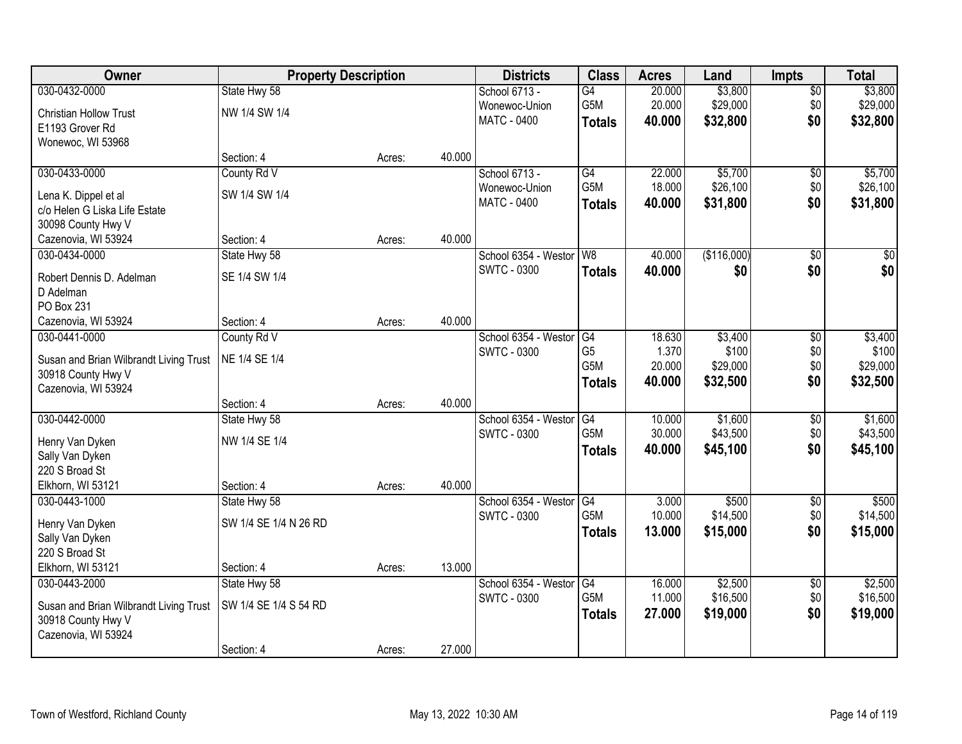| Owner                                  | <b>Property Description</b> |        |        | <b>Districts</b>        | <b>Class</b>           | <b>Acres</b> | Land        | <b>Impts</b>    | <b>Total</b>    |
|----------------------------------------|-----------------------------|--------|--------|-------------------------|------------------------|--------------|-------------|-----------------|-----------------|
| 030-0432-0000                          | State Hwy 58                |        |        | School 6713 -           | $\overline{G4}$        | 20.000       | \$3,800     | $\sqrt{$0}$     | \$3,800         |
| <b>Christian Hollow Trust</b>          | NW 1/4 SW 1/4               |        |        | Wonewoc-Union           | G5M                    | 20.000       | \$29,000    | \$0             | \$29,000        |
| E1193 Grover Rd                        |                             |        |        | <b>MATC - 0400</b>      | <b>Totals</b>          | 40.000       | \$32,800    | \$0             | \$32,800        |
| Wonewoc, WI 53968                      |                             |        |        |                         |                        |              |             |                 |                 |
|                                        | Section: 4                  | Acres: | 40.000 |                         |                        |              |             |                 |                 |
| 030-0433-0000                          | County Rd V                 |        |        | School 6713 -           | G4                     | 22.000       | \$5,700     | \$0             | \$5,700         |
| Lena K. Dippel et al                   | SW 1/4 SW 1/4               |        |        | Wonewoc-Union           | G5M                    | 18.000       | \$26,100    | \$0             | \$26,100        |
| c/o Helen G Liska Life Estate          |                             |        |        | <b>MATC - 0400</b>      | <b>Totals</b>          | 40.000       | \$31,800    | \$0             | \$31,800        |
| 30098 County Hwy V                     |                             |        |        |                         |                        |              |             |                 |                 |
| Cazenovia, WI 53924                    | Section: 4                  | Acres: | 40.000 |                         |                        |              |             |                 |                 |
| 030-0434-0000                          | State Hwy 58                |        |        | School 6354 - Westor W8 |                        | 40.000       | (\$116,000) | \$0             | $\overline{50}$ |
| Robert Dennis D. Adelman               | SE 1/4 SW 1/4               |        |        | SWTC - 0300             | <b>Totals</b>          | 40.000       | \$0         | \$0             | \$0             |
| D Adelman                              |                             |        |        |                         |                        |              |             |                 |                 |
| PO Box 231                             |                             |        |        |                         |                        |              |             |                 |                 |
| Cazenovia, WI 53924                    | Section: 4                  | Acres: | 40.000 |                         |                        |              |             |                 |                 |
| 030-0441-0000                          | County Rd V                 |        |        | School 6354 - Weston    | G4                     | 18.630       | \$3,400     | \$0             | \$3,400         |
| Susan and Brian Wilbrandt Living Trust | NE 1/4 SE 1/4               |        |        | <b>SWTC - 0300</b>      | G <sub>5</sub>         | 1.370        | \$100       | \$0             | \$100           |
| 30918 County Hwy V                     |                             |        |        |                         | G5M                    | 20.000       | \$29,000    | \$0             | \$29,000        |
| Cazenovia, WI 53924                    |                             |        |        |                         | <b>Totals</b>          | 40.000       | \$32,500    | \$0             | \$32,500        |
|                                        | Section: 4                  | Acres: | 40.000 |                         |                        |              |             |                 |                 |
| 030-0442-0000                          | State Hwy 58                |        |        | School 6354 - Weston    | $\overline{G4}$        | 10.000       | \$1,600     | \$0             | \$1,600         |
| Henry Van Dyken                        | NW 1/4 SE 1/4               |        |        | <b>SWTC - 0300</b>      | G <sub>5</sub> M       | 30.000       | \$43,500    | \$0             | \$43,500        |
| Sally Van Dyken                        |                             |        |        |                         | <b>Totals</b>          | 40.000       | \$45,100    | \$0             | \$45,100        |
| 220 S Broad St                         |                             |        |        |                         |                        |              |             |                 |                 |
| Elkhorn, WI 53121                      | Section: 4                  | Acres: | 40.000 |                         |                        |              |             |                 |                 |
| 030-0443-1000                          | State Hwy 58                |        |        | School 6354 - Westor    | $\overline{\text{G4}}$ | 3.000        | \$500       | $\sqrt{6}$      | \$500           |
| Henry Van Dyken                        | SW 1/4 SE 1/4 N 26 RD       |        |        | <b>SWTC - 0300</b>      | G5M                    | 10.000       | \$14,500    | \$0             | \$14,500        |
| Sally Van Dyken                        |                             |        |        |                         | <b>Totals</b>          | 13.000       | \$15,000    | \$0             | \$15,000        |
| 220 S Broad St                         |                             |        |        |                         |                        |              |             |                 |                 |
| Elkhorn, WI 53121                      | Section: 4                  | Acres: | 13.000 |                         |                        |              |             |                 |                 |
| 030-0443-2000                          | State Hwy 58                |        |        | School 6354 - Weston    | G4                     | 16.000       | \$2,500     | $\overline{50}$ | \$2,500         |
| Susan and Brian Wilbrandt Living Trust | SW 1/4 SE 1/4 S 54 RD       |        |        | SWTC - 0300             | G5M                    | 11.000       | \$16,500    | \$0             | \$16,500        |
| 30918 County Hwy V                     |                             |        |        |                         | <b>Totals</b>          | 27.000       | \$19,000    | \$0             | \$19,000        |
| Cazenovia, WI 53924                    |                             |        |        |                         |                        |              |             |                 |                 |
|                                        | Section: 4                  | Acres: | 27.000 |                         |                        |              |             |                 |                 |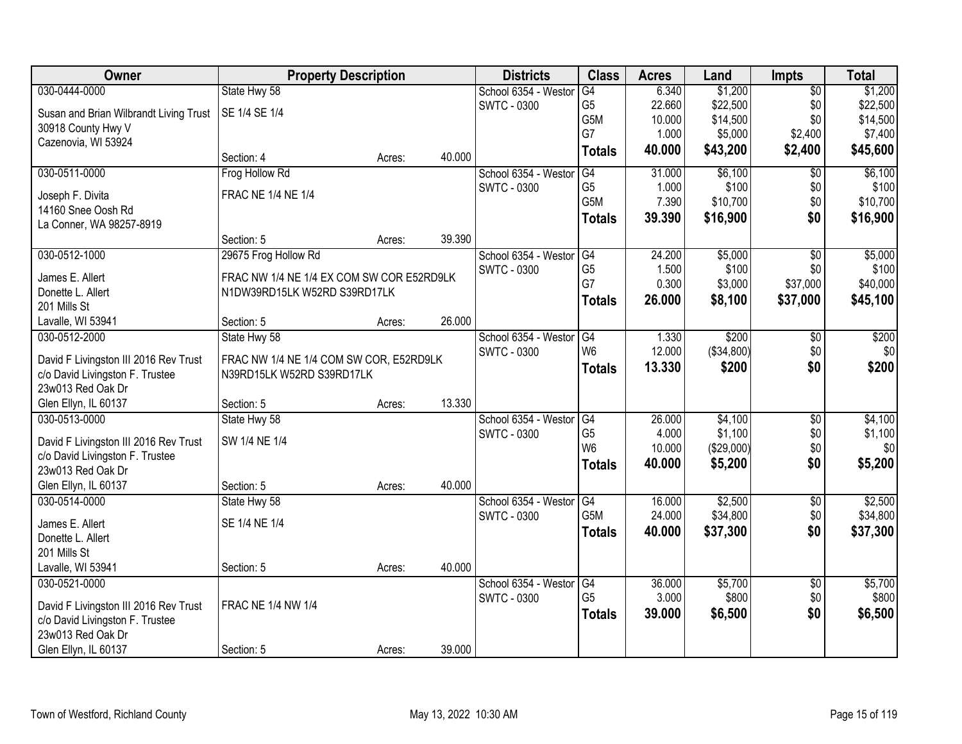| Owner                                  |                                           | <b>Property Description</b> |        | <b>Districts</b>                           | <b>Class</b>     | <b>Acres</b> | Land       | <b>Impts</b>    | <b>Total</b> |
|----------------------------------------|-------------------------------------------|-----------------------------|--------|--------------------------------------------|------------------|--------------|------------|-----------------|--------------|
| 030-0444-0000                          | State Hwy 58                              |                             |        | School 6354 - Weston                       | G4               | 6.340        | \$1,200    | $\overline{50}$ | \$1,200      |
| Susan and Brian Wilbrandt Living Trust | SE 1/4 SE 1/4                             |                             |        | <b>SWTC - 0300</b>                         | G5               | 22.660       | \$22,500   | \$0             | \$22,500     |
| 30918 County Hwy V                     |                                           |                             |        |                                            | G5M              | 10.000       | \$14,500   | \$0             | \$14,500     |
| Cazenovia, WI 53924                    |                                           |                             |        |                                            | G7               | 1.000        | \$5,000    | \$2,400         | \$7,400      |
|                                        | Section: 4                                | Acres:                      | 40.000 |                                            | <b>Totals</b>    | 40.000       | \$43,200   | \$2,400         | \$45,600     |
| 030-0511-0000                          | Frog Hollow Rd                            |                             |        | School 6354 - Weston                       | G4               | 31.000       | \$6,100    | \$0             | \$6,100      |
| Joseph F. Divita                       | <b>FRAC NE 1/4 NE 1/4</b>                 |                             |        | SWTC - 0300                                | G <sub>5</sub>   | 1.000        | \$100      | \$0             | \$100        |
| 14160 Snee Oosh Rd                     |                                           |                             |        |                                            | G5M              | 7.390        | \$10,700   | \$0             | \$10,700     |
| La Conner, WA 98257-8919               |                                           |                             |        |                                            | <b>Totals</b>    | 39.390       | \$16,900   | \$0             | \$16,900     |
|                                        | Section: 5                                | Acres:                      | 39.390 |                                            |                  |              |            |                 |              |
| 030-0512-1000                          | 29675 Frog Hollow Rd                      |                             |        | School 6354 - Westor                       | G4               | 24.200       | \$5,000    | \$0             | \$5,000      |
| James E. Allert                        | FRAC NW 1/4 NE 1/4 EX COM SW COR E52RD9LK |                             |        | SWTC - 0300                                | G <sub>5</sub>   | 1.500        | \$100      | \$0             | \$100        |
| Donette L. Allert                      | N1DW39RD15LK W52RD S39RD17LK              |                             |        |                                            | G7               | 0.300        | \$3,000    | \$37,000        | \$40,000     |
| 201 Mills St                           |                                           |                             |        |                                            | <b>Totals</b>    | 26.000       | \$8,100    | \$37,000        | \$45,100     |
| Lavalle, WI 53941                      | Section: 5                                | Acres:                      | 26.000 |                                            |                  |              |            |                 |              |
| 030-0512-2000                          | State Hwy 58                              |                             |        | School 6354 - Weston                       | G4               | 1.330        | \$200      | $\sqrt[6]{3}$   | \$200        |
|                                        |                                           |                             |        | <b>SWTC - 0300</b>                         | W <sub>6</sub>   | 12.000       | (\$34,800) | \$0             | \$0          |
| David F Livingston III 2016 Rev Trust  | FRAC NW 1/4 NE 1/4 COM SW COR, E52RD9LK   |                             |        |                                            | <b>Totals</b>    | 13.330       | \$200      | \$0             | \$200        |
| c/o David Livingston F. Trustee        | N39RD15LK W52RD S39RD17LK                 |                             |        |                                            |                  |              |            |                 |              |
| 23w013 Red Oak Dr                      |                                           |                             | 13.330 |                                            |                  |              |            |                 |              |
| Glen Ellyn, IL 60137<br>030-0513-0000  | Section: 5<br>State Hwy 58                | Acres:                      |        |                                            | G4               | 26.000       | \$4,100    | $\overline{50}$ | \$4,100      |
|                                        |                                           |                             |        | School 6354 - Weston<br><b>SWTC - 0300</b> | G <sub>5</sub>   | 4.000        | \$1,100    | \$0             | \$1,100      |
| David F Livingston III 2016 Rev Trust  | SW 1/4 NE 1/4                             |                             |        |                                            | W <sub>6</sub>   | 10.000       | (\$29,000) | \$0             | \$0          |
| c/o David Livingston F. Trustee        |                                           |                             |        |                                            | <b>Totals</b>    | 40.000       | \$5,200    | \$0             | \$5,200      |
| 23w013 Red Oak Dr                      |                                           |                             |        |                                            |                  |              |            |                 |              |
| Glen Ellyn, IL 60137                   | Section: 5                                | Acres:                      | 40.000 |                                            |                  |              |            |                 |              |
| 030-0514-0000                          | State Hwy 58                              |                             |        | School 6354 - Westor                       | G4               | 16.000       | \$2,500    | $\sqrt{$0}$     | \$2,500      |
| James E. Allert                        | SE 1/4 NE 1/4                             |                             |        | SWTC - 0300                                | G <sub>5</sub> M | 24.000       | \$34,800   | \$0             | \$34,800     |
| Donette L. Allert                      |                                           |                             |        |                                            | <b>Totals</b>    | 40.000       | \$37,300   | \$0             | \$37,300     |
| 201 Mills St                           |                                           |                             |        |                                            |                  |              |            |                 |              |
| Lavalle, WI 53941                      | Section: 5                                | Acres:                      | 40.000 |                                            |                  |              |            |                 |              |
| 030-0521-0000                          |                                           |                             |        | School 6354 - Westor                       | G4               | 36.000       | \$5,700    | $\overline{60}$ | \$5,700      |
| David F Livingston III 2016 Rev Trust  | FRAC NE 1/4 NW 1/4                        |                             |        | <b>SWTC - 0300</b>                         | G <sub>5</sub>   | 3.000        | \$800      | \$0             | \$800        |
| c/o David Livingston F. Trustee        |                                           |                             |        |                                            | <b>Totals</b>    | 39.000       | \$6,500    | \$0             | \$6,500      |
| 23w013 Red Oak Dr                      |                                           |                             |        |                                            |                  |              |            |                 |              |
| Glen Ellyn, IL 60137                   | Section: 5                                | Acres:                      | 39.000 |                                            |                  |              |            |                 |              |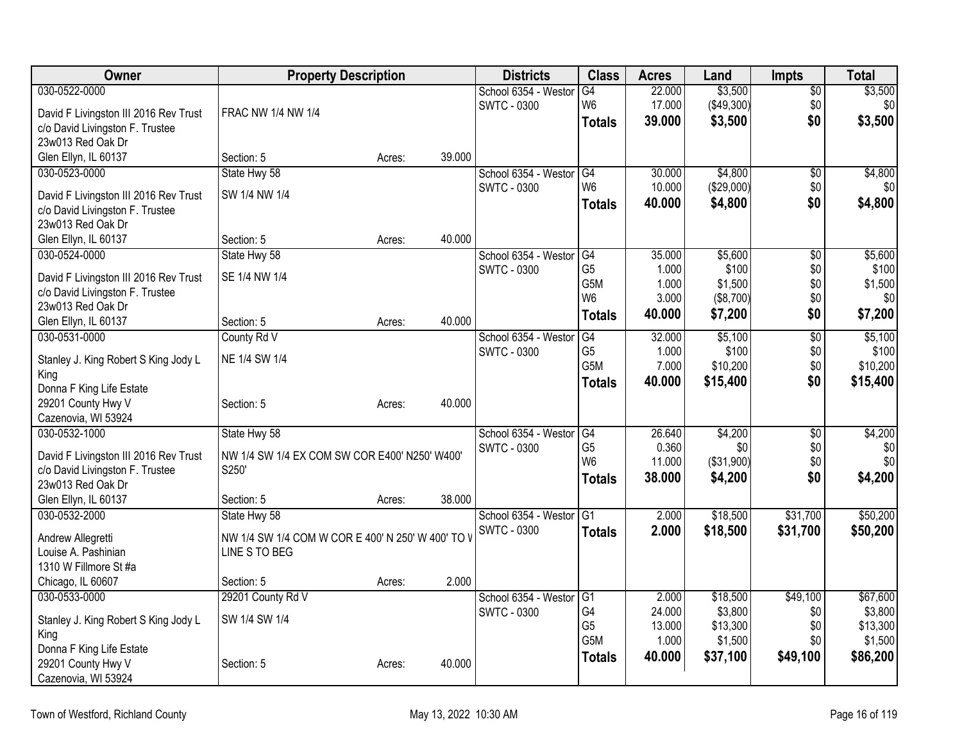| \$3,500<br>\$3,500<br>030-0522-0000<br>22.000<br>School 6354 - Westor<br>G4<br>$\overline{50}$<br>(\$49,300)<br>\$0<br>\$0<br><b>SWTC - 0300</b><br>W <sub>6</sub><br>17.000<br>David F Livingston III 2016 Rev Trust<br>FRAC NW 1/4 NW 1/4<br>\$3,500<br>\$0<br>\$3,500<br>39.000<br><b>Totals</b><br>c/o David Livingston F. Trustee<br>23w013 Red Oak Dr<br>Glen Ellyn, IL 60137<br>39.000<br>Section: 5<br>Acres:<br>\$4,800<br>030-0523-0000<br>School 6354 - Westor<br>G4<br>\$4,800<br>$\overline{50}$<br>State Hwy 58<br>30.000<br>W <sub>6</sub><br>(\$29,000)<br>\$0<br><b>SWTC - 0300</b><br>10.000<br>\$0<br>SW 1/4 NW 1/4<br>David F Livingston III 2016 Rev Trust<br>\$0<br>\$4,800<br>Totals<br>40.000<br>\$4,800<br>c/o David Livingston F. Trustee<br>23w013 Red Oak Dr<br>40.000<br>Glen Ellyn, IL 60137<br>Section: 5<br>Acres:<br>School 6354 - Westor<br>\$5,600<br>030-0524-0000<br>State Hwy 58<br>G4<br>35.000<br>\$5,600<br>\$0<br>G <sub>5</sub><br>\$100<br>\$0<br>\$100<br><b>SWTC - 0300</b><br>1.000<br>SE 1/4 NW 1/4<br>David F Livingston III 2016 Rev Trust<br>\$0<br>\$1,500<br>G <sub>5</sub> M<br>1.000<br>\$1,500<br>c/o David Livingston F. Trustee<br>W <sub>6</sub><br>\$0<br>3.000<br>(\$8,700)<br>\$0<br>23w013 Red Oak Dr<br>\$0<br>40.000<br>\$7,200<br>\$7,200<br><b>Totals</b> |
|------------------------------------------------------------------------------------------------------------------------------------------------------------------------------------------------------------------------------------------------------------------------------------------------------------------------------------------------------------------------------------------------------------------------------------------------------------------------------------------------------------------------------------------------------------------------------------------------------------------------------------------------------------------------------------------------------------------------------------------------------------------------------------------------------------------------------------------------------------------------------------------------------------------------------------------------------------------------------------------------------------------------------------------------------------------------------------------------------------------------------------------------------------------------------------------------------------------------------------------------------------------------------------------------------------------------------|
|                                                                                                                                                                                                                                                                                                                                                                                                                                                                                                                                                                                                                                                                                                                                                                                                                                                                                                                                                                                                                                                                                                                                                                                                                                                                                                                              |
|                                                                                                                                                                                                                                                                                                                                                                                                                                                                                                                                                                                                                                                                                                                                                                                                                                                                                                                                                                                                                                                                                                                                                                                                                                                                                                                              |
|                                                                                                                                                                                                                                                                                                                                                                                                                                                                                                                                                                                                                                                                                                                                                                                                                                                                                                                                                                                                                                                                                                                                                                                                                                                                                                                              |
|                                                                                                                                                                                                                                                                                                                                                                                                                                                                                                                                                                                                                                                                                                                                                                                                                                                                                                                                                                                                                                                                                                                                                                                                                                                                                                                              |
|                                                                                                                                                                                                                                                                                                                                                                                                                                                                                                                                                                                                                                                                                                                                                                                                                                                                                                                                                                                                                                                                                                                                                                                                                                                                                                                              |
|                                                                                                                                                                                                                                                                                                                                                                                                                                                                                                                                                                                                                                                                                                                                                                                                                                                                                                                                                                                                                                                                                                                                                                                                                                                                                                                              |
|                                                                                                                                                                                                                                                                                                                                                                                                                                                                                                                                                                                                                                                                                                                                                                                                                                                                                                                                                                                                                                                                                                                                                                                                                                                                                                                              |
|                                                                                                                                                                                                                                                                                                                                                                                                                                                                                                                                                                                                                                                                                                                                                                                                                                                                                                                                                                                                                                                                                                                                                                                                                                                                                                                              |
|                                                                                                                                                                                                                                                                                                                                                                                                                                                                                                                                                                                                                                                                                                                                                                                                                                                                                                                                                                                                                                                                                                                                                                                                                                                                                                                              |
|                                                                                                                                                                                                                                                                                                                                                                                                                                                                                                                                                                                                                                                                                                                                                                                                                                                                                                                                                                                                                                                                                                                                                                                                                                                                                                                              |
|                                                                                                                                                                                                                                                                                                                                                                                                                                                                                                                                                                                                                                                                                                                                                                                                                                                                                                                                                                                                                                                                                                                                                                                                                                                                                                                              |
|                                                                                                                                                                                                                                                                                                                                                                                                                                                                                                                                                                                                                                                                                                                                                                                                                                                                                                                                                                                                                                                                                                                                                                                                                                                                                                                              |
|                                                                                                                                                                                                                                                                                                                                                                                                                                                                                                                                                                                                                                                                                                                                                                                                                                                                                                                                                                                                                                                                                                                                                                                                                                                                                                                              |
|                                                                                                                                                                                                                                                                                                                                                                                                                                                                                                                                                                                                                                                                                                                                                                                                                                                                                                                                                                                                                                                                                                                                                                                                                                                                                                                              |
| 40.000<br>Glen Ellyn, IL 60137<br>Section: 5<br>Acres:                                                                                                                                                                                                                                                                                                                                                                                                                                                                                                                                                                                                                                                                                                                                                                                                                                                                                                                                                                                                                                                                                                                                                                                                                                                                       |
| School 6354 - Westor<br>$\overline{G4}$<br>32.000<br>\$5,100<br>$\overline{50}$<br>\$5,100<br>030-0531-0000<br>County Rd V                                                                                                                                                                                                                                                                                                                                                                                                                                                                                                                                                                                                                                                                                                                                                                                                                                                                                                                                                                                                                                                                                                                                                                                                   |
| G <sub>5</sub><br>1.000<br>\$100<br>\$0<br>\$100<br><b>SWTC - 0300</b>                                                                                                                                                                                                                                                                                                                                                                                                                                                                                                                                                                                                                                                                                                                                                                                                                                                                                                                                                                                                                                                                                                                                                                                                                                                       |
| NE 1/4 SW 1/4<br>Stanley J. King Robert S King Jody L<br>G5M<br>\$0<br>\$10,200<br>7.000<br>\$10,200                                                                                                                                                                                                                                                                                                                                                                                                                                                                                                                                                                                                                                                                                                                                                                                                                                                                                                                                                                                                                                                                                                                                                                                                                         |
| King<br>\$0<br>40.000<br>\$15,400<br>\$15,400<br><b>Totals</b>                                                                                                                                                                                                                                                                                                                                                                                                                                                                                                                                                                                                                                                                                                                                                                                                                                                                                                                                                                                                                                                                                                                                                                                                                                                               |
| Donna F King Life Estate                                                                                                                                                                                                                                                                                                                                                                                                                                                                                                                                                                                                                                                                                                                                                                                                                                                                                                                                                                                                                                                                                                                                                                                                                                                                                                     |
| 40.000<br>29201 County Hwy V<br>Section: 5<br>Acres:                                                                                                                                                                                                                                                                                                                                                                                                                                                                                                                                                                                                                                                                                                                                                                                                                                                                                                                                                                                                                                                                                                                                                                                                                                                                         |
| Cazenovia, WI 53924                                                                                                                                                                                                                                                                                                                                                                                                                                                                                                                                                                                                                                                                                                                                                                                                                                                                                                                                                                                                                                                                                                                                                                                                                                                                                                          |
| 030-0532-1000<br>State Hwy 58<br>School 6354 - Westor<br>26.640<br>\$4,200<br>\$4,200<br>G4<br>\$0                                                                                                                                                                                                                                                                                                                                                                                                                                                                                                                                                                                                                                                                                                                                                                                                                                                                                                                                                                                                                                                                                                                                                                                                                           |
| G <sub>5</sub><br>0.360<br>\$0<br>\$0<br>\$0<br><b>SWTC - 0300</b><br>David F Livingston III 2016 Rev Trust<br>NW 1/4 SW 1/4 EX COM SW COR E400' N250' W400'<br>W <sub>6</sub><br>\$0<br>\$0<br>11.000<br>(\$31,900)                                                                                                                                                                                                                                                                                                                                                                                                                                                                                                                                                                                                                                                                                                                                                                                                                                                                                                                                                                                                                                                                                                         |
| S250'<br>c/o David Livingston F. Trustee<br>\$4,200<br>38.000<br>\$4,200<br>\$0                                                                                                                                                                                                                                                                                                                                                                                                                                                                                                                                                                                                                                                                                                                                                                                                                                                                                                                                                                                                                                                                                                                                                                                                                                              |
| <b>Totals</b><br>23w013 Red Oak Dr                                                                                                                                                                                                                                                                                                                                                                                                                                                                                                                                                                                                                                                                                                                                                                                                                                                                                                                                                                                                                                                                                                                                                                                                                                                                                           |
| 38.000<br>Glen Ellyn, IL 60137<br>Section: 5<br>Acres:                                                                                                                                                                                                                                                                                                                                                                                                                                                                                                                                                                                                                                                                                                                                                                                                                                                                                                                                                                                                                                                                                                                                                                                                                                                                       |
| \$18,500<br>\$50,200<br>030-0532-2000<br>School 6354 - Westor<br>G1<br>2.000<br>\$31,700<br>State Hwy 58                                                                                                                                                                                                                                                                                                                                                                                                                                                                                                                                                                                                                                                                                                                                                                                                                                                                                                                                                                                                                                                                                                                                                                                                                     |
| <b>SWTC - 0300</b><br>2.000<br>\$18,500<br>\$31,700<br>\$50,200<br><b>Totals</b><br>NW 1/4 SW 1/4 COM W COR E 400' N 250' W 400' TO V<br>Andrew Allegretti                                                                                                                                                                                                                                                                                                                                                                                                                                                                                                                                                                                                                                                                                                                                                                                                                                                                                                                                                                                                                                                                                                                                                                   |
| Louise A. Pashinian<br>LINE S TO BEG                                                                                                                                                                                                                                                                                                                                                                                                                                                                                                                                                                                                                                                                                                                                                                                                                                                                                                                                                                                                                                                                                                                                                                                                                                                                                         |
| 1310 W Fillmore St #a                                                                                                                                                                                                                                                                                                                                                                                                                                                                                                                                                                                                                                                                                                                                                                                                                                                                                                                                                                                                                                                                                                                                                                                                                                                                                                        |
| 2.000<br>Chicago, IL 60607<br>Section: 5<br>Acres:                                                                                                                                                                                                                                                                                                                                                                                                                                                                                                                                                                                                                                                                                                                                                                                                                                                                                                                                                                                                                                                                                                                                                                                                                                                                           |
| \$49,100<br>\$67,600<br>030-0533-0000<br>School 6354 - Westor<br>G1<br>2.000<br>\$18,500<br>29201 County Rd V                                                                                                                                                                                                                                                                                                                                                                                                                                                                                                                                                                                                                                                                                                                                                                                                                                                                                                                                                                                                                                                                                                                                                                                                                |
| G4<br>\$3,800<br>24.000<br>\$0<br>\$3,800<br><b>SWTC - 0300</b><br>SW 1/4 SW 1/4                                                                                                                                                                                                                                                                                                                                                                                                                                                                                                                                                                                                                                                                                                                                                                                                                                                                                                                                                                                                                                                                                                                                                                                                                                             |
| Stanley J. King Robert S King Jody L<br>G <sub>5</sub><br>\$13,300<br>13.000<br>\$13,300<br>\$0                                                                                                                                                                                                                                                                                                                                                                                                                                                                                                                                                                                                                                                                                                                                                                                                                                                                                                                                                                                                                                                                                                                                                                                                                              |
| King<br>G5M<br>1.000<br>\$1,500<br>\$0<br>\$1,500<br>Donna F King Life Estate                                                                                                                                                                                                                                                                                                                                                                                                                                                                                                                                                                                                                                                                                                                                                                                                                                                                                                                                                                                                                                                                                                                                                                                                                                                |
| 40.000<br>\$37,100<br>\$49,100<br>\$86,200<br><b>Totals</b><br>29201 County Hwy V<br>40.000<br>Section: 5<br>Acres:                                                                                                                                                                                                                                                                                                                                                                                                                                                                                                                                                                                                                                                                                                                                                                                                                                                                                                                                                                                                                                                                                                                                                                                                          |
| Cazenovia, WI 53924                                                                                                                                                                                                                                                                                                                                                                                                                                                                                                                                                                                                                                                                                                                                                                                                                                                                                                                                                                                                                                                                                                                                                                                                                                                                                                          |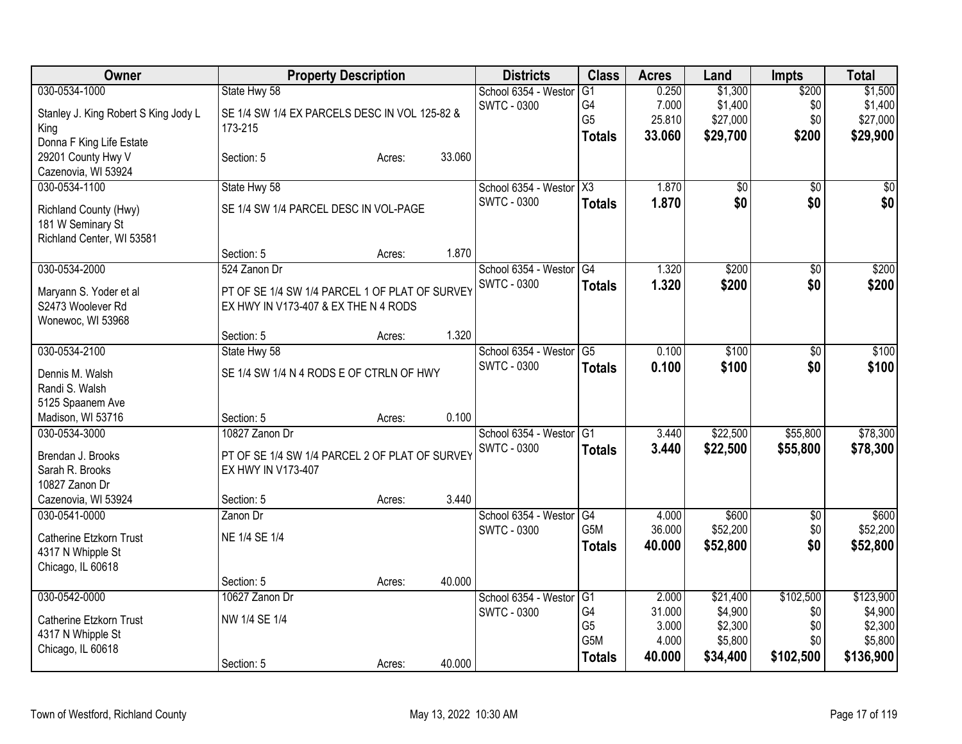| Owner                                      | <b>Property Description</b>                    |        |        | <b>Districts</b>                           | <b>Class</b>     | <b>Acres</b> | Land            | <b>Impts</b> | <b>Total</b> |
|--------------------------------------------|------------------------------------------------|--------|--------|--------------------------------------------|------------------|--------------|-----------------|--------------|--------------|
| 030-0534-1000                              | State Hwy 58                                   |        |        | School 6354 - Westor                       | G1               | 0.250        | \$1,300         | \$200        | \$1,500      |
| Stanley J. King Robert S King Jody L       | SE 1/4 SW 1/4 EX PARCELS DESC IN VOL 125-82 &  |        |        | <b>SWTC - 0300</b>                         | G4               | 7.000        | \$1,400         | \$0          | \$1,400      |
| King                                       | 173-215                                        |        |        |                                            | G <sub>5</sub>   | 25.810       | \$27,000        | \$0          | \$27,000     |
| Donna F King Life Estate                   |                                                |        |        |                                            | <b>Totals</b>    | 33.060       | \$29,700        | \$200        | \$29,900     |
| 29201 County Hwy V                         | Section: 5                                     | Acres: | 33.060 |                                            |                  |              |                 |              |              |
| Cazenovia, WI 53924                        |                                                |        |        |                                            |                  |              |                 |              |              |
| 030-0534-1100                              | State Hwy 58                                   |        |        | School 6354 - Westor X3                    |                  | 1.870        | $\overline{50}$ | \$0          | \$0          |
|                                            | SE 1/4 SW 1/4 PARCEL DESC IN VOL-PAGE          |        |        | <b>SWTC - 0300</b>                         | <b>Totals</b>    | 1.870        | \$0             | \$0          | \$0          |
| Richland County (Hwy)<br>181 W Seminary St |                                                |        |        |                                            |                  |              |                 |              |              |
| Richland Center, WI 53581                  |                                                |        |        |                                            |                  |              |                 |              |              |
|                                            | Section: 5                                     | Acres: | 1.870  |                                            |                  |              |                 |              |              |
| 030-0534-2000                              | 524 Zanon Dr                                   |        |        | School 6354 - Westor                       | G4               | 1.320        | \$200           | \$0          | \$200        |
|                                            |                                                |        |        | <b>SWTC - 0300</b>                         | <b>Totals</b>    | 1.320        | \$200           | \$0          | \$200        |
| Maryann S. Yoder et al                     | PT OF SE 1/4 SW 1/4 PARCEL 1 OF PLAT OF SURVEY |        |        |                                            |                  |              |                 |              |              |
| S2473 Woolever Rd                          | EX HWY IN V173-407 & EX THE N 4 RODS           |        |        |                                            |                  |              |                 |              |              |
| Wonewoc, WI 53968                          |                                                |        | 1.320  |                                            |                  |              |                 |              |              |
|                                            | Section: 5                                     | Acres: |        |                                            | G5               | 0.100        |                 |              | \$100        |
| 030-0534-2100                              | State Hwy 58                                   |        |        | School 6354 - Westor<br><b>SWTC - 0300</b> |                  |              | \$100           | \$0          |              |
| Dennis M. Walsh                            | SE 1/4 SW 1/4 N 4 RODS E OF CTRLN OF HWY       |        |        |                                            | <b>Totals</b>    | 0.100        | \$100           | \$0          | \$100        |
| Randi S. Walsh                             |                                                |        |        |                                            |                  |              |                 |              |              |
| 5125 Spaanem Ave                           |                                                |        |        |                                            |                  |              |                 |              |              |
| Madison, WI 53716                          | Section: 5                                     | Acres: | 0.100  |                                            |                  |              |                 |              |              |
| 030-0534-3000                              | 10827 Zanon Dr                                 |        |        | School 6354 - Westor                       | G1               | 3.440        | \$22,500        | \$55,800     | \$78,300     |
| Brendan J. Brooks                          | PT OF SE 1/4 SW 1/4 PARCEL 2 OF PLAT OF SURVEY |        |        | <b>SWTC - 0300</b>                         | <b>Totals</b>    | 3.440        | \$22,500        | \$55,800     | \$78,300     |
| Sarah R. Brooks                            | EX HWY IN V173-407                             |        |        |                                            |                  |              |                 |              |              |
| 10827 Zanon Dr                             |                                                |        |        |                                            |                  |              |                 |              |              |
| Cazenovia, WI 53924                        | Section: 5                                     | Acres: | 3.440  |                                            |                  |              |                 |              |              |
| 030-0541-0000                              | Zanon Dr                                       |        |        | School 6354 - Westor                       | G4               | 4.000        | \$600           | $\sqrt{6}$   | \$600        |
| <b>Catherine Etzkorn Trust</b>             | NE 1/4 SE 1/4                                  |        |        | <b>SWTC - 0300</b>                         | G <sub>5</sub> M | 36.000       | \$52,200        | \$0          | \$52,200     |
| 4317 N Whipple St                          |                                                |        |        |                                            | <b>Totals</b>    | 40.000       | \$52,800        | \$0          | \$52,800     |
| Chicago, IL 60618                          |                                                |        |        |                                            |                  |              |                 |              |              |
|                                            | Section: 5                                     | Acres: | 40.000 |                                            |                  |              |                 |              |              |
| 030-0542-0000                              | 10627 Zanon Dr                                 |        |        | School 6354 - Westor                       | G1               | 2.000        | \$21,400        | \$102,500    | \$123,900    |
|                                            |                                                |        |        | <b>SWTC - 0300</b>                         | G4               | 31.000       | \$4,900         | \$0          | \$4,900      |
| <b>Catherine Etzkorn Trust</b>             | NW 1/4 SE 1/4                                  |        |        |                                            | G <sub>5</sub>   | 3.000        | \$2,300         | \$0          | \$2,300      |
| 4317 N Whipple St                          |                                                |        |        |                                            | G <sub>5</sub> M | 4.000        | \$5,800         | \$0          | \$5,800      |
| Chicago, IL 60618                          |                                                |        | 40.000 |                                            | <b>Totals</b>    | 40.000       | \$34,400        | \$102,500    | \$136,900    |
|                                            | Section: 5                                     | Acres: |        |                                            |                  |              |                 |              |              |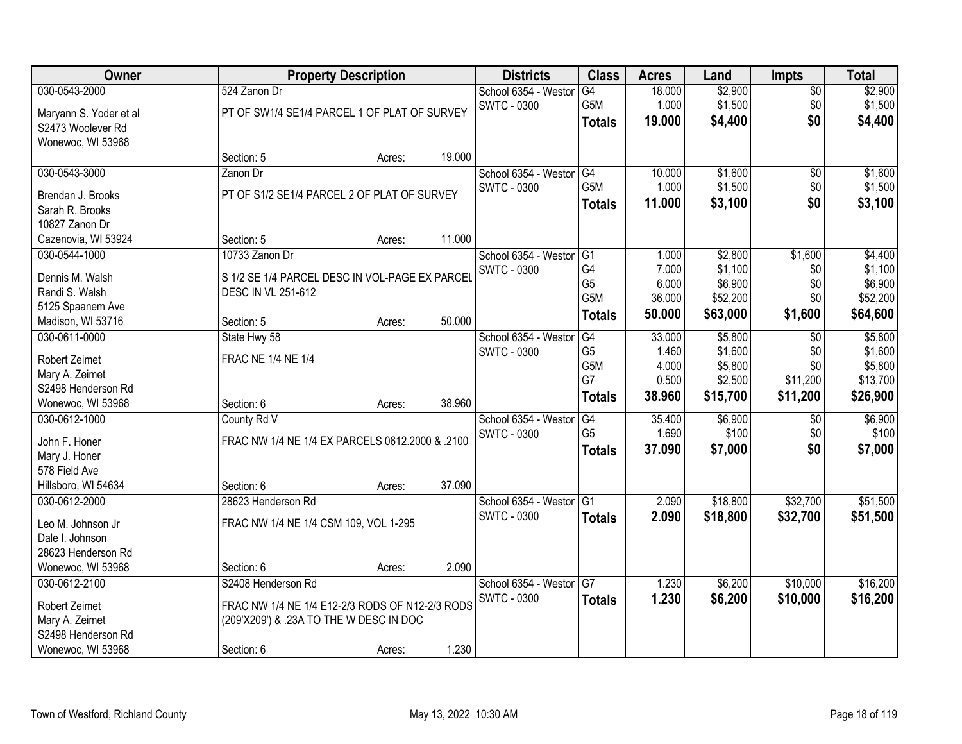| Owner                                |                                                 | <b>Property Description</b> |        |                                            | <b>Class</b>         | <b>Acres</b> | Land               | <b>Impts</b>    | <b>Total</b>       |
|--------------------------------------|-------------------------------------------------|-----------------------------|--------|--------------------------------------------|----------------------|--------------|--------------------|-----------------|--------------------|
| 030-0543-2000                        | 524 Zanon Dr                                    |                             |        | School 6354 - Westor                       | G4                   | 18.000       | \$2,900            | $\sqrt{$0}$     | \$2,900            |
| Maryann S. Yoder et al               | PT OF SW1/4 SE1/4 PARCEL 1 OF PLAT OF SURVEY    |                             |        | <b>SWTC - 0300</b>                         | G5M                  | 1.000        | \$1,500            | \$0             | \$1,500            |
| S2473 Woolever Rd                    |                                                 |                             |        |                                            | <b>Totals</b>        | 19.000       | \$4,400            | \$0             | \$4,400            |
| Wonewoc, WI 53968                    |                                                 |                             |        |                                            |                      |              |                    |                 |                    |
|                                      | Section: 5                                      | Acres:                      | 19.000 |                                            |                      |              |                    |                 |                    |
| 030-0543-3000                        | Zanon Dr                                        |                             |        | School 6354 - Westor                       | G4                   | 10.000       | \$1,600            | $\overline{50}$ | \$1,600            |
|                                      | PT OF S1/2 SE1/4 PARCEL 2 OF PLAT OF SURVEY     |                             |        | SWTC - 0300                                | G5M                  | 1.000        | \$1,500            | \$0             | \$1,500            |
| Brendan J. Brooks<br>Sarah R. Brooks |                                                 |                             |        |                                            | <b>Totals</b>        | 11.000       | \$3,100            | \$0             | \$3,100            |
| 10827 Zanon Dr                       |                                                 |                             |        |                                            |                      |              |                    |                 |                    |
| Cazenovia, WI 53924                  | Section: 5                                      | Acres:                      | 11.000 |                                            |                      |              |                    |                 |                    |
| 030-0544-1000                        | 10733 Zanon Dr                                  |                             |        | School 6354 - Westor                       | G <sub>1</sub>       | 1.000        | \$2,800            | \$1,600         | \$4,400            |
|                                      |                                                 |                             |        | SWTC - 0300                                | G4                   | 7.000        | \$1,100            | \$0             | \$1,100            |
| Dennis M. Walsh                      | S 1/2 SE 1/4 PARCEL DESC IN VOL-PAGE EX PARCEL  |                             |        |                                            | G <sub>5</sub>       | 6.000        | \$6,900            | \$0             | \$6,900            |
| Randi S. Walsh                       | <b>DESC IN VL 251-612</b>                       |                             |        |                                            | G5M                  | 36.000       | \$52,200           | \$0             | \$52,200           |
| 5125 Spaanem Ave                     |                                                 |                             |        |                                            | <b>Totals</b>        | 50.000       | \$63,000           | \$1,600         | \$64,600           |
| Madison, WI 53716<br>030-0611-0000   | Section: 5                                      | Acres:                      | 50.000 |                                            |                      | 33.000       |                    |                 |                    |
|                                      | State Hwy 58                                    |                             |        | School 6354 - Weston<br><b>SWTC - 0300</b> | G4<br>G <sub>5</sub> | 1.460        | \$5,800<br>\$1,600 | \$0<br>\$0      | \$5,800<br>\$1,600 |
| Robert Zeimet                        | <b>FRAC NE 1/4 NE 1/4</b>                       |                             |        |                                            | G5M                  | 4.000        | \$5,800            | \$0             | \$5,800            |
| Mary A. Zeimet                       |                                                 |                             |        |                                            | G7                   | 0.500        | \$2,500            | \$11,200        | \$13,700           |
| S2498 Henderson Rd                   |                                                 |                             |        |                                            | <b>Totals</b>        | 38.960       | \$15,700           | \$11,200        | \$26,900           |
| Wonewoc, WI 53968                    | Section: 6                                      | Acres:                      | 38.960 |                                            |                      |              |                    |                 |                    |
| 030-0612-1000                        | County Rd V                                     |                             |        | School 6354 - Westor                       | $\overline{G4}$      | 35.400       | \$6,900            | \$0             | \$6,900            |
| John F. Honer                        | FRAC NW 1/4 NE 1/4 EX PARCELS 0612.2000 & .2100 |                             |        | <b>SWTC - 0300</b>                         | G <sub>5</sub>       | 1.690        | \$100              | \$0             | \$100              |
| Mary J. Honer                        |                                                 |                             |        |                                            | <b>Totals</b>        | 37.090       | \$7,000            | \$0             | \$7,000            |
| 578 Field Ave                        |                                                 |                             |        |                                            |                      |              |                    |                 |                    |
| Hillsboro, WI 54634                  | Section: 6                                      | Acres:                      | 37.090 |                                            |                      |              |                    |                 |                    |
| 030-0612-2000                        | 28623 Henderson Rd                              |                             |        | School 6354 - Westor                       | G1                   | 2.090        | \$18,800           | \$32,700        | \$51,500           |
| Leo M. Johnson Jr                    | FRAC NW 1/4 NE 1/4 CSM 109, VOL 1-295           |                             |        | <b>SWTC - 0300</b>                         | <b>Totals</b>        | 2.090        | \$18,800           | \$32,700        | \$51,500           |
| Dale I. Johnson                      |                                                 |                             |        |                                            |                      |              |                    |                 |                    |
| 28623 Henderson Rd                   |                                                 |                             |        |                                            |                      |              |                    |                 |                    |
| Wonewoc, WI 53968                    | Section: 6                                      | Acres:                      | 2.090  |                                            |                      |              |                    |                 |                    |
| 030-0612-2100                        | S2408 Henderson Rd                              |                             |        | School 6354 - Weston                       | $\overline{G7}$      | 1.230        | \$6,200            | \$10,000        | \$16,200           |
| Robert Zeimet                        | FRAC NW 1/4 NE 1/4 E12-2/3 RODS OF N12-2/3 RODS |                             |        | <b>SWTC - 0300</b>                         | <b>Totals</b>        | 1.230        | \$6,200            | \$10,000        | \$16,200           |
| Mary A. Zeimet                       | (209'X209') & .23A TO THE W DESC IN DOC         |                             |        |                                            |                      |              |                    |                 |                    |
| S2498 Henderson Rd                   |                                                 |                             |        |                                            |                      |              |                    |                 |                    |
| Wonewoc, WI 53968                    | Section: 6                                      | Acres:                      | 1.230  |                                            |                      |              |                    |                 |                    |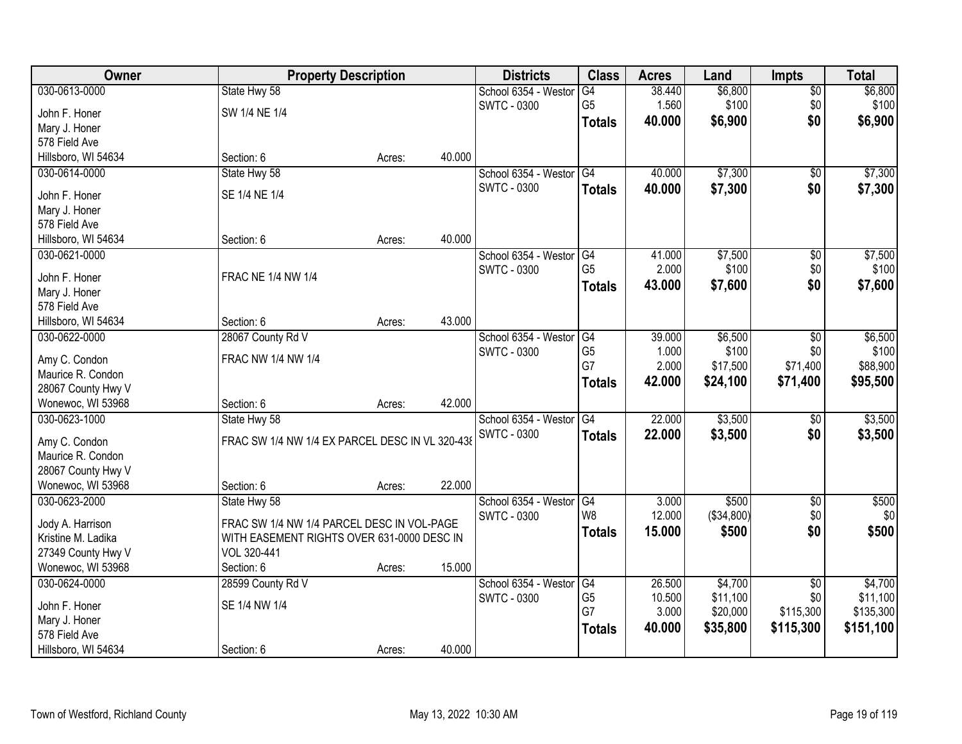| Owner               | <b>Property Description</b>                     |        |        | <b>Districts</b>     | <b>Class</b>           | <b>Acres</b> | Land       | Impts           | <b>Total</b> |
|---------------------|-------------------------------------------------|--------|--------|----------------------|------------------------|--------------|------------|-----------------|--------------|
| 030-0613-0000       | State Hwy 58                                    |        |        | School 6354 - Westor | G4                     | 38.440       | \$6,800    | $\overline{50}$ | \$6,800      |
| John F. Honer       | SW 1/4 NE 1/4                                   |        |        | <b>SWTC - 0300</b>   | G <sub>5</sub>         | 1.560        | \$100      | \$0             | \$100        |
| Mary J. Honer       |                                                 |        |        |                      | <b>Totals</b>          | 40.000       | \$6,900    | \$0             | \$6,900      |
| 578 Field Ave       |                                                 |        |        |                      |                        |              |            |                 |              |
| Hillsboro, WI 54634 | Section: 6                                      | Acres: | 40.000 |                      |                        |              |            |                 |              |
| 030-0614-0000       | State Hwy 58                                    |        |        | School 6354 - Westor | G4                     | 40.000       | \$7,300    | \$0             | \$7,300      |
|                     |                                                 |        |        | SWTC - 0300          |                        | 40.000       | \$7,300    | \$0             |              |
| John F. Honer       | SE 1/4 NE 1/4                                   |        |        |                      | <b>Totals</b>          |              |            |                 | \$7,300      |
| Mary J. Honer       |                                                 |        |        |                      |                        |              |            |                 |              |
| 578 Field Ave       |                                                 |        |        |                      |                        |              |            |                 |              |
| Hillsboro, WI 54634 | Section: 6                                      | Acres: | 40.000 |                      |                        |              |            |                 |              |
| 030-0621-0000       |                                                 |        |        | School 6354 - Westor | G4                     | 41.000       | \$7,500    | \$0             | \$7,500      |
|                     | <b>FRAC NE 1/4 NW 1/4</b>                       |        |        | SWTC - 0300          | G <sub>5</sub>         | 2.000        | \$100      | \$0             | \$100        |
| John F. Honer       |                                                 |        |        |                      | <b>Totals</b>          | 43.000       | \$7,600    | \$0             | \$7,600      |
| Mary J. Honer       |                                                 |        |        |                      |                        |              |            |                 |              |
| 578 Field Ave       |                                                 |        | 43.000 |                      |                        |              |            |                 |              |
| Hillsboro, WI 54634 | Section: 6                                      | Acres: |        |                      |                        |              |            |                 |              |
| 030-0622-0000       | 28067 County Rd V                               |        |        | School 6354 - Westor | G4                     | 39.000       | \$6,500    | \$0             | \$6,500      |
| Amy C. Condon       | FRAC NW 1/4 NW 1/4                              |        |        | <b>SWTC - 0300</b>   | G <sub>5</sub><br>G7   | 1.000        | \$100      | \$0             | \$100        |
| Maurice R. Condon   |                                                 |        |        |                      |                        | 2.000        | \$17,500   | \$71,400        | \$88,900     |
| 28067 County Hwy V  |                                                 |        |        |                      | <b>Totals</b>          | 42.000       | \$24,100   | \$71,400        | \$95,500     |
| Wonewoc, WI 53968   | Section: 6                                      | Acres: | 42.000 |                      |                        |              |            |                 |              |
| 030-0623-1000       | State Hwy 58                                    |        |        | School 6354 - Westor | G4                     | 22.000       | \$3,500    | $\overline{50}$ | \$3,500      |
|                     |                                                 |        |        | <b>SWTC - 0300</b>   | <b>Totals</b>          | 22.000       | \$3,500    | \$0             | \$3,500      |
| Amy C. Condon       | FRAC SW 1/4 NW 1/4 EX PARCEL DESC IN VL 320-438 |        |        |                      |                        |              |            |                 |              |
| Maurice R. Condon   |                                                 |        |        |                      |                        |              |            |                 |              |
| 28067 County Hwy V  |                                                 |        |        |                      |                        |              |            |                 |              |
| Wonewoc, WI 53968   | Section: 6                                      | Acres: | 22.000 |                      |                        |              |            |                 |              |
| 030-0623-2000       | State Hwy 58                                    |        |        | School 6354 - Westor | $\overline{\text{G4}}$ | 3.000        | \$500      | $\overline{50}$ | \$500        |
| Jody A. Harrison    | FRAC SW 1/4 NW 1/4 PARCEL DESC IN VOL-PAGE      |        |        | SWTC - 0300          | W8                     | 12.000       | (\$34,800) | \$0             | \$0          |
| Kristine M. Ladika  | WITH EASEMENT RIGHTS OVER 631-0000 DESC IN      |        |        |                      | <b>Totals</b>          | 15.000       | \$500      | \$0             | \$500        |
| 27349 County Hwy V  | VOL 320-441                                     |        |        |                      |                        |              |            |                 |              |
| Wonewoc, WI 53968   | Section: 6                                      | Acres: | 15.000 |                      |                        |              |            |                 |              |
| 030-0624-0000       | 28599 County Rd V                               |        |        | School 6354 - Westor | G4                     | 26.500       | \$4,700    | $\overline{50}$ | \$4,700      |
|                     |                                                 |        |        | <b>SWTC - 0300</b>   | G <sub>5</sub>         | 10.500       | \$11,100   | \$0             | \$11,100     |
| John F. Honer       | SE 1/4 NW 1/4                                   |        |        |                      | G7                     | 3.000        | \$20,000   | \$115,300       | \$135,300    |
| Mary J. Honer       |                                                 |        |        |                      | <b>Totals</b>          | 40.000       | \$35,800   | \$115,300       | \$151,100    |
| 578 Field Ave       |                                                 |        |        |                      |                        |              |            |                 |              |
| Hillsboro, WI 54634 | Section: 6                                      | Acres: | 40.000 |                      |                        |              |            |                 |              |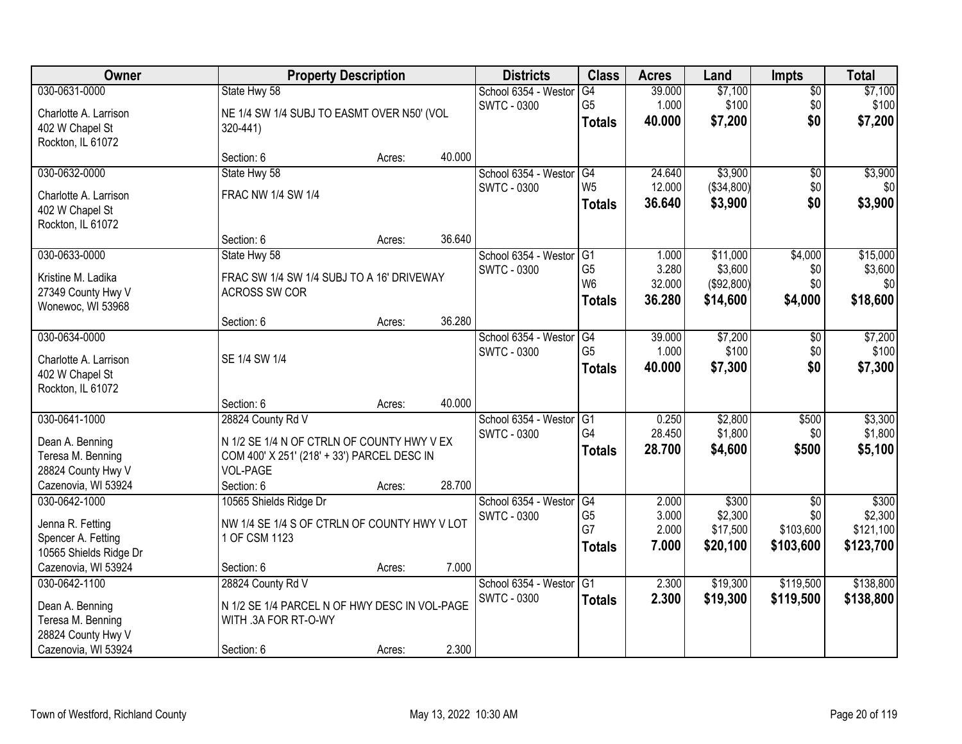| Owner                  | <b>Property Description</b>                   |        |        | <b>Districts</b>     | <b>Class</b>    | <b>Acres</b> | Land       | <b>Impts</b> | <b>Total</b> |
|------------------------|-----------------------------------------------|--------|--------|----------------------|-----------------|--------------|------------|--------------|--------------|
| 030-0631-0000          | State Hwy 58                                  |        |        | School 6354 - Westor | G4              | 39.000       | \$7,100    | $\sqrt{$0}$  | \$7,100      |
| Charlotte A. Larrison  | NE 1/4 SW 1/4 SUBJ TO EASMT OVER N50' (VOL    |        |        | <b>SWTC - 0300</b>   | G <sub>5</sub>  | 1.000        | \$100      | \$0          | \$100        |
| 402 W Chapel St        | 320-441)                                      |        |        |                      | <b>Totals</b>   | 40.000       | \$7,200    | \$0          | \$7,200      |
| Rockton, IL 61072      |                                               |        |        |                      |                 |              |            |              |              |
|                        | Section: 6                                    | Acres: | 40.000 |                      |                 |              |            |              |              |
| 030-0632-0000          | State Hwy 58                                  |        |        | School 6354 - Westor | G4              | 24.640       | \$3,900    | \$0          | \$3,900      |
| Charlotte A. Larrison  | FRAC NW 1/4 SW 1/4                            |        |        | <b>SWTC - 0300</b>   | W <sub>5</sub>  | 12.000       | (\$34,800) | \$0          | \$0          |
| 402 W Chapel St        |                                               |        |        |                      | <b>Totals</b>   | 36.640       | \$3,900    | \$0          | \$3,900      |
| Rockton, IL 61072      |                                               |        |        |                      |                 |              |            |              |              |
|                        | Section: 6                                    | Acres: | 36.640 |                      |                 |              |            |              |              |
| 030-0633-0000          | State Hwy 58                                  |        |        | School 6354 - Westor | G1              | 1.000        | \$11,000   | \$4,000      | \$15,000     |
| Kristine M. Ladika     | FRAC SW 1/4 SW 1/4 SUBJ TO A 16' DRIVEWAY     |        |        | SWTC - 0300          | G <sub>5</sub>  | 3.280        | \$3,600    | \$0          | \$3,600      |
| 27349 County Hwy V     | ACROSS SW COR                                 |        |        |                      | W <sub>6</sub>  | 32.000       | (\$92,800) | \$0          | \$0          |
| Wonewoc, WI 53968      |                                               |        |        |                      | <b>Totals</b>   | 36.280       | \$14,600   | \$4,000      | \$18,600     |
|                        | Section: 6                                    | Acres: | 36.280 |                      |                 |              |            |              |              |
| 030-0634-0000          |                                               |        |        | School 6354 - Weston | G4              | 39.000       | \$7,200    | \$0          | \$7,200      |
| Charlotte A. Larrison  | SE 1/4 SW 1/4                                 |        |        | <b>SWTC - 0300</b>   | G <sub>5</sub>  | 1.000        | \$100      | \$0          | \$100        |
| 402 W Chapel St        |                                               |        |        |                      | <b>Totals</b>   | 40.000       | \$7,300    | \$0          | \$7,300      |
| Rockton, IL 61072      |                                               |        |        |                      |                 |              |            |              |              |
|                        | Section: 6                                    | Acres: | 40.000 |                      |                 |              |            |              |              |
| 030-0641-1000          | 28824 County Rd V                             |        |        | School 6354 - Weston | $\overline{G1}$ | 0.250        | \$2,800    | \$500        | \$3,300      |
| Dean A. Benning        | N 1/2 SE 1/4 N OF CTRLN OF COUNTY HWY V EX    |        |        | <b>SWTC - 0300</b>   | G <sub>4</sub>  | 28.450       | \$1,800    | \$0          | \$1,800      |
| Teresa M. Benning      | COM 400' X 251' (218' + 33') PARCEL DESC IN   |        |        |                      | <b>Totals</b>   | 28.700       | \$4,600    | \$500        | \$5,100      |
| 28824 County Hwy V     | VOL-PAGE                                      |        |        |                      |                 |              |            |              |              |
| Cazenovia, WI 53924    | Section: 6                                    | Acres: | 28.700 |                      |                 |              |            |              |              |
| 030-0642-1000          | 10565 Shields Ridge Dr                        |        |        | School 6354 - Westor | G4              | 2.000        | \$300      | $\sqrt{$0}$  | \$300        |
| Jenna R. Fetting       | NW 1/4 SE 1/4 S OF CTRLN OF COUNTY HWY V LOT  |        |        | <b>SWTC - 0300</b>   | G <sub>5</sub>  | 3.000        | \$2,300    | \$0          | \$2,300      |
| Spencer A. Fetting     | 1 OF CSM 1123                                 |        |        |                      | G7              | 2.000        | \$17,500   | \$103,600    | \$121,100    |
| 10565 Shields Ridge Dr |                                               |        |        |                      | <b>Totals</b>   | 7.000        | \$20,100   | \$103,600    | \$123,700    |
| Cazenovia, WI 53924    | Section: 6                                    | Acres: | 7.000  |                      |                 |              |            |              |              |
| 030-0642-1100          | 28824 County Rd V                             |        |        | School 6354 - Westor | G1              | 2.300        | \$19,300   | \$119,500    | \$138,800    |
| Dean A. Benning        | N 1/2 SE 1/4 PARCEL N OF HWY DESC IN VOL-PAGE |        |        | <b>SWTC - 0300</b>   | <b>Totals</b>   | 2.300        | \$19,300   | \$119,500    | \$138,800    |
| Teresa M. Benning      | WITH .3A FOR RT-O-WY                          |        |        |                      |                 |              |            |              |              |
| 28824 County Hwy V     |                                               |        |        |                      |                 |              |            |              |              |
| Cazenovia, WI 53924    | Section: 6                                    | Acres: | 2.300  |                      |                 |              |            |              |              |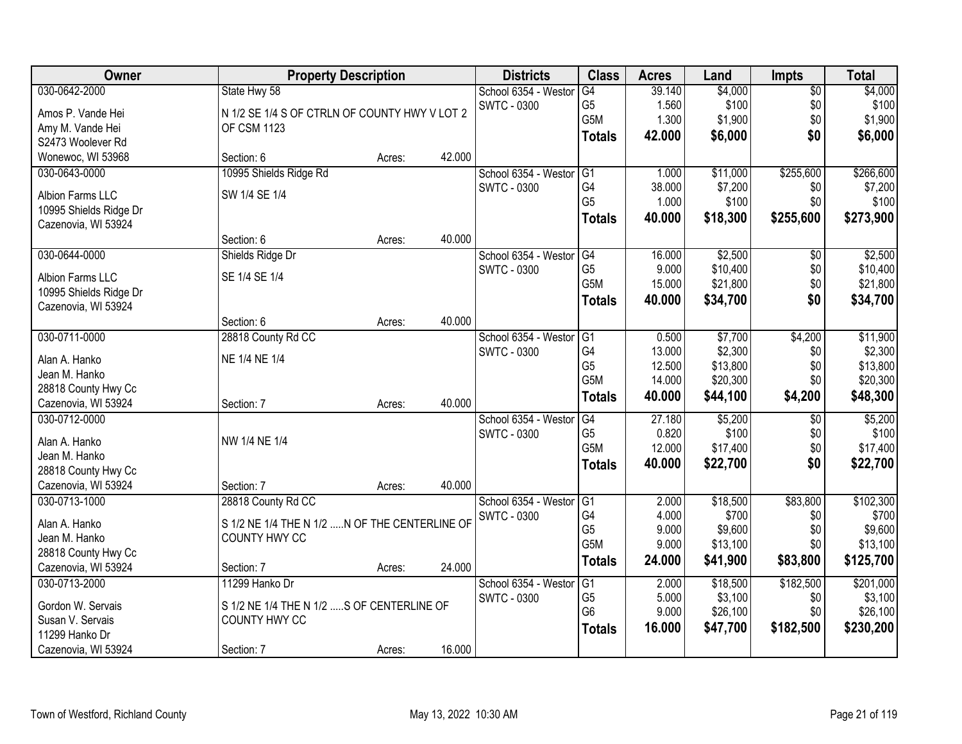| Owner                                      | <b>Property Description</b>                    |        |        | <b>Districts</b>     | <b>Class</b>     | <b>Acres</b> | Land     | <b>Impts</b>    | <b>Total</b> |
|--------------------------------------------|------------------------------------------------|--------|--------|----------------------|------------------|--------------|----------|-----------------|--------------|
| 030-0642-2000                              | State Hwy 58                                   |        |        | School 6354 - Weston | G4               | 39.140       | \$4,000  | $\overline{50}$ | \$4,000      |
| Amos P. Vande Hei                          | N 1/2 SE 1/4 S OF CTRLN OF COUNTY HWY V LOT 2  |        |        | <b>SWTC - 0300</b>   | G <sub>5</sub>   | 1.560        | \$100    | \$0             | \$100        |
| Amy M. Vande Hei                           | <b>OF CSM 1123</b>                             |        |        |                      | G5M              | 1.300        | \$1,900  | \$0             | \$1,900      |
| S2473 Woolever Rd                          |                                                |        |        |                      | <b>Totals</b>    | 42.000       | \$6,000  | \$0             | \$6,000      |
| Wonewoc, WI 53968                          | Section: 6                                     | Acres: | 42.000 |                      |                  |              |          |                 |              |
| 030-0643-0000                              | 10995 Shields Ridge Rd                         |        |        | School 6354 - Westor | G1               | 1.000        | \$11,000 | \$255,600       | \$266,600    |
|                                            |                                                |        |        | <b>SWTC - 0300</b>   | G4               | 38.000       | \$7,200  | \$0             | \$7,200      |
| Albion Farms LLC                           | SW 1/4 SE 1/4                                  |        |        |                      | G <sub>5</sub>   | 1.000        | \$100    | \$0             | \$100        |
| 10995 Shields Ridge Dr                     |                                                |        |        |                      | <b>Totals</b>    | 40.000       | \$18,300 | \$255,600       | \$273,900    |
| Cazenovia, WI 53924                        |                                                |        |        |                      |                  |              |          |                 |              |
|                                            | Section: 6                                     | Acres: | 40.000 |                      |                  |              |          |                 |              |
| 030-0644-0000                              | Shields Ridge Dr                               |        |        | School 6354 - Westor | G4               | 16.000       | \$2,500  | $\sqrt[6]{}$    | \$2,500      |
| Albion Farms LLC                           | SE 1/4 SE 1/4                                  |        |        | SWTC - 0300          | G <sub>5</sub>   | 9.000        | \$10,400 | \$0             | \$10,400     |
| 10995 Shields Ridge Dr                     |                                                |        |        |                      | G <sub>5</sub> M | 15.000       | \$21,800 | \$0             | \$21,800     |
| Cazenovia, WI 53924                        |                                                |        |        |                      | <b>Totals</b>    | 40.000       | \$34,700 | \$0             | \$34,700     |
|                                            | Section: 6                                     | Acres: | 40.000 |                      |                  |              |          |                 |              |
| 030-0711-0000                              | 28818 County Rd CC                             |        |        | School 6354 - Weston | G1               | 0.500        | \$7,700  | \$4,200         | \$11,900     |
|                                            | NE 1/4 NE 1/4                                  |        |        | <b>SWTC - 0300</b>   | G4               | 13.000       | \$2,300  | \$0             | \$2,300      |
| Alan A. Hanko                              |                                                |        |        |                      | G <sub>5</sub>   | 12.500       | \$13,800 | \$0             | \$13,800     |
| Jean M. Hanko                              |                                                |        |        |                      | G5M              | 14.000       | \$20,300 | \$0             | \$20,300     |
| 28818 County Hwy Cc<br>Cazenovia, WI 53924 | Section: 7                                     | Acres: | 40.000 |                      | <b>Totals</b>    | 40.000       | \$44,100 | \$4,200         | \$48,300     |
| 030-0712-0000                              |                                                |        |        | School 6354 - Weston | $\overline{G4}$  | 27.180       | \$5,200  | \$0             | \$5,200      |
|                                            |                                                |        |        | <b>SWTC - 0300</b>   | G <sub>5</sub>   | 0.820        | \$100    | \$0             | \$100        |
| Alan A. Hanko                              | NW 1/4 NE 1/4                                  |        |        |                      | G5M              | 12.000       | \$17,400 | \$0             | \$17,400     |
| Jean M. Hanko                              |                                                |        |        |                      |                  | 40.000       | \$22,700 | \$0             | \$22,700     |
| 28818 County Hwy Cc                        |                                                |        |        |                      | <b>Totals</b>    |              |          |                 |              |
| Cazenovia, WI 53924                        | Section: 7                                     | Acres: | 40.000 |                      |                  |              |          |                 |              |
| 030-0713-1000                              | 28818 County Rd CC                             |        |        | School 6354 - Westor | G1               | 2.000        | \$18,500 | \$83,800        | \$102,300    |
| Alan A. Hanko                              | S 1/2 NE 1/4 THE N 1/2  N OF THE CENTERLINE OF |        |        | SWTC - 0300          | G4               | 4.000        | \$700    | \$0             | \$700        |
| Jean M. Hanko                              | COUNTY HWY CC                                  |        |        |                      | G <sub>5</sub>   | 9.000        | \$9,600  | \$0             | \$9,600      |
| 28818 County Hwy Cc                        |                                                |        |        |                      | G5M              | 9.000        | \$13,100 | \$0             | \$13,100     |
| Cazenovia, WI 53924                        | Section: 7                                     | Acres: | 24.000 |                      | <b>Totals</b>    | 24.000       | \$41,900 | \$83,800        | \$125,700    |
| 030-0713-2000                              | 11299 Hanko Dr                                 |        |        | School 6354 - Weston | G1               | 2.000        | \$18,500 | \$182,500       | \$201,000    |
|                                            |                                                |        |        | SWTC - 0300          | G <sub>5</sub>   | 5.000        | \$3,100  | \$0             | \$3,100      |
| Gordon W. Servais                          | S 1/2 NE 1/4 THE N 1/2 S OF CENTERLINE OF      |        |        |                      | G <sub>6</sub>   | 9.000        | \$26,100 | \$0             | \$26,100     |
| Susan V. Servais                           | COUNTY HWY CC                                  |        |        |                      | <b>Totals</b>    | 16.000       | \$47,700 | \$182,500       | \$230,200    |
| 11299 Hanko Dr                             |                                                |        |        |                      |                  |              |          |                 |              |
| Cazenovia, WI 53924                        | Section: 7                                     | Acres: | 16.000 |                      |                  |              |          |                 |              |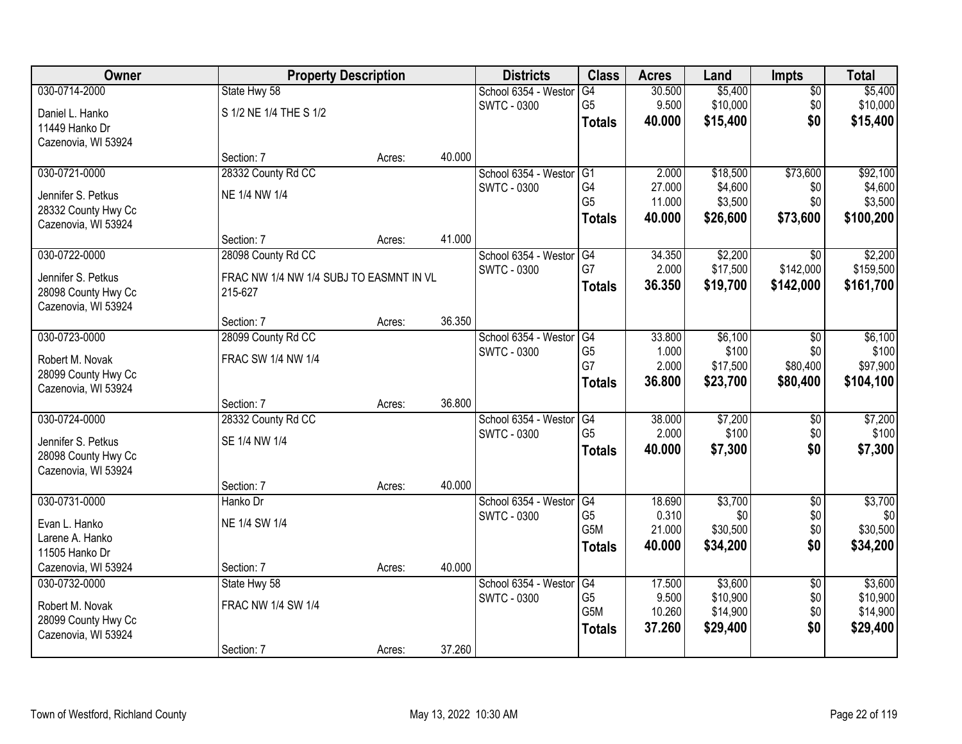| Owner               | <b>Property Description</b>             |        |        | <b>Districts</b>     | <b>Class</b>     | <b>Acres</b> | Land     | <b>Impts</b>    | <b>Total</b> |
|---------------------|-----------------------------------------|--------|--------|----------------------|------------------|--------------|----------|-----------------|--------------|
| 030-0714-2000       | State Hwy 58                            |        |        | School 6354 - Westor | G4               | 30.500       | \$5,400  | $\overline{50}$ | \$5,400      |
| Daniel L. Hanko     | S 1/2 NE 1/4 THE S 1/2                  |        |        | <b>SWTC - 0300</b>   | G <sub>5</sub>   | 9.500        | \$10,000 | \$0             | \$10,000     |
| 11449 Hanko Dr      |                                         |        |        |                      | <b>Totals</b>    | 40.000       | \$15,400 | \$0             | \$15,400     |
| Cazenovia, WI 53924 |                                         |        |        |                      |                  |              |          |                 |              |
|                     | Section: 7                              | Acres: | 40.000 |                      |                  |              |          |                 |              |
| 030-0721-0000       | 28332 County Rd CC                      |        |        | School 6354 - Westor | G1               | 2.000        | \$18,500 | \$73,600        | \$92,100     |
| Jennifer S. Petkus  | NE 1/4 NW 1/4                           |        |        | <b>SWTC - 0300</b>   | G4               | 27.000       | \$4,600  | \$0             | \$4,600      |
| 28332 County Hwy Cc |                                         |        |        |                      | G <sub>5</sub>   | 11.000       | \$3,500  | \$0             | \$3,500      |
| Cazenovia, WI 53924 |                                         |        |        |                      | <b>Totals</b>    | 40.000       | \$26,600 | \$73,600        | \$100,200    |
|                     | Section: 7                              | Acres: | 41.000 |                      |                  |              |          |                 |              |
| 030-0722-0000       | 28098 County Rd CC                      |        |        | School 6354 - Westor | G4               | 34.350       | \$2,200  | $\overline{50}$ | \$2,200      |
| Jennifer S. Petkus  | FRAC NW 1/4 NW 1/4 SUBJ TO EASMNT IN VL |        |        | <b>SWTC - 0300</b>   | G7               | 2.000        | \$17,500 | \$142,000       | \$159,500    |
| 28098 County Hwy Cc | 215-627                                 |        |        |                      | <b>Totals</b>    | 36.350       | \$19,700 | \$142,000       | \$161,700    |
| Cazenovia, WI 53924 |                                         |        |        |                      |                  |              |          |                 |              |
|                     | Section: 7                              | Acres: | 36.350 |                      |                  |              |          |                 |              |
| 030-0723-0000       | 28099 County Rd CC                      |        |        | School 6354 - Westor | G4               | 33.800       | \$6,100  | \$0             | \$6,100      |
| Robert M. Novak     | FRAC SW 1/4 NW 1/4                      |        |        | <b>SWTC - 0300</b>   | G <sub>5</sub>   | 1.000        | \$100    | \$0             | \$100        |
| 28099 County Hwy Cc |                                         |        |        |                      | G7               | 2.000        | \$17,500 | \$80,400        | \$97,900     |
| Cazenovia, WI 53924 |                                         |        |        |                      | <b>Totals</b>    | 36.800       | \$23,700 | \$80,400        | \$104,100    |
|                     | Section: 7                              | Acres: | 36.800 |                      |                  |              |          |                 |              |
| 030-0724-0000       | 28332 County Rd CC                      |        |        | School 6354 - Weston | $\overline{G4}$  | 38.000       | \$7,200  | $\overline{50}$ | \$7,200      |
| Jennifer S. Petkus  | SE 1/4 NW 1/4                           |        |        | <b>SWTC - 0300</b>   | G <sub>5</sub>   | 2.000        | \$100    | \$0             | \$100        |
| 28098 County Hwy Cc |                                         |        |        |                      | <b>Totals</b>    | 40.000       | \$7,300  | \$0             | \$7,300      |
| Cazenovia, WI 53924 |                                         |        |        |                      |                  |              |          |                 |              |
|                     | Section: 7                              | Acres: | 40.000 |                      |                  |              |          |                 |              |
| 030-0731-0000       | Hanko Dr                                |        |        | School 6354 - Westor | G4               | 18.690       | \$3,700  | $\sqrt{$0}$     | \$3,700      |
| Evan L. Hanko       | NE 1/4 SW 1/4                           |        |        | <b>SWTC - 0300</b>   | G <sub>5</sub>   | 0.310        | \$0      | \$0             | \$0          |
| Larene A. Hanko     |                                         |        |        |                      | G <sub>5</sub> M | 21.000       | \$30,500 | \$0             | \$30,500     |
| 11505 Hanko Dr      |                                         |        |        |                      | <b>Totals</b>    | 40.000       | \$34,200 | \$0             | \$34,200     |
| Cazenovia, WI 53924 | Section: 7                              | Acres: | 40.000 |                      |                  |              |          |                 |              |
| 030-0732-0000       | State Hwy 58                            |        |        | School 6354 - Westor | G4               | 17.500       | \$3,600  | $\overline{50}$ | \$3,600      |
| Robert M. Novak     | FRAC NW 1/4 SW 1/4                      |        |        | <b>SWTC - 0300</b>   | G <sub>5</sub>   | 9.500        | \$10,900 | \$0             | \$10,900     |
| 28099 County Hwy Cc |                                         |        |        |                      | G <sub>5</sub> M | 10.260       | \$14,900 | \$0             | \$14,900     |
| Cazenovia, WI 53924 |                                         |        |        |                      | <b>Totals</b>    | 37.260       | \$29,400 | \$0             | \$29,400     |
|                     | Section: 7                              | Acres: | 37.260 |                      |                  |              |          |                 |              |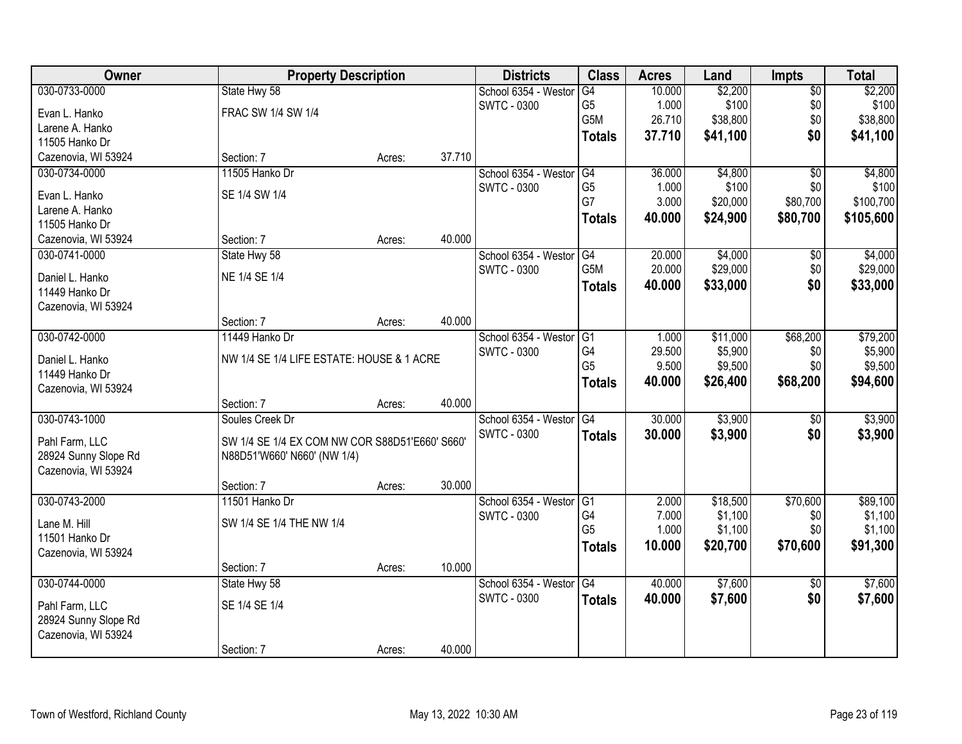| Owner                | <b>Property Description</b>                    |        |        | <b>Districts</b>     | <b>Class</b>    | <b>Acres</b> | Land     | <b>Impts</b>    | <b>Total</b> |
|----------------------|------------------------------------------------|--------|--------|----------------------|-----------------|--------------|----------|-----------------|--------------|
| 030-0733-0000        | State Hwy 58                                   |        |        | School 6354 - Westor | G4              | 10.000       | \$2,200  | $\overline{50}$ | \$2,200      |
| Evan L. Hanko        | FRAC SW 1/4 SW 1/4                             |        |        | <b>SWTC - 0300</b>   | G <sub>5</sub>  | 1.000        | \$100    | \$0             | \$100        |
| Larene A. Hanko      |                                                |        |        |                      | G5M             | 26.710       | \$38,800 | \$0             | \$38,800     |
| 11505 Hanko Dr       |                                                |        |        |                      | <b>Totals</b>   | 37.710       | \$41,100 | \$0             | \$41,100     |
| Cazenovia, WI 53924  | Section: 7                                     | Acres: | 37.710 |                      |                 |              |          |                 |              |
| 030-0734-0000        | 11505 Hanko Dr                                 |        |        | School 6354 - Westor | G4              | 36.000       | \$4,800  | $\overline{30}$ | \$4,800      |
| Evan L. Hanko        | SE 1/4 SW 1/4                                  |        |        | SWTC - 0300          | G <sub>5</sub>  | 1.000        | \$100    | \$0             | \$100        |
| Larene A. Hanko      |                                                |        |        |                      | G7              | 3.000        | \$20,000 | \$80,700        | \$100,700    |
| 11505 Hanko Dr       |                                                |        |        |                      | <b>Totals</b>   | 40.000       | \$24,900 | \$80,700        | \$105,600    |
| Cazenovia, WI 53924  | Section: 7                                     | Acres: | 40.000 |                      |                 |              |          |                 |              |
| 030-0741-0000        | State Hwy 58                                   |        |        | School 6354 - Westor | G4              | 20.000       | \$4,000  | \$0             | \$4,000      |
| Daniel L. Hanko      | NE 1/4 SE 1/4                                  |        |        | <b>SWTC - 0300</b>   | G5M             | 20.000       | \$29,000 | \$0             | \$29,000     |
| 11449 Hanko Dr       |                                                |        |        |                      | <b>Totals</b>   | 40.000       | \$33,000 | \$0             | \$33,000     |
| Cazenovia, WI 53924  |                                                |        |        |                      |                 |              |          |                 |              |
|                      | Section: 7                                     | Acres: | 40.000 |                      |                 |              |          |                 |              |
| 030-0742-0000        | 11449 Hanko Dr                                 |        |        | School 6354 - Westor | G1              | 1.000        | \$11,000 | \$68,200        | \$79,200     |
| Daniel L. Hanko      | NW 1/4 SE 1/4 LIFE ESTATE: HOUSE & 1 ACRE      |        |        | <b>SWTC - 0300</b>   | G4              | 29.500       | \$5,900  | \$0             | \$5,900      |
| 11449 Hanko Dr       |                                                |        |        |                      | G <sub>5</sub>  | 9.500        | \$9,500  | \$0             | \$9,500      |
| Cazenovia, WI 53924  |                                                |        |        |                      | <b>Totals</b>   | 40.000       | \$26,400 | \$68,200        | \$94,600     |
|                      | Section: 7                                     | Acres: | 40.000 |                      |                 |              |          |                 |              |
| 030-0743-1000        | Soules Creek Dr                                |        |        | School 6354 - Westor | $\overline{G4}$ | 30.000       | \$3,900  | $\overline{50}$ | \$3,900      |
| Pahl Farm, LLC       | SW 1/4 SE 1/4 EX COM NW COR S88D51'E660' S660' |        |        | <b>SWTC - 0300</b>   | <b>Totals</b>   | 30.000       | \$3,900  | \$0             | \$3,900      |
| 28924 Sunny Slope Rd | N88D51'W660' N660' (NW 1/4)                    |        |        |                      |                 |              |          |                 |              |
| Cazenovia, WI 53924  |                                                |        |        |                      |                 |              |          |                 |              |
|                      | Section: 7                                     | Acres: | 30.000 |                      |                 |              |          |                 |              |
| 030-0743-2000        | 11501 Hanko Dr                                 |        |        | School 6354 - Westor | $\overline{G1}$ | 2.000        | \$18,500 | \$70,600        | \$89,100     |
| Lane M. Hill         | SW 1/4 SE 1/4 THE NW 1/4                       |        |        | <b>SWTC - 0300</b>   | G4              | 7.000        | \$1,100  | \$0             | \$1,100      |
| 11501 Hanko Dr       |                                                |        |        |                      | G <sub>5</sub>  | 1.000        | \$1,100  | \$0             | \$1,100      |
| Cazenovia, WI 53924  |                                                |        |        |                      | <b>Totals</b>   | 10.000       | \$20,700 | \$70,600        | \$91,300     |
|                      | Section: 7                                     | Acres: | 10.000 |                      |                 |              |          |                 |              |
| 030-0744-0000        | State Hwy 58                                   |        |        | School 6354 - Westor | G4              | 40.000       | \$7,600  | $\overline{50}$ | \$7,600      |
| Pahl Farm, LLC       | SE 1/4 SE 1/4                                  |        |        | <b>SWTC - 0300</b>   | <b>Totals</b>   | 40.000       | \$7,600  | \$0             | \$7,600      |
| 28924 Sunny Slope Rd |                                                |        |        |                      |                 |              |          |                 |              |
| Cazenovia, WI 53924  |                                                |        |        |                      |                 |              |          |                 |              |
|                      | Section: 7                                     | Acres: | 40.000 |                      |                 |              |          |                 |              |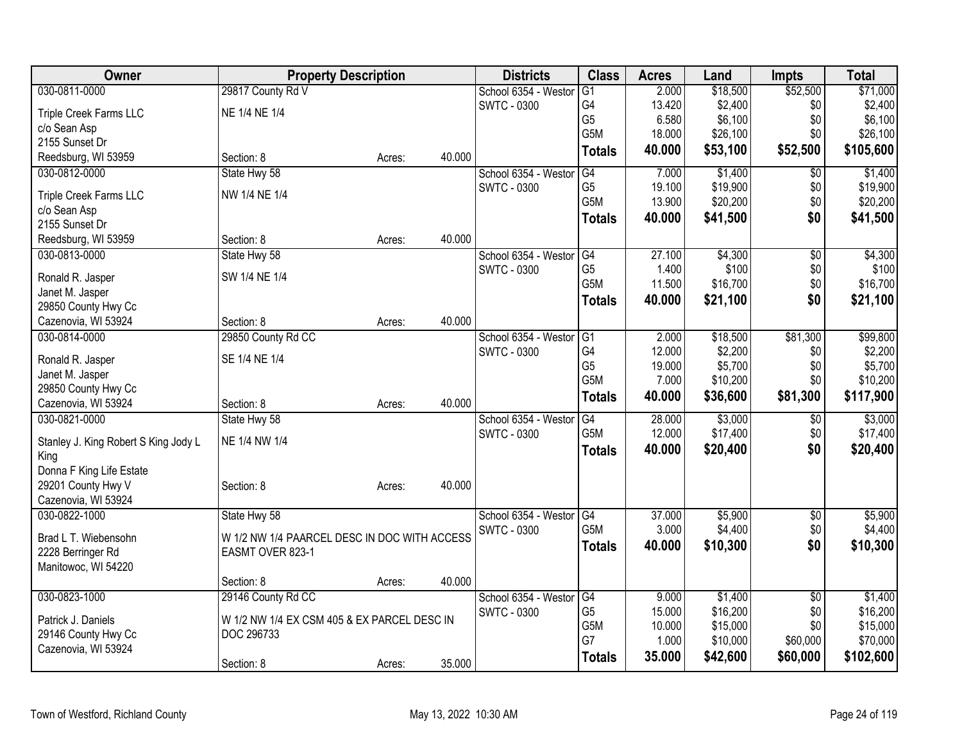| Owner                                                              | <b>Property Description</b>                  |        | <b>Districts</b>     | <b>Class</b>     | <b>Acres</b> | Land     | <b>Impts</b>    | <b>Total</b> |
|--------------------------------------------------------------------|----------------------------------------------|--------|----------------------|------------------|--------------|----------|-----------------|--------------|
| 030-0811-0000<br>29817 County Rd V                                 |                                              |        | School 6354 - Westor | G1               | 2.000        | \$18,500 | \$52,500        | \$71,000     |
| NE 1/4 NE 1/4<br>Triple Creek Farms LLC                            |                                              |        | <b>SWTC - 0300</b>   | G4               | 13.420       | \$2,400  | \$0             | \$2,400      |
| c/o Sean Asp                                                       |                                              |        |                      | G <sub>5</sub>   | 6.580        | \$6,100  | \$0             | \$6,100      |
| 2155 Sunset Dr                                                     |                                              |        |                      | G5M              | 18.000       | \$26,100 | \$0             | \$26,100     |
| Reedsburg, WI 53959<br>Section: 8                                  | Acres:                                       | 40.000 |                      | <b>Totals</b>    | 40.000       | \$53,100 | \$52,500        | \$105,600    |
| 030-0812-0000<br>State Hwy 58                                      |                                              |        | School 6354 - Weston | G4               | 7.000        | \$1,400  | \$0             | \$1,400      |
| NW 1/4 NE 1/4<br>Triple Creek Farms LLC                            |                                              |        | <b>SWTC - 0300</b>   | G <sub>5</sub>   | 19.100       | \$19,900 | \$0             | \$19,900     |
| c/o Sean Asp                                                       |                                              |        |                      | G <sub>5</sub> M | 13.900       | \$20,200 | \$0             | \$20,200     |
| 2155 Sunset Dr                                                     |                                              |        |                      | <b>Totals</b>    | 40.000       | \$41,500 | \$0             | \$41,500     |
| Reedsburg, WI 53959<br>Section: 8                                  | Acres:                                       | 40.000 |                      |                  |              |          |                 |              |
| 030-0813-0000<br>State Hwy 58                                      |                                              |        | School 6354 - Weston | G4               | 27.100       | \$4,300  | \$0             | \$4,300      |
| Ronald R. Jasper<br>SW 1/4 NE 1/4                                  |                                              |        | <b>SWTC - 0300</b>   | G <sub>5</sub>   | 1.400        | \$100    | \$0             | \$100        |
| Janet M. Jasper                                                    |                                              |        |                      | G5M              | 11.500       | \$16,700 | \$0             | \$16,700     |
| 29850 County Hwy Cc                                                |                                              |        |                      | <b>Totals</b>    | 40.000       | \$21,100 | \$0             | \$21,100     |
| Cazenovia, WI 53924<br>Section: 8                                  | Acres:                                       | 40.000 |                      |                  |              |          |                 |              |
| 030-0814-0000<br>29850 County Rd CC                                |                                              |        | School 6354 - Weston | G1               | 2.000        | \$18,500 | \$81,300        | \$99,800     |
|                                                                    |                                              |        | <b>SWTC - 0300</b>   | G4               | 12.000       | \$2,200  | \$0             | \$2,200      |
| SE 1/4 NE 1/4<br>Ronald R. Jasper                                  |                                              |        |                      | G <sub>5</sub>   | 19.000       | \$5,700  | \$0             | \$5,700      |
| Janet M. Jasper                                                    |                                              |        |                      | G5M              | 7.000        | \$10,200 | \$0             | \$10,200     |
| 29850 County Hwy Cc                                                |                                              | 40.000 |                      | <b>Totals</b>    | 40.000       | \$36,600 | \$81,300        | \$117,900    |
| Cazenovia, WI 53924<br>Section: 8<br>030-0821-0000<br>State Hwy 58 | Acres:                                       |        |                      | G4               | 28.000       | \$3,000  | \$0             | \$3,000      |
|                                                                    |                                              |        | School 6354 - Weston | G5M              | 12.000       | \$17,400 | \$0             | \$17,400     |
| NE 1/4 NW 1/4<br>Stanley J. King Robert S King Jody L              |                                              |        | <b>SWTC - 0300</b>   |                  | 40.000       | \$20,400 | \$0             |              |
| King                                                               |                                              |        |                      | <b>Totals</b>    |              |          |                 | \$20,400     |
| Donna F King Life Estate                                           |                                              |        |                      |                  |              |          |                 |              |
| 29201 County Hwy V<br>Section: 8                                   | Acres:                                       | 40.000 |                      |                  |              |          |                 |              |
| Cazenovia, WI 53924                                                |                                              |        |                      |                  |              |          |                 |              |
| State Hwy 58<br>030-0822-1000                                      |                                              |        | School 6354 - Westor | G4               | 37.000       | \$5,900  | $\sqrt{6}$      | \$5,900      |
| Brad L T. Wiebensohn                                               | W 1/2 NW 1/4 PAARCEL DESC IN DOC WITH ACCESS |        | <b>SWTC - 0300</b>   | G <sub>5</sub> M | 3.000        | \$4,400  | \$0             | \$4,400      |
| 2228 Berringer Rd<br>EASMT OVER 823-1                              |                                              |        |                      | <b>Totals</b>    | 40.000       | \$10,300 | \$0             | \$10,300     |
| Manitowoc, WI 54220                                                |                                              |        |                      |                  |              |          |                 |              |
| Section: 8                                                         | Acres:                                       | 40.000 |                      |                  |              |          |                 |              |
| 030-0823-1000<br>29146 County Rd CC                                |                                              |        | School 6354 - Weston | G4               | 9.000        | \$1,400  | $\overline{50}$ | \$1,400      |
| Patrick J. Daniels                                                 | W 1/2 NW 1/4 EX CSM 405 & EX PARCEL DESC IN  |        | <b>SWTC - 0300</b>   | G <sub>5</sub>   | 15.000       | \$16,200 | \$0             | \$16,200     |
| 29146 County Hwy Cc<br>DOC 296733                                  |                                              |        |                      | G5M              | 10.000       | \$15,000 | \$0             | \$15,000     |
| Cazenovia, WI 53924                                                |                                              |        |                      | G7               | 1.000        | \$10,000 | \$60,000        | \$70,000     |
| Section: 8                                                         | Acres:                                       | 35.000 |                      | <b>Totals</b>    | 35.000       | \$42,600 | \$60,000        | \$102,600    |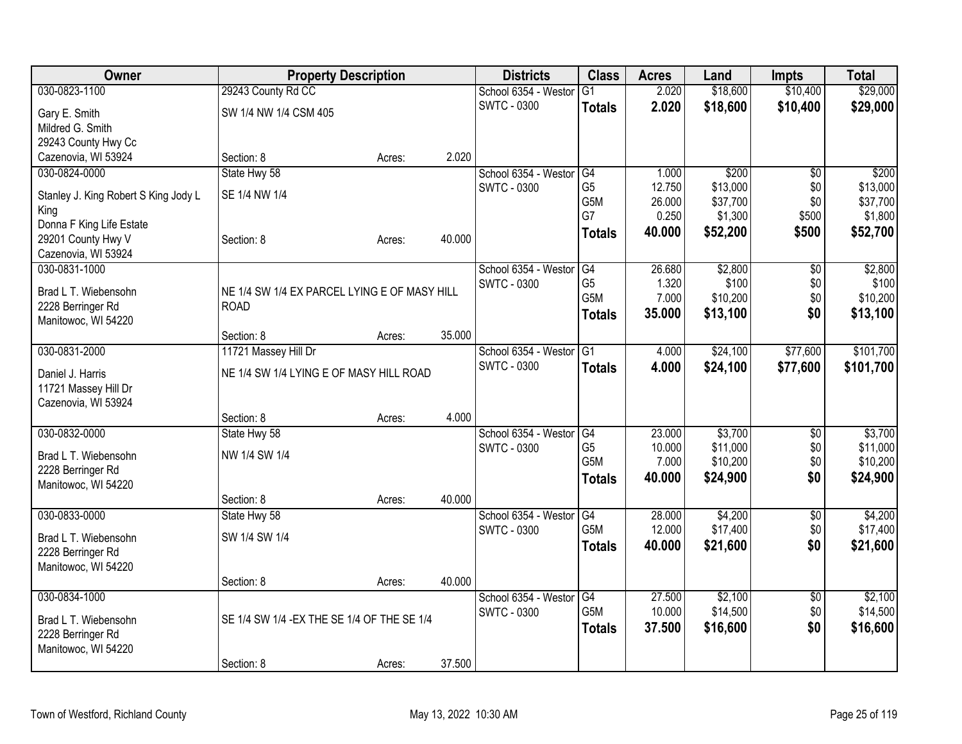| Owner                                     | <b>Property Description</b>                                 |        |        | <b>Districts</b>     | <b>Class</b>     | <b>Acres</b> | Land     | <b>Impts</b>    | <b>Total</b> |
|-------------------------------------------|-------------------------------------------------------------|--------|--------|----------------------|------------------|--------------|----------|-----------------|--------------|
| 030-0823-1100                             | 29243 County Rd CC                                          |        |        | School 6354 - Westor | $\overline{G1}$  | 2.020        | \$18,600 | \$10,400        | \$29,000     |
| Gary E. Smith                             | SW 1/4 NW 1/4 CSM 405                                       |        |        | <b>SWTC - 0300</b>   | <b>Totals</b>    | 2.020        | \$18,600 | \$10,400        | \$29,000     |
| Mildred G. Smith                          |                                                             |        |        |                      |                  |              |          |                 |              |
| 29243 County Hwy Cc                       |                                                             |        |        |                      |                  |              |          |                 |              |
| Cazenovia, WI 53924                       | Section: 8                                                  | Acres: | 2.020  |                      |                  |              |          |                 |              |
| 030-0824-0000                             | State Hwy 58                                                |        |        | School 6354 - Westor | G4               | 1.000        | \$200    | $\overline{50}$ | \$200        |
| Stanley J. King Robert S King Jody L      | SE 1/4 NW 1/4                                               |        |        | <b>SWTC - 0300</b>   | G <sub>5</sub>   | 12.750       | \$13,000 | \$0             | \$13,000     |
| King                                      |                                                             |        |        |                      | G5M              | 26.000       | \$37,700 | \$0             | \$37,700     |
| Donna F King Life Estate                  |                                                             |        |        |                      | G7               | 0.250        | \$1,300  | \$500           | \$1,800      |
| 29201 County Hwy V                        | Section: 8                                                  | Acres: | 40.000 |                      | <b>Totals</b>    | 40.000       | \$52,200 | \$500           | \$52,700     |
| Cazenovia, WI 53924                       |                                                             |        |        |                      |                  |              |          |                 |              |
| 030-0831-1000                             |                                                             |        |        | School 6354 - Westor | G4               | 26.680       | \$2,800  | $\sqrt{6}$      | \$2,800      |
|                                           |                                                             |        |        | <b>SWTC - 0300</b>   | G <sub>5</sub>   | 1.320        | \$100    | \$0             | \$100        |
| Brad L T. Wiebensohn<br>2228 Berringer Rd | NE 1/4 SW 1/4 EX PARCEL LYING E OF MASY HILL<br><b>ROAD</b> |        |        |                      | G <sub>5</sub> M | 7.000        | \$10,200 | \$0             | \$10,200     |
| Manitowoc, WI 54220                       |                                                             |        |        |                      | <b>Totals</b>    | 35,000       | \$13,100 | \$0             | \$13,100     |
|                                           | Section: 8                                                  | Acres: | 35.000 |                      |                  |              |          |                 |              |
| 030-0831-2000                             | 11721 Massey Hill Dr                                        |        |        | School 6354 - Westor | G1               | 4.000        | \$24,100 | \$77,600        | \$101,700    |
|                                           |                                                             |        |        | <b>SWTC - 0300</b>   | <b>Totals</b>    | 4.000        | \$24,100 | \$77,600        | \$101,700    |
| Daniel J. Harris                          | NE 1/4 SW 1/4 LYING E OF MASY HILL ROAD                     |        |        |                      |                  |              |          |                 |              |
| 11721 Massey Hill Dr                      |                                                             |        |        |                      |                  |              |          |                 |              |
| Cazenovia, WI 53924                       |                                                             |        | 4.000  |                      |                  |              |          |                 |              |
| 030-0832-0000                             | Section: 8<br>State Hwy 58                                  | Acres: |        | School 6354 - Westor | G4               | 23.000       | \$3,700  | $\sqrt[6]{3}$   | \$3,700      |
|                                           |                                                             |        |        | <b>SWTC - 0300</b>   | G <sub>5</sub>   | 10.000       | \$11,000 | \$0             | \$11,000     |
| Brad L T. Wiebensohn                      | NW 1/4 SW 1/4                                               |        |        |                      | G <sub>5</sub> M | 7.000        | \$10,200 | \$0             | \$10,200     |
| 2228 Berringer Rd                         |                                                             |        |        |                      | <b>Totals</b>    | 40,000       | \$24,900 | \$0             | \$24,900     |
| Manitowoc, WI 54220                       |                                                             |        |        |                      |                  |              |          |                 |              |
|                                           | Section: 8                                                  | Acres: | 40.000 |                      |                  |              |          |                 |              |
| 030-0833-0000                             | State Hwy 58                                                |        |        | School 6354 - Westor | G4<br>G5M        | 28.000       | \$4,200  | $\overline{50}$ | \$4,200      |
| Brad L T. Wiebensohn                      | SW 1/4 SW 1/4                                               |        |        | <b>SWTC - 0300</b>   |                  | 12.000       | \$17,400 | \$0             | \$17,400     |
| 2228 Berringer Rd                         |                                                             |        |        |                      | <b>Totals</b>    | 40.000       | \$21,600 | \$0             | \$21,600     |
| Manitowoc, WI 54220                       |                                                             |        |        |                      |                  |              |          |                 |              |
|                                           | Section: 8                                                  | Acres: | 40.000 |                      |                  |              |          |                 |              |
| 030-0834-1000                             |                                                             |        |        | School 6354 - Westor | $\overline{G4}$  | 27,500       | \$2,100  | $\overline{50}$ | \$2,100      |
| Brad L T. Wiebensohn                      | SE 1/4 SW 1/4 - EX THE SE 1/4 OF THE SE 1/4                 |        |        | <b>SWTC - 0300</b>   | G5M              | 10.000       | \$14,500 | \$0             | \$14,500     |
| 2228 Berringer Rd                         |                                                             |        |        |                      | <b>Totals</b>    | 37.500       | \$16,600 | \$0             | \$16,600     |
| Manitowoc, WI 54220                       |                                                             |        |        |                      |                  |              |          |                 |              |
|                                           | Section: 8                                                  | Acres: | 37.500 |                      |                  |              |          |                 |              |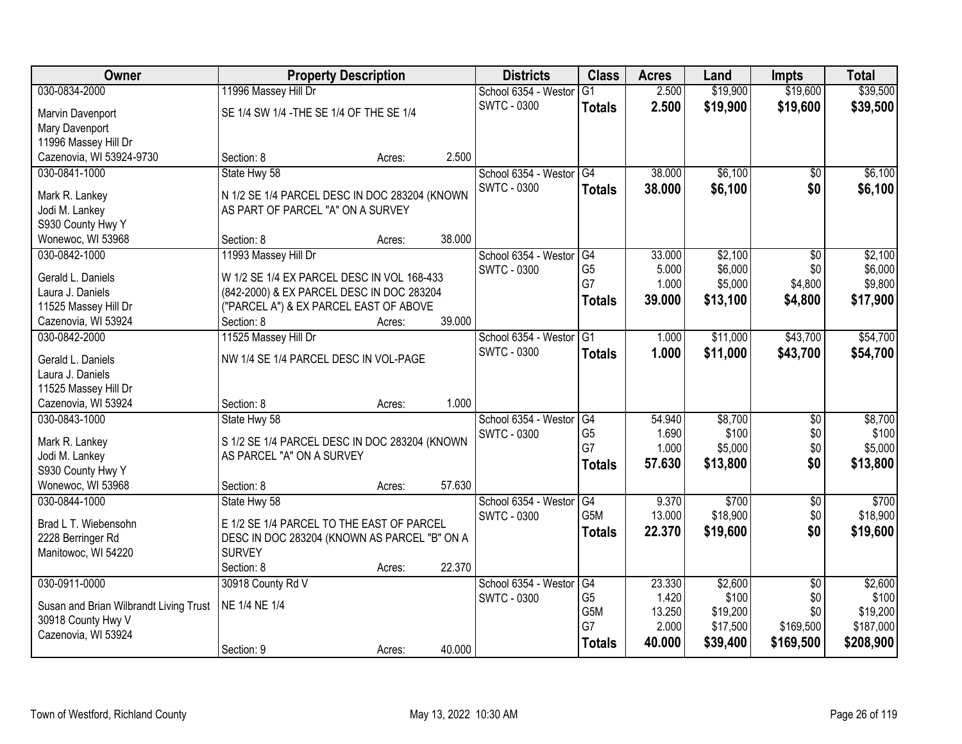| Owner                                       | <b>Property Description</b>                                                             |        |        | <b>Districts</b>     | <b>Class</b>     | <b>Acres</b> | Land     | <b>Impts</b>    | <b>Total</b> |
|---------------------------------------------|-----------------------------------------------------------------------------------------|--------|--------|----------------------|------------------|--------------|----------|-----------------|--------------|
| 030-0834-2000                               | 11996 Massey Hill Dr                                                                    |        |        | School 6354 - Weston | G1               | 2.500        | \$19,900 | \$19,600        | \$39,500     |
| Marvin Davenport                            | SE 1/4 SW 1/4 - THE SE 1/4 OF THE SE 1/4                                                |        |        | <b>SWTC - 0300</b>   | <b>Totals</b>    | 2.500        | \$19,900 | \$19,600        | \$39,500     |
| Mary Davenport                              |                                                                                         |        |        |                      |                  |              |          |                 |              |
| 11996 Massey Hill Dr                        |                                                                                         |        |        |                      |                  |              |          |                 |              |
| Cazenovia, WI 53924-9730                    | Section: 8                                                                              | Acres: | 2.500  |                      |                  |              |          |                 |              |
| 030-0841-1000                               | State Hwy 58                                                                            |        |        | School 6354 - Weston | G4               | 38.000       | \$6,100  | $\overline{50}$ | \$6,100      |
| Mark R. Lankey                              | N 1/2 SE 1/4 PARCEL DESC IN DOC 283204 (KNOWN                                           |        |        | <b>SWTC - 0300</b>   | <b>Totals</b>    | 38.000       | \$6,100  | \$0             | \$6,100      |
| Jodi M. Lankey                              | AS PART OF PARCEL "A" ON A SURVEY                                                       |        |        |                      |                  |              |          |                 |              |
| S930 County Hwy Y                           |                                                                                         |        |        |                      |                  |              |          |                 |              |
| Wonewoc, WI 53968                           | Section: 8                                                                              | Acres: | 38.000 |                      |                  |              |          |                 |              |
| 030-0842-1000                               | 11993 Massey Hill Dr                                                                    |        |        | School 6354 - Westor | G4               | 33.000       | \$2,100  | \$0             | \$2,100      |
|                                             |                                                                                         |        |        | <b>SWTC - 0300</b>   | G <sub>5</sub>   | 5.000        | \$6,000  | \$0             | \$6,000      |
| Gerald L. Daniels<br>Laura J. Daniels       | W 1/2 SE 1/4 EX PARCEL DESC IN VOL 168-433<br>(842-2000) & EX PARCEL DESC IN DOC 283204 |        |        |                      | G7               | 1.000        | \$5,000  | \$4,800         | \$9,800      |
| 11525 Massey Hill Dr                        | ("PARCEL A") & EX PARCEL EAST OF ABOVE                                                  |        |        |                      | <b>Totals</b>    | 39.000       | \$13,100 | \$4,800         | \$17,900     |
| Cazenovia, WI 53924                         | Section: 8                                                                              | Acres: | 39.000 |                      |                  |              |          |                 |              |
| 030-0842-2000                               | 11525 Massey Hill Dr                                                                    |        |        | School 6354 - Weston | $\overline{G1}$  | 1.000        | \$11,000 | \$43,700        | \$54,700     |
|                                             |                                                                                         |        |        | <b>SWTC - 0300</b>   | <b>Totals</b>    | 1.000        | \$11,000 | \$43,700        | \$54,700     |
| Gerald L. Daniels                           | NW 1/4 SE 1/4 PARCEL DESC IN VOL-PAGE                                                   |        |        |                      |                  |              |          |                 |              |
| Laura J. Daniels                            |                                                                                         |        |        |                      |                  |              |          |                 |              |
| 11525 Massey Hill Dr<br>Cazenovia, WI 53924 |                                                                                         |        | 1.000  |                      |                  |              |          |                 |              |
| 030-0843-1000                               | Section: 8<br>State Hwy 58                                                              | Acres: |        | School 6354 - Weston | G4               | 54.940       | \$8,700  | \$0             | \$8,700      |
|                                             |                                                                                         |        |        | <b>SWTC - 0300</b>   | G <sub>5</sub>   | 1.690        | \$100    | \$0             | \$100        |
| Mark R. Lankey                              | S 1/2 SE 1/4 PARCEL DESC IN DOC 283204 (KNOWN                                           |        |        |                      | G7               | 1.000        | \$5,000  | \$0             | \$5,000      |
| Jodi M. Lankey                              | AS PARCEL "A" ON A SURVEY                                                               |        |        |                      | <b>Totals</b>    | 57.630       | \$13,800 | \$0             | \$13,800     |
| S930 County Hwy Y                           |                                                                                         |        |        |                      |                  |              |          |                 |              |
| Wonewoc, WI 53968                           | Section: 8                                                                              | Acres: | 57.630 |                      |                  |              |          |                 |              |
| 030-0844-1000                               | State Hwy 58                                                                            |        |        | School 6354 - Westor | $\overline{G4}$  | 9.370        | \$700    | $\overline{60}$ | \$700        |
| Brad L T. Wiebensohn                        | E 1/2 SE 1/4 PARCEL TO THE EAST OF PARCEL                                               |        |        | <b>SWTC - 0300</b>   | G <sub>5</sub> M | 13.000       | \$18,900 | \$0             | \$18,900     |
| 2228 Berringer Rd                           | DESC IN DOC 283204 (KNOWN AS PARCEL "B" ON A                                            |        |        |                      | <b>Totals</b>    | 22.370       | \$19,600 | \$0             | \$19,600     |
| Manitowoc, WI 54220                         | <b>SURVEY</b>                                                                           |        |        |                      |                  |              |          |                 |              |
|                                             | Section: 8                                                                              | Acres: | 22.370 |                      |                  |              |          |                 |              |
| 030-0911-0000                               | 30918 County Rd V                                                                       |        |        | School 6354 - Westor | G4               | 23.330       | \$2,600  | $\overline{30}$ | \$2,600      |
| Susan and Brian Wilbrandt Living Trust      | NE 1/4 NE 1/4                                                                           |        |        | SWTC - 0300          | G <sub>5</sub>   | 1.420        | \$100    | \$0             | \$100        |
| 30918 County Hwy V                          |                                                                                         |        |        |                      | G5M<br>G7        | 13.250       | \$19,200 | \$0             | \$19,200     |
| Cazenovia, WI 53924                         |                                                                                         |        |        |                      |                  | 2.000        | \$17,500 | \$169,500       | \$187,000    |
|                                             | Section: 9                                                                              | Acres: | 40.000 |                      | <b>Totals</b>    | 40.000       | \$39,400 | \$169,500       | \$208,900    |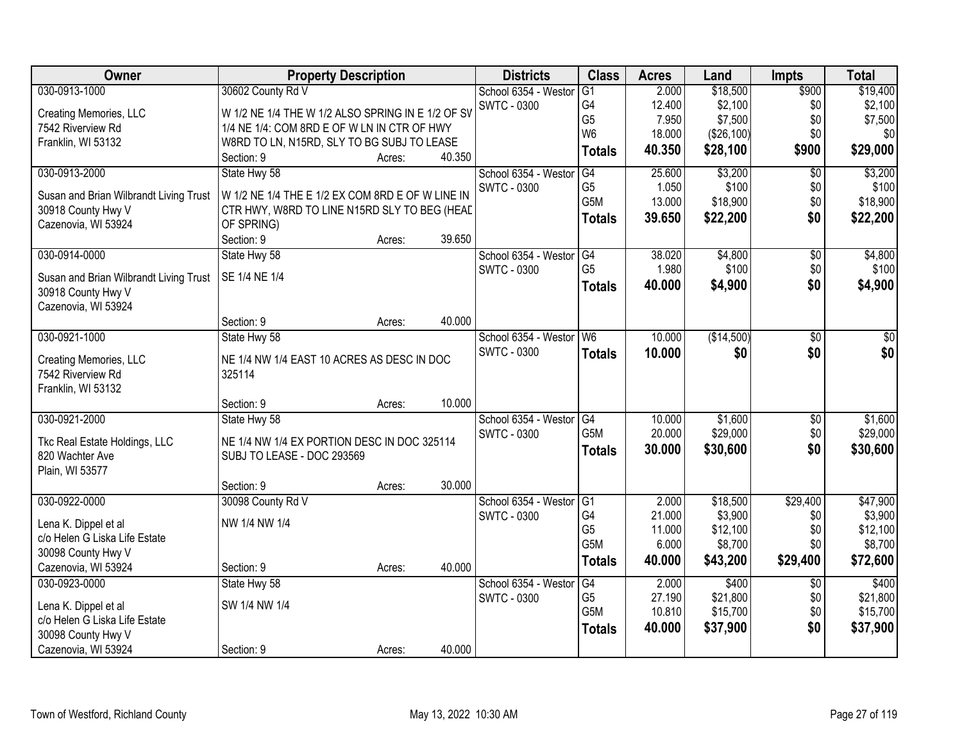| Owner                                                        | <b>Property Description</b>                       |        |        | <b>Districts</b>     | <b>Class</b>     | <b>Acres</b> | Land       | <b>Impts</b>    | <b>Total</b> |
|--------------------------------------------------------------|---------------------------------------------------|--------|--------|----------------------|------------------|--------------|------------|-----------------|--------------|
| 030-0913-1000                                                | 30602 County Rd V                                 |        |        | School 6354 - Weston | $\overline{G1}$  | 2.000        | \$18,500   | \$900           | \$19,400     |
| Creating Memories, LLC                                       | W 1/2 NE 1/4 THE W 1/2 ALSO SPRING IN E 1/2 OF SV |        |        | <b>SWTC - 0300</b>   | G4               | 12.400       | \$2,100    | \$0             | \$2,100      |
| 7542 Riverview Rd                                            | 1/4 NE 1/4: COM 8RD E OF W LN IN CTR OF HWY       |        |        |                      | G <sub>5</sub>   | 7.950        | \$7,500    | \$0             | \$7,500      |
| Franklin, WI 53132                                           | W8RD TO LN, N15RD, SLY TO BG SUBJ TO LEASE        |        |        |                      | W <sub>6</sub>   | 18.000       | (\$26,100) | \$0             | \$0          |
|                                                              | Section: 9                                        | Acres: | 40.350 |                      | <b>Totals</b>    | 40.350       | \$28,100   | \$900           | \$29,000     |
| 030-0913-2000                                                | State Hwy 58                                      |        |        | School 6354 - Weston | G4               | 25.600       | \$3,200    | $\overline{50}$ | \$3,200      |
|                                                              | W 1/2 NE 1/4 THE E 1/2 EX COM 8RD E OF W LINE IN  |        |        | <b>SWTC - 0300</b>   | G <sub>5</sub>   | 1.050        | \$100      | \$0             | \$100        |
| Susan and Brian Wilbrandt Living Trust<br>30918 County Hwy V | CTR HWY, W8RD TO LINE N15RD SLY TO BEG (HEAD      |        |        |                      | G5M              | 13.000       | \$18,900   | \$0             | \$18,900     |
| Cazenovia, WI 53924                                          | OF SPRING)                                        |        |        |                      | <b>Totals</b>    | 39.650       | \$22,200   | \$0             | \$22,200     |
|                                                              | Section: 9                                        | Acres: | 39.650 |                      |                  |              |            |                 |              |
| 030-0914-0000                                                | State Hwy 58                                      |        |        | School 6354 - Westor | G4               | 38.020       | \$4,800    | $\overline{50}$ | \$4,800      |
|                                                              |                                                   |        |        | <b>SWTC - 0300</b>   | G <sub>5</sub>   | 1.980        | \$100      | \$0             | \$100        |
| Susan and Brian Wilbrandt Living Trust                       | SE 1/4 NE 1/4                                     |        |        |                      | <b>Totals</b>    | 40.000       | \$4,900    | \$0             | \$4,900      |
| 30918 County Hwy V                                           |                                                   |        |        |                      |                  |              |            |                 |              |
| Cazenovia, WI 53924                                          |                                                   |        |        |                      |                  |              |            |                 |              |
|                                                              | Section: 9                                        | Acres: | 40.000 |                      |                  |              |            |                 |              |
| 030-0921-1000                                                | State Hwy 58                                      |        |        | School 6354 - Weston | W <sub>6</sub>   | 10.000       | (\$14,500) | \$0             | \$0          |
| Creating Memories, LLC                                       | NE 1/4 NW 1/4 EAST 10 ACRES AS DESC IN DOC        |        |        | <b>SWTC - 0300</b>   | <b>Totals</b>    | 10.000       | \$0        | \$0             | \$0          |
| 7542 Riverview Rd                                            | 325114                                            |        |        |                      |                  |              |            |                 |              |
| Franklin, WI 53132                                           |                                                   |        |        |                      |                  |              |            |                 |              |
|                                                              | Section: 9                                        | Acres: | 10.000 |                      |                  |              |            |                 |              |
| 030-0921-2000                                                | State Hwy 58                                      |        |        | School 6354 - Weston | $\overline{G4}$  | 10.000       | \$1,600    | \$0             | \$1,600      |
|                                                              | NE 1/4 NW 1/4 EX PORTION DESC IN DOC 325114       |        |        | <b>SWTC - 0300</b>   | G <sub>5</sub> M | 20.000       | \$29,000   | \$0             | \$29,000     |
| Tkc Real Estate Holdings, LLC<br>820 Wachter Ave             | SUBJ TO LEASE - DOC 293569                        |        |        |                      | <b>Totals</b>    | 30.000       | \$30,600   | \$0             | \$30,600     |
| Plain, WI 53577                                              |                                                   |        |        |                      |                  |              |            |                 |              |
|                                                              | Section: 9                                        | Acres: | 30.000 |                      |                  |              |            |                 |              |
| 030-0922-0000                                                | 30098 County Rd V                                 |        |        | School 6354 - Westor | $\overline{G1}$  | 2.000        | \$18,500   | \$29,400        | \$47,900     |
|                                                              |                                                   |        |        | <b>SWTC - 0300</b>   | G4               | 21.000       | \$3,900    | \$0             | \$3,900      |
| Lena K. Dippel et al                                         | NW 1/4 NW 1/4                                     |        |        |                      | G <sub>5</sub>   | 11.000       | \$12,100   | \$0             | \$12,100     |
| c/o Helen G Liska Life Estate                                |                                                   |        |        |                      | G5M              | 6.000        | \$8,700    | \$0             | \$8,700      |
| 30098 County Hwy V                                           |                                                   |        |        |                      | <b>Totals</b>    | 40.000       | \$43,200   | \$29,400        | \$72,600     |
| Cazenovia, WI 53924                                          | Section: 9                                        | Acres: | 40.000 |                      |                  |              |            |                 |              |
| 030-0923-0000                                                | State Hwy 58                                      |        |        | School 6354 - Weston | G4               | 2.000        | \$400      | $\overline{30}$ | \$400        |
| Lena K. Dippel et al                                         | SW 1/4 NW 1/4                                     |        |        | <b>SWTC - 0300</b>   | G <sub>5</sub>   | 27.190       | \$21,800   | \$0             | \$21,800     |
| c/o Helen G Liska Life Estate                                |                                                   |        |        |                      | G <sub>5</sub> M | 10.810       | \$15,700   | \$0             | \$15,700     |
| 30098 County Hwy V                                           |                                                   |        |        |                      | <b>Totals</b>    | 40.000       | \$37,900   | \$0             | \$37,900     |
| Cazenovia, WI 53924                                          | Section: 9                                        | Acres: | 40.000 |                      |                  |              |            |                 |              |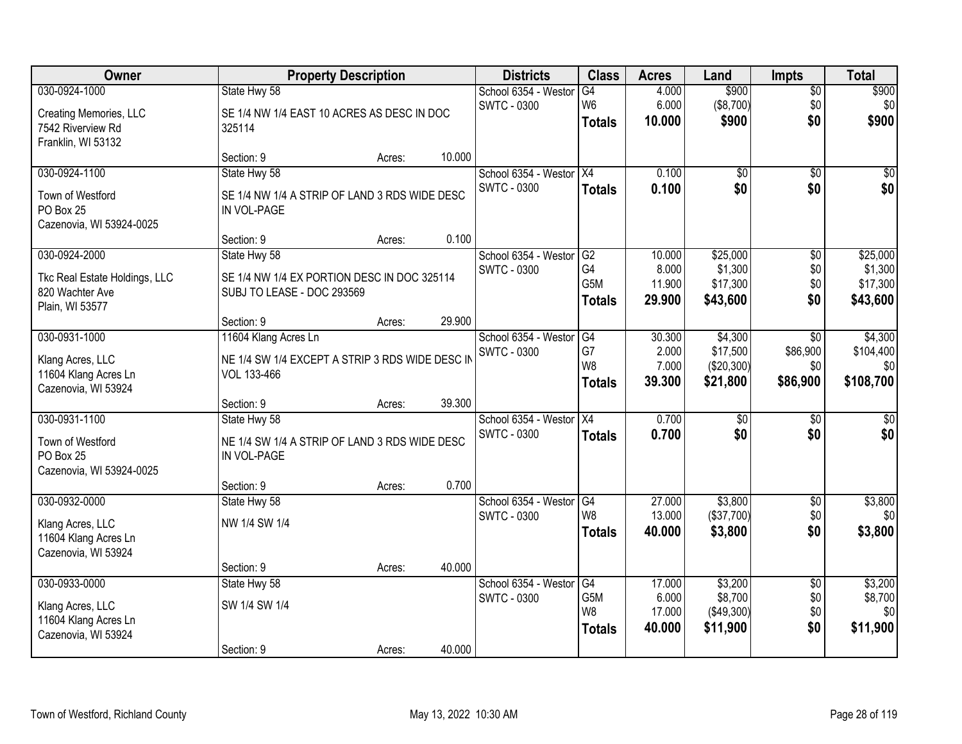| Owner                         |                                                 | <b>Property Description</b> |        | <b>Districts</b>                           | <b>Class</b>         | <b>Acres</b>     | Land                   | <b>Impts</b>           | <b>Total</b>        |
|-------------------------------|-------------------------------------------------|-----------------------------|--------|--------------------------------------------|----------------------|------------------|------------------------|------------------------|---------------------|
| 030-0924-1000                 | State Hwy 58                                    |                             |        | School 6354 - Westor                       | G4                   | 4.000            | \$900                  | \$0                    | \$900               |
| Creating Memories, LLC        | SE 1/4 NW 1/4 EAST 10 ACRES AS DESC IN DOC      |                             |        | <b>SWTC - 0300</b>                         | W <sub>6</sub>       | 6.000            | (\$8,700)              | \$0                    | \$0                 |
| 7542 Riverview Rd             | 325114                                          |                             |        |                                            | <b>Totals</b>        | 10.000           | \$900                  | \$0                    | \$900               |
| Franklin, WI 53132            |                                                 |                             |        |                                            |                      |                  |                        |                        |                     |
|                               | Section: 9                                      | Acres:                      | 10.000 |                                            |                      |                  |                        |                        |                     |
| 030-0924-1100                 | State Hwy 58                                    |                             |        | School 6354 - Westor                       | X4                   | 0.100            | \$0                    | \$0                    | \$0                 |
| Town of Westford              | SE 1/4 NW 1/4 A STRIP OF LAND 3 RDS WIDE DESC   |                             |        | <b>SWTC - 0300</b>                         | <b>Totals</b>        | 0.100            | \$0                    | \$0                    | \$0                 |
| PO Box 25                     | IN VOL-PAGE                                     |                             |        |                                            |                      |                  |                        |                        |                     |
| Cazenovia, WI 53924-0025      |                                                 |                             |        |                                            |                      |                  |                        |                        |                     |
|                               | Section: 9                                      | Acres:                      | 0.100  |                                            |                      |                  |                        |                        |                     |
| 030-0924-2000                 | State Hwy 58                                    |                             |        | School 6354 - Westor                       | $\overline{G2}$      | 10.000           | \$25,000               | \$0                    | \$25,000            |
| Tkc Real Estate Holdings, LLC | SE 1/4 NW 1/4 EX PORTION DESC IN DOC 325114     |                             |        | <b>SWTC - 0300</b>                         | G4<br>G5M            | 8.000<br>11.900  | \$1,300<br>\$17,300    | \$0<br>\$0             | \$1,300<br>\$17,300 |
| 820 Wachter Ave               | SUBJ TO LEASE - DOC 293569                      |                             |        |                                            | <b>Totals</b>        | 29.900           | \$43,600               | \$0                    | \$43,600            |
| Plain, WI 53577               |                                                 |                             |        |                                            |                      |                  |                        |                        |                     |
|                               | Section: 9                                      | Acres:                      | 29.900 |                                            |                      |                  |                        |                        |                     |
| 030-0931-1000                 | 11604 Klang Acres Ln                            |                             |        | School 6354 - Weston                       | G4                   | 30.300           | \$4,300                | $\sqrt[6]{3}$          | \$4,300             |
| Klang Acres, LLC              | NE 1/4 SW 1/4 EXCEPT A STRIP 3 RDS WIDE DESC IN |                             |        | <b>SWTC - 0300</b>                         | G7<br>W <sub>8</sub> | 2.000<br>7.000   | \$17,500<br>(\$20,300) | \$86,900<br>\$0        | \$104,400<br>\$0    |
| 11604 Klang Acres Ln          | VOL 133-466                                     |                             |        |                                            | <b>Totals</b>        | 39.300           | \$21,800               | \$86,900               | \$108,700           |
| Cazenovia, WI 53924           |                                                 |                             |        |                                            |                      |                  |                        |                        |                     |
|                               | Section: 9                                      | Acres:                      | 39.300 |                                            |                      |                  |                        |                        |                     |
| 030-0931-1100                 | State Hwy 58                                    |                             |        | School 6354 - Westor<br><b>SWTC - 0300</b> | $\overline{X4}$      | 0.700            | $\overline{50}$        | \$0                    | $\sqrt{50}$         |
| Town of Westford              | NE 1/4 SW 1/4 A STRIP OF LAND 3 RDS WIDE DESC   |                             |        |                                            | <b>Totals</b>        | 0.700            | \$0                    | \$0                    | \$0                 |
| PO Box 25                     | IN VOL-PAGE                                     |                             |        |                                            |                      |                  |                        |                        |                     |
| Cazenovia, WI 53924-0025      |                                                 |                             |        |                                            |                      |                  |                        |                        |                     |
|                               | Section: 9                                      | Acres:                      | 0.700  |                                            |                      |                  |                        |                        |                     |
| 030-0932-0000                 | State Hwy 58                                    |                             |        | School 6354 - Westor<br><b>SWTC - 0300</b> | G4<br>W <sub>8</sub> | 27.000<br>13.000 | \$3,800<br>(\$37,700)  | $\sqrt{6}$<br>\$0      | \$3,800<br>\$0      |
| Klang Acres, LLC              | NW 1/4 SW 1/4                                   |                             |        |                                            | <b>Totals</b>        | 40.000           | \$3,800                | \$0                    | \$3,800             |
| 11604 Klang Acres Ln          |                                                 |                             |        |                                            |                      |                  |                        |                        |                     |
| Cazenovia, WI 53924           |                                                 |                             | 40.000 |                                            |                      |                  |                        |                        |                     |
| 030-0933-0000                 | Section: 9                                      | Acres:                      |        | School 6354 - Westor                       | G4                   | 17.000           | \$3,200                |                        | \$3,200             |
|                               | State Hwy 58                                    |                             |        | <b>SWTC - 0300</b>                         | G5M                  | 6.000            | \$8,700                | $\overline{50}$<br>\$0 | \$8,700             |
| Klang Acres, LLC              | SW 1/4 SW 1/4                                   |                             |        |                                            | W8                   | 17.000           | (\$49,300)             | \$0                    | \$0                 |
| 11604 Klang Acres Ln          |                                                 |                             |        |                                            | <b>Totals</b>        | 40.000           | \$11,900               | \$0                    | \$11,900            |
| Cazenovia, WI 53924           | Section: 9                                      |                             | 40.000 |                                            |                      |                  |                        |                        |                     |
|                               |                                                 | Acres:                      |        |                                            |                      |                  |                        |                        |                     |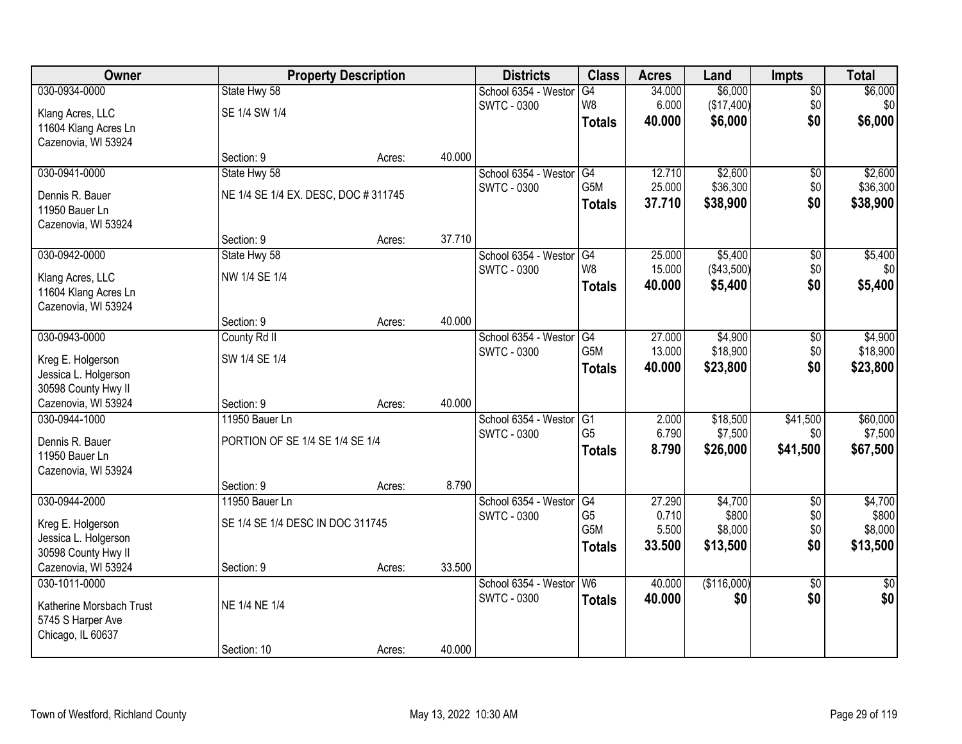| Owner                    |                                     | <b>Property Description</b> |        | <b>Districts</b>     | <b>Class</b>     | <b>Acres</b> | Land        | <b>Impts</b>    | <b>Total</b>    |
|--------------------------|-------------------------------------|-----------------------------|--------|----------------------|------------------|--------------|-------------|-----------------|-----------------|
| 030-0934-0000            | State Hwy 58                        |                             |        | School 6354 - Westor | G4               | 34.000       | \$6,000     | $\sqrt{$0}$     | \$6,000         |
| Klang Acres, LLC         | SE 1/4 SW 1/4                       |                             |        | <b>SWTC - 0300</b>   | W <sub>8</sub>   | 6.000        | (\$17,400)  | \$0             | \$0             |
| 11604 Klang Acres Ln     |                                     |                             |        |                      | <b>Totals</b>    | 40.000       | \$6,000     | \$0             | \$6,000         |
| Cazenovia, WI 53924      |                                     |                             |        |                      |                  |              |             |                 |                 |
|                          | Section: 9                          | Acres:                      | 40.000 |                      |                  |              |             |                 |                 |
| 030-0941-0000            | State Hwy 58                        |                             |        | School 6354 - Westor | G4               | 12.710       | \$2,600     | \$0             | \$2,600         |
| Dennis R. Bauer          | NE 1/4 SE 1/4 EX. DESC, DOC #311745 |                             |        | <b>SWTC - 0300</b>   | G5M              | 25.000       | \$36,300    | \$0             | \$36,300        |
| 11950 Bauer Ln           |                                     |                             |        |                      | <b>Totals</b>    | 37.710       | \$38,900    | \$0             | \$38,900        |
| Cazenovia, WI 53924      |                                     |                             |        |                      |                  |              |             |                 |                 |
|                          | Section: 9                          | Acres:                      | 37.710 |                      |                  |              |             |                 |                 |
| 030-0942-0000            | State Hwy 58                        |                             |        | School 6354 - Westor | G4               | 25.000       | \$5,400     | \$0             | \$5,400         |
| Klang Acres, LLC         | NW 1/4 SE 1/4                       |                             |        | <b>SWTC - 0300</b>   | W <sub>8</sub>   | 15.000       | (\$43,500)  | \$0             | \$0             |
| 11604 Klang Acres Ln     |                                     |                             |        |                      | <b>Totals</b>    | 40.000       | \$5,400     | \$0             | \$5,400         |
| Cazenovia, WI 53924      |                                     |                             |        |                      |                  |              |             |                 |                 |
|                          | Section: 9                          | Acres:                      | 40.000 |                      |                  |              |             |                 |                 |
| 030-0943-0000            | County Rd II                        |                             |        | School 6354 - Weston | G4               | 27.000       | \$4,900     | $\sqrt[6]{3}$   | \$4,900         |
| Kreg E. Holgerson        | SW 1/4 SE 1/4                       |                             |        | <b>SWTC - 0300</b>   | G5M              | 13.000       | \$18,900    | \$0             | \$18,900        |
| Jessica L. Holgerson     |                                     |                             |        |                      | <b>Totals</b>    | 40.000       | \$23,800    | \$0             | \$23,800        |
| 30598 County Hwy II      |                                     |                             |        |                      |                  |              |             |                 |                 |
| Cazenovia, WI 53924      | Section: 9                          | Acres:                      | 40.000 |                      |                  |              |             |                 |                 |
| 030-0944-1000            | 11950 Bauer Ln                      |                             |        | School 6354 - Westor | $\overline{G1}$  | 2.000        | \$18,500    | \$41,500        | \$60,000        |
| Dennis R. Bauer          | PORTION OF SE 1/4 SE 1/4 SE 1/4     |                             |        | <b>SWTC - 0300</b>   | G <sub>5</sub>   | 6.790        | \$7,500     | \$0             | \$7,500         |
| 11950 Bauer Ln           |                                     |                             |        |                      | <b>Totals</b>    | 8.790        | \$26,000    | \$41,500        | \$67,500        |
| Cazenovia, WI 53924      |                                     |                             |        |                      |                  |              |             |                 |                 |
|                          | Section: 9                          | Acres:                      | 8.790  |                      |                  |              |             |                 |                 |
| 030-0944-2000            | 11950 Bauer Ln                      |                             |        | School 6354 - Westor | G4               | 27.290       | \$4,700     | $\overline{50}$ | \$4,700         |
| Kreg E. Holgerson        | SE 1/4 SE 1/4 DESC IN DOC 311745    |                             |        | <b>SWTC - 0300</b>   | G5               | 0.710        | \$800       | \$0             | \$800           |
| Jessica L. Holgerson     |                                     |                             |        |                      | G <sub>5</sub> M | 5.500        | \$8,000     | \$0             | \$8,000         |
| 30598 County Hwy II      |                                     |                             |        |                      | <b>Totals</b>    | 33.500       | \$13,500    | \$0             | \$13,500        |
| Cazenovia, WI 53924      | Section: 9                          | Acres:                      | 33.500 |                      |                  |              |             |                 |                 |
| 030-1011-0000            |                                     |                             |        | School 6354 - Weston | W6               | 40.000       | (\$116,000) | $\overline{50}$ | $\overline{30}$ |
| Katherine Morsbach Trust | NE 1/4 NE 1/4                       |                             |        | <b>SWTC - 0300</b>   | <b>Totals</b>    | 40.000       | \$0         | \$0             | \$0             |
| 5745 S Harper Ave        |                                     |                             |        |                      |                  |              |             |                 |                 |
| Chicago, IL 60637        |                                     |                             |        |                      |                  |              |             |                 |                 |
|                          | Section: 10                         | Acres:                      | 40.000 |                      |                  |              |             |                 |                 |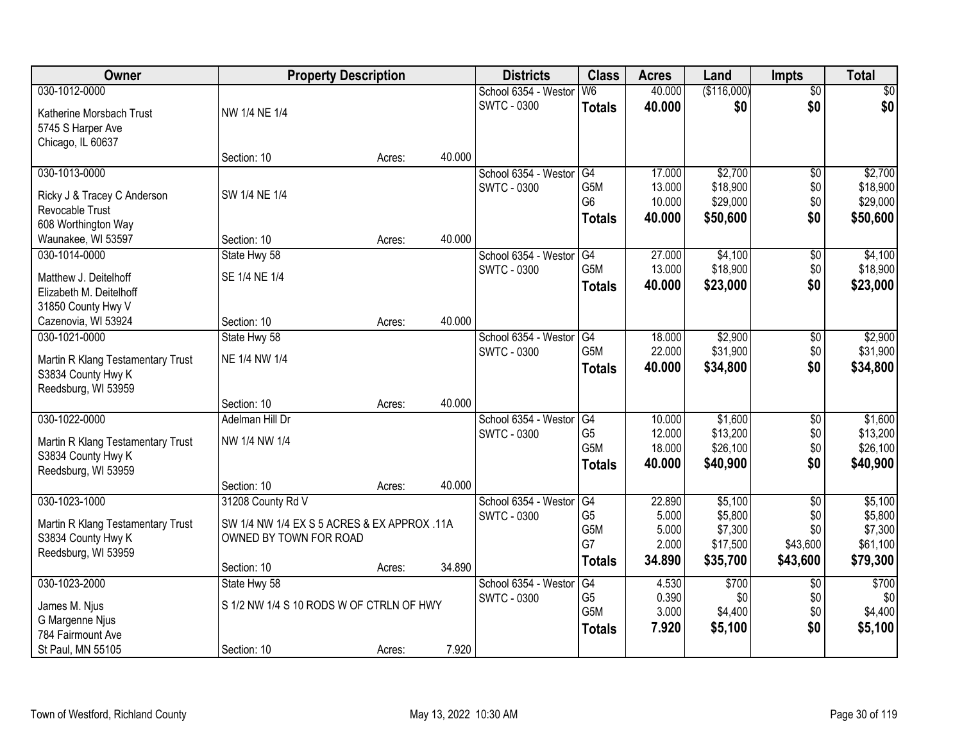| Owner                                            | <b>Property Description</b>                 |        |        | <b>Districts</b>     | <b>Class</b>         | <b>Acres</b>   | Land               | <b>Impts</b>    | <b>Total</b>       |
|--------------------------------------------------|---------------------------------------------|--------|--------|----------------------|----------------------|----------------|--------------------|-----------------|--------------------|
| 030-1012-0000                                    |                                             |        |        | School 6354 - Weston | W6                   | 40.000         | (\$116,000)        | $\overline{50}$ | \$0                |
| Katherine Morsbach Trust                         | NW 1/4 NE 1/4                               |        |        | <b>SWTC - 0300</b>   | <b>Totals</b>        | 40.000         | \$0                | \$0             | \$0                |
| 5745 S Harper Ave                                |                                             |        |        |                      |                      |                |                    |                 |                    |
| Chicago, IL 60637                                |                                             |        |        |                      |                      |                |                    |                 |                    |
|                                                  | Section: 10                                 | Acres: | 40.000 |                      |                      |                |                    |                 |                    |
| 030-1013-0000                                    |                                             |        |        | School 6354 - Weston | G4                   | 17.000         | \$2,700            | \$0             | \$2,700            |
| Ricky J & Tracey C Anderson                      | SW 1/4 NE 1/4                               |        |        | <b>SWTC - 0300</b>   | G <sub>5</sub> M     | 13.000         | \$18,900           | \$0             | \$18,900           |
| Revocable Trust                                  |                                             |        |        |                      | G <sub>6</sub>       | 10.000         | \$29,000           | \$0             | \$29,000           |
| 608 Worthington Way                              |                                             |        |        |                      | <b>Totals</b>        | 40.000         | \$50,600           | \$0             | \$50,600           |
| Waunakee, WI 53597                               | Section: 10                                 | Acres: | 40.000 |                      |                      |                |                    |                 |                    |
| 030-1014-0000                                    | State Hwy 58                                |        |        | School 6354 - Westor | G4                   | 27.000         | \$4,100            | \$0             | \$4,100            |
|                                                  | SE 1/4 NE 1/4                               |        |        | <b>SWTC - 0300</b>   | G <sub>5</sub> M     | 13.000         | \$18,900           | \$0             | \$18,900           |
| Matthew J. Deitelhoff<br>Elizabeth M. Deitelhoff |                                             |        |        |                      | <b>Totals</b>        | 40.000         | \$23,000           | \$0             | \$23,000           |
| 31850 County Hwy V                               |                                             |        |        |                      |                      |                |                    |                 |                    |
| Cazenovia, WI 53924                              | Section: 10                                 | Acres: | 40.000 |                      |                      |                |                    |                 |                    |
| 030-1021-0000                                    | State Hwy 58                                |        |        | School 6354 - Weston | G4                   | 18.000         | \$2,900            | $\sqrt[6]{3}$   | \$2,900            |
|                                                  |                                             |        |        | <b>SWTC - 0300</b>   | G5M                  | 22.000         | \$31,900           | \$0             | \$31,900           |
| Martin R Klang Testamentary Trust                | NE 1/4 NW 1/4                               |        |        |                      | <b>Totals</b>        | 40.000         | \$34,800           | \$0             | \$34,800           |
| S3834 County Hwy K                               |                                             |        |        |                      |                      |                |                    |                 |                    |
| Reedsburg, WI 53959                              | Section: 10                                 | Acres: | 40.000 |                      |                      |                |                    |                 |                    |
| 030-1022-0000                                    | Adelman Hill Dr                             |        |        | School 6354 - Weston | G4                   | 10.000         | \$1,600            | \$0             | \$1,600            |
|                                                  |                                             |        |        | <b>SWTC - 0300</b>   | G <sub>5</sub>       | 12.000         | \$13,200           | \$0             | \$13,200           |
| Martin R Klang Testamentary Trust                | NW 1/4 NW 1/4                               |        |        |                      | G5M                  | 18.000         | \$26,100           | \$0             | \$26,100           |
| S3834 County Hwy K                               |                                             |        |        |                      | <b>Totals</b>        | 40.000         | \$40,900           | \$0             | \$40,900           |
| Reedsburg, WI 53959                              |                                             |        |        |                      |                      |                |                    |                 |                    |
|                                                  | Section: 10                                 | Acres: | 40.000 |                      |                      |                |                    |                 |                    |
| 030-1023-1000                                    | 31208 County Rd V                           |        |        | School 6354 - Westor | G4<br>G <sub>5</sub> | 22.890         | \$5,100            | $\overline{50}$ | \$5,100            |
| Martin R Klang Testamentary Trust                | SW 1/4 NW 1/4 EX S 5 ACRES & EX APPROX .11A |        |        | <b>SWTC - 0300</b>   | G5M                  | 5.000<br>5.000 | \$5,800<br>\$7,300 | \$0<br>\$0      | \$5,800<br>\$7,300 |
| S3834 County Hwy K                               | OWNED BY TOWN FOR ROAD                      |        |        |                      | G7                   | 2.000          | \$17,500           | \$43,600        | \$61,100           |
| Reedsburg, WI 53959                              |                                             |        |        |                      | <b>Totals</b>        | 34.890         | \$35,700           | \$43,600        | \$79,300           |
|                                                  | Section: 10                                 | Acres: | 34.890 |                      |                      |                |                    |                 |                    |
| 030-1023-2000                                    | State Hwy 58                                |        |        | School 6354 - Weston | G4                   | 4.530          | \$700              | $\overline{50}$ | \$700              |
| James M. Njus                                    | S 1/2 NW 1/4 S 10 RODS W OF CTRLN OF HWY    |        |        | <b>SWTC - 0300</b>   | G <sub>5</sub>       | 0.390          | \$0                | \$0             | \$0                |
| G Margenne Njus                                  |                                             |        |        |                      | G <sub>5</sub> M     | 3.000          | \$4,400            | \$0             | \$4,400            |
| 784 Fairmount Ave                                |                                             |        |        |                      | <b>Totals</b>        | 7.920          | \$5,100            | \$0             | \$5,100            |
| St Paul, MN 55105                                | Section: 10                                 | Acres: | 7.920  |                      |                      |                |                    |                 |                    |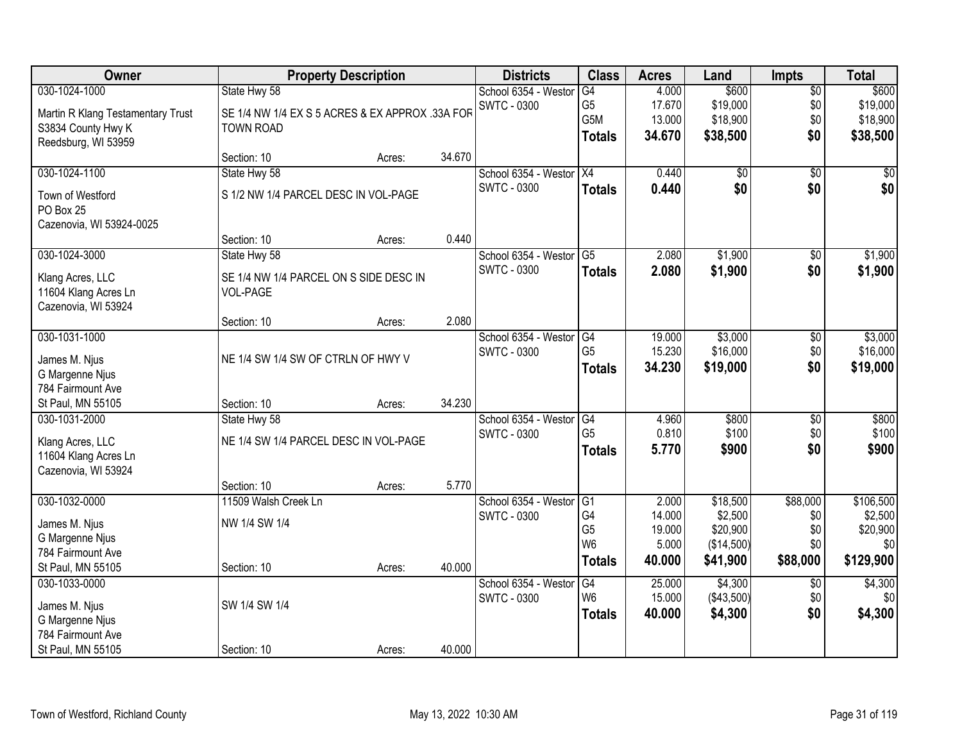| Owner                             |                                                 | <b>Property Description</b> |        | <b>Districts</b>     | <b>Class</b>   | <b>Acres</b> | Land       | <b>Impts</b>    | <b>Total</b> |
|-----------------------------------|-------------------------------------------------|-----------------------------|--------|----------------------|----------------|--------------|------------|-----------------|--------------|
| 030-1024-1000                     | State Hwy 58                                    |                             |        | School 6354 - Weston | G4             | 4.000        | \$600      | $\overline{50}$ | \$600        |
| Martin R Klang Testamentary Trust | SE 1/4 NW 1/4 EX S 5 ACRES & EX APPROX .33A FOR |                             |        | <b>SWTC - 0300</b>   | G <sub>5</sub> | 17.670       | \$19,000   | \$0             | \$19,000     |
| S3834 County Hwy K                | <b>TOWN ROAD</b>                                |                             |        |                      | G5M            | 13.000       | \$18,900   | \$0             | \$18,900     |
| Reedsburg, WI 53959               |                                                 |                             |        |                      | <b>Totals</b>  | 34.670       | \$38,500   | \$0             | \$38,500     |
|                                   | Section: 10                                     | Acres:                      | 34.670 |                      |                |              |            |                 |              |
| 030-1024-1100                     | State Hwy 58                                    |                             |        | School 6354 - Westor | X4             | 0.440        | \$0        | $\overline{30}$ | \$0          |
| Town of Westford                  | S 1/2 NW 1/4 PARCEL DESC IN VOL-PAGE            |                             |        | <b>SWTC - 0300</b>   | <b>Totals</b>  | 0.440        | \$0        | \$0             | \$0          |
| PO Box 25                         |                                                 |                             |        |                      |                |              |            |                 |              |
| Cazenovia, WI 53924-0025          |                                                 |                             |        |                      |                |              |            |                 |              |
|                                   | Section: 10                                     | Acres:                      | 0.440  |                      |                |              |            |                 |              |
| 030-1024-3000                     | State Hwy 58                                    |                             |        | School 6354 - Westor | G5             | 2.080        | \$1,900    | $\overline{50}$ | \$1,900      |
| Klang Acres, LLC                  | SE 1/4 NW 1/4 PARCEL ON S SIDE DESC IN          |                             |        | <b>SWTC - 0300</b>   | <b>Totals</b>  | 2.080        | \$1,900    | \$0             | \$1,900      |
| 11604 Klang Acres Ln              | <b>VOL-PAGE</b>                                 |                             |        |                      |                |              |            |                 |              |
| Cazenovia, WI 53924               |                                                 |                             |        |                      |                |              |            |                 |              |
|                                   | Section: 10                                     | Acres:                      | 2.080  |                      |                |              |            |                 |              |
| 030-1031-1000                     |                                                 |                             |        | School 6354 - Weston | G4             | 19.000       | \$3,000    | \$0             | \$3,000      |
| James M. Njus                     | NE 1/4 SW 1/4 SW OF CTRLN OF HWY V              |                             |        | <b>SWTC - 0300</b>   | G <sub>5</sub> | 15.230       | \$16,000   | \$0             | \$16,000     |
| G Margenne Njus                   |                                                 |                             |        |                      | <b>Totals</b>  | 34.230       | \$19,000   | \$0             | \$19,000     |
| 784 Fairmount Ave                 |                                                 |                             |        |                      |                |              |            |                 |              |
| St Paul, MN 55105                 | Section: 10                                     | Acres:                      | 34.230 |                      |                |              |            |                 |              |
| 030-1031-2000                     | State Hwy 58                                    |                             |        | School 6354 - Weston | G4             | 4.960        | \$800      | \$0             | \$800        |
| Klang Acres, LLC                  | NE 1/4 SW 1/4 PARCEL DESC IN VOL-PAGE           |                             |        | <b>SWTC - 0300</b>   | G <sub>5</sub> | 0.810        | \$100      | \$0             | \$100        |
| 11604 Klang Acres Ln              |                                                 |                             |        |                      | <b>Totals</b>  | 5.770        | \$900      | \$0             | \$900        |
| Cazenovia, WI 53924               |                                                 |                             |        |                      |                |              |            |                 |              |
|                                   | Section: 10                                     | Acres:                      | 5.770  |                      |                |              |            |                 |              |
| 030-1032-0000                     | 11509 Walsh Creek Ln                            |                             |        | School 6354 - Westor | G <sub>1</sub> | 2.000        | \$18,500   | \$88,000        | \$106,500    |
| James M. Njus                     | NW 1/4 SW 1/4                                   |                             |        | <b>SWTC - 0300</b>   | G4             | 14.000       | \$2,500    | \$0             | \$2,500      |
| G Margenne Njus                   |                                                 |                             |        |                      | G <sub>5</sub> | 19.000       | \$20,900   | \$0             | \$20,900     |
| 784 Fairmount Ave                 |                                                 |                             |        |                      | W <sub>6</sub> | 5.000        | (\$14,500) | \$0             | \$0          |
| St Paul, MN 55105                 | Section: 10                                     | Acres:                      | 40.000 |                      | <b>Totals</b>  | 40.000       | \$41,900   | \$88,000        | \$129,900    |
| 030-1033-0000                     |                                                 |                             |        | School 6354 - Weston | G4             | 25.000       | \$4,300    | $\overline{50}$ | \$4,300      |
| James M. Njus                     | SW 1/4 SW 1/4                                   |                             |        | SWTC - 0300          | W <sub>6</sub> | 15.000       | (\$43,500) | \$0             | \$0          |
| G Margenne Njus                   |                                                 |                             |        |                      | <b>Totals</b>  | 40.000       | \$4,300    | \$0             | \$4,300      |
| 784 Fairmount Ave                 |                                                 |                             |        |                      |                |              |            |                 |              |
| St Paul, MN 55105                 | Section: 10                                     | Acres:                      | 40.000 |                      |                |              |            |                 |              |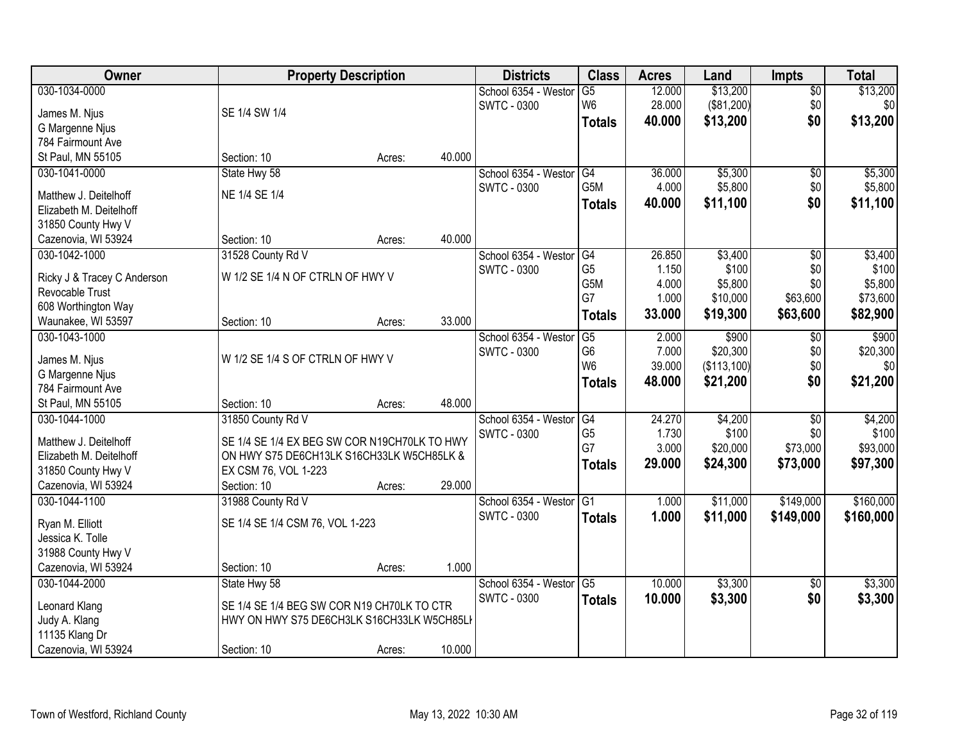| Owner                                          | <b>Property Description</b>                  |        |        | <b>Districts</b>     | <b>Class</b>     | <b>Acres</b> | Land        | <b>Impts</b>    | <b>Total</b> |
|------------------------------------------------|----------------------------------------------|--------|--------|----------------------|------------------|--------------|-------------|-----------------|--------------|
| 030-1034-0000                                  |                                              |        |        | School 6354 - Westor | $\overline{G5}$  | 12.000       | \$13,200    | $\sqrt{$0}$     | \$13,200     |
| James M. Njus                                  | SE 1/4 SW 1/4                                |        |        | <b>SWTC - 0300</b>   | W <sub>6</sub>   | 28.000       | (\$81,200)  | \$0             | \$0          |
| G Margenne Njus                                |                                              |        |        |                      | <b>Totals</b>    | 40.000       | \$13,200    | \$0             | \$13,200     |
| 784 Fairmount Ave                              |                                              |        |        |                      |                  |              |             |                 |              |
| St Paul, MN 55105                              | Section: 10                                  | Acres: | 40.000 |                      |                  |              |             |                 |              |
| 030-1041-0000                                  | State Hwy 58                                 |        |        | School 6354 - Westor | G4               | 36.000       | \$5,300     | \$0             | \$5,300      |
| Matthew J. Deitelhoff                          | NE 1/4 SE 1/4                                |        |        | <b>SWTC - 0300</b>   | G5M              | 4.000        | \$5,800     | \$0             | \$5,800      |
| Elizabeth M. Deitelhoff                        |                                              |        |        |                      | <b>Totals</b>    | 40.000       | \$11,100    | \$0             | \$11,100     |
| 31850 County Hwy V                             |                                              |        |        |                      |                  |              |             |                 |              |
| Cazenovia, WI 53924                            | Section: 10                                  | Acres: | 40.000 |                      |                  |              |             |                 |              |
| 030-1042-1000                                  | 31528 County Rd V                            |        |        | School 6354 - Westor | G4               | 26.850       | \$3,400     | $\overline{50}$ | \$3,400      |
|                                                |                                              |        |        | SWTC - 0300          | G <sub>5</sub>   | 1.150        | \$100       | \$0             | \$100        |
| Ricky J & Tracey C Anderson<br>Revocable Trust | W 1/2 SE 1/4 N OF CTRLN OF HWY V             |        |        |                      | G <sub>5</sub> M | 4.000        | \$5,800     | \$0             | \$5,800      |
| 608 Worthington Way                            |                                              |        |        |                      | G7               | 1.000        | \$10,000    | \$63,600        | \$73,600     |
| Waunakee, WI 53597                             | Section: 10                                  | Acres: | 33.000 |                      | <b>Totals</b>    | 33.000       | \$19,300    | \$63,600        | \$82,900     |
| 030-1043-1000                                  |                                              |        |        | School 6354 - Weston | G5               | 2.000        | \$900       | \$0             | \$900        |
|                                                |                                              |        |        | <b>SWTC - 0300</b>   | G <sub>6</sub>   | 7.000        | \$20,300    | \$0             | \$20,300     |
| James M. Njus                                  | W 1/2 SE 1/4 S OF CTRLN OF HWY V             |        |        |                      | W <sub>6</sub>   | 39.000       | (\$113,100) | \$0             | \$0          |
| G Margenne Njus                                |                                              |        |        |                      | <b>Totals</b>    | 48.000       | \$21,200    | \$0             | \$21,200     |
| 784 Fairmount Ave                              |                                              |        |        |                      |                  |              |             |                 |              |
| St Paul, MN 55105                              | Section: 10                                  | Acres: | 48.000 |                      |                  |              |             |                 |              |
| 030-1044-1000                                  | 31850 County Rd V                            |        |        | School 6354 - Weston | G4               | 24.270       | \$4,200     | $\overline{50}$ | \$4,200      |
| Matthew J. Deitelhoff                          | SE 1/4 SE 1/4 EX BEG SW COR N19CH70LK TO HWY |        |        | <b>SWTC - 0300</b>   | G <sub>5</sub>   | 1.730        | \$100       | \$0             | \$100        |
| Elizabeth M. Deitelhoff                        | ON HWY S75 DE6CH13LK S16CH33LK W5CH85LK &    |        |        |                      | G7               | 3.000        | \$20,000    | \$73,000        | \$93,000     |
| 31850 County Hwy V                             | EX CSM 76, VOL 1-223                         |        |        |                      | <b>Totals</b>    | 29.000       | \$24,300    | \$73,000        | \$97,300     |
| Cazenovia, WI 53924                            | Section: 10                                  | Acres: | 29.000 |                      |                  |              |             |                 |              |
| 030-1044-1100                                  | 31988 County Rd V                            |        |        | School 6354 - Westor | $\overline{G1}$  | 1.000        | \$11,000    | \$149,000       | \$160,000    |
|                                                |                                              |        |        | <b>SWTC - 0300</b>   | <b>Totals</b>    | 1.000        | \$11,000    | \$149,000       | \$160,000    |
| Ryan M. Elliott                                | SE 1/4 SE 1/4 CSM 76, VOL 1-223              |        |        |                      |                  |              |             |                 |              |
| Jessica K. Tolle                               |                                              |        |        |                      |                  |              |             |                 |              |
| 31988 County Hwy V<br>Cazenovia, WI 53924      | Section: 10                                  |        | 1.000  |                      |                  |              |             |                 |              |
| 030-1044-2000                                  |                                              | Acres: |        | School 6354 - Westor | $\overline{G5}$  | 10.000       | \$3,300     |                 | \$3,300      |
|                                                | State Hwy 58                                 |        |        | SWTC - 0300          |                  |              |             | $\overline{30}$ |              |
| Leonard Klang                                  | SE 1/4 SE 1/4 BEG SW COR N19 CH70LK TO CTR   |        |        |                      | <b>Totals</b>    | 10.000       | \$3,300     | \$0             | \$3,300      |
| Judy A. Klang                                  | HWY ON HWY S75 DE6CH3LK S16CH33LK W5CH85LI   |        |        |                      |                  |              |             |                 |              |
| 11135 Klang Dr                                 |                                              |        |        |                      |                  |              |             |                 |              |
| Cazenovia, WI 53924                            | Section: 10                                  | Acres: | 10.000 |                      |                  |              |             |                 |              |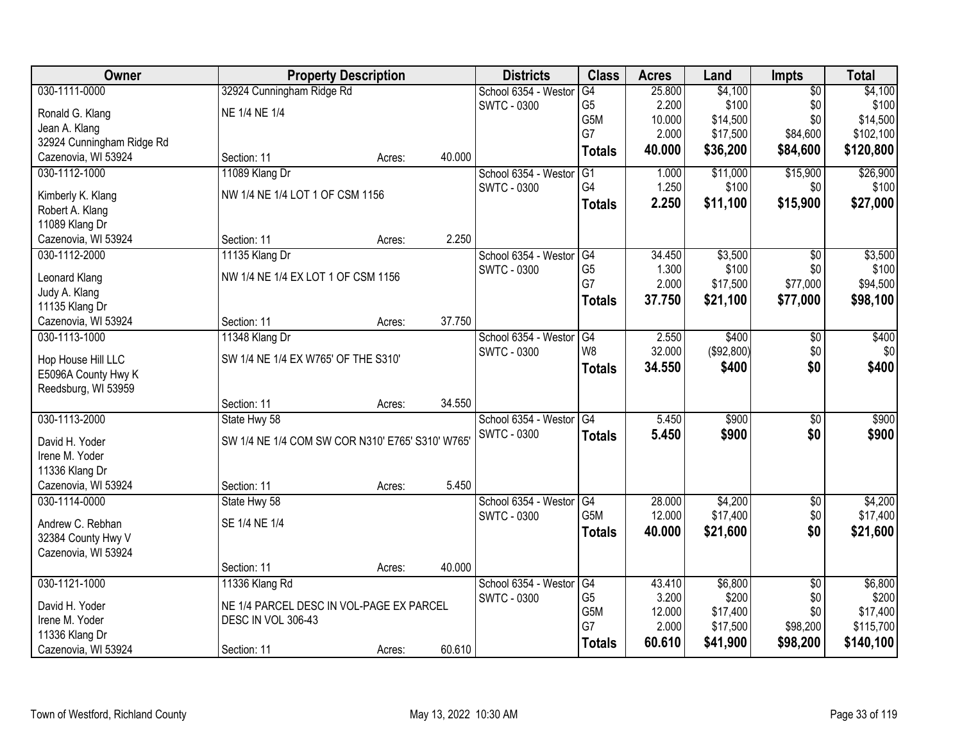| <b>Owner</b>                          |                                                 | <b>Property Description</b> |        | <b>Districts</b>     | <b>Class</b>    | <b>Acres</b> | Land       | <b>Impts</b>    | <b>Total</b> |
|---------------------------------------|-------------------------------------------------|-----------------------------|--------|----------------------|-----------------|--------------|------------|-----------------|--------------|
| 030-1111-0000                         | 32924 Cunningham Ridge Rd                       |                             |        | School 6354 - Weston | G4              | 25.800       | \$4,100    | $\overline{50}$ | \$4,100      |
| Ronald G. Klang                       | NE 1/4 NE 1/4                                   |                             |        | <b>SWTC - 0300</b>   | G <sub>5</sub>  | 2.200        | \$100      | \$0             | \$100        |
| Jean A. Klang                         |                                                 |                             |        |                      | G5M             | 10.000       | \$14,500   | \$0             | \$14,500     |
| 32924 Cunningham Ridge Rd             |                                                 |                             |        |                      | G7              | 2.000        | \$17,500   | \$84,600        | \$102,100    |
| Cazenovia, WI 53924                   | Section: 11                                     | Acres:                      | 40.000 |                      | <b>Totals</b>   | 40.000       | \$36,200   | \$84,600        | \$120,800    |
| 030-1112-1000                         | 11089 Klang Dr                                  |                             |        | School 6354 - Weston | $\overline{G1}$ | 1.000        | \$11,000   | \$15,900        | \$26,900     |
| Kimberly K. Klang                     | NW 1/4 NE 1/4 LOT 1 OF CSM 1156                 |                             |        | <b>SWTC - 0300</b>   | G4              | 1.250        | \$100      | \$0             | \$100        |
| Robert A. Klang                       |                                                 |                             |        |                      | <b>Totals</b>   | 2.250        | \$11,100   | \$15,900        | \$27,000     |
| 11089 Klang Dr                        |                                                 |                             |        |                      |                 |              |            |                 |              |
| Cazenovia, WI 53924                   | Section: 11                                     | Acres:                      | 2.250  |                      |                 |              |            |                 |              |
| 030-1112-2000                         | 11135 Klang Dr                                  |                             |        | School 6354 - Westor | G4              | 34.450       | \$3,500    | $\overline{50}$ | \$3,500      |
|                                       |                                                 |                             |        | <b>SWTC - 0300</b>   | G <sub>5</sub>  | 1.300        | \$100      | \$0             | \$100        |
| Leonard Klang                         | NW 1/4 NE 1/4 EX LOT 1 OF CSM 1156              |                             |        |                      | G7              | 2.000        | \$17,500   | \$77,000        | \$94,500     |
| Judy A. Klang                         |                                                 |                             |        |                      | <b>Totals</b>   | 37.750       | \$21,100   | \$77,000        | \$98,100     |
| 11135 Klang Dr<br>Cazenovia, WI 53924 | Section: 11                                     | Acres:                      | 37.750 |                      |                 |              |            |                 |              |
| 030-1113-1000                         | 11348 Klang Dr                                  |                             |        | School 6354 - Weston | G4              | 2.550        | \$400      | \$0             | \$400        |
|                                       |                                                 |                             |        | <b>SWTC - 0300</b>   | W <sub>8</sub>  | 32.000       | (\$92,800) | \$0             | \$0          |
| Hop House Hill LLC                    | SW 1/4 NE 1/4 EX W765' OF THE S310'             |                             |        |                      |                 | 34.550       | \$400      | \$0             | \$400        |
| E5096A County Hwy K                   |                                                 |                             |        |                      | <b>Totals</b>   |              |            |                 |              |
| Reedsburg, WI 53959                   |                                                 |                             |        |                      |                 |              |            |                 |              |
|                                       | Section: 11                                     | Acres:                      | 34.550 |                      |                 |              |            |                 |              |
| 030-1113-2000                         | State Hwy 58                                    |                             |        | School 6354 - Weston | $\overline{G4}$ | 5.450        | \$900      | $\overline{30}$ | \$900        |
| David H. Yoder                        | SW 1/4 NE 1/4 COM SW COR N310' E765' S310' W765 |                             |        | <b>SWTC - 0300</b>   | <b>Totals</b>   | 5.450        | \$900      | \$0             | \$900        |
| Irene M. Yoder                        |                                                 |                             |        |                      |                 |              |            |                 |              |
| 11336 Klang Dr                        |                                                 |                             |        |                      |                 |              |            |                 |              |
| Cazenovia, WI 53924                   | Section: 11                                     | Acres:                      | 5.450  |                      |                 |              |            |                 |              |
| 030-1114-0000                         | State Hwy 58                                    |                             |        | School 6354 - Westor | $\overline{G4}$ | 28.000       | \$4,200    | $\overline{60}$ | \$4,200      |
| Andrew C. Rebhan                      | SE 1/4 NE 1/4                                   |                             |        | <b>SWTC - 0300</b>   | G5M             | 12.000       | \$17,400   | \$0             | \$17,400     |
| 32384 County Hwy V                    |                                                 |                             |        |                      | <b>Totals</b>   | 40.000       | \$21,600   | \$0             | \$21,600     |
| Cazenovia, WI 53924                   |                                                 |                             |        |                      |                 |              |            |                 |              |
|                                       | Section: 11                                     | Acres:                      | 40.000 |                      |                 |              |            |                 |              |
| 030-1121-1000                         | 11336 Klang Rd                                  |                             |        | School 6354 - Weston | G4              | 43.410       | \$6,800    | $\overline{50}$ | \$6,800      |
|                                       |                                                 |                             |        | <b>SWTC - 0300</b>   | G <sub>5</sub>  | 3.200        | \$200      | \$0             | \$200        |
| David H. Yoder                        | NE 1/4 PARCEL DESC IN VOL-PAGE EX PARCEL        |                             |        |                      | G5M             | 12.000       | \$17,400   | \$0             | \$17,400     |
| Irene M. Yoder                        | DESC IN VOL 306-43                              |                             |        |                      | G7              | 2.000        | \$17,500   | \$98,200        | \$115,700    |
| 11336 Klang Dr<br>Cazenovia, WI 53924 | Section: 11                                     |                             | 60.610 |                      | <b>Totals</b>   | 60.610       | \$41,900   | \$98,200        | \$140,100    |
|                                       |                                                 | Acres:                      |        |                      |                 |              |            |                 |              |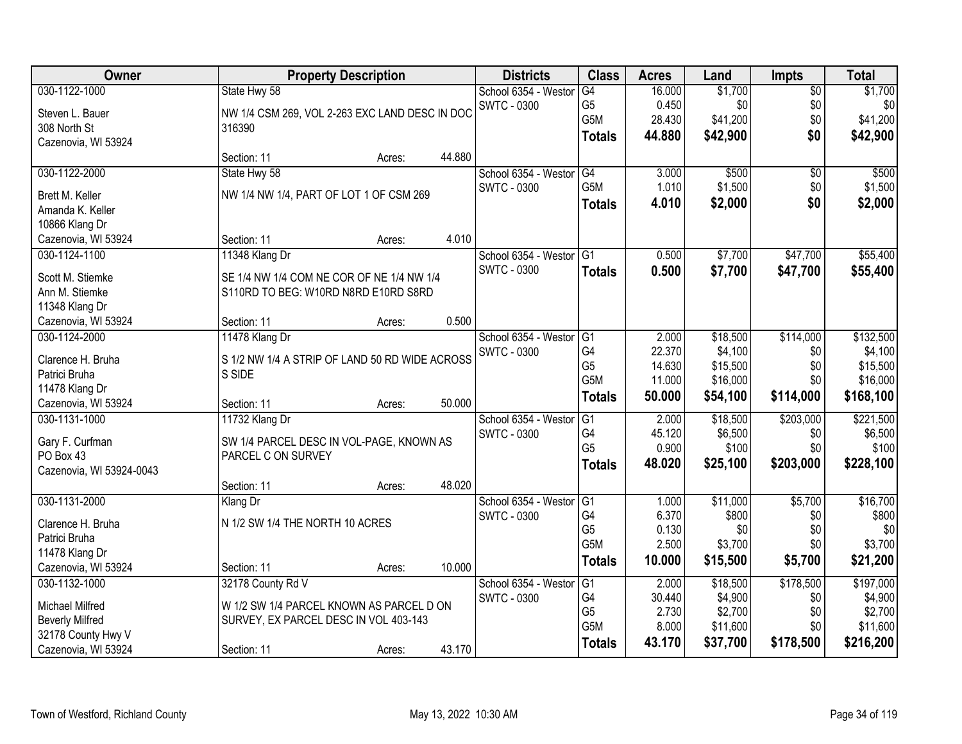| \$1,700<br>030-1122-1000<br>16.000<br>State Hwy 58<br>School 6354 - Weston<br>G4<br>\$0<br>G <sub>5</sub><br>0.450<br><b>SWTC - 0300</b><br>\$0<br>\$0<br>Steven L. Bauer<br>NW 1/4 CSM 269, VOL 2-263 EXC LAND DESC IN DOC<br>G5M<br>28.430<br>\$41,200<br>\$0<br>308 North St<br>316390<br>\$0<br>44.880<br>\$42,900<br><b>Totals</b><br>Cazenovia, WI 53924 | \$1,700<br>\$0<br>\$41,200<br>\$42,900<br>\$500<br>\$1,500 |
|----------------------------------------------------------------------------------------------------------------------------------------------------------------------------------------------------------------------------------------------------------------------------------------------------------------------------------------------------------------|------------------------------------------------------------|
|                                                                                                                                                                                                                                                                                                                                                                |                                                            |
|                                                                                                                                                                                                                                                                                                                                                                |                                                            |
|                                                                                                                                                                                                                                                                                                                                                                |                                                            |
|                                                                                                                                                                                                                                                                                                                                                                |                                                            |
| 44.880<br>Section: 11<br>Acres:                                                                                                                                                                                                                                                                                                                                |                                                            |
| 030-1122-2000<br>State Hwy 58<br>G4<br>3.000<br>\$500<br>School 6354 - Weston<br>\$0                                                                                                                                                                                                                                                                           |                                                            |
| G <sub>5</sub> M<br>1.010<br>\$1,500<br><b>SWTC - 0300</b><br>\$0<br>NW 1/4 NW 1/4, PART OF LOT 1 OF CSM 269<br>Brett M. Keller                                                                                                                                                                                                                                |                                                            |
| \$0<br>4.010<br>\$2,000<br><b>Totals</b><br>Amanda K. Keller                                                                                                                                                                                                                                                                                                   | \$2,000                                                    |
| 10866 Klang Dr                                                                                                                                                                                                                                                                                                                                                 |                                                            |
| 4.010<br>Cazenovia, WI 53924<br>Section: 11<br>Acres:                                                                                                                                                                                                                                                                                                          |                                                            |
| 030-1124-1100<br>11348 Klang Dr<br>School 6354 - Westor<br>IG <sub>1</sub><br>0.500<br>\$7,700<br>\$47,700                                                                                                                                                                                                                                                     | \$55,400                                                   |
| <b>SWTC - 0300</b><br>0.500<br>\$7,700<br>\$47,700<br><b>Totals</b>                                                                                                                                                                                                                                                                                            | \$55,400                                                   |
| SE 1/4 NW 1/4 COM NE COR OF NE 1/4 NW 1/4<br>Scott M. Stiemke                                                                                                                                                                                                                                                                                                  |                                                            |
| Ann M. Stiemke<br>S110RD TO BEG: W10RD N8RD E10RD S8RD                                                                                                                                                                                                                                                                                                         |                                                            |
| 11348 Klang Dr<br>0.500                                                                                                                                                                                                                                                                                                                                        |                                                            |
| Cazenovia, WI 53924<br>Section: 11<br>Acres:                                                                                                                                                                                                                                                                                                                   |                                                            |
| 030-1124-2000<br>\$18,500<br>\$114,000<br>11478 Klang Dr<br>School 6354 - Weston<br>G1<br>2.000<br>G4<br>22.370<br>\$4,100<br><b>SWTC - 0300</b><br>\$0                                                                                                                                                                                                        | \$132,500<br>\$4,100                                       |
| Clarence H. Bruha<br>S 1/2 NW 1/4 A STRIP OF LAND 50 RD WIDE ACROSS<br>G <sub>5</sub><br>\$15,500<br>14.630<br>\$0                                                                                                                                                                                                                                             | \$15,500                                                   |
| S SIDE<br>Patrici Bruha<br>G <sub>5</sub> M<br>\$16,000<br>\$0<br>11.000                                                                                                                                                                                                                                                                                       | \$16,000                                                   |
| 11478 Klang Dr<br>50.000<br>\$54,100<br>\$114,000<br><b>Totals</b>                                                                                                                                                                                                                                                                                             | \$168,100                                                  |
| 50.000<br>Cazenovia, WI 53924<br>Section: 11<br>Acres:                                                                                                                                                                                                                                                                                                         |                                                            |
| \$203,000<br>030-1131-1000<br>11732 Klang Dr<br>$\overline{G1}$<br>2.000<br>\$18,500<br>School 6354 - Weston                                                                                                                                                                                                                                                   | \$221,500                                                  |
| G <sub>4</sub><br>45.120<br>\$6,500<br>\$0<br><b>SWTC - 0300</b><br>Gary F. Curfman<br>SW 1/4 PARCEL DESC IN VOL-PAGE, KNOWN AS                                                                                                                                                                                                                                | \$6,500                                                    |
| G <sub>5</sub><br>0.900<br>\$100<br>\$0<br>PO Box 43<br>PARCEL C ON SURVEY                                                                                                                                                                                                                                                                                     | \$100                                                      |
| 48.020<br>\$203,000<br>\$25,100<br><b>Totals</b><br>Cazenovia, WI 53924-0043                                                                                                                                                                                                                                                                                   | \$228,100                                                  |
| 48.020<br>Section: 11<br>Acres:                                                                                                                                                                                                                                                                                                                                |                                                            |
| \$11,000<br>\$5,700<br>030-1131-2000<br>School 6354 - Westor<br>$\overline{G}$<br>1.000<br>Klang Dr                                                                                                                                                                                                                                                            | \$16,700                                                   |
| G4<br>6.370<br>\$800<br><b>SWTC - 0300</b><br>\$0<br>N 1/2 SW 1/4 THE NORTH 10 ACRES<br>Clarence H. Bruha                                                                                                                                                                                                                                                      | \$800                                                      |
| G <sub>5</sub><br>0.130<br>\$0<br>\$0<br>Patrici Bruha                                                                                                                                                                                                                                                                                                         | \$0                                                        |
| G <sub>5</sub> M<br>2.500<br>\$3,700<br>\$0<br>11478 Klang Dr                                                                                                                                                                                                                                                                                                  | \$3,700                                                    |
| 10.000<br>\$15,500<br>\$5,700<br><b>Totals</b><br>Cazenovia, WI 53924<br>10.000<br>Section: 11<br>Acres:                                                                                                                                                                                                                                                       | \$21,200                                                   |
| \$178,500<br>32178 County Rd V<br>\$18,500<br>030-1132-1000<br>School 6354 - Weston<br>G1<br>2.000                                                                                                                                                                                                                                                             | \$197,000                                                  |
| G4<br>30.440<br>\$4,900<br>\$0<br>SWTC - 0300<br>Michael Milfred<br>W 1/2 SW 1/4 PARCEL KNOWN AS PARCEL D ON                                                                                                                                                                                                                                                   | \$4,900                                                    |
| G <sub>5</sub><br>2.730<br>\$2,700<br>\$0<br><b>Beverly Milfred</b><br>SURVEY, EX PARCEL DESC IN VOL 403-143                                                                                                                                                                                                                                                   | \$2,700                                                    |
| G5M<br>8.000<br>\$11,600<br>\$0<br>32178 County Hwy V                                                                                                                                                                                                                                                                                                          | \$11,600                                                   |
| 43.170<br>\$37,700<br>\$178,500<br><b>Totals</b><br>43.170<br>Cazenovia, WI 53924<br>Section: 11<br>Acres:                                                                                                                                                                                                                                                     | \$216,200                                                  |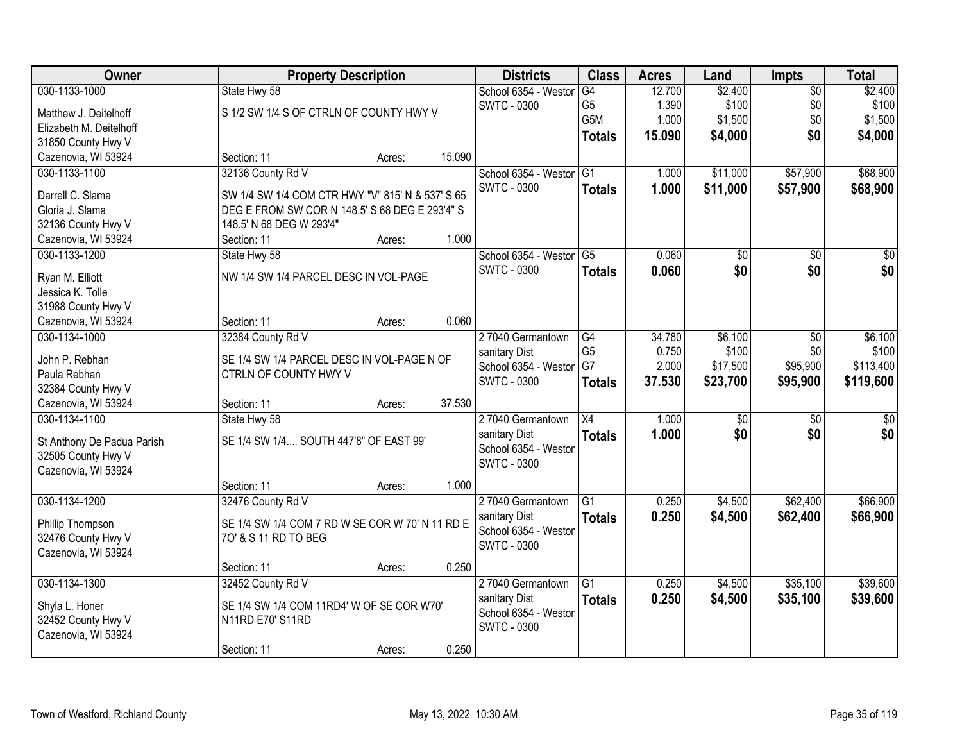| Owner                                  |                                                  | <b>Property Description</b> |        | <b>Districts</b>                           | <b>Class</b>         | <b>Acres</b>   | Land            | <b>Impts</b>    | <b>Total</b>    |
|----------------------------------------|--------------------------------------------------|-----------------------------|--------|--------------------------------------------|----------------------|----------------|-----------------|-----------------|-----------------|
| 030-1133-1000                          | State Hwy 58                                     |                             |        | School 6354 - Westor                       | G4                   | 12.700         | \$2,400         | \$0             | \$2,400         |
| Matthew J. Deitelhoff                  | S 1/2 SW 1/4 S OF CTRLN OF COUNTY HWY V          |                             |        | <b>SWTC - 0300</b>                         | G <sub>5</sub>       | 1.390          | \$100           | \$0             | \$100           |
| Elizabeth M. Deitelhoff                |                                                  |                             |        |                                            | G5M                  | 1.000          | \$1,500         | \$0             | \$1,500         |
| 31850 County Hwy V                     |                                                  |                             |        |                                            | <b>Totals</b>        | 15.090         | \$4,000         | \$0             | \$4,000         |
| Cazenovia, WI 53924                    | Section: 11                                      | Acres:                      | 15.090 |                                            |                      |                |                 |                 |                 |
| 030-1133-1100                          | 32136 County Rd V                                |                             |        | School 6354 - Westor                       | G1                   | 1.000          | \$11,000        | \$57,900        | \$68,900        |
| Darrell C. Slama                       | SW 1/4 SW 1/4 COM CTR HWY "V" 815' N & 537' S 65 |                             |        | <b>SWTC - 0300</b>                         | <b>Totals</b>        | 1.000          | \$11,000        | \$57,900        | \$68,900        |
| Gloria J. Slama                        | DEG E FROM SW COR N 148.5' S 68 DEG E 293'4" S   |                             |        |                                            |                      |                |                 |                 |                 |
| 32136 County Hwy V                     | 148.5' N 68 DEG W 293'4"                         |                             |        |                                            |                      |                |                 |                 |                 |
| Cazenovia, WI 53924                    | Section: 11                                      | Acres:                      | 1.000  |                                            |                      |                |                 |                 |                 |
| 030-1133-1200                          | State Hwy 58                                     |                             |        | School 6354 - Westor                       | G <sub>5</sub>       | 0.060          | $\overline{50}$ | \$0             | $\sqrt{50}$     |
|                                        |                                                  |                             |        | <b>SWTC - 0300</b>                         | <b>Totals</b>        | 0.060          | \$0             | \$0             | \$0             |
| Ryan M. Elliott                        | NW 1/4 SW 1/4 PARCEL DESC IN VOL-PAGE            |                             |        |                                            |                      |                |                 |                 |                 |
| Jessica K. Tolle                       |                                                  |                             |        |                                            |                      |                |                 |                 |                 |
| 31988 County Hwy V                     |                                                  |                             |        |                                            |                      |                |                 |                 |                 |
| Cazenovia, WI 53924                    | Section: 11                                      | Acres:                      | 0.060  |                                            |                      |                |                 |                 |                 |
| 030-1134-1000                          | 32384 County Rd V                                |                             |        | 27040 Germantown                           | G4                   | 34.780         | \$6,100         | $\sqrt[6]{3}$   | \$6,100         |
| John P. Rebhan                         | SE 1/4 SW 1/4 PARCEL DESC IN VOL-PAGE N OF       |                             |        | sanitary Dist                              | G <sub>5</sub><br>G7 | 0.750<br>2.000 | \$100           | \$0<br>\$95,900 | \$100           |
| Paula Rebhan                           | CTRLN OF COUNTY HWY V                            |                             |        | School 6354 - Westor<br><b>SWTC - 0300</b> |                      |                | \$17,500        |                 | \$113,400       |
| 32384 County Hwy V                     |                                                  |                             |        |                                            | <b>Totals</b>        | 37.530         | \$23,700        | \$95,900        | \$119,600       |
| Cazenovia, WI 53924                    | Section: 11                                      | Acres:                      | 37.530 |                                            |                      |                |                 |                 |                 |
| 030-1134-1100                          | State Hwy 58                                     |                             |        | 27040 Germantown                           | $\overline{X4}$      | 1.000          | $\overline{50}$ | \$0             | $\overline{50}$ |
| St Anthony De Padua Parish             | SE 1/4 SW 1/4 SOUTH 447'8" OF EAST 99'           |                             |        | sanitary Dist                              | <b>Totals</b>        | 1.000          | \$0             | \$0             | \$0             |
| 32505 County Hwy V                     |                                                  |                             |        | School 6354 - Weston                       |                      |                |                 |                 |                 |
| Cazenovia, WI 53924                    |                                                  |                             |        | <b>SWTC - 0300</b>                         |                      |                |                 |                 |                 |
|                                        | Section: 11                                      | Acres:                      | 1.000  |                                            |                      |                |                 |                 |                 |
| 030-1134-1200                          | 32476 County Rd V                                |                             |        | 27040 Germantown                           | G <sub>1</sub>       | 0.250          | \$4,500         | \$62,400        | \$66,900        |
|                                        | SE 1/4 SW 1/4 COM 7 RD W SE COR W 70' N 11 RD E  |                             |        | sanitary Dist                              | <b>Totals</b>        | 0.250          | \$4,500         | \$62,400        | \$66,900        |
| Phillip Thompson<br>32476 County Hwy V | 70' & S 11 RD TO BEG                             |                             |        | School 6354 - Westor                       |                      |                |                 |                 |                 |
| Cazenovia, WI 53924                    |                                                  |                             |        | <b>SWTC - 0300</b>                         |                      |                |                 |                 |                 |
|                                        | Section: 11                                      | Acres:                      | 0.250  |                                            |                      |                |                 |                 |                 |
| 030-1134-1300                          | 32452 County Rd V                                |                             |        | 27040 Germantown                           | $\overline{G1}$      | 0.250          | \$4,500         | \$35,100        | \$39,600        |
|                                        |                                                  |                             |        | sanitary Dist                              | <b>Totals</b>        | 0.250          | \$4,500         | \$35,100        | \$39,600        |
| Shyla L. Honer                         | SE 1/4 SW 1/4 COM 11RD4' W OF SE COR W70'        |                             |        | School 6354 - Weston                       |                      |                |                 |                 |                 |
| 32452 County Hwy V                     | N11RD E70' S11RD                                 |                             |        | SWTC - 0300                                |                      |                |                 |                 |                 |
| Cazenovia, WI 53924                    |                                                  |                             |        |                                            |                      |                |                 |                 |                 |
|                                        | Section: 11                                      | Acres:                      | 0.250  |                                            |                      |                |                 |                 |                 |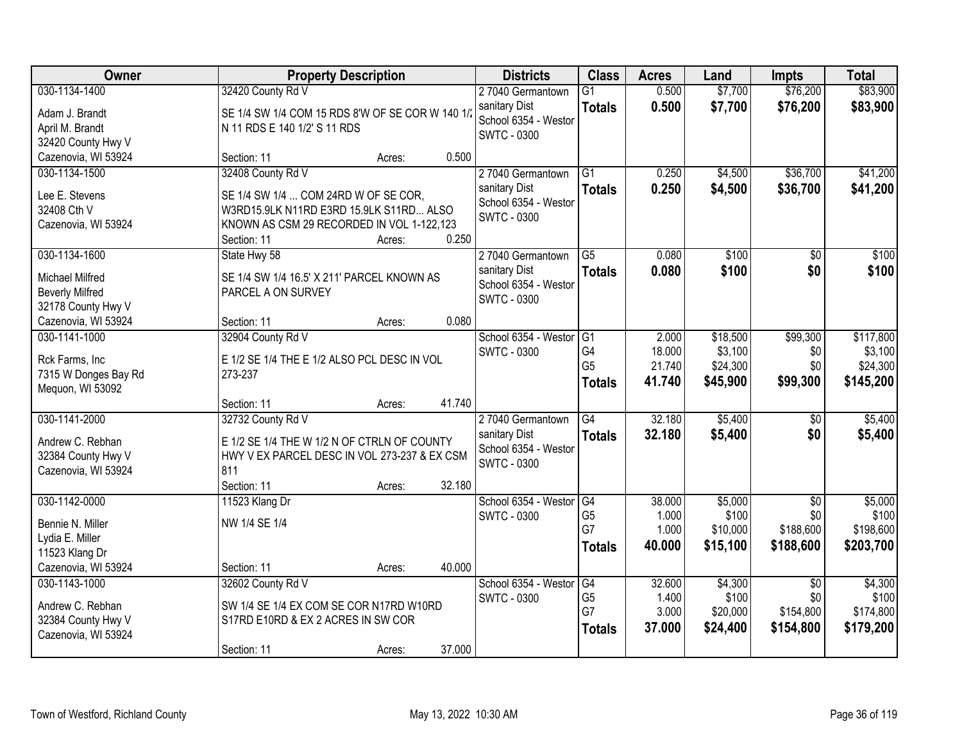| \$76,200<br>\$83,900<br>030-1134-1400<br>32420 County Rd V<br>0.500<br>\$7,700<br>27040 Germantown<br>$\overline{G1}$<br>0.500<br>\$7,700<br>\$76,200<br>\$83,900<br>sanitary Dist<br><b>Totals</b><br>SE 1/4 SW 1/4 COM 15 RDS 8'W OF SE COR W 140 1/<br>Adam J. Brandt<br>School 6354 - Weston<br>April M. Brandt<br>N 11 RDS E 140 1/2' S 11 RDS<br><b>SWTC - 0300</b><br>32420 County Hwy V<br>Cazenovia, WI 53924<br>0.500<br>Section: 11<br>Acres:<br>32408 County Rd V<br>\$36,700<br>\$41,200<br>030-1134-1500<br>27040 Germantown<br>$\overline{G1}$<br>0.250<br>\$4,500<br>sanitary Dist<br>0.250<br>\$4,500<br>\$36,700<br>\$41,200<br><b>Totals</b><br>Lee E. Stevens<br>SE 1/4 SW 1/4  COM 24RD W OF SE COR, | Owner |
|---------------------------------------------------------------------------------------------------------------------------------------------------------------------------------------------------------------------------------------------------------------------------------------------------------------------------------------------------------------------------------------------------------------------------------------------------------------------------------------------------------------------------------------------------------------------------------------------------------------------------------------------------------------------------------------------------------------------------|-------|
|                                                                                                                                                                                                                                                                                                                                                                                                                                                                                                                                                                                                                                                                                                                           |       |
|                                                                                                                                                                                                                                                                                                                                                                                                                                                                                                                                                                                                                                                                                                                           |       |
|                                                                                                                                                                                                                                                                                                                                                                                                                                                                                                                                                                                                                                                                                                                           |       |
|                                                                                                                                                                                                                                                                                                                                                                                                                                                                                                                                                                                                                                                                                                                           |       |
|                                                                                                                                                                                                                                                                                                                                                                                                                                                                                                                                                                                                                                                                                                                           |       |
|                                                                                                                                                                                                                                                                                                                                                                                                                                                                                                                                                                                                                                                                                                                           |       |
|                                                                                                                                                                                                                                                                                                                                                                                                                                                                                                                                                                                                                                                                                                                           |       |
| School 6354 - Weston<br>32408 Cth V<br>W3RD15.9LK N11RD E3RD 15.9LK S11RD ALSO                                                                                                                                                                                                                                                                                                                                                                                                                                                                                                                                                                                                                                            |       |
| SWTC - 0300<br>Cazenovia, WI 53924<br>KNOWN AS CSM 29 RECORDED IN VOL 1-122,123                                                                                                                                                                                                                                                                                                                                                                                                                                                                                                                                                                                                                                           |       |
| 0.250<br>Section: 11<br>Acres:                                                                                                                                                                                                                                                                                                                                                                                                                                                                                                                                                                                                                                                                                            |       |
| \$100<br>030-1134-1600<br>State Hwy 58<br>27040 Germantown<br>$\overline{G5}$<br>0.080<br>\$100<br>$\overline{50}$                                                                                                                                                                                                                                                                                                                                                                                                                                                                                                                                                                                                        |       |
| \$100<br>\$0<br>\$100<br>sanitary Dist<br>0.080<br><b>Totals</b><br><b>Michael Milfred</b><br>SE 1/4 SW 1/4 16.5' X 211' PARCEL KNOWN AS                                                                                                                                                                                                                                                                                                                                                                                                                                                                                                                                                                                  |       |
| School 6354 - Westor<br><b>Beverly Milfred</b><br>PARCEL A ON SURVEY                                                                                                                                                                                                                                                                                                                                                                                                                                                                                                                                                                                                                                                      |       |
| <b>SWTC - 0300</b><br>32178 County Hwy V                                                                                                                                                                                                                                                                                                                                                                                                                                                                                                                                                                                                                                                                                  |       |
| 0.080<br>Cazenovia, WI 53924<br>Section: 11<br>Acres:                                                                                                                                                                                                                                                                                                                                                                                                                                                                                                                                                                                                                                                                     |       |
| 030-1141-1000<br>School 6354 - Weston<br>2.000<br>\$18,500<br>\$99,300<br>\$117,800<br>32904 County Rd V<br>G1                                                                                                                                                                                                                                                                                                                                                                                                                                                                                                                                                                                                            |       |
| G4<br>\$3,100<br>18.000<br>\$3,100<br><b>SWTC - 0300</b><br>\$0<br>Rck Farms, Inc<br>E 1/2 SE 1/4 THE E 1/2 ALSO PCL DESC IN VOL                                                                                                                                                                                                                                                                                                                                                                                                                                                                                                                                                                                          |       |
| G <sub>5</sub><br>\$24,300<br>\$0<br>\$24,300<br>21.740<br>273-237<br>7315 W Donges Bay Rd                                                                                                                                                                                                                                                                                                                                                                                                                                                                                                                                                                                                                                |       |
| \$45,900<br>\$99,300<br>\$145,200<br>41.740<br><b>Totals</b><br>Mequon, WI 53092                                                                                                                                                                                                                                                                                                                                                                                                                                                                                                                                                                                                                                          |       |
| 41.740<br>Section: 11<br>Acres:                                                                                                                                                                                                                                                                                                                                                                                                                                                                                                                                                                                                                                                                                           |       |
| $\overline{G4}$<br>32.180<br>030-1141-2000<br>\$5,400<br>\$5,400<br>32732 County Rd V<br>27040 Germantown<br>\$0                                                                                                                                                                                                                                                                                                                                                                                                                                                                                                                                                                                                          |       |
| 32.180<br>\$5,400<br>\$5,400<br>sanitary Dist<br>\$0<br><b>Totals</b>                                                                                                                                                                                                                                                                                                                                                                                                                                                                                                                                                                                                                                                     |       |
| Andrew C. Rebhan<br>E 1/2 SE 1/4 THE W 1/2 N OF CTRLN OF COUNTY<br>School 6354 - Westor<br>32384 County Hwy V<br>HWY V EX PARCEL DESC IN VOL 273-237 & EX CSM                                                                                                                                                                                                                                                                                                                                                                                                                                                                                                                                                             |       |
| <b>SWTC - 0300</b><br>Cazenovia, WI 53924<br>811                                                                                                                                                                                                                                                                                                                                                                                                                                                                                                                                                                                                                                                                          |       |
| 32.180<br>Section: 11<br>Acres:                                                                                                                                                                                                                                                                                                                                                                                                                                                                                                                                                                                                                                                                                           |       |
| \$5,000<br>\$5,000<br>030-1142-0000<br>School 6354 - Westor<br>G4<br>38.000<br>$\overline{30}$<br>11523 Klang Dr                                                                                                                                                                                                                                                                                                                                                                                                                                                                                                                                                                                                          |       |
| G <sub>5</sub><br>\$100<br>1.000<br>\$100<br>\$0<br><b>SWTC - 0300</b><br>NW 1/4 SE 1/4<br>Bennie N. Miller                                                                                                                                                                                                                                                                                                                                                                                                                                                                                                                                                                                                               |       |
| G7<br>1.000<br>\$10,000<br>\$188,600<br>\$198,600<br>Lydia E. Miller                                                                                                                                                                                                                                                                                                                                                                                                                                                                                                                                                                                                                                                      |       |
| \$15,100<br>\$188,600<br>\$203,700<br>40.000<br><b>Totals</b><br>11523 Klang Dr                                                                                                                                                                                                                                                                                                                                                                                                                                                                                                                                                                                                                                           |       |
| Cazenovia, WI 53924<br>40.000<br>Section: 11<br>Acres:                                                                                                                                                                                                                                                                                                                                                                                                                                                                                                                                                                                                                                                                    |       |
| 030-1143-1000<br>32602 County Rd V<br>School 6354 - Weston<br>32.600<br>\$4,300<br>\$4,300<br>G4<br>$\overline{30}$                                                                                                                                                                                                                                                                                                                                                                                                                                                                                                                                                                                                       |       |
| G <sub>5</sub><br>\$100<br>\$0<br>\$100<br>1.400<br><b>SWTC - 0300</b>                                                                                                                                                                                                                                                                                                                                                                                                                                                                                                                                                                                                                                                    |       |
| Andrew C. Rebhan<br>SW 1/4 SE 1/4 EX COM SE COR N17RD W10RD<br>G7<br>3.000<br>\$154,800<br>\$174,800<br>\$20,000                                                                                                                                                                                                                                                                                                                                                                                                                                                                                                                                                                                                          |       |
| 32384 County Hwy V<br>S17RD E10RD & EX 2 ACRES IN SW COR<br>37.000<br>\$24,400<br>\$154,800<br>\$179,200<br><b>Totals</b><br>Cazenovia, WI 53924                                                                                                                                                                                                                                                                                                                                                                                                                                                                                                                                                                          |       |
| 37.000<br>Section: 11<br>Acres:                                                                                                                                                                                                                                                                                                                                                                                                                                                                                                                                                                                                                                                                                           |       |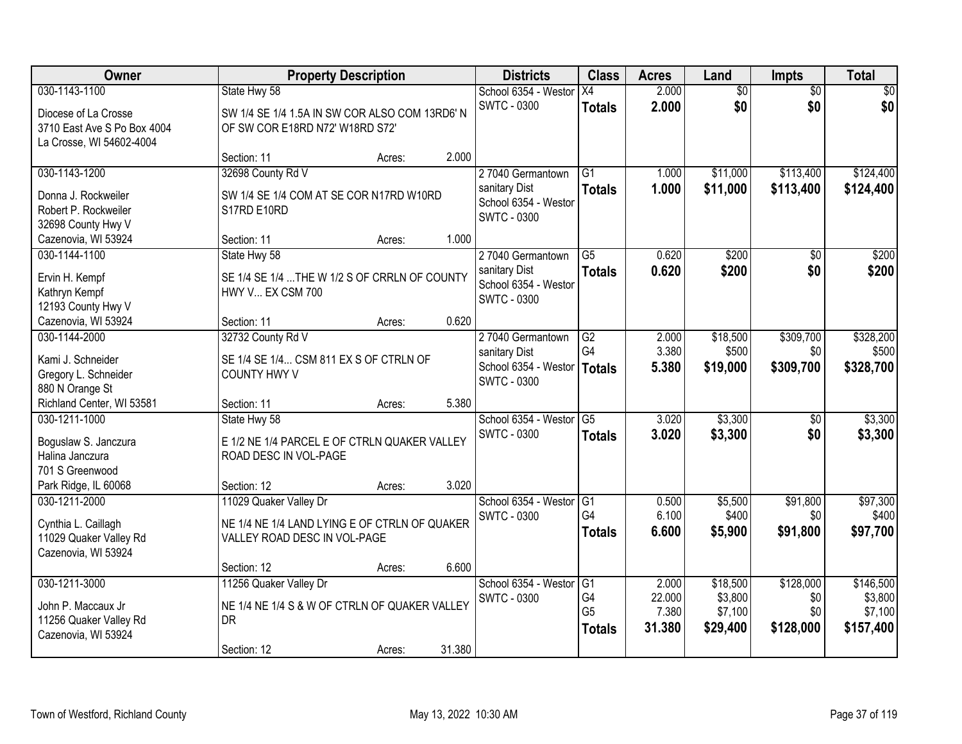| Owner                       | <b>Property Description</b>                    |        |        | <b>Districts</b>                           | <b>Class</b>    | <b>Acres</b> | Land            | <b>Impts</b>    | <b>Total</b> |
|-----------------------------|------------------------------------------------|--------|--------|--------------------------------------------|-----------------|--------------|-----------------|-----------------|--------------|
| 030-1143-1100               | State Hwy 58                                   |        |        | School 6354 - Westor                       | X4              | 2.000        | $\overline{50}$ | $\overline{50}$ | $\sqrt{30}$  |
| Diocese of La Crosse        | SW 1/4 SE 1/4 1.5A IN SW COR ALSO COM 13RD6' N |        |        | <b>SWTC - 0300</b>                         | <b>Totals</b>   | 2.000        | \$0             | \$0             | \$0          |
| 3710 East Ave S Po Box 4004 | OF SW COR E18RD N72' W18RD S72'                |        |        |                                            |                 |              |                 |                 |              |
| La Crosse, WI 54602-4004    |                                                |        |        |                                            |                 |              |                 |                 |              |
|                             | Section: 11                                    | Acres: | 2.000  |                                            |                 |              |                 |                 |              |
| 030-1143-1200               | 32698 County Rd V                              |        |        | 27040 Germantown                           | $\overline{G1}$ | 1.000        | \$11,000        | \$113,400       | \$124,400    |
| Donna J. Rockweiler         | SW 1/4 SE 1/4 COM AT SE COR N17RD W10RD        |        |        | sanitary Dist                              | <b>Totals</b>   | 1.000        | \$11,000        | \$113,400       | \$124,400    |
| Robert P. Rockweiler        | S17RD E10RD                                    |        |        | School 6354 - Westor<br><b>SWTC - 0300</b> |                 |              |                 |                 |              |
| 32698 County Hwy V          |                                                |        |        |                                            |                 |              |                 |                 |              |
| Cazenovia, WI 53924         | Section: 11                                    | Acres: | 1.000  |                                            |                 |              |                 |                 |              |
| 030-1144-1100               | State Hwy 58                                   |        |        | 27040 Germantown                           | $\overline{G5}$ | 0.620        | \$200           | \$0             | \$200        |
| Ervin H. Kempf              | SE 1/4 SE 1/4  THE W 1/2 S OF CRRLN OF COUNTY  |        |        | sanitary Dist                              | <b>Totals</b>   | 0.620        | \$200           | \$0             | \$200        |
| Kathryn Kempf               | HWY V EX CSM 700                               |        |        | School 6354 - Weston<br><b>SWTC - 0300</b> |                 |              |                 |                 |              |
| 12193 County Hwy V          |                                                |        |        |                                            |                 |              |                 |                 |              |
| Cazenovia, WI 53924         | Section: 11                                    | Acres: | 0.620  |                                            |                 |              |                 |                 |              |
| 030-1144-2000               | 32732 County Rd V                              |        |        | 27040 Germantown                           | $\overline{G2}$ | 2.000        | \$18,500        | \$309,700       | \$328,200    |
| Kami J. Schneider           | SE 1/4 SE 1/4 CSM 811 EX S OF CTRLN OF         |        |        | sanitary Dist                              | G4              | 3.380        | \$500           | \$0             | \$500        |
| Gregory L. Schneider        | <b>COUNTY HWY V</b>                            |        |        | School 6354 - Weston<br><b>SWTC - 0300</b> | <b>Totals</b>   | 5.380        | \$19,000        | \$309,700       | \$328,700    |
| 880 N Orange St             |                                                |        |        |                                            |                 |              |                 |                 |              |
| Richland Center, WI 53581   | Section: 11                                    | Acres: | 5.380  |                                            |                 |              |                 |                 |              |
| 030-1211-1000               | State Hwy 58                                   |        |        | School 6354 - Westor                       | $\overline{G5}$ | 3.020        | \$3,300         | $\overline{50}$ | \$3,300      |
| Boguslaw S. Janczura        | E 1/2 NE 1/4 PARCEL E OF CTRLN QUAKER VALLEY   |        |        | <b>SWTC - 0300</b>                         | <b>Totals</b>   | 3.020        | \$3,300         | \$0             | \$3,300      |
| Halina Janczura             | ROAD DESC IN VOL-PAGE                          |        |        |                                            |                 |              |                 |                 |              |
| 701 S Greenwood             |                                                |        |        |                                            |                 |              |                 |                 |              |
| Park Ridge, IL 60068        | Section: 12                                    | Acres: | 3.020  |                                            |                 |              |                 |                 |              |
| 030-1211-2000               | 11029 Quaker Valley Dr                         |        |        | School 6354 - Westor                       | G <sub>1</sub>  | 0.500        | \$5,500         | \$91,800        | \$97,300     |
| Cynthia L. Caillagh         | NE 1/4 NE 1/4 LAND LYING E OF CTRLN OF QUAKER  |        |        | <b>SWTC - 0300</b>                         | G4              | 6.100        | \$400           | \$0             | \$400        |
| 11029 Quaker Valley Rd      | VALLEY ROAD DESC IN VOL-PAGE                   |        |        |                                            | <b>Totals</b>   | 6.600        | \$5,900         | \$91,800        | \$97,700     |
| Cazenovia, WI 53924         |                                                |        |        |                                            |                 |              |                 |                 |              |
|                             | Section: 12                                    | Acres: | 6.600  |                                            |                 |              |                 |                 |              |
| 030-1211-3000               | 11256 Quaker Valley Dr                         |        |        | School 6354 - Westor                       | G1              | 2.000        | \$18,500        | \$128,000       | \$146,500    |
| John P. Maccaux Jr          | NE 1/4 NE 1/4 S & W OF CTRLN OF QUAKER VALLEY  |        |        | <b>SWTC - 0300</b>                         | G4              | 22.000       | \$3,800         | \$0             | \$3,800      |
| 11256 Quaker Valley Rd      | <b>DR</b>                                      |        |        |                                            | G <sub>5</sub>  | 7.380        | \$7,100         | \$0             | \$7,100      |
| Cazenovia, WI 53924         |                                                |        |        |                                            | <b>Totals</b>   | 31.380       | \$29,400        | \$128,000       | \$157,400    |
|                             | Section: 12                                    | Acres: | 31.380 |                                            |                 |              |                 |                 |              |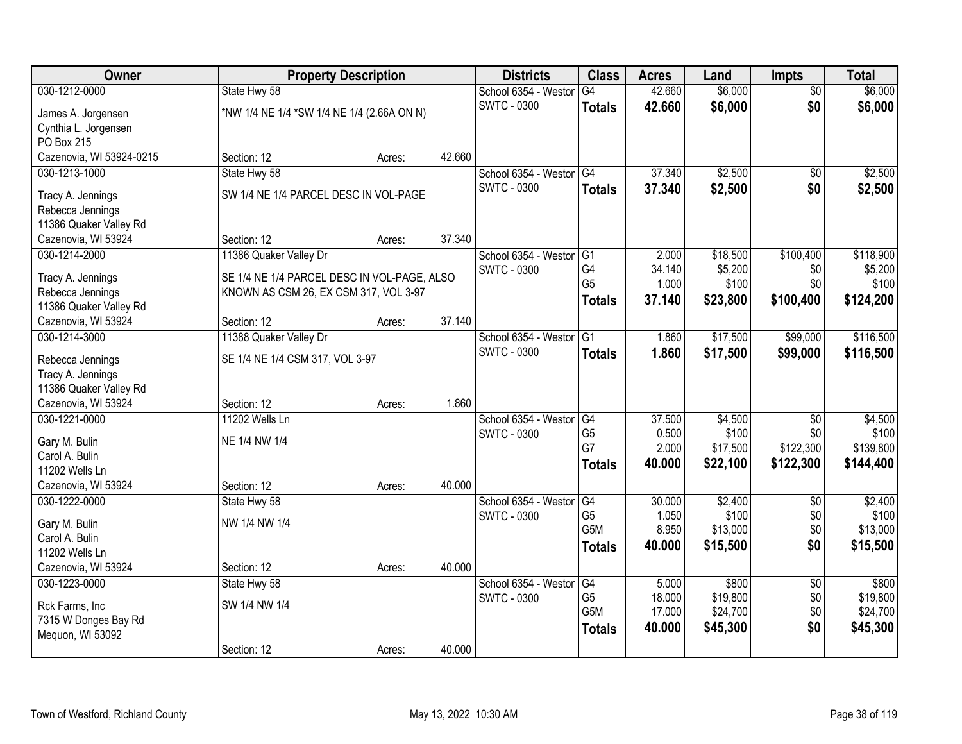| \$6,000<br>030-1212-0000<br>42.660<br>\$6,000<br>State Hwy 58<br>School 6354 - Westor<br>G4<br>$\overline{50}$<br><b>SWTC - 0300</b><br>\$0<br>42.660<br>\$6,000<br>\$6,000<br><b>Totals</b><br>*NW 1/4 NE 1/4 *SW 1/4 NE 1/4 (2.66A ON N)<br>James A. Jorgensen<br>Cynthia L. Jorgensen<br>PO Box 215<br>Cazenovia, WI 53924-0215<br>42.660<br>Section: 12<br>Acres:<br>37.340<br>\$2,500<br>School 6354 - Westor<br>G4<br>030-1213-1000<br>State Hwy 58<br>$\overline{50}$<br><b>SWTC - 0300</b><br>37.340<br>\$2,500<br>\$0<br>\$2,500<br><b>Totals</b><br>SW 1/4 NE 1/4 PARCEL DESC IN VOL-PAGE<br>Tracy A. Jennings<br>Rebecca Jennings<br>11386 Quaker Valley Rd<br>37.340<br>Cazenovia, WI 53924<br>Section: 12<br>Acres:<br>\$100,400<br>030-1214-2000<br>11386 Quaker Valley Dr<br>School 6354 - Westor G1<br>2.000<br>\$18,500<br>G4<br>\$5,200<br>\$0<br><b>SWTC - 0300</b><br>34.140<br>SE 1/4 NE 1/4 PARCEL DESC IN VOL-PAGE, ALSO<br>Tracy A. Jennings<br>G <sub>5</sub><br>\$100<br>\$0<br>1.000<br>Rebecca Jennings<br>KNOWN AS CSM 26, EX CSM 317, VOL 3-97<br>37.140<br>\$23,800<br>\$100,400<br>\$124,200<br><b>Totals</b><br>11386 Quaker Valley Rd<br>37.140<br>Cazenovia, WI 53924<br>Section: 12<br>Acres:<br>School 6354 - Westor<br>\$17,500<br>\$99,000<br>030-1214-3000<br>11388 Quaker Valley Dr<br>G1<br>1.860<br><b>SWTC - 0300</b><br>1.860<br>\$17,500<br>\$99,000<br><b>Totals</b><br>SE 1/4 NE 1/4 CSM 317, VOL 3-97<br>Rebecca Jennings<br>Tracy A. Jennings<br>11386 Quaker Valley Rd<br>1.860<br>Cazenovia, WI 53924<br>Section: 12<br>Acres: |
|------------------------------------------------------------------------------------------------------------------------------------------------------------------------------------------------------------------------------------------------------------------------------------------------------------------------------------------------------------------------------------------------------------------------------------------------------------------------------------------------------------------------------------------------------------------------------------------------------------------------------------------------------------------------------------------------------------------------------------------------------------------------------------------------------------------------------------------------------------------------------------------------------------------------------------------------------------------------------------------------------------------------------------------------------------------------------------------------------------------------------------------------------------------------------------------------------------------------------------------------------------------------------------------------------------------------------------------------------------------------------------------------------------------------------------------------------------------------------------------------------------------------------------------------------------------------------------|
| \$2,500                                                                                                                                                                                                                                                                                                                                                                                                                                                                                                                                                                                                                                                                                                                                                                                                                                                                                                                                                                                                                                                                                                                                                                                                                                                                                                                                                                                                                                                                                                                                                                            |
|                                                                                                                                                                                                                                                                                                                                                                                                                                                                                                                                                                                                                                                                                                                                                                                                                                                                                                                                                                                                                                                                                                                                                                                                                                                                                                                                                                                                                                                                                                                                                                                    |
|                                                                                                                                                                                                                                                                                                                                                                                                                                                                                                                                                                                                                                                                                                                                                                                                                                                                                                                                                                                                                                                                                                                                                                                                                                                                                                                                                                                                                                                                                                                                                                                    |
|                                                                                                                                                                                                                                                                                                                                                                                                                                                                                                                                                                                                                                                                                                                                                                                                                                                                                                                                                                                                                                                                                                                                                                                                                                                                                                                                                                                                                                                                                                                                                                                    |
|                                                                                                                                                                                                                                                                                                                                                                                                                                                                                                                                                                                                                                                                                                                                                                                                                                                                                                                                                                                                                                                                                                                                                                                                                                                                                                                                                                                                                                                                                                                                                                                    |
| \$118,900<br>\$5,200<br>\$100<br>\$116,500<br>\$116,500                                                                                                                                                                                                                                                                                                                                                                                                                                                                                                                                                                                                                                                                                                                                                                                                                                                                                                                                                                                                                                                                                                                                                                                                                                                                                                                                                                                                                                                                                                                            |
|                                                                                                                                                                                                                                                                                                                                                                                                                                                                                                                                                                                                                                                                                                                                                                                                                                                                                                                                                                                                                                                                                                                                                                                                                                                                                                                                                                                                                                                                                                                                                                                    |
|                                                                                                                                                                                                                                                                                                                                                                                                                                                                                                                                                                                                                                                                                                                                                                                                                                                                                                                                                                                                                                                                                                                                                                                                                                                                                                                                                                                                                                                                                                                                                                                    |
|                                                                                                                                                                                                                                                                                                                                                                                                                                                                                                                                                                                                                                                                                                                                                                                                                                                                                                                                                                                                                                                                                                                                                                                                                                                                                                                                                                                                                                                                                                                                                                                    |
|                                                                                                                                                                                                                                                                                                                                                                                                                                                                                                                                                                                                                                                                                                                                                                                                                                                                                                                                                                                                                                                                                                                                                                                                                                                                                                                                                                                                                                                                                                                                                                                    |
|                                                                                                                                                                                                                                                                                                                                                                                                                                                                                                                                                                                                                                                                                                                                                                                                                                                                                                                                                                                                                                                                                                                                                                                                                                                                                                                                                                                                                                                                                                                                                                                    |
|                                                                                                                                                                                                                                                                                                                                                                                                                                                                                                                                                                                                                                                                                                                                                                                                                                                                                                                                                                                                                                                                                                                                                                                                                                                                                                                                                                                                                                                                                                                                                                                    |
|                                                                                                                                                                                                                                                                                                                                                                                                                                                                                                                                                                                                                                                                                                                                                                                                                                                                                                                                                                                                                                                                                                                                                                                                                                                                                                                                                                                                                                                                                                                                                                                    |
|                                                                                                                                                                                                                                                                                                                                                                                                                                                                                                                                                                                                                                                                                                                                                                                                                                                                                                                                                                                                                                                                                                                                                                                                                                                                                                                                                                                                                                                                                                                                                                                    |
|                                                                                                                                                                                                                                                                                                                                                                                                                                                                                                                                                                                                                                                                                                                                                                                                                                                                                                                                                                                                                                                                                                                                                                                                                                                                                                                                                                                                                                                                                                                                                                                    |
|                                                                                                                                                                                                                                                                                                                                                                                                                                                                                                                                                                                                                                                                                                                                                                                                                                                                                                                                                                                                                                                                                                                                                                                                                                                                                                                                                                                                                                                                                                                                                                                    |
|                                                                                                                                                                                                                                                                                                                                                                                                                                                                                                                                                                                                                                                                                                                                                                                                                                                                                                                                                                                                                                                                                                                                                                                                                                                                                                                                                                                                                                                                                                                                                                                    |
|                                                                                                                                                                                                                                                                                                                                                                                                                                                                                                                                                                                                                                                                                                                                                                                                                                                                                                                                                                                                                                                                                                                                                                                                                                                                                                                                                                                                                                                                                                                                                                                    |
|                                                                                                                                                                                                                                                                                                                                                                                                                                                                                                                                                                                                                                                                                                                                                                                                                                                                                                                                                                                                                                                                                                                                                                                                                                                                                                                                                                                                                                                                                                                                                                                    |
|                                                                                                                                                                                                                                                                                                                                                                                                                                                                                                                                                                                                                                                                                                                                                                                                                                                                                                                                                                                                                                                                                                                                                                                                                                                                                                                                                                                                                                                                                                                                                                                    |
| \$4,500<br>030-1221-0000<br>11202 Wells Ln<br>School 6354 - Westor<br>37.500<br>\$4,500<br>$\overline{30}$<br>G4                                                                                                                                                                                                                                                                                                                                                                                                                                                                                                                                                                                                                                                                                                                                                                                                                                                                                                                                                                                                                                                                                                                                                                                                                                                                                                                                                                                                                                                                   |
| G <sub>5</sub><br>0.500<br>\$100<br>\$0<br>\$100<br><b>SWTC - 0300</b><br>NE 1/4 NW 1/4<br>Gary M. Bulin                                                                                                                                                                                                                                                                                                                                                                                                                                                                                                                                                                                                                                                                                                                                                                                                                                                                                                                                                                                                                                                                                                                                                                                                                                                                                                                                                                                                                                                                           |
| G7<br>2.000<br>\$122,300<br>\$139,800<br>\$17,500<br>Carol A. Bulin                                                                                                                                                                                                                                                                                                                                                                                                                                                                                                                                                                                                                                                                                                                                                                                                                                                                                                                                                                                                                                                                                                                                                                                                                                                                                                                                                                                                                                                                                                                |
| 40.000<br>\$22,100<br>\$122,300<br>\$144,400<br><b>Totals</b><br>11202 Wells Ln                                                                                                                                                                                                                                                                                                                                                                                                                                                                                                                                                                                                                                                                                                                                                                                                                                                                                                                                                                                                                                                                                                                                                                                                                                                                                                                                                                                                                                                                                                    |
| 40.000<br>Cazenovia, WI 53924<br>Section: 12<br>Acres:                                                                                                                                                                                                                                                                                                                                                                                                                                                                                                                                                                                                                                                                                                                                                                                                                                                                                                                                                                                                                                                                                                                                                                                                                                                                                                                                                                                                                                                                                                                             |
| School 6354 - Westor<br>G4<br>\$2,400<br>\$2,400<br>030-1222-0000<br>30.000<br>$\sqrt{6}$<br>State Hwy 58                                                                                                                                                                                                                                                                                                                                                                                                                                                                                                                                                                                                                                                                                                                                                                                                                                                                                                                                                                                                                                                                                                                                                                                                                                                                                                                                                                                                                                                                          |
| G <sub>5</sub><br>1.050<br>\$100<br>\$0<br>\$100<br><b>SWTC - 0300</b><br>NW 1/4 NW 1/4                                                                                                                                                                                                                                                                                                                                                                                                                                                                                                                                                                                                                                                                                                                                                                                                                                                                                                                                                                                                                                                                                                                                                                                                                                                                                                                                                                                                                                                                                            |
| Gary M. Bulin<br>G <sub>5</sub> M<br>\$13,000<br>8.950<br>\$13,000<br>\$0<br>Carol A. Bulin                                                                                                                                                                                                                                                                                                                                                                                                                                                                                                                                                                                                                                                                                                                                                                                                                                                                                                                                                                                                                                                                                                                                                                                                                                                                                                                                                                                                                                                                                        |
| 40.000<br>\$15,500<br>\$0<br>\$15,500<br><b>Totals</b><br>11202 Wells Ln                                                                                                                                                                                                                                                                                                                                                                                                                                                                                                                                                                                                                                                                                                                                                                                                                                                                                                                                                                                                                                                                                                                                                                                                                                                                                                                                                                                                                                                                                                           |
| Cazenovia, WI 53924<br>40.000<br>Section: 12<br>Acres:                                                                                                                                                                                                                                                                                                                                                                                                                                                                                                                                                                                                                                                                                                                                                                                                                                                                                                                                                                                                                                                                                                                                                                                                                                                                                                                                                                                                                                                                                                                             |
| School 6354 - Westor<br>\$800<br>\$800<br>030-1223-0000<br>State Hwy 58<br>G4<br>5.000<br>$\overline{50}$                                                                                                                                                                                                                                                                                                                                                                                                                                                                                                                                                                                                                                                                                                                                                                                                                                                                                                                                                                                                                                                                                                                                                                                                                                                                                                                                                                                                                                                                          |
| \$19,800<br>G <sub>5</sub><br>18.000<br>\$19,800<br>\$0<br><b>SWTC - 0300</b>                                                                                                                                                                                                                                                                                                                                                                                                                                                                                                                                                                                                                                                                                                                                                                                                                                                                                                                                                                                                                                                                                                                                                                                                                                                                                                                                                                                                                                                                                                      |
| SW 1/4 NW 1/4<br>Rck Farms, Inc<br>G <sub>5</sub> M<br>\$24,700<br>\$0<br>\$24,700<br>17.000                                                                                                                                                                                                                                                                                                                                                                                                                                                                                                                                                                                                                                                                                                                                                                                                                                                                                                                                                                                                                                                                                                                                                                                                                                                                                                                                                                                                                                                                                       |
| 7315 W Donges Bay Rd<br>\$0<br>40.000<br>\$45,300<br>\$45,300<br><b>Totals</b><br>Mequon, WI 53092                                                                                                                                                                                                                                                                                                                                                                                                                                                                                                                                                                                                                                                                                                                                                                                                                                                                                                                                                                                                                                                                                                                                                                                                                                                                                                                                                                                                                                                                                 |
| 40.000<br>Section: 12<br>Acres:                                                                                                                                                                                                                                                                                                                                                                                                                                                                                                                                                                                                                                                                                                                                                                                                                                                                                                                                                                                                                                                                                                                                                                                                                                                                                                                                                                                                                                                                                                                                                    |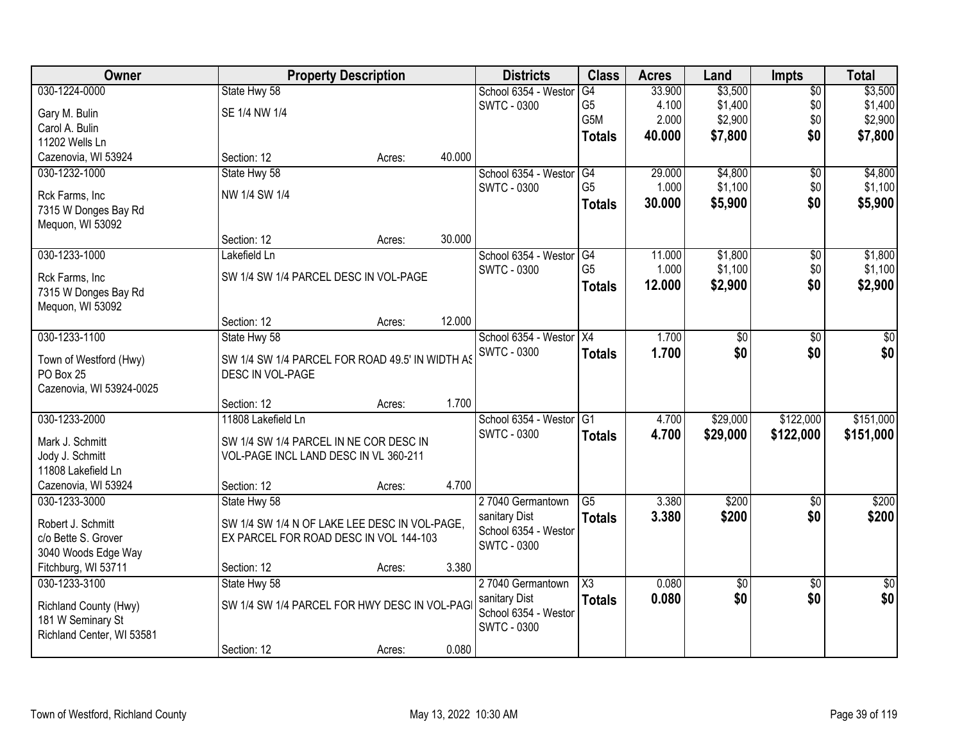| Owner                                  |                                                 | <b>Property Description</b> |        | <b>Districts</b>     | <b>Class</b>           | <b>Acres</b> | Land            | <b>Impts</b>    | <b>Total</b>    |
|----------------------------------------|-------------------------------------------------|-----------------------------|--------|----------------------|------------------------|--------------|-----------------|-----------------|-----------------|
| 030-1224-0000                          | State Hwy 58                                    |                             |        | School 6354 - Weston | G4                     | 33.900       | \$3,500         | $\overline{50}$ | \$3,500         |
| Gary M. Bulin                          | SE 1/4 NW 1/4                                   |                             |        | <b>SWTC - 0300</b>   | G <sub>5</sub>         | 4.100        | \$1,400         | \$0             | \$1,400         |
| Carol A. Bulin                         |                                                 |                             |        |                      | G5M                    | 2.000        | \$2,900         | \$0             | \$2,900         |
| 11202 Wells Ln                         |                                                 |                             |        |                      | <b>Totals</b>          | 40.000       | \$7,800         | \$0             | \$7,800         |
| Cazenovia, WI 53924                    | Section: 12                                     | Acres:                      | 40.000 |                      |                        |              |                 |                 |                 |
| 030-1232-1000                          | State Hwy 58                                    |                             |        | School 6354 - Weston | G4                     | 29.000       | \$4,800         | $\overline{50}$ | \$4,800         |
|                                        | NW 1/4 SW 1/4                                   |                             |        | <b>SWTC - 0300</b>   | G <sub>5</sub>         | 1.000        | \$1,100         | \$0             | \$1,100         |
| Rck Farms, Inc<br>7315 W Donges Bay Rd |                                                 |                             |        |                      | <b>Totals</b>          | 30.000       | \$5,900         | \$0             | \$5,900         |
| Mequon, WI 53092                       |                                                 |                             |        |                      |                        |              |                 |                 |                 |
|                                        | Section: 12                                     | Acres:                      | 30.000 |                      |                        |              |                 |                 |                 |
| 030-1233-1000                          | Lakefield Ln                                    |                             |        | School 6354 - Westor | G4                     | 11.000       | \$1,800         | \$0             | \$1,800         |
|                                        |                                                 |                             |        | <b>SWTC - 0300</b>   | G <sub>5</sub>         | 1.000        | \$1,100         | \$0             | \$1,100         |
| Rck Farms, Inc                         | SW 1/4 SW 1/4 PARCEL DESC IN VOL-PAGE           |                             |        |                      | <b>Totals</b>          | 12.000       | \$2,900         | \$0             | \$2,900         |
| 7315 W Donges Bay Rd                   |                                                 |                             |        |                      |                        |              |                 |                 |                 |
| Mequon, WI 53092                       | Section: 12                                     | Acres:                      | 12.000 |                      |                        |              |                 |                 |                 |
| 030-1233-1100                          | State Hwy 58                                    |                             |        | School 6354 - Westor | X4                     | 1.700        | \$0             | \$0             | \$0             |
|                                        |                                                 |                             |        | <b>SWTC - 0300</b>   | <b>Totals</b>          | 1.700        | \$0             | \$0             | \$0             |
| Town of Westford (Hwy)                 | SW 1/4 SW 1/4 PARCEL FOR ROAD 49.5' IN WIDTH AS |                             |        |                      |                        |              |                 |                 |                 |
| PO Box 25                              | DESC IN VOL-PAGE                                |                             |        |                      |                        |              |                 |                 |                 |
| Cazenovia, WI 53924-0025               |                                                 |                             |        |                      |                        |              |                 |                 |                 |
|                                        | Section: 12                                     | Acres:                      | 1.700  |                      |                        |              |                 |                 |                 |
| 030-1233-2000                          | 11808 Lakefield Ln                              |                             |        | School 6354 - Westor | $\overline{G1}$        | 4.700        | \$29,000        | \$122,000       | \$151,000       |
| Mark J. Schmitt                        | SW 1/4 SW 1/4 PARCEL IN NE COR DESC IN          |                             |        | SWTC - 0300          | <b>Totals</b>          | 4.700        | \$29,000        | \$122,000       | \$151,000       |
| Jody J. Schmitt                        | VOL-PAGE INCL LAND DESC IN VL 360-211           |                             |        |                      |                        |              |                 |                 |                 |
| 11808 Lakefield Ln                     |                                                 |                             |        |                      |                        |              |                 |                 |                 |
| Cazenovia, WI 53924                    | Section: 12                                     | Acres:                      | 4.700  |                      |                        |              |                 |                 |                 |
| 030-1233-3000                          | State Hwy 58                                    |                             |        | 27040 Germantown     | $\overline{G5}$        | 3.380        | \$200           | $\overline{50}$ | \$200           |
| Robert J. Schmitt                      | SW 1/4 SW 1/4 N OF LAKE LEE DESC IN VOL-PAGE,   |                             |        | sanitary Dist        | <b>Totals</b>          | 3.380        | \$200           | \$0             | \$200           |
| c/o Bette S. Grover                    | EX PARCEL FOR ROAD DESC IN VOL 144-103          |                             |        | School 6354 - Weston |                        |              |                 |                 |                 |
| 3040 Woods Edge Way                    |                                                 |                             |        | <b>SWTC - 0300</b>   |                        |              |                 |                 |                 |
| Fitchburg, WI 53711                    | Section: 12                                     | Acres:                      | 3.380  |                      |                        |              |                 |                 |                 |
| 030-1233-3100                          | State Hwy 58                                    |                             |        | 27040 Germantown     | $\overline{\text{X3}}$ | 0.080        | $\overline{50}$ | $\overline{50}$ | $\overline{50}$ |
| Richland County (Hwy)                  | SW 1/4 SW 1/4 PARCEL FOR HWY DESC IN VOL-PAG    |                             |        | sanitary Dist        | <b>Totals</b>          | 0.080        | \$0             | \$0             | \$0             |
| 181 W Seminary St                      |                                                 |                             |        | School 6354 - Weston |                        |              |                 |                 |                 |
| Richland Center, WI 53581              |                                                 |                             |        | SWTC - 0300          |                        |              |                 |                 |                 |
|                                        | Section: 12                                     | Acres:                      | 0.080  |                      |                        |              |                 |                 |                 |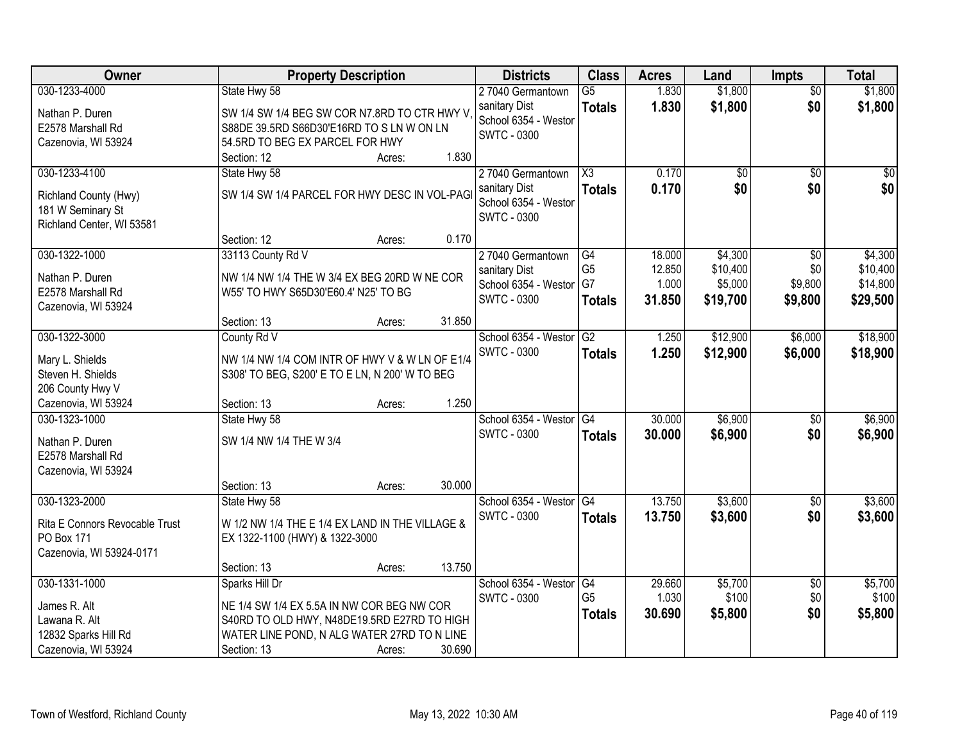| Owner                          | <b>Property Description</b>                     |        |        | <b>Districts</b>                           | <b>Class</b>         | <b>Acres</b>    | Land             | <b>Impts</b>    | <b>Total</b>     |
|--------------------------------|-------------------------------------------------|--------|--------|--------------------------------------------|----------------------|-----------------|------------------|-----------------|------------------|
| 030-1233-4000                  | State Hwy 58                                    |        |        | 27040 Germantown                           | $\overline{G5}$      | 1.830           | \$1,800          | $\overline{50}$ | \$1,800          |
| Nathan P. Duren                | SW 1/4 SW 1/4 BEG SW COR N7.8RD TO CTR HWY V    |        |        | sanitary Dist                              | <b>Totals</b>        | 1.830           | \$1,800          | \$0             | \$1,800          |
| E2578 Marshall Rd              | S88DE 39.5RD S66D30'E16RD TO S LN W ON LN       |        |        | School 6354 - Westor                       |                      |                 |                  |                 |                  |
| Cazenovia, WI 53924            | 54.5RD TO BEG EX PARCEL FOR HWY                 |        |        | SWTC - 0300                                |                      |                 |                  |                 |                  |
|                                | Section: 12                                     | Acres: | 1.830  |                                            |                      |                 |                  |                 |                  |
| 030-1233-4100                  | State Hwy 58                                    |        |        | 27040 Germantown                           | X3                   | 0.170           | $\overline{50}$  | $\overline{50}$ | \$0              |
| Richland County (Hwy)          | SW 1/4 SW 1/4 PARCEL FOR HWY DESC IN VOL-PAG    |        |        | sanitary Dist                              | <b>Totals</b>        | 0.170           | \$0              | \$0             | \$0              |
| 181 W Seminary St              |                                                 |        |        | School 6354 - Weston                       |                      |                 |                  |                 |                  |
| Richland Center, WI 53581      |                                                 |        |        | <b>SWTC - 0300</b>                         |                      |                 |                  |                 |                  |
|                                | Section: 12                                     | Acres: | 0.170  |                                            |                      |                 |                  |                 |                  |
| 030-1322-1000                  | 33113 County Rd V                               |        |        | 27040 Germantown                           | G4                   | 18.000          | \$4,300          | \$0             | \$4,300          |
|                                |                                                 |        |        | sanitary Dist                              | G <sub>5</sub>       | 12.850          | \$10,400         | \$0             | \$10,400         |
| Nathan P. Duren                | NW 1/4 NW 1/4 THE W 3/4 EX BEG 20RD W NE COR    |        |        | School 6354 - Westor                       | G7                   | 1.000           | \$5,000          | \$9,800         | \$14,800         |
| E2578 Marshall Rd              | W55' TO HWY S65D30'E60.4' N25' TO BG            |        |        | <b>SWTC - 0300</b>                         | <b>Totals</b>        | 31.850          | \$19,700         | \$9,800         | \$29,500         |
| Cazenovia, WI 53924            | Section: 13                                     | Acres: | 31.850 |                                            |                      |                 |                  |                 |                  |
| 030-1322-3000                  | County Rd V                                     |        |        | School 6354 - Westor                       | G2                   | 1.250           | \$12,900         | \$6,000         | \$18,900         |
|                                |                                                 |        |        | <b>SWTC - 0300</b>                         |                      |                 |                  |                 |                  |
| Mary L. Shields                | NW 1/4 NW 1/4 COM INTR OF HWY V & W LN OF E1/4  |        |        |                                            | <b>Totals</b>        | 1.250           | \$12,900         | \$6,000         | \$18,900         |
| Steven H. Shields              | S308' TO BEG, S200' E TO E LN, N 200' W TO BEG  |        |        |                                            |                      |                 |                  |                 |                  |
| 206 County Hwy V               |                                                 |        |        |                                            |                      |                 |                  |                 |                  |
| Cazenovia, WI 53924            | Section: 13                                     | Acres: | 1.250  |                                            |                      |                 |                  |                 |                  |
| 030-1323-1000                  | State Hwy 58                                    |        |        | School 6354 - Westor                       | $\overline{G4}$      | 30.000          | \$6,900          | \$0             | \$6,900          |
| Nathan P. Duren                | SW 1/4 NW 1/4 THE W 3/4                         |        |        | <b>SWTC - 0300</b>                         | <b>Totals</b>        | 30.000          | \$6,900          | \$0             | \$6,900          |
| E2578 Marshall Rd              |                                                 |        |        |                                            |                      |                 |                  |                 |                  |
| Cazenovia, WI 53924            |                                                 |        |        |                                            |                      |                 |                  |                 |                  |
|                                | Section: 13                                     | Acres: | 30.000 |                                            |                      |                 |                  |                 |                  |
| 030-1323-2000                  | State Hwy 58                                    |        |        | School 6354 - Westor G4                    |                      | 13.750          | \$3,600          | $\sqrt{6}$      | \$3,600          |
|                                |                                                 |        |        | <b>SWTC - 0300</b>                         | <b>Totals</b>        | 13.750          | \$3,600          | \$0             | \$3,600          |
| Rita E Connors Revocable Trust | W 1/2 NW 1/4 THE E 1/4 EX LAND IN THE VILLAGE & |        |        |                                            |                      |                 |                  |                 |                  |
| PO Box 171                     | EX 1322-1100 (HWY) & 1322-3000                  |        |        |                                            |                      |                 |                  |                 |                  |
| Cazenovia, WI 53924-0171       |                                                 |        | 13.750 |                                            |                      |                 |                  |                 |                  |
|                                | Section: 13                                     | Acres: |        |                                            |                      |                 |                  |                 |                  |
| 030-1331-1000                  | Sparks Hill Dr                                  |        |        | School 6354 - Weston<br><b>SWTC - 0300</b> | G4<br>G <sub>5</sub> | 29.660<br>1.030 | \$5,700<br>\$100 | \$0<br>\$0      | \$5,700<br>\$100 |
| James R. Alt                   | NE 1/4 SW 1/4 EX 5.5A IN NW COR BEG NW COR      |        |        |                                            |                      |                 |                  | \$0             |                  |
| Lawana R. Alt                  | S40RD TO OLD HWY, N48DE19.5RD E27RD TO HIGH     |        |        |                                            | <b>Totals</b>        | 30.690          | \$5,800          |                 | \$5,800          |
| 12832 Sparks Hill Rd           | WATER LINE POND, N ALG WATER 27RD TO N LINE     |        |        |                                            |                      |                 |                  |                 |                  |
| Cazenovia, WI 53924            | Section: 13                                     | Acres: | 30.690 |                                            |                      |                 |                  |                 |                  |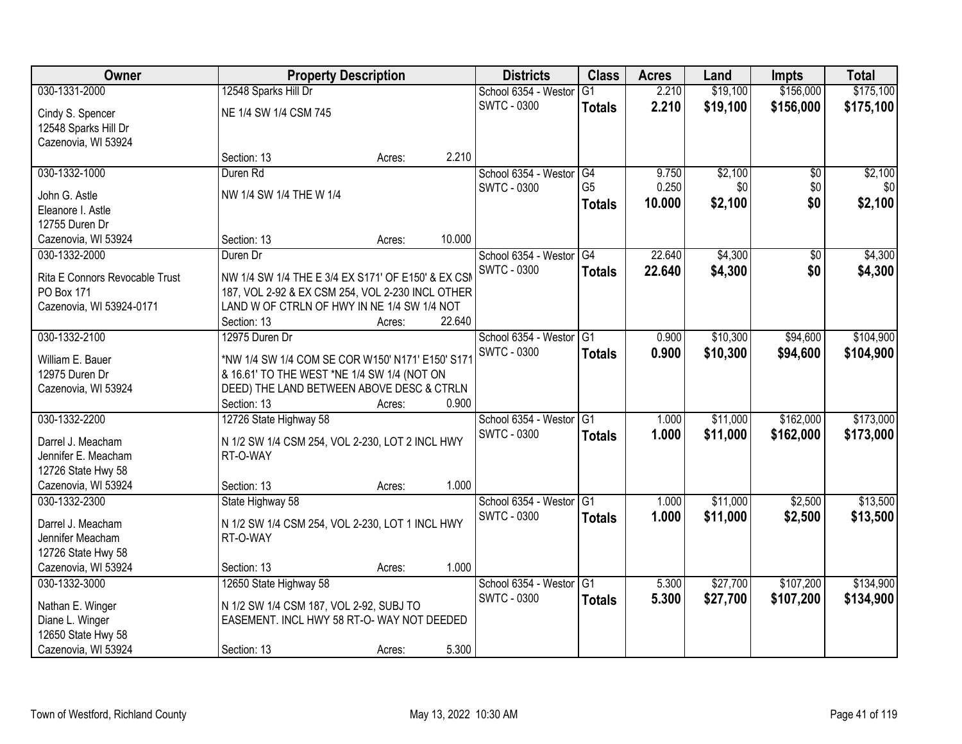| Owner                              | <b>Property Description</b>                                                              |        |        | <b>Districts</b>        | <b>Class</b>    | <b>Acres</b> | Land     | <b>Impts</b> | <b>Total</b> |
|------------------------------------|------------------------------------------------------------------------------------------|--------|--------|-------------------------|-----------------|--------------|----------|--------------|--------------|
| 030-1331-2000                      | 12548 Sparks Hill Dr                                                                     |        |        | School 6354 - Westor    | $\overline{G1}$ | 2.210        | \$19,100 | \$156,000    | \$175,100    |
| Cindy S. Spencer                   | NE 1/4 SW 1/4 CSM 745                                                                    |        |        | <b>SWTC - 0300</b>      | <b>Totals</b>   | 2.210        | \$19,100 | \$156,000    | \$175,100    |
| 12548 Sparks Hill Dr               |                                                                                          |        |        |                         |                 |              |          |              |              |
| Cazenovia, WI 53924                |                                                                                          |        |        |                         |                 |              |          |              |              |
|                                    | Section: 13                                                                              | Acres: | 2.210  |                         |                 |              |          |              |              |
| 030-1332-1000                      | Duren Rd                                                                                 |        |        | School 6354 - Westor    | G4              | 9.750        | \$2,100  | \$0          | \$2,100      |
|                                    |                                                                                          |        |        | <b>SWTC - 0300</b>      | G <sub>5</sub>  | 0.250        | \$0      | \$0          | \$0          |
| John G. Astle                      | NW 1/4 SW 1/4 THE W 1/4                                                                  |        |        |                         | <b>Totals</b>   | 10.000       | \$2,100  | \$0          | \$2,100      |
| Eleanore I. Astle                  |                                                                                          |        |        |                         |                 |              |          |              |              |
| 12755 Duren Dr                     |                                                                                          |        |        |                         |                 |              |          |              |              |
| Cazenovia, WI 53924                | Section: 13                                                                              | Acres: | 10.000 |                         |                 |              |          |              |              |
| 030-1332-2000                      | Duren Dr                                                                                 |        |        | School 6354 - Westor G4 |                 | 22.640       | \$4,300  | \$0          | \$4,300      |
| Rita E Connors Revocable Trust     | NW 1/4 SW 1/4 THE E 3/4 EX S171' OF E150' & EX CSM                                       |        |        | <b>SWTC - 0300</b>      | <b>Totals</b>   | 22.640       | \$4,300  | \$0          | \$4,300      |
| PO Box 171                         | 187, VOL 2-92 & EX CSM 254, VOL 2-230 INCL OTHER                                         |        |        |                         |                 |              |          |              |              |
| Cazenovia, WI 53924-0171           | LAND W OF CTRLN OF HWY IN NE 1/4 SW 1/4 NOT                                              |        |        |                         |                 |              |          |              |              |
|                                    | Section: 13                                                                              | Acres: | 22.640 |                         |                 |              |          |              |              |
| 030-1332-2100                      | 12975 Duren Dr                                                                           |        |        | School 6354 - Westor    | G1              | 0.900        | \$10,300 | \$94,600     | \$104,900    |
|                                    |                                                                                          |        |        | <b>SWTC - 0300</b>      | <b>Totals</b>   | 0.900        | \$10,300 | \$94,600     | \$104,900    |
| William E. Bauer<br>12975 Duren Dr | *NW 1/4 SW 1/4 COM SE COR W150' N171' E150' S171                                         |        |        |                         |                 |              |          |              |              |
| Cazenovia, WI 53924                | & 16.61' TO THE WEST *NE 1/4 SW 1/4 (NOT ON<br>DEED) THE LAND BETWEEN ABOVE DESC & CTRLN |        |        |                         |                 |              |          |              |              |
|                                    | Section: 13                                                                              | Acres: | 0.900  |                         |                 |              |          |              |              |
| 030-1332-2200                      | 12726 State Highway 58                                                                   |        |        | School 6354 - Weston    | $\overline{G1}$ | 1.000        | \$11,000 | \$162,000    | \$173,000    |
|                                    |                                                                                          |        |        | <b>SWTC - 0300</b>      |                 | 1.000        | \$11,000 | \$162,000    | \$173,000    |
| Darrel J. Meacham                  | N 1/2 SW 1/4 CSM 254, VOL 2-230, LOT 2 INCL HWY                                          |        |        |                         | <b>Totals</b>   |              |          |              |              |
| Jennifer E. Meacham                | RT-O-WAY                                                                                 |        |        |                         |                 |              |          |              |              |
| 12726 State Hwy 58                 |                                                                                          |        |        |                         |                 |              |          |              |              |
| Cazenovia, WI 53924                | Section: 13                                                                              | Acres: | 1.000  |                         |                 |              |          |              |              |
| 030-1332-2300                      | State Highway 58                                                                         |        |        | School 6354 - Westor G1 |                 | 1.000        | \$11,000 | \$2,500      | \$13,500     |
| Darrel J. Meacham                  | N 1/2 SW 1/4 CSM 254, VOL 2-230, LOT 1 INCL HWY                                          |        |        | <b>SWTC - 0300</b>      | <b>Totals</b>   | 1.000        | \$11,000 | \$2,500      | \$13,500     |
| Jennifer Meacham                   | RT-O-WAY                                                                                 |        |        |                         |                 |              |          |              |              |
| 12726 State Hwy 58                 |                                                                                          |        |        |                         |                 |              |          |              |              |
| Cazenovia, WI 53924                | Section: 13                                                                              | Acres: | 1.000  |                         |                 |              |          |              |              |
| 030-1332-3000                      | 12650 State Highway 58                                                                   |        |        | School 6354 - Westor    | $\overline{G1}$ | 5.300        | \$27,700 | \$107,200    | \$134,900    |
|                                    |                                                                                          |        |        | <b>SWTC - 0300</b>      | <b>Totals</b>   | 5.300        | \$27,700 | \$107,200    | \$134,900    |
| Nathan E. Winger                   | N 1/2 SW 1/4 CSM 187, VOL 2-92, SUBJ TO                                                  |        |        |                         |                 |              |          |              |              |
| Diane L. Winger                    | EASEMENT. INCL HWY 58 RT-O-WAY NOT DEEDED                                                |        |        |                         |                 |              |          |              |              |
| 12650 State Hwy 58                 |                                                                                          |        |        |                         |                 |              |          |              |              |
| Cazenovia, WI 53924                | Section: 13                                                                              | Acres: | 5.300  |                         |                 |              |          |              |              |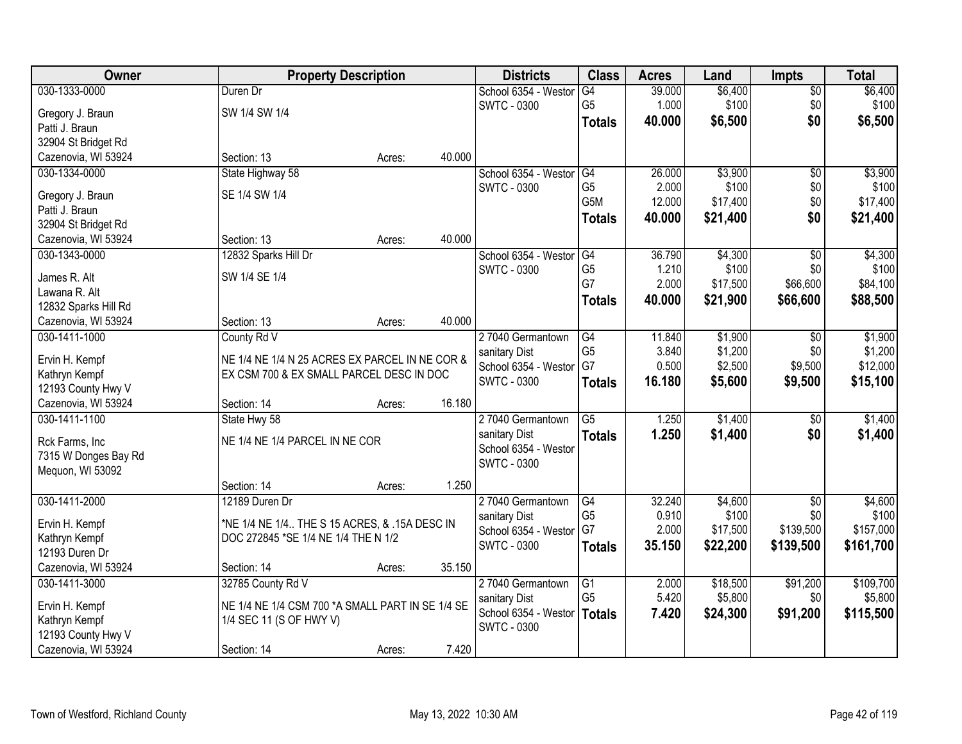| Owner                                 |                                                                                            | <b>Property Description</b> |        | <b>Districts</b>                  | <b>Class</b>    | <b>Acres</b>    | Land             | <b>Impts</b>           | <b>Total</b>     |
|---------------------------------------|--------------------------------------------------------------------------------------------|-----------------------------|--------|-----------------------------------|-----------------|-----------------|------------------|------------------------|------------------|
| 030-1333-0000                         | Duren Dr                                                                                   |                             |        | School 6354 - Weston              | G4              | 39.000          | \$6,400          | $\sqrt{$0}$            | \$6,400          |
| Gregory J. Braun                      | SW 1/4 SW 1/4                                                                              |                             |        | <b>SWTC - 0300</b>                | G <sub>5</sub>  | 1.000           | \$100            | \$0                    | \$100            |
| Patti J. Braun                        |                                                                                            |                             |        |                                   | <b>Totals</b>   | 40.000          | \$6,500          | \$0                    | \$6,500          |
| 32904 St Bridget Rd                   |                                                                                            |                             |        |                                   |                 |                 |                  |                        |                  |
| Cazenovia, WI 53924                   | Section: 13                                                                                | Acres:                      | 40.000 |                                   |                 |                 |                  |                        |                  |
| 030-1334-0000                         | State Highway 58                                                                           |                             |        | School 6354 - Westor              | G4              | 26.000          | \$3,900          | $\overline{50}$        | \$3,900          |
|                                       | SE 1/4 SW 1/4                                                                              |                             |        | <b>SWTC - 0300</b>                | G <sub>5</sub>  | 2.000           | \$100            | \$0                    | \$100            |
| Gregory J. Braun                      |                                                                                            |                             |        |                                   | G5M             | 12.000          | \$17,400         | \$0                    | \$17,400         |
| Patti J. Braun<br>32904 St Bridget Rd |                                                                                            |                             |        |                                   | <b>Totals</b>   | 40.000          | \$21,400         | \$0                    | \$21,400         |
| Cazenovia, WI 53924                   | Section: 13                                                                                | Acres:                      | 40.000 |                                   |                 |                 |                  |                        |                  |
| 030-1343-0000                         | 12832 Sparks Hill Dr                                                                       |                             |        | School 6354 - Westor              | G4              | 36.790          | \$4,300          | $\overline{50}$        | \$4,300          |
|                                       |                                                                                            |                             |        | <b>SWTC - 0300</b>                | G <sub>5</sub>  | 1.210           | \$100            | \$0                    | \$100            |
| James R. Alt                          | SW 1/4 SE 1/4                                                                              |                             |        |                                   | G7              | 2.000           | \$17,500         | \$66,600               | \$84,100         |
| Lawana R. Alt                         |                                                                                            |                             |        |                                   | <b>Totals</b>   | 40.000          | \$21,900         | \$66,600               | \$88,500         |
| 12832 Sparks Hill Rd                  |                                                                                            |                             |        |                                   |                 |                 |                  |                        |                  |
| Cazenovia, WI 53924                   | Section: 13                                                                                | Acres:                      | 40.000 |                                   |                 |                 |                  |                        |                  |
| 030-1411-1000                         | County Rd V                                                                                |                             |        | 27040 Germantown                  | G4              | 11.840          | \$1,900          | \$0                    | \$1,900          |
| Ervin H. Kempf                        |                                                                                            |                             |        | sanitary Dist                     | G <sub>5</sub>  | 3.840           | \$1,200          | \$0                    | \$1,200          |
| Kathryn Kempf                         | NE 1/4 NE 1/4 N 25 ACRES EX PARCEL IN NE COR &<br>EX CSM 700 & EX SMALL PARCEL DESC IN DOC |                             |        | School 6354 - Westor              | G7              | 0.500           | \$2,500          | \$9,500                | \$12,000         |
| 12193 County Hwy V                    |                                                                                            |                             |        | <b>SWTC - 0300</b>                | <b>Totals</b>   | 16.180          | \$5,600          | \$9,500                | \$15,100         |
| Cazenovia, WI 53924                   | Section: 14                                                                                | Acres:                      | 16.180 |                                   |                 |                 |                  |                        |                  |
| 030-1411-1100                         | State Hwy 58                                                                               |                             |        | 27040 Germantown                  | $\overline{G5}$ | 1.250           | \$1,400          | \$0                    | \$1,400          |
|                                       |                                                                                            |                             |        | sanitary Dist                     | <b>Totals</b>   | 1.250           | \$1,400          | \$0                    | \$1,400          |
| Rck Farms, Inc                        | NE 1/4 NE 1/4 PARCEL IN NE COR                                                             |                             |        | School 6354 - Westor              |                 |                 |                  |                        |                  |
| 7315 W Donges Bay Rd                  |                                                                                            |                             |        | <b>SWTC - 0300</b>                |                 |                 |                  |                        |                  |
| Mequon, WI 53092                      |                                                                                            |                             | 1.250  |                                   |                 |                 |                  |                        |                  |
|                                       | Section: 14                                                                                | Acres:                      |        |                                   | $\overline{G4}$ |                 |                  |                        |                  |
| 030-1411-2000                         | 12189 Duren Dr                                                                             |                             |        | 27040 Germantown<br>sanitary Dist | G <sub>5</sub>  | 32.240<br>0.910 | \$4,600<br>\$100 | $\overline{50}$<br>\$0 | \$4,600<br>\$100 |
| Ervin H. Kempf                        | *NE 1/4 NE 1/4 THE S 15 ACRES, & .15A DESC IN                                              |                             |        | School 6354 - Westor              | G7              | 2.000           | \$17,500         | \$139,500              | \$157,000        |
| Kathryn Kempf                         | DOC 272845 *SE 1/4 NE 1/4 THE N 1/2                                                        |                             |        | <b>SWTC - 0300</b>                | <b>Totals</b>   | 35.150          | \$22,200         | \$139,500              | \$161,700        |
| 12193 Duren Dr                        |                                                                                            |                             |        |                                   |                 |                 |                  |                        |                  |
| Cazenovia, WI 53924                   | Section: 14                                                                                | Acres:                      | 35.150 |                                   |                 |                 |                  |                        |                  |
| 030-1411-3000                         | 32785 County Rd V                                                                          |                             |        | 27040 Germantown                  | $\overline{G1}$ | 2.000           | \$18,500         | \$91,200               | \$109,700        |
| Ervin H. Kempf                        | NE 1/4 NE 1/4 CSM 700 *A SMALL PART IN SE 1/4 SE                                           |                             |        | sanitary Dist                     | G <sub>5</sub>  | 5.420           | \$5,800          | \$0                    | \$5,800          |
| Kathryn Kempf                         | 1/4 SEC 11 (S OF HWY V)                                                                    |                             |        | School 6354 - Westor              | Totals          | 7.420           | \$24,300         | \$91,200               | \$115,500        |
| 12193 County Hwy V                    |                                                                                            |                             |        | <b>SWTC - 0300</b>                |                 |                 |                  |                        |                  |
| Cazenovia, WI 53924                   | Section: 14                                                                                | Acres:                      | 7.420  |                                   |                 |                 |                  |                        |                  |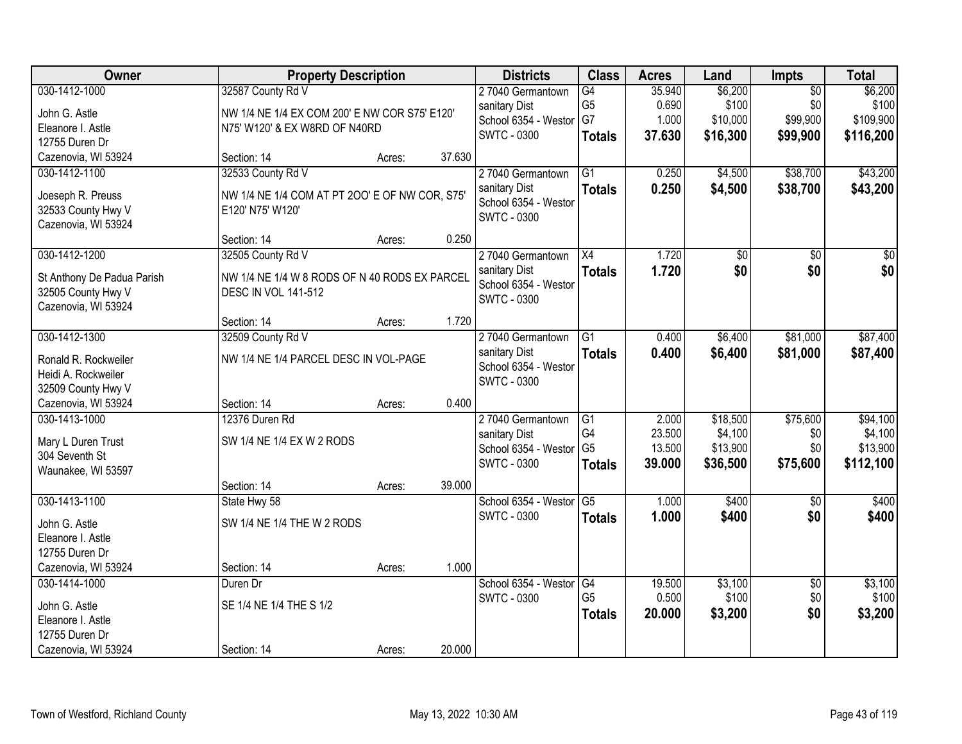| Owner                                            | <b>Property Description</b>                                        |        |        | <b>Districts</b>                      | <b>Class</b>    | <b>Acres</b>    | Land                | <b>Impts</b>    | <b>Total</b>        |
|--------------------------------------------------|--------------------------------------------------------------------|--------|--------|---------------------------------------|-----------------|-----------------|---------------------|-----------------|---------------------|
| 030-1412-1000                                    | 32587 County Rd V                                                  |        |        | 27040 Germantown                      | $\overline{G4}$ | 35.940          | \$6,200             | $\overline{50}$ | \$6,200             |
| John G. Astle                                    | NW 1/4 NE 1/4 EX COM 200' E NW COR S75' E120'                      |        |        | sanitary Dist                         | G <sub>5</sub>  | 0.690           | \$100               | \$0             | \$100               |
| Eleanore I. Astle                                | N75' W120' & EX W8RD OF N40RD                                      |        |        | School 6354 - Westor                  | G7              | 1.000           | \$10,000            | \$99,900        | \$109,900           |
| 12755 Duren Dr                                   |                                                                    |        |        | <b>SWTC - 0300</b>                    | <b>Totals</b>   | 37.630          | \$16,300            | \$99,900        | \$116,200           |
| Cazenovia, WI 53924                              | Section: 14                                                        | Acres: | 37.630 |                                       |                 |                 |                     |                 |                     |
| 030-1412-1100                                    | 32533 County Rd V                                                  |        |        | 27040 Germantown                      | $\overline{G1}$ | 0.250           | \$4,500             | \$38,700        | \$43,200            |
|                                                  |                                                                    |        |        | sanitary Dist                         | <b>Totals</b>   | 0.250           | \$4,500             | \$38,700        | \$43,200            |
| Joeseph R. Preuss<br>32533 County Hwy V          | NW 1/4 NE 1/4 COM AT PT 200' E OF NW COR, S75'<br>E120' N75' W120' |        |        | School 6354 - Westor                  |                 |                 |                     |                 |                     |
| Cazenovia, WI 53924                              |                                                                    |        |        | <b>SWTC - 0300</b>                    |                 |                 |                     |                 |                     |
|                                                  | Section: 14                                                        | Acres: | 0.250  |                                       |                 |                 |                     |                 |                     |
| 030-1412-1200                                    | 32505 County Rd V                                                  |        |        | 27040 Germantown                      | X4              | 1.720           | \$0                 | \$0             | \$0                 |
|                                                  | NW 1/4 NE 1/4 W 8 RODS OF N 40 RODS EX PARCEL                      |        |        | sanitary Dist                         | <b>Totals</b>   | 1.720           | \$0                 | \$0             | \$0                 |
| St Anthony De Padua Parish<br>32505 County Hwy V | <b>DESC IN VOL 141-512</b>                                         |        |        | School 6354 - Westor                  |                 |                 |                     |                 |                     |
| Cazenovia, WI 53924                              |                                                                    |        |        | <b>SWTC - 0300</b>                    |                 |                 |                     |                 |                     |
|                                                  | Section: 14                                                        | Acres: | 1.720  |                                       |                 |                 |                     |                 |                     |
| 030-1412-1300                                    | 32509 County Rd V                                                  |        |        | 27040 Germantown                      | $\overline{G1}$ | 0.400           | \$6,400             | \$81,000        | \$87,400            |
|                                                  |                                                                    |        |        | sanitary Dist                         | <b>Totals</b>   | 0.400           | \$6,400             | \$81,000        | \$87,400            |
| Ronald R. Rockweiler                             | NW 1/4 NE 1/4 PARCEL DESC IN VOL-PAGE                              |        |        | School 6354 - Westor                  |                 |                 |                     |                 |                     |
| Heidi A. Rockweiler                              |                                                                    |        |        | <b>SWTC - 0300</b>                    |                 |                 |                     |                 |                     |
| 32509 County Hwy V                               |                                                                    |        | 0.400  |                                       |                 |                 |                     |                 |                     |
| Cazenovia, WI 53924<br>030-1413-1000             | Section: 14<br>12376 Duren Rd                                      | Acres: |        |                                       |                 |                 |                     |                 |                     |
|                                                  |                                                                    |        |        | 27040 Germantown                      | G1<br>G4        | 2.000<br>23.500 | \$18,500<br>\$4,100 | \$75,600<br>\$0 | \$94,100<br>\$4,100 |
| Mary L Duren Trust                               | SW 1/4 NE 1/4 EX W 2 RODS                                          |        |        | sanitary Dist<br>School 6354 - Westor | G <sub>5</sub>  | 13.500          | \$13,900            | \$0             | \$13,900            |
| 304 Seventh St                                   |                                                                    |        |        | <b>SWTC - 0300</b>                    | <b>Totals</b>   | 39.000          | \$36,500            | \$75,600        | \$112,100           |
| Waunakee, WI 53597                               |                                                                    |        |        |                                       |                 |                 |                     |                 |                     |
|                                                  | Section: 14                                                        | Acres: | 39.000 |                                       |                 |                 |                     |                 |                     |
| 030-1413-1100                                    | State Hwy 58                                                       |        |        | School 6354 - Westor                  | G5              | 1.000           | \$400               | $\overline{50}$ | \$400               |
| John G. Astle                                    | SW 1/4 NE 1/4 THE W 2 RODS                                         |        |        | <b>SWTC - 0300</b>                    | <b>Totals</b>   | 1.000           | \$400               | \$0             | \$400               |
| Eleanore I. Astle                                |                                                                    |        |        |                                       |                 |                 |                     |                 |                     |
| 12755 Duren Dr                                   |                                                                    |        |        |                                       |                 |                 |                     |                 |                     |
| Cazenovia, WI 53924                              | Section: 14                                                        | Acres: | 1.000  |                                       |                 |                 |                     |                 |                     |
| 030-1414-1000                                    | Duren Dr                                                           |        |        | School 6354 - Westor                  | G4              | 19.500          | \$3,100             | $\overline{30}$ | \$3,100             |
| John G. Astle                                    | SE 1/4 NE 1/4 THE S 1/2                                            |        |        | <b>SWTC - 0300</b>                    | G <sub>5</sub>  | 0.500           | \$100               | \$0             | \$100               |
| Eleanore I. Astle                                |                                                                    |        |        |                                       | <b>Totals</b>   | 20.000          | \$3,200             | \$0             | \$3,200             |
| 12755 Duren Dr                                   |                                                                    |        |        |                                       |                 |                 |                     |                 |                     |
| Cazenovia, WI 53924                              | Section: 14                                                        | Acres: | 20.000 |                                       |                 |                 |                     |                 |                     |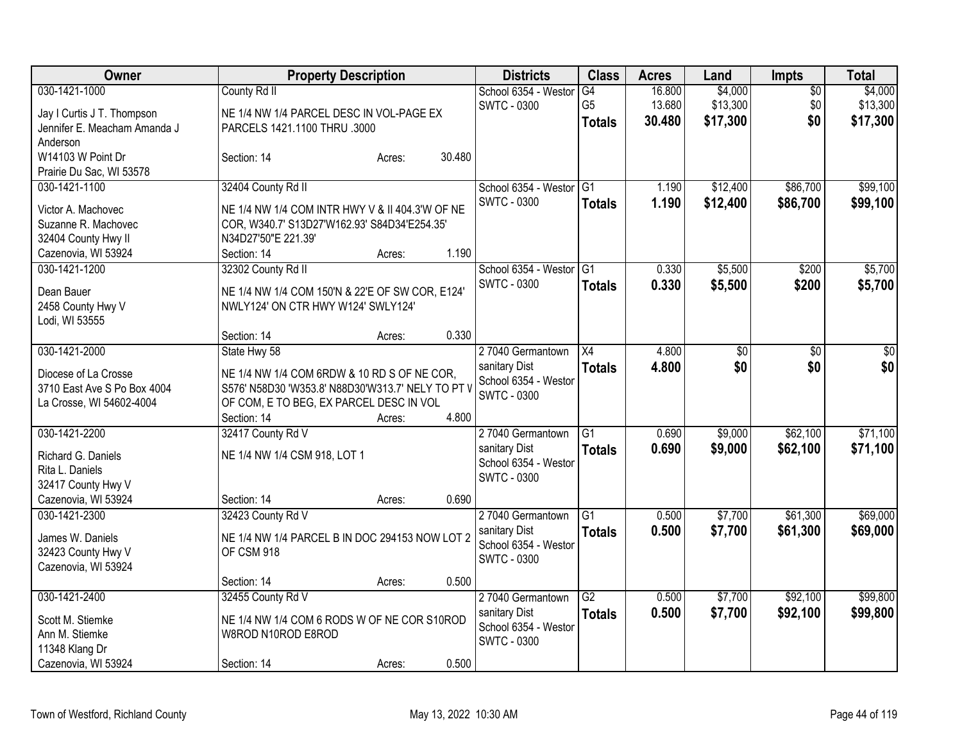| Owner                               | <b>Property Description</b>                                                           |        |        | <b>Districts</b>                      | <b>Class</b>    | <b>Acres</b> | Land     | <b>Impts</b>    | <b>Total</b> |
|-------------------------------------|---------------------------------------------------------------------------------------|--------|--------|---------------------------------------|-----------------|--------------|----------|-----------------|--------------|
| 030-1421-1000                       | County Rd II                                                                          |        |        | School 6354 - Westor                  | G4              | 16.800       | \$4,000  | $\overline{50}$ | \$4,000      |
| Jay I Curtis J T. Thompson          | NE 1/4 NW 1/4 PARCEL DESC IN VOL-PAGE EX                                              |        |        | <b>SWTC - 0300</b>                    | G <sub>5</sub>  | 13.680       | \$13,300 | \$0             | \$13,300     |
| Jennifer E. Meacham Amanda J        | PARCELS 1421.1100 THRU .3000                                                          |        |        |                                       | <b>Totals</b>   | 30.480       | \$17,300 | \$0             | \$17,300     |
| Anderson                            |                                                                                       |        |        |                                       |                 |              |          |                 |              |
| W14103 W Point Dr                   | Section: 14                                                                           | Acres: | 30.480 |                                       |                 |              |          |                 |              |
| Prairie Du Sac, WI 53578            |                                                                                       |        |        |                                       |                 |              |          |                 |              |
| 030-1421-1100                       | 32404 County Rd II                                                                    |        |        | School 6354 - Westor G1               |                 | 1.190        | \$12,400 | \$86,700        | \$99,100     |
| Victor A. Machovec                  | NE 1/4 NW 1/4 COM INTR HWY V & II 404.3'W OF NE                                       |        |        | <b>SWTC - 0300</b>                    | <b>Totals</b>   | 1.190        | \$12,400 | \$86,700        | \$99,100     |
| Suzanne R. Machovec                 | COR, W340.7' S13D27'W162.93' S84D34'E254.35'                                          |        |        |                                       |                 |              |          |                 |              |
| 32404 County Hwy II                 | N34D27'50"E 221.39'                                                                   |        |        |                                       |                 |              |          |                 |              |
| Cazenovia, WI 53924                 | Section: 14                                                                           | Acres: | 1.190  |                                       |                 |              |          |                 |              |
| 030-1421-1200                       | 32302 County Rd II                                                                    |        |        | School 6354 - Westor                  | IG1             | 0.330        | \$5,500  | \$200           | \$5,700      |
|                                     |                                                                                       |        |        | <b>SWTC - 0300</b>                    | <b>Totals</b>   | 0.330        | \$5,500  | \$200           | \$5,700      |
| Dean Bauer                          | NE 1/4 NW 1/4 COM 150'N & 22'E OF SW COR, E124'<br>NWLY124' ON CTR HWY W124' SWLY124' |        |        |                                       |                 |              |          |                 |              |
| 2458 County Hwy V<br>Lodi, WI 53555 |                                                                                       |        |        |                                       |                 |              |          |                 |              |
|                                     | Section: 14                                                                           | Acres: | 0.330  |                                       |                 |              |          |                 |              |
| 030-1421-2000                       | State Hwy 58                                                                          |        |        | 27040 Germantown                      | X4              | 4.800        | \$0      | \$0             | $\sqrt{50}$  |
|                                     |                                                                                       |        |        | sanitary Dist                         | <b>Totals</b>   | 4.800        | \$0      | \$0             | \$0          |
| Diocese of La Crosse                | NE 1/4 NW 1/4 COM 6RDW & 10 RD S OF NE COR,                                           |        |        | School 6354 - Weston                  |                 |              |          |                 |              |
| 3710 East Ave S Po Box 4004         | S576' N58D30 'W353.8' N88D30'W313.7' NELY TO PT V                                     |        |        | <b>SWTC - 0300</b>                    |                 |              |          |                 |              |
| La Crosse, WI 54602-4004            | OF COM, E TO BEG, EX PARCEL DESC IN VOL                                               |        |        |                                       |                 |              |          |                 |              |
|                                     | Section: 14                                                                           | Acres: | 4.800  |                                       |                 |              |          |                 |              |
| 030-1421-2200                       | 32417 County Rd V                                                                     |        |        | 27040 Germantown                      | G1              | 0.690        | \$9,000  | \$62,100        | \$71,100     |
| Richard G. Daniels                  | NE 1/4 NW 1/4 CSM 918, LOT 1                                                          |        |        | sanitary Dist<br>School 6354 - Westor | <b>Totals</b>   | 0.690        | \$9,000  | \$62,100        | \$71,100     |
| Rita L. Daniels                     |                                                                                       |        |        | <b>SWTC - 0300</b>                    |                 |              |          |                 |              |
| 32417 County Hwy V                  |                                                                                       |        |        |                                       |                 |              |          |                 |              |
| Cazenovia, WI 53924                 | Section: 14                                                                           | Acres: | 0.690  |                                       |                 |              |          |                 |              |
| 030-1421-2300                       | 32423 County Rd V                                                                     |        |        | 27040 Germantown                      | $\overline{G1}$ | 0.500        | \$7,700  | \$61,300        | \$69,000     |
| James W. Daniels                    | NE 1/4 NW 1/4 PARCEL B IN DOC 294153 NOW LOT 2                                        |        |        | sanitary Dist                         | <b>Totals</b>   | 0.500        | \$7,700  | \$61,300        | \$69,000     |
| 32423 County Hwy V                  | OF CSM 918                                                                            |        |        | School 6354 - Weston                  |                 |              |          |                 |              |
| Cazenovia, WI 53924                 |                                                                                       |        |        | <b>SWTC - 0300</b>                    |                 |              |          |                 |              |
|                                     | Section: 14                                                                           | Acres: | 0.500  |                                       |                 |              |          |                 |              |
| 030-1421-2400                       | 32455 County Rd V                                                                     |        |        | 27040 Germantown                      | $\overline{G2}$ | 0.500        | \$7,700  | \$92,100        | \$99,800     |
| Scott M. Stiemke                    | NE 1/4 NW 1/4 COM 6 RODS W OF NE COR S10ROD                                           |        |        | sanitary Dist                         | <b>Totals</b>   | 0.500        | \$7,700  | \$92,100        | \$99,800     |
| Ann M. Stiemke                      | W8ROD N10ROD E8ROD                                                                    |        |        | School 6354 - Weston                  |                 |              |          |                 |              |
| 11348 Klang Dr                      |                                                                                       |        |        | SWTC - 0300                           |                 |              |          |                 |              |
| Cazenovia, WI 53924                 | Section: 14                                                                           | Acres: | 0.500  |                                       |                 |              |          |                 |              |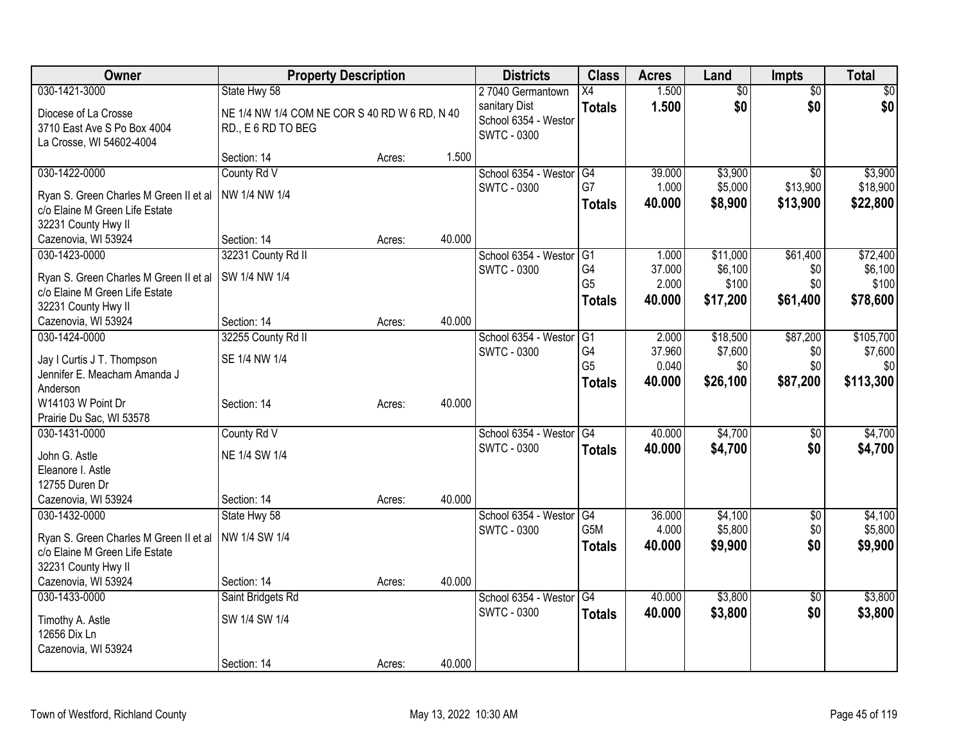| Owner                                  | <b>Property Description</b>                   |        |        | <b>Districts</b>     | <b>Class</b>     | <b>Acres</b> | Land            | <b>Impts</b>    | <b>Total</b> |
|----------------------------------------|-----------------------------------------------|--------|--------|----------------------|------------------|--------------|-----------------|-----------------|--------------|
| 030-1421-3000                          | State Hwy 58                                  |        |        | 27040 Germantown     | X4               | 1.500        | $\overline{50}$ | $\overline{50}$ | \$0          |
| Diocese of La Crosse                   | NE 1/4 NW 1/4 COM NE COR S 40 RD W 6 RD, N 40 |        |        | sanitary Dist        | <b>Totals</b>    | 1.500        | \$0             | \$0             | \$0          |
| 3710 East Ave S Po Box 4004            | RD., E 6 RD TO BEG                            |        |        | School 6354 - Westor |                  |              |                 |                 |              |
| La Crosse, WI 54602-4004               |                                               |        |        | <b>SWTC - 0300</b>   |                  |              |                 |                 |              |
|                                        | Section: 14                                   | Acres: | 1.500  |                      |                  |              |                 |                 |              |
| 030-1422-0000                          | County Rd V                                   |        |        | School 6354 - Weston | G4               | 39.000       | \$3,900         | $\overline{30}$ | \$3,900      |
| Ryan S. Green Charles M Green II et al | NW 1/4 NW 1/4                                 |        |        | <b>SWTC - 0300</b>   | G7               | 1.000        | \$5,000         | \$13,900        | \$18,900     |
| c/o Elaine M Green Life Estate         |                                               |        |        |                      | <b>Totals</b>    | 40.000       | \$8,900         | \$13,900        | \$22,800     |
| 32231 County Hwy II                    |                                               |        |        |                      |                  |              |                 |                 |              |
| Cazenovia, WI 53924                    | Section: 14                                   | Acres: | 40.000 |                      |                  |              |                 |                 |              |
| 030-1423-0000                          | 32231 County Rd II                            |        |        | School 6354 - Weston | G1               | 1.000        | \$11,000        | \$61,400        | \$72,400     |
| Ryan S. Green Charles M Green II et al | SW 1/4 NW 1/4                                 |        |        | <b>SWTC - 0300</b>   | G4               | 37.000       | \$6,100         | \$0             | \$6,100      |
| c/o Elaine M Green Life Estate         |                                               |        |        |                      | G <sub>5</sub>   | 2.000        | \$100           | \$0             | \$100        |
| 32231 County Hwy II                    |                                               |        |        |                      | <b>Totals</b>    | 40,000       | \$17,200        | \$61,400        | \$78,600     |
| Cazenovia, WI 53924                    | Section: 14                                   | Acres: | 40.000 |                      |                  |              |                 |                 |              |
| 030-1424-0000                          | 32255 County Rd II                            |        |        | School 6354 - Weston | G1               | 2.000        | \$18,500        | \$87,200        | \$105,700    |
| Jay I Curtis J T. Thompson             | SE 1/4 NW 1/4                                 |        |        | <b>SWTC - 0300</b>   | G4               | 37.960       | \$7,600         | \$0             | \$7,600      |
| Jennifer E. Meacham Amanda J           |                                               |        |        |                      | G <sub>5</sub>   | 0.040        | \$0             | \$0             | \$0          |
| Anderson                               |                                               |        |        |                      | <b>Totals</b>    | 40.000       | \$26,100        | \$87,200        | \$113,300    |
| W14103 W Point Dr                      | Section: 14                                   | Acres: | 40.000 |                      |                  |              |                 |                 |              |
| Prairie Du Sac, WI 53578               |                                               |        |        |                      |                  |              |                 |                 |              |
| 030-1431-0000                          | County Rd V                                   |        |        | School 6354 - Weston | G4               | 40.000       | \$4,700         | \$0             | \$4,700      |
| John G. Astle                          | NE 1/4 SW 1/4                                 |        |        | <b>SWTC - 0300</b>   | <b>Totals</b>    | 40.000       | \$4,700         | \$0             | \$4,700      |
| Eleanore I. Astle                      |                                               |        |        |                      |                  |              |                 |                 |              |
| 12755 Duren Dr                         |                                               |        |        |                      |                  |              |                 |                 |              |
| Cazenovia, WI 53924                    | Section: 14                                   | Acres: | 40.000 |                      |                  |              |                 |                 |              |
| 030-1432-0000                          | State Hwy 58                                  |        |        | School 6354 - Westor | G4               | 36.000       | \$4,100         | $\sqrt{6}$      | \$4,100      |
| Ryan S. Green Charles M Green II et al | NW 1/4 SW 1/4                                 |        |        | <b>SWTC - 0300</b>   | G <sub>5</sub> M | 4.000        | \$5,800         | \$0             | \$5,800      |
| c/o Elaine M Green Life Estate         |                                               |        |        |                      | <b>Totals</b>    | 40.000       | \$9,900         | \$0             | \$9,900      |
| 32231 County Hwy II                    |                                               |        |        |                      |                  |              |                 |                 |              |
| Cazenovia, WI 53924                    | Section: 14                                   | Acres: | 40.000 |                      |                  |              |                 |                 |              |
| 030-1433-0000                          | Saint Bridgets Rd                             |        |        | School 6354 - Westor | $\overline{G4}$  | 40.000       | \$3,800         | $\overline{50}$ | \$3,800      |
| Timothy A. Astle                       | SW 1/4 SW 1/4                                 |        |        | <b>SWTC - 0300</b>   | <b>Totals</b>    | 40.000       | \$3,800         | \$0             | \$3,800      |
| 12656 Dix Ln                           |                                               |        |        |                      |                  |              |                 |                 |              |
| Cazenovia, WI 53924                    |                                               |        |        |                      |                  |              |                 |                 |              |
|                                        | Section: 14                                   | Acres: | 40.000 |                      |                  |              |                 |                 |              |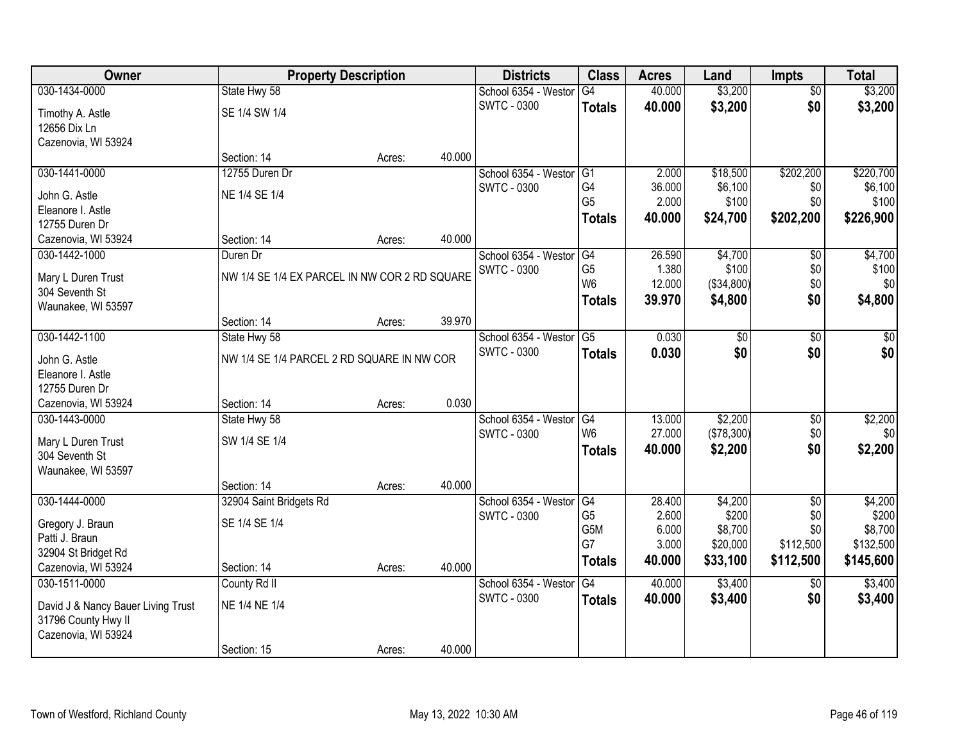| Owner                              | <b>Property Description</b>                   |        |        | <b>Districts</b>     | <b>Class</b>    | <b>Acres</b>   | Land                | <b>Impts</b>     | <b>Total</b>         |
|------------------------------------|-----------------------------------------------|--------|--------|----------------------|-----------------|----------------|---------------------|------------------|----------------------|
| 030-1434-0000                      | State Hwy 58                                  |        |        | School 6354 - Weston | G4              | 40.000         | \$3,200             | $\overline{50}$  | \$3,200              |
| Timothy A. Astle                   | SE 1/4 SW 1/4                                 |        |        | <b>SWTC - 0300</b>   | <b>Totals</b>   | 40.000         | \$3,200             | \$0              | \$3,200              |
| 12656 Dix Ln                       |                                               |        |        |                      |                 |                |                     |                  |                      |
| Cazenovia, WI 53924                |                                               |        |        |                      |                 |                |                     |                  |                      |
|                                    | Section: 14                                   | Acres: | 40.000 |                      |                 |                |                     |                  |                      |
| 030-1441-0000                      | 12755 Duren Dr                                |        |        | School 6354 - Westor | G1              | 2.000          | \$18,500            | \$202,200        | \$220,700            |
| John G. Astle                      | NE 1/4 SE 1/4                                 |        |        | <b>SWTC - 0300</b>   | G4              | 36.000         | \$6,100             | \$0              | \$6,100              |
| Eleanore I. Astle                  |                                               |        |        |                      | G <sub>5</sub>  | 2.000          | \$100               | \$0              | \$100                |
| 12755 Duren Dr                     |                                               |        |        |                      | <b>Totals</b>   | 40.000         | \$24,700            | \$202,200        | \$226,900            |
| Cazenovia, WI 53924                | Section: 14                                   | Acres: | 40.000 |                      |                 |                |                     |                  |                      |
| 030-1442-1000                      | Duren Dr                                      |        |        | School 6354 - Westor | G <sub>4</sub>  | 26.590         | \$4,700             | \$0              | \$4,700              |
| Mary L Duren Trust                 | NW 1/4 SE 1/4 EX PARCEL IN NW COR 2 RD SQUARE |        |        | SWTC - 0300          | G <sub>5</sub>  | 1.380          | \$100               | \$0              | \$100                |
| 304 Seventh St                     |                                               |        |        |                      | W <sub>6</sub>  | 12.000         | (\$34,800)          | \$0              | \$0                  |
| Waunakee, WI 53597                 |                                               |        |        |                      | <b>Totals</b>   | 39.970         | \$4,800             | \$0              | \$4,800              |
|                                    | Section: 14                                   | Acres: | 39.970 |                      |                 |                |                     |                  |                      |
| 030-1442-1100                      | State Hwy 58                                  |        |        | School 6354 - Weston | $\overline{G5}$ | 0.030          | $\overline{50}$     | \$0              | $\sqrt{50}$          |
| John G. Astle                      | NW 1/4 SE 1/4 PARCEL 2 RD SQUARE IN NW COR    |        |        | <b>SWTC - 0300</b>   | <b>Totals</b>   | 0.030          | \$0                 | \$0              | \$0                  |
| Eleanore I. Astle                  |                                               |        |        |                      |                 |                |                     |                  |                      |
| 12755 Duren Dr                     |                                               |        |        |                      |                 |                |                     |                  |                      |
| Cazenovia, WI 53924                | Section: 14                                   | Acres: | 0.030  |                      |                 |                |                     |                  |                      |
| 030-1443-0000                      | State Hwy 58                                  |        |        | School 6354 - Weston | G4              | 13.000         | \$2,200             | \$0              | \$2,200              |
| Mary L Duren Trust                 | SW 1/4 SE 1/4                                 |        |        | <b>SWTC - 0300</b>   | W <sub>6</sub>  | 27.000         | (\$78,300)          | \$0              | \$0                  |
| 304 Seventh St                     |                                               |        |        |                      | <b>Totals</b>   | 40.000         | \$2,200             | \$0              | \$2,200              |
| Waunakee, WI 53597                 |                                               |        |        |                      |                 |                |                     |                  |                      |
|                                    | Section: 14                                   | Acres: | 40.000 |                      |                 |                |                     |                  |                      |
| 030-1444-0000                      | 32904 Saint Bridgets Rd                       |        |        | School 6354 - Westor | G4              | 28.400         | \$4,200             | $\overline{50}$  | \$4,200              |
| Gregory J. Braun                   | SE 1/4 SE 1/4                                 |        |        | <b>SWTC - 0300</b>   | G <sub>5</sub>  | 2.600          | \$200               | \$0              | \$200                |
| Patti J. Braun                     |                                               |        |        |                      | G5M<br>G7       | 6.000<br>3.000 | \$8,700<br>\$20,000 | \$0<br>\$112,500 | \$8,700<br>\$132,500 |
| 32904 St Bridget Rd                |                                               |        |        |                      | <b>Totals</b>   | 40.000         | \$33,100            | \$112,500        | \$145,600            |
| Cazenovia, WI 53924                | Section: 14                                   | Acres: | 40.000 |                      |                 |                |                     |                  |                      |
| 030-1511-0000                      | County Rd II                                  |        |        | School 6354 - Weston | G4              | 40.000         | \$3,400             | \$0              | \$3,400              |
| David J & Nancy Bauer Living Trust | NE 1/4 NE 1/4                                 |        |        | <b>SWTC - 0300</b>   | <b>Totals</b>   | 40.000         | \$3,400             | \$0              | \$3,400              |
| 31796 County Hwy II                |                                               |        |        |                      |                 |                |                     |                  |                      |
| Cazenovia, WI 53924                |                                               |        |        |                      |                 |                |                     |                  |                      |
|                                    | Section: 15                                   | Acres: | 40.000 |                      |                 |                |                     |                  |                      |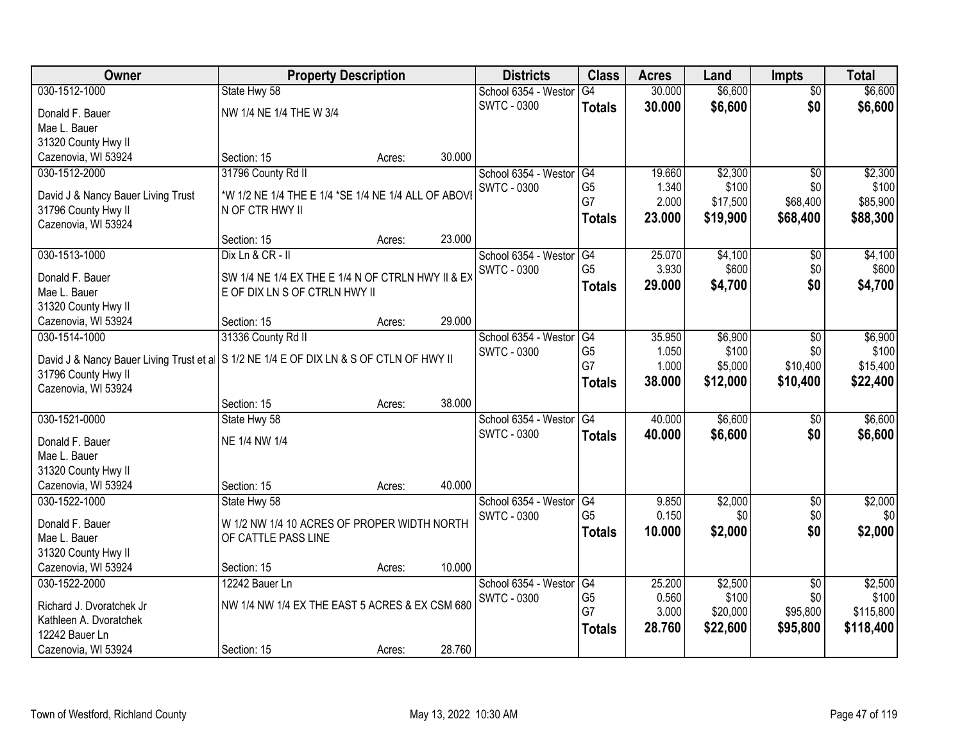| Owner                                                                                    | <b>Property Description</b>                                            |        |        | <b>Districts</b>                           | <b>Class</b>         | <b>Acres</b>    | Land             | <b>Impts</b>           | <b>Total</b>     |
|------------------------------------------------------------------------------------------|------------------------------------------------------------------------|--------|--------|--------------------------------------------|----------------------|-----------------|------------------|------------------------|------------------|
| 030-1512-1000                                                                            | State Hwy 58                                                           |        |        | School 6354 - Westor                       | G4                   | 30.000          | \$6,600          | $\overline{50}$        | \$6,600          |
| Donald F. Bauer                                                                          | NW 1/4 NE 1/4 THE W 3/4                                                |        |        | <b>SWTC - 0300</b>                         | <b>Totals</b>        | 30.000          | \$6,600          | \$0                    | \$6,600          |
| Mae L. Bauer                                                                             |                                                                        |        |        |                                            |                      |                 |                  |                        |                  |
| 31320 County Hwy II                                                                      |                                                                        |        |        |                                            |                      |                 |                  |                        |                  |
| Cazenovia, WI 53924                                                                      | Section: 15                                                            | Acres: | 30.000 |                                            |                      |                 |                  |                        |                  |
| 030-1512-2000                                                                            | 31796 County Rd II                                                     |        |        | School 6354 - Westor                       | G4                   | 19.660          | \$2,300          | $\overline{50}$        | \$2,300          |
|                                                                                          |                                                                        |        |        | <b>SWTC - 0300</b>                         | G <sub>5</sub>       | 1.340           | \$100            | \$0                    | \$100            |
| David J & Nancy Bauer Living Trust                                                       | *W 1/2 NE 1/4 THE E 1/4 *SE 1/4 NE 1/4 ALL OF ABOVI<br>N OF CTR HWY II |        |        |                                            | G7                   | 2.000           | \$17,500         | \$68,400               | \$85,900         |
| 31796 County Hwy II<br>Cazenovia, WI 53924                                               |                                                                        |        |        |                                            | <b>Totals</b>        | 23.000          | \$19,900         | \$68,400               | \$88,300         |
|                                                                                          | Section: 15                                                            | Acres: | 23.000 |                                            |                      |                 |                  |                        |                  |
| 030-1513-1000                                                                            | Dix Ln & CR - II                                                       |        |        | School 6354 - Westor                       | G4                   | 25.070          | \$4,100          | \$0                    | \$4,100          |
|                                                                                          |                                                                        |        |        | <b>SWTC - 0300</b>                         | G <sub>5</sub>       | 3.930           | \$600            | \$0                    | \$600            |
| Donald F. Bauer                                                                          | SW 1/4 NE 1/4 EX THE E 1/4 N OF CTRLN HWY II & EX                      |        |        |                                            | <b>Totals</b>        | 29,000          | \$4,700          | \$0                    | \$4,700          |
| Mae L. Bauer                                                                             | E OF DIX LN S OF CTRLN HWY II                                          |        |        |                                            |                      |                 |                  |                        |                  |
| 31320 County Hwy II                                                                      |                                                                        |        |        |                                            |                      |                 |                  |                        |                  |
| Cazenovia, WI 53924                                                                      | Section: 15                                                            | Acres: | 29.000 |                                            |                      |                 |                  |                        |                  |
| 030-1514-1000                                                                            | 31336 County Rd II                                                     |        |        | School 6354 - Weston                       | G4                   | 35.950          | \$6,900          | $\sqrt[6]{3}$          | \$6,900          |
| David J & Nancy Bauer Living Trust et a   S 1/2 NE 1/4 E OF DIX LN & S OF CTLN OF HWY II |                                                                        |        |        | <b>SWTC - 0300</b>                         | G <sub>5</sub>       | 1.050           | \$100            | \$0                    | \$100            |
| 31796 County Hwy II                                                                      |                                                                        |        |        |                                            | G7                   | 1.000           | \$5,000          | \$10,400               | \$15,400         |
| Cazenovia, WI 53924                                                                      |                                                                        |        |        |                                            | <b>Totals</b>        | 38.000          | \$12,000         | \$10,400               | \$22,400         |
|                                                                                          | Section: 15                                                            | Acres: | 38.000 |                                            |                      |                 |                  |                        |                  |
| 030-1521-0000                                                                            | State Hwy 58                                                           |        |        | School 6354 - Weston                       | $\overline{G4}$      | 40.000          | \$6,600          | \$0                    | \$6,600          |
| Donald F. Bauer                                                                          | NE 1/4 NW 1/4                                                          |        |        | <b>SWTC - 0300</b>                         | <b>Totals</b>        | 40.000          | \$6,600          | \$0                    | \$6,600          |
| Mae L. Bauer                                                                             |                                                                        |        |        |                                            |                      |                 |                  |                        |                  |
| 31320 County Hwy II                                                                      |                                                                        |        |        |                                            |                      |                 |                  |                        |                  |
| Cazenovia, WI 53924                                                                      | Section: 15                                                            | Acres: | 40.000 |                                            |                      |                 |                  |                        |                  |
| 030-1522-1000                                                                            | State Hwy 58                                                           |        |        | School 6354 - Westor                       | G4                   | 9.850           | \$2,000          | $\sqrt{6}$             | \$2,000          |
|                                                                                          |                                                                        |        |        | <b>SWTC - 0300</b>                         | G <sub>5</sub>       | 0.150           | \$0              | \$0                    | \$0              |
| Donald F. Bauer                                                                          | W 1/2 NW 1/4 10 ACRES OF PROPER WIDTH NORTH                            |        |        |                                            | <b>Totals</b>        | 10.000          | \$2,000          | \$0                    | \$2,000          |
| Mae L. Bauer                                                                             | OF CATTLE PASS LINE                                                    |        |        |                                            |                      |                 |                  |                        |                  |
| 31320 County Hwy II<br>Cazenovia, WI 53924                                               |                                                                        |        | 10.000 |                                            |                      |                 |                  |                        |                  |
|                                                                                          | Section: 15                                                            | Acres: |        |                                            |                      |                 |                  |                        |                  |
| 030-1522-2000                                                                            | 12242 Bauer Ln                                                         |        |        | School 6354 - Weston<br><b>SWTC - 0300</b> | G4<br>G <sub>5</sub> | 25.200<br>0.560 | \$2,500<br>\$100 | $\overline{50}$<br>\$0 | \$2,500<br>\$100 |
| Richard J. Dvoratchek Jr                                                                 | NW 1/4 NW 1/4 EX THE EAST 5 ACRES & EX CSM 680                         |        |        |                                            | G7                   | 3.000           | \$20,000         | \$95,800               | \$115,800        |
| Kathleen A. Dvoratchek                                                                   |                                                                        |        |        |                                            |                      | 28.760          | \$22,600         | \$95,800               | \$118,400        |
| 12242 Bauer Ln                                                                           |                                                                        |        |        |                                            | <b>Totals</b>        |                 |                  |                        |                  |
| Cazenovia, WI 53924                                                                      | Section: 15                                                            | Acres: | 28.760 |                                            |                      |                 |                  |                        |                  |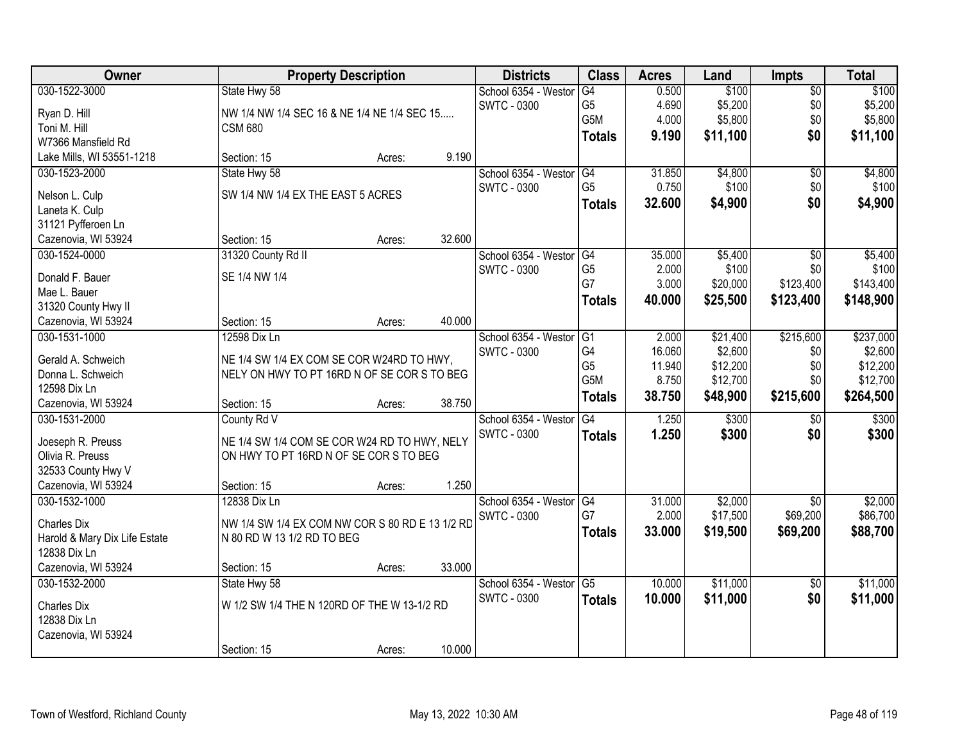| Owner                            | <b>Property Description</b>                     |        |        | <b>Districts</b>     | <b>Class</b>    | <b>Acres</b> | Land     | <b>Impts</b>    | <b>Total</b> |
|----------------------------------|-------------------------------------------------|--------|--------|----------------------|-----------------|--------------|----------|-----------------|--------------|
| 030-1522-3000                    | State Hwy 58                                    |        |        | School 6354 - Westor | G4              | 0.500        | \$100    | \$0             | \$100        |
| Ryan D. Hill                     | NW 1/4 NW 1/4 SEC 16 & NE 1/4 NE 1/4 SEC 15     |        |        | <b>SWTC - 0300</b>   | G <sub>5</sub>  | 4.690        | \$5,200  | \$0             | \$5,200      |
| Toni M. Hill                     | <b>CSM 680</b>                                  |        |        |                      | G5M             | 4.000        | \$5,800  | \$0             | \$5,800      |
| W7366 Mansfield Rd               |                                                 |        |        |                      | <b>Totals</b>   | 9.190        | \$11,100 | \$0             | \$11,100     |
| Lake Mills, WI 53551-1218        | Section: 15                                     | Acres: | 9.190  |                      |                 |              |          |                 |              |
| 030-1523-2000                    | State Hwy 58                                    |        |        | School 6354 - Westor | G4              | 31.850       | \$4,800  | $\overline{50}$ | \$4,800      |
|                                  | SW 1/4 NW 1/4 EX THE EAST 5 ACRES               |        |        | <b>SWTC - 0300</b>   | G <sub>5</sub>  | 0.750        | \$100    | \$0             | \$100        |
| Nelson L. Culp<br>Laneta K. Culp |                                                 |        |        |                      | <b>Totals</b>   | 32.600       | \$4,900  | \$0             | \$4,900      |
| 31121 Pyfferoen Ln               |                                                 |        |        |                      |                 |              |          |                 |              |
| Cazenovia, WI 53924              | Section: 15                                     | Acres: | 32.600 |                      |                 |              |          |                 |              |
| 030-1524-0000                    | 31320 County Rd II                              |        |        | School 6354 - Westor | G4              | 35.000       | \$5,400  | \$0             | \$5,400      |
|                                  |                                                 |        |        | SWTC - 0300          | G <sub>5</sub>  | 2.000        | \$100    | \$0             | \$100        |
| Donald F. Bauer                  | SE 1/4 NW 1/4                                   |        |        |                      | G7              | 3.000        | \$20,000 | \$123,400       | \$143,400    |
| Mae L. Bauer                     |                                                 |        |        |                      | Totals          | 40.000       | \$25,500 | \$123,400       | \$148,900    |
| 31320 County Hwy II              |                                                 |        |        |                      |                 |              |          |                 |              |
| Cazenovia, WI 53924              | Section: 15                                     | Acres: | 40.000 |                      |                 |              |          |                 |              |
| 030-1531-1000                    | 12598 Dix Ln                                    |        |        | School 6354 - Weston | G1              | 2.000        | \$21,400 | \$215,600       | \$237,000    |
| Gerald A. Schweich               | NE 1/4 SW 1/4 EX COM SE COR W24RD TO HWY,       |        |        | SWTC - 0300          | G4              | 16.060       | \$2,600  | \$0             | \$2,600      |
| Donna L. Schweich                | NELY ON HWY TO PT 16RD N OF SE COR S TO BEG     |        |        |                      | G <sub>5</sub>  | 11.940       | \$12,200 | \$0             | \$12,200     |
| 12598 Dix Ln                     |                                                 |        |        |                      | G5M             | 8.750        | \$12,700 | \$0             | \$12,700     |
| Cazenovia, WI 53924              | Section: 15                                     | Acres: | 38.750 |                      | <b>Totals</b>   | 38.750       | \$48,900 | \$215,600       | \$264,500    |
| 030-1531-2000                    | County Rd V                                     |        |        | School 6354 - Westor | $\overline{G4}$ | 1.250        | \$300    | $\overline{50}$ | \$300        |
|                                  |                                                 |        |        | <b>SWTC - 0300</b>   | <b>Totals</b>   | 1.250        | \$300    | \$0             | \$300        |
| Joeseph R. Preuss                | NE 1/4 SW 1/4 COM SE COR W24 RD TO HWY, NELY    |        |        |                      |                 |              |          |                 |              |
| Olivia R. Preuss                 | ON HWY TO PT 16RD N OF SE COR S TO BEG          |        |        |                      |                 |              |          |                 |              |
| 32533 County Hwy V               |                                                 |        |        |                      |                 |              |          |                 |              |
| Cazenovia, WI 53924              | Section: 15                                     | Acres: | 1.250  |                      |                 |              |          |                 |              |
| 030-1532-1000                    | 12838 Dix Ln                                    |        |        | School 6354 - Westor | G4              | 31.000       | \$2,000  | $\overline{50}$ | \$2,000      |
| Charles Dix                      | NW 1/4 SW 1/4 EX COM NW COR S 80 RD E 13 1/2 RD |        |        | <b>SWTC - 0300</b>   | G7              | 2.000        | \$17,500 | \$69,200        | \$86,700     |
| Harold & Mary Dix Life Estate    | N 80 RD W 13 1/2 RD TO BEG                      |        |        |                      | <b>Totals</b>   | 33.000       | \$19,500 | \$69,200        | \$88,700     |
| 12838 Dix Ln                     |                                                 |        |        |                      |                 |              |          |                 |              |
| Cazenovia, WI 53924              | Section: 15                                     | Acres: | 33.000 |                      |                 |              |          |                 |              |
| 030-1532-2000                    | State Hwy 58                                    |        |        | School 6354 - Westor | G5              | 10.000       | \$11,000 | $\overline{50}$ | \$11,000     |
| <b>Charles Dix</b>               | W 1/2 SW 1/4 THE N 120RD OF THE W 13-1/2 RD     |        |        | SWTC - 0300          | <b>Totals</b>   | 10.000       | \$11,000 | \$0             | \$11,000     |
| 12838 Dix Ln                     |                                                 |        |        |                      |                 |              |          |                 |              |
| Cazenovia, WI 53924              |                                                 |        |        |                      |                 |              |          |                 |              |
|                                  | Section: 15                                     | Acres: | 10.000 |                      |                 |              |          |                 |              |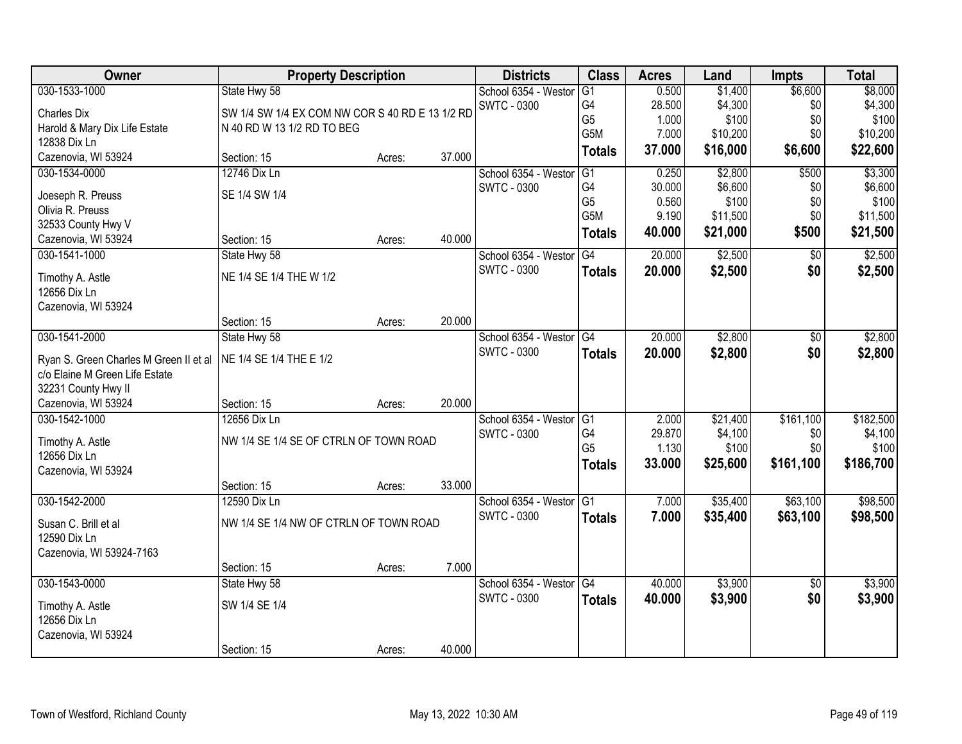| Owner                                     | <b>Property Description</b>                     |        |        | <b>Districts</b>                           | <b>Class</b>    | <b>Acres</b> | Land     | <b>Impts</b>    | <b>Total</b> |
|-------------------------------------------|-------------------------------------------------|--------|--------|--------------------------------------------|-----------------|--------------|----------|-----------------|--------------|
| 030-1533-1000                             | State Hwy 58                                    |        |        | School 6354 - Weston                       | G1              | 0.500        | \$1,400  | \$6,600         | \$8,000      |
| <b>Charles Dix</b>                        | SW 1/4 SW 1/4 EX COM NW COR S 40 RD E 13 1/2 RD |        |        | <b>SWTC - 0300</b>                         | G4              | 28.500       | \$4,300  | \$0             | \$4,300      |
| Harold & Mary Dix Life Estate             | N 40 RD W 13 1/2 RD TO BEG                      |        |        |                                            | G <sub>5</sub>  | 1.000        | \$100    | \$0             | \$100        |
| 12838 Dix Ln                              |                                                 |        |        |                                            | G5M             | 7.000        | \$10,200 | \$0             | \$10,200     |
| Cazenovia, WI 53924                       | Section: 15                                     | Acres: | 37.000 |                                            | <b>Totals</b>   | 37.000       | \$16,000 | \$6,600         | \$22,600     |
| 030-1534-0000                             | 12746 Dix Ln                                    |        |        | School 6354 - Weston                       | G1              | 0.250        | \$2,800  | \$500           | \$3,300      |
|                                           |                                                 |        |        | <b>SWTC - 0300</b>                         | G4              | 30.000       | \$6,600  | \$0             | \$6,600      |
| Joeseph R. Preuss                         | SE 1/4 SW 1/4                                   |        |        |                                            | G <sub>5</sub>  | 0.560        | \$100    | \$0             | \$100        |
| Olivia R. Preuss                          |                                                 |        |        |                                            | G5M             | 9.190        | \$11,500 | \$0             | \$11,500     |
| 32533 County Hwy V<br>Cazenovia, WI 53924 | Section: 15                                     | Acres: | 40.000 |                                            | <b>Totals</b>   | 40.000       | \$21,000 | \$500           | \$21,500     |
| 030-1541-1000                             |                                                 |        |        |                                            | G4              | 20.000       | \$2,500  | \$0             | \$2,500      |
|                                           | State Hwy 58                                    |        |        | School 6354 - Westor<br><b>SWTC - 0300</b> |                 |              |          |                 |              |
| Timothy A. Astle                          | NE 1/4 SE 1/4 THE W 1/2                         |        |        |                                            | <b>Totals</b>   | 20.000       | \$2,500  | \$0             | \$2,500      |
| 12656 Dix Ln                              |                                                 |        |        |                                            |                 |              |          |                 |              |
| Cazenovia, WI 53924                       |                                                 |        |        |                                            |                 |              |          |                 |              |
|                                           | Section: 15                                     | Acres: | 20.000 |                                            |                 |              |          |                 |              |
| 030-1541-2000                             | State Hwy 58                                    |        |        | School 6354 - Weston                       | G4              | 20.000       | \$2,800  | \$0             | \$2,800      |
| Ryan S. Green Charles M Green II et al    | NE 1/4 SE 1/4 THE E 1/2                         |        |        | <b>SWTC - 0300</b>                         | <b>Totals</b>   | 20.000       | \$2,800  | \$0             | \$2,800      |
| c/o Elaine M Green Life Estate            |                                                 |        |        |                                            |                 |              |          |                 |              |
| 32231 County Hwy II                       |                                                 |        |        |                                            |                 |              |          |                 |              |
| Cazenovia, WI 53924                       | Section: 15                                     | Acres: | 20.000 |                                            |                 |              |          |                 |              |
| 030-1542-1000                             | 12656 Dix Ln                                    |        |        | School 6354 - Westor                       | G1              | 2.000        | \$21,400 | \$161,100       | \$182,500    |
|                                           |                                                 |        |        | <b>SWTC - 0300</b>                         | G4              | 29.870       | \$4,100  | \$0             | \$4,100      |
| Timothy A. Astle                          | NW 1/4 SE 1/4 SE OF CTRLN OF TOWN ROAD          |        |        |                                            | G <sub>5</sub>  | 1.130        | \$100    | \$0             | \$100        |
| 12656 Dix Ln                              |                                                 |        |        |                                            | <b>Totals</b>   | 33.000       | \$25,600 | \$161,100       | \$186,700    |
| Cazenovia, WI 53924                       |                                                 |        |        |                                            |                 |              |          |                 |              |
|                                           | Section: 15                                     | Acres: | 33.000 |                                            |                 |              |          |                 |              |
| 030-1542-2000                             | 12590 Dix Ln                                    |        |        | School 6354 - Westor                       | $\overline{G1}$ | 7.000        | \$35,400 | \$63,100        | \$98,500     |
| Susan C. Brill et al                      | NW 1/4 SE 1/4 NW OF CTRLN OF TOWN ROAD          |        |        | <b>SWTC - 0300</b>                         | <b>Totals</b>   | 7.000        | \$35,400 | \$63,100        | \$98,500     |
| 12590 Dix Ln                              |                                                 |        |        |                                            |                 |              |          |                 |              |
| Cazenovia, WI 53924-7163                  |                                                 |        |        |                                            |                 |              |          |                 |              |
|                                           | Section: 15                                     | Acres: | 7.000  |                                            |                 |              |          |                 |              |
| 030-1543-0000                             | State Hwy 58                                    |        |        | School 6354 - Westor                       | G4              | 40.000       | \$3,900  | $\overline{50}$ | \$3,900      |
|                                           |                                                 |        |        | <b>SWTC - 0300</b>                         | <b>Totals</b>   | 40.000       | \$3,900  | \$0             | \$3,900      |
| Timothy A. Astle                          | SW 1/4 SE 1/4                                   |        |        |                                            |                 |              |          |                 |              |
| 12656 Dix Ln                              |                                                 |        |        |                                            |                 |              |          |                 |              |
| Cazenovia, WI 53924                       |                                                 |        |        |                                            |                 |              |          |                 |              |
|                                           | Section: 15                                     | Acres: | 40.000 |                                            |                 |              |          |                 |              |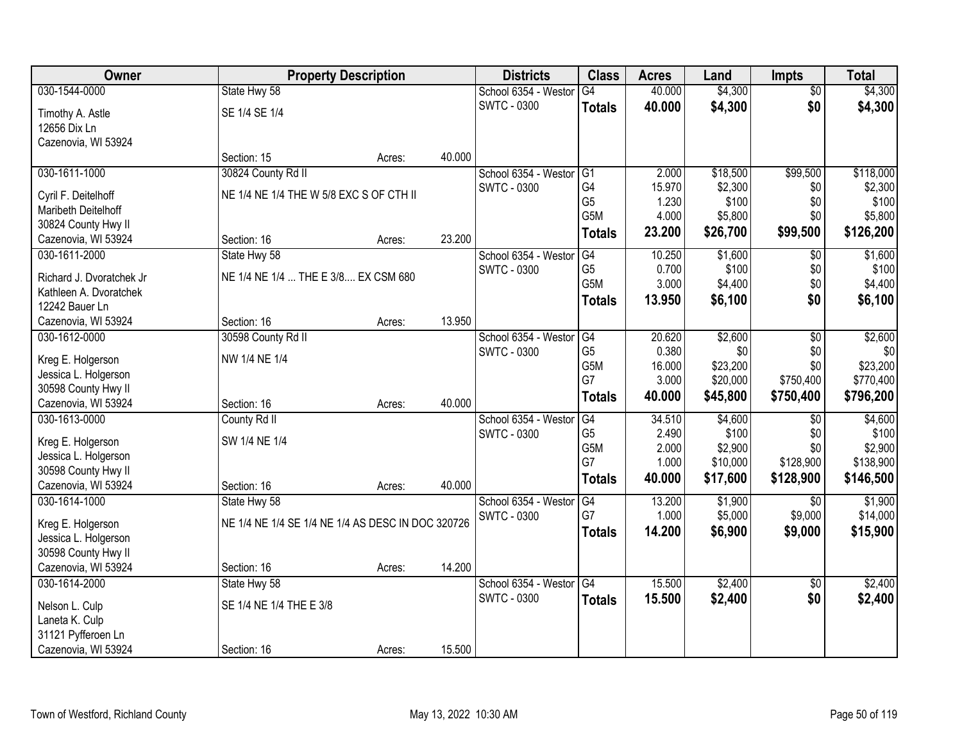| Owner                                       |                                                   | <b>Property Description</b> |        | <b>Districts</b>     | <b>Class</b>    | <b>Acres</b> | Land     | <b>Impts</b>    | <b>Total</b> |
|---------------------------------------------|---------------------------------------------------|-----------------------------|--------|----------------------|-----------------|--------------|----------|-----------------|--------------|
| 030-1544-0000                               | State Hwy 58                                      |                             |        | School 6354 - Weston | $\overline{G4}$ | 40.000       | \$4,300  | $\overline{50}$ | \$4,300      |
| Timothy A. Astle                            | SE 1/4 SE 1/4                                     |                             |        | <b>SWTC - 0300</b>   | <b>Totals</b>   | 40.000       | \$4,300  | \$0             | \$4,300      |
| 12656 Dix Ln                                |                                                   |                             |        |                      |                 |              |          |                 |              |
| Cazenovia, WI 53924                         |                                                   |                             |        |                      |                 |              |          |                 |              |
|                                             | Section: 15                                       | Acres:                      | 40.000 |                      |                 |              |          |                 |              |
| 030-1611-1000                               | 30824 County Rd II                                |                             |        | School 6354 - Westor | G1              | 2.000        | \$18,500 | \$99,500        | \$118,000    |
| Cyril F. Deitelhoff                         | NE 1/4 NE 1/4 THE W 5/8 EXC S OF CTH II           |                             |        | <b>SWTC - 0300</b>   | G4              | 15.970       | \$2,300  | \$0             | \$2,300      |
| Maribeth Deitelhoff                         |                                                   |                             |        |                      | G <sub>5</sub>  | 1.230        | \$100    | \$0             | \$100        |
| 30824 County Hwy II                         |                                                   |                             |        |                      | G5M             | 4.000        | \$5,800  | \$0             | \$5,800      |
| Cazenovia, WI 53924                         | Section: 16                                       | Acres:                      | 23.200 |                      | <b>Totals</b>   | 23.200       | \$26,700 | \$99,500        | \$126,200    |
| 030-1611-2000                               | State Hwy 58                                      |                             |        | School 6354 - Westor | G4              | 10.250       | \$1,600  | \$0             | \$1,600      |
| Richard J. Dvoratchek Jr                    | NE 1/4 NE 1/4  THE E 3/8 EX CSM 680               |                             |        | <b>SWTC - 0300</b>   | G <sub>5</sub>  | 0.700        | \$100    | \$0             | \$100        |
| Kathleen A. Dvoratchek                      |                                                   |                             |        |                      | G5M             | 3.000        | \$4,400  | \$0             | \$4,400      |
| 12242 Bauer Ln                              |                                                   |                             |        |                      | <b>Totals</b>   | 13.950       | \$6,100  | \$0             | \$6,100      |
| Cazenovia, WI 53924                         | Section: 16                                       | Acres:                      | 13.950 |                      |                 |              |          |                 |              |
| 030-1612-0000                               | 30598 County Rd II                                |                             |        | School 6354 - Weston | G4              | 20.620       | \$2,600  | \$0             | \$2,600      |
|                                             | NW 1/4 NE 1/4                                     |                             |        | <b>SWTC - 0300</b>   | G <sub>5</sub>  | 0.380        | \$0      | \$0             | \$0          |
| Kreg E. Holgerson<br>Jessica L. Holgerson   |                                                   |                             |        |                      | G5M             | 16.000       | \$23,200 | \$0             | \$23,200     |
| 30598 County Hwy II                         |                                                   |                             |        |                      | G7              | 3.000        | \$20,000 | \$750,400       | \$770,400    |
| Cazenovia, WI 53924                         | Section: 16                                       | Acres:                      | 40.000 |                      | <b>Totals</b>   | 40.000       | \$45,800 | \$750,400       | \$796,200    |
| 030-1613-0000                               | County Rd II                                      |                             |        | School 6354 - Weston | $\overline{G4}$ | 34.510       | \$4,600  | \$0             | \$4,600      |
|                                             |                                                   |                             |        | <b>SWTC - 0300</b>   | G <sub>5</sub>  | 2.490        | \$100    | \$0             | \$100        |
| Kreg E. Holgerson<br>Jessica L. Holgerson   | SW 1/4 NE 1/4                                     |                             |        |                      | G5M             | 2.000        | \$2,900  | \$0             | \$2,900      |
| 30598 County Hwy II                         |                                                   |                             |        |                      | G7              | 1.000        | \$10,000 | \$128,900       | \$138,900    |
| Cazenovia, WI 53924                         | Section: 16                                       | Acres:                      | 40.000 |                      | <b>Totals</b>   | 40.000       | \$17,600 | \$128,900       | \$146,500    |
| 030-1614-1000                               | State Hwy 58                                      |                             |        | School 6354 - Westor | G4              | 13.200       | \$1,900  | \$0             | \$1,900      |
|                                             |                                                   |                             |        | <b>SWTC - 0300</b>   | G7              | 1.000        | \$5,000  | \$9,000         | \$14,000     |
| Kreg E. Holgerson                           | NE 1/4 NE 1/4 SE 1/4 NE 1/4 AS DESC IN DOC 320726 |                             |        |                      | <b>Totals</b>   | 14.200       | \$6,900  | \$9,000         | \$15,900     |
| Jessica L. Holgerson<br>30598 County Hwy II |                                                   |                             |        |                      |                 |              |          |                 |              |
| Cazenovia, WI 53924                         | Section: 16                                       | Acres:                      | 14.200 |                      |                 |              |          |                 |              |
| 030-1614-2000                               | State Hwy 58                                      |                             |        | School 6354 - Weston | G4              | 15.500       | \$2,400  | $\overline{30}$ | \$2,400      |
|                                             |                                                   |                             |        | <b>SWTC - 0300</b>   | <b>Totals</b>   | 15.500       | \$2,400  | \$0             | \$2,400      |
| Nelson L. Culp                              | SE 1/4 NE 1/4 THE E 3/8                           |                             |        |                      |                 |              |          |                 |              |
| Laneta K. Culp                              |                                                   |                             |        |                      |                 |              |          |                 |              |
| 31121 Pyfferoen Ln                          |                                                   |                             | 15.500 |                      |                 |              |          |                 |              |
| Cazenovia, WI 53924                         | Section: 16                                       | Acres:                      |        |                      |                 |              |          |                 |              |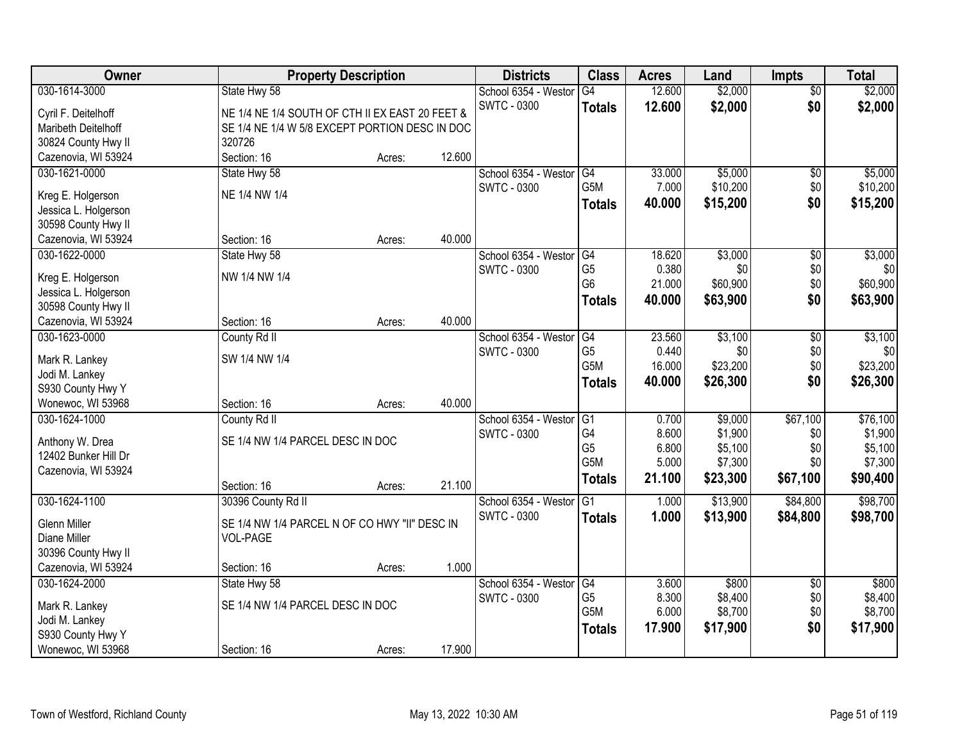| Owner                                      | <b>Property Description</b>                     |        |        | <b>Districts</b>     | <b>Class</b>     | <b>Acres</b>   | Land               | Impts           | <b>Total</b>       |
|--------------------------------------------|-------------------------------------------------|--------|--------|----------------------|------------------|----------------|--------------------|-----------------|--------------------|
| 030-1614-3000                              | State Hwy 58                                    |        |        | School 6354 - Westor | G4               | 12.600         | \$2,000            | $\overline{50}$ | \$2,000            |
| Cyril F. Deitelhoff                        | NE 1/4 NE 1/4 SOUTH OF CTH II EX EAST 20 FEET & |        |        | <b>SWTC - 0300</b>   | <b>Totals</b>    | 12.600         | \$2,000            | \$0             | \$2,000            |
| Maribeth Deitelhoff                        | SE 1/4 NE 1/4 W 5/8 EXCEPT PORTION DESC IN DOC  |        |        |                      |                  |                |                    |                 |                    |
| 30824 County Hwy II                        | 320726                                          |        |        |                      |                  |                |                    |                 |                    |
| Cazenovia, WI 53924                        | Section: 16                                     | Acres: | 12.600 |                      |                  |                |                    |                 |                    |
| 030-1621-0000                              | State Hwy 58                                    |        |        | School 6354 - Westor | G4               | 33.000         | \$5,000            | $\overline{50}$ | \$5,000            |
|                                            | NE 1/4 NW 1/4                                   |        |        | <b>SWTC - 0300</b>   | G <sub>5</sub> M | 7.000          | \$10,200           | \$0             | \$10,200           |
| Kreg E. Holgerson<br>Jessica L. Holgerson  |                                                 |        |        |                      | <b>Totals</b>    | 40.000         | \$15,200           | \$0             | \$15,200           |
| 30598 County Hwy II                        |                                                 |        |        |                      |                  |                |                    |                 |                    |
| Cazenovia, WI 53924                        | Section: 16                                     | Acres: | 40.000 |                      |                  |                |                    |                 |                    |
| 030-1622-0000                              | State Hwy 58                                    |        |        | School 6354 - Westor | G4               | 18.620         | \$3,000            | \$0             | \$3,000            |
|                                            |                                                 |        |        | SWTC - 0300          | G <sub>5</sub>   | 0.380          | \$0                | \$0             | \$0                |
| Kreg E. Holgerson                          | NW 1/4 NW 1/4                                   |        |        |                      | G <sub>6</sub>   | 21.000         | \$60,900           | \$0             | \$60,900           |
| Jessica L. Holgerson                       |                                                 |        |        |                      | <b>Totals</b>    | 40.000         | \$63,900           | \$0             | \$63,900           |
| 30598 County Hwy II<br>Cazenovia, WI 53924 | Section: 16                                     | Acres: | 40.000 |                      |                  |                |                    |                 |                    |
| 030-1623-0000                              | County Rd II                                    |        |        | School 6354 - Westor | G4               | 23.560         | \$3,100            | \$0             | \$3,100            |
|                                            |                                                 |        |        | <b>SWTC - 0300</b>   | G <sub>5</sub>   | 0.440          | \$0                | \$0             | \$0                |
| Mark R. Lankey                             | SW 1/4 NW 1/4                                   |        |        |                      | G <sub>5</sub> M | 16.000         | \$23,200           | \$0             | \$23,200           |
| Jodi M. Lankey                             |                                                 |        |        |                      | <b>Totals</b>    | 40.000         | \$26,300           | \$0             | \$26,300           |
| S930 County Hwy Y                          |                                                 |        |        |                      |                  |                |                    |                 |                    |
| Wonewoc, WI 53968                          | Section: 16                                     | Acres: | 40.000 |                      |                  |                |                    |                 |                    |
| 030-1624-1000                              | County Rd II                                    |        |        | School 6354 - Westor | G1<br>G4         | 0.700          | \$9,000            | \$67,100        | \$76,100           |
| Anthony W. Drea                            | SE 1/4 NW 1/4 PARCEL DESC IN DOC                |        |        | <b>SWTC - 0300</b>   | G <sub>5</sub>   | 8.600<br>6.800 | \$1,900<br>\$5,100 | \$0<br>\$0      | \$1,900<br>\$5,100 |
| 12402 Bunker Hill Dr                       |                                                 |        |        |                      | G5M              | 5.000          | \$7,300            | \$0             | \$7,300            |
| Cazenovia, WI 53924                        |                                                 |        |        |                      | <b>Totals</b>    | 21.100         | \$23,300           | \$67,100        | \$90,400           |
|                                            | Section: 16                                     | Acres: | 21.100 |                      |                  |                |                    |                 |                    |
| 030-1624-1100                              | 30396 County Rd II                              |        |        | School 6354 - Westor | G1               | 1.000          | \$13,900           | \$84,800        | \$98,700           |
| <b>Glenn Miller</b>                        | SE 1/4 NW 1/4 PARCEL N OF CO HWY "II" DESC IN   |        |        | <b>SWTC - 0300</b>   | <b>Totals</b>    | 1.000          | \$13,900           | \$84,800        | \$98,700           |
| Diane Miller                               | <b>VOL-PAGE</b>                                 |        |        |                      |                  |                |                    |                 |                    |
| 30396 County Hwy II                        |                                                 |        |        |                      |                  |                |                    |                 |                    |
| Cazenovia, WI 53924                        | Section: 16                                     | Acres: | 1.000  |                      |                  |                |                    |                 |                    |
| 030-1624-2000                              | State Hwy 58                                    |        |        | School 6354 - Westor | G4               | 3.600          | \$800              | $\overline{50}$ | \$800              |
| Mark R. Lankey                             | SE 1/4 NW 1/4 PARCEL DESC IN DOC                |        |        | <b>SWTC - 0300</b>   | G <sub>5</sub>   | 8.300          | \$8,400            | \$0             | \$8,400            |
| Jodi M. Lankey                             |                                                 |        |        |                      | G <sub>5</sub> M | 6.000          | \$8,700            | \$0             | \$8,700            |
| S930 County Hwy Y                          |                                                 |        |        |                      | <b>Totals</b>    | 17.900         | \$17,900           | \$0             | \$17,900           |
| Wonewoc, WI 53968                          | Section: 16                                     | Acres: | 17.900 |                      |                  |                |                    |                 |                    |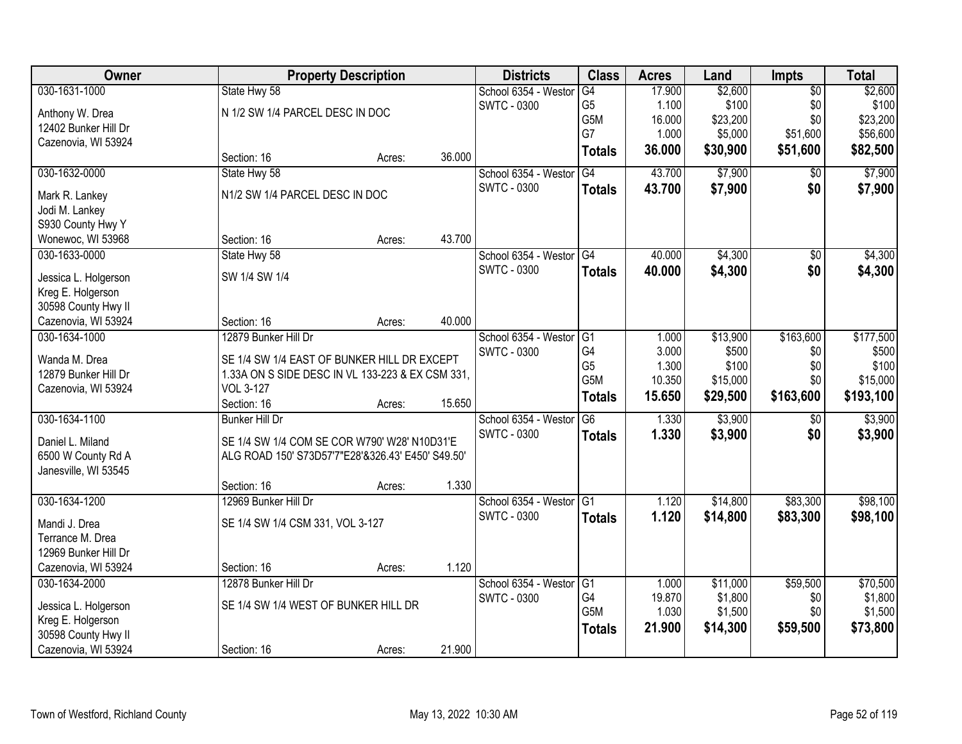| Owner                                       | <b>Property Description</b>                                          |        |        | <b>Districts</b>        | <b>Class</b>    | <b>Acres</b> | Land     | <b>Impts</b>    | <b>Total</b> |
|---------------------------------------------|----------------------------------------------------------------------|--------|--------|-------------------------|-----------------|--------------|----------|-----------------|--------------|
| 030-1631-1000                               | State Hwy 58                                                         |        |        | School 6354 - Westor    | G4              | 17.900       | \$2,600  | $\overline{50}$ | \$2,600      |
| Anthony W. Drea                             | N 1/2 SW 1/4 PARCEL DESC IN DOC                                      |        |        | <b>SWTC - 0300</b>      | G <sub>5</sub>  | 1.100        | \$100    | \$0             | \$100        |
| 12402 Bunker Hill Dr                        |                                                                      |        |        |                         | G5M             | 16.000       | \$23,200 | \$0             | \$23,200     |
| Cazenovia, WI 53924                         |                                                                      |        |        |                         | G7              | 1.000        | \$5,000  | \$51,600        | \$56,600     |
|                                             | Section: 16                                                          | Acres: | 36.000 |                         | <b>Totals</b>   | 36.000       | \$30,900 | \$51,600        | \$82,500     |
| 030-1632-0000                               | State Hwy 58                                                         |        |        | School 6354 - Westor    | G4              | 43.700       | \$7,900  | \$0             | \$7,900      |
| Mark R. Lankey                              | N1/2 SW 1/4 PARCEL DESC IN DOC                                       |        |        | <b>SWTC - 0300</b>      | <b>Totals</b>   | 43.700       | \$7,900  | \$0             | \$7,900      |
| Jodi M. Lankey                              |                                                                      |        |        |                         |                 |              |          |                 |              |
| S930 County Hwy Y                           |                                                                      |        |        |                         |                 |              |          |                 |              |
| Wonewoc, WI 53968                           | Section: 16                                                          | Acres: | 43.700 |                         |                 |              |          |                 |              |
| 030-1633-0000                               | State Hwy 58                                                         |        |        | School 6354 - Westor G4 |                 | 40.000       | \$4,300  | \$0             | \$4,300      |
| Jessica L. Holgerson                        | SW 1/4 SW 1/4                                                        |        |        | <b>SWTC - 0300</b>      | <b>Totals</b>   | 40.000       | \$4,300  | \$0             | \$4,300      |
| Kreg E. Holgerson                           |                                                                      |        |        |                         |                 |              |          |                 |              |
| 30598 County Hwy II                         |                                                                      |        |        |                         |                 |              |          |                 |              |
| Cazenovia, WI 53924                         | Section: 16                                                          | Acres: | 40.000 |                         |                 |              |          |                 |              |
| 030-1634-1000                               | 12879 Bunker Hill Dr                                                 |        |        | School 6354 - Westor    | G1              | 1.000        | \$13,900 | \$163,600       | \$177,500    |
|                                             |                                                                      |        |        | <b>SWTC - 0300</b>      | G4              | 3.000        | \$500    | \$0             | \$500        |
| Wanda M. Drea                               | SE 1/4 SW 1/4 EAST OF BUNKER HILL DR EXCEPT                          |        |        |                         | G <sub>5</sub>  | 1.300        | \$100    | \$0             | \$100        |
| 12879 Bunker Hill Dr<br>Cazenovia, WI 53924 | 1.33A ON S SIDE DESC IN VL 133-223 & EX CSM 331,<br><b>VOL 3-127</b> |        |        |                         | G5M             | 10.350       | \$15,000 | \$0             | \$15,000     |
|                                             | Section: 16                                                          | Acres: | 15.650 |                         | <b>Totals</b>   | 15.650       | \$29,500 | \$163,600       | \$193,100    |
| 030-1634-1100                               | <b>Bunker Hill Dr</b>                                                |        |        | School 6354 - Westor    | $\overline{G6}$ | 1.330        | \$3,900  | $\overline{50}$ | \$3,900      |
|                                             |                                                                      |        |        | <b>SWTC - 0300</b>      | <b>Totals</b>   | 1.330        | \$3,900  | \$0             | \$3,900      |
| Daniel L. Miland                            | SE 1/4 SW 1/4 COM SE COR W790' W28' N10D31'E                         |        |        |                         |                 |              |          |                 |              |
| 6500 W County Rd A                          | ALG ROAD 150' S73D57'7"E28'&326.43' E450' S49.50'                    |        |        |                         |                 |              |          |                 |              |
| Janesville, WI 53545                        |                                                                      |        |        |                         |                 |              |          |                 |              |
|                                             | Section: 16                                                          | Acres: | 1.330  |                         |                 |              |          |                 |              |
| 030-1634-1200                               | 12969 Bunker Hill Dr                                                 |        |        | School 6354 - Westor G1 |                 | 1.120        | \$14,800 | \$83,300        | \$98,100     |
| Mandi J. Drea                               | SE 1/4 SW 1/4 CSM 331, VOL 3-127                                     |        |        | <b>SWTC - 0300</b>      | <b>Totals</b>   | 1.120        | \$14,800 | \$83,300        | \$98,100     |
| Terrance M. Drea                            |                                                                      |        |        |                         |                 |              |          |                 |              |
| 12969 Bunker Hill Dr                        |                                                                      |        |        |                         |                 |              |          |                 |              |
| Cazenovia, WI 53924                         | Section: 16                                                          | Acres: | 1.120  |                         |                 |              |          |                 |              |
| 030-1634-2000                               | 12878 Bunker Hill Dr                                                 |        |        | School 6354 - Westor    | G1              | 1.000        | \$11,000 | \$59,500        | \$70,500     |
| Jessica L. Holgerson                        | SE 1/4 SW 1/4 WEST OF BUNKER HILL DR                                 |        |        | SWTC - 0300             | G4              | 19.870       | \$1,800  | \$0             | \$1,800      |
| Kreg E. Holgerson                           |                                                                      |        |        |                         | G5M             | 1.030        | \$1,500  | \$0             | \$1,500      |
| 30598 County Hwy II                         |                                                                      |        |        |                         | <b>Totals</b>   | 21.900       | \$14,300 | \$59,500        | \$73,800     |
| Cazenovia, WI 53924                         | Section: 16                                                          | Acres: | 21.900 |                         |                 |              |          |                 |              |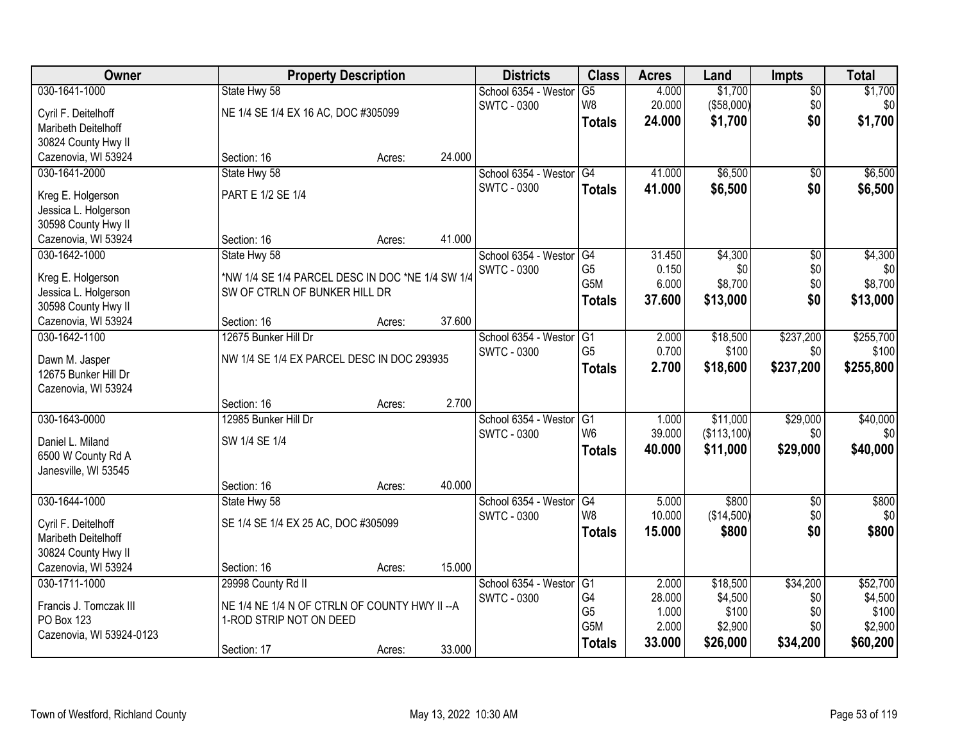| Owner                                       |                                                  | <b>Property Description</b> |        |                      | <b>Class</b>                      | <b>Acres</b>    | Land        | <b>Impts</b> | <b>Total</b>    |
|---------------------------------------------|--------------------------------------------------|-----------------------------|--------|----------------------|-----------------------------------|-----------------|-------------|--------------|-----------------|
| 030-1641-1000                               | State Hwy 58                                     |                             |        | School 6354 - Westor | $\overline{G5}$                   | 4.000           | \$1,700     | $\sqrt{$0}$  | \$1,700         |
| Cyril F. Deitelhoff                         | NE 1/4 SE 1/4 EX 16 AC, DOC #305099              |                             |        | <b>SWTC - 0300</b>   | W <sub>8</sub>                    | 20.000          | (\$58,000)  | \$0          | \$0             |
| Maribeth Deitelhoff                         |                                                  |                             |        |                      | <b>Totals</b>                     | 24.000          | \$1,700     | \$0          | \$1,700         |
| 30824 County Hwy II                         |                                                  |                             |        |                      |                                   |                 |             |              |                 |
| Cazenovia, WI 53924                         | Section: 16                                      | Acres:                      | 24.000 |                      |                                   |                 |             |              |                 |
| 030-1641-2000                               | State Hwy 58                                     |                             |        | School 6354 - Westor | $\overline{G4}$                   | 41.000          | \$6,500     | \$0          | \$6,500         |
| Kreg E. Holgerson                           | PART E 1/2 SE 1/4                                |                             |        | <b>SWTC - 0300</b>   | <b>Totals</b>                     | 41.000          | \$6,500     | \$0          | \$6,500         |
| Jessica L. Holgerson                        |                                                  |                             |        |                      |                                   |                 |             |              |                 |
| 30598 County Hwy II                         |                                                  |                             |        |                      |                                   |                 |             |              |                 |
| Cazenovia, WI 53924                         | Section: 16                                      | Acres:                      | 41.000 |                      |                                   |                 |             |              |                 |
| 030-1642-1000                               | State Hwy 58                                     |                             |        | School 6354 - Westor | G4                                | 31.450          | \$4,300     | \$0          | \$4,300         |
|                                             |                                                  |                             |        | <b>SWTC - 0300</b>   | G <sub>5</sub>                    | 0.150           | \$0         | \$0          | \$0             |
| Kreg E. Holgerson                           | *NW 1/4 SE 1/4 PARCEL DESC IN DOC *NE 1/4 SW 1/4 |                             |        |                      | G <sub>5</sub> M                  | 6.000           | \$8,700     | \$0          | \$8,700         |
| Jessica L. Holgerson<br>30598 County Hwy II | SW OF CTRLN OF BUNKER HILL DR                    |                             |        |                      | <b>Totals</b>                     | 37.600          | \$13,000    | \$0          | \$13,000        |
| Cazenovia, WI 53924                         | Section: 16                                      | Acres:                      | 37.600 |                      |                                   |                 |             |              |                 |
| 030-1642-1100                               | 12675 Bunker Hill Dr                             |                             |        | School 6354 - Weston | G <sub>1</sub>                    | 2.000           | \$18,500    | \$237,200    | \$255,700       |
|                                             |                                                  |                             |        | <b>SWTC - 0300</b>   | G <sub>5</sub>                    | 0.700           | \$100       | \$0          | \$100           |
| Dawn M. Jasper                              | NW 1/4 SE 1/4 EX PARCEL DESC IN DOC 293935       |                             |        |                      | <b>Totals</b>                     | 2.700           | \$18,600    | \$237,200    | \$255,800       |
| 12675 Bunker Hill Dr                        |                                                  |                             |        |                      |                                   |                 |             |              |                 |
| Cazenovia, WI 53924                         |                                                  |                             |        |                      |                                   |                 |             |              |                 |
|                                             | Section: 16                                      | Acres:                      | 2.700  |                      |                                   |                 |             |              |                 |
| 030-1643-0000                               | 12985 Bunker Hill Dr                             |                             |        | School 6354 - Weston | $\overline{G1}$<br>W <sub>6</sub> | 1.000<br>39.000 | \$11,000    | \$29,000     | \$40,000<br>\$0 |
| Daniel L. Miland                            | SW 1/4 SE 1/4                                    |                             |        | <b>SWTC - 0300</b>   |                                   |                 | (\$113,100) | \$0          |                 |
| 6500 W County Rd A                          |                                                  |                             |        |                      | Totals                            | 40.000          | \$11,000    | \$29,000     | \$40,000        |
| Janesville, WI 53545                        |                                                  |                             |        |                      |                                   |                 |             |              |                 |
|                                             | Section: 16                                      | Acres:                      | 40.000 |                      |                                   |                 |             |              |                 |
| 030-1644-1000                               | State Hwy 58                                     |                             |        | School 6354 - Westor | G4                                | 5.000           | \$800       | $\sqrt{6}$   | \$800           |
| Cyril F. Deitelhoff                         | SE 1/4 SE 1/4 EX 25 AC, DOC #305099              |                             |        | <b>SWTC - 0300</b>   | W <sub>8</sub>                    | 10.000          | (\$14,500)  | \$0          | \$0             |
| Maribeth Deitelhoff                         |                                                  |                             |        |                      | <b>Totals</b>                     | 15.000          | \$800       | \$0          | \$800           |
| 30824 County Hwy II                         |                                                  |                             |        |                      |                                   |                 |             |              |                 |
| Cazenovia, WI 53924                         | Section: 16                                      | Acres:                      | 15.000 |                      |                                   |                 |             |              |                 |
| 030-1711-1000                               | 29998 County Rd II                               |                             |        | School 6354 - Weston | G1                                | 2.000           | \$18,500    | \$34,200     | \$52,700        |
| Francis J. Tomczak III                      | NE 1/4 NE 1/4 N OF CTRLN OF COUNTY HWY II -- A   |                             |        | SWTC - 0300          | G4                                | 28.000          | \$4,500     | \$0          | \$4,500         |
| PO Box 123                                  | 1-ROD STRIP NOT ON DEED                          |                             |        |                      | G <sub>5</sub>                    | 1.000           | \$100       | \$0          | \$100           |
| Cazenovia, WI 53924-0123                    |                                                  |                             |        |                      | G5M                               | 2.000           | \$2,900     | \$0          | \$2,900         |
|                                             | Section: 17                                      | Acres:                      | 33.000 |                      | <b>Totals</b>                     | 33.000          | \$26,000    | \$34,200     | \$60,200        |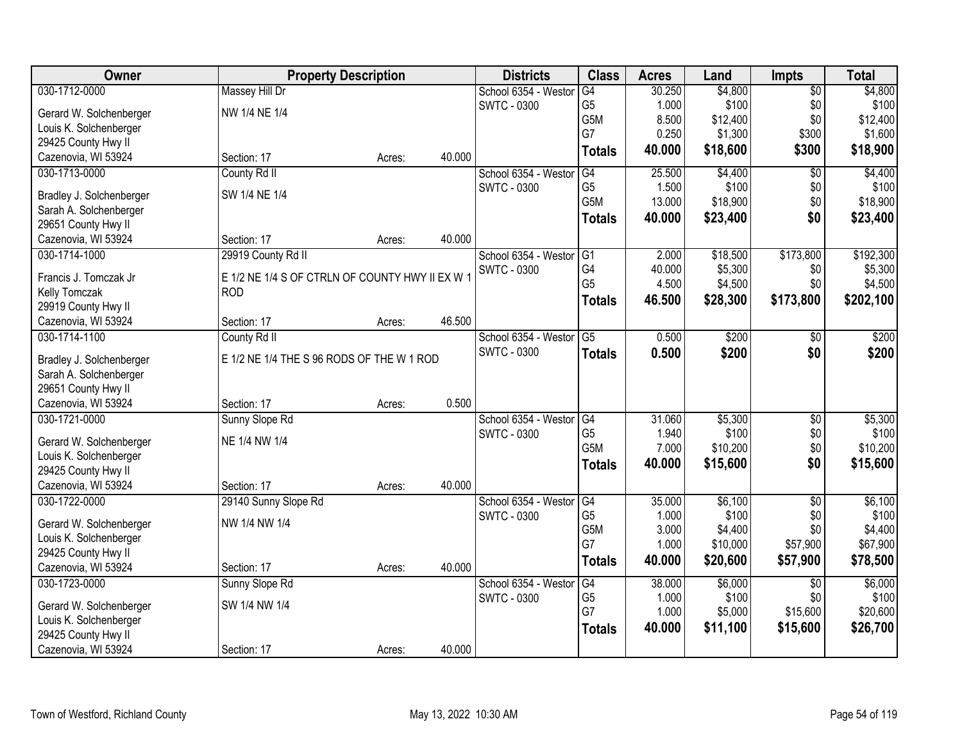| Owner                                         | <b>Property Description</b>                     |        |        | <b>Districts</b>     | <b>Class</b>   | <b>Acres</b>   | Land                | <b>Impts</b>    | <b>Total</b>        |
|-----------------------------------------------|-------------------------------------------------|--------|--------|----------------------|----------------|----------------|---------------------|-----------------|---------------------|
| 030-1712-0000                                 | <b>Massey Hill Dr</b>                           |        |        | School 6354 - Weston | G4             | 30.250         | \$4,800             | $\overline{50}$ | \$4,800             |
| Gerard W. Solchenberger                       | NW 1/4 NE 1/4                                   |        |        | <b>SWTC - 0300</b>   | G <sub>5</sub> | 1.000          | \$100               | \$0             | \$100               |
| Louis K. Solchenberger                        |                                                 |        |        |                      | G5M            | 8.500          | \$12,400            | \$0             | \$12,400            |
| 29425 County Hwy II                           |                                                 |        |        |                      | G7             | 0.250          | \$1,300             | \$300           | \$1,600             |
| Cazenovia, WI 53924                           | Section: 17                                     | Acres: | 40.000 |                      | <b>Totals</b>  | 40.000         | \$18,600            | \$300           | \$18,900            |
| 030-1713-0000                                 | County Rd II                                    |        |        | School 6354 - Weston | G4             | 25.500         | \$4,400             | $\overline{50}$ | \$4,400             |
|                                               | SW 1/4 NE 1/4                                   |        |        | <b>SWTC - 0300</b>   | G <sub>5</sub> | 1.500          | \$100               | \$0             | \$100               |
| Bradley J. Solchenberger                      |                                                 |        |        |                      | G5M            | 13.000         | \$18,900            | \$0             | \$18,900            |
| Sarah A. Solchenberger<br>29651 County Hwy II |                                                 |        |        |                      | <b>Totals</b>  | 40.000         | \$23,400            | \$0             | \$23,400            |
| Cazenovia, WI 53924                           | Section: 17                                     | Acres: | 40.000 |                      |                |                |                     |                 |                     |
| 030-1714-1000                                 |                                                 |        |        | School 6354 - Westor | G <sub>1</sub> | 2.000          | \$18,500            | \$173,800       | \$192,300           |
|                                               | 29919 County Rd II                              |        |        | <b>SWTC - 0300</b>   | G4             | 40.000         | \$5,300             | \$0             | \$5,300             |
| Francis J. Tomczak Jr                         | E 1/2 NE 1/4 S OF CTRLN OF COUNTY HWY II EX W 1 |        |        |                      | G <sub>5</sub> | 4.500          | \$4,500             | \$0             | \$4,500             |
| Kelly Tomczak                                 | <b>ROD</b>                                      |        |        |                      |                |                |                     |                 |                     |
| 29919 County Hwy II                           |                                                 |        |        |                      | <b>Totals</b>  | 46.500         | \$28,300            | \$173,800       | \$202,100           |
| Cazenovia, WI 53924                           | Section: 17                                     | Acres: | 46.500 |                      |                |                |                     |                 |                     |
| 030-1714-1100                                 | County Rd II                                    |        |        | School 6354 - Weston | G5             | 0.500          | \$200               | \$0             | \$200               |
| Bradley J. Solchenberger                      | E 1/2 NE 1/4 THE S 96 RODS OF THE W 1 ROD       |        |        | <b>SWTC - 0300</b>   | <b>Totals</b>  | 0.500          | \$200               | \$0             | \$200               |
| Sarah A. Solchenberger                        |                                                 |        |        |                      |                |                |                     |                 |                     |
| 29651 County Hwy II                           |                                                 |        |        |                      |                |                |                     |                 |                     |
| Cazenovia, WI 53924                           | Section: 17                                     | Acres: | 0.500  |                      |                |                |                     |                 |                     |
| 030-1721-0000                                 | Sunny Slope Rd                                  |        |        | School 6354 - Weston | G4             | 31.060         | \$5,300             | $\overline{30}$ | \$5,300             |
|                                               |                                                 |        |        | <b>SWTC - 0300</b>   | G <sub>5</sub> | 1.940          | \$100               | \$0             | \$100               |
| Gerard W. Solchenberger                       | NE 1/4 NW 1/4                                   |        |        |                      | G5M            | 7.000          | \$10,200            | \$0             | \$10,200            |
| Louis K. Solchenberger                        |                                                 |        |        |                      | <b>Totals</b>  | 40.000         | \$15,600            | \$0             | \$15,600            |
| 29425 County Hwy II                           |                                                 |        |        |                      |                |                |                     |                 |                     |
| Cazenovia, WI 53924                           | Section: 17                                     | Acres: | 40.000 |                      |                |                |                     |                 |                     |
| 030-1722-0000                                 | 29140 Sunny Slope Rd                            |        |        | School 6354 - Westor | G4             | 35.000         | \$6,100             | $\sqrt{6}$      | \$6,100             |
| Gerard W. Solchenberger                       | NW 1/4 NW 1/4                                   |        |        | <b>SWTC - 0300</b>   | G <sub>5</sub> | 1.000          | \$100               | \$0             | \$100               |
| Louis K. Solchenberger                        |                                                 |        |        |                      | G5M<br>G7      | 3.000<br>1.000 | \$4,400<br>\$10,000 | \$0<br>\$57,900 | \$4,400<br>\$67,900 |
| 29425 County Hwy II                           |                                                 |        |        |                      |                |                |                     |                 |                     |
| Cazenovia, WI 53924                           | Section: 17                                     | Acres: | 40.000 |                      | <b>Totals</b>  | 40.000         | \$20,600            | \$57,900        | \$78,500            |
| 030-1723-0000                                 | Sunny Slope Rd                                  |        |        | School 6354 - Weston | G4             | 38.000         | \$6,000             | $\overline{30}$ | \$6,000             |
| Gerard W. Solchenberger                       | SW 1/4 NW 1/4                                   |        |        | <b>SWTC - 0300</b>   | G <sub>5</sub> | 1.000          | \$100               | \$0             | \$100               |
| Louis K. Solchenberger                        |                                                 |        |        |                      | G7             | 1.000          | \$5,000             | \$15,600        | \$20,600            |
| 29425 County Hwy II                           |                                                 |        |        |                      | <b>Totals</b>  | 40.000         | \$11,100            | \$15,600        | \$26,700            |
| Cazenovia, WI 53924                           | Section: 17                                     | Acres: | 40.000 |                      |                |                |                     |                 |                     |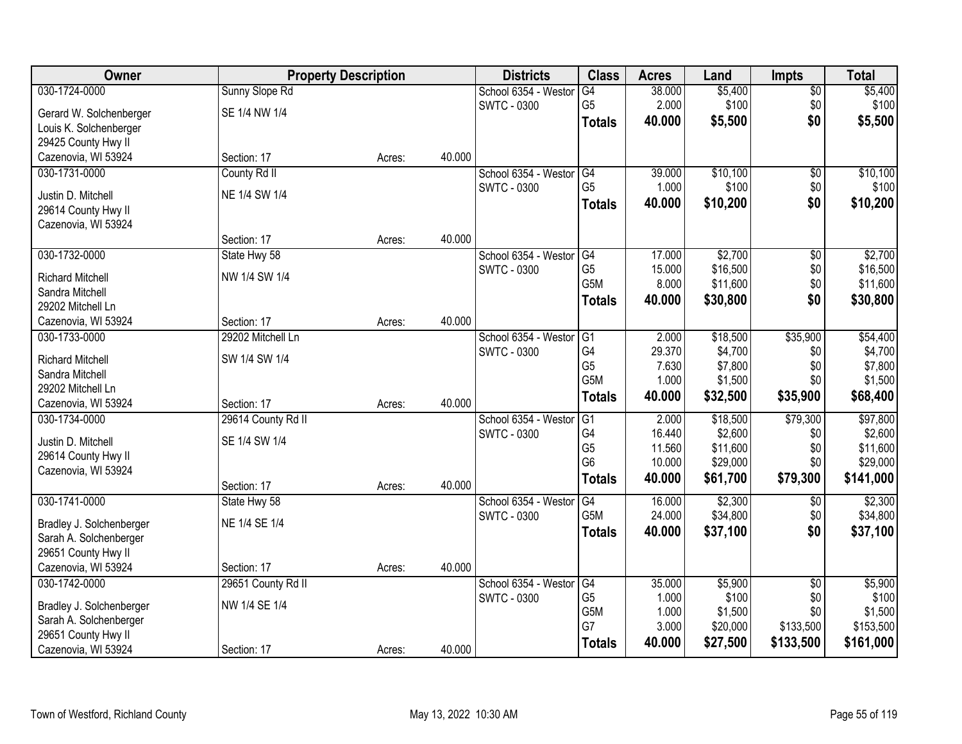| Owner                                         |                    | <b>Property Description</b> |        | <b>Districts</b>     | <b>Class</b>     | <b>Acres</b> | Land     | <b>Impts</b>    | <b>Total</b> |
|-----------------------------------------------|--------------------|-----------------------------|--------|----------------------|------------------|--------------|----------|-----------------|--------------|
| 030-1724-0000                                 | Sunny Slope Rd     |                             |        | School 6354 - Weston | G4               | 38.000       | \$5,400  | \$0             | \$5,400      |
| Gerard W. Solchenberger                       | SE 1/4 NW 1/4      |                             |        | <b>SWTC - 0300</b>   | G <sub>5</sub>   | 2.000        | \$100    | \$0             | \$100        |
| Louis K. Solchenberger                        |                    |                             |        |                      | <b>Totals</b>    | 40.000       | \$5,500  | \$0             | \$5,500      |
| 29425 County Hwy II                           |                    |                             |        |                      |                  |              |          |                 |              |
| Cazenovia, WI 53924                           | Section: 17        | Acres:                      | 40.000 |                      |                  |              |          |                 |              |
| 030-1731-0000                                 | County Rd II       |                             |        | School 6354 - Westor | G4               | 39.000       | \$10,100 | $\overline{50}$ | \$10,100     |
| Justin D. Mitchell                            | NE 1/4 SW 1/4      |                             |        | <b>SWTC - 0300</b>   | G <sub>5</sub>   | 1.000        | \$100    | \$0             | \$100        |
| 29614 County Hwy II                           |                    |                             |        |                      | <b>Totals</b>    | 40.000       | \$10,200 | \$0             | \$10,200     |
| Cazenovia, WI 53924                           |                    |                             |        |                      |                  |              |          |                 |              |
|                                               | Section: 17        | Acres:                      | 40.000 |                      |                  |              |          |                 |              |
| 030-1732-0000                                 | State Hwy 58       |                             |        | School 6354 - Westor | G4               | 17.000       | \$2,700  | $\sqrt[6]{}$    | \$2,700      |
| <b>Richard Mitchell</b>                       | NW 1/4 SW 1/4      |                             |        | SWTC - 0300          | G <sub>5</sub>   | 15.000       | \$16,500 | \$0             | \$16,500     |
| Sandra Mitchell                               |                    |                             |        |                      | G <sub>5</sub> M | 8.000        | \$11,600 | \$0             | \$11,600     |
| 29202 Mitchell Ln                             |                    |                             |        |                      | <b>Totals</b>    | 40.000       | \$30,800 | \$0             | \$30,800     |
| Cazenovia, WI 53924                           | Section: 17        | Acres:                      | 40.000 |                      |                  |              |          |                 |              |
| 030-1733-0000                                 | 29202 Mitchell Ln  |                             |        | School 6354 - Weston | G1               | 2.000        | \$18,500 | \$35,900        | \$54,400     |
| <b>Richard Mitchell</b>                       | SW 1/4 SW 1/4      |                             |        | <b>SWTC - 0300</b>   | G4               | 29.370       | \$4,700  | \$0             | \$4,700      |
| Sandra Mitchell                               |                    |                             |        |                      | G <sub>5</sub>   | 7.630        | \$7,800  | \$0             | \$7,800      |
| 29202 Mitchell Ln                             |                    |                             |        |                      | G5M              | 1.000        | \$1,500  | \$0             | \$1,500      |
| Cazenovia, WI 53924                           | Section: 17        | Acres:                      | 40.000 |                      | <b>Totals</b>    | 40.000       | \$32,500 | \$35,900        | \$68,400     |
| 030-1734-0000                                 | 29614 County Rd II |                             |        | School 6354 - Weston | $\overline{G1}$  | 2.000        | \$18,500 | \$79,300        | \$97,800     |
|                                               |                    |                             |        | <b>SWTC - 0300</b>   | G4               | 16.440       | \$2,600  | \$0             | \$2,600      |
| Justin D. Mitchell                            | SE 1/4 SW 1/4      |                             |        |                      | G <sub>5</sub>   | 11.560       | \$11,600 | \$0             | \$11,600     |
| 29614 County Hwy II<br>Cazenovia, WI 53924    |                    |                             |        |                      | G <sub>6</sub>   | 10.000       | \$29,000 | \$0             | \$29,000     |
|                                               | Section: 17        | Acres:                      | 40.000 |                      | <b>Totals</b>    | 40.000       | \$61,700 | \$79,300        | \$141,000    |
| 030-1741-0000                                 | State Hwy 58       |                             |        | School 6354 - Westor | G4               | 16.000       | \$2,300  | $\sqrt{$0}$     | \$2,300      |
|                                               | NE 1/4 SE 1/4      |                             |        | <b>SWTC - 0300</b>   | G5M              | 24.000       | \$34,800 | \$0             | \$34,800     |
| Bradley J. Solchenberger                      |                    |                             |        |                      | <b>Totals</b>    | 40.000       | \$37,100 | \$0             | \$37,100     |
| Sarah A. Solchenberger<br>29651 County Hwy II |                    |                             |        |                      |                  |              |          |                 |              |
| Cazenovia, WI 53924                           | Section: 17        | Acres:                      | 40.000 |                      |                  |              |          |                 |              |
| 030-1742-0000                                 | 29651 County Rd II |                             |        | School 6354 - Weston | G4               | 35.000       | \$5,900  | $\overline{50}$ | \$5,900      |
|                                               |                    |                             |        | <b>SWTC - 0300</b>   | G <sub>5</sub>   | 1.000        | \$100    | \$0             | \$100        |
| Bradley J. Solchenberger                      | NW 1/4 SE 1/4      |                             |        |                      | G5M              | 1.000        | \$1,500  | \$0             | \$1,500      |
| Sarah A. Solchenberger                        |                    |                             |        |                      | G7               | 3.000        | \$20,000 | \$133,500       | \$153,500    |
| 29651 County Hwy II                           |                    |                             |        |                      | <b>Totals</b>    | 40.000       | \$27,500 | \$133,500       | \$161,000    |
| Cazenovia, WI 53924                           | Section: 17        | Acres:                      | 40.000 |                      |                  |              |          |                 |              |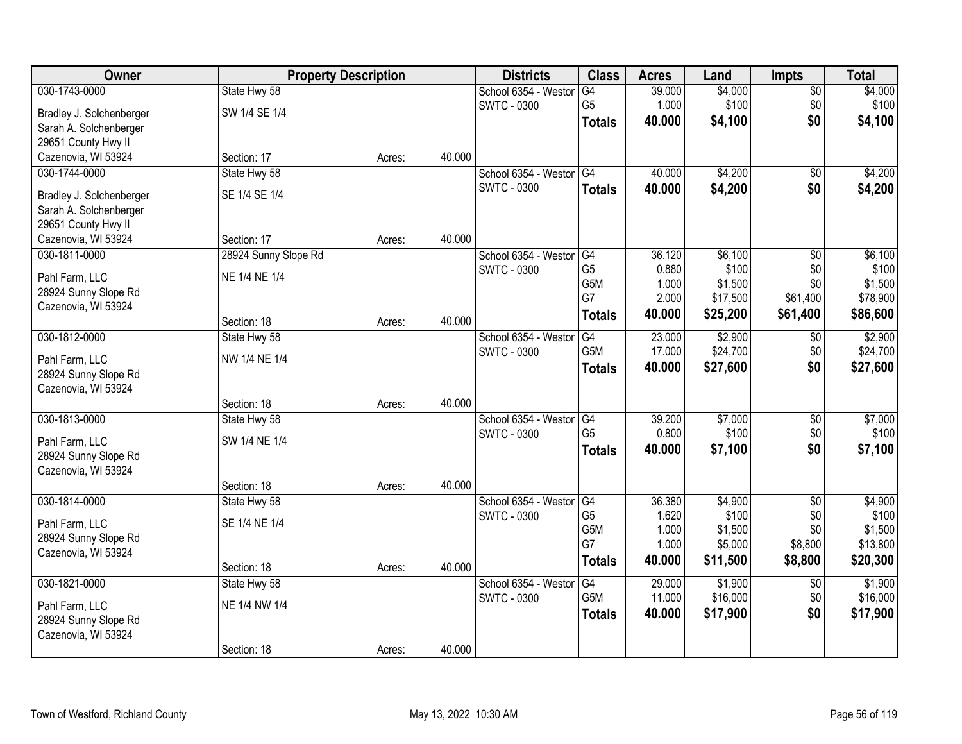| Owner                    | <b>Property Description</b> |        |        | <b>Districts</b>     | <b>Class</b>     | <b>Acres</b> | Land     | <b>Impts</b>    | <b>Total</b> |
|--------------------------|-----------------------------|--------|--------|----------------------|------------------|--------------|----------|-----------------|--------------|
| 030-1743-0000            | State Hwy 58                |        |        | School 6354 - Weston | G4               | 39.000       | \$4,000  | \$0             | \$4,000      |
| Bradley J. Solchenberger | SW 1/4 SE 1/4               |        |        | <b>SWTC - 0300</b>   | G <sub>5</sub>   | 1.000        | \$100    | \$0             | \$100        |
| Sarah A. Solchenberger   |                             |        |        |                      | <b>Totals</b>    | 40.000       | \$4,100  | \$0             | \$4,100      |
| 29651 County Hwy II      |                             |        |        |                      |                  |              |          |                 |              |
| Cazenovia, WI 53924      | Section: 17                 | Acres: | 40.000 |                      |                  |              |          |                 |              |
| 030-1744-0000            | State Hwy 58                |        |        | School 6354 - Westor | G4               | 40.000       | \$4,200  | \$0             | \$4,200      |
| Bradley J. Solchenberger | SE 1/4 SE 1/4               |        |        | <b>SWTC - 0300</b>   | <b>Totals</b>    | 40.000       | \$4,200  | \$0             | \$4,200      |
| Sarah A. Solchenberger   |                             |        |        |                      |                  |              |          |                 |              |
| 29651 County Hwy II      |                             |        |        |                      |                  |              |          |                 |              |
| Cazenovia, WI 53924      | Section: 17                 | Acres: | 40.000 |                      |                  |              |          |                 |              |
| 030-1811-0000            | 28924 Sunny Slope Rd        |        |        | School 6354 - Westor | G4               | 36.120       | \$6,100  | \$0             | \$6,100      |
| Pahl Farm, LLC           | NE 1/4 NE 1/4               |        |        | <b>SWTC - 0300</b>   | G <sub>5</sub>   | 0.880        | \$100    | \$0             | \$100        |
| 28924 Sunny Slope Rd     |                             |        |        |                      | G5M              | 1.000        | \$1,500  | \$0             | \$1,500      |
| Cazenovia, WI 53924      |                             |        |        |                      | G7               | 2.000        | \$17,500 | \$61,400        | \$78,900     |
|                          | Section: 18                 | Acres: | 40.000 |                      | <b>Totals</b>    | 40.000       | \$25,200 | \$61,400        | \$86,600     |
| 030-1812-0000            | State Hwy 58                |        |        | School 6354 - Weston | G4               | 23.000       | \$2,900  | $\sqrt[6]{3}$   | \$2,900      |
| Pahl Farm, LLC           | NW 1/4 NE 1/4               |        |        | <b>SWTC - 0300</b>   | G5M              | 17.000       | \$24,700 | \$0             | \$24,700     |
| 28924 Sunny Slope Rd     |                             |        |        |                      | <b>Totals</b>    | 40.000       | \$27,600 | \$0             | \$27,600     |
| Cazenovia, WI 53924      |                             |        |        |                      |                  |              |          |                 |              |
|                          | Section: 18                 | Acres: | 40.000 |                      |                  |              |          |                 |              |
| 030-1813-0000            | State Hwy 58                |        |        | School 6354 - Westor | G4               | 39.200       | \$7,000  | $\overline{50}$ | \$7,000      |
| Pahl Farm, LLC           | SW 1/4 NE 1/4               |        |        | <b>SWTC - 0300</b>   | G <sub>5</sub>   | 0.800        | \$100    | \$0             | \$100        |
| 28924 Sunny Slope Rd     |                             |        |        |                      | <b>Totals</b>    | 40.000       | \$7,100  | \$0             | \$7,100      |
| Cazenovia, WI 53924      |                             |        |        |                      |                  |              |          |                 |              |
|                          | Section: 18                 | Acres: | 40.000 |                      |                  |              |          |                 |              |
| 030-1814-0000            | State Hwy 58                |        |        | School 6354 - Westor | G4               | 36.380       | \$4,900  | $\overline{50}$ | \$4,900      |
| Pahl Farm, LLC           | SE 1/4 NE 1/4               |        |        | <b>SWTC - 0300</b>   | G <sub>5</sub>   | 1.620        | \$100    | \$0             | \$100        |
| 28924 Sunny Slope Rd     |                             |        |        |                      | G <sub>5</sub> M | 1.000        | \$1,500  | \$0             | \$1,500      |
| Cazenovia, WI 53924      |                             |        |        |                      | G7               | 1.000        | \$5,000  | \$8,800         | \$13,800     |
|                          | Section: 18                 | Acres: | 40.000 |                      | <b>Totals</b>    | 40.000       | \$11,500 | \$8,800         | \$20,300     |
| 030-1821-0000            | State Hwy 58                |        |        | School 6354 - Weston | G4               | 29.000       | \$1,900  | $\overline{50}$ | \$1,900      |
| Pahl Farm, LLC           | NE 1/4 NW 1/4               |        |        | <b>SWTC - 0300</b>   | G5M              | 11.000       | \$16,000 | \$0             | \$16,000     |
| 28924 Sunny Slope Rd     |                             |        |        |                      | <b>Totals</b>    | 40.000       | \$17,900 | \$0             | \$17,900     |
| Cazenovia, WI 53924      |                             |        |        |                      |                  |              |          |                 |              |
|                          | Section: 18                 | Acres: | 40.000 |                      |                  |              |          |                 |              |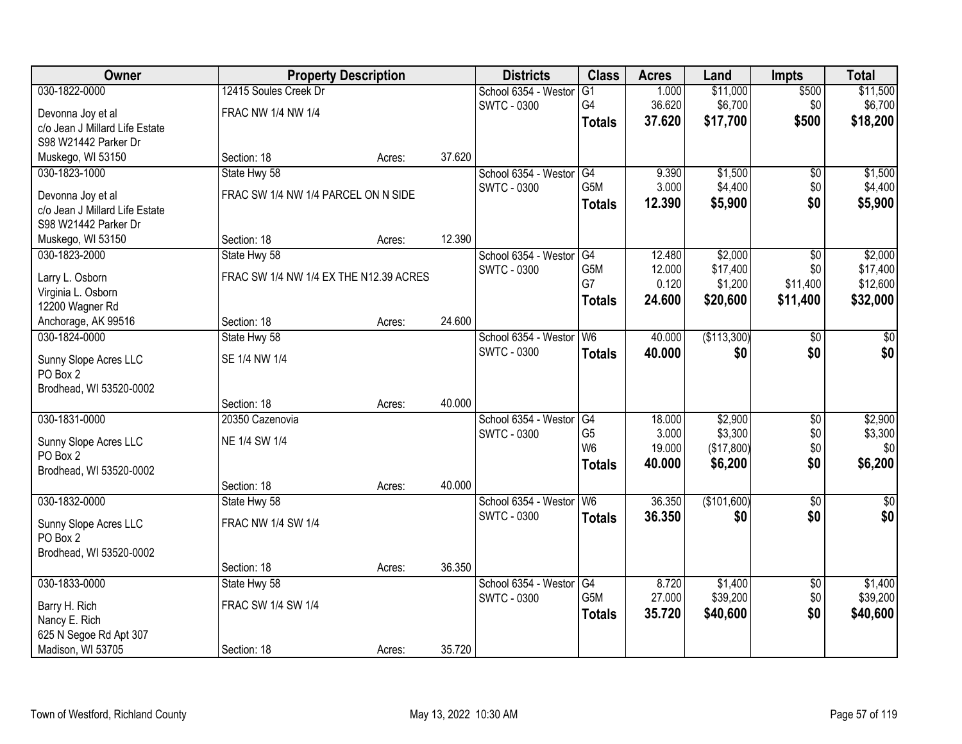| 030-1822-0000<br>12415 Soules Creek Dr<br>\$11,000<br>\$500<br>\$11,500<br>School 6354 - Westor<br>$\overline{G1}$<br>1.000<br>\$6,700<br>G4<br>36.620<br>\$0<br>\$6,700<br><b>SWTC - 0300</b><br>FRAC NW 1/4 NW 1/4<br>Devonna Joy et al<br>\$500<br>37.620<br>\$17,700<br>\$18,200<br><b>Totals</b><br>c/o Jean J Millard Life Estate | Owner                |
|-----------------------------------------------------------------------------------------------------------------------------------------------------------------------------------------------------------------------------------------------------------------------------------------------------------------------------------------|----------------------|
|                                                                                                                                                                                                                                                                                                                                         |                      |
|                                                                                                                                                                                                                                                                                                                                         |                      |
|                                                                                                                                                                                                                                                                                                                                         |                      |
|                                                                                                                                                                                                                                                                                                                                         | S98 W21442 Parker Dr |
| Muskego, WI 53150<br>37.620<br>Section: 18<br>Acres:                                                                                                                                                                                                                                                                                    |                      |
| G4<br>\$1,500<br>\$1,500<br>030-1823-1000<br>State Hwy 58<br>School 6354 - Westor<br>9.390<br>$\overline{50}$                                                                                                                                                                                                                           |                      |
| G5M<br>\$4,400<br>3.000<br>\$4,400<br>\$0<br>SWTC - 0300                                                                                                                                                                                                                                                                                |                      |
| FRAC SW 1/4 NW 1/4 PARCEL ON N SIDE<br>Devonna Joy et al<br>\$0<br>12.390<br>\$5,900<br>\$5,900<br><b>Totals</b>                                                                                                                                                                                                                        |                      |
| c/o Jean J Millard Life Estate                                                                                                                                                                                                                                                                                                          |                      |
| S98 W21442 Parker Dr                                                                                                                                                                                                                                                                                                                    |                      |
| 12.390<br>Section: 18<br>Muskego, WI 53150<br>Acres:                                                                                                                                                                                                                                                                                    |                      |
| \$2,000<br>\$2,000<br>030-1823-2000<br>State Hwy 58<br>School 6354 - Westor<br>G4<br>12.480<br>$\sqrt{6}$                                                                                                                                                                                                                               |                      |
| G5M<br>\$17,400<br>12.000<br>\$0<br>\$17,400<br><b>SWTC - 0300</b><br>FRAC SW 1/4 NW 1/4 EX THE N12.39 ACRES<br>Larry L. Osborn<br>G7<br>0.120<br>\$11,400                                                                                                                                                                              |                      |
| \$1,200<br>\$12,600<br>Virginia L. Osborn                                                                                                                                                                                                                                                                                               |                      |
| \$20,600<br>24.600<br>\$11,400<br>\$32,000<br><b>Totals</b><br>12200 Wagner Rd                                                                                                                                                                                                                                                          |                      |
| 24.600<br>Section: 18<br>Anchorage, AK 99516<br>Acres:                                                                                                                                                                                                                                                                                  |                      |
| State Hwy 58<br>40.000<br>(\$113,300)<br>030-1824-0000<br>School 6354 - Weston<br>W <sub>6</sub><br>\$0<br>\$0                                                                                                                                                                                                                          |                      |
| \$0<br><b>SWTC - 0300</b><br>\$0<br>40.000<br>\$0<br><b>Totals</b><br>SE 1/4 NW 1/4<br>Sunny Slope Acres LLC                                                                                                                                                                                                                            |                      |
| PO Box 2                                                                                                                                                                                                                                                                                                                                |                      |
| Brodhead, WI 53520-0002                                                                                                                                                                                                                                                                                                                 |                      |
| 40.000<br>Section: 18<br>Acres:                                                                                                                                                                                                                                                                                                         |                      |
| \$2,900<br>\$2,900<br>030-1831-0000<br>20350 Cazenovia<br>18.000<br>$\overline{30}$<br>School 6354 - Weston<br>G4                                                                                                                                                                                                                       |                      |
| \$3,300<br>G <sub>5</sub><br>3.000<br>\$0<br>\$3,300<br>SWTC - 0300                                                                                                                                                                                                                                                                     |                      |
| NE 1/4 SW 1/4<br>Sunny Slope Acres LLC<br>W <sub>6</sub><br>\$0<br>19.000<br>(\$17,800)<br>\$0                                                                                                                                                                                                                                          |                      |
| PO Box 2<br>\$6,200<br>\$0<br>40.000<br>\$6,200<br><b>Totals</b>                                                                                                                                                                                                                                                                        |                      |
| Brodhead, WI 53520-0002                                                                                                                                                                                                                                                                                                                 |                      |
| 40.000<br>Section: 18<br>Acres:                                                                                                                                                                                                                                                                                                         |                      |
| 36.350<br>(\$101,600)<br>030-1832-0000<br>School 6354 - Westor<br>W <sub>6</sub><br>$\overline{50}$<br>$\sqrt{50}$<br>State Hwy 58                                                                                                                                                                                                      |                      |
| \$0<br><b>SWTC - 0300</b><br>\$0<br>36.350<br>\$0<br><b>Totals</b><br>Sunny Slope Acres LLC<br>FRAC NW 1/4 SW 1/4                                                                                                                                                                                                                       |                      |
| PO Box 2                                                                                                                                                                                                                                                                                                                                |                      |
| Brodhead, WI 53520-0002                                                                                                                                                                                                                                                                                                                 |                      |
| 36.350<br>Section: 18<br>Acres:                                                                                                                                                                                                                                                                                                         |                      |
| 030-1833-0000<br>State Hwy 58<br>8.720<br>\$1,400<br>\$1,400<br>School 6354 - Weston<br>G4<br>$\overline{50}$                                                                                                                                                                                                                           |                      |
| G5M<br>27.000<br>\$0<br>\$39,200<br>\$39,200<br>SWTC - 0300<br>FRAC SW 1/4 SW 1/4                                                                                                                                                                                                                                                       |                      |
| Barry H. Rich<br>\$0<br>\$40,600<br>35.720<br>\$40,600<br><b>Totals</b><br>Nancy E. Rich                                                                                                                                                                                                                                                |                      |
| 625 N Segoe Rd Apt 307                                                                                                                                                                                                                                                                                                                  |                      |
| 35.720<br>Madison, WI 53705<br>Section: 18<br>Acres:                                                                                                                                                                                                                                                                                    |                      |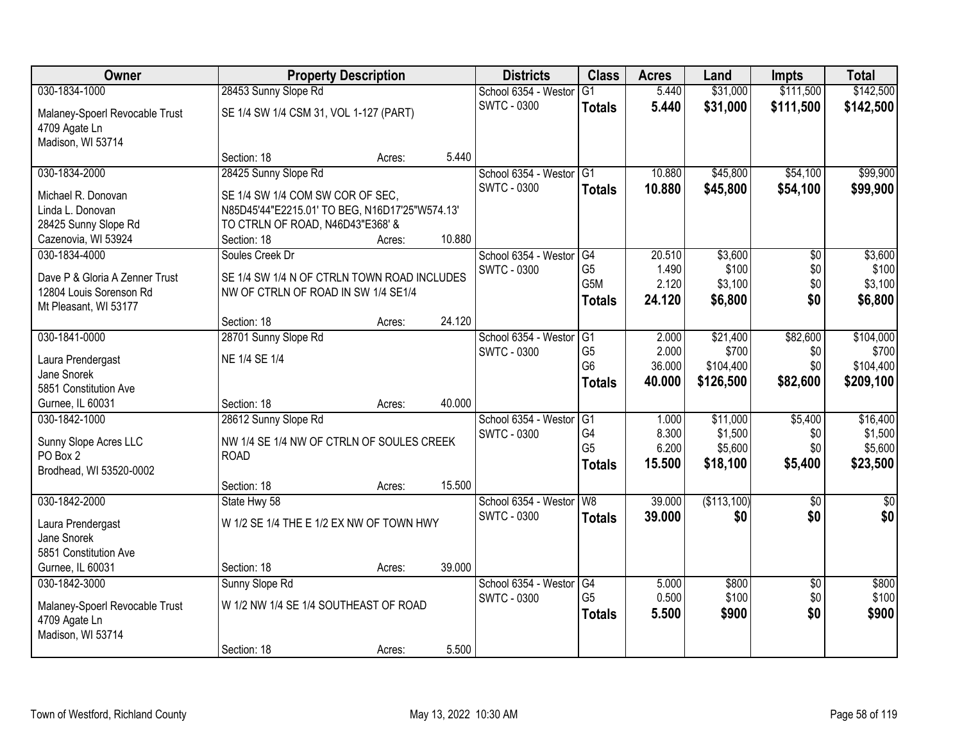| Owner                          | <b>Property Description</b>                    |        |        | <b>Districts</b>        | <b>Class</b>    | <b>Acres</b> | Land        | <b>Impts</b>    | <b>Total</b> |
|--------------------------------|------------------------------------------------|--------|--------|-------------------------|-----------------|--------------|-------------|-----------------|--------------|
| 030-1834-1000                  | 28453 Sunny Slope Rd                           |        |        | School 6354 - Weston    | $\overline{G1}$ | 5.440        | \$31,000    | \$111,500       | \$142,500    |
| Malaney-Spoerl Revocable Trust | SE 1/4 SW 1/4 CSM 31, VOL 1-127 (PART)         |        |        | <b>SWTC - 0300</b>      | <b>Totals</b>   | 5.440        | \$31,000    | \$111,500       | \$142,500    |
| 4709 Agate Ln                  |                                                |        |        |                         |                 |              |             |                 |              |
| Madison, WI 53714              |                                                |        |        |                         |                 |              |             |                 |              |
|                                | Section: 18                                    | Acres: | 5.440  |                         |                 |              |             |                 |              |
| 030-1834-2000                  | 28425 Sunny Slope Rd                           |        |        | School 6354 - Westor    | G1              | 10.880       | \$45,800    | \$54,100        | \$99,900     |
| Michael R. Donovan             | SE 1/4 SW 1/4 COM SW COR OF SEC,               |        |        | <b>SWTC - 0300</b>      | <b>Totals</b>   | 10.880       | \$45,800    | \$54,100        | \$99,900     |
| Linda L. Donovan               | N85D45'44"E2215.01' TO BEG, N16D17'25"W574.13" |        |        |                         |                 |              |             |                 |              |
| 28425 Sunny Slope Rd           | TO CTRLN OF ROAD, N46D43"E368' &               |        |        |                         |                 |              |             |                 |              |
| Cazenovia, WI 53924            | Section: 18                                    | Acres: | 10.880 |                         |                 |              |             |                 |              |
| 030-1834-4000                  | Soules Creek Dr                                |        |        | School 6354 - Westor    | G4              | 20.510       | \$3,600     | \$0             | \$3,600      |
| Dave P & Gloria A Zenner Trust | SE 1/4 SW 1/4 N OF CTRLN TOWN ROAD INCLUDES    |        |        | <b>SWTC - 0300</b>      | G <sub>5</sub>  | 1.490        | \$100       | \$0             | \$100        |
| 12804 Louis Sorenson Rd        | NW OF CTRLN OF ROAD IN SW 1/4 SE1/4            |        |        |                         | G5M             | 2.120        | \$3,100     | \$0             | \$3,100      |
| Mt Pleasant, WI 53177          |                                                |        |        |                         | <b>Totals</b>   | 24.120       | \$6,800     | \$0             | \$6,800      |
|                                | Section: 18                                    | Acres: | 24.120 |                         |                 |              |             |                 |              |
| 030-1841-0000                  | 28701 Sunny Slope Rd                           |        |        | School 6354 - Weston    | G1              | 2.000        | \$21,400    | \$82,600        | \$104,000    |
| Laura Prendergast              | NE 1/4 SE 1/4                                  |        |        | <b>SWTC - 0300</b>      | G <sub>5</sub>  | 2.000        | \$700       | \$0             | \$700        |
| Jane Snorek                    |                                                |        |        |                         | G <sub>6</sub>  | 36.000       | \$104,400   | \$0             | \$104,400    |
| 5851 Constitution Ave          |                                                |        |        |                         | <b>Totals</b>   | 40.000       | \$126,500   | \$82,600        | \$209,100    |
| Gurnee, IL 60031               | Section: 18                                    | Acres: | 40.000 |                         |                 |              |             |                 |              |
| 030-1842-1000                  | 28612 Sunny Slope Rd                           |        |        | School 6354 - Weston    | G1              | 1.000        | \$11,000    | \$5,400         | \$16,400     |
| Sunny Slope Acres LLC          | NW 1/4 SE 1/4 NW OF CTRLN OF SOULES CREEK      |        |        | <b>SWTC - 0300</b>      | G <sub>4</sub>  | 8.300        | \$1,500     | \$0             | \$1,500      |
| PO Box 2                       | <b>ROAD</b>                                    |        |        |                         | G <sub>5</sub>  | 6.200        | \$5,600     | \$0             | \$5,600      |
| Brodhead, WI 53520-0002        |                                                |        |        |                         | <b>Totals</b>   | 15.500       | \$18,100    | \$5,400         | \$23,500     |
|                                | Section: 18                                    | Acres: | 15.500 |                         |                 |              |             |                 |              |
| 030-1842-2000                  | State Hwy 58                                   |        |        | School 6354 - Westor W8 |                 | 39.000       | (\$113,100) | $\overline{50}$ | $\sqrt{50}$  |
| Laura Prendergast              | W 1/2 SE 1/4 THE E 1/2 EX NW OF TOWN HWY       |        |        | <b>SWTC - 0300</b>      | <b>Totals</b>   | 39.000       | \$0         | \$0             | \$0          |
| Jane Snorek                    |                                                |        |        |                         |                 |              |             |                 |              |
| 5851 Constitution Ave          |                                                |        |        |                         |                 |              |             |                 |              |
| Gurnee, IL 60031               | Section: 18                                    | Acres: | 39.000 |                         |                 |              |             |                 |              |
| 030-1842-3000                  | Sunny Slope Rd                                 |        |        | School 6354 - Westor    | G4              | 5.000        | \$800       | $\overline{30}$ | \$800        |
| Malaney-Spoerl Revocable Trust | W 1/2 NW 1/4 SE 1/4 SOUTHEAST OF ROAD          |        |        | <b>SWTC - 0300</b>      | G <sub>5</sub>  | 0.500        | \$100       | \$0             | \$100        |
| 4709 Agate Ln                  |                                                |        |        |                         | <b>Totals</b>   | 5.500        | \$900       | \$0             | \$900        |
| Madison, WI 53714              |                                                |        |        |                         |                 |              |             |                 |              |
|                                | Section: 18                                    | Acres: | 5.500  |                         |                 |              |             |                 |              |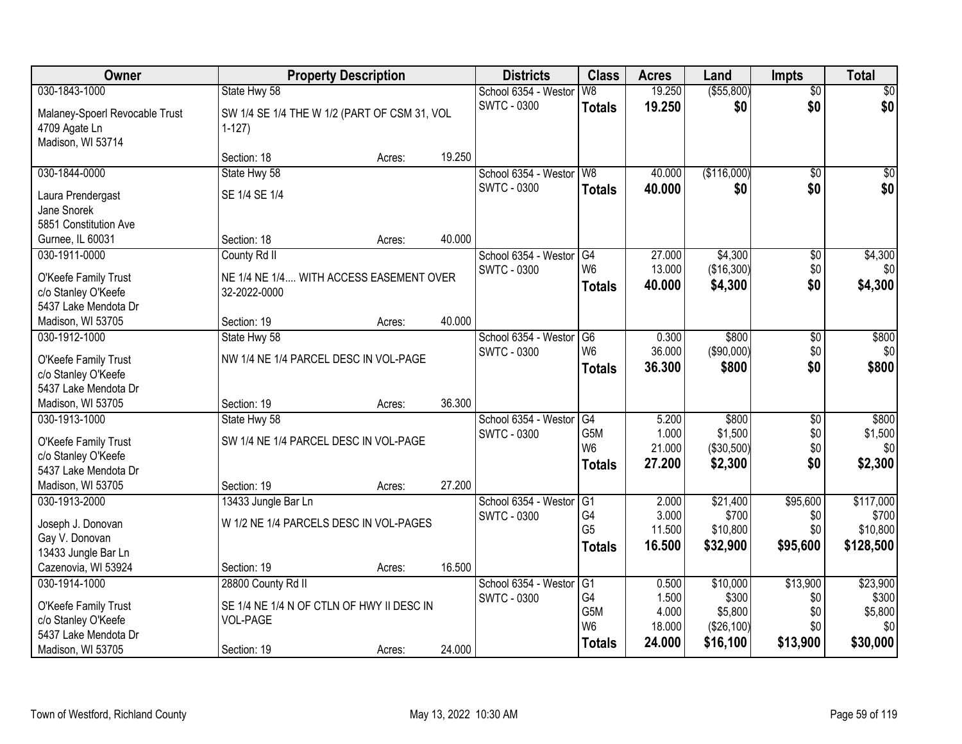| 030-1843-1000<br>W8<br>19.250<br>( \$55, 800)<br>\$0<br>State Hwy 58<br>School 6354 - Westor<br>$\overline{50}$<br><b>SWTC - 0300</b><br>\$0<br>\$0<br>\$0<br>19.250<br><b>Totals</b><br>Malaney-Spoerl Revocable Trust<br>SW 1/4 SE 1/4 THE W 1/2 (PART OF CSM 31, VOL<br>4709 Agate Ln<br>$1-127$<br>Madison, WI 53714<br>19.250<br>Section: 18<br>Acres:<br>40.000<br>(\$116,000)<br>030-1844-0000<br>State Hwy 58<br>School 6354 - Westor<br>W <sub>8</sub><br>$\overline{50}$<br>\$0<br>\$0 <br><b>SWTC - 0300</b><br>40.000<br>\$0<br>\$0<br><b>Totals</b><br>SE 1/4 SE 1/4<br>Laura Prendergast<br>Jane Snorek<br>5851 Constitution Ave<br>40.000<br>Gurnee, IL 60031<br>Section: 18<br>Acres:<br>\$4,300<br>030-1911-0000<br>County Rd II<br>School 6354 - Westor<br>27.000<br>$\overline{50}$<br>\$4,300<br>G4<br>W <sub>6</sub><br>(\$16,300)<br>\$0<br>13.000<br>\$0<br><b>SWTC - 0300</b><br>NE 1/4 NE 1/4 WITH ACCESS EASEMENT OVER<br>O'Keefe Family Trust<br>\$4,300<br>40.000<br>\$4,300<br>\$0<br><b>Totals</b><br>c/o Stanley O'Keefe<br>32-2022-0000<br>5437 Lake Mendota Dr<br>40.000<br>Section: 19<br>Madison, WI 53705<br>Acres:<br>030-1912-1000<br>\$800<br>\$800<br>State Hwy 58<br>School 6354 - Weston<br>G6<br>0.300<br>\$0<br>\$0<br>W <sub>6</sub><br>36.000<br>(\$90,000)<br>\$0<br><b>SWTC - 0300</b><br>NW 1/4 NE 1/4 PARCEL DESC IN VOL-PAGE<br>O'Keefe Family Trust<br>\$0<br>\$800<br>36.300<br>\$800<br><b>Totals</b><br>c/o Stanley O'Keefe<br>5437 Lake Mendota Dr<br>36.300<br>Madison, WI 53705<br>Section: 19<br>Acres:<br>$\overline{G4}$<br>5.200<br>\$800<br>$\overline{50}$<br>\$800<br>030-1913-1000<br>School 6354 - Weston<br>State Hwy 58<br>G5M<br>1.000<br>\$1,500<br>\$1,500<br>\$0<br><b>SWTC - 0300</b><br>SW 1/4 NE 1/4 PARCEL DESC IN VOL-PAGE<br>O'Keefe Family Trust<br>W <sub>6</sub><br>21.000<br>(\$30,500)<br>\$0<br>\$0<br>c/o Stanley O'Keefe<br>\$0<br>27.200<br>\$2,300<br>\$2,300<br><b>Totals</b><br>5437 Lake Mendota Dr<br>27.200<br>Madison, WI 53705<br>Section: 19<br>Acres:<br>\$21,400<br>\$95,600<br>\$117,000<br>030-1913-2000<br>School 6354 - Westor<br>G1<br>2.000<br>13433 Jungle Bar Ln<br>G4<br>3.000<br>\$700<br>\$700<br>\$0<br><b>SWTC - 0300</b><br>W 1/2 NE 1/4 PARCELS DESC IN VOL-PAGES<br>Joseph J. Donovan<br>G <sub>5</sub><br>11.500<br>\$10,800<br>\$10,800<br>\$0<br>Gay V. Donovan<br>16.500<br>\$95,600<br>\$128,500<br>\$32,900<br><b>Totals</b><br>13433 Jungle Bar Ln<br>16.500<br>Cazenovia, WI 53924<br>Section: 19<br>Acres: | Owner         | <b>Property Description</b> |  |  | <b>Districts</b>     | <b>Class</b>   | <b>Acres</b> | Land     | <b>Impts</b> | <b>Total</b> |
|----------------------------------------------------------------------------------------------------------------------------------------------------------------------------------------------------------------------------------------------------------------------------------------------------------------------------------------------------------------------------------------------------------------------------------------------------------------------------------------------------------------------------------------------------------------------------------------------------------------------------------------------------------------------------------------------------------------------------------------------------------------------------------------------------------------------------------------------------------------------------------------------------------------------------------------------------------------------------------------------------------------------------------------------------------------------------------------------------------------------------------------------------------------------------------------------------------------------------------------------------------------------------------------------------------------------------------------------------------------------------------------------------------------------------------------------------------------------------------------------------------------------------------------------------------------------------------------------------------------------------------------------------------------------------------------------------------------------------------------------------------------------------------------------------------------------------------------------------------------------------------------------------------------------------------------------------------------------------------------------------------------------------------------------------------------------------------------------------------------------------------------------------------------------------------------------------------------------------------------------------------------------------------------------------------------------------------------------------------------------------------------------------------------------------------------------------------------------------------------------------------------------------------------|---------------|-----------------------------|--|--|----------------------|----------------|--------------|----------|--------------|--------------|
|                                                                                                                                                                                                                                                                                                                                                                                                                                                                                                                                                                                                                                                                                                                                                                                                                                                                                                                                                                                                                                                                                                                                                                                                                                                                                                                                                                                                                                                                                                                                                                                                                                                                                                                                                                                                                                                                                                                                                                                                                                                                                                                                                                                                                                                                                                                                                                                                                                                                                                                                        |               |                             |  |  |                      |                |              |          |              |              |
|                                                                                                                                                                                                                                                                                                                                                                                                                                                                                                                                                                                                                                                                                                                                                                                                                                                                                                                                                                                                                                                                                                                                                                                                                                                                                                                                                                                                                                                                                                                                                                                                                                                                                                                                                                                                                                                                                                                                                                                                                                                                                                                                                                                                                                                                                                                                                                                                                                                                                                                                        |               |                             |  |  |                      |                |              |          |              |              |
|                                                                                                                                                                                                                                                                                                                                                                                                                                                                                                                                                                                                                                                                                                                                                                                                                                                                                                                                                                                                                                                                                                                                                                                                                                                                                                                                                                                                                                                                                                                                                                                                                                                                                                                                                                                                                                                                                                                                                                                                                                                                                                                                                                                                                                                                                                                                                                                                                                                                                                                                        |               |                             |  |  |                      |                |              |          |              |              |
|                                                                                                                                                                                                                                                                                                                                                                                                                                                                                                                                                                                                                                                                                                                                                                                                                                                                                                                                                                                                                                                                                                                                                                                                                                                                                                                                                                                                                                                                                                                                                                                                                                                                                                                                                                                                                                                                                                                                                                                                                                                                                                                                                                                                                                                                                                                                                                                                                                                                                                                                        |               |                             |  |  |                      |                |              |          |              |              |
|                                                                                                                                                                                                                                                                                                                                                                                                                                                                                                                                                                                                                                                                                                                                                                                                                                                                                                                                                                                                                                                                                                                                                                                                                                                                                                                                                                                                                                                                                                                                                                                                                                                                                                                                                                                                                                                                                                                                                                                                                                                                                                                                                                                                                                                                                                                                                                                                                                                                                                                                        |               |                             |  |  |                      |                |              |          |              |              |
|                                                                                                                                                                                                                                                                                                                                                                                                                                                                                                                                                                                                                                                                                                                                                                                                                                                                                                                                                                                                                                                                                                                                                                                                                                                                                                                                                                                                                                                                                                                                                                                                                                                                                                                                                                                                                                                                                                                                                                                                                                                                                                                                                                                                                                                                                                                                                                                                                                                                                                                                        |               |                             |  |  |                      |                |              |          |              |              |
|                                                                                                                                                                                                                                                                                                                                                                                                                                                                                                                                                                                                                                                                                                                                                                                                                                                                                                                                                                                                                                                                                                                                                                                                                                                                                                                                                                                                                                                                                                                                                                                                                                                                                                                                                                                                                                                                                                                                                                                                                                                                                                                                                                                                                                                                                                                                                                                                                                                                                                                                        |               |                             |  |  |                      |                |              |          |              |              |
|                                                                                                                                                                                                                                                                                                                                                                                                                                                                                                                                                                                                                                                                                                                                                                                                                                                                                                                                                                                                                                                                                                                                                                                                                                                                                                                                                                                                                                                                                                                                                                                                                                                                                                                                                                                                                                                                                                                                                                                                                                                                                                                                                                                                                                                                                                                                                                                                                                                                                                                                        |               |                             |  |  |                      |                |              |          |              |              |
|                                                                                                                                                                                                                                                                                                                                                                                                                                                                                                                                                                                                                                                                                                                                                                                                                                                                                                                                                                                                                                                                                                                                                                                                                                                                                                                                                                                                                                                                                                                                                                                                                                                                                                                                                                                                                                                                                                                                                                                                                                                                                                                                                                                                                                                                                                                                                                                                                                                                                                                                        |               |                             |  |  |                      |                |              |          |              |              |
|                                                                                                                                                                                                                                                                                                                                                                                                                                                                                                                                                                                                                                                                                                                                                                                                                                                                                                                                                                                                                                                                                                                                                                                                                                                                                                                                                                                                                                                                                                                                                                                                                                                                                                                                                                                                                                                                                                                                                                                                                                                                                                                                                                                                                                                                                                                                                                                                                                                                                                                                        |               |                             |  |  |                      |                |              |          |              |              |
|                                                                                                                                                                                                                                                                                                                                                                                                                                                                                                                                                                                                                                                                                                                                                                                                                                                                                                                                                                                                                                                                                                                                                                                                                                                                                                                                                                                                                                                                                                                                                                                                                                                                                                                                                                                                                                                                                                                                                                                                                                                                                                                                                                                                                                                                                                                                                                                                                                                                                                                                        |               |                             |  |  |                      |                |              |          |              |              |
|                                                                                                                                                                                                                                                                                                                                                                                                                                                                                                                                                                                                                                                                                                                                                                                                                                                                                                                                                                                                                                                                                                                                                                                                                                                                                                                                                                                                                                                                                                                                                                                                                                                                                                                                                                                                                                                                                                                                                                                                                                                                                                                                                                                                                                                                                                                                                                                                                                                                                                                                        |               |                             |  |  |                      |                |              |          |              |              |
|                                                                                                                                                                                                                                                                                                                                                                                                                                                                                                                                                                                                                                                                                                                                                                                                                                                                                                                                                                                                                                                                                                                                                                                                                                                                                                                                                                                                                                                                                                                                                                                                                                                                                                                                                                                                                                                                                                                                                                                                                                                                                                                                                                                                                                                                                                                                                                                                                                                                                                                                        |               |                             |  |  |                      |                |              |          |              |              |
|                                                                                                                                                                                                                                                                                                                                                                                                                                                                                                                                                                                                                                                                                                                                                                                                                                                                                                                                                                                                                                                                                                                                                                                                                                                                                                                                                                                                                                                                                                                                                                                                                                                                                                                                                                                                                                                                                                                                                                                                                                                                                                                                                                                                                                                                                                                                                                                                                                                                                                                                        |               |                             |  |  |                      |                |              |          |              |              |
|                                                                                                                                                                                                                                                                                                                                                                                                                                                                                                                                                                                                                                                                                                                                                                                                                                                                                                                                                                                                                                                                                                                                                                                                                                                                                                                                                                                                                                                                                                                                                                                                                                                                                                                                                                                                                                                                                                                                                                                                                                                                                                                                                                                                                                                                                                                                                                                                                                                                                                                                        |               |                             |  |  |                      |                |              |          |              |              |
|                                                                                                                                                                                                                                                                                                                                                                                                                                                                                                                                                                                                                                                                                                                                                                                                                                                                                                                                                                                                                                                                                                                                                                                                                                                                                                                                                                                                                                                                                                                                                                                                                                                                                                                                                                                                                                                                                                                                                                                                                                                                                                                                                                                                                                                                                                                                                                                                                                                                                                                                        |               |                             |  |  |                      |                |              |          |              |              |
|                                                                                                                                                                                                                                                                                                                                                                                                                                                                                                                                                                                                                                                                                                                                                                                                                                                                                                                                                                                                                                                                                                                                                                                                                                                                                                                                                                                                                                                                                                                                                                                                                                                                                                                                                                                                                                                                                                                                                                                                                                                                                                                                                                                                                                                                                                                                                                                                                                                                                                                                        |               |                             |  |  |                      |                |              |          |              |              |
|                                                                                                                                                                                                                                                                                                                                                                                                                                                                                                                                                                                                                                                                                                                                                                                                                                                                                                                                                                                                                                                                                                                                                                                                                                                                                                                                                                                                                                                                                                                                                                                                                                                                                                                                                                                                                                                                                                                                                                                                                                                                                                                                                                                                                                                                                                                                                                                                                                                                                                                                        |               |                             |  |  |                      |                |              |          |              |              |
|                                                                                                                                                                                                                                                                                                                                                                                                                                                                                                                                                                                                                                                                                                                                                                                                                                                                                                                                                                                                                                                                                                                                                                                                                                                                                                                                                                                                                                                                                                                                                                                                                                                                                                                                                                                                                                                                                                                                                                                                                                                                                                                                                                                                                                                                                                                                                                                                                                                                                                                                        |               |                             |  |  |                      |                |              |          |              |              |
|                                                                                                                                                                                                                                                                                                                                                                                                                                                                                                                                                                                                                                                                                                                                                                                                                                                                                                                                                                                                                                                                                                                                                                                                                                                                                                                                                                                                                                                                                                                                                                                                                                                                                                                                                                                                                                                                                                                                                                                                                                                                                                                                                                                                                                                                                                                                                                                                                                                                                                                                        |               |                             |  |  |                      |                |              |          |              |              |
|                                                                                                                                                                                                                                                                                                                                                                                                                                                                                                                                                                                                                                                                                                                                                                                                                                                                                                                                                                                                                                                                                                                                                                                                                                                                                                                                                                                                                                                                                                                                                                                                                                                                                                                                                                                                                                                                                                                                                                                                                                                                                                                                                                                                                                                                                                                                                                                                                                                                                                                                        |               |                             |  |  |                      |                |              |          |              |              |
|                                                                                                                                                                                                                                                                                                                                                                                                                                                                                                                                                                                                                                                                                                                                                                                                                                                                                                                                                                                                                                                                                                                                                                                                                                                                                                                                                                                                                                                                                                                                                                                                                                                                                                                                                                                                                                                                                                                                                                                                                                                                                                                                                                                                                                                                                                                                                                                                                                                                                                                                        |               |                             |  |  |                      |                |              |          |              |              |
|                                                                                                                                                                                                                                                                                                                                                                                                                                                                                                                                                                                                                                                                                                                                                                                                                                                                                                                                                                                                                                                                                                                                                                                                                                                                                                                                                                                                                                                                                                                                                                                                                                                                                                                                                                                                                                                                                                                                                                                                                                                                                                                                                                                                                                                                                                                                                                                                                                                                                                                                        |               |                             |  |  |                      |                |              |          |              |              |
|                                                                                                                                                                                                                                                                                                                                                                                                                                                                                                                                                                                                                                                                                                                                                                                                                                                                                                                                                                                                                                                                                                                                                                                                                                                                                                                                                                                                                                                                                                                                                                                                                                                                                                                                                                                                                                                                                                                                                                                                                                                                                                                                                                                                                                                                                                                                                                                                                                                                                                                                        |               |                             |  |  |                      |                |              |          |              |              |
|                                                                                                                                                                                                                                                                                                                                                                                                                                                                                                                                                                                                                                                                                                                                                                                                                                                                                                                                                                                                                                                                                                                                                                                                                                                                                                                                                                                                                                                                                                                                                                                                                                                                                                                                                                                                                                                                                                                                                                                                                                                                                                                                                                                                                                                                                                                                                                                                                                                                                                                                        |               |                             |  |  |                      |                |              |          |              |              |
|                                                                                                                                                                                                                                                                                                                                                                                                                                                                                                                                                                                                                                                                                                                                                                                                                                                                                                                                                                                                                                                                                                                                                                                                                                                                                                                                                                                                                                                                                                                                                                                                                                                                                                                                                                                                                                                                                                                                                                                                                                                                                                                                                                                                                                                                                                                                                                                                                                                                                                                                        |               |                             |  |  |                      |                |              |          |              |              |
|                                                                                                                                                                                                                                                                                                                                                                                                                                                                                                                                                                                                                                                                                                                                                                                                                                                                                                                                                                                                                                                                                                                                                                                                                                                                                                                                                                                                                                                                                                                                                                                                                                                                                                                                                                                                                                                                                                                                                                                                                                                                                                                                                                                                                                                                                                                                                                                                                                                                                                                                        |               |                             |  |  |                      |                |              |          |              |              |
|                                                                                                                                                                                                                                                                                                                                                                                                                                                                                                                                                                                                                                                                                                                                                                                                                                                                                                                                                                                                                                                                                                                                                                                                                                                                                                                                                                                                                                                                                                                                                                                                                                                                                                                                                                                                                                                                                                                                                                                                                                                                                                                                                                                                                                                                                                                                                                                                                                                                                                                                        |               |                             |  |  |                      |                |              |          |              |              |
|                                                                                                                                                                                                                                                                                                                                                                                                                                                                                                                                                                                                                                                                                                                                                                                                                                                                                                                                                                                                                                                                                                                                                                                                                                                                                                                                                                                                                                                                                                                                                                                                                                                                                                                                                                                                                                                                                                                                                                                                                                                                                                                                                                                                                                                                                                                                                                                                                                                                                                                                        |               |                             |  |  |                      |                |              |          |              |              |
|                                                                                                                                                                                                                                                                                                                                                                                                                                                                                                                                                                                                                                                                                                                                                                                                                                                                                                                                                                                                                                                                                                                                                                                                                                                                                                                                                                                                                                                                                                                                                                                                                                                                                                                                                                                                                                                                                                                                                                                                                                                                                                                                                                                                                                                                                                                                                                                                                                                                                                                                        |               |                             |  |  |                      |                |              |          |              |              |
|                                                                                                                                                                                                                                                                                                                                                                                                                                                                                                                                                                                                                                                                                                                                                                                                                                                                                                                                                                                                                                                                                                                                                                                                                                                                                                                                                                                                                                                                                                                                                                                                                                                                                                                                                                                                                                                                                                                                                                                                                                                                                                                                                                                                                                                                                                                                                                                                                                                                                                                                        |               |                             |  |  |                      |                |              |          |              |              |
|                                                                                                                                                                                                                                                                                                                                                                                                                                                                                                                                                                                                                                                                                                                                                                                                                                                                                                                                                                                                                                                                                                                                                                                                                                                                                                                                                                                                                                                                                                                                                                                                                                                                                                                                                                                                                                                                                                                                                                                                                                                                                                                                                                                                                                                                                                                                                                                                                                                                                                                                        | 030-1914-1000 | 28800 County Rd II          |  |  | School 6354 - Weston | G <sub>1</sub> | 0.500        | \$10,000 | \$13,900     | \$23,900     |
| G4<br>\$300<br>\$300<br>1.500<br><b>SWTC - 0300</b><br>\$0                                                                                                                                                                                                                                                                                                                                                                                                                                                                                                                                                                                                                                                                                                                                                                                                                                                                                                                                                                                                                                                                                                                                                                                                                                                                                                                                                                                                                                                                                                                                                                                                                                                                                                                                                                                                                                                                                                                                                                                                                                                                                                                                                                                                                                                                                                                                                                                                                                                                             |               |                             |  |  |                      |                |              |          |              |              |
| SE 1/4 NE 1/4 N OF CTLN OF HWY II DESC IN<br>O'Keefe Family Trust<br>G5M<br>4.000<br>\$5,800<br>\$0<br>\$5,800<br><b>VOL-PAGE</b>                                                                                                                                                                                                                                                                                                                                                                                                                                                                                                                                                                                                                                                                                                                                                                                                                                                                                                                                                                                                                                                                                                                                                                                                                                                                                                                                                                                                                                                                                                                                                                                                                                                                                                                                                                                                                                                                                                                                                                                                                                                                                                                                                                                                                                                                                                                                                                                                      |               |                             |  |  |                      |                |              |          |              |              |
| c/o Stanley O'Keefe<br>W <sub>6</sub><br>18.000<br>\$0<br>\$0<br>(\$26,100)<br>5437 Lake Mendota Dr                                                                                                                                                                                                                                                                                                                                                                                                                                                                                                                                                                                                                                                                                                                                                                                                                                                                                                                                                                                                                                                                                                                                                                                                                                                                                                                                                                                                                                                                                                                                                                                                                                                                                                                                                                                                                                                                                                                                                                                                                                                                                                                                                                                                                                                                                                                                                                                                                                    |               |                             |  |  |                      |                |              |          |              |              |
| 24.000<br>\$30,000<br>\$16,100<br>\$13,900<br><b>Totals</b><br>24.000<br>Madison, WI 53705<br>Section: 19<br>Acres:                                                                                                                                                                                                                                                                                                                                                                                                                                                                                                                                                                                                                                                                                                                                                                                                                                                                                                                                                                                                                                                                                                                                                                                                                                                                                                                                                                                                                                                                                                                                                                                                                                                                                                                                                                                                                                                                                                                                                                                                                                                                                                                                                                                                                                                                                                                                                                                                                    |               |                             |  |  |                      |                |              |          |              |              |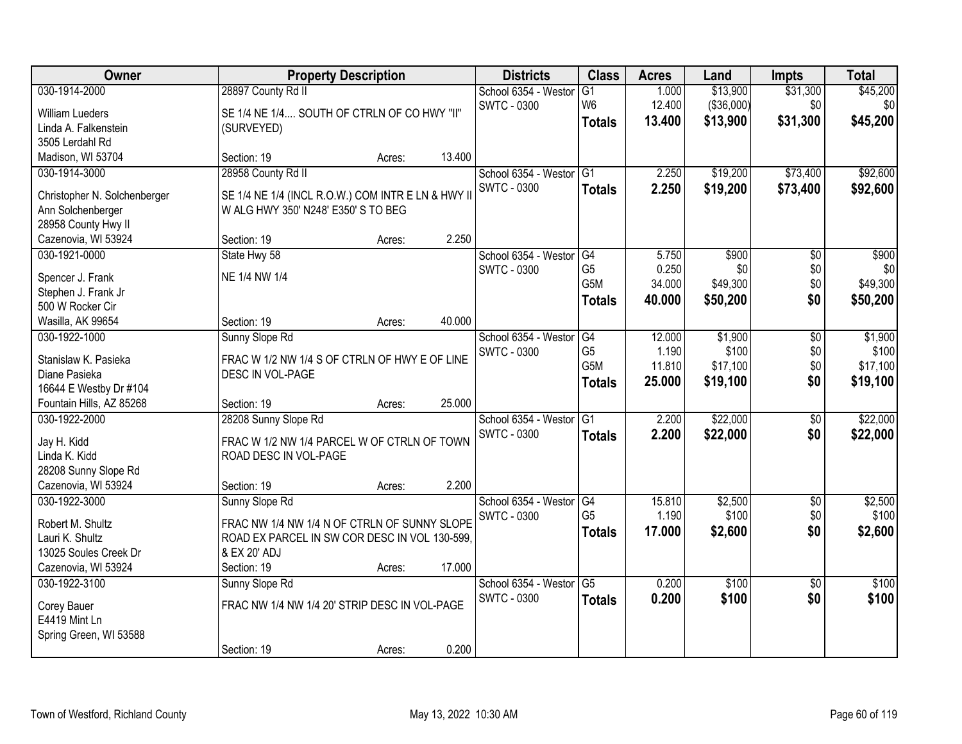| Owner                                              | <b>Property Description</b>                       |        |        | <b>Districts</b>     | <b>Class</b>    | <b>Acres</b> | Land        | <b>Impts</b>    | <b>Total</b> |
|----------------------------------------------------|---------------------------------------------------|--------|--------|----------------------|-----------------|--------------|-------------|-----------------|--------------|
| 030-1914-2000                                      | 28897 County Rd II                                |        |        | School 6354 - Westor | G1              | 1.000        | \$13,900    | \$31,300        | \$45,200     |
| <b>William Lueders</b>                             | SE 1/4 NE 1/4 SOUTH OF CTRLN OF CO HWY "II"       |        |        | <b>SWTC - 0300</b>   | W <sub>6</sub>  | 12.400       | ( \$36,000) | \$0             | \$0          |
| Linda A. Falkenstein                               | (SURVEYED)                                        |        |        |                      | <b>Totals</b>   | 13.400       | \$13,900    | \$31,300        | \$45,200     |
| 3505 Lerdahl Rd                                    |                                                   |        |        |                      |                 |              |             |                 |              |
| Madison, WI 53704                                  | Section: 19                                       | Acres: | 13.400 |                      |                 |              |             |                 |              |
| 030-1914-3000                                      | 28958 County Rd II                                |        |        | School 6354 - Westor | G1              | 2.250        | \$19,200    | \$73,400        | \$92,600     |
| Christopher N. Solchenberger                       | SE 1/4 NE 1/4 (INCL R.O.W.) COM INTR E LN & HWY I |        |        | <b>SWTC - 0300</b>   | <b>Totals</b>   | 2.250        | \$19,200    | \$73,400        | \$92,600     |
| Ann Solchenberger                                  | W ALG HWY 350' N248' E350' S TO BEG               |        |        |                      |                 |              |             |                 |              |
| 28958 County Hwy II                                |                                                   |        |        |                      |                 |              |             |                 |              |
| Cazenovia, WI 53924                                | Section: 19                                       | Acres: | 2.250  |                      |                 |              |             |                 |              |
| 030-1921-0000                                      | State Hwy 58                                      |        |        | School 6354 - Westor | G4              | 5.750        | \$900       | \$0             | \$900        |
|                                                    | NE 1/4 NW 1/4                                     |        |        | <b>SWTC - 0300</b>   | G <sub>5</sub>  | 0.250        | \$0         | \$0             | \$0          |
| Spencer J. Frank<br>Stephen J. Frank Jr            |                                                   |        |        |                      | G5M             | 34.000       | \$49,300    | \$0             | \$49,300     |
| 500 W Rocker Cir                                   |                                                   |        |        |                      | <b>Totals</b>   | 40,000       | \$50,200    | \$0             | \$50,200     |
| Wasilla, AK 99654                                  | Section: 19                                       | Acres: | 40.000 |                      |                 |              |             |                 |              |
| 030-1922-1000                                      | Sunny Slope Rd                                    |        |        | School 6354 - Weston | G4              | 12.000       | \$1,900     | \$0             | \$1,900      |
|                                                    |                                                   |        |        | <b>SWTC - 0300</b>   | G <sub>5</sub>  | 1.190        | \$100       | \$0             | \$100        |
| Stanislaw K. Pasieka                               | FRAC W 1/2 NW 1/4 S OF CTRLN OF HWY E OF LINE     |        |        |                      | G5M             | 11.810       | \$17,100    | \$0             | \$17,100     |
| Diane Pasieka                                      | DESC IN VOL-PAGE                                  |        |        |                      | <b>Totals</b>   | 25.000       | \$19,100    | \$0             | \$19,100     |
| 16644 E Westby Dr #104<br>Fountain Hills, AZ 85268 | Section: 19                                       |        | 25.000 |                      |                 |              |             |                 |              |
| 030-1922-2000                                      | 28208 Sunny Slope Rd                              | Acres: |        | School 6354 - Westor | $\overline{G1}$ | 2.200        | \$22,000    | \$0             | \$22,000     |
|                                                    |                                                   |        |        | <b>SWTC - 0300</b>   | <b>Totals</b>   | 2.200        | \$22,000    | \$0             | \$22,000     |
| Jay H. Kidd                                        | FRAC W 1/2 NW 1/4 PARCEL W OF CTRLN OF TOWN       |        |        |                      |                 |              |             |                 |              |
| Linda K. Kidd                                      | ROAD DESC IN VOL-PAGE                             |        |        |                      |                 |              |             |                 |              |
| 28208 Sunny Slope Rd                               |                                                   |        |        |                      |                 |              |             |                 |              |
| Cazenovia, WI 53924                                | Section: 19                                       | Acres: | 2.200  |                      |                 |              |             |                 |              |
| 030-1922-3000                                      | Sunny Slope Rd                                    |        |        | School 6354 - Westor | G4              | 15.810       | \$2,500     | $\overline{50}$ | \$2,500      |
| Robert M. Shultz                                   | FRAC NW 1/4 NW 1/4 N OF CTRLN OF SUNNY SLOPE      |        |        | <b>SWTC - 0300</b>   | G <sub>5</sub>  | 1.190        | \$100       | \$0             | \$100        |
| Lauri K. Shultz                                    | ROAD EX PARCEL IN SW COR DESC IN VOL 130-599,     |        |        |                      | <b>Totals</b>   | 17.000       | \$2,600     | \$0             | \$2,600      |
| 13025 Soules Creek Dr                              | & EX 20' ADJ                                      |        |        |                      |                 |              |             |                 |              |
| Cazenovia, WI 53924                                | Section: 19                                       | Acres: | 17.000 |                      |                 |              |             |                 |              |
| 030-1922-3100                                      | Sunny Slope Rd                                    |        |        | School 6354 - Westor | $\overline{G5}$ | 0.200        | \$100       | $\overline{50}$ | \$100        |
| Corey Bauer                                        | FRAC NW 1/4 NW 1/4 20' STRIP DESC IN VOL-PAGE     |        |        | <b>SWTC - 0300</b>   | <b>Totals</b>   | 0.200        | \$100       | \$0             | \$100        |
| E4419 Mint Ln                                      |                                                   |        |        |                      |                 |              |             |                 |              |
| Spring Green, WI 53588                             |                                                   |        |        |                      |                 |              |             |                 |              |
|                                                    | Section: 19                                       | Acres: | 0.200  |                      |                 |              |             |                 |              |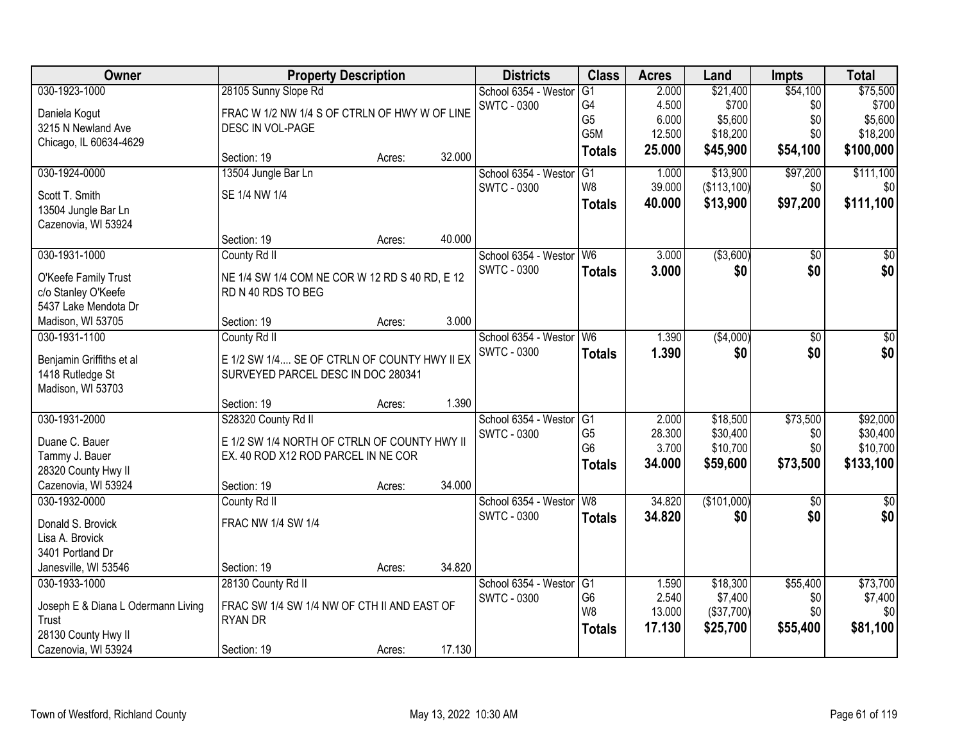| Owner                                       |                                                                      | <b>Property Description</b> |        | <b>Districts</b>     | <b>Class</b>     | <b>Acres</b> | Land        | <b>Impts</b>    | <b>Total</b>    |
|---------------------------------------------|----------------------------------------------------------------------|-----------------------------|--------|----------------------|------------------|--------------|-------------|-----------------|-----------------|
| 030-1923-1000                               | 28105 Sunny Slope Rd                                                 |                             |        | School 6354 - Westor | G1               | 2.000        | \$21,400    | \$54,100        | \$75,500        |
| Daniela Kogut                               | FRAC W 1/2 NW 1/4 S OF CTRLN OF HWY W OF LINE                        |                             |        | <b>SWTC - 0300</b>   | G4               | 4.500        | \$700       | \$0             | \$700           |
| 3215 N Newland Ave                          | DESC IN VOL-PAGE                                                     |                             |        |                      | G <sub>5</sub>   | 6.000        | \$5,600     | \$0             | \$5,600         |
| Chicago, IL 60634-4629                      |                                                                      |                             |        |                      | G <sub>5</sub> M | 12.500       | \$18,200    | \$0             | \$18,200        |
|                                             | Section: 19                                                          | Acres:                      | 32.000 |                      | <b>Totals</b>    | 25.000       | \$45,900    | \$54,100        | \$100,000       |
| 030-1924-0000                               | 13504 Jungle Bar Ln                                                  |                             |        | School 6354 - Westor | $\overline{G1}$  | 1.000        | \$13,900    | \$97,200        | \$111,100       |
| Scott T. Smith                              | SE 1/4 NW 1/4                                                        |                             |        | <b>SWTC - 0300</b>   | W <sub>8</sub>   | 39.000       | (\$113,100) | \$0             | \$0             |
| 13504 Jungle Bar Ln                         |                                                                      |                             |        |                      | <b>Totals</b>    | 40.000       | \$13,900    | \$97,200        | \$111,100       |
| Cazenovia, WI 53924                         |                                                                      |                             |        |                      |                  |              |             |                 |                 |
|                                             | Section: 19                                                          | Acres:                      | 40.000 |                      |                  |              |             |                 |                 |
| 030-1931-1000                               | County Rd II                                                         |                             |        | School 6354 - Westor | W <sub>6</sub>   | 3.000        | ( \$3,600)  | $\overline{50}$ | $\overline{50}$ |
|                                             |                                                                      |                             |        | <b>SWTC - 0300</b>   | <b>Totals</b>    | 3.000        | \$0         | \$0             | \$0             |
| O'Keefe Family Trust                        | NE 1/4 SW 1/4 COM NE COR W 12 RD S 40 RD, E 12<br>RD N 40 RDS TO BEG |                             |        |                      |                  |              |             |                 |                 |
| c/o Stanley O'Keefe<br>5437 Lake Mendota Dr |                                                                      |                             |        |                      |                  |              |             |                 |                 |
| Madison, WI 53705                           | Section: 19                                                          |                             | 3.000  |                      |                  |              |             |                 |                 |
| 030-1931-1100                               |                                                                      | Acres:                      |        | School 6354 - Westor | W <sub>6</sub>   | 1.390        | ( \$4,000)  | $\overline{50}$ |                 |
|                                             | County Rd II                                                         |                             |        | <b>SWTC - 0300</b>   |                  |              |             |                 | \$0             |
| Benjamin Griffiths et al                    | E 1/2 SW 1/4 SE OF CTRLN OF COUNTY HWY II EX                         |                             |        |                      | <b>Totals</b>    | 1.390        | \$0         | \$0             | \$0             |
| 1418 Rutledge St                            | SURVEYED PARCEL DESC IN DOC 280341                                   |                             |        |                      |                  |              |             |                 |                 |
| Madison, WI 53703                           |                                                                      |                             |        |                      |                  |              |             |                 |                 |
|                                             | Section: 19                                                          | Acres:                      | 1.390  |                      |                  |              |             |                 |                 |
| 030-1931-2000                               | S28320 County Rd II                                                  |                             |        | School 6354 - Westor | G1               | 2.000        | \$18,500    | \$73,500        | \$92,000        |
| Duane C. Bauer                              | E 1/2 SW 1/4 NORTH OF CTRLN OF COUNTY HWY II                         |                             |        | <b>SWTC - 0300</b>   | G <sub>5</sub>   | 28.300       | \$30,400    | \$0             | \$30,400        |
| Tammy J. Bauer                              | EX. 40 ROD X12 ROD PARCEL IN NE COR                                  |                             |        |                      | G <sub>6</sub>   | 3.700        | \$10,700    | \$0             | \$10,700        |
| 28320 County Hwy II                         |                                                                      |                             |        |                      | <b>Totals</b>    | 34.000       | \$59,600    | \$73,500        | \$133,100       |
| Cazenovia, WI 53924                         | Section: 19                                                          | Acres:                      | 34.000 |                      |                  |              |             |                 |                 |
| 030-1932-0000                               | County Rd II                                                         |                             |        | School 6354 - Westor | W <sub>8</sub>   | 34.820       | (\$101,000) | $\overline{50}$ | $\overline{50}$ |
|                                             |                                                                      |                             |        | <b>SWTC - 0300</b>   | <b>Totals</b>    | 34.820       | \$0         | \$0             | \$0             |
| Donald S. Brovick                           | FRAC NW 1/4 SW 1/4                                                   |                             |        |                      |                  |              |             |                 |                 |
| Lisa A. Brovick                             |                                                                      |                             |        |                      |                  |              |             |                 |                 |
| 3401 Portland Dr                            |                                                                      |                             |        |                      |                  |              |             |                 |                 |
| Janesville, WI 53546                        | Section: 19                                                          | Acres:                      | 34.820 |                      |                  |              |             |                 |                 |
| 030-1933-1000                               | 28130 County Rd II                                                   |                             |        | School 6354 - Westor | $\overline{G1}$  | 1.590        | \$18,300    | \$55,400        | \$73,700        |
| Joseph E & Diana L Odermann Living          | FRAC SW 1/4 SW 1/4 NW OF CTH II AND EAST OF                          |                             |        | <b>SWTC - 0300</b>   | G <sub>6</sub>   | 2.540        | \$7,400     | \$0             | \$7,400         |
| Trust                                       | <b>RYAN DR</b>                                                       |                             |        |                      | W <sub>8</sub>   | 13.000       | (\$37,700)  | \$0             | \$0             |
| 28130 County Hwy II                         |                                                                      |                             |        |                      | <b>Totals</b>    | 17.130       | \$25,700    | \$55,400        | \$81,100        |
| Cazenovia, WI 53924                         | Section: 19                                                          | Acres:                      | 17.130 |                      |                  |              |             |                 |                 |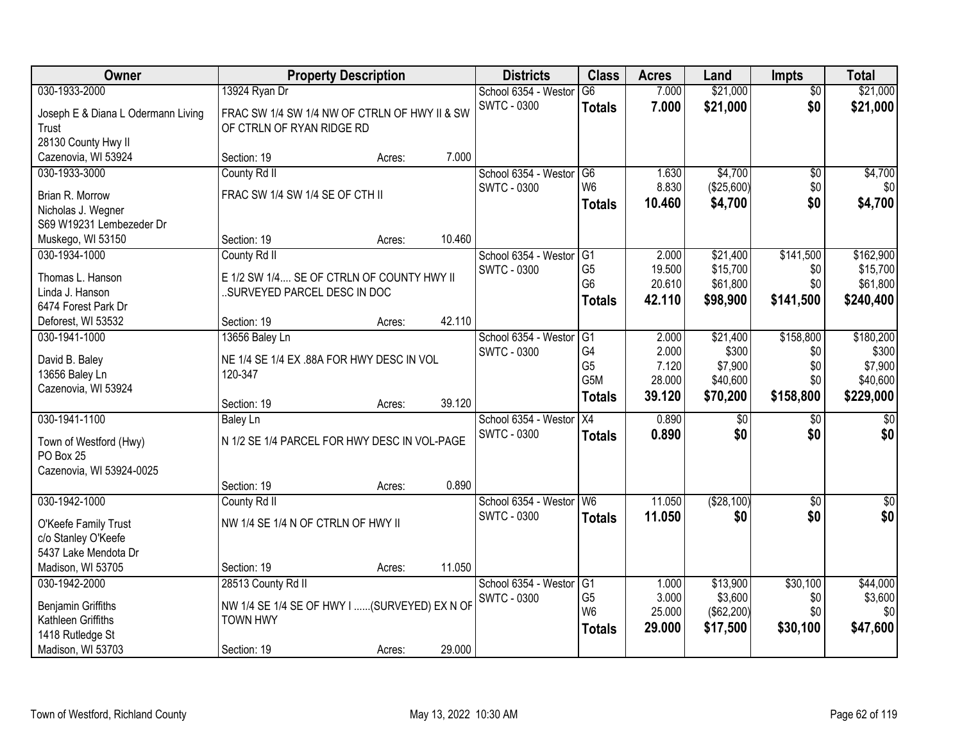| Owner                               |                                                                          | <b>Property Description</b> |        | <b>Districts</b>        | <b>Class</b>     | <b>Acres</b> | Land            | <b>Impts</b>    | <b>Total</b>     |
|-------------------------------------|--------------------------------------------------------------------------|-----------------------------|--------|-------------------------|------------------|--------------|-----------------|-----------------|------------------|
| 030-1933-2000                       | 13924 Ryan Dr                                                            |                             |        | School 6354 - Weston    | $\overline{G6}$  | 7.000        | \$21,000        | $\overline{50}$ | \$21,000         |
| Joseph E & Diana L Odermann Living  | FRAC SW 1/4 SW 1/4 NW OF CTRLN OF HWY II & SW                            |                             |        | <b>SWTC - 0300</b>      | <b>Totals</b>    | 7.000        | \$21,000        | \$0             | \$21,000         |
| Trust                               | OF CTRLN OF RYAN RIDGE RD                                                |                             |        |                         |                  |              |                 |                 |                  |
| 28130 County Hwy II                 |                                                                          |                             |        |                         |                  |              |                 |                 |                  |
| Cazenovia, WI 53924                 | Section: 19                                                              | Acres:                      | 7.000  |                         |                  |              |                 |                 |                  |
| 030-1933-3000                       | County Rd II                                                             |                             |        | School 6354 - Westor    | G6               | 1.630        | \$4,700         | $\overline{50}$ | \$4,700          |
| Brian R. Morrow                     | FRAC SW 1/4 SW 1/4 SE OF CTH II                                          |                             |        | <b>SWTC - 0300</b>      | W <sub>6</sub>   | 8.830        | (\$25,600)      | \$0             | \$0              |
| Nicholas J. Wegner                  |                                                                          |                             |        |                         | <b>Totals</b>    | 10.460       | \$4,700         | \$0             | \$4,700          |
| S69 W19231 Lembezeder Dr            |                                                                          |                             |        |                         |                  |              |                 |                 |                  |
| Muskego, WI 53150                   | Section: 19                                                              | Acres:                      | 10.460 |                         |                  |              |                 |                 |                  |
| 030-1934-1000                       | County Rd II                                                             |                             |        | School 6354 - Westor    | G1               | 2.000        | \$21,400        | \$141,500       | \$162,900        |
|                                     |                                                                          |                             |        | <b>SWTC - 0300</b>      | G <sub>5</sub>   | 19.500       | \$15,700        | \$0             | \$15,700         |
| Thomas L. Hanson<br>Linda J. Hanson | E 1/2 SW 1/4 SE OF CTRLN OF COUNTY HWY II<br>SURVEYED PARCEL DESC IN DOC |                             |        |                         | G <sub>6</sub>   | 20.610       | \$61,800        | \$0             | \$61,800         |
| 6474 Forest Park Dr                 |                                                                          |                             |        |                         | <b>Totals</b>    | 42.110       | \$98,900        | \$141,500       | \$240,400        |
| Deforest, WI 53532                  | Section: 19                                                              | Acres:                      | 42.110 |                         |                  |              |                 |                 |                  |
| 030-1941-1000                       | 13656 Baley Ln                                                           |                             |        | School 6354 - Weston    | G1               | 2.000        | \$21,400        | \$158,800       | \$180,200        |
|                                     |                                                                          |                             |        | <b>SWTC - 0300</b>      | G4               | 2.000        | \$300           | \$0             | \$300            |
| David B. Baley                      | NE 1/4 SE 1/4 EX .88A FOR HWY DESC IN VOL                                |                             |        |                         | G <sub>5</sub>   | 7.120        | \$7,900         | \$0             | \$7,900          |
| 13656 Baley Ln                      | 120-347                                                                  |                             |        |                         | G <sub>5</sub> M | 28.000       | \$40,600        | \$0             | \$40,600         |
| Cazenovia, WI 53924                 |                                                                          |                             |        |                         | <b>Totals</b>    | 39.120       | \$70,200        | \$158,800       | \$229,000        |
| 030-1941-1100                       | Section: 19                                                              | Acres:                      | 39.120 | School 6354 - Weston    | $\overline{X4}$  | 0.890        | $\overline{50}$ | $\overline{50}$ | $\sqrt{50}$      |
|                                     | <b>Baley Ln</b>                                                          |                             |        | <b>SWTC - 0300</b>      |                  | 0.890        | \$0             | \$0             | \$0              |
| Town of Westford (Hwy)              | N 1/2 SE 1/4 PARCEL FOR HWY DESC IN VOL-PAGE                             |                             |        |                         | <b>Totals</b>    |              |                 |                 |                  |
| PO Box 25                           |                                                                          |                             |        |                         |                  |              |                 |                 |                  |
| Cazenovia, WI 53924-0025            |                                                                          |                             |        |                         |                  |              |                 |                 |                  |
|                                     | Section: 19                                                              | Acres:                      | 0.890  |                         |                  |              |                 |                 |                  |
| 030-1942-1000                       | County Rd II                                                             |                             |        | School 6354 - Westor W6 |                  | 11.050       | ( \$28, 100)    | $\overline{50}$ | $\overline{\$0}$ |
| O'Keefe Family Trust                | NW 1/4 SE 1/4 N OF CTRLN OF HWY II                                       |                             |        | <b>SWTC - 0300</b>      | <b>Totals</b>    | 11.050       | \$0             | \$0             | \$0              |
| c/o Stanley O'Keefe                 |                                                                          |                             |        |                         |                  |              |                 |                 |                  |
| 5437 Lake Mendota Dr                |                                                                          |                             |        |                         |                  |              |                 |                 |                  |
| Madison, WI 53705                   | Section: 19                                                              | Acres:                      | 11.050 |                         |                  |              |                 |                 |                  |
| 030-1942-2000                       | 28513 County Rd II                                                       |                             |        | School 6354 - Westor    | G1               | 1.000        | \$13,900        | \$30,100        | \$44,000         |
| <b>Benjamin Griffiths</b>           | NW 1/4 SE 1/4 SE OF HWY I  (SURVEYED) EX N OF                            |                             |        | <b>SWTC - 0300</b>      | G <sub>5</sub>   | 3.000        | \$3,600         | \$0             | \$3,600          |
| Kathleen Griffiths                  | <b>TOWN HWY</b>                                                          |                             |        |                         | W <sub>6</sub>   | 25.000       | (\$62,200)      | \$0             | \$0              |
| 1418 Rutledge St                    |                                                                          |                             |        |                         | <b>Totals</b>    | 29.000       | \$17,500        | \$30,100        | \$47,600         |
| Madison, WI 53703                   | Section: 19                                                              | Acres:                      | 29.000 |                         |                  |              |                 |                 |                  |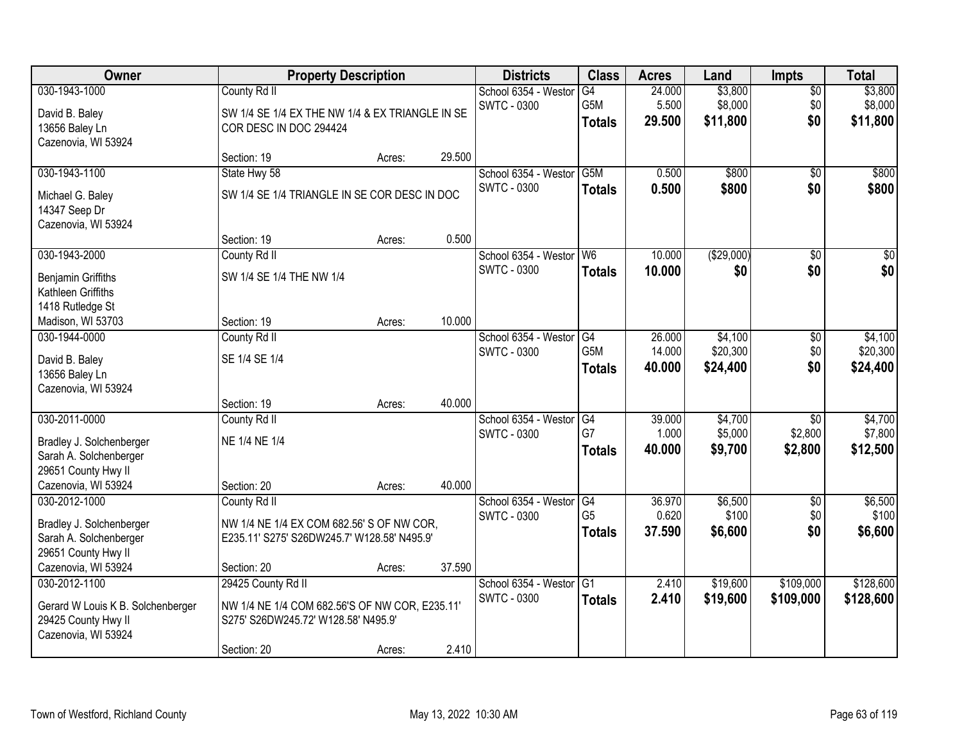| Owner                                              |                                                 | <b>Property Description</b> |        | <b>Districts</b>     | <b>Class</b>   | <b>Acres</b> | Land        | <b>Impts</b>    | <b>Total</b>    |
|----------------------------------------------------|-------------------------------------------------|-----------------------------|--------|----------------------|----------------|--------------|-------------|-----------------|-----------------|
| 030-1943-1000                                      | County Rd II                                    |                             |        | School 6354 - Westor | G4             | 24.000       | \$3,800     | \$0             | \$3,800         |
| David B. Baley                                     | SW 1/4 SE 1/4 EX THE NW 1/4 & EX TRIANGLE IN SE |                             |        | <b>SWTC - 0300</b>   | G5M            | 5.500        | \$8,000     | \$0             | \$8,000         |
| 13656 Baley Ln                                     | COR DESC IN DOC 294424                          |                             |        |                      | <b>Totals</b>  | 29.500       | \$11,800    | \$0             | \$11,800        |
| Cazenovia, WI 53924                                |                                                 |                             |        |                      |                |              |             |                 |                 |
|                                                    | Section: 19                                     | Acres:                      | 29.500 |                      |                |              |             |                 |                 |
| 030-1943-1100                                      | State Hwy 58                                    |                             |        | School 6354 - Westor | G5M            | 0.500        | \$800       | \$0             | \$800           |
| Michael G. Baley                                   | SW 1/4 SE 1/4 TRIANGLE IN SE COR DESC IN DOC    |                             |        | <b>SWTC - 0300</b>   | <b>Totals</b>  | 0.500        | \$800       | \$0             | \$800           |
| 14347 Seep Dr                                      |                                                 |                             |        |                      |                |              |             |                 |                 |
| Cazenovia, WI 53924                                |                                                 |                             |        |                      |                |              |             |                 |                 |
|                                                    | Section: 19                                     | Acres:                      | 0.500  |                      |                |              |             |                 |                 |
| 030-1943-2000                                      | County Rd II                                    |                             |        | School 6354 - Westor | W <sub>6</sub> | 10.000       | ( \$29,000) | \$0             | $\overline{50}$ |
| Benjamin Griffiths                                 | SW 1/4 SE 1/4 THE NW 1/4                        |                             |        | <b>SWTC - 0300</b>   | <b>Totals</b>  | 10.000       | \$0         | \$0             | \$0             |
| Kathleen Griffiths                                 |                                                 |                             |        |                      |                |              |             |                 |                 |
| 1418 Rutledge St                                   |                                                 |                             |        |                      |                |              |             |                 |                 |
| Madison, WI 53703                                  | Section: 19                                     | Acres:                      | 10.000 |                      |                |              |             |                 |                 |
| 030-1944-0000                                      | County Rd II                                    |                             |        | School 6354 - Weston | G4             | 26.000       | \$4,100     | \$0             | \$4,100         |
| David B. Baley                                     | SE 1/4 SE 1/4                                   |                             |        | <b>SWTC - 0300</b>   | G5M            | 14.000       | \$20,300    | \$0             | \$20,300        |
| 13656 Baley Ln                                     |                                                 |                             |        |                      | <b>Totals</b>  | 40.000       | \$24,400    | \$0             | \$24,400        |
| Cazenovia, WI 53924                                |                                                 |                             |        |                      |                |              |             |                 |                 |
|                                                    | Section: 19                                     | Acres:                      | 40.000 |                      |                |              |             |                 |                 |
| 030-2011-0000                                      | County Rd II                                    |                             |        | School 6354 - Westor | G4             | 39.000       | \$4,700     | $\overline{50}$ | \$4,700         |
|                                                    |                                                 |                             |        | <b>SWTC - 0300</b>   | G7             | 1.000        | \$5,000     | \$2,800         | \$7,800         |
| Bradley J. Solchenberger<br>Sarah A. Solchenberger | NE 1/4 NE 1/4                                   |                             |        |                      | <b>Totals</b>  | 40.000       | \$9,700     | \$2,800         | \$12,500        |
| 29651 County Hwy II                                |                                                 |                             |        |                      |                |              |             |                 |                 |
| Cazenovia, WI 53924                                | Section: 20                                     | Acres:                      | 40.000 |                      |                |              |             |                 |                 |
| 030-2012-1000                                      | County Rd II                                    |                             |        | School 6354 - Westor | G4             | 36.970       | \$6,500     | $\sqrt{$0}$     | \$6,500         |
|                                                    |                                                 |                             |        | <b>SWTC - 0300</b>   | G <sub>5</sub> | 0.620        | \$100       | \$0             | \$100           |
| Bradley J. Solchenberger                           | NW 1/4 NE 1/4 EX COM 682.56' S OF NW COR,       |                             |        |                      | <b>Totals</b>  | 37,590       | \$6,600     | \$0             | \$6,600         |
| Sarah A. Solchenberger<br>29651 County Hwy II      | E235.11' S275' S26DW245.7' W128.58' N495.9'     |                             |        |                      |                |              |             |                 |                 |
| Cazenovia, WI 53924                                | Section: 20                                     | Acres:                      | 37.590 |                      |                |              |             |                 |                 |
| 030-2012-1100                                      | 29425 County Rd II                              |                             |        | School 6354 - Weston | G1             | 2.410        | \$19,600    | \$109,000       | \$128,600       |
|                                                    |                                                 |                             |        | <b>SWTC - 0300</b>   | <b>Totals</b>  | 2.410        | \$19,600    | \$109,000       | \$128,600       |
| Gerard W Louis K B. Solchenberger                  | NW 1/4 NE 1/4 COM 682.56'S OF NW COR, E235.11'  |                             |        |                      |                |              |             |                 |                 |
| 29425 County Hwy II                                | S275' S26DW245.72' W128.58' N495.9'             |                             |        |                      |                |              |             |                 |                 |
| Cazenovia, WI 53924                                | Section: 20                                     |                             | 2.410  |                      |                |              |             |                 |                 |
|                                                    |                                                 | Acres:                      |        |                      |                |              |             |                 |                 |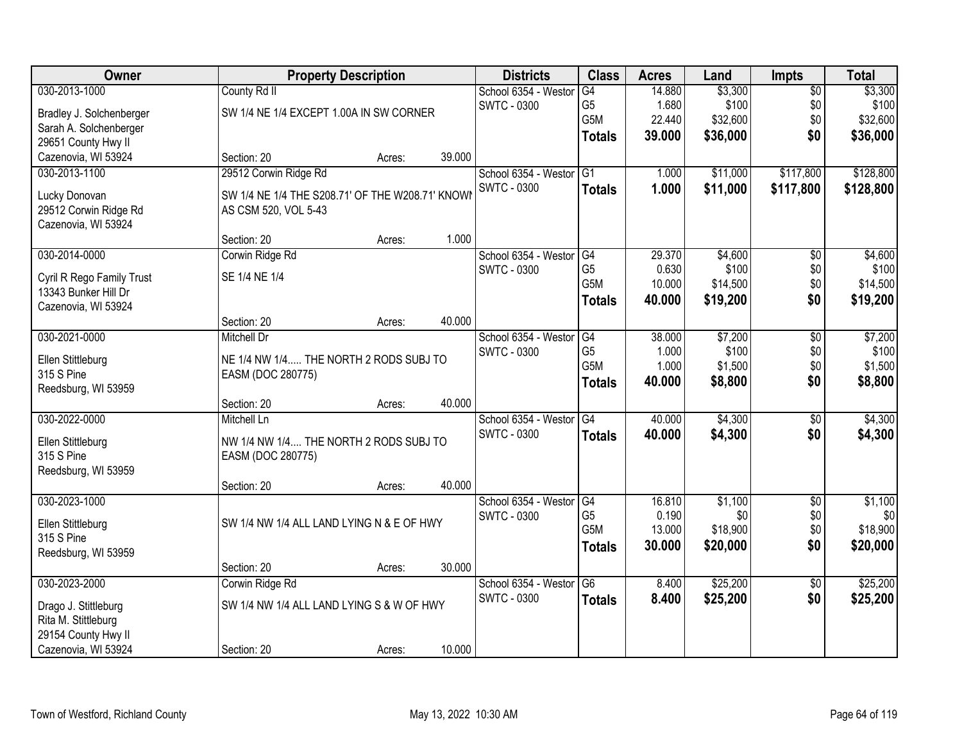| Owner                                             |                                                  | <b>Property Description</b> |        | <b>Districts</b>     | <b>Class</b>     | <b>Acres</b> | Land     | <b>Impts</b>    | <b>Total</b> |
|---------------------------------------------------|--------------------------------------------------|-----------------------------|--------|----------------------|------------------|--------------|----------|-----------------|--------------|
| 030-2013-1000                                     | County Rd II                                     |                             |        | School 6354 - Westor | G4               | 14.880       | \$3,300  | $\overline{50}$ | \$3,300      |
| Bradley J. Solchenberger                          | SW 1/4 NE 1/4 EXCEPT 1.00A IN SW CORNER          |                             |        | <b>SWTC - 0300</b>   | G <sub>5</sub>   | 1.680        | \$100    | \$0             | \$100        |
| Sarah A. Solchenberger                            |                                                  |                             |        |                      | G5M              | 22.440       | \$32,600 | \$0             | \$32,600     |
| 29651 County Hwy II                               |                                                  |                             |        |                      | <b>Totals</b>    | 39.000       | \$36,000 | \$0             | \$36,000     |
| Cazenovia, WI 53924                               | Section: 20                                      | Acres:                      | 39.000 |                      |                  |              |          |                 |              |
| 030-2013-1100                                     | 29512 Corwin Ridge Rd                            |                             |        | School 6354 - Westor | G1               | 1.000        | \$11,000 | \$117,800       | \$128,800    |
|                                                   | SW 1/4 NE 1/4 THE S208.71' OF THE W208.71' KNOWI |                             |        | <b>SWTC - 0300</b>   | <b>Totals</b>    | 1.000        | \$11,000 | \$117,800       | \$128,800    |
| Lucky Donovan<br>29512 Corwin Ridge Rd            | AS CSM 520, VOL 5-43                             |                             |        |                      |                  |              |          |                 |              |
| Cazenovia, WI 53924                               |                                                  |                             |        |                      |                  |              |          |                 |              |
|                                                   | Section: 20                                      | Acres:                      | 1.000  |                      |                  |              |          |                 |              |
| 030-2014-0000                                     | Corwin Ridge Rd                                  |                             |        | School 6354 - Westor | G4               | 29.370       | \$4,600  | \$0             | \$4,600      |
|                                                   | SE 1/4 NE 1/4                                    |                             |        | <b>SWTC - 0300</b>   | G <sub>5</sub>   | 0.630        | \$100    | \$0             | \$100        |
| Cyril R Rego Family Trust<br>13343 Bunker Hill Dr |                                                  |                             |        |                      | G5M              | 10.000       | \$14,500 | \$0             | \$14,500     |
| Cazenovia, WI 53924                               |                                                  |                             |        |                      | <b>Totals</b>    | 40.000       | \$19,200 | \$0             | \$19,200     |
|                                                   | Section: 20                                      | Acres:                      | 40.000 |                      |                  |              |          |                 |              |
| 030-2021-0000                                     | Mitchell Dr                                      |                             |        | School 6354 - Weston | G4               | 38.000       | \$7,200  | $\sqrt[6]{3}$   | \$7,200      |
|                                                   |                                                  |                             |        | <b>SWTC - 0300</b>   | G <sub>5</sub>   | 1.000        | \$100    | \$0             | \$100        |
| Ellen Stittleburg                                 | NE 1/4 NW 1/4 THE NORTH 2 RODS SUBJ TO           |                             |        |                      | G5M              | 1.000        | \$1,500  | \$0             | \$1,500      |
| 315 S Pine                                        | EASM (DOC 280775)                                |                             |        |                      | <b>Totals</b>    | 40.000       | \$8,800  | \$0             | \$8,800      |
| Reedsburg, WI 53959                               |                                                  |                             | 40.000 |                      |                  |              |          |                 |              |
| 030-2022-0000                                     | Section: 20<br>Mitchell Ln                       | Acres:                      |        |                      | G4               | 40.000       | \$4,300  | $\overline{50}$ | \$4,300      |
|                                                   |                                                  |                             |        | School 6354 - Westor |                  |              |          |                 |              |
| Ellen Stittleburg                                 | NW 1/4 NW 1/4 THE NORTH 2 RODS SUBJ TO           |                             |        | <b>SWTC - 0300</b>   | <b>Totals</b>    | 40.000       | \$4,300  | \$0             | \$4,300      |
| 315 S Pine                                        | EASM (DOC 280775)                                |                             |        |                      |                  |              |          |                 |              |
| Reedsburg, WI 53959                               |                                                  |                             |        |                      |                  |              |          |                 |              |
|                                                   | Section: 20                                      | Acres:                      | 40.000 |                      |                  |              |          |                 |              |
| 030-2023-1000                                     |                                                  |                             |        | School 6354 - Westor | G4               | 16.810       | \$1,100  | $\overline{50}$ | \$1,100      |
| Ellen Stittleburg                                 | SW 1/4 NW 1/4 ALL LAND LYING N & E OF HWY        |                             |        | <b>SWTC - 0300</b>   | G <sub>5</sub>   | 0.190        | \$0      | \$0             | \$0          |
| 315 S Pine                                        |                                                  |                             |        |                      | G <sub>5</sub> M | 13.000       | \$18,900 | \$0             | \$18,900     |
| Reedsburg, WI 53959                               |                                                  |                             |        |                      | <b>Totals</b>    | 30.000       | \$20,000 | \$0             | \$20,000     |
|                                                   | Section: 20                                      | Acres:                      | 30.000 |                      |                  |              |          |                 |              |
| 030-2023-2000                                     | Corwin Ridge Rd                                  |                             |        | School 6354 - Westor | $\overline{G6}$  | 8.400        | \$25,200 | $\overline{50}$ | \$25,200     |
| Drago J. Stittleburg                              | SW 1/4 NW 1/4 ALL LAND LYING S & W OF HWY        |                             |        | <b>SWTC - 0300</b>   | <b>Totals</b>    | 8.400        | \$25,200 | \$0             | \$25,200     |
| Rita M. Stittleburg                               |                                                  |                             |        |                      |                  |              |          |                 |              |
| 29154 County Hwy II                               |                                                  |                             |        |                      |                  |              |          |                 |              |
| Cazenovia, WI 53924                               | Section: 20                                      | Acres:                      | 10.000 |                      |                  |              |          |                 |              |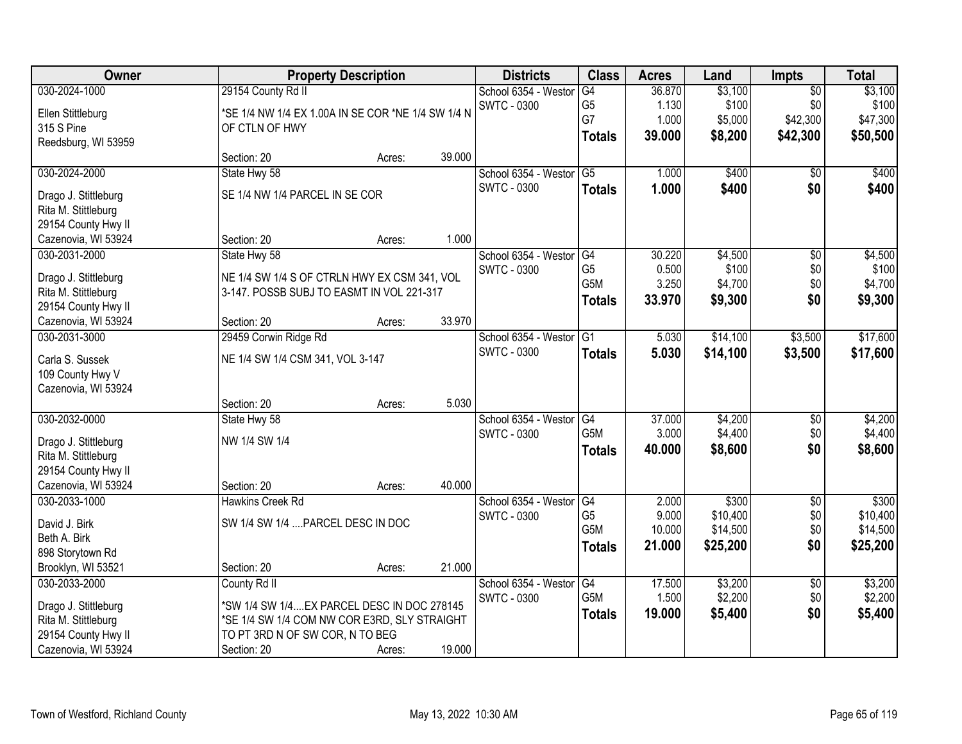| Owner                                      | <b>Property Description</b>                                                               |        |        | <b>Districts</b>     | <b>Class</b>     | <b>Acres</b> | Land     | <b>Impts</b>    | <b>Total</b> |
|--------------------------------------------|-------------------------------------------------------------------------------------------|--------|--------|----------------------|------------------|--------------|----------|-----------------|--------------|
| 030-2024-1000                              | 29154 County Rd II                                                                        |        |        | School 6354 - Westor | G4               | 36.870       | \$3,100  | $\overline{50}$ | \$3,100      |
| Ellen Stittleburg                          | *SE 1/4 NW 1/4 EX 1.00A IN SE COR *NE 1/4 SW 1/4 N                                        |        |        | <b>SWTC - 0300</b>   | G <sub>5</sub>   | 1.130        | \$100    | \$0             | \$100        |
| 315 S Pine                                 | OF CTLN OF HWY                                                                            |        |        |                      | G7               | 1.000        | \$5,000  | \$42,300        | \$47,300     |
| Reedsburg, WI 53959                        |                                                                                           |        |        |                      | <b>Totals</b>    | 39,000       | \$8,200  | \$42,300        | \$50,500     |
|                                            | Section: 20                                                                               | Acres: | 39.000 |                      |                  |              |          |                 |              |
| 030-2024-2000                              | State Hwy 58                                                                              |        |        | School 6354 - Weston | $\overline{G5}$  | 1.000        | \$400    | $\overline{50}$ | \$400        |
| Drago J. Stittleburg                       | SE 1/4 NW 1/4 PARCEL IN SE COR                                                            |        |        | <b>SWTC - 0300</b>   | <b>Totals</b>    | 1.000        | \$400    | \$0             | \$400        |
| Rita M. Stittleburg                        |                                                                                           |        |        |                      |                  |              |          |                 |              |
| 29154 County Hwy II                        |                                                                                           |        |        |                      |                  |              |          |                 |              |
| Cazenovia, WI 53924                        | Section: 20                                                                               | Acres: | 1.000  |                      |                  |              |          |                 |              |
| 030-2031-2000                              | State Hwy 58                                                                              |        |        | School 6354 - Westor | G4               | 30.220       | \$4,500  | \$0             | \$4,500      |
|                                            |                                                                                           |        |        | <b>SWTC - 0300</b>   | G <sub>5</sub>   | 0.500        | \$100    | \$0             | \$100        |
| Drago J. Stittleburg                       | NE 1/4 SW 1/4 S OF CTRLN HWY EX CSM 341, VOL<br>3-147. POSSB SUBJ TO EASMT IN VOL 221-317 |        |        |                      | G <sub>5</sub> M | 3.250        | \$4,700  | \$0             | \$4,700      |
| Rita M. Stittleburg<br>29154 County Hwy II |                                                                                           |        |        |                      | <b>Totals</b>    | 33.970       | \$9,300  | \$0             | \$9,300      |
| Cazenovia, WI 53924                        | Section: 20                                                                               | Acres: | 33.970 |                      |                  |              |          |                 |              |
| 030-2031-3000                              | 29459 Corwin Ridge Rd                                                                     |        |        | School 6354 - Westor | G <sub>1</sub>   | 5.030        | \$14,100 | \$3,500         | \$17,600     |
|                                            |                                                                                           |        |        | SWTC - 0300          | <b>Totals</b>    | 5.030        | \$14,100 | \$3,500         | \$17,600     |
| Carla S. Sussek                            | NE 1/4 SW 1/4 CSM 341, VOL 3-147                                                          |        |        |                      |                  |              |          |                 |              |
| 109 County Hwy V                           |                                                                                           |        |        |                      |                  |              |          |                 |              |
| Cazenovia, WI 53924                        |                                                                                           |        |        |                      |                  |              |          |                 |              |
|                                            | Section: 20                                                                               | Acres: | 5.030  |                      |                  |              |          |                 |              |
| 030-2032-0000                              | State Hwy 58                                                                              |        |        | School 6354 - Weston | $\overline{G4}$  | 37.000       | \$4,200  | \$0             | \$4,200      |
| Drago J. Stittleburg                       | NW 1/4 SW 1/4                                                                             |        |        | <b>SWTC - 0300</b>   | G5M              | 3.000        | \$4,400  | \$0             | \$4,400      |
| Rita M. Stittleburg                        |                                                                                           |        |        |                      | <b>Totals</b>    | 40.000       | \$8,600  | \$0             | \$8,600      |
| 29154 County Hwy II                        |                                                                                           |        |        |                      |                  |              |          |                 |              |
| Cazenovia, WI 53924                        | Section: 20                                                                               | Acres: | 40.000 |                      |                  |              |          |                 |              |
| 030-2033-1000                              | <b>Hawkins Creek Rd</b>                                                                   |        |        | School 6354 - Westor | G4               | 2.000        | \$300    | $\overline{50}$ | \$300        |
| David J. Birk                              | SW 1/4 SW 1/4  PARCEL DESC IN DOC                                                         |        |        | <b>SWTC - 0300</b>   | G <sub>5</sub>   | 9.000        | \$10,400 | \$0             | \$10,400     |
| Beth A. Birk                               |                                                                                           |        |        |                      | G <sub>5</sub> M | 10.000       | \$14,500 | \$0             | \$14,500     |
| 898 Storytown Rd                           |                                                                                           |        |        |                      | <b>Totals</b>    | 21.000       | \$25,200 | \$0             | \$25,200     |
| Brooklyn, WI 53521                         | Section: 20                                                                               | Acres: | 21.000 |                      |                  |              |          |                 |              |
| 030-2033-2000                              | County Rd II                                                                              |        |        | School 6354 - Westor | G4               | 17.500       | \$3,200  | $\overline{50}$ | \$3,200      |
| Drago J. Stittleburg                       | *SW 1/4 SW 1/4EX PARCEL DESC IN DOC 278145                                                |        |        | <b>SWTC - 0300</b>   | G5M              | 1.500        | \$2,200  | \$0             | \$2,200      |
| Rita M. Stittleburg                        | *SE 1/4 SW 1/4 COM NW COR E3RD, SLY STRAIGHT                                              |        |        |                      | <b>Totals</b>    | 19.000       | \$5,400  | \$0             | \$5,400      |
| 29154 County Hwy II                        | TO PT 3RD N OF SW COR, N TO BEG                                                           |        |        |                      |                  |              |          |                 |              |
| Cazenovia, WI 53924                        | Section: 20                                                                               | Acres: | 19.000 |                      |                  |              |          |                 |              |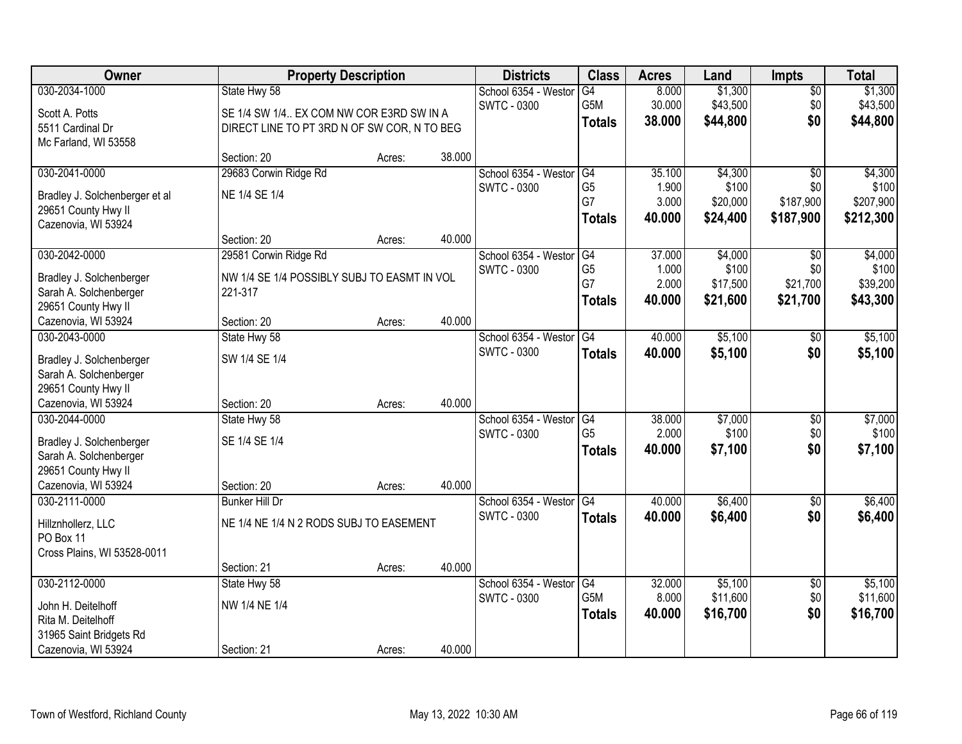| Owner                                         | <b>Property Description</b>                 |        |        | <b>Districts</b>     | <b>Class</b>   | <b>Acres</b> | Land     | <b>Impts</b>    | <b>Total</b> |
|-----------------------------------------------|---------------------------------------------|--------|--------|----------------------|----------------|--------------|----------|-----------------|--------------|
| 030-2034-1000                                 | State Hwy 58                                |        |        | School 6354 - Westor | G4             | 8.000        | \$1,300  | \$0             | \$1,300      |
| Scott A. Potts                                | SE 1/4 SW 1/4 EX COM NW COR E3RD SW IN A    |        |        | <b>SWTC - 0300</b>   | G5M            | 30.000       | \$43,500 | \$0             | \$43,500     |
| 5511 Cardinal Dr                              | DIRECT LINE TO PT 3RD N OF SW COR, N TO BEG |        |        |                      | <b>Totals</b>  | 38.000       | \$44,800 | \$0             | \$44,800     |
| Mc Farland, WI 53558                          |                                             |        |        |                      |                |              |          |                 |              |
|                                               | Section: 20                                 | Acres: | 38.000 |                      |                |              |          |                 |              |
| 030-2041-0000                                 | 29683 Corwin Ridge Rd                       |        |        | School 6354 - Westor | G4             | 35.100       | \$4,300  | $\overline{50}$ | \$4,300      |
| Bradley J. Solchenberger et al                | NE 1/4 SE 1/4                               |        |        | <b>SWTC - 0300</b>   | G <sub>5</sub> | 1.900        | \$100    | \$0             | \$100        |
| 29651 County Hwy II                           |                                             |        |        |                      | G7             | 3.000        | \$20,000 | \$187,900       | \$207,900    |
| Cazenovia, WI 53924                           |                                             |        |        |                      | <b>Totals</b>  | 40.000       | \$24,400 | \$187,900       | \$212,300    |
|                                               | Section: 20                                 | Acres: | 40.000 |                      |                |              |          |                 |              |
| 030-2042-0000                                 | 29581 Corwin Ridge Rd                       |        |        | School 6354 - Westor | G4             | 37.000       | \$4,000  | \$0             | \$4,000      |
| Bradley J. Solchenberger                      | NW 1/4 SE 1/4 POSSIBLY SUBJ TO EASMT IN VOL |        |        | <b>SWTC - 0300</b>   | G <sub>5</sub> | 1.000        | \$100    | \$0             | \$100        |
| Sarah A. Solchenberger                        | 221-317                                     |        |        |                      | G7             | 2.000        | \$17,500 | \$21,700        | \$39,200     |
| 29651 County Hwy II                           |                                             |        |        |                      | <b>Totals</b>  | 40.000       | \$21,600 | \$21,700        | \$43,300     |
| Cazenovia, WI 53924                           | Section: 20                                 | Acres: | 40.000 |                      |                |              |          |                 |              |
| 030-2043-0000                                 | State Hwy 58                                |        |        | School 6354 - Weston | G4             | 40.000       | \$5,100  | $\sqrt[6]{3}$   | \$5,100      |
| Bradley J. Solchenberger                      | SW 1/4 SE 1/4                               |        |        | <b>SWTC - 0300</b>   | <b>Totals</b>  | 40,000       | \$5,100  | \$0             | \$5,100      |
| Sarah A. Solchenberger                        |                                             |        |        |                      |                |              |          |                 |              |
| 29651 County Hwy II                           |                                             |        |        |                      |                |              |          |                 |              |
| Cazenovia, WI 53924                           | Section: 20                                 | Acres: | 40.000 |                      |                |              |          |                 |              |
| 030-2044-0000                                 | State Hwy 58                                |        |        | School 6354 - Westor | G4             | 38.000       | \$7,000  | $\overline{50}$ | \$7,000      |
|                                               |                                             |        |        | <b>SWTC - 0300</b>   | G <sub>5</sub> | 2.000        | \$100    | \$0             | \$100        |
| Bradley J. Solchenberger                      | SE 1/4 SE 1/4                               |        |        |                      | <b>Totals</b>  | 40.000       | \$7,100  | \$0             | \$7,100      |
| Sarah A. Solchenberger<br>29651 County Hwy II |                                             |        |        |                      |                |              |          |                 |              |
| Cazenovia, WI 53924                           | Section: 20                                 | Acres: | 40.000 |                      |                |              |          |                 |              |
| 030-2111-0000                                 | <b>Bunker Hill Dr</b>                       |        |        | School 6354 - Westor | G4             | 40.000       | \$6,400  | $\overline{30}$ | \$6,400      |
|                                               |                                             |        |        | <b>SWTC - 0300</b>   | <b>Totals</b>  | 40.000       | \$6,400  | \$0             | \$6,400      |
| Hillznhollerz, LLC                            | NE 1/4 NE 1/4 N 2 RODS SUBJ TO EASEMENT     |        |        |                      |                |              |          |                 |              |
| PO Box 11<br>Cross Plains, WI 53528-0011      |                                             |        |        |                      |                |              |          |                 |              |
|                                               | Section: 21                                 | Acres: | 40.000 |                      |                |              |          |                 |              |
| 030-2112-0000                                 | State Hwy 58                                |        |        | School 6354 - Westor | G4             | 32.000       | \$5,100  | $\overline{60}$ | \$5,100      |
|                                               |                                             |        |        | <b>SWTC - 0300</b>   | G5M            | 8.000        | \$11,600 | \$0             | \$11,600     |
| John H. Deitelhoff                            | NW 1/4 NE 1/4                               |        |        |                      | <b>Totals</b>  | 40.000       | \$16,700 | \$0             | \$16,700     |
| Rita M. Deitelhoff                            |                                             |        |        |                      |                |              |          |                 |              |
| 31965 Saint Bridgets Rd                       |                                             |        |        |                      |                |              |          |                 |              |
| Cazenovia, WI 53924                           | Section: 21                                 | Acres: | 40.000 |                      |                |              |          |                 |              |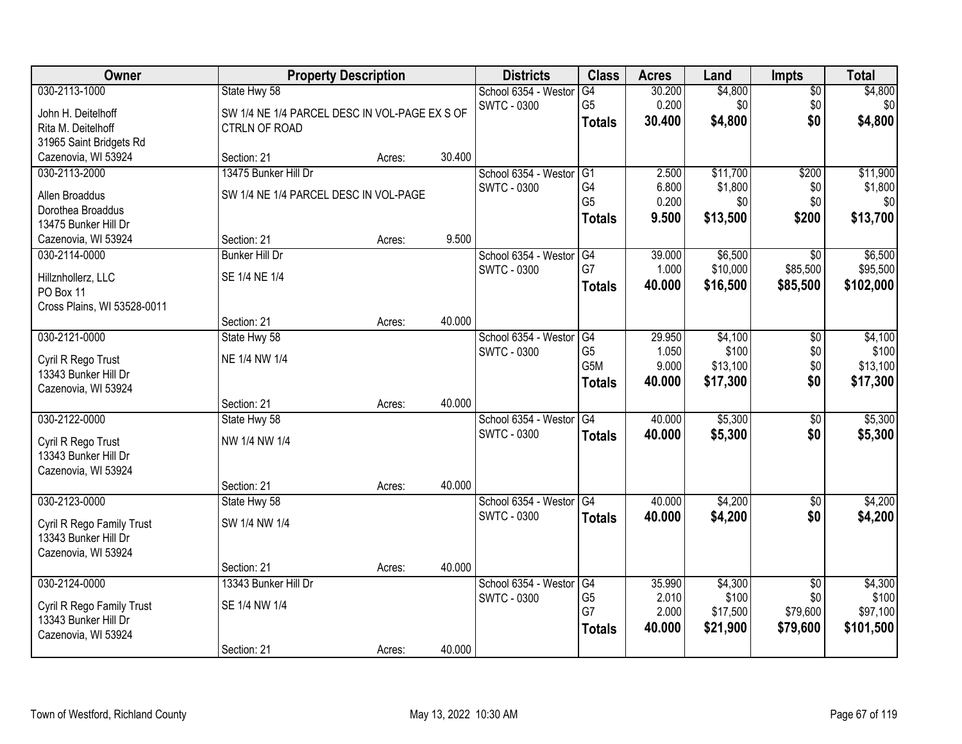| Owner                                       | <b>Property Description</b>                   |        |        | <b>Districts</b>        | <b>Class</b>     | <b>Acres</b> | Land     | <b>Impts</b>    | <b>Total</b> |
|---------------------------------------------|-----------------------------------------------|--------|--------|-------------------------|------------------|--------------|----------|-----------------|--------------|
| 030-2113-1000                               | State Hwy 58                                  |        |        | School 6354 - Weston    | G4               | 30.200       | \$4,800  | $\overline{50}$ | \$4,800      |
| John H. Deitelhoff                          | SW 1/4 NE 1/4 PARCEL DESC IN VOL-PAGE EX S OF |        |        | <b>SWTC - 0300</b>      | G <sub>5</sub>   | 0.200        | \$0      | \$0             | \$0          |
| Rita M. Deitelhoff                          | <b>CTRLN OF ROAD</b>                          |        |        |                         | <b>Totals</b>    | 30.400       | \$4,800  | \$0             | \$4,800      |
| 31965 Saint Bridgets Rd                     |                                               |        |        |                         |                  |              |          |                 |              |
| Cazenovia, WI 53924                         | Section: 21                                   | Acres: | 30.400 |                         |                  |              |          |                 |              |
| 030-2113-2000                               | 13475 Bunker Hill Dr                          |        |        | School 6354 - Westor    | G1               | 2.500        | \$11,700 | \$200           | \$11,900     |
| Allen Broaddus                              | SW 1/4 NE 1/4 PARCEL DESC IN VOL-PAGE         |        |        | <b>SWTC - 0300</b>      | G4               | 6.800        | \$1,800  | \$0             | \$1,800      |
| Dorothea Broaddus                           |                                               |        |        |                         | G <sub>5</sub>   | 0.200        | \$0      | \$0             | \$0          |
| 13475 Bunker Hill Dr                        |                                               |        |        |                         | <b>Totals</b>    | 9.500        | \$13,500 | \$200           | \$13,700     |
| Cazenovia, WI 53924                         | Section: 21                                   | Acres: | 9.500  |                         |                  |              |          |                 |              |
| 030-2114-0000                               | <b>Bunker Hill Dr</b>                         |        |        | School 6354 - Westor    | G4               | 39.000       | \$6,500  | \$0             | \$6,500      |
|                                             | SE 1/4 NE 1/4                                 |        |        | SWTC - 0300             | G7               | 1.000        | \$10,000 | \$85,500        | \$95,500     |
| Hillznhollerz, LLC<br>PO Box 11             |                                               |        |        |                         | <b>Totals</b>    | 40.000       | \$16,500 | \$85,500        | \$102,000    |
| Cross Plains, WI 53528-0011                 |                                               |        |        |                         |                  |              |          |                 |              |
|                                             | Section: 21                                   | Acres: | 40.000 |                         |                  |              |          |                 |              |
| 030-2121-0000                               | State Hwy 58                                  |        |        | School 6354 - Westor    | G4               | 29.950       | \$4,100  | $\sqrt{6}$      | \$4,100      |
|                                             |                                               |        |        | <b>SWTC - 0300</b>      | G <sub>5</sub>   | 1.050        | \$100    | \$0             | \$100        |
| Cyril R Rego Trust<br>13343 Bunker Hill Dr  | NE 1/4 NW 1/4                                 |        |        |                         | G <sub>5</sub> M | 9.000        | \$13,100 | \$0             | \$13,100     |
| Cazenovia, WI 53924                         |                                               |        |        |                         | <b>Totals</b>    | 40.000       | \$17,300 | \$0             | \$17,300     |
|                                             | Section: 21                                   | Acres: | 40.000 |                         |                  |              |          |                 |              |
| 030-2122-0000                               | State Hwy 58                                  |        |        | School 6354 - Westor    | G4               | 40.000       | \$5,300  | \$0             | \$5,300      |
|                                             |                                               |        |        | <b>SWTC - 0300</b>      | <b>Totals</b>    | 40.000       | \$5,300  | \$0             | \$5,300      |
| Cyril R Rego Trust                          | NW 1/4 NW 1/4                                 |        |        |                         |                  |              |          |                 |              |
| 13343 Bunker Hill Dr<br>Cazenovia, WI 53924 |                                               |        |        |                         |                  |              |          |                 |              |
|                                             | Section: 21                                   | Acres: | 40.000 |                         |                  |              |          |                 |              |
| 030-2123-0000                               | State Hwy 58                                  |        |        | School 6354 - Westor G4 |                  | 40.000       | \$4,200  | $\sqrt{$0}$     | \$4,200      |
|                                             |                                               |        |        | <b>SWTC - 0300</b>      | <b>Totals</b>    | 40.000       | \$4,200  | \$0             | \$4,200      |
| Cyril R Rego Family Trust                   | SW 1/4 NW 1/4                                 |        |        |                         |                  |              |          |                 |              |
| 13343 Bunker Hill Dr                        |                                               |        |        |                         |                  |              |          |                 |              |
| Cazenovia, WI 53924                         | Section: 21                                   | Acres: | 40.000 |                         |                  |              |          |                 |              |
| 030-2124-0000                               | 13343 Bunker Hill Dr                          |        |        | School 6354 - Westor    | G4               | 35.990       | \$4,300  | $\overline{50}$ | \$4,300      |
|                                             |                                               |        |        | <b>SWTC - 0300</b>      | G <sub>5</sub>   | 2.010        | \$100    | \$0             | \$100        |
| Cyril R Rego Family Trust                   | SE 1/4 NW 1/4                                 |        |        |                         | G7               | 2.000        | \$17,500 | \$79,600        | \$97,100     |
| 13343 Bunker Hill Dr                        |                                               |        |        |                         | <b>Totals</b>    | 40.000       | \$21,900 | \$79,600        | \$101,500    |
| Cazenovia, WI 53924                         |                                               |        |        |                         |                  |              |          |                 |              |
|                                             | Section: 21                                   | Acres: | 40.000 |                         |                  |              |          |                 |              |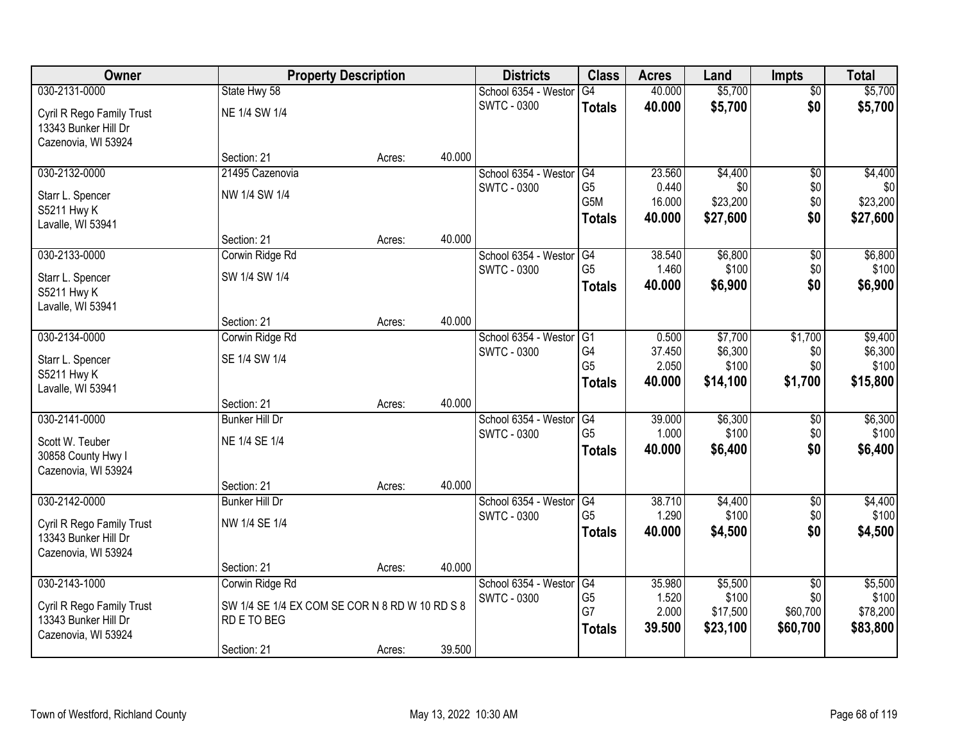| <b>Owner</b>              | <b>Property Description</b>                    |        |        | <b>Districts</b>                           | <b>Class</b>         | <b>Acres</b>    | Land             | <b>Impts</b>           | <b>Total</b>     |
|---------------------------|------------------------------------------------|--------|--------|--------------------------------------------|----------------------|-----------------|------------------|------------------------|------------------|
| 030-2131-0000             | State Hwy 58                                   |        |        | School 6354 - Weston                       | $\overline{G4}$      | 40.000          | \$5,700          | $\overline{50}$        | \$5,700          |
| Cyril R Rego Family Trust | NE 1/4 SW 1/4                                  |        |        | <b>SWTC - 0300</b>                         | <b>Totals</b>        | 40.000          | \$5,700          | \$0                    | \$5,700          |
| 13343 Bunker Hill Dr      |                                                |        |        |                                            |                      |                 |                  |                        |                  |
| Cazenovia, WI 53924       |                                                |        |        |                                            |                      |                 |                  |                        |                  |
|                           | Section: 21                                    | Acres: | 40.000 |                                            |                      |                 |                  |                        |                  |
| 030-2132-0000             | 21495 Cazenovia                                |        |        | School 6354 - Westor                       | G4                   | 23.560          | \$4,400          | $\overline{50}$        | \$4,400          |
| Starr L. Spencer          | NW 1/4 SW 1/4                                  |        |        | <b>SWTC - 0300</b>                         | G5                   | 0.440           | \$0              | \$0                    | \$0              |
| S5211 Hwy K               |                                                |        |        |                                            | G5M                  | 16.000          | \$23,200         | \$0<br>\$0             | \$23,200         |
| Lavalle, WI 53941         |                                                |        |        |                                            | <b>Totals</b>        | 40.000          | \$27,600         |                        | \$27,600         |
|                           | Section: 21                                    | Acres: | 40.000 |                                            |                      |                 |                  |                        |                  |
| 030-2133-0000             | Corwin Ridge Rd                                |        |        | School 6354 - Westor                       | G4                   | 38.540          | \$6,800          | \$0                    | \$6,800          |
| Starr L. Spencer          | SW 1/4 SW 1/4                                  |        |        | <b>SWTC - 0300</b>                         | G <sub>5</sub>       | 1.460           | \$100            | \$0                    | \$100            |
| S5211 Hwy K               |                                                |        |        |                                            | <b>Totals</b>        | 40.000          | \$6,900          | \$0                    | \$6,900          |
| Lavalle, WI 53941         |                                                |        |        |                                            |                      |                 |                  |                        |                  |
|                           | Section: 21                                    | Acres: | 40.000 |                                            |                      |                 |                  |                        |                  |
| 030-2134-0000             | Corwin Ridge Rd                                |        |        | School 6354 - Weston                       | G1                   | 0.500           | \$7,700          | \$1,700                | \$9,400          |
| Starr L. Spencer          | SE 1/4 SW 1/4                                  |        |        | <b>SWTC - 0300</b>                         | G4<br>G <sub>5</sub> | 37.450<br>2.050 | \$6,300<br>\$100 | \$0<br>\$0             | \$6,300<br>\$100 |
| S5211 Hwy K               |                                                |        |        |                                            | <b>Totals</b>        | 40.000          | \$14,100         | \$1,700                | \$15,800         |
| Lavalle, WI 53941         |                                                |        |        |                                            |                      |                 |                  |                        |                  |
|                           | Section: 21                                    | Acres: | 40.000 |                                            |                      |                 |                  |                        |                  |
| 030-2141-0000             | <b>Bunker Hill Dr</b>                          |        |        | School 6354 - Weston                       | $\overline{G4}$      | 39.000          | \$6,300          | \$0                    | \$6,300          |
| Scott W. Teuber           | NE 1/4 SE 1/4                                  |        |        | <b>SWTC - 0300</b>                         | G <sub>5</sub>       | 1.000<br>40.000 | \$100            | \$0<br>\$0             | \$100<br>\$6,400 |
| 30858 County Hwy I        |                                                |        |        |                                            | <b>Totals</b>        |                 | \$6,400          |                        |                  |
| Cazenovia, WI 53924       |                                                |        |        |                                            |                      |                 |                  |                        |                  |
|                           | Section: 21                                    | Acres: | 40.000 |                                            |                      |                 |                  |                        |                  |
| 030-2142-0000             | <b>Bunker Hill Dr</b>                          |        |        | School 6354 - Westor                       | G4<br>G <sub>5</sub> | 38.710<br>1.290 | \$4,400<br>\$100 | $\sqrt{6}$<br>\$0      | \$4,400<br>\$100 |
| Cyril R Rego Family Trust | NW 1/4 SE 1/4                                  |        |        | <b>SWTC - 0300</b>                         | <b>Totals</b>        | 40.000          | \$4,500          | \$0                    | \$4,500          |
| 13343 Bunker Hill Dr      |                                                |        |        |                                            |                      |                 |                  |                        |                  |
| Cazenovia, WI 53924       |                                                |        |        |                                            |                      |                 |                  |                        |                  |
|                           | Section: 21                                    | Acres: | 40.000 |                                            |                      |                 |                  |                        |                  |
| 030-2143-1000             | Corwin Ridge Rd                                |        |        | School 6354 - Weston<br><b>SWTC - 0300</b> | G4<br>G <sub>5</sub> | 35.980<br>1.520 | \$5,500<br>\$100 | $\overline{60}$<br>\$0 | \$5,500<br>\$100 |
| Cyril R Rego Family Trust | SW 1/4 SE 1/4 EX COM SE COR N 8 RD W 10 RD S 8 |        |        |                                            | G7                   | 2.000           | \$17,500         | \$60,700               | \$78,200         |
| 13343 Bunker Hill Dr      | RD E TO BEG                                    |        |        |                                            | <b>Totals</b>        | 39.500          | \$23,100         | \$60,700               | \$83,800         |
| Cazenovia, WI 53924       |                                                |        |        |                                            |                      |                 |                  |                        |                  |
|                           | Section: 21                                    | Acres: | 39.500 |                                            |                      |                 |                  |                        |                  |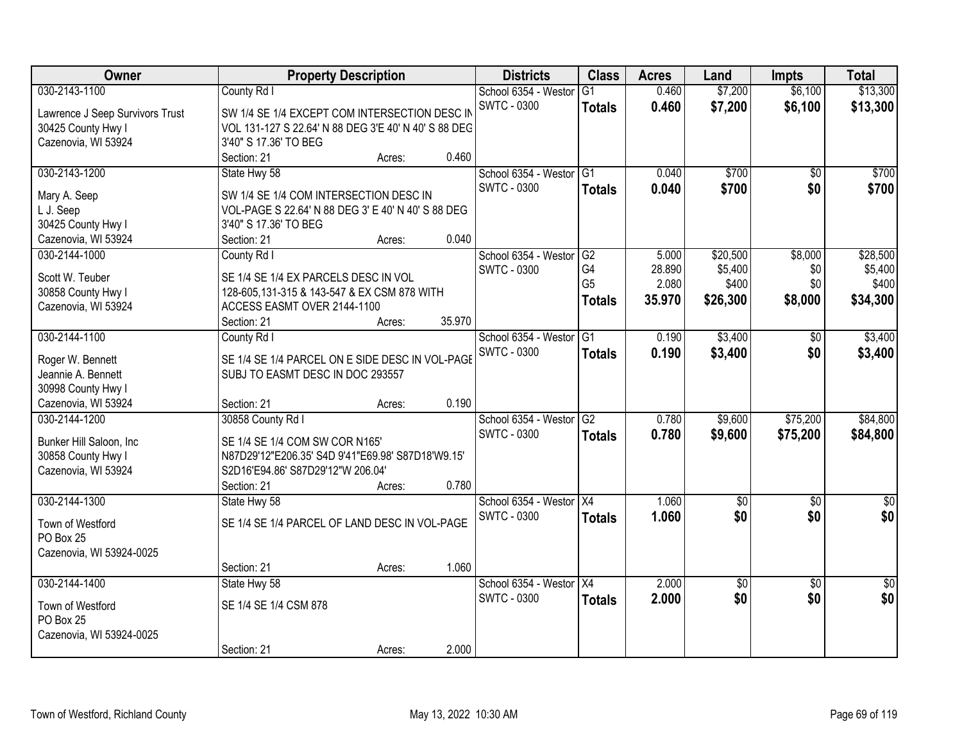| Owner                           |                                                      | <b>Property Description</b> |        | <b>Districts</b>        | <b>Class</b>    | <b>Acres</b> | Land            | <b>Impts</b>    | <b>Total</b>    |
|---------------------------------|------------------------------------------------------|-----------------------------|--------|-------------------------|-----------------|--------------|-----------------|-----------------|-----------------|
| 030-2143-1100                   | County Rd I                                          |                             |        | School 6354 - Westor    | G1              | 0.460        | \$7,200         | \$6,100         | \$13,300        |
| Lawrence J Seep Survivors Trust | SW 1/4 SE 1/4 EXCEPT COM INTERSECTION DESC IN        |                             |        | <b>SWTC - 0300</b>      | <b>Totals</b>   | 0.460        | \$7,200         | \$6,100         | \$13,300        |
| 30425 County Hwy I              | VOL 131-127 S 22.64' N 88 DEG 3'E 40' N 40' S 88 DEG |                             |        |                         |                 |              |                 |                 |                 |
| Cazenovia, WI 53924             | 3'40" S 17.36' TO BEG                                |                             |        |                         |                 |              |                 |                 |                 |
|                                 | Section: 21                                          | Acres:                      | 0.460  |                         |                 |              |                 |                 |                 |
| 030-2143-1200                   | State Hwy 58                                         |                             |        | School 6354 - Westor    | $\overline{G1}$ | 0.040        | \$700           | $\overline{50}$ | \$700           |
| Mary A. Seep                    | SW 1/4 SE 1/4 COM INTERSECTION DESC IN               |                             |        | <b>SWTC - 0300</b>      | <b>Totals</b>   | 0.040        | \$700           | \$0             | \$700           |
| L J. Seep                       | VOL-PAGE S 22.64' N 88 DEG 3' E 40' N 40' S 88 DEG   |                             |        |                         |                 |              |                 |                 |                 |
| 30425 County Hwy I              | 3'40" S 17.36' TO BEG                                |                             |        |                         |                 |              |                 |                 |                 |
| Cazenovia, WI 53924             | Section: 21                                          | Acres:                      | 0.040  |                         |                 |              |                 |                 |                 |
| 030-2144-1000                   | County Rd I                                          |                             |        | School 6354 - Westor    | $\overline{G2}$ | 5.000        | \$20,500        | \$8,000         | \$28,500        |
|                                 |                                                      |                             |        | <b>SWTC - 0300</b>      | G4              | 28.890       | \$5,400         | \$0             | \$5,400         |
| Scott W. Teuber                 | SE 1/4 SE 1/4 EX PARCELS DESC IN VOL                 |                             |        |                         | G <sub>5</sub>  | 2.080        | \$400           | \$0             | \$400           |
| 30858 County Hwy I              | 128-605,131-315 & 143-547 & EX CSM 878 WITH          |                             |        |                         | <b>Totals</b>   | 35.970       | \$26,300        | \$8,000         | \$34,300        |
| Cazenovia, WI 53924             | ACCESS EASMT OVER 2144-1100                          |                             |        |                         |                 |              |                 |                 |                 |
|                                 | Section: 21                                          | Acres:                      | 35.970 |                         |                 |              |                 |                 |                 |
| 030-2144-1100                   | County Rd I                                          |                             |        | School 6354 - Westor    | G1              | 0.190        | \$3,400         | $\sqrt[6]{}$    | \$3,400         |
| Roger W. Bennett                | SE 1/4 SE 1/4 PARCEL ON E SIDE DESC IN VOL-PAGE      |                             |        | <b>SWTC - 0300</b>      | <b>Totals</b>   | 0.190        | \$3,400         | \$0             | \$3,400         |
| Jeannie A. Bennett              | SUBJ TO EASMT DESC IN DOC 293557                     |                             |        |                         |                 |              |                 |                 |                 |
| 30998 County Hwy I              |                                                      |                             |        |                         |                 |              |                 |                 |                 |
| Cazenovia, WI 53924             | Section: 21                                          | Acres:                      | 0.190  |                         |                 |              |                 |                 |                 |
| 030-2144-1200                   | 30858 County Rd I                                    |                             |        | School 6354 - Westor    | $\overline{G2}$ | 0.780        | \$9,600         | \$75,200        | \$84,800        |
| Bunker Hill Saloon, Inc         | SE 1/4 SE 1/4 COM SW COR N165'                       |                             |        | <b>SWTC - 0300</b>      | <b>Totals</b>   | 0.780        | \$9,600         | \$75,200        | \$84,800        |
| 30858 County Hwy I              | N87D29'12"E206.35' S4D 9'41"E69.98' S87D18'W9.15'    |                             |        |                         |                 |              |                 |                 |                 |
| Cazenovia, WI 53924             | S2D16'E94.86' S87D29'12"W 206.04'                    |                             |        |                         |                 |              |                 |                 |                 |
|                                 | Section: 21                                          | Acres:                      | 0.780  |                         |                 |              |                 |                 |                 |
| 030-2144-1300                   | State Hwy 58                                         |                             |        | School 6354 - Westor X4 |                 | 1.060        | $\overline{50}$ | $\overline{50}$ | $\overline{50}$ |
|                                 |                                                      |                             |        | <b>SWTC - 0300</b>      | <b>Totals</b>   | 1.060        | \$0             | \$0             | \$0             |
| Town of Westford                | SE 1/4 SE 1/4 PARCEL OF LAND DESC IN VOL-PAGE        |                             |        |                         |                 |              |                 |                 |                 |
| PO Box 25                       |                                                      |                             |        |                         |                 |              |                 |                 |                 |
| Cazenovia, WI 53924-0025        |                                                      |                             |        |                         |                 |              |                 |                 |                 |
|                                 | Section: 21                                          | Acres:                      | 1.060  |                         |                 |              |                 |                 |                 |
| 030-2144-1400                   | State Hwy 58                                         |                             |        | School 6354 - Westor    | X4              | 2.000        | \$0             | $\overline{50}$ | $\overline{50}$ |
| Town of Westford                | SE 1/4 SE 1/4 CSM 878                                |                             |        | <b>SWTC - 0300</b>      | <b>Totals</b>   | 2.000        | \$0             | \$0             | \$0             |
| PO Box 25                       |                                                      |                             |        |                         |                 |              |                 |                 |                 |
| Cazenovia, WI 53924-0025        |                                                      |                             |        |                         |                 |              |                 |                 |                 |
|                                 | Section: 21                                          | Acres:                      | 2.000  |                         |                 |              |                 |                 |                 |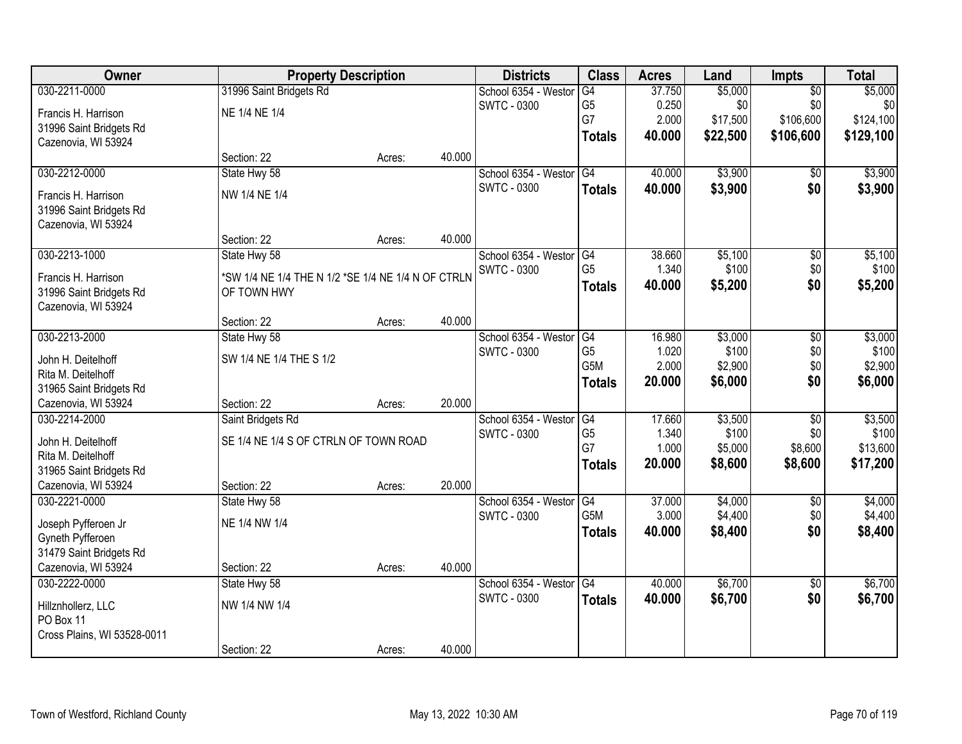| Owner                       |                                                    | <b>Property Description</b> |        | <b>Districts</b>        | <b>Class</b>    | <b>Acres</b> | Land     | Impts           | <b>Total</b> |
|-----------------------------|----------------------------------------------------|-----------------------------|--------|-------------------------|-----------------|--------------|----------|-----------------|--------------|
| 030-2211-0000               | 31996 Saint Bridgets Rd                            |                             |        | School 6354 - Westor    | G4              | 37.750       | \$5,000  | $\overline{50}$ | \$5,000      |
| Francis H. Harrison         | NE 1/4 NE 1/4                                      |                             |        | <b>SWTC - 0300</b>      | G <sub>5</sub>  | 0.250        | \$0      | \$0             | \$0          |
| 31996 Saint Bridgets Rd     |                                                    |                             |        |                         | G7              | 2.000        | \$17,500 | \$106,600       | \$124,100    |
| Cazenovia, WI 53924         |                                                    |                             |        |                         | <b>Totals</b>   | 40.000       | \$22,500 | \$106,600       | \$129,100    |
|                             | Section: 22                                        | Acres:                      | 40.000 |                         |                 |              |          |                 |              |
| 030-2212-0000               | State Hwy 58                                       |                             |        | School 6354 - Westor    | G4              | 40.000       | \$3,900  | \$0             | \$3,900      |
| Francis H. Harrison         | NW 1/4 NE 1/4                                      |                             |        | <b>SWTC - 0300</b>      | <b>Totals</b>   | 40.000       | \$3,900  | \$0             | \$3,900      |
| 31996 Saint Bridgets Rd     |                                                    |                             |        |                         |                 |              |          |                 |              |
| Cazenovia, WI 53924         |                                                    |                             |        |                         |                 |              |          |                 |              |
|                             | Section: 22                                        | Acres:                      | 40.000 |                         |                 |              |          |                 |              |
| 030-2213-1000               | State Hwy 58                                       |                             |        | School 6354 - Westor G4 |                 | 38.660       | \$5,100  | \$0             | \$5,100      |
| Francis H. Harrison         | *SW 1/4 NE 1/4 THE N 1/2 *SE 1/4 NE 1/4 N OF CTRLN |                             |        | <b>SWTC - 0300</b>      | G <sub>5</sub>  | 1.340        | \$100    | \$0             | \$100        |
| 31996 Saint Bridgets Rd     | OF TOWN HWY                                        |                             |        |                         | <b>Totals</b>   | 40.000       | \$5,200  | \$0             | \$5,200      |
| Cazenovia, WI 53924         |                                                    |                             |        |                         |                 |              |          |                 |              |
|                             | Section: 22                                        | Acres:                      | 40.000 |                         |                 |              |          |                 |              |
| 030-2213-2000               | State Hwy 58                                       |                             |        | School 6354 - Westor    | G4              | 16.980       | \$3,000  | \$0             | \$3,000      |
| John H. Deitelhoff          | SW 1/4 NE 1/4 THE S 1/2                            |                             |        | <b>SWTC - 0300</b>      | G <sub>5</sub>  | 1.020        | \$100    | \$0             | \$100        |
| Rita M. Deitelhoff          |                                                    |                             |        |                         | G5M             | 2.000        | \$2,900  | \$0             | \$2,900      |
| 31965 Saint Bridgets Rd     |                                                    |                             |        |                         | <b>Totals</b>   | 20.000       | \$6,000  | \$0             | \$6,000      |
| Cazenovia, WI 53924         | Section: 22                                        | Acres:                      | 20.000 |                         |                 |              |          |                 |              |
| 030-2214-2000               | Saint Bridgets Rd                                  |                             |        | School 6354 - Westor    | G4              | 17.660       | \$3,500  | $\overline{50}$ | \$3,500      |
| John H. Deitelhoff          | SE 1/4 NE 1/4 S OF CTRLN OF TOWN ROAD              |                             |        | SWTC - 0300             | G <sub>5</sub>  | 1.340        | \$100    | \$0             | \$100        |
| Rita M. Deitelhoff          |                                                    |                             |        |                         | G7              | 1.000        | \$5,000  | \$8,600         | \$13,600     |
| 31965 Saint Bridgets Rd     |                                                    |                             |        |                         | <b>Totals</b>   | 20.000       | \$8,600  | \$8,600         | \$17,200     |
| Cazenovia, WI 53924         | Section: 22                                        | Acres:                      | 20.000 |                         |                 |              |          |                 |              |
| 030-2221-0000               | State Hwy 58                                       |                             |        | School 6354 - Westor    | $\overline{G4}$ | 37.000       | \$4,000  | $\overline{50}$ | \$4,000      |
| Joseph Pyfferoen Jr         | NE 1/4 NW 1/4                                      |                             |        | <b>SWTC - 0300</b>      | G5M             | 3.000        | \$4,400  | \$0             | \$4,400      |
| Gyneth Pyfferoen            |                                                    |                             |        |                         | <b>Totals</b>   | 40.000       | \$8,400  | \$0             | \$8,400      |
| 31479 Saint Bridgets Rd     |                                                    |                             |        |                         |                 |              |          |                 |              |
| Cazenovia, WI 53924         | Section: 22                                        | Acres:                      | 40.000 |                         |                 |              |          |                 |              |
| 030-2222-0000               | State Hwy 58                                       |                             |        | School 6354 - Westor    | G4              | 40.000       | \$6,700  | $\overline{50}$ | \$6,700      |
| Hillznhollerz, LLC          | NW 1/4 NW 1/4                                      |                             |        | SWTC - 0300             | <b>Totals</b>   | 40.000       | \$6,700  | \$0             | \$6,700      |
| PO Box 11                   |                                                    |                             |        |                         |                 |              |          |                 |              |
| Cross Plains, WI 53528-0011 |                                                    |                             |        |                         |                 |              |          |                 |              |
|                             | Section: 22                                        | Acres:                      | 40.000 |                         |                 |              |          |                 |              |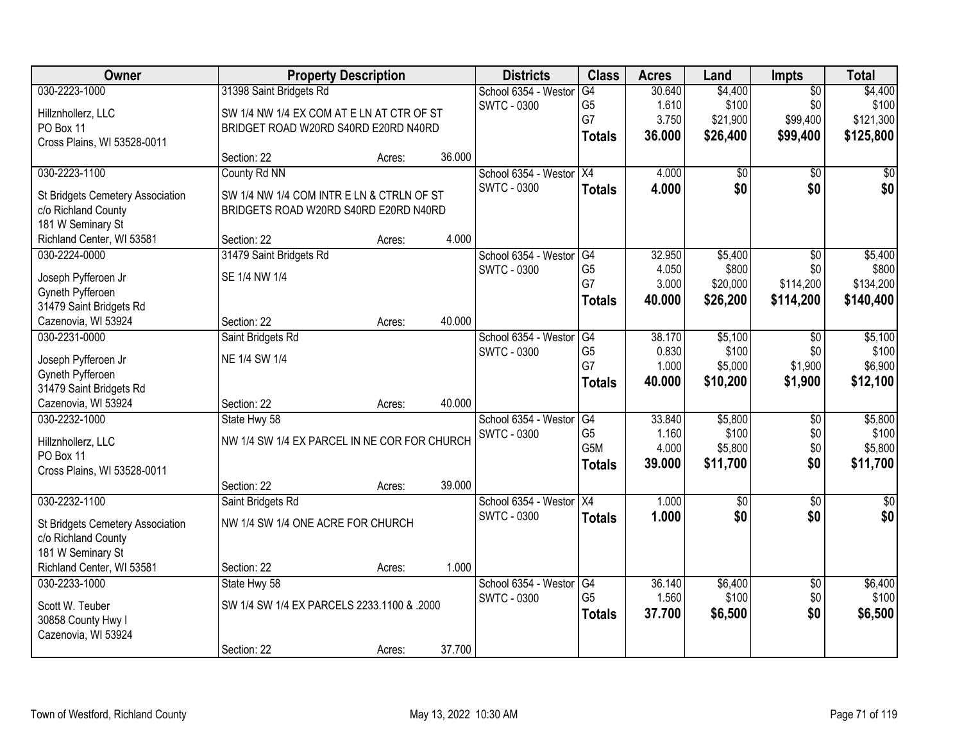| Owner                            |                                              | <b>Property Description</b> |        | <b>Districts</b>        | <b>Class</b>         | <b>Acres</b>    | Land             | Impts                  | <b>Total</b>     |
|----------------------------------|----------------------------------------------|-----------------------------|--------|-------------------------|----------------------|-----------------|------------------|------------------------|------------------|
| 030-2223-1000                    | 31398 Saint Bridgets Rd                      |                             |        | School 6354 - Westor    | G4                   | 30.640          | \$4,400          | $\overline{50}$        | \$4,400          |
| Hillznhollerz, LLC               | SW 1/4 NW 1/4 EX COM AT E LN AT CTR OF ST    |                             |        | <b>SWTC - 0300</b>      | G <sub>5</sub>       | 1.610           | \$100            | \$0                    | \$100            |
| PO Box 11                        | BRIDGET ROAD W20RD S40RD E20RD N40RD         |                             |        |                         | G7                   | 3.750           | \$21,900         | \$99,400               | \$121,300        |
| Cross Plains, WI 53528-0011      |                                              |                             |        |                         | <b>Totals</b>        | 36.000          | \$26,400         | \$99,400               | \$125,800        |
|                                  | Section: 22                                  | Acres:                      | 36.000 |                         |                      |                 |                  |                        |                  |
| 030-2223-1100                    | County Rd NN                                 |                             |        | School 6354 - Westor    | X4                   | 4.000           | \$0              | \$0                    | \$0              |
| St Bridgets Cemetery Association | SW 1/4 NW 1/4 COM INTR E LN & CTRLN OF ST    |                             |        | <b>SWTC - 0300</b>      | <b>Totals</b>        | 4.000           | \$0              | \$0                    | \$0              |
| c/o Richland County              | BRIDGETS ROAD W20RD S40RD E20RD N40RD        |                             |        |                         |                      |                 |                  |                        |                  |
| 181 W Seminary St                |                                              |                             |        |                         |                      |                 |                  |                        |                  |
| Richland Center, WI 53581        | Section: 22                                  | Acres:                      | 4.000  |                         |                      |                 |                  |                        |                  |
| 030-2224-0000                    | 31479 Saint Bridgets Rd                      |                             |        | School 6354 - Westor    | $\overline{G4}$      | 32.950          | \$5,400          | $\overline{50}$        | \$5,400          |
| Joseph Pyfferoen Jr              | SE 1/4 NW 1/4                                |                             |        | SWTC - 0300             | G <sub>5</sub>       | 4.050           | \$800            | \$0                    | \$800            |
| Gyneth Pyfferoen                 |                                              |                             |        |                         | G7                   | 3.000           | \$20,000         | \$114,200              | \$134,200        |
| 31479 Saint Bridgets Rd          |                                              |                             |        |                         | <b>Totals</b>        | 40.000          | \$26,200         | \$114,200              | \$140,400        |
| Cazenovia, WI 53924              | Section: 22                                  | Acres:                      | 40.000 |                         |                      |                 |                  |                        |                  |
| 030-2231-0000                    | Saint Bridgets Rd                            |                             |        | School 6354 - Westor    | G4                   | 38.170          | \$5,100          | $\sqrt[6]{3}$          | \$5,100          |
|                                  |                                              |                             |        | <b>SWTC - 0300</b>      | G <sub>5</sub>       | 0.830           | \$100            | \$0                    | \$100            |
| Joseph Pyfferoen Jr              | NE 1/4 SW 1/4                                |                             |        |                         | G7                   | 1.000           | \$5,000          | \$1,900                | \$6,900          |
| Gyneth Pyfferoen                 |                                              |                             |        |                         | <b>Totals</b>        | 40.000          | \$10,200         | \$1,900                | \$12,100         |
| 31479 Saint Bridgets Rd          |                                              |                             |        |                         |                      |                 |                  |                        |                  |
| Cazenovia, WI 53924              | Section: 22                                  | Acres:                      | 40.000 |                         |                      |                 |                  |                        |                  |
| 030-2232-1000                    | State Hwy 58                                 |                             |        | School 6354 - Westor    | G4<br>G <sub>5</sub> | 33.840<br>1.160 | \$5,800<br>\$100 | $\overline{50}$<br>\$0 | \$5,800<br>\$100 |
| Hillznhollerz, LLC               | NW 1/4 SW 1/4 EX PARCEL IN NE COR FOR CHURCH |                             |        | <b>SWTC - 0300</b>      | G5M                  | 4.000           | \$5,800          | \$0                    | \$5,800          |
| PO Box 11                        |                                              |                             |        |                         | <b>Totals</b>        | 39.000          | \$11,700         | \$0                    | \$11,700         |
| Cross Plains, WI 53528-0011      |                                              |                             |        |                         |                      |                 |                  |                        |                  |
|                                  | Section: 22                                  | Acres:                      | 39.000 |                         |                      |                 |                  |                        |                  |
| 030-2232-1100                    | Saint Bridgets Rd                            |                             |        | School 6354 - Westor X4 |                      | 1.000           | $\sqrt{$0}$      | $\overline{50}$        | $\frac{1}{6}$    |
| St Bridgets Cemetery Association | NW 1/4 SW 1/4 ONE ACRE FOR CHURCH            |                             |        | <b>SWTC - 0300</b>      | <b>Totals</b>        | 1.000           | \$0              | \$0                    | \$0              |
| c/o Richland County              |                                              |                             |        |                         |                      |                 |                  |                        |                  |
| 181 W Seminary St                |                                              |                             |        |                         |                      |                 |                  |                        |                  |
| Richland Center, WI 53581        | Section: 22                                  | Acres:                      | 1.000  |                         |                      |                 |                  |                        |                  |
| 030-2233-1000                    | State Hwy 58                                 |                             |        | School 6354 - Westor    | G4                   | 36.140          | \$6,400          | $\overline{30}$        | \$6,400          |
| Scott W. Teuber                  | SW 1/4 SW 1/4 EX PARCELS 2233.1100 & .2000   |                             |        | SWTC - 0300             | G <sub>5</sub>       | 1.560           | \$100            | \$0                    | \$100            |
| 30858 County Hwy I               |                                              |                             |        |                         | <b>Totals</b>        | 37.700          | \$6,500          | \$0                    | \$6,500          |
| Cazenovia, WI 53924              |                                              |                             |        |                         |                      |                 |                  |                        |                  |
|                                  | Section: 22                                  | Acres:                      | 37.700 |                         |                      |                 |                  |                        |                  |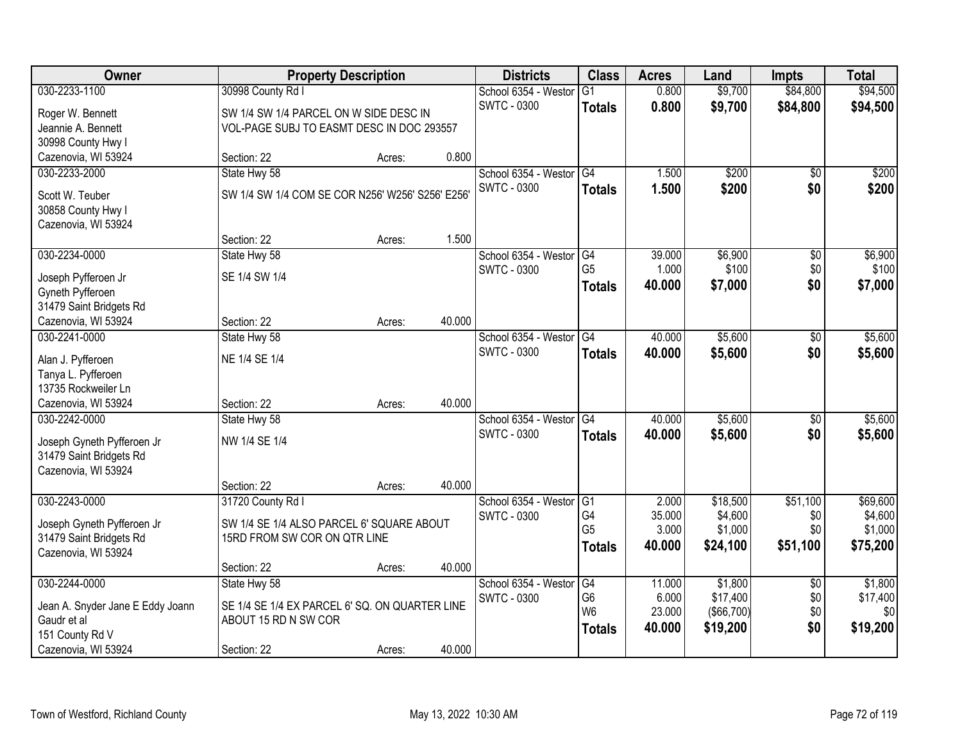| <b>Owner</b>                                          |                                                  | <b>Property Description</b> |        | <b>Districts</b>     | <b>Class</b>    | <b>Acres</b> | Land       | <b>Impts</b>    | <b>Total</b> |
|-------------------------------------------------------|--------------------------------------------------|-----------------------------|--------|----------------------|-----------------|--------------|------------|-----------------|--------------|
| 030-2233-1100                                         | 30998 County Rd I                                |                             |        | School 6354 - Weston | $\overline{G1}$ | 0.800        | \$9,700    | \$84,800        | \$94,500     |
| Roger W. Bennett                                      | SW 1/4 SW 1/4 PARCEL ON W SIDE DESC IN           |                             |        | <b>SWTC - 0300</b>   | <b>Totals</b>   | 0.800        | \$9,700    | \$84,800        | \$94,500     |
| Jeannie A. Bennett                                    | VOL-PAGE SUBJ TO EASMT DESC IN DOC 293557        |                             |        |                      |                 |              |            |                 |              |
| 30998 County Hwy I                                    |                                                  |                             |        |                      |                 |              |            |                 |              |
| Cazenovia, WI 53924                                   | Section: 22                                      | Acres:                      | 0.800  |                      |                 |              |            |                 |              |
| 030-2233-2000                                         | State Hwy 58                                     |                             |        | School 6354 - Westor | G4              | 1.500        | \$200      | \$0             | \$200        |
|                                                       | SW 1/4 SW 1/4 COM SE COR N256' W256' S256' E256' |                             |        | <b>SWTC - 0300</b>   | <b>Totals</b>   | 1.500        | \$200      | \$0             | \$200        |
| Scott W. Teuber                                       |                                                  |                             |        |                      |                 |              |            |                 |              |
| 30858 County Hwy I<br>Cazenovia, WI 53924             |                                                  |                             |        |                      |                 |              |            |                 |              |
|                                                       | Section: 22                                      | Acres:                      | 1.500  |                      |                 |              |            |                 |              |
| 030-2234-0000                                         | State Hwy 58                                     |                             |        | School 6354 - Westor | G4              | 39.000       | \$6,900    | \$0             | \$6,900      |
|                                                       |                                                  |                             |        | <b>SWTC - 0300</b>   | G <sub>5</sub>  | 1.000        | \$100      | \$0             | \$100        |
| Joseph Pyfferoen Jr                                   | SE 1/4 SW 1/4                                    |                             |        |                      | <b>Totals</b>   | 40.000       | \$7,000    | \$0             | \$7,000      |
| Gyneth Pyfferoen                                      |                                                  |                             |        |                      |                 |              |            |                 |              |
| 31479 Saint Bridgets Rd                               |                                                  |                             |        |                      |                 |              |            |                 |              |
| Cazenovia, WI 53924                                   | Section: 22                                      | Acres:                      | 40.000 |                      |                 |              |            |                 |              |
| 030-2241-0000                                         | State Hwy 58                                     |                             |        | School 6354 - Westor | G4              | 40.000       | \$5,600    | $\frac{1}{20}$  | \$5,600      |
| Alan J. Pyfferoen                                     | NE 1/4 SE 1/4                                    |                             |        | <b>SWTC - 0300</b>   | <b>Totals</b>   | 40.000       | \$5,600    | \$0             | \$5,600      |
| Tanya L. Pyfferoen                                    |                                                  |                             |        |                      |                 |              |            |                 |              |
| 13735 Rockweiler Ln                                   |                                                  |                             |        |                      |                 |              |            |                 |              |
| Cazenovia, WI 53924                                   | Section: 22                                      | Acres:                      | 40.000 |                      |                 |              |            |                 |              |
| 030-2242-0000                                         | State Hwy 58                                     |                             |        | School 6354 - Weston | $\overline{G4}$ | 40.000       | \$5,600    | \$0             | \$5,600      |
| Joseph Gyneth Pyfferoen Jr                            | NW 1/4 SE 1/4                                    |                             |        | <b>SWTC - 0300</b>   | <b>Totals</b>   | 40.000       | \$5,600    | \$0             | \$5,600      |
| 31479 Saint Bridgets Rd                               |                                                  |                             |        |                      |                 |              |            |                 |              |
| Cazenovia, WI 53924                                   |                                                  |                             |        |                      |                 |              |            |                 |              |
|                                                       | Section: 22                                      | Acres:                      | 40.000 |                      |                 |              |            |                 |              |
| 030-2243-0000                                         | 31720 County Rd I                                |                             |        | School 6354 - Westor | G <sub>1</sub>  | 2.000        | \$18,500   | \$51,100        | \$69,600     |
|                                                       | SW 1/4 SE 1/4 ALSO PARCEL 6' SQUARE ABOUT        |                             |        | <b>SWTC - 0300</b>   | G4              | 35.000       | \$4,600    | \$0             | \$4,600      |
| Joseph Gyneth Pyfferoen Jr<br>31479 Saint Bridgets Rd | 15RD FROM SW COR ON QTR LINE                     |                             |        |                      | G <sub>5</sub>  | 3.000        | \$1,000    | \$0             | \$1,000      |
| Cazenovia, WI 53924                                   |                                                  |                             |        |                      | <b>Totals</b>   | 40.000       | \$24,100   | \$51,100        | \$75,200     |
|                                                       | Section: 22                                      | Acres:                      | 40.000 |                      |                 |              |            |                 |              |
| 030-2244-0000                                         | State Hwy 58                                     |                             |        | School 6354 - Weston | G4              | 11.000       | \$1,800    | $\overline{60}$ | \$1,800      |
|                                                       |                                                  |                             |        | <b>SWTC - 0300</b>   | G <sub>6</sub>  | 6.000        | \$17,400   | \$0             | \$17,400     |
| Jean A. Snyder Jane E Eddy Joann                      | SE 1/4 SE 1/4 EX PARCEL 6' SQ. ON QUARTER LINE   |                             |        |                      | W <sub>6</sub>  | 23.000       | (\$66,700) | \$0             | \$0          |
| Gaudr et al                                           | ABOUT 15 RD N SW COR                             |                             |        |                      | <b>Totals</b>   | 40.000       | \$19,200   | \$0             | \$19,200     |
| 151 County Rd V                                       |                                                  |                             |        |                      |                 |              |            |                 |              |
| Cazenovia, WI 53924                                   | Section: 22                                      | Acres:                      | 40.000 |                      |                 |              |            |                 |              |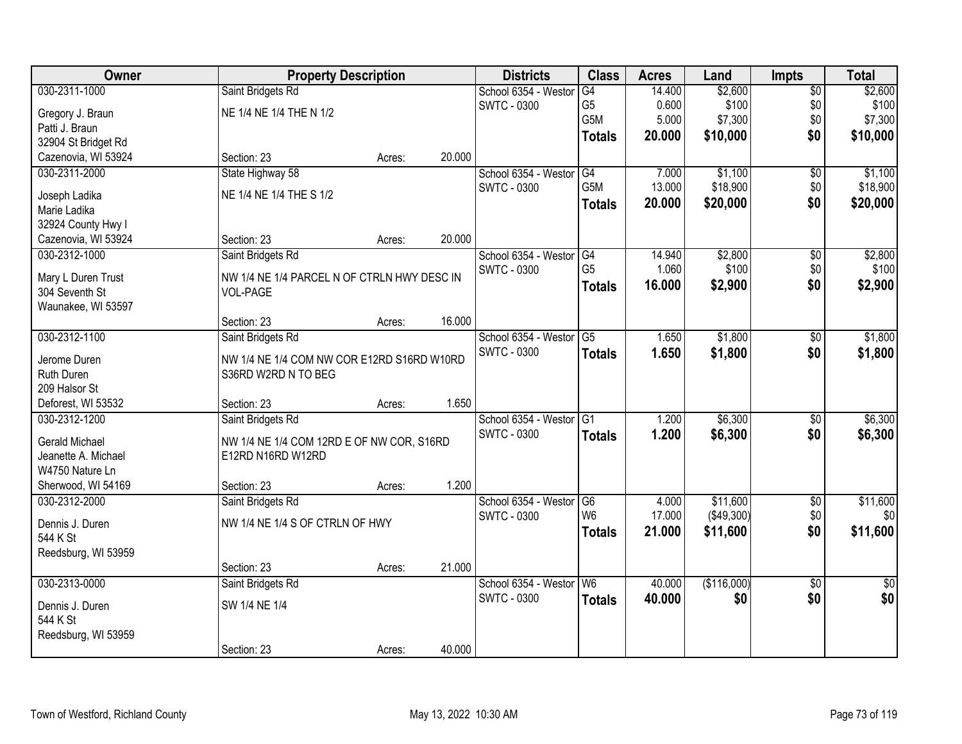| Owner                 |                                             | <b>Property Description</b> |        | <b>Districts</b>     | <b>Class</b>     | <b>Acres</b> | Land        | <b>Impts</b>    | <b>Total</b> |
|-----------------------|---------------------------------------------|-----------------------------|--------|----------------------|------------------|--------------|-------------|-----------------|--------------|
| 030-2311-1000         | Saint Bridgets Rd                           |                             |        | School 6354 - Weston | G4               | 14.400       | \$2,600     | $\overline{50}$ | \$2,600      |
| Gregory J. Braun      | NE 1/4 NE 1/4 THE N 1/2                     |                             |        | <b>SWTC - 0300</b>   | G <sub>5</sub>   | 0.600        | \$100       | \$0             | \$100        |
| Patti J. Braun        |                                             |                             |        |                      | G5M              | 5.000        | \$7,300     | \$0             | \$7,300      |
| 32904 St Bridget Rd   |                                             |                             |        |                      | <b>Totals</b>    | 20.000       | \$10,000    | \$0             | \$10,000     |
| Cazenovia, WI 53924   | Section: 23                                 | Acres:                      | 20.000 |                      |                  |              |             |                 |              |
| 030-2311-2000         | State Highway 58                            |                             |        | School 6354 - Weston | G4               | 7.000        | \$1,100     | $\overline{50}$ | \$1,100      |
|                       |                                             |                             |        | <b>SWTC - 0300</b>   | G <sub>5</sub> M | 13.000       | \$18,900    | \$0             | \$18,900     |
| Joseph Ladika         | NE 1/4 NE 1/4 THE S 1/2                     |                             |        |                      | <b>Totals</b>    | 20.000       | \$20,000    | \$0             | \$20,000     |
| Marie Ladika          |                                             |                             |        |                      |                  |              |             |                 |              |
| 32924 County Hwy I    |                                             |                             |        |                      |                  |              |             |                 |              |
| Cazenovia, WI 53924   | Section: 23                                 | Acres:                      | 20.000 |                      |                  |              |             |                 |              |
| 030-2312-1000         | Saint Bridgets Rd                           |                             |        | School 6354 - Westor | G4               | 14.940       | \$2,800     | \$0             | \$2,800      |
| Mary L Duren Trust    | NW 1/4 NE 1/4 PARCEL N OF CTRLN HWY DESC IN |                             |        | <b>SWTC - 0300</b>   | G <sub>5</sub>   | 1.060        | \$100       | \$0             | \$100        |
| 304 Seventh St        | VOL-PAGE                                    |                             |        |                      | <b>Totals</b>    | 16.000       | \$2,900     | \$0             | \$2,900      |
| Waunakee, WI 53597    |                                             |                             |        |                      |                  |              |             |                 |              |
|                       | Section: 23                                 | Acres:                      | 16.000 |                      |                  |              |             |                 |              |
| 030-2312-1100         | Saint Bridgets Rd                           |                             |        | School 6354 - Weston | $\overline{G5}$  | 1.650        | \$1,800     | \$0             | \$1,800      |
|                       |                                             |                             |        | <b>SWTC - 0300</b>   | <b>Totals</b>    | 1.650        | \$1,800     | \$0             | \$1,800      |
| Jerome Duren          | NW 1/4 NE 1/4 COM NW COR E12RD S16RD W10RD  |                             |        |                      |                  |              |             |                 |              |
| Ruth Duren            | S36RD W2RD N TO BEG                         |                             |        |                      |                  |              |             |                 |              |
| 209 Halsor St         |                                             |                             |        |                      |                  |              |             |                 |              |
| Deforest, WI 53532    | Section: 23                                 | Acres:                      | 1.650  |                      |                  |              |             |                 |              |
| 030-2312-1200         | Saint Bridgets Rd                           |                             |        | School 6354 - Westor | $\overline{G1}$  | 1.200        | \$6,300     | \$0             | \$6,300      |
| <b>Gerald Michael</b> | NW 1/4 NE 1/4 COM 12RD E OF NW COR, S16RD   |                             |        | <b>SWTC - 0300</b>   | <b>Totals</b>    | 1.200        | \$6,300     | \$0             | \$6,300      |
| Jeanette A. Michael   | E12RD N16RD W12RD                           |                             |        |                      |                  |              |             |                 |              |
| W4750 Nature Ln       |                                             |                             |        |                      |                  |              |             |                 |              |
| Sherwood, WI 54169    | Section: 23                                 | Acres:                      | 1.200  |                      |                  |              |             |                 |              |
| 030-2312-2000         | Saint Bridgets Rd                           |                             |        | School 6354 - Westor | G <sub>6</sub>   | 4.000        | \$11,600    | $\sqrt{6}$      | \$11,600     |
| Dennis J. Duren       | NW 1/4 NE 1/4 S OF CTRLN OF HWY             |                             |        | <b>SWTC - 0300</b>   | W <sub>6</sub>   | 17.000       | (\$49,300)  | \$0             | \$0          |
| 544 K St              |                                             |                             |        |                      | <b>Totals</b>    | 21.000       | \$11,600    | \$0             | \$11,600     |
|                       |                                             |                             |        |                      |                  |              |             |                 |              |
| Reedsburg, WI 53959   | Section: 23                                 | Acres:                      | 21.000 |                      |                  |              |             |                 |              |
| 030-2313-0000         | Saint Bridgets Rd                           |                             |        | School 6354 - Weston | W6               | 40.000       | (\$116,000) | $\overline{30}$ | $\sqrt{50}$  |
|                       |                                             |                             |        | <b>SWTC - 0300</b>   |                  |              |             |                 |              |
| Dennis J. Duren       | SW 1/4 NE 1/4                               |                             |        |                      | <b>Totals</b>    | 40.000       | \$0         | \$0             | \$0          |
| 544 K St              |                                             |                             |        |                      |                  |              |             |                 |              |
| Reedsburg, WI 53959   |                                             |                             |        |                      |                  |              |             |                 |              |
|                       | Section: 23                                 | Acres:                      | 40.000 |                      |                  |              |             |                 |              |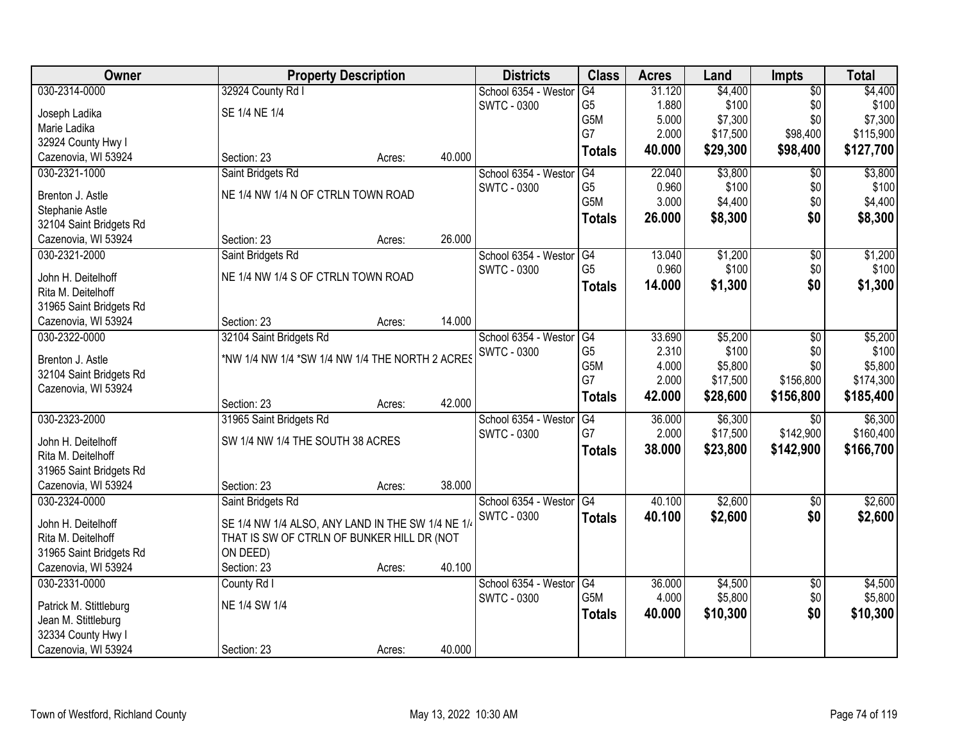| Owner                   | <b>Property Description</b>                       |        |        | <b>Districts</b>     | <b>Class</b>     | <b>Acres</b> | Land     | <b>Impts</b>    | <b>Total</b> |
|-------------------------|---------------------------------------------------|--------|--------|----------------------|------------------|--------------|----------|-----------------|--------------|
| 030-2314-0000           | 32924 County Rd I                                 |        |        | School 6354 - Weston | G4               | 31.120       | \$4,400  | $\overline{50}$ | \$4,400      |
| Joseph Ladika           | SE 1/4 NE 1/4                                     |        |        | <b>SWTC - 0300</b>   | G <sub>5</sub>   | 1.880        | \$100    | \$0             | \$100        |
| Marie Ladika            |                                                   |        |        |                      | G5M              | 5.000        | \$7,300  | \$0             | \$7,300      |
| 32924 County Hwy I      |                                                   |        |        |                      | G7               | 2.000        | \$17,500 | \$98,400        | \$115,900    |
| Cazenovia, WI 53924     | Section: 23                                       | Acres: | 40.000 |                      | <b>Totals</b>    | 40.000       | \$29,300 | \$98,400        | \$127,700    |
| 030-2321-1000           |                                                   |        |        | School 6354 - Weston | G4               | 22.040       | \$3,800  | $\overline{30}$ | \$3,800      |
|                         | Saint Bridgets Rd                                 |        |        | <b>SWTC - 0300</b>   | G <sub>5</sub>   | 0.960        | \$100    |                 | \$100        |
| Brenton J. Astle        | NE 1/4 NW 1/4 N OF CTRLN TOWN ROAD                |        |        |                      | G <sub>5</sub> M | 3.000        |          | \$0<br>\$0      | \$4,400      |
| Stephanie Astle         |                                                   |        |        |                      |                  |              | \$4,400  |                 |              |
| 32104 Saint Bridgets Rd |                                                   |        |        |                      | <b>Totals</b>    | 26.000       | \$8,300  | \$0             | \$8,300      |
| Cazenovia, WI 53924     | Section: 23                                       | Acres: | 26.000 |                      |                  |              |          |                 |              |
| 030-2321-2000           | Saint Bridgets Rd                                 |        |        | School 6354 - Westor | G4               | 13.040       | \$1,200  | \$0             | \$1,200      |
|                         |                                                   |        |        | <b>SWTC - 0300</b>   | G <sub>5</sub>   | 0.960        | \$100    | \$0             | \$100        |
| John H. Deitelhoff      | NE 1/4 NW 1/4 S OF CTRLN TOWN ROAD                |        |        |                      | <b>Totals</b>    | 14.000       | \$1,300  | \$0             | \$1,300      |
| Rita M. Deitelhoff      |                                                   |        |        |                      |                  |              |          |                 |              |
| 31965 Saint Bridgets Rd |                                                   |        |        |                      |                  |              |          |                 |              |
| Cazenovia, WI 53924     | Section: 23                                       | Acres: | 14.000 |                      |                  |              |          |                 |              |
| 030-2322-0000           | 32104 Saint Bridgets Rd                           |        |        | School 6354 - Weston | $\overline{G4}$  | 33.690       | \$5,200  | \$0             | \$5,200      |
| Brenton J. Astle        | *NW 1/4 NW 1/4 *SW 1/4 NW 1/4 THE NORTH 2 ACRES   |        |        | <b>SWTC - 0300</b>   | G <sub>5</sub>   | 2.310        | \$100    | \$0             | \$100        |
| 32104 Saint Bridgets Rd |                                                   |        |        |                      | G5M              | 4.000        | \$5,800  | \$0             | \$5,800      |
| Cazenovia, WI 53924     |                                                   |        |        |                      | G7               | 2.000        | \$17,500 | \$156,800       | \$174,300    |
|                         | Section: 23                                       | Acres: | 42.000 |                      | <b>Totals</b>    | 42.000       | \$28,600 | \$156,800       | \$185,400    |
| 030-2323-2000           | 31965 Saint Bridgets Rd                           |        |        | School 6354 - Weston | $\overline{G4}$  | 36.000       | \$6,300  | $\overline{50}$ | \$6,300      |
|                         |                                                   |        |        | <b>SWTC - 0300</b>   | G7               | 2.000        | \$17,500 | \$142,900       | \$160,400    |
| John H. Deitelhoff      | SW 1/4 NW 1/4 THE SOUTH 38 ACRES                  |        |        |                      | <b>Totals</b>    | 38.000       | \$23,800 | \$142,900       | \$166,700    |
| Rita M. Deitelhoff      |                                                   |        |        |                      |                  |              |          |                 |              |
| 31965 Saint Bridgets Rd |                                                   |        |        |                      |                  |              |          |                 |              |
| Cazenovia, WI 53924     | Section: 23                                       | Acres: | 38.000 |                      |                  |              |          |                 |              |
| 030-2324-0000           | Saint Bridgets Rd                                 |        |        | School 6354 - Westor | G4               | 40.100       | \$2,600  | $\sqrt{6}$      | \$2,600      |
| John H. Deitelhoff      | SE 1/4 NW 1/4 ALSO, ANY LAND IN THE SW 1/4 NE 1/4 |        |        | <b>SWTC - 0300</b>   | <b>Totals</b>    | 40.100       | \$2,600  | \$0             | \$2,600      |
|                         | THAT IS SW OF CTRLN OF BUNKER HILL DR (NOT        |        |        |                      |                  |              |          |                 |              |
| Rita M. Deitelhoff      |                                                   |        |        |                      |                  |              |          |                 |              |
| 31965 Saint Bridgets Rd | ON DEED)                                          |        |        |                      |                  |              |          |                 |              |
| Cazenovia, WI 53924     | Section: 23                                       | Acres: | 40.100 |                      |                  |              |          |                 |              |
| 030-2331-0000           | County Rd I                                       |        |        | School 6354 - Weston | G4               | 36.000       | \$4,500  | $\overline{50}$ | \$4,500      |
| Patrick M. Stittleburg  | NE 1/4 SW 1/4                                     |        |        | <b>SWTC - 0300</b>   | G5M              | 4.000        | \$5,800  | \$0             | \$5,800      |
| Jean M. Stittleburg     |                                                   |        |        |                      | <b>Totals</b>    | 40.000       | \$10,300 | \$0             | \$10,300     |
| 32334 County Hwy I      |                                                   |        |        |                      |                  |              |          |                 |              |
| Cazenovia, WI 53924     | Section: 23                                       | Acres: | 40.000 |                      |                  |              |          |                 |              |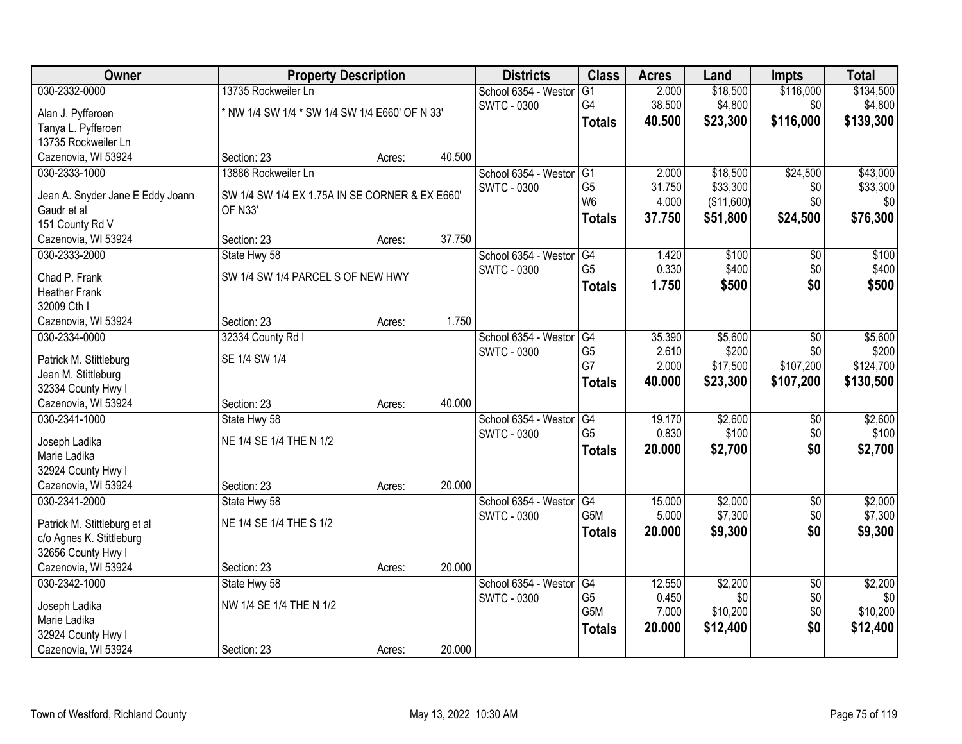| Owner                                           | <b>Property Description</b>                               |        |        | <b>Districts</b>     | <b>Class</b>                       | <b>Acres</b> | Land       | <b>Impts</b>    | <b>Total</b>    |
|-------------------------------------------------|-----------------------------------------------------------|--------|--------|----------------------|------------------------------------|--------------|------------|-----------------|-----------------|
| 030-2332-0000                                   | 13735 Rockweiler Ln                                       |        |        | School 6354 - Westor | G1                                 | 2.000        | \$18,500   | \$116,000       | \$134,500       |
| Alan J. Pyfferoen                               | * NW 1/4 SW 1/4 * SW 1/4 SW 1/4 E660' OF N 33'            |        |        | <b>SWTC - 0300</b>   | G4                                 | 38.500       | \$4,800    | \$0             | \$4,800         |
| Tanya L. Pyfferoen                              |                                                           |        |        |                      | <b>Totals</b>                      | 40.500       | \$23,300   | \$116,000       | \$139,300       |
| 13735 Rockweiler Ln                             |                                                           |        |        |                      |                                    |              |            |                 |                 |
| Cazenovia, WI 53924                             | Section: 23                                               | Acres: | 40.500 |                      |                                    |              |            |                 |                 |
| 030-2333-1000                                   | 13886 Rockweiler Ln                                       |        |        | School 6354 - Westor | G1                                 | 2.000        | \$18,500   | \$24,500        | \$43,000        |
|                                                 |                                                           |        |        | <b>SWTC - 0300</b>   | G <sub>5</sub>                     | 31.750       | \$33,300   | \$0             | \$33,300        |
| Jean A. Snyder Jane E Eddy Joann<br>Gaudr et al | SW 1/4 SW 1/4 EX 1.75A IN SE CORNER & EX E660'<br>OF N33' |        |        |                      | W <sub>6</sub>                     | 4.000        | (\$11,600) | \$0             | \$0             |
| 151 County Rd V                                 |                                                           |        |        |                      | <b>Totals</b>                      | 37.750       | \$51,800   | \$24,500        | \$76,300        |
| Cazenovia, WI 53924                             | Section: 23                                               | Acres: | 37.750 |                      |                                    |              |            |                 |                 |
| 030-2333-2000                                   | State Hwy 58                                              |        |        | School 6354 - Westor | G4                                 | 1.420        | \$100      | $\overline{50}$ | \$100           |
|                                                 |                                                           |        |        | <b>SWTC - 0300</b>   | G <sub>5</sub>                     | 0.330        | \$400      | \$0             | \$400           |
| Chad P. Frank                                   | SW 1/4 SW 1/4 PARCEL S OF NEW HWY                         |        |        |                      | <b>Totals</b>                      | 1.750        | \$500      | \$0             | \$500           |
| <b>Heather Frank</b>                            |                                                           |        |        |                      |                                    |              |            |                 |                 |
| 32009 Cth I                                     |                                                           |        |        |                      |                                    |              |            |                 |                 |
| Cazenovia, WI 53924                             | Section: 23                                               | Acres: | 1.750  |                      |                                    |              |            |                 |                 |
| 030-2334-0000                                   | 32334 County Rd I                                         |        |        | School 6354 - Westor | G4                                 | 35.390       | \$5,600    | \$0             | \$5,600         |
| Patrick M. Stittleburg                          | SE 1/4 SW 1/4                                             |        |        | <b>SWTC - 0300</b>   | G <sub>5</sub>                     | 2.610        | \$200      | \$0             | \$200           |
| Jean M. Stittleburg                             |                                                           |        |        |                      | G7                                 | 2.000        | \$17,500   | \$107,200       | \$124,700       |
| 32334 County Hwy I                              |                                                           |        |        |                      | <b>Totals</b>                      | 40.000       | \$23,300   | \$107,200       | \$130,500       |
| Cazenovia, WI 53924                             | Section: 23                                               | Acres: | 40.000 |                      |                                    |              |            |                 |                 |
| 030-2341-1000                                   | State Hwy 58                                              |        |        | School 6354 - Westor | $\overline{G4}$                    | 19.170       | \$2,600    | $\overline{50}$ | \$2,600         |
| Joseph Ladika                                   | NE 1/4 SE 1/4 THE N 1/2                                   |        |        | <b>SWTC - 0300</b>   | G <sub>5</sub>                     | 0.830        | \$100      | \$0             | \$100           |
| Marie Ladika                                    |                                                           |        |        |                      | <b>Totals</b>                      | 20.000       | \$2,700    | \$0             | \$2,700         |
| 32924 County Hwy I                              |                                                           |        |        |                      |                                    |              |            |                 |                 |
| Cazenovia, WI 53924                             | Section: 23                                               | Acres: | 20.000 |                      |                                    |              |            |                 |                 |
| 030-2341-2000                                   | State Hwy 58                                              |        |        | School 6354 - Westor | $\overline{G4}$                    | 15.000       | \$2,000    | $\overline{60}$ | \$2,000         |
|                                                 |                                                           |        |        | <b>SWTC - 0300</b>   | G5M                                | 5.000        | \$7,300    | \$0             | \$7,300         |
| Patrick M. Stittleburg et al                    | NE 1/4 SE 1/4 THE S 1/2                                   |        |        |                      | <b>Totals</b>                      | 20.000       | \$9,300    | \$0             | \$9,300         |
| c/o Agnes K. Stittleburg                        |                                                           |        |        |                      |                                    |              |            |                 |                 |
| 32656 County Hwy I                              |                                                           |        |        |                      |                                    |              |            |                 |                 |
| Cazenovia, WI 53924                             | Section: 23                                               | Acres: | 20.000 |                      |                                    |              |            |                 |                 |
| 030-2342-1000                                   | State Hwy 58                                              |        |        | School 6354 - Westor | G4                                 | 12.550       | \$2,200    | $\overline{30}$ | \$2,200         |
| Joseph Ladika                                   | NW 1/4 SE 1/4 THE N 1/2                                   |        |        | <b>SWTC - 0300</b>   | G <sub>5</sub><br>G <sub>5</sub> M | 0.450        | \$0        | \$0             | \$0<br>\$10,200 |
| Marie Ladika                                    |                                                           |        |        |                      |                                    | 7.000        | \$10,200   | \$0             |                 |
| 32924 County Hwy I                              |                                                           |        |        |                      | <b>Totals</b>                      | 20.000       | \$12,400   | \$0             | \$12,400        |
| Cazenovia, WI 53924                             | Section: 23                                               | Acres: | 20.000 |                      |                                    |              |            |                 |                 |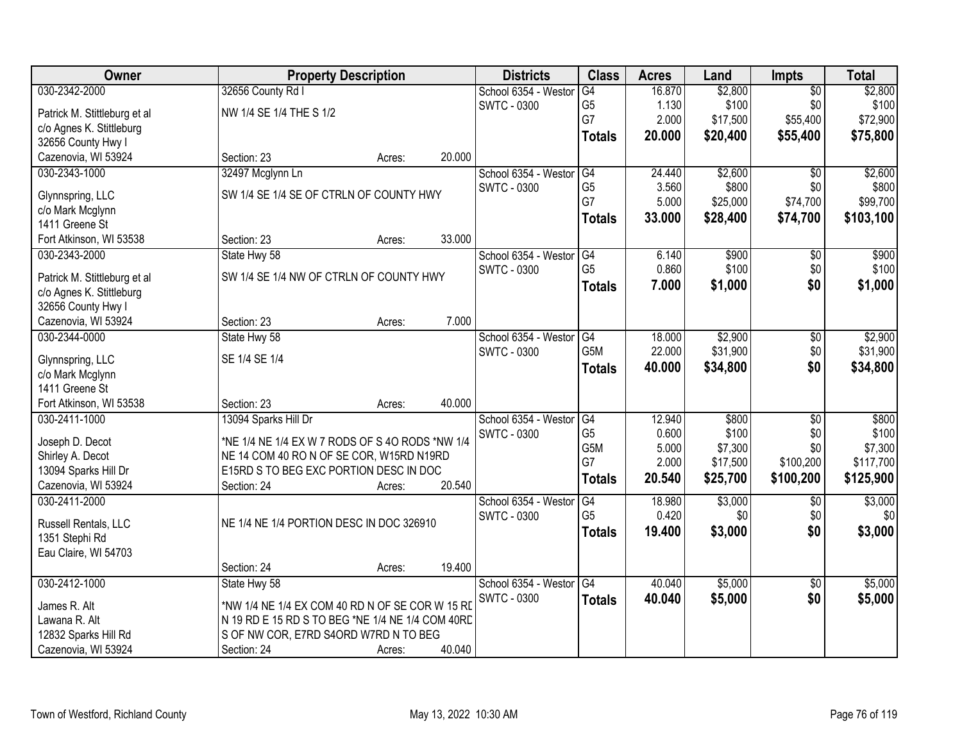| Owner                                    |                                                  | <b>Property Description</b> |        | <b>Districts</b>     | <b>Class</b>   | <b>Acres</b> | Land     | <b>Impts</b>        | <b>Total</b> |
|------------------------------------------|--------------------------------------------------|-----------------------------|--------|----------------------|----------------|--------------|----------|---------------------|--------------|
| 030-2342-2000                            | 32656 County Rd I                                |                             |        | School 6354 - Westor | G4             | 16.870       | \$2,800  | $\overline{50}$     | \$2,800      |
| Patrick M. Stittleburg et al             | NW 1/4 SE 1/4 THE S 1/2                          |                             |        | <b>SWTC - 0300</b>   | G <sub>5</sub> | 1.130        | \$100    | \$0                 | \$100        |
| c/o Agnes K. Stittleburg                 |                                                  |                             |        |                      | G7             | 2.000        | \$17,500 | \$55,400            | \$72,900     |
| 32656 County Hwy I                       |                                                  |                             |        |                      | <b>Totals</b>  | 20,000       | \$20,400 | \$55,400            | \$75,800     |
| Cazenovia, WI 53924                      | Section: 23                                      | Acres:                      | 20.000 |                      |                |              |          |                     |              |
| 030-2343-1000                            | 32497 Mcglynn Ln                                 |                             |        | School 6354 - Westor | G4             | 24.440       | \$2,600  | $\overline{50}$     | \$2,600      |
|                                          |                                                  |                             |        | <b>SWTC - 0300</b>   | G <sub>5</sub> | 3.560        | \$800    | \$0                 | \$800        |
| Glynnspring, LLC                         | SW 1/4 SE 1/4 SE OF CTRLN OF COUNTY HWY          |                             |        |                      | G7             | 5.000        | \$25,000 | \$74,700            | \$99,700     |
| c/o Mark Mcglynn                         |                                                  |                             |        |                      | <b>Totals</b>  | 33.000       | \$28,400 | \$74,700            | \$103,100    |
| 1411 Greene St                           | Section: 23                                      |                             | 33.000 |                      |                |              |          |                     |              |
| Fort Atkinson, WI 53538<br>030-2343-2000 | State Hwy 58                                     | Acres:                      |        | School 6354 - Westor | G4             | 6.140        | \$900    |                     | \$900        |
|                                          |                                                  |                             |        | SWTC - 0300          | G <sub>5</sub> | 0.860        | \$100    | $\sqrt[6]{}$<br>\$0 | \$100        |
| Patrick M. Stittleburg et al             | SW 1/4 SE 1/4 NW OF CTRLN OF COUNTY HWY          |                             |        |                      |                | 7.000        | \$1,000  | \$0                 | \$1,000      |
| c/o Agnes K. Stittleburg                 |                                                  |                             |        |                      | <b>Totals</b>  |              |          |                     |              |
| 32656 County Hwy I                       |                                                  |                             |        |                      |                |              |          |                     |              |
| Cazenovia, WI 53924                      | Section: 23                                      | Acres:                      | 7.000  |                      |                |              |          |                     |              |
| 030-2344-0000                            | State Hwy 58                                     |                             |        | School 6354 - Weston | G4             | 18.000       | \$2,900  | \$0                 | \$2,900      |
| Glynnspring, LLC                         | SE 1/4 SE 1/4                                    |                             |        | <b>SWTC - 0300</b>   | G5M            | 22.000       | \$31,900 | \$0                 | \$31,900     |
| c/o Mark Mcglynn                         |                                                  |                             |        |                      | <b>Totals</b>  | 40.000       | \$34,800 | \$0                 | \$34,800     |
| 1411 Greene St                           |                                                  |                             |        |                      |                |              |          |                     |              |
| Fort Atkinson, WI 53538                  | Section: 23                                      | Acres:                      | 40.000 |                      |                |              |          |                     |              |
| 030-2411-1000                            | 13094 Sparks Hill Dr                             |                             |        | School 6354 - Weston | G4             | 12.940       | \$800    | \$0                 | \$800        |
|                                          |                                                  |                             |        | <b>SWTC - 0300</b>   | G <sub>5</sub> | 0.600        | \$100    | \$0                 | \$100        |
| Joseph D. Decot                          | *NE 1/4 NE 1/4 EX W 7 RODS OF S 40 RODS *NW 1/4  |                             |        |                      | G5M            | 5.000        | \$7,300  | \$0                 | \$7,300      |
| Shirley A. Decot                         | NE 14 COM 40 RO N OF SE COR, W15RD N19RD         |                             |        |                      | G7             | 2.000        | \$17,500 | \$100,200           | \$117,700    |
| 13094 Sparks Hill Dr                     | E15RD S TO BEG EXC PORTION DESC IN DOC           |                             |        |                      | <b>Totals</b>  | 20.540       | \$25,700 | \$100,200           | \$125,900    |
| Cazenovia, WI 53924                      | Section: 24                                      | Acres:                      | 20.540 |                      |                |              |          |                     |              |
| 030-2411-2000                            |                                                  |                             |        | School 6354 - Westor | G4             | 18.980       | \$3,000  | $\sqrt{$0}$         | \$3,000      |
| Russell Rentals, LLC                     | NE 1/4 NE 1/4 PORTION DESC IN DOC 326910         |                             |        | SWTC - 0300          | G <sub>5</sub> | 0.420        | \$0      | \$0                 | \$0          |
| 1351 Stephi Rd                           |                                                  |                             |        |                      | Totals         | 19.400       | \$3,000  | \$0                 | \$3,000      |
| Eau Claire, WI 54703                     |                                                  |                             |        |                      |                |              |          |                     |              |
|                                          | Section: 24                                      | Acres:                      | 19.400 |                      |                |              |          |                     |              |
| 030-2412-1000                            | State Hwy 58                                     |                             |        | School 6354 - Weston | G4             | 40.040       | \$5,000  | $\overline{30}$     | \$5,000      |
|                                          |                                                  |                             |        | <b>SWTC - 0300</b>   | <b>Totals</b>  | 40.040       | \$5,000  | \$0                 | \$5,000      |
| James R. Alt                             | *NW 1/4 NE 1/4 EX COM 40 RD N OF SE COR W 15 RD  |                             |        |                      |                |              |          |                     |              |
| Lawana R. Alt                            | N 19 RD E 15 RD S TO BEG *NE 1/4 NE 1/4 COM 40RD |                             |        |                      |                |              |          |                     |              |
| 12832 Sparks Hill Rd                     | S OF NW COR, E7RD S4ORD W7RD N TO BEG            |                             |        |                      |                |              |          |                     |              |
| Cazenovia, WI 53924                      | Section: 24                                      | Acres:                      | 40.040 |                      |                |              |          |                     |              |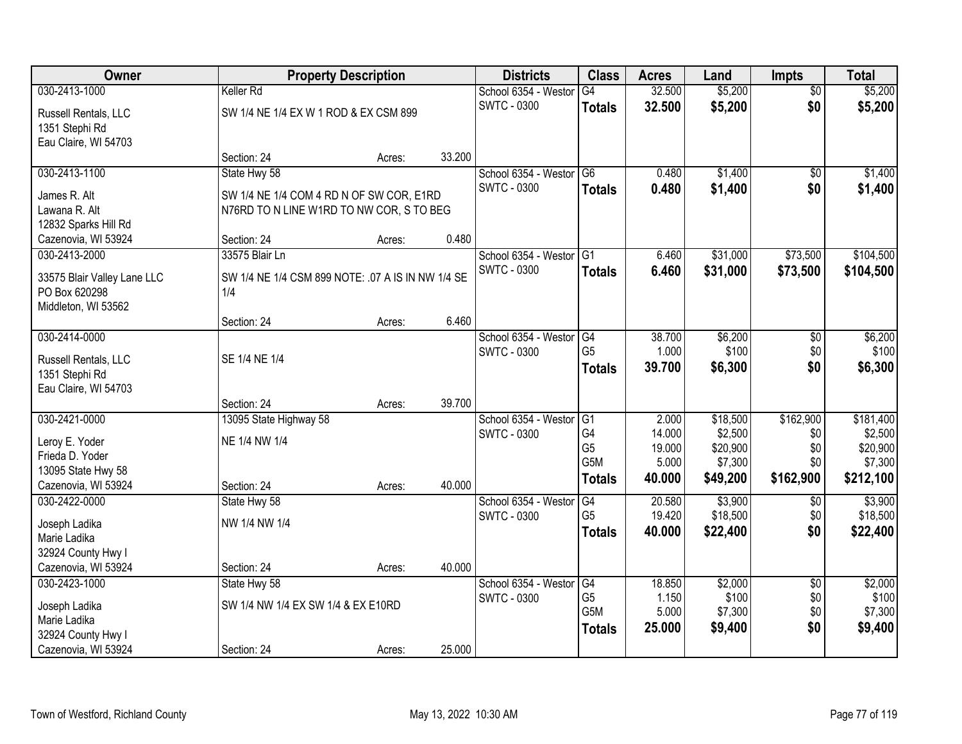| Owner                       |                                                   | <b>Property Description</b> |        | <b>Districts</b>        | <b>Class</b>    | <b>Acres</b> | Land     | <b>Impts</b>    | <b>Total</b> |
|-----------------------------|---------------------------------------------------|-----------------------------|--------|-------------------------|-----------------|--------------|----------|-----------------|--------------|
| 030-2413-1000               | Keller Rd                                         |                             |        | School 6354 - Westor    | G4              | 32.500       | \$5,200  | $\overline{50}$ | \$5,200      |
| Russell Rentals, LLC        | SW 1/4 NE 1/4 EX W 1 ROD & EX CSM 899             |                             |        | <b>SWTC - 0300</b>      | <b>Totals</b>   | 32.500       | \$5,200  | \$0             | \$5,200      |
| 1351 Stephi Rd              |                                                   |                             |        |                         |                 |              |          |                 |              |
| Eau Claire, WI 54703        |                                                   |                             |        |                         |                 |              |          |                 |              |
|                             | Section: 24                                       | Acres:                      | 33.200 |                         |                 |              |          |                 |              |
| 030-2413-1100               | State Hwy 58                                      |                             |        | School 6354 - Westor    | G <sub>6</sub>  | 0.480        | \$1,400  | \$0             | \$1,400      |
| James R. Alt                | SW 1/4 NE 1/4 COM 4 RD N OF SW COR, E1RD          |                             |        | <b>SWTC - 0300</b>      | <b>Totals</b>   | 0.480        | \$1,400  | \$0             | \$1,400      |
| Lawana R. Alt               | N76RD TO N LINE W1RD TO NW COR, S TO BEG          |                             |        |                         |                 |              |          |                 |              |
| 12832 Sparks Hill Rd        |                                                   |                             |        |                         |                 |              |          |                 |              |
| Cazenovia, WI 53924         | Section: 24                                       | Acres:                      | 0.480  |                         |                 |              |          |                 |              |
| 030-2413-2000               | 33575 Blair Ln                                    |                             |        | School 6354 - Westor G1 |                 | 6.460        | \$31,000 | \$73,500        | \$104,500    |
| 33575 Blair Valley Lane LLC | SW 1/4 NE 1/4 CSM 899 NOTE: .07 A IS IN NW 1/4 SE |                             |        | <b>SWTC - 0300</b>      | <b>Totals</b>   | 6.460        | \$31,000 | \$73,500        | \$104,500    |
| PO Box 620298               | 1/4                                               |                             |        |                         |                 |              |          |                 |              |
| Middleton, WI 53562         |                                                   |                             |        |                         |                 |              |          |                 |              |
|                             | Section: 24                                       | Acres:                      | 6.460  |                         |                 |              |          |                 |              |
| 030-2414-0000               |                                                   |                             |        | School 6354 - Westor    | G4              | 38.700       | \$6,200  | \$0             | \$6,200      |
| Russell Rentals, LLC        | SE 1/4 NE 1/4                                     |                             |        | <b>SWTC - 0300</b>      | G <sub>5</sub>  | 1.000        | \$100    | \$0             | \$100        |
| 1351 Stephi Rd              |                                                   |                             |        |                         | <b>Totals</b>   | 39.700       | \$6,300  | \$0             | \$6,300      |
| Eau Claire, WI 54703        |                                                   |                             |        |                         |                 |              |          |                 |              |
|                             | Section: 24                                       | Acres:                      | 39.700 |                         |                 |              |          |                 |              |
| 030-2421-0000               | 13095 State Highway 58                            |                             |        | School 6354 - Weston    | G1              | 2.000        | \$18,500 | \$162,900       | \$181,400    |
| Leroy E. Yoder              | NE 1/4 NW 1/4                                     |                             |        | <b>SWTC - 0300</b>      | G <sub>4</sub>  | 14.000       | \$2,500  | \$0             | \$2,500      |
| Frieda D. Yoder             |                                                   |                             |        |                         | G <sub>5</sub>  | 19.000       | \$20,900 | \$0             | \$20,900     |
| 13095 State Hwy 58          |                                                   |                             |        |                         | G5M             | 5.000        | \$7,300  | \$0             | \$7,300      |
| Cazenovia, WI 53924         | Section: 24                                       | Acres:                      | 40.000 |                         | <b>Totals</b>   | 40.000       | \$49,200 | \$162,900       | \$212,100    |
| 030-2422-0000               | State Hwy 58                                      |                             |        | School 6354 - Westor    | $\overline{G4}$ | 20.580       | \$3,900  | $\sqrt{6}$      | \$3,900      |
| Joseph Ladika               | NW 1/4 NW 1/4                                     |                             |        | <b>SWTC - 0300</b>      | G <sub>5</sub>  | 19.420       | \$18,500 | \$0             | \$18,500     |
| Marie Ladika                |                                                   |                             |        |                         | <b>Totals</b>   | 40.000       | \$22,400 | \$0             | \$22,400     |
| 32924 County Hwy I          |                                                   |                             |        |                         |                 |              |          |                 |              |
| Cazenovia, WI 53924         | Section: 24                                       | Acres:                      | 40.000 |                         |                 |              |          |                 |              |
| 030-2423-1000               | State Hwy 58                                      |                             |        | School 6354 - Westor    | G4              | 18.850       | \$2,000  | $\overline{50}$ | \$2,000      |
| Joseph Ladika               | SW 1/4 NW 1/4 EX SW 1/4 & EX E10RD                |                             |        | <b>SWTC - 0300</b>      | G <sub>5</sub>  | 1.150        | \$100    | \$0             | \$100        |
| Marie Ladika                |                                                   |                             |        |                         | G5M             | 5.000        | \$7,300  | \$0             | \$7,300      |
| 32924 County Hwy I          |                                                   |                             |        |                         | <b>Totals</b>   | 25.000       | \$9,400  | \$0             | \$9,400      |
| Cazenovia, WI 53924         | Section: 24                                       | Acres:                      | 25.000 |                         |                 |              |          |                 |              |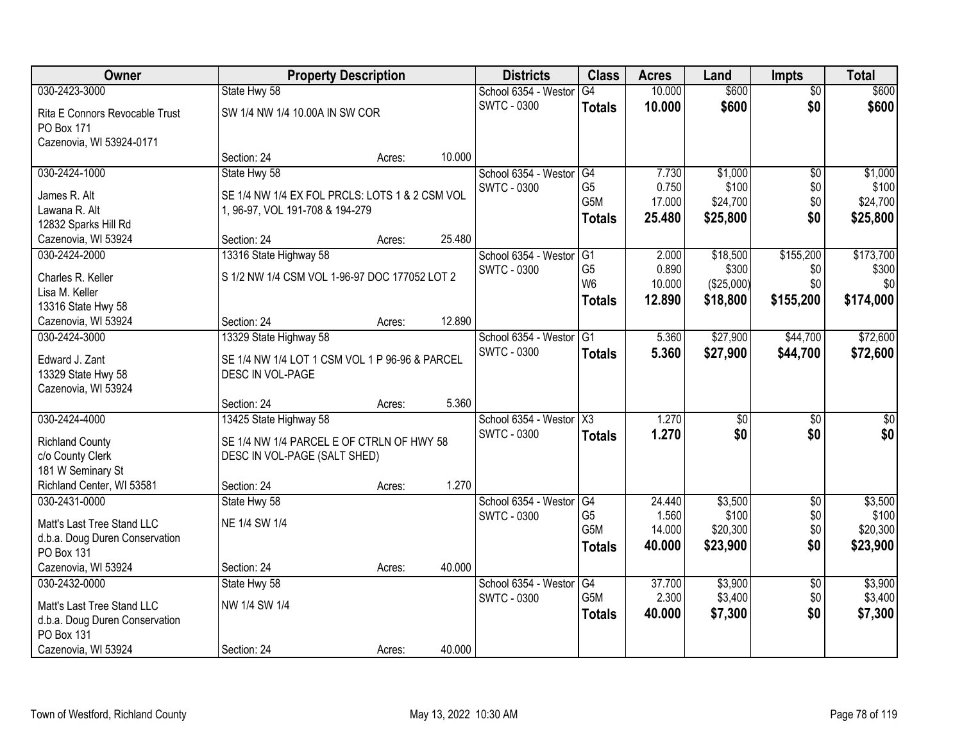| Owner                                        |                                                | <b>Property Description</b> |        | <b>Districts</b>     | <b>Class</b>           | <b>Acres</b> | Land            | <b>Impts</b>    | <b>Total</b> |
|----------------------------------------------|------------------------------------------------|-----------------------------|--------|----------------------|------------------------|--------------|-----------------|-----------------|--------------|
| 030-2423-3000                                | State Hwy 58                                   |                             |        | School 6354 - Westor | G4                     | 10.000       | \$600           | $\overline{50}$ | \$600        |
| Rita E Connors Revocable Trust               | SW 1/4 NW 1/4 10.00A IN SW COR                 |                             |        | <b>SWTC - 0300</b>   | <b>Totals</b>          | 10.000       | \$600           | \$0             | \$600        |
| PO Box 171                                   |                                                |                             |        |                      |                        |              |                 |                 |              |
| Cazenovia, WI 53924-0171                     |                                                |                             |        |                      |                        |              |                 |                 |              |
|                                              | Section: 24                                    | Acres:                      | 10.000 |                      |                        |              |                 |                 |              |
| 030-2424-1000                                | State Hwy 58                                   |                             |        | School 6354 - Westor | G4                     | 7.730        | \$1,000         | $\overline{50}$ | \$1,000      |
| James R. Alt                                 | SE 1/4 NW 1/4 EX FOL PRCLS: LOTS 1 & 2 CSM VOL |                             |        | <b>SWTC - 0300</b>   | G <sub>5</sub>         | 0.750        | \$100           | \$0             | \$100        |
| Lawana R. Alt                                | 1, 96-97, VOL 191-708 & 194-279                |                             |        |                      | G5M                    | 17.000       | \$24,700        | \$0             | \$24,700     |
| 12832 Sparks Hill Rd                         |                                                |                             |        |                      | <b>Totals</b>          | 25.480       | \$25,800        | \$0             | \$25,800     |
| Cazenovia, WI 53924                          | Section: 24                                    | Acres:                      | 25.480 |                      |                        |              |                 |                 |              |
| 030-2424-2000                                | 13316 State Highway 58                         |                             |        | School 6354 - Westor | G1                     | 2.000        | \$18,500        | \$155,200       | \$173,700    |
| Charles R. Keller                            | S 1/2 NW 1/4 CSM VOL 1-96-97 DOC 177052 LOT 2  |                             |        | SWTC - 0300          | G <sub>5</sub>         | 0.890        | \$300           | \$0             | \$300        |
| Lisa M. Keller                               |                                                |                             |        |                      | W <sub>6</sub>         | 10.000       | (\$25,000)      | \$0             | \$0          |
| 13316 State Hwy 58                           |                                                |                             |        |                      | <b>Totals</b>          | 12.890       | \$18,800        | \$155,200       | \$174,000    |
| Cazenovia, WI 53924                          | Section: 24                                    | Acres:                      | 12.890 |                      |                        |              |                 |                 |              |
| 030-2424-3000                                | 13329 State Highway 58                         |                             |        | School 6354 - Weston | G <sub>1</sub>         | 5.360        | \$27,900        | \$44,700        | \$72,600     |
| Edward J. Zant                               | SE 1/4 NW 1/4 LOT 1 CSM VOL 1 P 96-96 & PARCEL |                             |        | <b>SWTC - 0300</b>   | <b>Totals</b>          | 5.360        | \$27,900        | \$44,700        | \$72,600     |
| 13329 State Hwy 58                           | DESC IN VOL-PAGE                               |                             |        |                      |                        |              |                 |                 |              |
| Cazenovia, WI 53924                          |                                                |                             |        |                      |                        |              |                 |                 |              |
|                                              | Section: 24                                    | Acres:                      | 5.360  |                      |                        |              |                 |                 |              |
| 030-2424-4000                                | 13425 State Highway 58                         |                             |        | School 6354 - Westor | $\overline{\text{X3}}$ | 1.270        | $\overline{50}$ | $\overline{50}$ | $\sqrt{50}$  |
|                                              | SE 1/4 NW 1/4 PARCEL E OF CTRLN OF HWY 58      |                             |        | <b>SWTC - 0300</b>   | <b>Totals</b>          | 1.270        | \$0             | \$0             | \$0          |
| <b>Richland County</b><br>c/o County Clerk   | DESC IN VOL-PAGE (SALT SHED)                   |                             |        |                      |                        |              |                 |                 |              |
| 181 W Seminary St                            |                                                |                             |        |                      |                        |              |                 |                 |              |
| Richland Center, WI 53581                    | Section: 24                                    | Acres:                      | 1.270  |                      |                        |              |                 |                 |              |
| 030-2431-0000                                | State Hwy 58                                   |                             |        | School 6354 - Westor | G4                     | 24.440       | \$3,500         | $\sqrt{6}$      | \$3,500      |
|                                              |                                                |                             |        | <b>SWTC - 0300</b>   | G <sub>5</sub>         | 1.560        | \$100           | \$0             | \$100        |
| Matt's Last Tree Stand LLC                   | NE 1/4 SW 1/4                                  |                             |        |                      | G5M                    | 14.000       | \$20,300        | \$0             | \$20,300     |
| d.b.a. Doug Duren Conservation<br>PO Box 131 |                                                |                             |        |                      | <b>Totals</b>          | 40,000       | \$23,900        | \$0             | \$23,900     |
| Cazenovia, WI 53924                          | Section: 24                                    | Acres:                      | 40.000 |                      |                        |              |                 |                 |              |
| 030-2432-0000                                | State Hwy 58                                   |                             |        | School 6354 - Westor | G4                     | 37.700       | \$3,900         | $\overline{60}$ | \$3,900      |
|                                              |                                                |                             |        | SWTC - 0300          | G <sub>5</sub> M       | 2.300        | \$3,400         | \$0             | \$3,400      |
| Matt's Last Tree Stand LLC                   | NW 1/4 SW 1/4                                  |                             |        |                      | <b>Totals</b>          | 40.000       | \$7,300         | \$0             | \$7,300      |
| d.b.a. Doug Duren Conservation               |                                                |                             |        |                      |                        |              |                 |                 |              |
| PO Box 131<br>Cazenovia, WI 53924            | Section: 24                                    |                             | 40.000 |                      |                        |              |                 |                 |              |
|                                              |                                                | Acres:                      |        |                      |                        |              |                 |                 |              |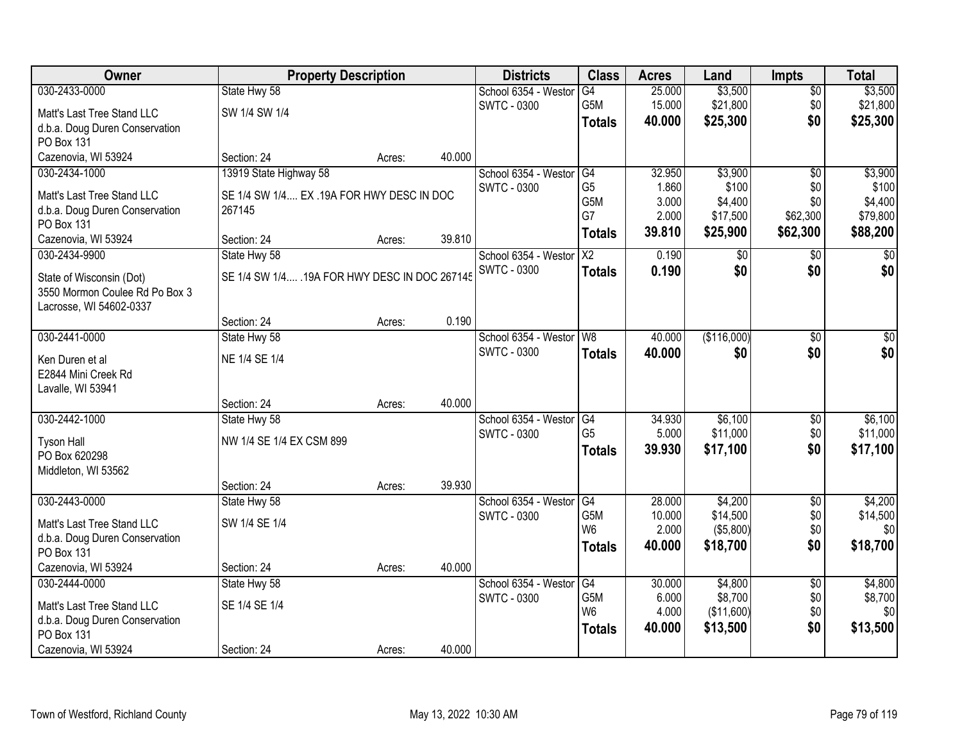| Owner                          |                                                | <b>Property Description</b> |        | <b>Districts</b>     | <b>Class</b>           | <b>Acres</b>    | Land                   | <b>Impts</b>         | <b>Total</b>         |
|--------------------------------|------------------------------------------------|-----------------------------|--------|----------------------|------------------------|-----------------|------------------------|----------------------|----------------------|
| 030-2433-0000                  | State Hwy 58                                   |                             |        | School 6354 - Westor | G4                     | 25.000          | \$3,500                | \$0                  | \$3,500              |
| Matt's Last Tree Stand LLC     | SW 1/4 SW 1/4                                  |                             |        | <b>SWTC - 0300</b>   | G5M                    | 15.000          | \$21,800               | \$0                  | \$21,800             |
| d.b.a. Doug Duren Conservation |                                                |                             |        |                      | <b>Totals</b>          | 40.000          | \$25,300               | \$0                  | \$25,300             |
| PO Box 131                     |                                                |                             |        |                      |                        |                 |                        |                      |                      |
| Cazenovia, WI 53924            | Section: 24                                    | Acres:                      | 40.000 |                      |                        |                 |                        |                      |                      |
| 030-2434-1000                  | 13919 State Highway 58                         |                             |        | School 6354 - Westor | G4                     | 32.950          | \$3,900                | \$0                  | \$3,900              |
| Matt's Last Tree Stand LLC     | SE 1/4 SW 1/4 EX .19A FOR HWY DESC IN DOC      |                             |        | <b>SWTC - 0300</b>   | G <sub>5</sub>         | 1.860           | \$100                  | \$0                  | \$100                |
| d.b.a. Doug Duren Conservation | 267145                                         |                             |        |                      | G5M<br>G7              | 3.000           | \$4,400                | \$0                  | \$4,400              |
| PO Box 131                     |                                                |                             |        |                      |                        | 2.000<br>39.810 | \$17,500<br>\$25,900   | \$62,300<br>\$62,300 | \$79,800<br>\$88,200 |
| Cazenovia, WI 53924            | Section: 24                                    | Acres:                      | 39.810 |                      | <b>Totals</b>          |                 |                        |                      |                      |
| 030-2434-9900                  | State Hwy 58                                   |                             |        | School 6354 - Westor | $\overline{\text{X2}}$ | 0.190           | $\sqrt{6}$             | $\sqrt[6]{}$         | $\sqrt{50}$          |
| State of Wisconsin (Dot)       | SE 1/4 SW 1/4 . 19A FOR HWY DESC IN DOC 267145 |                             |        | SWTC - 0300          | <b>Totals</b>          | 0.190           | \$0                    | \$0                  | \$0                  |
| 3550 Mormon Coulee Rd Po Box 3 |                                                |                             |        |                      |                        |                 |                        |                      |                      |
| Lacrosse, WI 54602-0337        |                                                |                             |        |                      |                        |                 |                        |                      |                      |
|                                | Section: 24                                    | Acres:                      | 0.190  |                      |                        |                 |                        |                      |                      |
| 030-2441-0000                  | State Hwy 58                                   |                             |        | School 6354 - Westor | W8                     | 40.000          | (\$116,000)            | $\sqrt[6]{3}$        | $\sqrt{50}$          |
| Ken Duren et al                | NE 1/4 SE 1/4                                  |                             |        | <b>SWTC - 0300</b>   | <b>Totals</b>          | 40.000          | \$0                    | \$0                  | \$0                  |
| E2844 Mini Creek Rd            |                                                |                             |        |                      |                        |                 |                        |                      |                      |
| Lavalle, WI 53941              |                                                |                             |        |                      |                        |                 |                        |                      |                      |
|                                | Section: 24                                    | Acres:                      | 40.000 |                      |                        |                 |                        |                      |                      |
| 030-2442-1000                  | State Hwy 58                                   |                             |        | School 6354 - Weston | G4                     | 34.930          | \$6,100                | \$0                  | \$6,100              |
| <b>Tyson Hall</b>              | NW 1/4 SE 1/4 EX CSM 899                       |                             |        | <b>SWTC - 0300</b>   | G <sub>5</sub>         | 5.000           | \$11,000               | \$0                  | \$11,000             |
| PO Box 620298                  |                                                |                             |        |                      | <b>Totals</b>          | 39.930          | \$17,100               | \$0                  | \$17,100             |
| Middleton, WI 53562            |                                                |                             |        |                      |                        |                 |                        |                      |                      |
|                                | Section: 24                                    | Acres:                      | 39.930 |                      |                        |                 |                        |                      |                      |
| 030-2443-0000                  | State Hwy 58                                   |                             |        | School 6354 - Westor | G4                     | 28.000          | \$4,200                | $\overline{$0}$      | \$4,200              |
| Matt's Last Tree Stand LLC     | SW 1/4 SE 1/4                                  |                             |        | <b>SWTC - 0300</b>   | G5M<br>W <sub>6</sub>  | 10.000<br>2.000 | \$14,500               | \$0                  | \$14,500             |
| d.b.a. Doug Duren Conservation |                                                |                             |        |                      | <b>Totals</b>          | 40.000          | ( \$5,800)<br>\$18,700 | \$0<br>\$0           | \$0<br>\$18,700      |
| <b>PO Box 131</b>              |                                                |                             |        |                      |                        |                 |                        |                      |                      |
| Cazenovia, WI 53924            | Section: 24                                    | Acres:                      | 40.000 |                      |                        |                 |                        |                      |                      |
| 030-2444-0000                  | State Hwy 58                                   |                             |        | School 6354 - Westor | G4                     | 30.000          | \$4,800                | $\overline{50}$      | \$4,800              |
| Matt's Last Tree Stand LLC     | SE 1/4 SE 1/4                                  |                             |        | <b>SWTC - 0300</b>   | G5M                    | 6.000           | \$8,700                | \$0                  | \$8,700              |
| d.b.a. Doug Duren Conservation |                                                |                             |        |                      | W <sub>6</sub>         | 4.000<br>40.000 | (\$11,600)<br>\$13,500 | \$0<br>\$0           | \$0<br>\$13,500      |
| <b>PO Box 131</b>              |                                                |                             |        |                      | <b>Totals</b>          |                 |                        |                      |                      |
| Cazenovia, WI 53924            | Section: 24                                    | Acres:                      | 40.000 |                      |                        |                 |                        |                      |                      |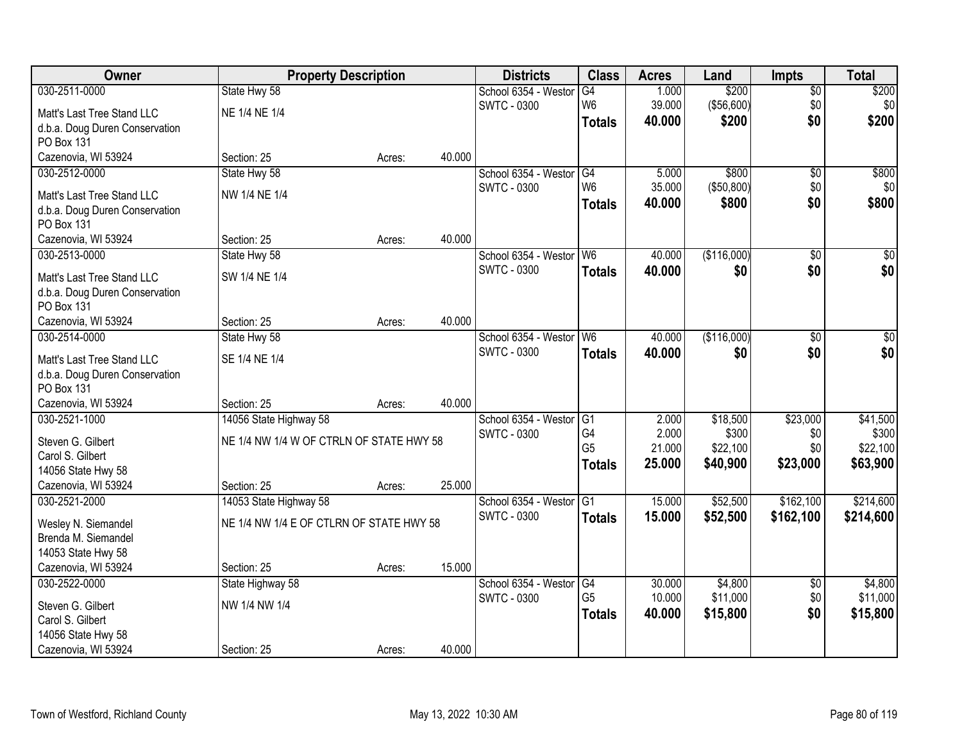| Owner                          | <b>Property Description</b>              |        |        | <b>Districts</b>        | <b>Class</b>   | <b>Acres</b> | Land        | <b>Impts</b>    | <b>Total</b>    |
|--------------------------------|------------------------------------------|--------|--------|-------------------------|----------------|--------------|-------------|-----------------|-----------------|
| 030-2511-0000                  | State Hwy 58                             |        |        | School 6354 - Westor    | G4             | 1.000        | \$200       | \$0             | \$200           |
| Matt's Last Tree Stand LLC     | NE 1/4 NE 1/4                            |        |        | <b>SWTC - 0300</b>      | W <sub>6</sub> | 39.000       | ( \$56,600] | \$0             | \$0             |
| d.b.a. Doug Duren Conservation |                                          |        |        |                         | <b>Totals</b>  | 40.000       | \$200       | \$0             | \$200           |
| PO Box 131                     |                                          |        |        |                         |                |              |             |                 |                 |
| Cazenovia, WI 53924            | Section: 25                              | Acres: | 40.000 |                         |                |              |             |                 |                 |
| 030-2512-0000                  | State Hwy 58                             |        |        | School 6354 - Westor    | G4             | 5.000        | \$800       | $\overline{50}$ | \$800           |
| Matt's Last Tree Stand LLC     | NW 1/4 NE 1/4                            |        |        | SWTC - 0300             | W <sub>6</sub> | 35.000       | (\$50,800)  | \$0             | \$0             |
| d.b.a. Doug Duren Conservation |                                          |        |        |                         | <b>Totals</b>  | 40.000       | \$800       | \$0             | \$800           |
| PO Box 131                     |                                          |        |        |                         |                |              |             |                 |                 |
| Cazenovia, WI 53924            | Section: 25                              | Acres: | 40.000 |                         |                |              |             |                 |                 |
| 030-2513-0000                  | State Hwy 58                             |        |        | School 6354 - Westor W6 |                | 40.000       | (\$116,000) | \$0             | $\overline{50}$ |
| Matt's Last Tree Stand LLC     | SW 1/4 NE 1/4                            |        |        | SWTC - 0300             | <b>Totals</b>  | 40.000       | \$0         | \$0             | \$0             |
| d.b.a. Doug Duren Conservation |                                          |        |        |                         |                |              |             |                 |                 |
| PO Box 131                     |                                          |        |        |                         |                |              |             |                 |                 |
| Cazenovia, WI 53924            | Section: 25                              | Acres: | 40.000 |                         |                |              |             |                 |                 |
| 030-2514-0000                  | State Hwy 58                             |        |        | School 6354 - Weston    | W <sub>6</sub> | 40.000       | (\$116,000) | $\sqrt[6]{3}$   | $\sqrt{50}$     |
| Matt's Last Tree Stand LLC     | SE 1/4 NE 1/4                            |        |        | <b>SWTC - 0300</b>      | <b>Totals</b>  | 40.000       | \$0         | \$0             | \$0             |
| d.b.a. Doug Duren Conservation |                                          |        |        |                         |                |              |             |                 |                 |
| PO Box 131                     |                                          |        |        |                         |                |              |             |                 |                 |
| Cazenovia, WI 53924            | Section: 25                              | Acres: | 40.000 |                         |                |              |             |                 |                 |
| 030-2521-1000                  | 14056 State Highway 58                   |        |        | School 6354 - Westor    | G1             | 2.000        | \$18,500    | \$23,000        | \$41,500        |
| Steven G. Gilbert              | NE 1/4 NW 1/4 W OF CTRLN OF STATE HWY 58 |        |        | SWTC - 0300             | G4             | 2.000        | \$300       | \$0             | \$300           |
| Carol S. Gilbert               |                                          |        |        |                         | G <sub>5</sub> | 21.000       | \$22,100    | \$0             | \$22,100        |
| 14056 State Hwy 58             |                                          |        |        |                         | <b>Totals</b>  | 25.000       | \$40,900    | \$23,000        | \$63,900        |
| Cazenovia, WI 53924            | Section: 25                              | Acres: | 25.000 |                         |                |              |             |                 |                 |
| 030-2521-2000                  | 14053 State Highway 58                   |        |        | School 6354 - Westor    | G1             | 15.000       | \$52,500    | \$162,100       | \$214,600       |
| Wesley N. Siemandel            | NE 1/4 NW 1/4 E OF CTLRN OF STATE HWY 58 |        |        | <b>SWTC - 0300</b>      | <b>Totals</b>  | 15.000       | \$52,500    | \$162,100       | \$214,600       |
| Brenda M. Siemandel            |                                          |        |        |                         |                |              |             |                 |                 |
| 14053 State Hwy 58             |                                          |        |        |                         |                |              |             |                 |                 |
| Cazenovia, WI 53924            | Section: 25                              | Acres: | 15.000 |                         |                |              |             |                 |                 |
| 030-2522-0000                  | State Highway 58                         |        |        | School 6354 - Westor    | G4             | 30.000       | \$4,800     | $\overline{50}$ | \$4,800         |
| Steven G. Gilbert              | NW 1/4 NW 1/4                            |        |        | SWTC - 0300             | G <sub>5</sub> | 10.000       | \$11,000    | \$0             | \$11,000        |
| Carol S. Gilbert               |                                          |        |        |                         | <b>Totals</b>  | 40.000       | \$15,800    | \$0             | \$15,800        |
| 14056 State Hwy 58             |                                          |        |        |                         |                |              |             |                 |                 |
| Cazenovia, WI 53924            | Section: 25                              | Acres: | 40.000 |                         |                |              |             |                 |                 |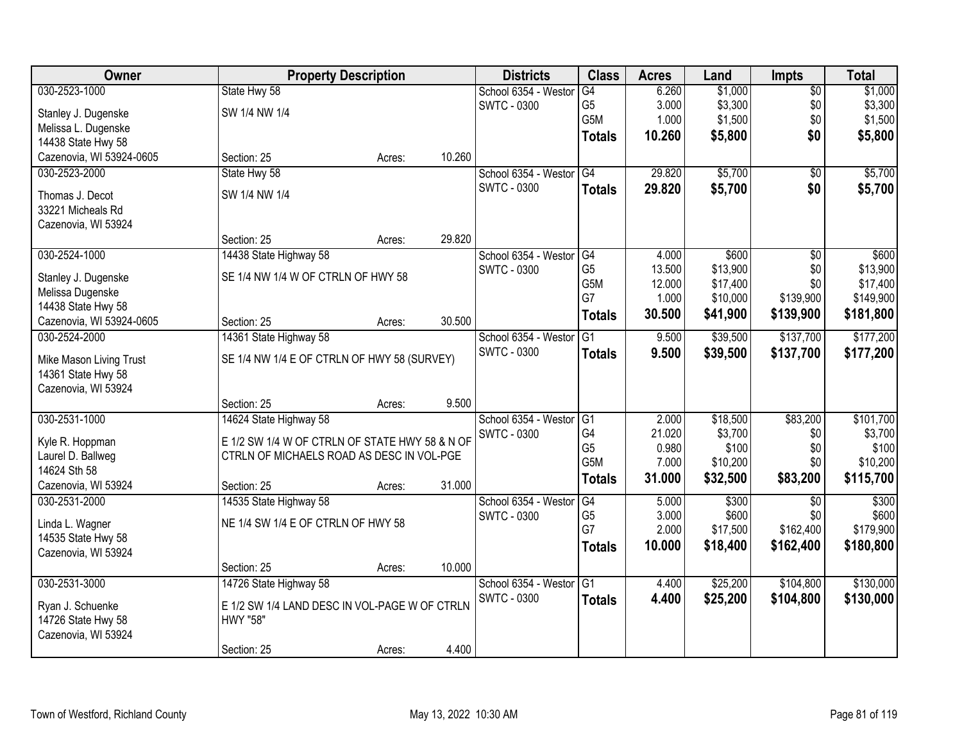| Owner                    | <b>Property Description</b>                    |        |        | <b>Districts</b>     | <b>Class</b>    | <b>Acres</b> | Land     | <b>Impts</b>    | <b>Total</b> |
|--------------------------|------------------------------------------------|--------|--------|----------------------|-----------------|--------------|----------|-----------------|--------------|
| 030-2523-1000            | State Hwy 58                                   |        |        | School 6354 - Westor | G4              | 6.260        | \$1,000  | $\overline{50}$ | \$1,000      |
| Stanley J. Dugenske      | SW 1/4 NW 1/4                                  |        |        | <b>SWTC - 0300</b>   | G <sub>5</sub>  | 3.000        | \$3,300  | \$0             | \$3,300      |
| Melissa L. Dugenske      |                                                |        |        |                      | G5M             | 1.000        | \$1,500  | \$0             | \$1,500      |
| 14438 State Hwy 58       |                                                |        |        |                      | <b>Totals</b>   | 10.260       | \$5,800  | \$0             | \$5,800      |
| Cazenovia, WI 53924-0605 | Section: 25                                    | Acres: | 10.260 |                      |                 |              |          |                 |              |
| 030-2523-2000            | State Hwy 58                                   |        |        | School 6354 - Westor | G4              | 29.820       | \$5,700  | $\overline{50}$ | \$5,700      |
| Thomas J. Decot          | SW 1/4 NW 1/4                                  |        |        | <b>SWTC - 0300</b>   | <b>Totals</b>   | 29.820       | \$5,700  | \$0             | \$5,700      |
| 33221 Micheals Rd        |                                                |        |        |                      |                 |              |          |                 |              |
| Cazenovia, WI 53924      |                                                |        |        |                      |                 |              |          |                 |              |
|                          | Section: 25                                    | Acres: | 29.820 |                      |                 |              |          |                 |              |
| 030-2524-1000            | 14438 State Highway 58                         |        |        | School 6354 - Westor | G4              | 4.000        | \$600    | $\overline{50}$ | \$600        |
| Stanley J. Dugenske      | SE 1/4 NW 1/4 W OF CTRLN OF HWY 58             |        |        | <b>SWTC - 0300</b>   | G <sub>5</sub>  | 13.500       | \$13,900 | \$0             | \$13,900     |
| Melissa Dugenske         |                                                |        |        |                      | G5M             | 12.000       | \$17,400 | \$0             | \$17,400     |
| 14438 State Hwy 58       |                                                |        |        |                      | G7              | 1.000        | \$10,000 | \$139,900       | \$149,900    |
| Cazenovia, WI 53924-0605 | Section: 25                                    | Acres: | 30.500 |                      | <b>Totals</b>   | 30.500       | \$41,900 | \$139,900       | \$181,800    |
| 030-2524-2000            | 14361 State Highway 58                         |        |        | School 6354 - Weston | G1              | 9.500        | \$39,500 | \$137,700       | \$177,200    |
| Mike Mason Living Trust  | SE 1/4 NW 1/4 E OF CTRLN OF HWY 58 (SURVEY)    |        |        | <b>SWTC - 0300</b>   | <b>Totals</b>   | 9.500        | \$39,500 | \$137,700       | \$177,200    |
| 14361 State Hwy 58       |                                                |        |        |                      |                 |              |          |                 |              |
| Cazenovia, WI 53924      |                                                |        |        |                      |                 |              |          |                 |              |
|                          | Section: 25                                    | Acres: | 9.500  |                      |                 |              |          |                 |              |
| 030-2531-1000            | 14624 State Highway 58                         |        |        | School 6354 - Westor | G1              | 2.000        | \$18,500 | \$83,200        | \$101,700    |
| Kyle R. Hoppman          | E 1/2 SW 1/4 W OF CTRLN OF STATE HWY 58 & N OF |        |        | <b>SWTC - 0300</b>   | G <sub>4</sub>  | 21.020       | \$3,700  | \$0             | \$3,700      |
| Laurel D. Ballweg        | CTRLN OF MICHAELS ROAD AS DESC IN VOL-PGE      |        |        |                      | G <sub>5</sub>  | 0.980        | \$100    | \$0             | \$100        |
| 14624 Sth 58             |                                                |        |        |                      | G5M             | 7.000        | \$10,200 | \$0             | \$10,200     |
| Cazenovia, WI 53924      | Section: 25                                    | Acres: | 31.000 |                      | <b>Totals</b>   | 31.000       | \$32,500 | \$83,200        | \$115,700    |
| 030-2531-2000            | 14535 State Highway 58                         |        |        | School 6354 - Westor | G4              | 5.000        | \$300    | \$0             | \$300        |
| Linda L. Wagner          | NE 1/4 SW 1/4 E OF CTRLN OF HWY 58             |        |        | <b>SWTC - 0300</b>   | G <sub>5</sub>  | 3.000        | \$600    | \$0             | \$600        |
| 14535 State Hwy 58       |                                                |        |        |                      | G7              | 2.000        | \$17,500 | \$162,400       | \$179,900    |
| Cazenovia, WI 53924      |                                                |        |        |                      | <b>Totals</b>   | 10,000       | \$18,400 | \$162,400       | \$180,800    |
|                          | Section: 25                                    | Acres: | 10.000 |                      |                 |              |          |                 |              |
| 030-2531-3000            | 14726 State Highway 58                         |        |        | School 6354 - Westor | $\overline{G1}$ | 4.400        | \$25,200 | \$104,800       | \$130,000    |
| Ryan J. Schuenke         | E 1/2 SW 1/4 LAND DESC IN VOL-PAGE W OF CTRLN  |        |        | <b>SWTC - 0300</b>   | <b>Totals</b>   | 4.400        | \$25,200 | \$104,800       | \$130,000    |
| 14726 State Hwy 58       | HWY "58"                                       |        |        |                      |                 |              |          |                 |              |
| Cazenovia, WI 53924      |                                                |        |        |                      |                 |              |          |                 |              |
|                          | Section: 25                                    | Acres: | 4.400  |                      |                 |              |          |                 |              |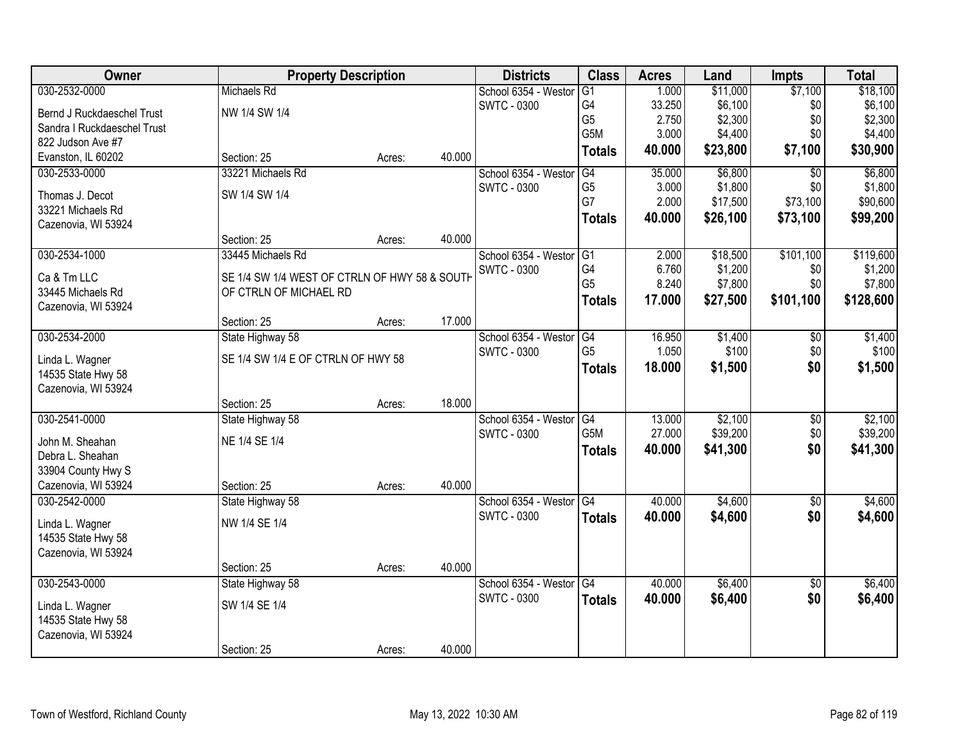| Owner                               | <b>Property Description</b>                   |        |        | <b>Districts</b>        | <b>Class</b>    | <b>Acres</b> | Land     | <b>Impts</b>    | <b>Total</b> |
|-------------------------------------|-----------------------------------------------|--------|--------|-------------------------|-----------------|--------------|----------|-----------------|--------------|
| 030-2532-0000                       | Michaels Rd                                   |        |        | School 6354 - Westor    | G1              | 1.000        | \$11,000 | \$7,100         | \$18,100     |
| Bernd J Ruckdaeschel Trust          | NW 1/4 SW 1/4                                 |        |        | <b>SWTC - 0300</b>      | G4              | 33.250       | \$6,100  | \$0             | \$6,100      |
| Sandra I Ruckdaeschel Trust         |                                               |        |        |                         | G <sub>5</sub>  | 2.750        | \$2,300  | \$0             | \$2,300      |
| 822 Judson Ave #7                   |                                               |        |        |                         | G5M             | 3.000        | \$4,400  | \$0             | \$4,400      |
| Evanston, IL 60202                  | Section: 25                                   | Acres: | 40.000 |                         | <b>Totals</b>   | 40.000       | \$23,800 | \$7,100         | \$30,900     |
| 030-2533-0000                       | 33221 Michaels Rd                             |        |        | School 6354 - Westor    | G4              | 35.000       | \$6,800  | $\overline{50}$ | \$6,800      |
| Thomas J. Decot                     | SW 1/4 SW 1/4                                 |        |        | <b>SWTC - 0300</b>      | G <sub>5</sub>  | 3.000        | \$1,800  | \$0             | \$1,800      |
| 33221 Michaels Rd                   |                                               |        |        |                         | G7              | 2.000        | \$17,500 | \$73,100        | \$90,600     |
| Cazenovia, WI 53924                 |                                               |        |        |                         | <b>Totals</b>   | 40.000       | \$26,100 | \$73,100        | \$99,200     |
|                                     | Section: 25                                   | Acres: | 40.000 |                         |                 |              |          |                 |              |
| 030-2534-1000                       | 33445 Michaels Rd                             |        |        | School 6354 - Westor    | $\overline{G1}$ | 2.000        | \$18,500 | \$101,100       | \$119,600    |
| Ca & Tm LLC                         | SE 1/4 SW 1/4 WEST OF CTRLN OF HWY 58 & SOUTH |        |        | <b>SWTC - 0300</b>      | G4              | 6.760        | \$1,200  | \$0             | \$1,200      |
| 33445 Michaels Rd                   | OF CTRLN OF MICHAEL RD                        |        |        |                         | G <sub>5</sub>  | 8.240        | \$7,800  | \$0             | \$7,800      |
| Cazenovia, WI 53924                 |                                               |        |        |                         | <b>Totals</b>   | 17.000       | \$27,500 | \$101,100       | \$128,600    |
|                                     | Section: 25                                   | Acres: | 17.000 |                         |                 |              |          |                 |              |
| 030-2534-2000                       | State Highway 58                              |        |        | School 6354 - Westor    | G4              | 16.950       | \$1,400  | \$0             | \$1,400      |
| Linda L. Wagner                     | SE 1/4 SW 1/4 E OF CTRLN OF HWY 58            |        |        | <b>SWTC - 0300</b>      | G <sub>5</sub>  | 1.050        | \$100    | \$0             | \$100        |
| 14535 State Hwy 58                  |                                               |        |        |                         | <b>Totals</b>   | 18.000       | \$1,500  | \$0             | \$1,500      |
| Cazenovia, WI 53924                 |                                               |        |        |                         |                 |              |          |                 |              |
|                                     | Section: 25                                   | Acres: | 18.000 |                         |                 |              |          |                 |              |
| 030-2541-0000                       | State Highway 58                              |        |        | School 6354 - Westor    | $\overline{G4}$ | 13.000       | \$2,100  | $\overline{50}$ | \$2,100      |
|                                     | NE 1/4 SE 1/4                                 |        |        | <b>SWTC - 0300</b>      | G5M             | 27.000       | \$39,200 | \$0             | \$39,200     |
| John M. Sheahan<br>Debra L. Sheahan |                                               |        |        |                         | <b>Totals</b>   | 40.000       | \$41,300 | \$0             | \$41,300     |
| 33904 County Hwy S                  |                                               |        |        |                         |                 |              |          |                 |              |
| Cazenovia, WI 53924                 | Section: 25                                   | Acres: | 40.000 |                         |                 |              |          |                 |              |
| 030-2542-0000                       | State Highway 58                              |        |        | School 6354 - Westor G4 |                 | 40.000       | \$4,600  | $\overline{60}$ | \$4,600      |
|                                     |                                               |        |        | <b>SWTC - 0300</b>      | <b>Totals</b>   | 40.000       | \$4,600  | \$0             | \$4,600      |
| Linda L. Wagner                     | NW 1/4 SE 1/4                                 |        |        |                         |                 |              |          |                 |              |
| 14535 State Hwy 58                  |                                               |        |        |                         |                 |              |          |                 |              |
| Cazenovia, WI 53924                 | Section: 25                                   |        | 40.000 |                         |                 |              |          |                 |              |
| 030-2543-0000                       | State Highway 58                              | Acres: |        | School 6354 - Westor    | G4              | 40.000       | \$6,400  | $\overline{50}$ | \$6,400      |
|                                     |                                               |        |        | SWTC - 0300             | <b>Totals</b>   | 40.000       | \$6,400  | \$0             | \$6,400      |
| Linda L. Wagner                     | SW 1/4 SE 1/4                                 |        |        |                         |                 |              |          |                 |              |
| 14535 State Hwy 58                  |                                               |        |        |                         |                 |              |          |                 |              |
| Cazenovia, WI 53924                 |                                               |        |        |                         |                 |              |          |                 |              |
|                                     | Section: 25                                   | Acres: | 40.000 |                         |                 |              |          |                 |              |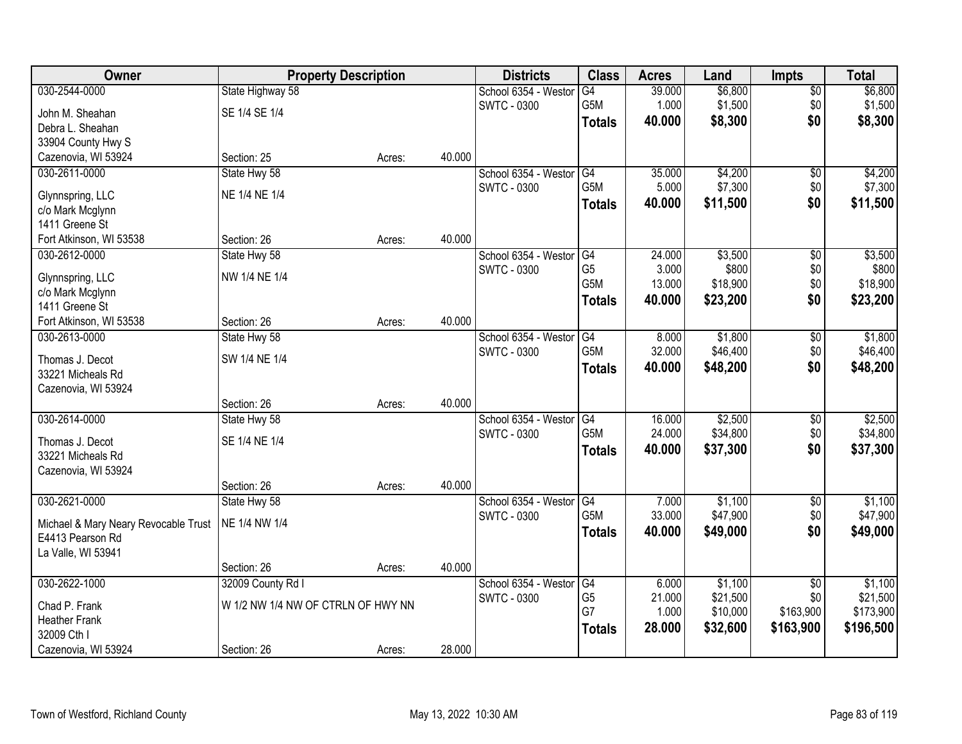| Owner                                | <b>Property Description</b>        |        |        | <b>Districts</b>     | <b>Class</b>     | <b>Acres</b> | Land     | <b>Impts</b>    | <b>Total</b> |
|--------------------------------------|------------------------------------|--------|--------|----------------------|------------------|--------------|----------|-----------------|--------------|
| 030-2544-0000                        | State Highway 58                   |        |        | School 6354 - Westor | G4               | 39.000       | \$6,800  | $\sqrt{$0}$     | \$6,800      |
| John M. Sheahan                      | SE 1/4 SE 1/4                      |        |        | <b>SWTC - 0300</b>   | G5M              | 1.000        | \$1,500  | \$0             | \$1,500      |
| Debra L. Sheahan                     |                                    |        |        |                      | <b>Totals</b>    | 40.000       | \$8,300  | \$0             | \$8,300      |
| 33904 County Hwy S                   |                                    |        |        |                      |                  |              |          |                 |              |
| Cazenovia, WI 53924                  | Section: 25                        | Acres: | 40.000 |                      |                  |              |          |                 |              |
| 030-2611-0000                        | State Hwy 58                       |        |        | School 6354 - Westor | G4               | 35.000       | \$4,200  | \$0             | \$4,200      |
| Glynnspring, LLC                     | NE 1/4 NE 1/4                      |        |        | <b>SWTC - 0300</b>   | G5M              | 5.000        | \$7,300  | \$0             | \$7,300      |
| c/o Mark Mcglynn                     |                                    |        |        |                      | <b>Totals</b>    | 40.000       | \$11,500 | \$0             | \$11,500     |
| 1411 Greene St                       |                                    |        |        |                      |                  |              |          |                 |              |
| Fort Atkinson, WI 53538              | Section: 26                        | Acres: | 40.000 |                      |                  |              |          |                 |              |
| 030-2612-0000                        | State Hwy 58                       |        |        | School 6354 - Westor | G4               | 24.000       | \$3,500  | \$0             | \$3,500      |
|                                      | NW 1/4 NE 1/4                      |        |        | SWTC - 0300          | G <sub>5</sub>   | 3.000        | \$800    | \$0             | \$800        |
| Glynnspring, LLC<br>c/o Mark Mcglynn |                                    |        |        |                      | G <sub>5</sub> M | 13.000       | \$18,900 | \$0             | \$18,900     |
| 1411 Greene St                       |                                    |        |        |                      | <b>Totals</b>    | 40.000       | \$23,200 | \$0             | \$23,200     |
| Fort Atkinson, WI 53538              | Section: 26                        | Acres: | 40.000 |                      |                  |              |          |                 |              |
| 030-2613-0000                        | State Hwy 58                       |        |        | School 6354 - Weston | G4               | 8.000        | \$1,800  | \$0             | \$1,800      |
|                                      |                                    |        |        | <b>SWTC - 0300</b>   | G5M              | 32.000       | \$46,400 | \$0             | \$46,400     |
| Thomas J. Decot<br>33221 Micheals Rd | SW 1/4 NE 1/4                      |        |        |                      | <b>Totals</b>    | 40.000       | \$48,200 | \$0             | \$48,200     |
| Cazenovia, WI 53924                  |                                    |        |        |                      |                  |              |          |                 |              |
|                                      | Section: 26                        | Acres: | 40.000 |                      |                  |              |          |                 |              |
| 030-2614-0000                        | State Hwy 58                       |        |        | School 6354 - Weston | $\overline{G4}$  | 16.000       | \$2,500  | $\overline{50}$ | \$2,500      |
|                                      |                                    |        |        | SWTC - 0300          | G <sub>5</sub> M | 24.000       | \$34,800 | \$0             | \$34,800     |
| Thomas J. Decot                      | SE 1/4 NE 1/4                      |        |        |                      | <b>Totals</b>    | 40.000       | \$37,300 | \$0             | \$37,300     |
| 33221 Micheals Rd                    |                                    |        |        |                      |                  |              |          |                 |              |
| Cazenovia, WI 53924                  | Section: 26                        | Acres: | 40.000 |                      |                  |              |          |                 |              |
| 030-2621-0000                        | State Hwy 58                       |        |        | School 6354 - Westor | G4               | 7.000        | \$1,100  | $\sqrt{6}$      | \$1,100      |
|                                      |                                    |        |        | <b>SWTC - 0300</b>   | G5M              | 33.000       | \$47,900 | \$0             | \$47,900     |
| Michael & Mary Neary Revocable Trust | NE 1/4 NW 1/4                      |        |        |                      | <b>Totals</b>    | 40.000       | \$49,000 | \$0             | \$49,000     |
| E4413 Pearson Rd                     |                                    |        |        |                      |                  |              |          |                 |              |
| La Valle, WI 53941                   |                                    |        | 40.000 |                      |                  |              |          |                 |              |
| 030-2622-1000                        | Section: 26<br>32009 County Rd I   | Acres: |        | School 6354 - Westor | G4               | 6.000        | \$1,100  | $\overline{50}$ | \$1,100      |
|                                      |                                    |        |        | SWTC - 0300          | G <sub>5</sub>   | 21.000       | \$21,500 | \$0             | \$21,500     |
| Chad P. Frank                        | W 1/2 NW 1/4 NW OF CTRLN OF HWY NN |        |        |                      | G7               | 1.000        | \$10,000 | \$163,900       | \$173,900    |
| <b>Heather Frank</b>                 |                                    |        |        |                      | <b>Totals</b>    | 28.000       | \$32,600 | \$163,900       | \$196,500    |
| 32009 Cth I                          |                                    |        |        |                      |                  |              |          |                 |              |
| Cazenovia, WI 53924                  | Section: 26                        | Acres: | 28.000 |                      |                  |              |          |                 |              |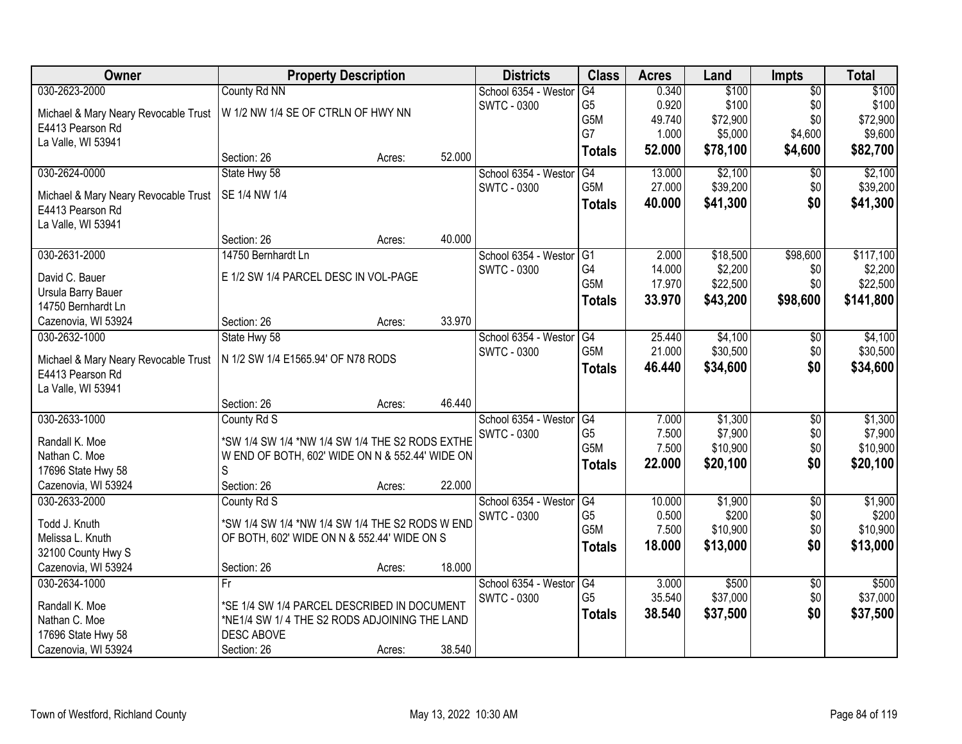| Owner                                                    | <b>Property Description</b>                     |        |        | <b>Districts</b>     | <b>Class</b>     | <b>Acres</b> | Land     | <b>Impts</b>    | <b>Total</b> |
|----------------------------------------------------------|-------------------------------------------------|--------|--------|----------------------|------------------|--------------|----------|-----------------|--------------|
| 030-2623-2000                                            | County Rd NN                                    |        |        | School 6354 - Weston | G4               | 0.340        | \$100    | $\overline{50}$ | \$100        |
| Michael & Mary Neary Revocable Trust                     | W 1/2 NW 1/4 SE OF CTRLN OF HWY NN              |        |        | <b>SWTC - 0300</b>   | G <sub>5</sub>   | 0.920        | \$100    | \$0             | \$100        |
| E4413 Pearson Rd                                         |                                                 |        |        |                      | G5M              | 49.740       | \$72,900 | \$0             | \$72,900     |
| La Valle, WI 53941                                       |                                                 |        |        |                      | G7               | 1.000        | \$5,000  | \$4,600         | \$9,600      |
|                                                          | Section: 26                                     | Acres: | 52.000 |                      | <b>Totals</b>    | 52.000       | \$78,100 | \$4,600         | \$82,700     |
| 030-2624-0000                                            | State Hwy 58                                    |        |        | School 6354 - Westor | G4               | 13.000       | \$2,100  | $\overline{50}$ | \$2,100      |
|                                                          | SE 1/4 NW 1/4                                   |        |        | SWTC - 0300          | G5M              | 27.000       | \$39,200 | \$0             | \$39,200     |
| Michael & Mary Neary Revocable Trust<br>E4413 Pearson Rd |                                                 |        |        |                      | <b>Totals</b>    | 40.000       | \$41,300 | \$0             | \$41,300     |
| La Valle, WI 53941                                       |                                                 |        |        |                      |                  |              |          |                 |              |
|                                                          | Section: 26                                     | Acres: | 40.000 |                      |                  |              |          |                 |              |
| 030-2631-2000                                            | 14750 Bernhardt Ln                              |        |        | School 6354 - Westor | G1               | 2.000        | \$18,500 | \$98,600        | \$117,100    |
|                                                          |                                                 |        |        | <b>SWTC - 0300</b>   | G4               | 14.000       | \$2,200  | \$0             | \$2,200      |
| David C. Bauer                                           | E 1/2 SW 1/4 PARCEL DESC IN VOL-PAGE            |        |        |                      | G5M              | 17.970       | \$22,500 | \$0             | \$22,500     |
| Ursula Barry Bauer                                       |                                                 |        |        |                      | <b>Totals</b>    | 33.970       | \$43,200 | \$98,600        | \$141,800    |
| 14750 Bernhardt Ln                                       |                                                 |        |        |                      |                  |              |          |                 |              |
| Cazenovia, WI 53924                                      | Section: 26                                     | Acres: | 33.970 |                      |                  |              |          |                 |              |
| 030-2632-1000                                            | State Hwy 58                                    |        |        | School 6354 - Weston | G4               | 25.440       | \$4,100  | \$0             | \$4,100      |
| Michael & Mary Neary Revocable Trust                     | N 1/2 SW 1/4 E1565.94' OF N78 RODS              |        |        | <b>SWTC - 0300</b>   | G5M              | 21.000       | \$30,500 | \$0             | \$30,500     |
| E4413 Pearson Rd                                         |                                                 |        |        |                      | <b>Totals</b>    | 46.440       | \$34,600 | \$0             | \$34,600     |
| La Valle, WI 53941                                       |                                                 |        |        |                      |                  |              |          |                 |              |
|                                                          | Section: 26                                     | Acres: | 46.440 |                      |                  |              |          |                 |              |
| 030-2633-1000                                            | County Rd S                                     |        |        | School 6354 - Weston | G4               | 7.000        | \$1,300  | $\overline{30}$ | \$1,300      |
| Randall K. Moe                                           | *SW 1/4 SW 1/4 *NW 1/4 SW 1/4 THE S2 RODS EXTHE |        |        | <b>SWTC - 0300</b>   | G <sub>5</sub>   | 7.500        | \$7,900  | \$0             | \$7,900      |
| Nathan C. Moe                                            | W END OF BOTH, 602' WIDE ON N & 552.44' WIDE ON |        |        |                      | G <sub>5</sub> M | 7.500        | \$10,900 | \$0             | \$10,900     |
| 17696 State Hwy 58                                       | S                                               |        |        |                      | <b>Totals</b>    | 22.000       | \$20,100 | \$0             | \$20,100     |
| Cazenovia, WI 53924                                      | Section: 26                                     | Acres: | 22.000 |                      |                  |              |          |                 |              |
| 030-2633-2000                                            | County Rd S                                     |        |        | School 6354 - Westor | G4               | 10.000       | \$1,900  | $\overline{50}$ | \$1,900      |
|                                                          |                                                 |        |        | <b>SWTC - 0300</b>   | G <sub>5</sub>   | 0.500        | \$200    | \$0             | \$200        |
| Todd J. Knuth                                            | *SW 1/4 SW 1/4 *NW 1/4 SW 1/4 THE S2 RODS W END |        |        |                      | G <sub>5</sub> M | 7.500        | \$10,900 | \$0             | \$10,900     |
| Melissa L. Knuth                                         | OF BOTH, 602' WIDE ON N & 552.44' WIDE ON S     |        |        |                      | <b>Totals</b>    | 18.000       | \$13,000 | \$0             | \$13,000     |
| 32100 County Hwy S                                       |                                                 |        |        |                      |                  |              |          |                 |              |
| Cazenovia, WI 53924                                      | Section: 26                                     | Acres: | 18.000 |                      |                  |              |          |                 |              |
| 030-2634-1000                                            | Fr                                              |        |        | School 6354 - Weston | G4               | 3.000        | \$500    | \$0             | \$500        |
| Randall K. Moe                                           | *SE 1/4 SW 1/4 PARCEL DESCRIBED IN DOCUMENT     |        |        | <b>SWTC - 0300</b>   | G <sub>5</sub>   | 35.540       | \$37,000 | \$0             | \$37,000     |
| Nathan C. Moe                                            | *NE1/4 SW 1/4 THE S2 RODS ADJOINING THE LAND    |        |        |                      | <b>Totals</b>    | 38.540       | \$37,500 | \$0             | \$37,500     |
| 17696 State Hwy 58                                       | <b>DESC ABOVE</b>                               |        |        |                      |                  |              |          |                 |              |
| Cazenovia, WI 53924                                      | Section: 26                                     | Acres: | 38.540 |                      |                  |              |          |                 |              |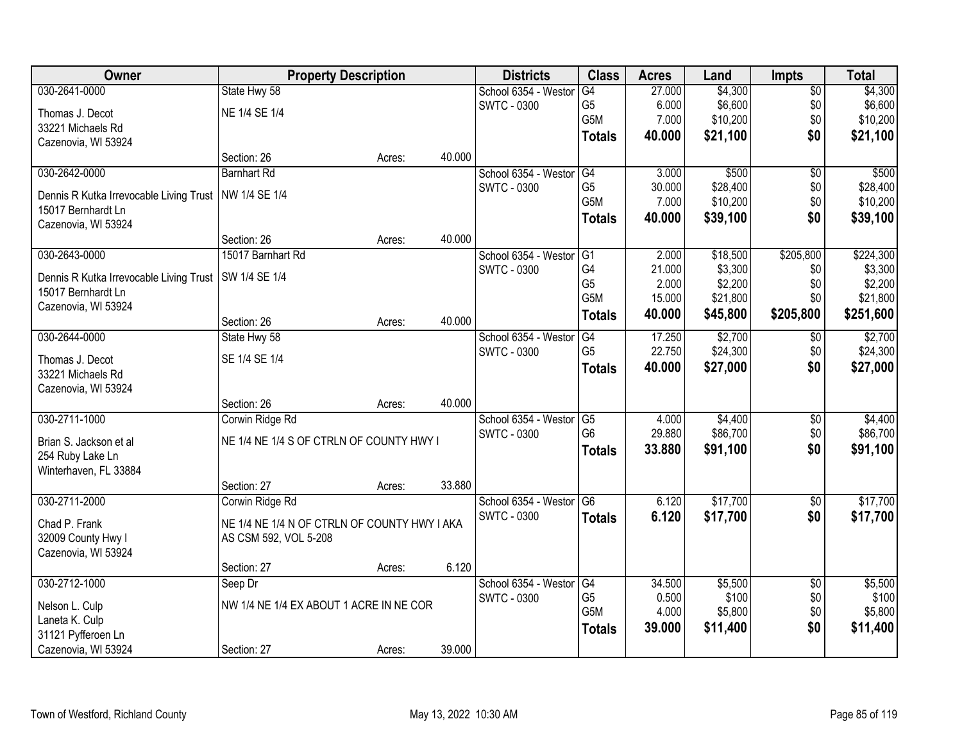| Owner                                                         | <b>Property Description</b>                  |        |        | <b>Districts</b>                           | <b>Class</b>     | <b>Acres</b> | Land     | <b>Impts</b>    | <b>Total</b> |
|---------------------------------------------------------------|----------------------------------------------|--------|--------|--------------------------------------------|------------------|--------------|----------|-----------------|--------------|
| 030-2641-0000                                                 | State Hwy 58                                 |        |        | School 6354 - Westor                       | G4               | 27.000       | \$4,300  | \$0             | \$4,300      |
| Thomas J. Decot                                               | NE 1/4 SE 1/4                                |        |        | <b>SWTC - 0300</b>                         | G5               | 6.000        | \$6,600  | \$0             | \$6,600      |
| 33221 Michaels Rd                                             |                                              |        |        |                                            | G5M              | 7.000        | \$10,200 | \$0             | \$10,200     |
| Cazenovia, WI 53924                                           |                                              |        |        |                                            | <b>Totals</b>    | 40.000       | \$21,100 | \$0             | \$21,100     |
|                                                               | Section: 26                                  | Acres: | 40.000 |                                            |                  |              |          |                 |              |
| 030-2642-0000                                                 | <b>Barnhart Rd</b>                           |        |        | School 6354 - Westor                       | G4               | 3.000        | \$500    | \$0             | \$500        |
|                                                               | NW 1/4 SE 1/4                                |        |        | <b>SWTC - 0300</b>                         | G <sub>5</sub>   | 30.000       | \$28,400 | \$0             | \$28,400     |
| Dennis R Kutka Irrevocable Living Trust<br>15017 Bernhardt Ln |                                              |        |        |                                            | G5M              | 7.000        | \$10,200 | \$0             | \$10,200     |
| Cazenovia, WI 53924                                           |                                              |        |        |                                            | <b>Totals</b>    | 40.000       | \$39,100 | \$0             | \$39,100     |
|                                                               | Section: 26                                  | Acres: | 40.000 |                                            |                  |              |          |                 |              |
| 030-2643-0000                                                 | 15017 Barnhart Rd                            |        |        | School 6354 - Westor                       | G1               | 2.000        | \$18,500 | \$205,800       | \$224,300    |
|                                                               | SW 1/4 SE 1/4                                |        |        | <b>SWTC - 0300</b>                         | G4               | 21.000       | \$3,300  | \$0             | \$3,300      |
| Dennis R Kutka Irrevocable Living Trust<br>15017 Bernhardt Ln |                                              |        |        |                                            | G <sub>5</sub>   | 2.000        | \$2,200  | \$0             | \$2,200      |
| Cazenovia, WI 53924                                           |                                              |        |        |                                            | G5M              | 15.000       | \$21,800 | \$0             | \$21,800     |
|                                                               | Section: 26                                  | Acres: | 40.000 |                                            | <b>Totals</b>    | 40.000       | \$45,800 | \$205,800       | \$251,600    |
| 030-2644-0000                                                 | State Hwy 58                                 |        |        | School 6354 - Weston                       | G4               | 17.250       | \$2,700  | \$0             | \$2,700      |
|                                                               |                                              |        |        | <b>SWTC - 0300</b>                         | G <sub>5</sub>   | 22.750       | \$24,300 | \$0             | \$24,300     |
| Thomas J. Decot                                               | SE 1/4 SE 1/4                                |        |        |                                            | <b>Totals</b>    | 40.000       | \$27,000 | \$0             | \$27,000     |
| 33221 Michaels Rd                                             |                                              |        |        |                                            |                  |              |          |                 |              |
| Cazenovia, WI 53924                                           | Section: 26                                  |        | 40.000 |                                            |                  |              |          |                 |              |
| 030-2711-1000                                                 | Corwin Ridge Rd                              | Acres: |        |                                            | $\overline{G5}$  | 4.000        | \$4,400  |                 | \$4,400      |
|                                                               |                                              |        |        | School 6354 - Weston<br><b>SWTC - 0300</b> | G <sub>6</sub>   | 29.880       | \$86,700 | \$0<br>\$0      | \$86,700     |
| Brian S. Jackson et al                                        | NE 1/4 NE 1/4 S OF CTRLN OF COUNTY HWY I     |        |        |                                            |                  | 33.880       |          | \$0             | \$91,100     |
| 254 Ruby Lake Ln                                              |                                              |        |        |                                            | <b>Totals</b>    |              | \$91,100 |                 |              |
| Winterhaven, FL 33884                                         |                                              |        |        |                                            |                  |              |          |                 |              |
|                                                               | Section: 27                                  | Acres: | 33.880 |                                            |                  |              |          |                 |              |
| 030-2711-2000                                                 | Corwin Ridge Rd                              |        |        | School 6354 - Westor                       | G <sub>6</sub>   | 6.120        | \$17,700 | $\sqrt{6}$      | \$17,700     |
| Chad P. Frank                                                 | NE 1/4 NE 1/4 N OF CTRLN OF COUNTY HWY I AKA |        |        | <b>SWTC - 0300</b>                         | <b>Totals</b>    | 6.120        | \$17,700 | \$0             | \$17,700     |
| 32009 County Hwy I                                            | AS CSM 592, VOL 5-208                        |        |        |                                            |                  |              |          |                 |              |
| Cazenovia, WI 53924                                           |                                              |        |        |                                            |                  |              |          |                 |              |
|                                                               | Section: 27                                  | Acres: | 6.120  |                                            |                  |              |          |                 |              |
| 030-2712-1000                                                 | Seep Dr                                      |        |        | School 6354 - Weston                       | G4               | 34.500       | \$5,500  | $\overline{50}$ | \$5,500      |
| Nelson L. Culp                                                | NW 1/4 NE 1/4 EX ABOUT 1 ACRE IN NE COR      |        |        | <b>SWTC - 0300</b>                         | G <sub>5</sub>   | 0.500        | \$100    | \$0             | \$100        |
| Laneta K. Culp                                                |                                              |        |        |                                            | G <sub>5</sub> M | 4.000        | \$5,800  | \$0             | \$5,800      |
| 31121 Pyfferoen Ln                                            |                                              |        |        |                                            | <b>Totals</b>    | 39.000       | \$11,400 | \$0             | \$11,400     |
| Cazenovia, WI 53924                                           | Section: 27                                  | Acres: | 39.000 |                                            |                  |              |          |                 |              |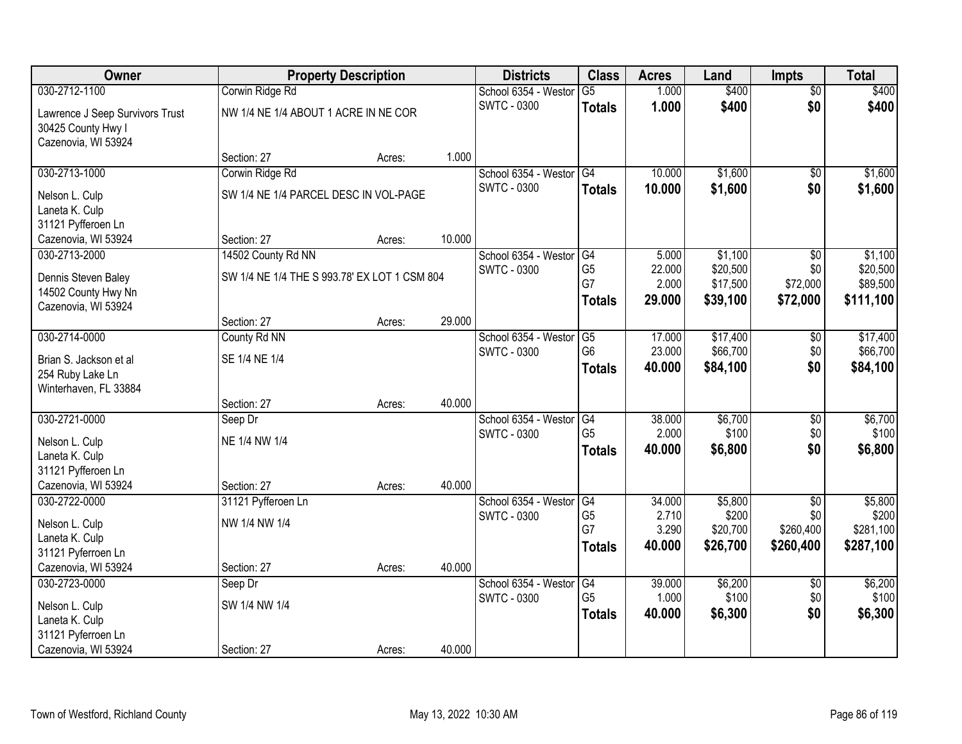| Owner                           |                                              | <b>Property Description</b> |        | <b>Districts</b>     | <b>Class</b>         | <b>Acres</b>    | Land                 | <b>Impts</b>     | <b>Total</b>         |
|---------------------------------|----------------------------------------------|-----------------------------|--------|----------------------|----------------------|-----------------|----------------------|------------------|----------------------|
| 030-2712-1100                   | Corwin Ridge Rd                              |                             |        | School 6354 - Weston | $\overline{G5}$      | 1.000           | \$400                | $\overline{50}$  | \$400                |
| Lawrence J Seep Survivors Trust | NW 1/4 NE 1/4 ABOUT 1 ACRE IN NE COR         |                             |        | <b>SWTC - 0300</b>   | <b>Totals</b>        | 1.000           | \$400                | \$0              | \$400                |
| 30425 County Hwy I              |                                              |                             |        |                      |                      |                 |                      |                  |                      |
| Cazenovia, WI 53924             |                                              |                             |        |                      |                      |                 |                      |                  |                      |
|                                 | Section: 27                                  | Acres:                      | 1.000  |                      |                      |                 |                      |                  |                      |
| 030-2713-1000                   | Corwin Ridge Rd                              |                             |        | School 6354 - Westor | G4                   | 10.000          | \$1,600              | \$0              | \$1,600              |
| Nelson L. Culp                  | SW 1/4 NE 1/4 PARCEL DESC IN VOL-PAGE        |                             |        | <b>SWTC - 0300</b>   | <b>Totals</b>        | 10.000          | \$1,600              | \$0              | \$1,600              |
| Laneta K. Culp                  |                                              |                             |        |                      |                      |                 |                      |                  |                      |
| 31121 Pyfferoen Ln              |                                              |                             |        |                      |                      |                 |                      |                  |                      |
| Cazenovia, WI 53924             | Section: 27                                  | Acres:                      | 10.000 |                      |                      |                 |                      |                  |                      |
| 030-2713-2000                   | 14502 County Rd NN                           |                             |        | School 6354 - Westor | G4                   | 5.000           | \$1,100              | \$0              | \$1,100              |
| Dennis Steven Baley             | SW 1/4 NE 1/4 THE S 993.78' EX LOT 1 CSM 804 |                             |        | <b>SWTC - 0300</b>   | G <sub>5</sub><br>G7 | 22.000<br>2.000 | \$20,500<br>\$17,500 | \$0<br>\$72,000  | \$20,500<br>\$89,500 |
| 14502 County Hwy Nn             |                                              |                             |        |                      |                      | 29.000          | \$39,100             | \$72,000         | \$111,100            |
| Cazenovia, WI 53924             |                                              |                             |        |                      | <b>Totals</b>        |                 |                      |                  |                      |
|                                 | Section: 27                                  | Acres:                      | 29.000 |                      |                      |                 |                      |                  |                      |
| 030-2714-0000                   | County Rd NN                                 |                             |        | School 6354 - Weston | G5                   | 17.000          | \$17,400             | \$0              | \$17,400             |
| Brian S. Jackson et al          | SE 1/4 NE 1/4                                |                             |        | <b>SWTC - 0300</b>   | G <sub>6</sub>       | 23.000          | \$66,700             | \$0              | \$66,700             |
| 254 Ruby Lake Ln                |                                              |                             |        |                      | <b>Totals</b>        | 40.000          | \$84,100             | \$0              | \$84,100             |
| Winterhaven, FL 33884           |                                              |                             |        |                      |                      |                 |                      |                  |                      |
|                                 | Section: 27                                  | Acres:                      | 40.000 |                      |                      |                 |                      |                  |                      |
| 030-2721-0000                   | Seep Dr                                      |                             |        | School 6354 - Weston | $\overline{G4}$      | 38.000          | \$6,700              | $\overline{50}$  | \$6,700              |
| Nelson L. Culp                  | NE 1/4 NW 1/4                                |                             |        | <b>SWTC - 0300</b>   | G <sub>5</sub>       | 2.000           | \$100                | \$0<br>\$0       | \$100                |
| Laneta K. Culp                  |                                              |                             |        |                      | <b>Totals</b>        | 40.000          | \$6,800              |                  | \$6,800              |
| 31121 Pyfferoen Ln              |                                              |                             |        |                      |                      |                 |                      |                  |                      |
| Cazenovia, WI 53924             | Section: 27                                  | Acres:                      | 40.000 |                      |                      |                 |                      |                  |                      |
| 030-2722-0000                   | 31121 Pyfferoen Ln                           |                             |        | School 6354 - Westor | G4                   | 34.000          | \$5,800              | $\sqrt{$0}$      | \$5,800              |
| Nelson L. Culp                  | NW 1/4 NW 1/4                                |                             |        | <b>SWTC - 0300</b>   | G <sub>5</sub><br>G7 | 2.710<br>3.290  | \$200<br>\$20,700    | \$0<br>\$260,400 | \$200<br>\$281,100   |
| Laneta K. Culp                  |                                              |                             |        |                      | <b>Totals</b>        | 40,000          | \$26,700             | \$260,400        | \$287,100            |
| 31121 Pyferroen Ln              |                                              |                             |        |                      |                      |                 |                      |                  |                      |
| Cazenovia, WI 53924             | Section: 27                                  | Acres:                      | 40.000 |                      |                      |                 |                      |                  |                      |
| 030-2723-0000                   | Seep Dr                                      |                             |        | School 6354 - Weston | G4                   | 39.000          | \$6,200              | $\overline{60}$  | \$6,200              |
| Nelson L. Culp                  | SW 1/4 NW 1/4                                |                             |        | <b>SWTC - 0300</b>   | G <sub>5</sub>       | 1.000           | \$100                | \$0<br>\$0       | \$100                |
| Laneta K. Culp                  |                                              |                             |        |                      | <b>Totals</b>        | 40.000          | \$6,300              |                  | \$6,300              |
| 31121 Pyferroen Ln              |                                              |                             |        |                      |                      |                 |                      |                  |                      |
| Cazenovia, WI 53924             | Section: 27                                  | Acres:                      | 40.000 |                      |                      |                 |                      |                  |                      |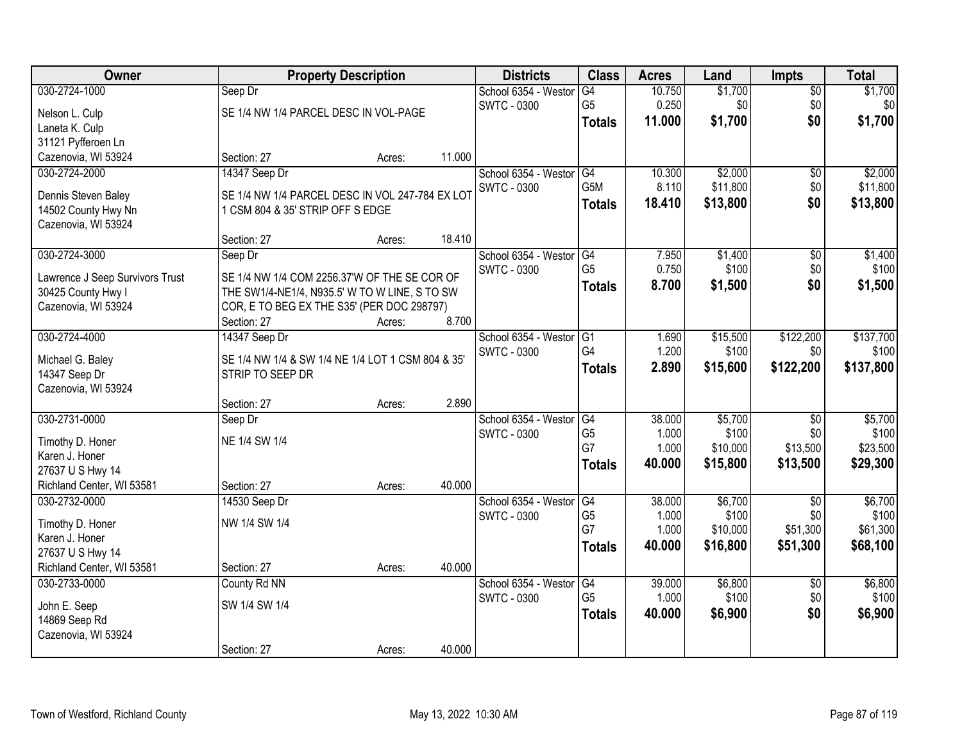| Owner                                |                                                   | <b>Property Description</b> |        | <b>Districts</b>     | <b>Class</b>         | <b>Acres</b>   | Land              | <b>Impts</b>    | <b>Total</b>      |
|--------------------------------------|---------------------------------------------------|-----------------------------|--------|----------------------|----------------------|----------------|-------------------|-----------------|-------------------|
| 030-2724-1000                        | Seep Dr                                           |                             |        | School 6354 - Westor | G4                   | 10.750         | \$1,700           | $\overline{50}$ | \$1,700           |
| Nelson L. Culp                       | SE 1/4 NW 1/4 PARCEL DESC IN VOL-PAGE             |                             |        | <b>SWTC - 0300</b>   | G <sub>5</sub>       | 0.250          | \$0               | \$0             | \$0               |
| Laneta K. Culp                       |                                                   |                             |        |                      | <b>Totals</b>        | 11.000         | \$1,700           | \$0             | \$1,700           |
| 31121 Pyfferoen Ln                   |                                                   |                             |        |                      |                      |                |                   |                 |                   |
| Cazenovia, WI 53924                  | Section: 27                                       | Acres:                      | 11.000 |                      |                      |                |                   |                 |                   |
| 030-2724-2000                        | 14347 Seep Dr                                     |                             |        | School 6354 - Westor | G4                   | 10.300         | \$2,000           | \$0             | \$2,000           |
| Dennis Steven Baley                  | SE 1/4 NW 1/4 PARCEL DESC IN VOL 247-784 EX LOT   |                             |        | <b>SWTC - 0300</b>   | G <sub>5</sub> M     | 8.110          | \$11,800          | \$0             | \$11,800          |
| 14502 County Hwy Nn                  | 1 CSM 804 & 35' STRIP OFF S EDGE                  |                             |        |                      | <b>Totals</b>        | 18.410         | \$13,800          | \$0             | \$13,800          |
| Cazenovia, WI 53924                  |                                                   |                             |        |                      |                      |                |                   |                 |                   |
|                                      | Section: 27                                       | Acres:                      | 18.410 |                      |                      |                |                   |                 |                   |
| 030-2724-3000                        | Seep Dr                                           |                             |        | School 6354 - Westor | G4                   | 7.950          | \$1,400           | $\overline{50}$ | \$1,400           |
| Lawrence J Seep Survivors Trust      | SE 1/4 NW 1/4 COM 2256.37'W OF THE SE COR OF      |                             |        | <b>SWTC - 0300</b>   | G <sub>5</sub>       | 0.750          | \$100             | \$0             | \$100             |
| 30425 County Hwy I                   | THE SW1/4-NE1/4, N935.5' W TO W LINE, S TO SW     |                             |        |                      | <b>Totals</b>        | 8.700          | \$1,500           | \$0             | \$1,500           |
| Cazenovia, WI 53924                  | COR, E TO BEG EX THE S35' (PER DOC 298797)        |                             |        |                      |                      |                |                   |                 |                   |
|                                      | Section: 27                                       | Acres:                      | 8.700  |                      |                      |                |                   |                 |                   |
| 030-2724-4000                        | 14347 Seep Dr                                     |                             |        | School 6354 - Westor | G1                   | 1.690          | \$15,500          | \$122,200       | \$137,700         |
|                                      |                                                   |                             |        | <b>SWTC - 0300</b>   | G4                   | 1.200          | \$100             | \$0             | \$100             |
| Michael G. Baley                     | SE 1/4 NW 1/4 & SW 1/4 NE 1/4 LOT 1 CSM 804 & 35' |                             |        |                      | <b>Totals</b>        | 2.890          | \$15,600          | \$122,200       | \$137,800         |
| 14347 Seep Dr<br>Cazenovia, WI 53924 | STRIP TO SEEP DR                                  |                             |        |                      |                      |                |                   |                 |                   |
|                                      | Section: 27                                       | Acres:                      | 2.890  |                      |                      |                |                   |                 |                   |
| 030-2731-0000                        | Seep Dr                                           |                             |        | School 6354 - Westor | G4                   | 38.000         | \$5,700           | $\overline{50}$ | \$5,700           |
|                                      |                                                   |                             |        | <b>SWTC - 0300</b>   | G <sub>5</sub>       | 1.000          | \$100             | \$0             | \$100             |
| Timothy D. Honer                     | NE 1/4 SW 1/4                                     |                             |        |                      | G7                   | 1.000          | \$10,000          | \$13,500        | \$23,500          |
| Karen J. Honer                       |                                                   |                             |        |                      | <b>Totals</b>        | 40.000         | \$15,800          | \$13,500        | \$29,300          |
| 27637 U S Hwy 14                     |                                                   |                             |        |                      |                      |                |                   |                 |                   |
| Richland Center, WI 53581            | Section: 27                                       | Acres:                      | 40.000 |                      |                      |                |                   |                 |                   |
| 030-2732-0000                        | 14530 Seep Dr                                     |                             |        | School 6354 - Westor | G4                   | 38.000         | \$6,700           | $\sqrt{6}$      | \$6,700           |
| Timothy D. Honer                     | NW 1/4 SW 1/4                                     |                             |        | <b>SWTC - 0300</b>   | G <sub>5</sub><br>G7 | 1.000<br>1.000 | \$100<br>\$10,000 | \$0<br>\$51,300 | \$100<br>\$61,300 |
| Karen J. Honer                       |                                                   |                             |        |                      |                      | 40.000         |                   |                 |                   |
| 27637 U S Hwy 14                     |                                                   |                             |        |                      | <b>Totals</b>        |                | \$16,800          | \$51,300        | \$68,100          |
| Richland Center, WI 53581            | Section: 27                                       | Acres:                      | 40.000 |                      |                      |                |                   |                 |                   |
| 030-2733-0000                        | County Rd NN                                      |                             |        | School 6354 - Westor | G4                   | 39.000         | \$6,800           | $\overline{30}$ | \$6,800           |
| John E. Seep                         | SW 1/4 SW 1/4                                     |                             |        | <b>SWTC - 0300</b>   | G <sub>5</sub>       | 1.000          | \$100             | \$0             | \$100             |
| 14869 Seep Rd                        |                                                   |                             |        |                      | <b>Totals</b>        | 40.000         | \$6,900           | \$0             | \$6,900           |
| Cazenovia, WI 53924                  |                                                   |                             |        |                      |                      |                |                   |                 |                   |
|                                      | Section: 27                                       | Acres:                      | 40.000 |                      |                      |                |                   |                 |                   |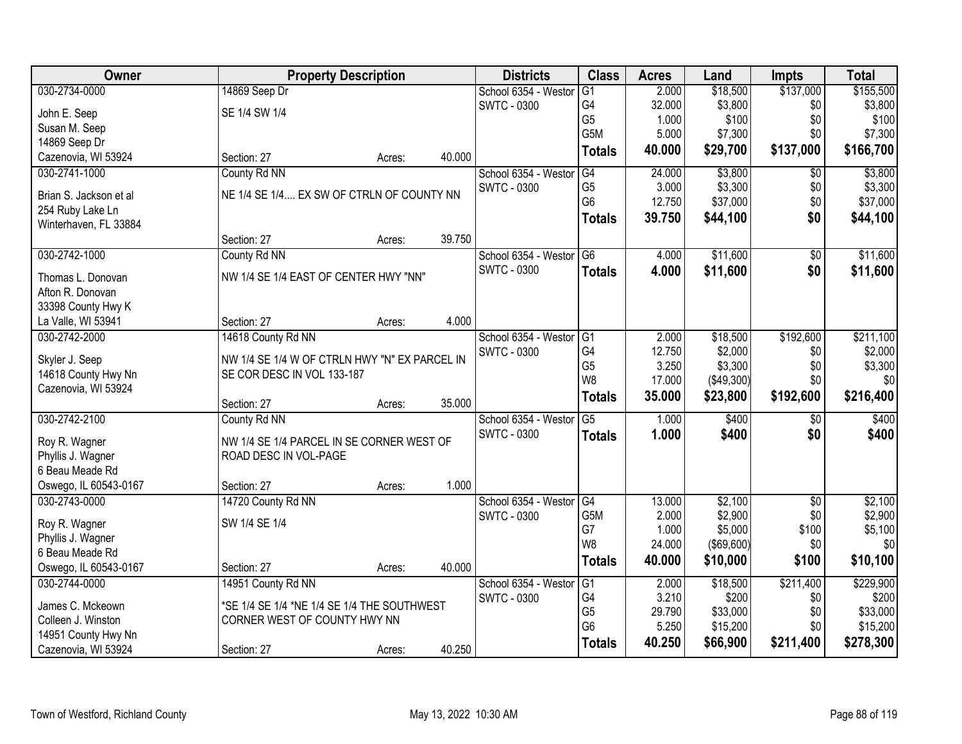| Owner                  | <b>Property Description</b>                   |        |        | <b>Districts</b>     | <b>Class</b>    | <b>Acres</b>   | Land               | <b>Impts</b>    | <b>Total</b>   |
|------------------------|-----------------------------------------------|--------|--------|----------------------|-----------------|----------------|--------------------|-----------------|----------------|
| 030-2734-0000          | 14869 Seep Dr                                 |        |        | School 6354 - Weston | $\overline{G1}$ | 2.000          | \$18,500           | \$137,000       | \$155,500      |
| John E. Seep           | SE 1/4 SW 1/4                                 |        |        | <b>SWTC - 0300</b>   | G4              | 32.000         | \$3,800            | \$0             | \$3,800        |
| Susan M. Seep          |                                               |        |        |                      | G <sub>5</sub>  | 1.000          | \$100              | \$0             | \$100          |
| 14869 Seep Dr          |                                               |        |        |                      | G5M             | 5.000          | \$7,300            | \$0             | \$7,300        |
| Cazenovia, WI 53924    | Section: 27                                   | Acres: | 40.000 |                      | <b>Totals</b>   | 40.000         | \$29,700           | \$137,000       | \$166,700      |
| 030-2741-1000          | County Rd NN                                  |        |        | School 6354 - Weston | G4              | 24.000         | \$3,800            | $\overline{50}$ | \$3,800        |
|                        |                                               |        |        | <b>SWTC - 0300</b>   | G <sub>5</sub>  | 3.000          | \$3,300            | \$0             | \$3,300        |
| Brian S. Jackson et al | NE 1/4 SE 1/4 EX SW OF CTRLN OF COUNTY NN     |        |        |                      | G <sub>6</sub>  | 12.750         | \$37,000           | \$0             | \$37,000       |
| 254 Ruby Lake Ln       |                                               |        |        |                      | <b>Totals</b>   | 39.750         | \$44,100           | \$0             | \$44,100       |
| Winterhaven, FL 33884  | Section: 27                                   |        | 39.750 |                      |                 |                |                    |                 |                |
| 030-2742-1000          | County Rd NN                                  | Acres: |        | School 6354 - Westor | G <sub>6</sub>  | 4.000          | \$11,600           | $\sqrt[6]{3}$   | \$11,600       |
|                        |                                               |        |        | <b>SWTC - 0300</b>   |                 |                |                    |                 |                |
| Thomas L. Donovan      | NW 1/4 SE 1/4 EAST OF CENTER HWY "NN"         |        |        |                      | <b>Totals</b>   | 4.000          | \$11,600           | \$0             | \$11,600       |
| Afton R. Donovan       |                                               |        |        |                      |                 |                |                    |                 |                |
| 33398 County Hwy K     |                                               |        |        |                      |                 |                |                    |                 |                |
| La Valle, WI 53941     | Section: 27                                   | Acres: | 4.000  |                      |                 |                |                    |                 |                |
| 030-2742-2000          | 14618 County Rd NN                            |        |        | School 6354 - Weston | G <sub>1</sub>  | 2.000          | \$18,500           | \$192,600       | \$211,100      |
| Skyler J. Seep         | NW 1/4 SE 1/4 W OF CTRLN HWY "N" EX PARCEL IN |        |        | <b>SWTC - 0300</b>   | G4              | 12.750         | \$2,000            | \$0             | \$2,000        |
| 14618 County Hwy Nn    | SE COR DESC IN VOL 133-187                    |        |        |                      | G <sub>5</sub>  | 3.250          | \$3,300            | \$0             | \$3,300        |
| Cazenovia, WI 53924    |                                               |        |        |                      | W <sub>8</sub>  | 17.000         | (\$49,300)         | \$0             | \$0            |
|                        | Section: 27                                   | Acres: | 35.000 |                      | <b>Totals</b>   | 35.000         | \$23,800           | \$192,600       | \$216,400      |
| 030-2742-2100          | County Rd NN                                  |        |        | School 6354 - Weston | $\overline{G5}$ | 1.000          | \$400              | \$0             | \$400          |
|                        |                                               |        |        | <b>SWTC - 0300</b>   | <b>Totals</b>   | 1.000          | \$400              | \$0             | \$400          |
| Roy R. Wagner          | NW 1/4 SE 1/4 PARCEL IN SE CORNER WEST OF     |        |        |                      |                 |                |                    |                 |                |
| Phyllis J. Wagner      | ROAD DESC IN VOL-PAGE                         |        |        |                      |                 |                |                    |                 |                |
| 6 Beau Meade Rd        |                                               |        |        |                      |                 |                |                    |                 |                |
| Oswego, IL 60543-0167  | Section: 27                                   | Acres: | 1.000  |                      |                 |                |                    |                 |                |
| 030-2743-0000          | 14720 County Rd NN                            |        |        | School 6354 - Westor | G4              | 13.000         | \$2,100            | $\overline{50}$ | \$2,100        |
| Roy R. Wagner          | SW 1/4 SE 1/4                                 |        |        | <b>SWTC - 0300</b>   | G5M<br>G7       | 2.000<br>1.000 | \$2,900<br>\$5,000 | \$0             | \$2,900        |
| Phyllis J. Wagner      |                                               |        |        |                      | W8              | 24.000         | $($ \$69,600) $ $  | \$100<br>\$0    | \$5,100<br>\$0 |
| 6 Beau Meade Rd        |                                               |        |        |                      |                 |                |                    |                 |                |
| Oswego, IL 60543-0167  | Section: 27                                   | Acres: | 40.000 |                      | <b>Totals</b>   | 40.000         | \$10,000           | \$100           | \$10,100       |
| 030-2744-0000          | 14951 County Rd NN                            |        |        | School 6354 - Weston | G1              | 2.000          | \$18,500           | \$211,400       | \$229,900      |
| James C. Mckeown       | *SE 1/4 SE 1/4 *NE 1/4 SE 1/4 THE SOUTHWEST   |        |        | <b>SWTC - 0300</b>   | G4              | 3.210          | \$200              | \$0             | \$200          |
| Colleen J. Winston     | CORNER WEST OF COUNTY HWY NN                  |        |        |                      | G <sub>5</sub>  | 29.790         | \$33,000           | \$0             | \$33,000       |
| 14951 County Hwy Nn    |                                               |        |        |                      | G <sub>6</sub>  | 5.250          | \$15,200           | \$0             | \$15,200       |
| Cazenovia, WI 53924    |                                               |        |        |                      | <b>Totals</b>   | 40.250         | \$66,900           | \$211,400       | \$278,300      |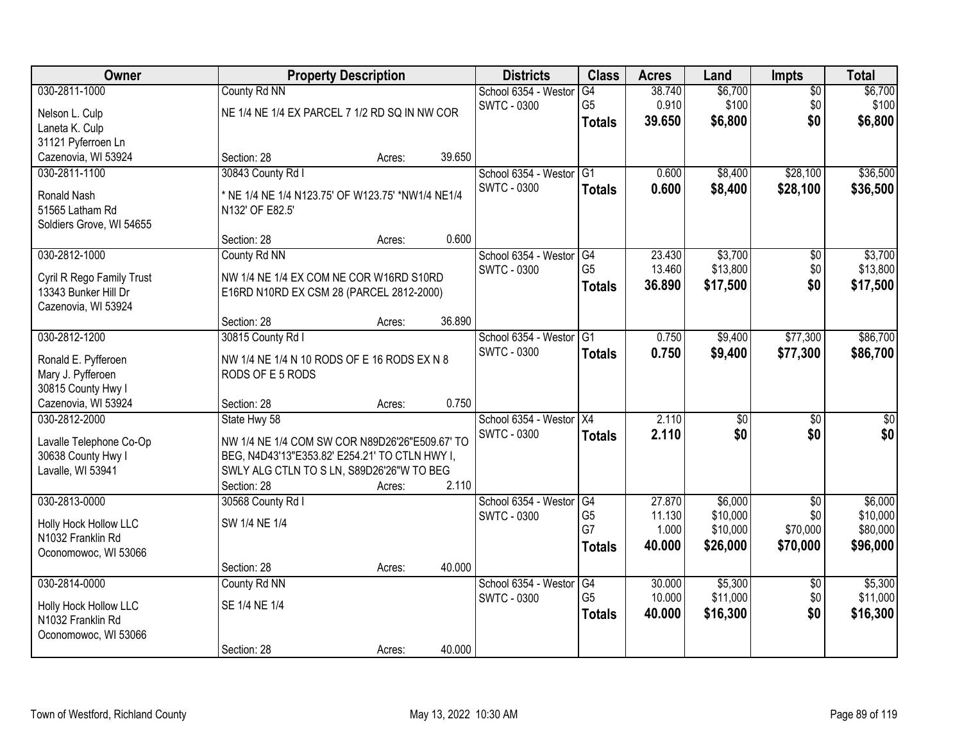| Owner                                             |                                                                                             | <b>Property Description</b> |        | <b>Districts</b>                           | <b>Class</b>    | <b>Acres</b> | Land                | <b>Impts</b>           | <b>Total</b>     |
|---------------------------------------------------|---------------------------------------------------------------------------------------------|-----------------------------|--------|--------------------------------------------|-----------------|--------------|---------------------|------------------------|------------------|
| 030-2811-1000                                     | County Rd NN                                                                                |                             |        | School 6354 - Weston                       | G4              | 38.740       | \$6,700             | $\overline{50}$        | \$6,700          |
| Nelson L. Culp                                    | NE 1/4 NE 1/4 EX PARCEL 7 1/2 RD SQ IN NW COR                                               |                             |        | <b>SWTC - 0300</b>                         | G <sub>5</sub>  | 0.910        | \$100               | \$0                    | \$100            |
| Laneta K. Culp                                    |                                                                                             |                             |        |                                            | <b>Totals</b>   | 39.650       | \$6,800             | \$0                    | \$6,800          |
| 31121 Pyferroen Ln                                |                                                                                             |                             |        |                                            |                 |              |                     |                        |                  |
| Cazenovia, WI 53924                               | Section: 28                                                                                 | Acres:                      | 39.650 |                                            |                 |              |                     |                        |                  |
| 030-2811-1100                                     | 30843 County Rd I                                                                           |                             |        | School 6354 - Westor                       | $\overline{G1}$ | 0.600        | \$8,400             | \$28,100               | \$36,500         |
| Ronald Nash                                       | * NE 1/4 NE 1/4 N123.75' OF W123.75' *NW1/4 NE1/4                                           |                             |        | <b>SWTC - 0300</b>                         | <b>Totals</b>   | 0.600        | \$8,400             | \$28,100               | \$36,500         |
| 51565 Latham Rd                                   | N132' OF E82.5'                                                                             |                             |        |                                            |                 |              |                     |                        |                  |
| Soldiers Grove, WI 54655                          |                                                                                             |                             |        |                                            |                 |              |                     |                        |                  |
|                                                   | Section: 28                                                                                 | Acres:                      | 0.600  |                                            |                 |              |                     |                        |                  |
| 030-2812-1000                                     | County Rd NN                                                                                |                             |        | School 6354 - Westor                       | G4              | 23.430       | \$3,700             | \$0                    | \$3,700          |
|                                                   | NW 1/4 NE 1/4 EX COM NE COR W16RD S10RD                                                     |                             |        | <b>SWTC - 0300</b>                         | G <sub>5</sub>  | 13.460       | \$13,800            | \$0                    | \$13,800         |
| Cyril R Rego Family Trust<br>13343 Bunker Hill Dr | E16RD N10RD EX CSM 28 (PARCEL 2812-2000)                                                    |                             |        |                                            | <b>Totals</b>   | 36.890       | \$17,500            | \$0                    | \$17,500         |
| Cazenovia, WI 53924                               |                                                                                             |                             |        |                                            |                 |              |                     |                        |                  |
|                                                   | Section: 28                                                                                 | Acres:                      | 36.890 |                                            |                 |              |                     |                        |                  |
| 030-2812-1200                                     | 30815 County Rd I                                                                           |                             |        | School 6354 - Weston                       | G1              | 0.750        | \$9,400             | \$77,300               | \$86,700         |
|                                                   |                                                                                             |                             |        | <b>SWTC - 0300</b>                         | <b>Totals</b>   | 0.750        | \$9,400             | \$77,300               | \$86,700         |
| Ronald E. Pyfferoen<br>Mary J. Pyfferoen          | NW 1/4 NE 1/4 N 10 RODS OF E 16 RODS EX N 8<br>RODS OF E 5 RODS                             |                             |        |                                            |                 |              |                     |                        |                  |
| 30815 County Hwy I                                |                                                                                             |                             |        |                                            |                 |              |                     |                        |                  |
| Cazenovia, WI 53924                               | Section: 28                                                                                 | Acres:                      | 0.750  |                                            |                 |              |                     |                        |                  |
| 030-2812-2000                                     | State Hwy 58                                                                                |                             |        | School 6354 - Weston                       | X4              | 2.110        | $\overline{50}$     | $\overline{30}$        | $\overline{\$0}$ |
|                                                   |                                                                                             |                             |        | <b>SWTC - 0300</b>                         | <b>Totals</b>   | 2.110        | \$0                 | \$0                    | \$0              |
| Lavalle Telephone Co-Op                           | NW 1/4 NE 1/4 COM SW COR N89D26'26"E509.67' TO                                              |                             |        |                                            |                 |              |                     |                        |                  |
| 30638 County Hwy I<br>Lavalle, WI 53941           | BEG, N4D43'13"E353.82' E254.21' TO CTLN HWY I,<br>SWLY ALG CTLN TO S LN, S89D26'26"W TO BEG |                             |        |                                            |                 |              |                     |                        |                  |
|                                                   | Section: 28                                                                                 | Acres:                      | 2.110  |                                            |                 |              |                     |                        |                  |
| 030-2813-0000                                     | 30568 County Rd I                                                                           |                             |        | School 6354 - Westor                       | G4              | 27.870       | \$6,000             | $\overline{50}$        | \$6,000          |
|                                                   |                                                                                             |                             |        | <b>SWTC - 0300</b>                         | G <sub>5</sub>  | 11.130       | \$10,000            | \$0                    | \$10,000         |
| Holly Hock Hollow LLC                             | SW 1/4 NE 1/4                                                                               |                             |        |                                            | G7              | 1.000        | \$10,000            | \$70,000               | \$80,000         |
| N1032 Franklin Rd                                 |                                                                                             |                             |        |                                            | <b>Totals</b>   | 40.000       | \$26,000            | \$70,000               | \$96,000         |
| Oconomowoc, WI 53066                              |                                                                                             |                             | 40.000 |                                            |                 |              |                     |                        |                  |
| 030-2814-0000                                     | Section: 28                                                                                 | Acres:                      |        |                                            | G4              | 30.000       |                     |                        | \$5,300          |
|                                                   | County Rd NN                                                                                |                             |        | School 6354 - Weston<br><b>SWTC - 0300</b> | G <sub>5</sub>  | 10.000       | \$5,300<br>\$11,000 | $\overline{50}$<br>\$0 | \$11,000         |
| Holly Hock Hollow LLC                             | SE 1/4 NE 1/4                                                                               |                             |        |                                            | <b>Totals</b>   | 40.000       | \$16,300            | \$0                    | \$16,300         |
| N1032 Franklin Rd                                 |                                                                                             |                             |        |                                            |                 |              |                     |                        |                  |
| Oconomowoc, WI 53066                              |                                                                                             |                             |        |                                            |                 |              |                     |                        |                  |
|                                                   | Section: 28                                                                                 | Acres:                      | 40.000 |                                            |                 |              |                     |                        |                  |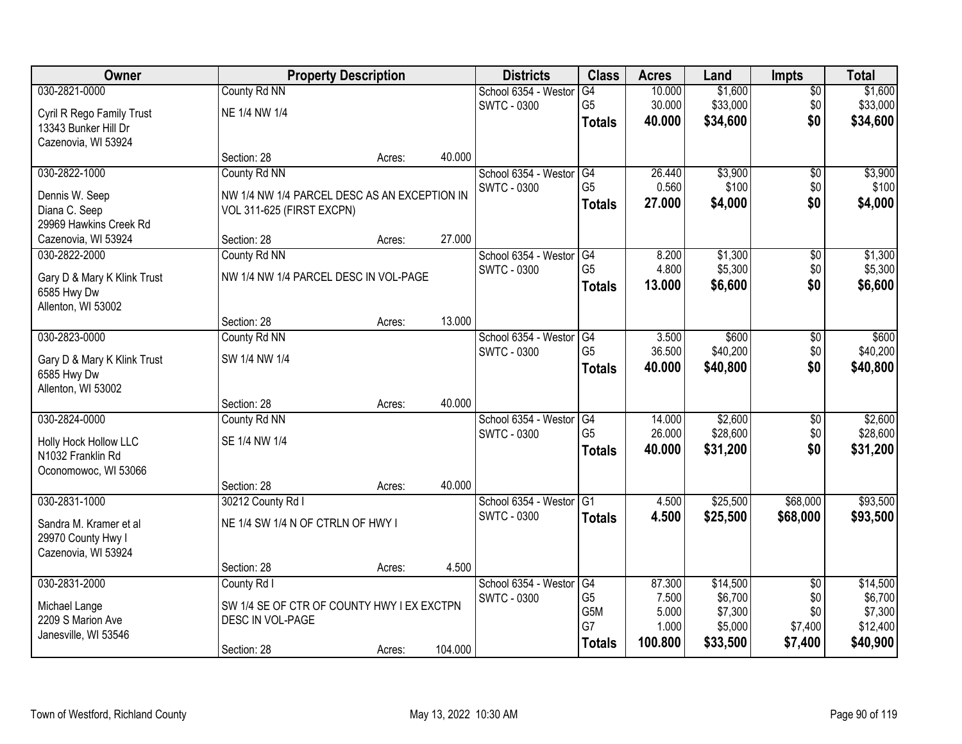| Owner                                      |                                                                | <b>Property Description</b> |         | <b>Districts</b>     | <b>Class</b>   | <b>Acres</b> | Land     | <b>Impts</b>    | <b>Total</b> |
|--------------------------------------------|----------------------------------------------------------------|-----------------------------|---------|----------------------|----------------|--------------|----------|-----------------|--------------|
| 030-2821-0000                              | County Rd NN                                                   |                             |         | School 6354 - Weston | G4             | 10.000       | \$1,600  | $\overline{50}$ | \$1,600      |
| Cyril R Rego Family Trust                  | NE 1/4 NW 1/4                                                  |                             |         | <b>SWTC - 0300</b>   | G <sub>5</sub> | 30.000       | \$33,000 | \$0             | \$33,000     |
| 13343 Bunker Hill Dr                       |                                                                |                             |         |                      | <b>Totals</b>  | 40.000       | \$34,600 | \$0             | \$34,600     |
| Cazenovia, WI 53924                        |                                                                |                             |         |                      |                |              |          |                 |              |
|                                            | Section: 28                                                    | Acres:                      | 40.000  |                      |                |              |          |                 |              |
| 030-2822-1000                              | County Rd NN                                                   |                             |         | School 6354 - Weston | G4             | 26.440       | \$3,900  | $\overline{50}$ | \$3,900      |
| Dennis W. Seep                             | NW 1/4 NW 1/4 PARCEL DESC AS AN EXCEPTION IN                   |                             |         | <b>SWTC - 0300</b>   | G <sub>5</sub> | 0.560        | \$100    | \$0             | \$100        |
| Diana C. Seep                              | VOL 311-625 (FIRST EXCPN)                                      |                             |         |                      | <b>Totals</b>  | 27.000       | \$4,000  | \$0             | \$4,000      |
| 29969 Hawkins Creek Rd                     |                                                                |                             |         |                      |                |              |          |                 |              |
| Cazenovia, WI 53924                        | Section: 28                                                    | Acres:                      | 27.000  |                      |                |              |          |                 |              |
| 030-2822-2000                              | County Rd NN                                                   |                             |         | School 6354 - Westor | G4             | 8.200        | \$1,300  | \$0             | \$1,300      |
|                                            | NW 1/4 NW 1/4 PARCEL DESC IN VOL-PAGE                          |                             |         | <b>SWTC - 0300</b>   | G <sub>5</sub> | 4.800        | \$5,300  | \$0             | \$5,300      |
| Gary D & Mary K Klink Trust<br>6585 Hwy Dw |                                                                |                             |         |                      | <b>Totals</b>  | 13.000       | \$6,600  | \$0             | \$6,600      |
| Allenton, WI 53002                         |                                                                |                             |         |                      |                |              |          |                 |              |
|                                            | Section: 28                                                    | Acres:                      | 13.000  |                      |                |              |          |                 |              |
| 030-2823-0000                              | County Rd NN                                                   |                             |         | School 6354 - Weston | G4             | 3.500        | \$600    | $\sqrt[6]{3}$   | \$600        |
|                                            | SW 1/4 NW 1/4                                                  |                             |         | <b>SWTC - 0300</b>   | G <sub>5</sub> | 36.500       | \$40,200 | \$0             | \$40,200     |
| Gary D & Mary K Klink Trust<br>6585 Hwy Dw |                                                                |                             |         |                      | <b>Totals</b>  | 40.000       | \$40,800 | \$0             | \$40,800     |
| Allenton, WI 53002                         |                                                                |                             |         |                      |                |              |          |                 |              |
|                                            | Section: 28                                                    | Acres:                      | 40.000  |                      |                |              |          |                 |              |
| 030-2824-0000                              | County Rd NN                                                   |                             |         | School 6354 - Weston | G4             | 14.000       | \$2,600  | \$0             | \$2,600      |
|                                            | SE 1/4 NW 1/4                                                  |                             |         | <b>SWTC - 0300</b>   | G <sub>5</sub> | 26.000       | \$28,600 | \$0             | \$28,600     |
| Holly Hock Hollow LLC<br>N1032 Franklin Rd |                                                                |                             |         |                      | <b>Totals</b>  | 40.000       | \$31,200 | \$0             | \$31,200     |
| Oconomowoc, WI 53066                       |                                                                |                             |         |                      |                |              |          |                 |              |
|                                            | Section: 28                                                    | Acres:                      | 40.000  |                      |                |              |          |                 |              |
| 030-2831-1000                              | 30212 County Rd I                                              |                             |         | School 6354 - Westor | G <sub>1</sub> | 4.500        | \$25,500 | \$68,000        | \$93,500     |
| Sandra M. Kramer et al                     | NE 1/4 SW 1/4 N OF CTRLN OF HWY I                              |                             |         | <b>SWTC - 0300</b>   | <b>Totals</b>  | 4.500        | \$25,500 | \$68,000        | \$93,500     |
| 29970 County Hwy I                         |                                                                |                             |         |                      |                |              |          |                 |              |
| Cazenovia, WI 53924                        |                                                                |                             |         |                      |                |              |          |                 |              |
|                                            | Section: 28                                                    | Acres:                      | 4.500   |                      |                |              |          |                 |              |
| 030-2831-2000                              | County Rd I                                                    |                             |         | School 6354 - Weston | G4             | 87.300       | \$14,500 | $\overline{50}$ | \$14,500     |
|                                            |                                                                |                             |         | <b>SWTC - 0300</b>   | G <sub>5</sub> | 7.500        | \$6,700  | \$0             | \$6,700      |
| Michael Lange<br>2209 S Marion Ave         | SW 1/4 SE OF CTR OF COUNTY HWY I EX EXCTPN<br>DESC IN VOL-PAGE |                             |         |                      | G5M            | 5.000        | \$7,300  | \$0             | \$7,300      |
| Janesville, WI 53546                       |                                                                |                             |         |                      | G7             | 1.000        | \$5,000  | \$7,400         | \$12,400     |
|                                            | Section: 28                                                    | Acres:                      | 104.000 |                      | <b>Totals</b>  | 100.800      | \$33,500 | \$7,400         | \$40,900     |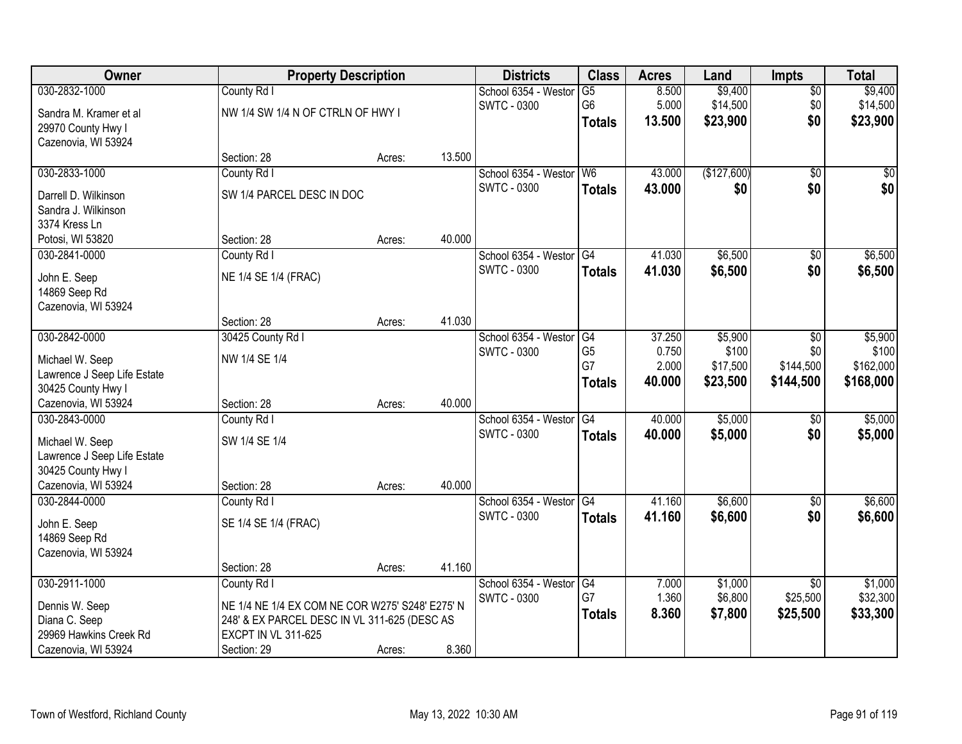| Owner                       | <b>Property Description</b>                     |        |        | <b>Districts</b>     | <b>Class</b>    | <b>Acres</b> | Land        | <b>Impts</b>    | <b>Total</b> |
|-----------------------------|-------------------------------------------------|--------|--------|----------------------|-----------------|--------------|-------------|-----------------|--------------|
| 030-2832-1000               | County Rd I                                     |        |        | School 6354 - Weston | $\overline{G5}$ | 8.500        | \$9,400     | \$0             | \$9,400      |
| Sandra M. Kramer et al      | NW 1/4 SW 1/4 N OF CTRLN OF HWY I               |        |        | <b>SWTC - 0300</b>   | G6              | 5.000        | \$14,500    | \$0             | \$14,500     |
| 29970 County Hwy I          |                                                 |        |        |                      | <b>Totals</b>   | 13.500       | \$23,900    | \$0             | \$23,900     |
| Cazenovia, WI 53924         |                                                 |        |        |                      |                 |              |             |                 |              |
|                             | Section: 28                                     | Acres: | 13.500 |                      |                 |              |             |                 |              |
| 030-2833-1000               | County Rd I                                     |        |        | School 6354 - Westor | W <sub>6</sub>  | 43.000       | (\$127,600) | $\overline{50}$ | \$0          |
| Darrell D. Wilkinson        | SW 1/4 PARCEL DESC IN DOC                       |        |        | <b>SWTC - 0300</b>   | <b>Totals</b>   | 43.000       | \$0         | \$0             | \$0          |
| Sandra J. Wilkinson         |                                                 |        |        |                      |                 |              |             |                 |              |
| 3374 Kress Ln               |                                                 |        |        |                      |                 |              |             |                 |              |
| Potosi, WI 53820            | Section: 28                                     | Acres: | 40.000 |                      |                 |              |             |                 |              |
| 030-2841-0000               | County Rd I                                     |        |        | School 6354 - Westor | G4              | 41.030       | \$6,500     | $\sqrt[6]{3}$   | \$6,500      |
| John E. Seep                | NE 1/4 SE 1/4 (FRAC)                            |        |        | <b>SWTC - 0300</b>   | <b>Totals</b>   | 41.030       | \$6,500     | \$0             | \$6,500      |
| 14869 Seep Rd               |                                                 |        |        |                      |                 |              |             |                 |              |
| Cazenovia, WI 53924         |                                                 |        |        |                      |                 |              |             |                 |              |
|                             | Section: 28                                     | Acres: | 41.030 |                      |                 |              |             |                 |              |
| 030-2842-0000               | 30425 County Rd I                               |        |        | School 6354 - Weston | G4              | 37.250       | \$5,900     | \$0             | \$5,900      |
| Michael W. Seep             | NW 1/4 SE 1/4                                   |        |        | <b>SWTC - 0300</b>   | G <sub>5</sub>  | 0.750        | \$100       | \$0             | \$100        |
| Lawrence J Seep Life Estate |                                                 |        |        |                      | G7              | 2.000        | \$17,500    | \$144,500       | \$162,000    |
| 30425 County Hwy I          |                                                 |        |        |                      | <b>Totals</b>   | 40.000       | \$23,500    | \$144,500       | \$168,000    |
| Cazenovia, WI 53924         | Section: 28                                     | Acres: | 40.000 |                      |                 |              |             |                 |              |
| 030-2843-0000               | County Rd I                                     |        |        | School 6354 - Westor | $\overline{G4}$ | 40.000       | \$5,000     | $\overline{60}$ | \$5,000      |
| Michael W. Seep             | SW 1/4 SE 1/4                                   |        |        | <b>SWTC - 0300</b>   | <b>Totals</b>   | 40.000       | \$5,000     | \$0             | \$5,000      |
| Lawrence J Seep Life Estate |                                                 |        |        |                      |                 |              |             |                 |              |
| 30425 County Hwy I          |                                                 |        |        |                      |                 |              |             |                 |              |
| Cazenovia, WI 53924         | Section: 28                                     | Acres: | 40.000 |                      |                 |              |             |                 |              |
| 030-2844-0000               | County Rd I                                     |        |        | School 6354 - Westor | $\overline{G4}$ | 41.160       | \$6,600     | \$0             | \$6,600      |
| John E. Seep                | SE 1/4 SE 1/4 (FRAC)                            |        |        | <b>SWTC - 0300</b>   | <b>Totals</b>   | 41.160       | \$6,600     | \$0             | \$6,600      |
| 14869 Seep Rd               |                                                 |        |        |                      |                 |              |             |                 |              |
| Cazenovia, WI 53924         |                                                 |        |        |                      |                 |              |             |                 |              |
|                             | Section: 28                                     | Acres: | 41.160 |                      |                 |              |             |                 |              |
| 030-2911-1000               | County Rd I                                     |        |        | School 6354 - Weston | G4              | 7.000        | \$1,000     | $\overline{30}$ | \$1,000      |
| Dennis W. Seep              | NE 1/4 NE 1/4 EX COM NE COR W275' S248' E275' N |        |        | <b>SWTC - 0300</b>   | G7              | 1.360        | \$6,800     | \$25,500        | \$32,300     |
| Diana C. Seep               | 248' & EX PARCEL DESC IN VL 311-625 (DESC AS    |        |        |                      | <b>Totals</b>   | 8.360        | \$7,800     | \$25,500        | \$33,300     |
| 29969 Hawkins Creek Rd      | <b>EXCPT IN VL 311-625</b>                      |        |        |                      |                 |              |             |                 |              |
| Cazenovia, WI 53924         | Section: 29                                     | Acres: | 8.360  |                      |                 |              |             |                 |              |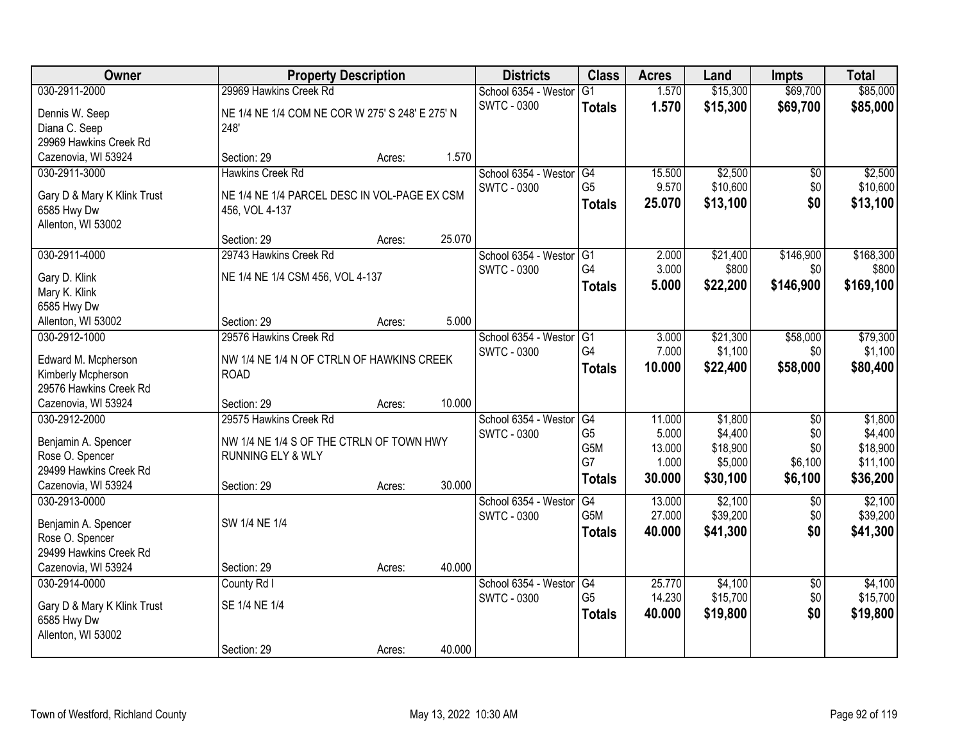| Owner                                        | <b>Property Description</b>                              |        |        | <b>Districts</b>        | <b>Class</b>   | <b>Acres</b> | Land     | <b>Impts</b>    | <b>Total</b> |
|----------------------------------------------|----------------------------------------------------------|--------|--------|-------------------------|----------------|--------------|----------|-----------------|--------------|
| 030-2911-2000                                | 29969 Hawkins Creek Rd                                   |        |        | School 6354 - Westor    | G1             | 1.570        | \$15,300 | \$69,700        | \$85,000     |
| Dennis W. Seep                               | NE 1/4 NE 1/4 COM NE COR W 275' S 248' E 275' N          |        |        | <b>SWTC - 0300</b>      | <b>Totals</b>  | 1.570        | \$15,300 | \$69,700        | \$85,000     |
| Diana C. Seep                                | 248'                                                     |        |        |                         |                |              |          |                 |              |
| 29969 Hawkins Creek Rd                       |                                                          |        |        |                         |                |              |          |                 |              |
| Cazenovia, WI 53924                          | Section: 29                                              | Acres: | 1.570  |                         |                |              |          |                 |              |
| 030-2911-3000                                | <b>Hawkins Creek Rd</b>                                  |        |        | School 6354 - Westor    | G4             | 15.500       | \$2,500  | \$0             | \$2,500      |
|                                              |                                                          |        |        | <b>SWTC - 0300</b>      | G <sub>5</sub> | 9.570        | \$10,600 | \$0             | \$10,600     |
| Gary D & Mary K Klink Trust                  | NE 1/4 NE 1/4 PARCEL DESC IN VOL-PAGE EX CSM             |        |        |                         | <b>Totals</b>  | 25.070       | \$13,100 | \$0             | \$13,100     |
| 6585 Hwy Dw                                  | 456, VOL 4-137                                           |        |        |                         |                |              |          |                 |              |
| Allenton, WI 53002                           |                                                          |        |        |                         |                |              |          |                 |              |
|                                              | Section: 29                                              | Acres: | 25.070 |                         |                |              |          |                 |              |
| 030-2911-4000                                | 29743 Hawkins Creek Rd                                   |        |        | School 6354 - Westor G1 |                | 2.000        | \$21,400 | \$146,900       | \$168,300    |
| Gary D. Klink                                | NE 1/4 NE 1/4 CSM 456, VOL 4-137                         |        |        | <b>SWTC - 0300</b>      | G4             | 3.000        | \$800    | \$0             | \$800        |
| Mary K. Klink                                |                                                          |        |        |                         | <b>Totals</b>  | 5.000        | \$22,200 | \$146,900       | \$169,100    |
| 6585 Hwy Dw                                  |                                                          |        |        |                         |                |              |          |                 |              |
| Allenton, WI 53002                           | Section: 29                                              | Acres: | 5.000  |                         |                |              |          |                 |              |
| 030-2912-1000                                | 29576 Hawkins Creek Rd                                   |        |        | School 6354 - Westor    | G1             | 3.000        | \$21,300 | \$58,000        | \$79,300     |
|                                              |                                                          |        |        | <b>SWTC - 0300</b>      | G4             | 7.000        | \$1,100  | \$0             | \$1,100      |
| Edward M. Mcpherson                          | NW 1/4 NE 1/4 N OF CTRLN OF HAWKINS CREEK<br><b>ROAD</b> |        |        |                         | <b>Totals</b>  | 10.000       | \$22,400 | \$58,000        | \$80,400     |
| Kimberly Mcpherson<br>29576 Hawkins Creek Rd |                                                          |        |        |                         |                |              |          |                 |              |
| Cazenovia, WI 53924                          | Section: 29                                              | Acres: | 10.000 |                         |                |              |          |                 |              |
| 030-2912-2000                                | 29575 Hawkins Creek Rd                                   |        |        | School 6354 - Westor    | G4             | 11.000       | \$1,800  | $\overline{50}$ | \$1,800      |
|                                              |                                                          |        |        | <b>SWTC - 0300</b>      | G <sub>5</sub> | 5.000        | \$4,400  | \$0             | \$4,400      |
| Benjamin A. Spencer                          | NW 1/4 NE 1/4 S OF THE CTRLN OF TOWN HWY                 |        |        |                         | G5M            | 13.000       | \$18,900 | \$0             | \$18,900     |
| Rose O. Spencer                              | <b>RUNNING ELY &amp; WLY</b>                             |        |        |                         | G7             | 1.000        | \$5,000  | \$6,100         | \$11,100     |
| 29499 Hawkins Creek Rd                       |                                                          |        |        |                         | <b>Totals</b>  | 30.000       | \$30,100 | \$6,100         | \$36,200     |
| Cazenovia, WI 53924                          | Section: 29                                              | Acres: | 30.000 |                         |                |              |          |                 |              |
| 030-2913-0000                                |                                                          |        |        | School 6354 - Westor    | G4             | 13.000       | \$2,100  | $\overline{50}$ | \$2,100      |
| Benjamin A. Spencer                          | SW 1/4 NE 1/4                                            |        |        | <b>SWTC - 0300</b>      | G5M            | 27.000       | \$39,200 | \$0             | \$39,200     |
| Rose O. Spencer                              |                                                          |        |        |                         | <b>Totals</b>  | 40.000       | \$41,300 | \$0             | \$41,300     |
| 29499 Hawkins Creek Rd                       |                                                          |        |        |                         |                |              |          |                 |              |
| Cazenovia, WI 53924                          | Section: 29                                              | Acres: | 40.000 |                         |                |              |          |                 |              |
| 030-2914-0000                                | County Rd I                                              |        |        | School 6354 - Westor    | G4             | 25,770       | \$4,100  | $\overline{50}$ | \$4,100      |
|                                              |                                                          |        |        | <b>SWTC - 0300</b>      | G <sub>5</sub> | 14.230       | \$15,700 | \$0             | \$15,700     |
| Gary D & Mary K Klink Trust                  | SE 1/4 NE 1/4                                            |        |        |                         | <b>Totals</b>  | 40.000       | \$19,800 | \$0             | \$19,800     |
| 6585 Hwy Dw                                  |                                                          |        |        |                         |                |              |          |                 |              |
| Allenton, WI 53002                           |                                                          |        |        |                         |                |              |          |                 |              |
|                                              | Section: 29                                              | Acres: | 40.000 |                         |                |              |          |                 |              |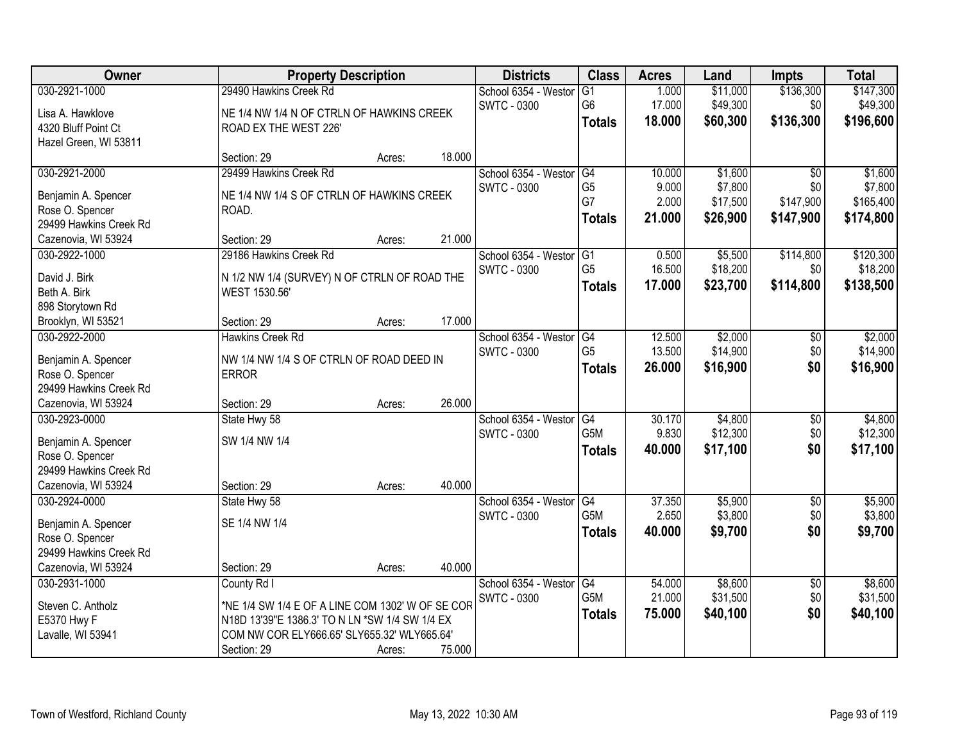| Owner                                     | <b>Property Description</b>                      |        |        | <b>Districts</b>     | <b>Class</b>    | <b>Acres</b> | Land     | <b>Impts</b>    | <b>Total</b> |
|-------------------------------------------|--------------------------------------------------|--------|--------|----------------------|-----------------|--------------|----------|-----------------|--------------|
| 030-2921-1000                             | 29490 Hawkins Creek Rd                           |        |        | School 6354 - Westor | G1              | 1.000        | \$11,000 | \$136,300       | \$147,300    |
| Lisa A. Hawklove                          | NE 1/4 NW 1/4 N OF CTRLN OF HAWKINS CREEK        |        |        | <b>SWTC - 0300</b>   | G <sub>6</sub>  | 17.000       | \$49,300 | \$0             | \$49,300     |
| 4320 Bluff Point Ct                       | ROAD EX THE WEST 226'                            |        |        |                      | <b>Totals</b>   | 18.000       | \$60,300 | \$136,300       | \$196,600    |
| Hazel Green, WI 53811                     |                                                  |        |        |                      |                 |              |          |                 |              |
|                                           | Section: 29                                      | Acres: | 18.000 |                      |                 |              |          |                 |              |
| 030-2921-2000                             | 29499 Hawkins Creek Rd                           |        |        | School 6354 - Westor | G4              | 10.000       | \$1,600  | $\overline{50}$ | \$1,600      |
|                                           |                                                  |        |        | <b>SWTC - 0300</b>   | G <sub>5</sub>  | 9.000        | \$7,800  | \$0             | \$7,800      |
| Benjamin A. Spencer                       | NE 1/4 NW 1/4 S OF CTRLN OF HAWKINS CREEK        |        |        |                      | G7              | 2.000        | \$17,500 | \$147,900       | \$165,400    |
| Rose O. Spencer<br>29499 Hawkins Creek Rd | ROAD.                                            |        |        |                      | <b>Totals</b>   | 21.000       | \$26,900 | \$147,900       | \$174,800    |
| Cazenovia, WI 53924                       | Section: 29                                      | Acres: | 21.000 |                      |                 |              |          |                 |              |
| 030-2922-1000                             | 29186 Hawkins Creek Rd                           |        |        | School 6354 - Westor | G1              | 0.500        | \$5,500  | \$114,800       | \$120,300    |
|                                           |                                                  |        |        | SWTC - 0300          | G <sub>5</sub>  | 16.500       | \$18,200 | \$0             | \$18,200     |
| David J. Birk                             | N 1/2 NW 1/4 (SURVEY) N OF CTRLN OF ROAD THE     |        |        |                      | <b>Totals</b>   | 17.000       | \$23,700 | \$114,800       | \$138,500    |
| Beth A. Birk                              | WEST 1530.56'                                    |        |        |                      |                 |              |          |                 |              |
| 898 Storytown Rd                          |                                                  |        |        |                      |                 |              |          |                 |              |
| Brooklyn, WI 53521                        | Section: 29                                      | Acres: | 17.000 |                      |                 |              |          |                 |              |
| 030-2922-2000                             | <b>Hawkins Creek Rd</b>                          |        |        | School 6354 - Weston | G4              | 12.500       | \$2,000  | $\sqrt[6]{3}$   | \$2,000      |
| Benjamin A. Spencer                       | NW 1/4 NW 1/4 S OF CTRLN OF ROAD DEED IN         |        |        | SWTC - 0300          | G <sub>5</sub>  | 13.500       | \$14,900 | \$0             | \$14,900     |
| Rose O. Spencer                           | <b>ERROR</b>                                     |        |        |                      | <b>Totals</b>   | 26.000       | \$16,900 | \$0             | \$16,900     |
| 29499 Hawkins Creek Rd                    |                                                  |        |        |                      |                 |              |          |                 |              |
| Cazenovia, WI 53924                       | Section: 29                                      | Acres: | 26.000 |                      |                 |              |          |                 |              |
| 030-2923-0000                             | State Hwy 58                                     |        |        | School 6354 - Weston | $\overline{G4}$ | 30.170       | \$4,800  | \$0             | \$4,800      |
|                                           |                                                  |        |        | <b>SWTC - 0300</b>   | G5M             | 9.830        | \$12,300 | \$0             | \$12,300     |
| Benjamin A. Spencer                       | SW 1/4 NW 1/4                                    |        |        |                      | <b>Totals</b>   | 40.000       | \$17,100 | \$0             | \$17,100     |
| Rose O. Spencer                           |                                                  |        |        |                      |                 |              |          |                 |              |
| 29499 Hawkins Creek Rd                    |                                                  |        |        |                      |                 |              |          |                 |              |
| Cazenovia, WI 53924                       | Section: 29                                      | Acres: | 40.000 |                      |                 |              |          |                 |              |
| 030-2924-0000                             | State Hwy 58                                     |        |        | School 6354 - Westor | G4              | 37.350       | \$5,900  | $\overline{$0}$ | \$5,900      |
| Benjamin A. Spencer                       | SE 1/4 NW 1/4                                    |        |        | SWTC - 0300          | G5M             | 2.650        | \$3,800  | \$0             | \$3,800      |
| Rose O. Spencer                           |                                                  |        |        |                      | <b>Totals</b>   | 40.000       | \$9,700  | \$0             | \$9,700      |
| 29499 Hawkins Creek Rd                    |                                                  |        |        |                      |                 |              |          |                 |              |
| Cazenovia, WI 53924                       | Section: 29                                      | Acres: | 40.000 |                      |                 |              |          |                 |              |
| 030-2931-1000                             | County Rd I                                      |        |        | School 6354 - Westor | G4              | 54.000       | \$8,600  | $\overline{60}$ | \$8,600      |
| Steven C. Antholz                         | *NE 1/4 SW 1/4 E OF A LINE COM 1302' W OF SE COR |        |        | <b>SWTC - 0300</b>   | G5M             | 21.000       | \$31,500 | \$0             | \$31,500     |
| E5370 Hwy F                               | N18D 13'39"E 1386.3' TO N LN *SW 1/4 SW 1/4 EX   |        |        |                      | <b>Totals</b>   | 75.000       | \$40,100 | \$0             | \$40,100     |
| Lavalle, WI 53941                         | COM NW COR ELY666.65' SLY655.32' WLY665.64'      |        |        |                      |                 |              |          |                 |              |
|                                           |                                                  |        |        |                      |                 |              |          |                 |              |
|                                           | Section: 29                                      | Acres: | 75.000 |                      |                 |              |          |                 |              |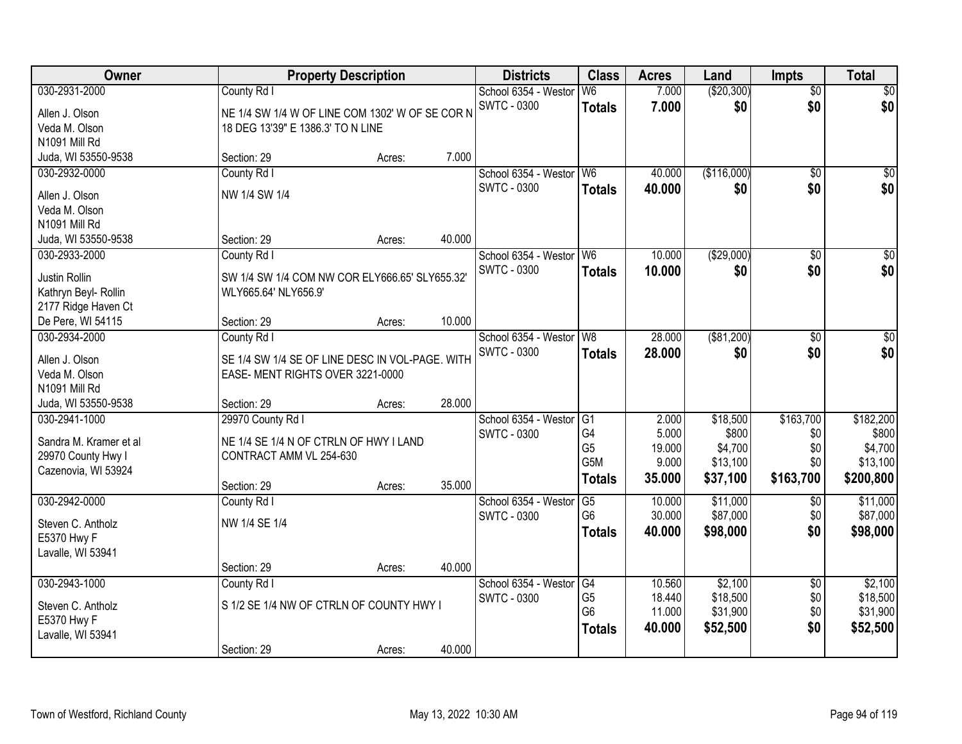| Owner                  | <b>Property Description</b>                     |        |        | <b>Districts</b>     | <b>Class</b>   | <b>Acres</b> | Land        | <b>Impts</b>    | <b>Total</b>     |
|------------------------|-------------------------------------------------|--------|--------|----------------------|----------------|--------------|-------------|-----------------|------------------|
| 030-2931-2000          | County Rd I                                     |        |        | School 6354 - Westor | W <sub>6</sub> | 7.000        | (\$20,300)  | $\overline{50}$ | \$0              |
| Allen J. Olson         | NE 1/4 SW 1/4 W OF LINE COM 1302' W OF SE COR N |        |        | <b>SWTC - 0300</b>   | <b>Totals</b>  | 7.000        | \$0         | \$0             | \$0              |
| Veda M. Olson          | 18 DEG 13'39" E 1386.3' TO N LINE               |        |        |                      |                |              |             |                 |                  |
| N1091 Mill Rd          |                                                 |        |        |                      |                |              |             |                 |                  |
| Juda, WI 53550-9538    | Section: 29                                     | Acres: | 7.000  |                      |                |              |             |                 |                  |
| 030-2932-0000          | County Rd I                                     |        |        | School 6354 - Westor | W <sub>6</sub> | 40.000       | (\$116,000) | $\overline{50}$ | \$0              |
| Allen J. Olson         | NW 1/4 SW 1/4                                   |        |        | <b>SWTC - 0300</b>   | <b>Totals</b>  | 40.000       | \$0         | \$0             | \$0              |
| Veda M. Olson          |                                                 |        |        |                      |                |              |             |                 |                  |
| N1091 Mill Rd          |                                                 |        |        |                      |                |              |             |                 |                  |
| Juda, WI 53550-9538    | Section: 29                                     | Acres: | 40.000 |                      |                |              |             |                 |                  |
| 030-2933-2000          | County Rd I                                     |        |        | School 6354 - Westor | W <sub>6</sub> | 10.000       | (\$29,000)  | \$0             | $\overline{\$0}$ |
| Justin Rollin          | SW 1/4 SW 1/4 COM NW COR ELY666.65' SLY655.32'  |        |        | <b>SWTC - 0300</b>   | <b>Totals</b>  | 10.000       | \$0         | \$0             | \$0              |
| Kathryn Beyl- Rollin   | WLY665.64' NLY656.9'                            |        |        |                      |                |              |             |                 |                  |
| 2177 Ridge Haven Ct    |                                                 |        |        |                      |                |              |             |                 |                  |
| De Pere, WI 54115      | Section: 29                                     | Acres: | 10.000 |                      |                |              |             |                 |                  |
| 030-2934-2000          | County Rd I                                     |        |        | School 6354 - Westor | W <sub>8</sub> | 28,000       | ( \$81,200) | $\sqrt[6]{3}$   | $\sqrt{50}$      |
| Allen J. Olson         | SE 1/4 SW 1/4 SE OF LINE DESC IN VOL-PAGE. WITH |        |        | <b>SWTC - 0300</b>   | <b>Totals</b>  | 28.000       | \$0         | \$0             | \$0              |
| Veda M. Olson          | EASE- MENT RIGHTS OVER 3221-0000                |        |        |                      |                |              |             |                 |                  |
| N1091 Mill Rd          |                                                 |        |        |                      |                |              |             |                 |                  |
| Juda, WI 53550-9538    | Section: 29                                     | Acres: | 28.000 |                      |                |              |             |                 |                  |
| 030-2941-1000          | 29970 County Rd I                               |        |        | School 6354 - Westor | G1             | 2.000        | \$18,500    | \$163,700       | \$182,200        |
| Sandra M. Kramer et al | NE 1/4 SE 1/4 N OF CTRLN OF HWY I LAND          |        |        | <b>SWTC - 0300</b>   | G <sub>4</sub> | 5.000        | \$800       | \$0             | \$800            |
| 29970 County Hwy I     | CONTRACT AMM VL 254-630                         |        |        |                      | G <sub>5</sub> | 19.000       | \$4,700     | \$0             | \$4,700          |
| Cazenovia, WI 53924    |                                                 |        |        |                      | G5M            | 9.000        | \$13,100    | \$0             | \$13,100         |
|                        | Section: 29                                     | Acres: | 35.000 |                      | <b>Totals</b>  | 35.000       | \$37,100    | \$163,700       | \$200,800        |
| 030-2942-0000          | County Rd I                                     |        |        | School 6354 - Westor | G5             | 10.000       | \$11,000    | \$0             | \$11,000         |
| Steven C. Antholz      | NW 1/4 SE 1/4                                   |        |        | <b>SWTC - 0300</b>   | G <sub>6</sub> | 30.000       | \$87,000    | \$0             | \$87,000         |
| E5370 Hwy F            |                                                 |        |        |                      | <b>Totals</b>  | 40.000       | \$98,000    | \$0             | \$98,000         |
| Lavalle, WI 53941      |                                                 |        |        |                      |                |              |             |                 |                  |
|                        | Section: 29                                     | Acres: | 40.000 |                      |                |              |             |                 |                  |
| 030-2943-1000          | County Rd I                                     |        |        | School 6354 - Westor | G4             | 10.560       | \$2,100     | $\overline{50}$ | \$2,100          |
| Steven C. Antholz      | S 1/2 SE 1/4 NW OF CTRLN OF COUNTY HWY I        |        |        | SWTC - 0300          | G <sub>5</sub> | 18.440       | \$18,500    | \$0             | \$18,500         |
| E5370 Hwy F            |                                                 |        |        |                      | G <sub>6</sub> | 11.000       | \$31,900    | \$0             | \$31,900         |
| Lavalle, WI 53941      |                                                 |        |        |                      | <b>Totals</b>  | 40.000       | \$52,500    | \$0             | \$52,500         |
|                        | Section: 29                                     | Acres: | 40.000 |                      |                |              |             |                 |                  |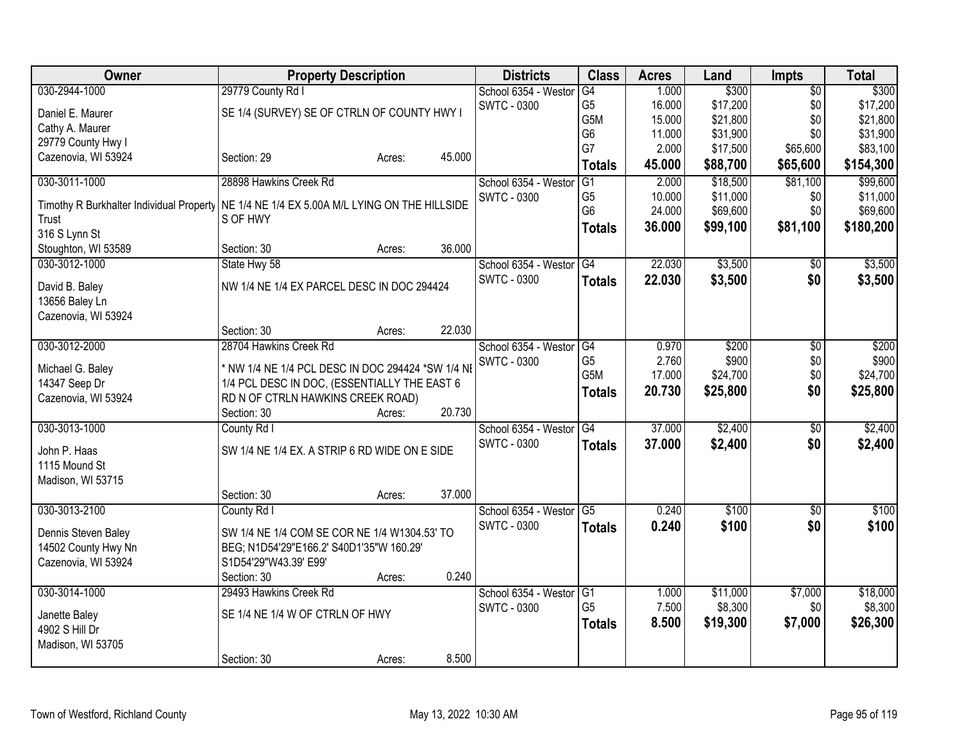| Owner                                    |                                                   | <b>Property Description</b> |        | <b>Districts</b>     | <b>Class</b>                      | <b>Acres</b>   | Land                | <b>Impts</b>           | <b>Total</b>        |
|------------------------------------------|---------------------------------------------------|-----------------------------|--------|----------------------|-----------------------------------|----------------|---------------------|------------------------|---------------------|
| 030-2944-1000                            | 29779 County Rd I                                 |                             |        | School 6354 - Westor | G4                                | 1.000          | \$300               | $\overline{50}$        | \$300               |
| Daniel E. Maurer                         | SE 1/4 (SURVEY) SE OF CTRLN OF COUNTY HWY I       |                             |        | <b>SWTC - 0300</b>   | G <sub>5</sub>                    | 16.000         | \$17,200            | \$0                    | \$17,200            |
| Cathy A. Maurer                          |                                                   |                             |        |                      | G5M                               | 15.000         | \$21,800            | \$0                    | \$21,800            |
| 29779 County Hwy I                       |                                                   |                             |        |                      | G <sub>6</sub>                    | 11.000         | \$31,900            | \$0                    | \$31,900            |
| Cazenovia, WI 53924                      | Section: 29                                       | Acres:                      | 45.000 |                      | G7                                | 2.000          | \$17,500            | \$65,600               | \$83,100            |
|                                          |                                                   |                             |        |                      | <b>Totals</b>                     | 45.000         | \$88,700            | \$65,600               | \$154,300           |
| 030-3011-1000                            | 28898 Hawkins Creek Rd                            |                             |        | School 6354 - Weston | $\overline{G1}$                   | 2.000          | \$18,500            | \$81,100               | \$99,600            |
| Timothy R Burkhalter Individual Property | NE 1/4 NE 1/4 EX 5.00A M/L LYING ON THE HILLSIDE  |                             |        | <b>SWTC - 0300</b>   | G <sub>5</sub>                    | 10.000         | \$11,000            | \$0                    | \$11,000            |
| Trust                                    | S OF HWY                                          |                             |        |                      | G <sub>6</sub>                    | 24.000         | \$69,600            | \$0                    | \$69,600            |
| 316 S Lynn St                            |                                                   |                             |        |                      | <b>Totals</b>                     | 36.000         | \$99,100            | \$81,100               | \$180,200           |
| Stoughton, WI 53589                      | Section: 30                                       | Acres:                      | 36.000 |                      |                                   |                |                     |                        |                     |
| 030-3012-1000                            | State Hwy 58                                      |                             |        | School 6354 - Westor | G4                                | 22.030         | \$3,500             | $\overline{50}$        | \$3,500             |
|                                          |                                                   |                             |        | <b>SWTC - 0300</b>   | <b>Totals</b>                     | 22.030         | \$3,500             | \$0                    | \$3,500             |
| David B. Baley                           | NW 1/4 NE 1/4 EX PARCEL DESC IN DOC 294424        |                             |        |                      |                                   |                |                     |                        |                     |
| 13656 Baley Ln                           |                                                   |                             |        |                      |                                   |                |                     |                        |                     |
| Cazenovia, WI 53924                      |                                                   |                             | 22.030 |                      |                                   |                |                     |                        |                     |
| 030-3012-2000                            | Section: 30                                       | Acres:                      |        | School 6354 - Westor |                                   |                | \$200               |                        | \$200               |
|                                          | 28704 Hawkins Creek Rd                            |                             |        | SWTC - 0300          | $\overline{G4}$<br>G <sub>5</sub> | 0.970<br>2.760 | \$900               | $\overline{50}$<br>\$0 | \$900               |
| Michael G. Baley                         | * NW 1/4 NE 1/4 PCL DESC IN DOC 294424 *SW 1/4 NI |                             |        |                      | G5M                               | 17.000         | \$24,700            | \$0                    | \$24,700            |
| 14347 Seep Dr                            | 1/4 PCL DESC IN DOC, (ESSENTIALLY THE EAST 6      |                             |        |                      |                                   | 20.730         | \$25,800            | \$0                    | \$25,800            |
| Cazenovia, WI 53924                      | RD N OF CTRLN HAWKINS CREEK ROAD)                 |                             |        |                      | <b>Totals</b>                     |                |                     |                        |                     |
|                                          | Section: 30                                       | Acres:                      | 20.730 |                      |                                   |                |                     |                        |                     |
| 030-3013-1000                            | County Rd I                                       |                             |        | School 6354 - Westor | G4                                | 37.000         | \$2,400             | $\overline{50}$        | \$2,400             |
| John P. Haas                             | SW 1/4 NE 1/4 EX. A STRIP 6 RD WIDE ON E SIDE     |                             |        | <b>SWTC - 0300</b>   | <b>Totals</b>                     | 37.000         | \$2,400             | \$0                    | \$2,400             |
| 1115 Mound St                            |                                                   |                             |        |                      |                                   |                |                     |                        |                     |
| Madison, WI 53715                        |                                                   |                             |        |                      |                                   |                |                     |                        |                     |
|                                          | Section: 30                                       | Acres:                      | 37.000 |                      |                                   |                |                     |                        |                     |
| 030-3013-2100                            | County Rd I                                       |                             |        | School 6354 - Westor | $\overline{G5}$                   | 0.240          | \$100               | $\overline{50}$        | \$100               |
|                                          |                                                   |                             |        | <b>SWTC - 0300</b>   | <b>Totals</b>                     | 0.240          | \$100               | \$0                    | \$100               |
| Dennis Steven Baley                      | SW 1/4 NE 1/4 COM SE COR NE 1/4 W1304.53' TO      |                             |        |                      |                                   |                |                     |                        |                     |
| 14502 County Hwy Nn                      | BEG; N1D54'29"E166.2' S40D1'35"W 160.29'          |                             |        |                      |                                   |                |                     |                        |                     |
| Cazenovia, WI 53924                      | S1D54'29"W43.39' E99'                             |                             | 0.240  |                      |                                   |                |                     |                        |                     |
|                                          | Section: 30                                       | Acres:                      |        |                      |                                   |                |                     |                        |                     |
| 030-3014-1000                            | 29493 Hawkins Creek Rd                            |                             |        | School 6354 - Weston | G <sub>1</sub><br>G <sub>5</sub>  | 1.000<br>7.500 | \$11,000<br>\$8,300 | \$7,000<br>\$0         | \$18,000<br>\$8,300 |
| Janette Baley                            | SE 1/4 NE 1/4 W OF CTRLN OF HWY                   |                             |        | <b>SWTC - 0300</b>   |                                   |                |                     |                        |                     |
| 4902 S Hill Dr                           |                                                   |                             |        |                      | <b>Totals</b>                     | 8.500          | \$19,300            | \$7,000                | \$26,300            |
| Madison, WI 53705                        |                                                   |                             |        |                      |                                   |                |                     |                        |                     |
|                                          | Section: 30                                       | Acres:                      | 8.500  |                      |                                   |                |                     |                        |                     |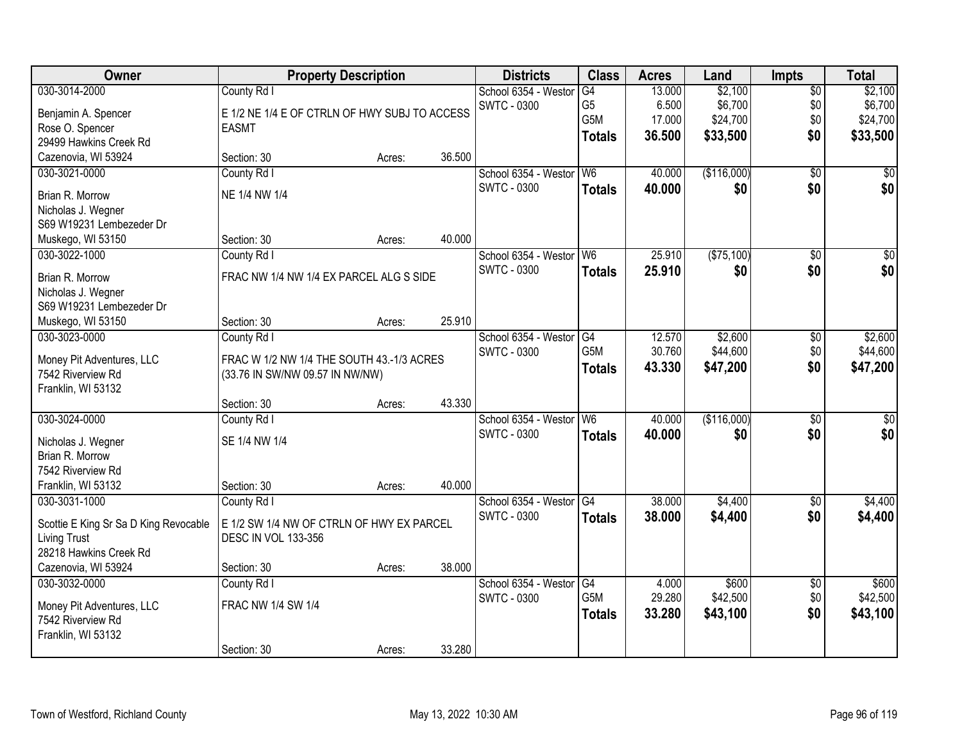| Owner                                 | <b>Property Description</b>                   |        |        | <b>Districts</b>     | <b>Class</b>           | <b>Acres</b>    | Land        | <b>Impts</b>    | <b>Total</b>     |
|---------------------------------------|-----------------------------------------------|--------|--------|----------------------|------------------------|-----------------|-------------|-----------------|------------------|
| 030-3014-2000                         | County Rd I                                   |        |        | School 6354 - Westor | G4                     | 13.000          | \$2,100     | $\overline{50}$ | \$2,100          |
| Benjamin A. Spencer                   | E 1/2 NE 1/4 E OF CTRLN OF HWY SUBJ TO ACCESS |        |        | <b>SWTC - 0300</b>   | G <sub>5</sub>         | 6.500           | \$6,700     | \$0             | \$6,700          |
| Rose O. Spencer                       | <b>EASMT</b>                                  |        |        |                      | G5M                    | 17.000          | \$24,700    | \$0             | \$24,700         |
| 29499 Hawkins Creek Rd                |                                               |        |        |                      | <b>Totals</b>          | 36.500          | \$33,500    | \$0             | \$33,500         |
| Cazenovia, WI 53924                   | Section: 30                                   | Acres: | 36.500 |                      |                        |                 |             |                 |                  |
| 030-3021-0000                         | County Rd I                                   |        |        | School 6354 - Westor | W <sub>6</sub>         | 40.000          | (\$116,000) | $\overline{50}$ | \$0              |
| Brian R. Morrow                       | NE 1/4 NW 1/4                                 |        |        | <b>SWTC - 0300</b>   | <b>Totals</b>          | 40.000          | \$0         | \$0             | \$0              |
| Nicholas J. Wegner                    |                                               |        |        |                      |                        |                 |             |                 |                  |
| S69 W19231 Lembezeder Dr              |                                               |        |        |                      |                        |                 |             |                 |                  |
| Muskego, WI 53150                     | Section: 30                                   | Acres: | 40.000 |                      |                        |                 |             |                 |                  |
| 030-3022-1000                         | County Rd I                                   |        |        | School 6354 - Westor | W <sub>6</sub>         | 25.910          | (\$75,100)  | \$0             | $\overline{\$0}$ |
|                                       |                                               |        |        | <b>SWTC - 0300</b>   | <b>Totals</b>          | 25.910          | \$0         | \$0             | \$0              |
| Brian R. Morrow                       | FRAC NW 1/4 NW 1/4 EX PARCEL ALG S SIDE       |        |        |                      |                        |                 |             |                 |                  |
| Nicholas J. Wegner                    |                                               |        |        |                      |                        |                 |             |                 |                  |
| S69 W19231 Lembezeder Dr              |                                               |        |        |                      |                        |                 |             |                 |                  |
| Muskego, WI 53150                     | Section: 30                                   | Acres: | 25.910 |                      |                        |                 |             |                 |                  |
| 030-3023-0000                         | County Rd I                                   |        |        | School 6354 - Weston | G4                     | 12.570          | \$2,600     | $\sqrt[6]{3}$   | \$2,600          |
| Money Pit Adventures, LLC             | FRAC W 1/2 NW 1/4 THE SOUTH 43.-1/3 ACRES     |        |        | <b>SWTC - 0300</b>   | G5M                    | 30.760          | \$44,600    | \$0             | \$44,600         |
| 7542 Riverview Rd                     | (33.76 IN SW/NW 09.57 IN NW/NW)               |        |        |                      | <b>Totals</b>          | 43.330          | \$47,200    | \$0             | \$47,200         |
| Franklin, WI 53132                    |                                               |        |        |                      |                        |                 |             |                 |                  |
|                                       | Section: 30                                   | Acres: | 43.330 |                      |                        |                 |             |                 |                  |
| 030-3024-0000                         | County Rd I                                   |        |        | School 6354 - Westor | W <sub>6</sub>         | 40.000          | (\$116,000) | $\overline{50}$ | $\overline{50}$  |
| Nicholas J. Wegner                    | SE 1/4 NW 1/4                                 |        |        | <b>SWTC - 0300</b>   | <b>Totals</b>          | 40.000          | \$0         | \$0             | \$0              |
| Brian R. Morrow                       |                                               |        |        |                      |                        |                 |             |                 |                  |
| 7542 Riverview Rd                     |                                               |        |        |                      |                        |                 |             |                 |                  |
| Franklin, WI 53132                    | Section: 30                                   | Acres: | 40.000 |                      |                        |                 |             |                 |                  |
| 030-3031-1000                         | County Rd I                                   |        |        | School 6354 - Westor | G4                     | 38.000          | \$4,400     | \$0             | \$4,400          |
|                                       |                                               |        |        | <b>SWTC - 0300</b>   | <b>Totals</b>          | 38.000          | \$4,400     | \$0             | \$4,400          |
| Scottie E King Sr Sa D King Revocable | E 1/2 SW 1/4 NW OF CTRLN OF HWY EX PARCEL     |        |        |                      |                        |                 |             |                 |                  |
| <b>Living Trust</b>                   | <b>DESC IN VOL 133-356</b>                    |        |        |                      |                        |                 |             |                 |                  |
| 28218 Hawkins Creek Rd                |                                               |        |        |                      |                        |                 |             |                 |                  |
| Cazenovia, WI 53924                   | Section: 30                                   | Acres: | 38.000 |                      |                        |                 |             |                 |                  |
| 030-3032-0000                         | County Rd I                                   |        |        | School 6354 - Westor | G4<br>G <sub>5</sub> M | 4.000<br>29.280 | \$600       | $\overline{60}$ | \$600            |
| Money Pit Adventures, LLC             | FRAC NW 1/4 SW 1/4                            |        |        | <b>SWTC - 0300</b>   |                        |                 | \$42,500    | \$0             | \$42,500         |
| 7542 Riverview Rd                     |                                               |        |        |                      | <b>Totals</b>          | 33.280          | \$43,100    | \$0             | \$43,100         |
| Franklin, WI 53132                    |                                               |        |        |                      |                        |                 |             |                 |                  |
|                                       | Section: 30                                   | Acres: | 33.280 |                      |                        |                 |             |                 |                  |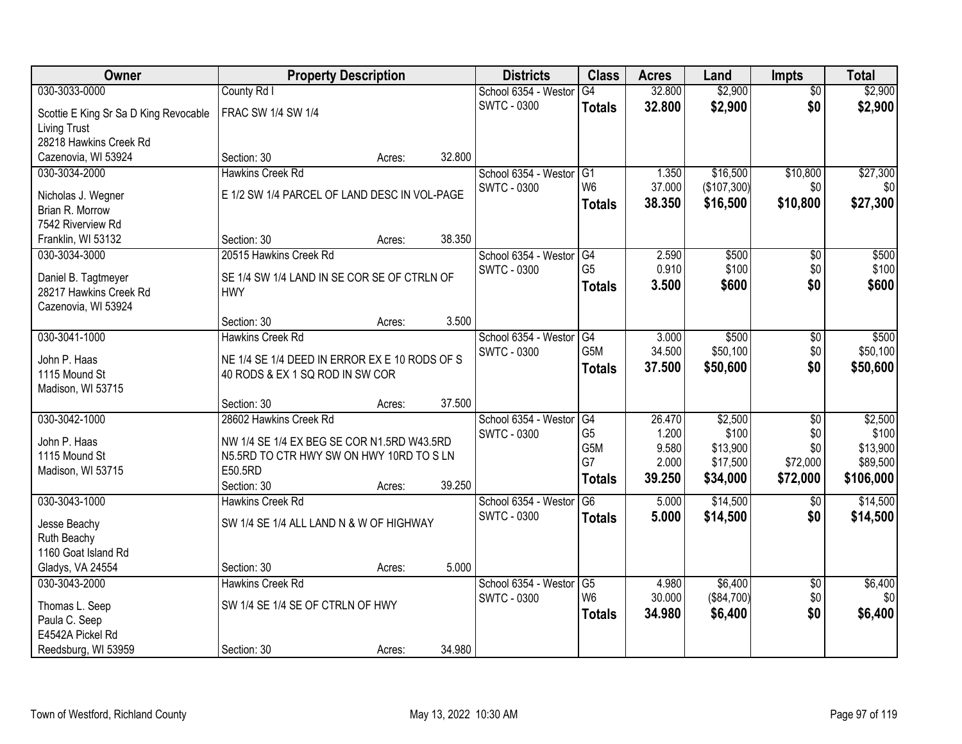| Owner                                 | <b>Property Description</b>                         |        |        | <b>Districts</b>     | <b>Class</b>         | <b>Acres</b> | Land        | Impts                  | <b>Total</b>   |
|---------------------------------------|-----------------------------------------------------|--------|--------|----------------------|----------------------|--------------|-------------|------------------------|----------------|
| 030-3033-0000                         | County Rd I                                         |        |        | School 6354 - Westor | G4                   | 32.800       | \$2,900     | $\overline{50}$        | \$2,900        |
| Scottie E King Sr Sa D King Revocable | FRAC SW 1/4 SW 1/4                                  |        |        | <b>SWTC - 0300</b>   | <b>Totals</b>        | 32.800       | \$2,900     | \$0                    | \$2,900        |
| <b>Living Trust</b>                   |                                                     |        |        |                      |                      |              |             |                        |                |
| 28218 Hawkins Creek Rd                |                                                     |        |        |                      |                      |              |             |                        |                |
| Cazenovia, WI 53924                   | Section: 30                                         | Acres: | 32.800 |                      |                      |              |             |                        |                |
| 030-3034-2000                         | <b>Hawkins Creek Rd</b>                             |        |        | School 6354 - Westor | G1                   | 1.350        | \$16,500    | \$10,800               | \$27,300       |
| Nicholas J. Wegner                    | E 1/2 SW 1/4 PARCEL OF LAND DESC IN VOL-PAGE        |        |        | <b>SWTC - 0300</b>   | W <sub>6</sub>       | 37.000       | (\$107,300) | \$0                    | \$0            |
| Brian R. Morrow                       |                                                     |        |        |                      | <b>Totals</b>        | 38.350       | \$16,500    | \$10,800               | \$27,300       |
| 7542 Riverview Rd                     |                                                     |        |        |                      |                      |              |             |                        |                |
| Franklin, WI 53132                    | Section: 30                                         | Acres: | 38.350 |                      |                      |              |             |                        |                |
| 030-3034-3000                         | 20515 Hawkins Creek Rd                              |        |        | School 6354 - Westor | G4                   | 2.590        | \$500       | $\overline{50}$        | \$500          |
| Daniel B. Tagtmeyer                   | SE 1/4 SW 1/4 LAND IN SE COR SE OF CTRLN OF         |        |        | <b>SWTC - 0300</b>   | G <sub>5</sub>       | 0.910        | \$100       | \$0                    | \$100          |
| 28217 Hawkins Creek Rd                | <b>HWY</b>                                          |        |        |                      | <b>Totals</b>        | 3.500        | \$600       | \$0                    | \$600          |
| Cazenovia, WI 53924                   |                                                     |        |        |                      |                      |              |             |                        |                |
|                                       | Section: 30                                         | Acres: | 3.500  |                      |                      |              |             |                        |                |
| 030-3041-1000                         | <b>Hawkins Creek Rd</b>                             |        |        | School 6354 - Westor | G4                   | 3.000        | \$500       | \$0                    | \$500          |
|                                       |                                                     |        |        | <b>SWTC - 0300</b>   | G5M                  | 34.500       | \$50,100    | \$0                    | \$50,100       |
| John P. Haas<br>1115 Mound St         | NE 1/4 SE 1/4 DEED IN ERROR EX E 10 RODS OF S       |        |        |                      | <b>Totals</b>        | 37.500       | \$50,600    | \$0                    | \$50,600       |
| Madison, WI 53715                     | 40 RODS & EX 1 SQ ROD IN SW COR                     |        |        |                      |                      |              |             |                        |                |
|                                       | Section: 30                                         | Acres: | 37.500 |                      |                      |              |             |                        |                |
| 030-3042-1000                         | 28602 Hawkins Creek Rd                              |        |        | School 6354 - Westor | G4                   | 26.470       | \$2,500     | $\overline{50}$        | \$2,500        |
|                                       |                                                     |        |        | <b>SWTC - 0300</b>   | G <sub>5</sub>       | 1.200        | \$100       | \$0                    | \$100          |
| John P. Haas                          | NW 1/4 SE 1/4 EX BEG SE COR N1.5RD W43.5RD          |        |        |                      | G5M                  | 9.580        | \$13,900    | \$0                    | \$13,900       |
| 1115 Mound St                         | N5.5RD TO CTR HWY SW ON HWY 10RD TO S LN<br>E50.5RD |        |        |                      | G7                   | 2.000        | \$17,500    | \$72,000               | \$89,500       |
| Madison, WI 53715                     | Section: 30                                         | Acres: | 39.250 |                      | <b>Totals</b>        | 39.250       | \$34,000    | \$72,000               | \$106,000      |
| 030-3043-1000                         | <b>Hawkins Creek Rd</b>                             |        |        | School 6354 - Westor | $\overline{G6}$      | 5.000        | \$14,500    | $\overline{50}$        | \$14,500       |
|                                       |                                                     |        |        | <b>SWTC - 0300</b>   | <b>Totals</b>        | 5.000        | \$14,500    | \$0                    | \$14,500       |
| Jesse Beachy                          | SW 1/4 SE 1/4 ALL LAND N & W OF HIGHWAY             |        |        |                      |                      |              |             |                        |                |
| Ruth Beachy                           |                                                     |        |        |                      |                      |              |             |                        |                |
| 1160 Goat Island Rd                   |                                                     |        | 5.000  |                      |                      |              |             |                        |                |
| Gladys, VA 24554<br>030-3043-2000     | Section: 30<br><b>Hawkins Creek Rd</b>              | Acres: |        | School 6354 - Westor |                      | 4.980        | \$6,400     |                        |                |
|                                       |                                                     |        |        | <b>SWTC - 0300</b>   | G5<br>W <sub>6</sub> | 30.000       | (\$84,700)  | $\overline{50}$<br>\$0 | \$6,400<br>\$0 |
| Thomas L. Seep                        | SW 1/4 SE 1/4 SE OF CTRLN OF HWY                    |        |        |                      | <b>Totals</b>        | 34.980       | \$6,400     | \$0                    | \$6,400        |
| Paula C. Seep                         |                                                     |        |        |                      |                      |              |             |                        |                |
| E4542A Pickel Rd                      |                                                     |        |        |                      |                      |              |             |                        |                |
| Reedsburg, WI 53959                   | Section: 30                                         | Acres: | 34.980 |                      |                      |              |             |                        |                |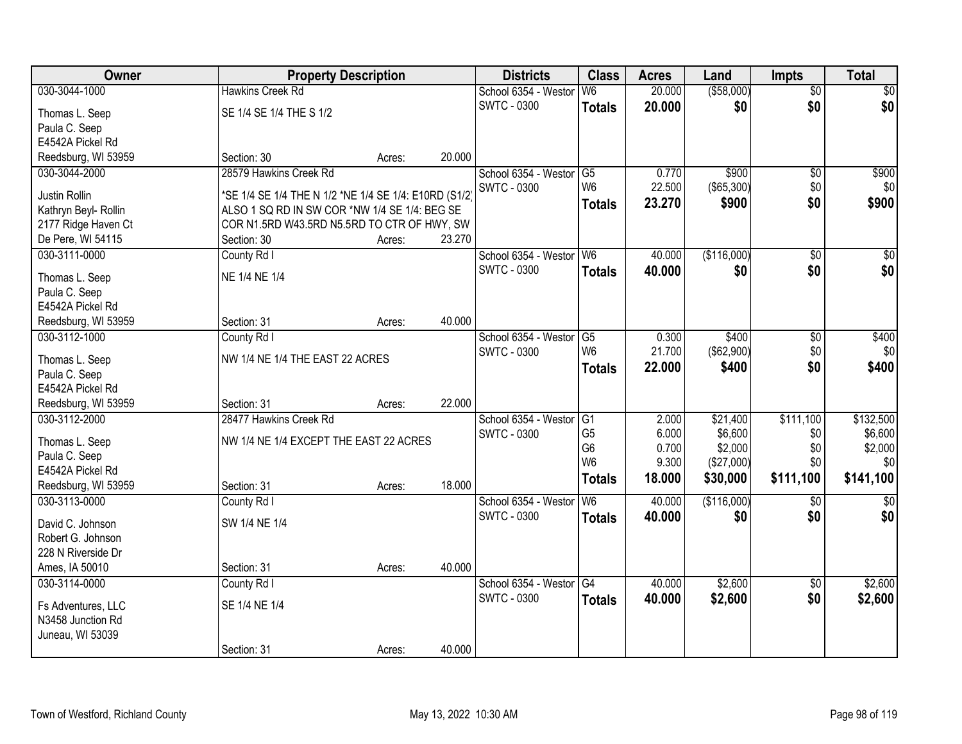| Owner                | <b>Property Description</b>                           |        |        | <b>Districts</b>        | <b>Class</b>    | <b>Acres</b> | Land        | <b>Impts</b>    | <b>Total</b>     |
|----------------------|-------------------------------------------------------|--------|--------|-------------------------|-----------------|--------------|-------------|-----------------|------------------|
| 030-3044-1000        | <b>Hawkins Creek Rd</b>                               |        |        | School 6354 - Westor    | W <sub>6</sub>  | 20.000       | ( \$58,000) | $\overline{50}$ | \$0              |
| Thomas L. Seep       | SE 1/4 SE 1/4 THE S 1/2                               |        |        | <b>SWTC - 0300</b>      | <b>Totals</b>   | 20.000       | \$0         | \$0             | \$0              |
| Paula C. Seep        |                                                       |        |        |                         |                 |              |             |                 |                  |
| E4542A Pickel Rd     |                                                       |        |        |                         |                 |              |             |                 |                  |
| Reedsburg, WI 53959  | Section: 30                                           | Acres: | 20.000 |                         |                 |              |             |                 |                  |
| 030-3044-2000        | 28579 Hawkins Creek Rd                                |        |        | School 6354 - Weston    | $\overline{G5}$ | 0.770        | \$900       | \$0             | \$900            |
|                      |                                                       |        |        | <b>SWTC - 0300</b>      | W <sub>6</sub>  | 22.500       | (\$65,300)  | \$0             | \$0              |
| Justin Rollin        | *SE 1/4 SE 1/4 THE N 1/2 *NE 1/4 SE 1/4: E10RD (S1/2) |        |        |                         | <b>Totals</b>   | 23.270       | \$900       | \$0             | \$900            |
| Kathryn Beyl- Rollin | ALSO 1 SQ RD IN SW COR *NW 1/4 SE 1/4: BEG SE         |        |        |                         |                 |              |             |                 |                  |
| 2177 Ridge Haven Ct  | COR N1.5RD W43.5RD N5.5RD TO CTR OF HWY, SW           |        |        |                         |                 |              |             |                 |                  |
| De Pere, WI 54115    | Section: 30                                           | Acres: | 23.270 |                         |                 |              |             |                 |                  |
| 030-3111-0000        | County Rd I                                           |        |        | School 6354 - Westor W6 |                 | 40.000       | (\$116,000) | \$0             | $\overline{\$0}$ |
| Thomas L. Seep       | NE 1/4 NE 1/4                                         |        |        | <b>SWTC - 0300</b>      | <b>Totals</b>   | 40.000       | \$0         | \$0             | \$0              |
| Paula C. Seep        |                                                       |        |        |                         |                 |              |             |                 |                  |
| E4542A Pickel Rd     |                                                       |        |        |                         |                 |              |             |                 |                  |
| Reedsburg, WI 53959  | Section: 31                                           | Acres: | 40.000 |                         |                 |              |             |                 |                  |
| 030-3112-1000        | County Rd I                                           |        |        | School 6354 - Westor    | G5              | 0.300        | \$400       | \$0             | \$400            |
|                      |                                                       |        |        | <b>SWTC - 0300</b>      | W <sub>6</sub>  | 21.700       | (\$62,900)  | \$0             | \$0              |
| Thomas L. Seep       | NW 1/4 NE 1/4 THE EAST 22 ACRES                       |        |        |                         | <b>Totals</b>   | 22.000       | \$400       | \$0             | \$400            |
| Paula C. Seep        |                                                       |        |        |                         |                 |              |             |                 |                  |
| E4542A Pickel Rd     |                                                       |        |        |                         |                 |              |             |                 |                  |
| Reedsburg, WI 53959  | Section: 31                                           | Acres: | 22.000 |                         |                 |              |             |                 |                  |
| 030-3112-2000        | 28477 Hawkins Creek Rd                                |        |        | School 6354 - Westor    | $\overline{G1}$ | 2.000        | \$21,400    | \$111,100       | \$132,500        |
| Thomas L. Seep       | NW 1/4 NE 1/4 EXCEPT THE EAST 22 ACRES                |        |        | SWTC - 0300             | G <sub>5</sub>  | 6.000        | \$6,600     | \$0             | \$6,600          |
| Paula C. Seep        |                                                       |        |        |                         | G <sub>6</sub>  | 0.700        | \$2,000     | \$0             | \$2,000          |
| E4542A Pickel Rd     |                                                       |        |        |                         | W <sub>6</sub>  | 9.300        | (\$27,000)  | \$0             | \$0              |
| Reedsburg, WI 53959  | Section: 31                                           | Acres: | 18.000 |                         | <b>Totals</b>   | 18.000       | \$30,000    | \$111,100       | \$141,100        |
| 030-3113-0000        | County Rd I                                           |        |        | School 6354 - Westor    | W <sub>6</sub>  | 40.000       | (\$116,000) | \$0             | $\overline{\$0}$ |
| David C. Johnson     | SW 1/4 NE 1/4                                         |        |        | <b>SWTC - 0300</b>      | <b>Totals</b>   | 40.000       | \$0         | \$0             | \$0              |
| Robert G. Johnson    |                                                       |        |        |                         |                 |              |             |                 |                  |
| 228 N Riverside Dr   |                                                       |        |        |                         |                 |              |             |                 |                  |
|                      |                                                       |        | 40.000 |                         |                 |              |             |                 |                  |
| Ames, IA 50010       | Section: 31                                           | Acres: |        |                         |                 |              |             |                 |                  |
| 030-3114-0000        | County Rd I                                           |        |        | School 6354 - Westor    | G4              | 40.000       | \$2,600     | $\overline{30}$ | \$2,600          |
| Fs Adventures, LLC   | SE 1/4 NE 1/4                                         |        |        | <b>SWTC - 0300</b>      | <b>Totals</b>   | 40.000       | \$2,600     | \$0             | \$2,600          |
| N3458 Junction Rd    |                                                       |        |        |                         |                 |              |             |                 |                  |
| Juneau, WI 53039     |                                                       |        |        |                         |                 |              |             |                 |                  |
|                      | Section: 31                                           | Acres: | 40.000 |                         |                 |              |             |                 |                  |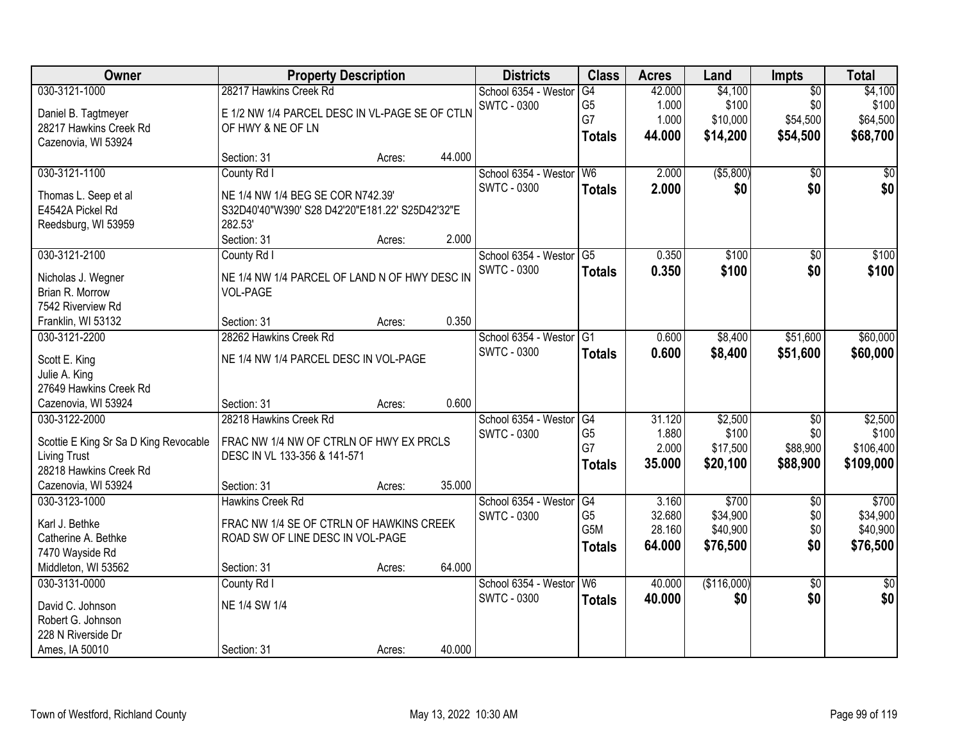| <b>Owner</b>                          | <b>Property Description</b>                     |        |        | <b>Districts</b>     | <b>Class</b>     | <b>Acres</b> | Land        | Impts           | <b>Total</b>    |
|---------------------------------------|-------------------------------------------------|--------|--------|----------------------|------------------|--------------|-------------|-----------------|-----------------|
| 030-3121-1000                         | 28217 Hawkins Creek Rd                          |        |        | School 6354 - Weston | G4               | 42.000       | \$4,100     | $\overline{50}$ | \$4,100         |
| Daniel B. Tagtmeyer                   | E 1/2 NW 1/4 PARCEL DESC IN VL-PAGE SE OF CTLN  |        |        | <b>SWTC - 0300</b>   | G <sub>5</sub>   | 1.000        | \$100       | \$0             | \$100           |
| 28217 Hawkins Creek Rd                | OF HWY & NE OF LN                               |        |        |                      | G7               | 1.000        | \$10,000    | \$54,500        | \$64,500        |
| Cazenovia, WI 53924                   |                                                 |        |        |                      | <b>Totals</b>    | 44.000       | \$14,200    | \$54,500        | \$68,700        |
|                                       | Section: 31                                     | Acres: | 44.000 |                      |                  |              |             |                 |                 |
| 030-3121-1100                         | County Rd I                                     |        |        | School 6354 - Weston | W6               | 2.000        | ( \$5,800)  | $\overline{50}$ | \$0             |
|                                       |                                                 |        |        | SWTC - 0300          | <b>Totals</b>    | 2.000        | \$0         | \$0             | \$0             |
| Thomas L. Seep et al                  | NE 1/4 NW 1/4 BEG SE COR N742.39'               |        |        |                      |                  |              |             |                 |                 |
| E4542A Pickel Rd                      | S32D40'40"W390' S28 D42'20"E181.22' S25D42'32"E |        |        |                      |                  |              |             |                 |                 |
| Reedsburg, WI 53959                   | 282.53'                                         |        |        |                      |                  |              |             |                 |                 |
|                                       | Section: 31                                     | Acres: | 2.000  |                      |                  |              |             |                 |                 |
| 030-3121-2100                         | County Rd I                                     |        |        | School 6354 - Westor | $\overline{G5}$  | 0.350        | \$100       | $\overline{50}$ | \$100           |
| Nicholas J. Wegner                    | NE 1/4 NW 1/4 PARCEL OF LAND N OF HWY DESC IN   |        |        | <b>SWTC - 0300</b>   | <b>Totals</b>    | 0.350        | \$100       | \$0             | \$100           |
| Brian R. Morrow                       | <b>VOL-PAGE</b>                                 |        |        |                      |                  |              |             |                 |                 |
| 7542 Riverview Rd                     |                                                 |        |        |                      |                  |              |             |                 |                 |
| Franklin, WI 53132                    | Section: 31                                     | Acres: | 0.350  |                      |                  |              |             |                 |                 |
| 030-3121-2200                         | 28262 Hawkins Creek Rd                          |        |        | School 6354 - Weston | $\overline{G1}$  | 0.600        | \$8,400     | \$51,600        | \$60,000        |
|                                       |                                                 |        |        | <b>SWTC - 0300</b>   | <b>Totals</b>    | 0.600        | \$8,400     | \$51,600        | \$60,000        |
| Scott E. King                         | NE 1/4 NW 1/4 PARCEL DESC IN VOL-PAGE           |        |        |                      |                  |              |             |                 |                 |
| Julie A. King                         |                                                 |        |        |                      |                  |              |             |                 |                 |
| 27649 Hawkins Creek Rd                |                                                 |        |        |                      |                  |              |             |                 |                 |
| Cazenovia, WI 53924                   | Section: 31                                     | Acres: | 0.600  |                      |                  |              |             |                 |                 |
| 030-3122-2000                         | 28218 Hawkins Creek Rd                          |        |        | School 6354 - Westor | G4               | 31.120       | \$2,500     | $\overline{50}$ | \$2,500         |
| Scottie E King Sr Sa D King Revocable | FRAC NW 1/4 NW OF CTRLN OF HWY EX PRCLS         |        |        | <b>SWTC - 0300</b>   | G <sub>5</sub>   | 1.880        | \$100       | \$0             | \$100           |
| <b>Living Trust</b>                   | DESC IN VL 133-356 & 141-571                    |        |        |                      | G7               | 2.000        | \$17,500    | \$88,900        | \$106,400       |
| 28218 Hawkins Creek Rd                |                                                 |        |        |                      | <b>Totals</b>    | 35.000       | \$20,100    | \$88,900        | \$109,000       |
| Cazenovia, WI 53924                   | Section: 31                                     | Acres: | 35.000 |                      |                  |              |             |                 |                 |
| 030-3123-1000                         | <b>Hawkins Creek Rd</b>                         |        |        | School 6354 - Westor | G4               | 3.160        | \$700       | $\overline{50}$ | \$700           |
|                                       |                                                 |        |        | <b>SWTC - 0300</b>   | G <sub>5</sub>   | 32.680       | \$34,900    | \$0             | \$34,900        |
| Karl J. Bethke                        | FRAC NW 1/4 SE OF CTRLN OF HAWKINS CREEK        |        |        |                      | G <sub>5</sub> M | 28.160       | \$40,900    | \$0             | \$40,900        |
| Catherine A. Bethke                   | ROAD SW OF LINE DESC IN VOL-PAGE                |        |        |                      | <b>Totals</b>    | 64.000       | \$76,500    | \$0             | \$76,500        |
| 7470 Wayside Rd                       |                                                 |        |        |                      |                  |              |             |                 |                 |
| Middleton, WI 53562                   | Section: 31                                     | Acres: | 64.000 |                      |                  |              |             |                 |                 |
| 030-3131-0000                         | County Rd I                                     |        |        | School 6354 - Weston | W6               | 40.000       | (\$116,000) | $\overline{50}$ | $\overline{50}$ |
| David C. Johnson                      | NE 1/4 SW 1/4                                   |        |        | <b>SWTC - 0300</b>   | <b>Totals</b>    | 40.000       | \$0         | \$0             | \$0             |
| Robert G. Johnson                     |                                                 |        |        |                      |                  |              |             |                 |                 |
| 228 N Riverside Dr                    |                                                 |        |        |                      |                  |              |             |                 |                 |
| Ames, IA 50010                        | Section: 31                                     | Acres: | 40.000 |                      |                  |              |             |                 |                 |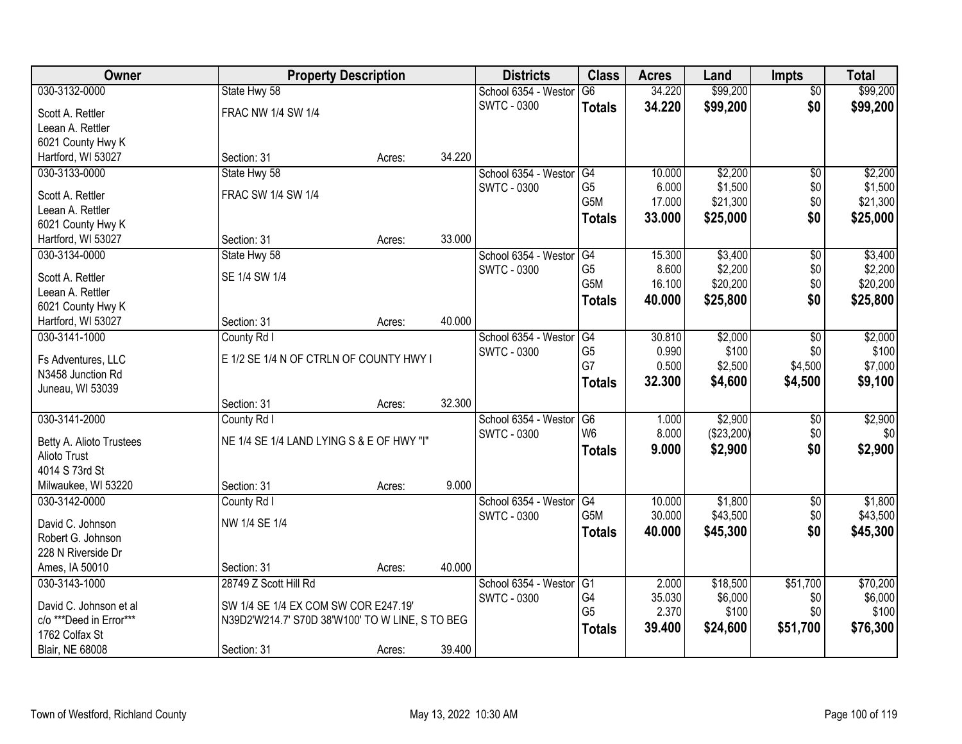| Owner                    | <b>Property Description</b>                     |        |        | <b>Districts</b>     | <b>Class</b>     | <b>Acres</b> | Land       | <b>Impts</b>    | <b>Total</b> |
|--------------------------|-------------------------------------------------|--------|--------|----------------------|------------------|--------------|------------|-----------------|--------------|
| 030-3132-0000            | State Hwy 58                                    |        |        | School 6354 - Westor | $\overline{G6}$  | 34.220       | \$99,200   | $\overline{50}$ | \$99,200     |
| Scott A. Rettler         | FRAC NW 1/4 SW 1/4                              |        |        | <b>SWTC - 0300</b>   | <b>Totals</b>    | 34.220       | \$99,200   | \$0             | \$99,200     |
| Leean A. Rettler         |                                                 |        |        |                      |                  |              |            |                 |              |
| 6021 County Hwy K        |                                                 |        |        |                      |                  |              |            |                 |              |
| Hartford, WI 53027       | Section: 31                                     | Acres: | 34.220 |                      |                  |              |            |                 |              |
| 030-3133-0000            | State Hwy 58                                    |        |        | School 6354 - Westor | G4               | 10.000       | \$2,200    | $\overline{50}$ | \$2,200      |
| Scott A. Rettler         | FRAC SW 1/4 SW 1/4                              |        |        | SWTC - 0300          | G <sub>5</sub>   | 6.000        | \$1,500    | \$0             | \$1,500      |
| Leean A. Rettler         |                                                 |        |        |                      | G <sub>5</sub> M | 17.000       | \$21,300   | \$0             | \$21,300     |
| 6021 County Hwy K        |                                                 |        |        |                      | <b>Totals</b>    | 33.000       | \$25,000   | \$0             | \$25,000     |
| Hartford, WI 53027       | Section: 31                                     | Acres: | 33.000 |                      |                  |              |            |                 |              |
| 030-3134-0000            | State Hwy 58                                    |        |        | School 6354 - Westor | G4               | 15.300       | \$3,400    | \$0             | \$3,400      |
| Scott A. Rettler         | SE 1/4 SW 1/4                                   |        |        | <b>SWTC - 0300</b>   | G <sub>5</sub>   | 8.600        | \$2,200    | \$0             | \$2,200      |
| Leean A. Rettler         |                                                 |        |        |                      | G <sub>5</sub> M | 16.100       | \$20,200   | \$0             | \$20,200     |
| 6021 County Hwy K        |                                                 |        |        |                      | <b>Totals</b>    | 40.000       | \$25,800   | \$0             | \$25,800     |
| Hartford, WI 53027       | Section: 31                                     | Acres: | 40.000 |                      |                  |              |            |                 |              |
| 030-3141-1000            | County Rd I                                     |        |        | School 6354 - Westor | G4               | 30.810       | \$2,000    | \$0             | \$2,000      |
| Fs Adventures, LLC       | E 1/2 SE 1/4 N OF CTRLN OF COUNTY HWY I         |        |        | <b>SWTC - 0300</b>   | G <sub>5</sub>   | 0.990        | \$100      | \$0             | \$100        |
| N3458 Junction Rd        |                                                 |        |        |                      | G7               | 0.500        | \$2,500    | \$4,500         | \$7,000      |
| Juneau, WI 53039         |                                                 |        |        |                      | <b>Totals</b>    | 32.300       | \$4,600    | \$4,500         | \$9,100      |
|                          | Section: 31                                     | Acres: | 32.300 |                      |                  |              |            |                 |              |
| 030-3141-2000            | County Rd I                                     |        |        | School 6354 - Westor | G6               | 1.000        | \$2,900    | \$0             | \$2,900      |
| Betty A. Alioto Trustees | NE 1/4 SE 1/4 LAND LYING S & E OF HWY "I"       |        |        | <b>SWTC - 0300</b>   | W <sub>6</sub>   | 8.000        | (\$23,200) | \$0             | \$0          |
| Alioto Trust             |                                                 |        |        |                      | <b>Totals</b>    | 9.000        | \$2,900    | \$0             | \$2,900      |
| 4014 S 73rd St           |                                                 |        |        |                      |                  |              |            |                 |              |
| Milwaukee, WI 53220      | Section: 31                                     | Acres: | 9.000  |                      |                  |              |            |                 |              |
| 030-3142-0000            | County Rd I                                     |        |        | School 6354 - Westor | G4               | 10.000       | \$1,800    | $\sqrt{6}$      | \$1,800      |
| David C. Johnson         | NW 1/4 SE 1/4                                   |        |        | <b>SWTC - 0300</b>   | G <sub>5</sub> M | 30.000       | \$43,500   | \$0             | \$43,500     |
| Robert G. Johnson        |                                                 |        |        |                      | <b>Totals</b>    | 40.000       | \$45,300   | \$0             | \$45,300     |
| 228 N Riverside Dr       |                                                 |        |        |                      |                  |              |            |                 |              |
| Ames, IA 50010           | Section: 31                                     | Acres: | 40.000 |                      |                  |              |            |                 |              |
| 030-3143-1000            | 28749 Z Scott Hill Rd                           |        |        | School 6354 - Westor | G1               | 2.000        | \$18,500   | \$51,700        | \$70,200     |
| David C. Johnson et al   | SW 1/4 SE 1/4 EX COM SW COR E247.19'            |        |        | <b>SWTC - 0300</b>   | G4               | 35.030       | \$6,000    | \$0             | \$6,000      |
| c/o ***Deed in Error***  | N39D2'W214.7' S70D 38'W100' TO W LINE, S TO BEG |        |        |                      | G <sub>5</sub>   | 2.370        | \$100      | \$0             | \$100        |
| 1762 Colfax St           |                                                 |        |        |                      | <b>Totals</b>    | 39.400       | \$24,600   | \$51,700        | \$76,300     |
| <b>Blair, NE 68008</b>   | Section: 31                                     | Acres: | 39.400 |                      |                  |              |            |                 |              |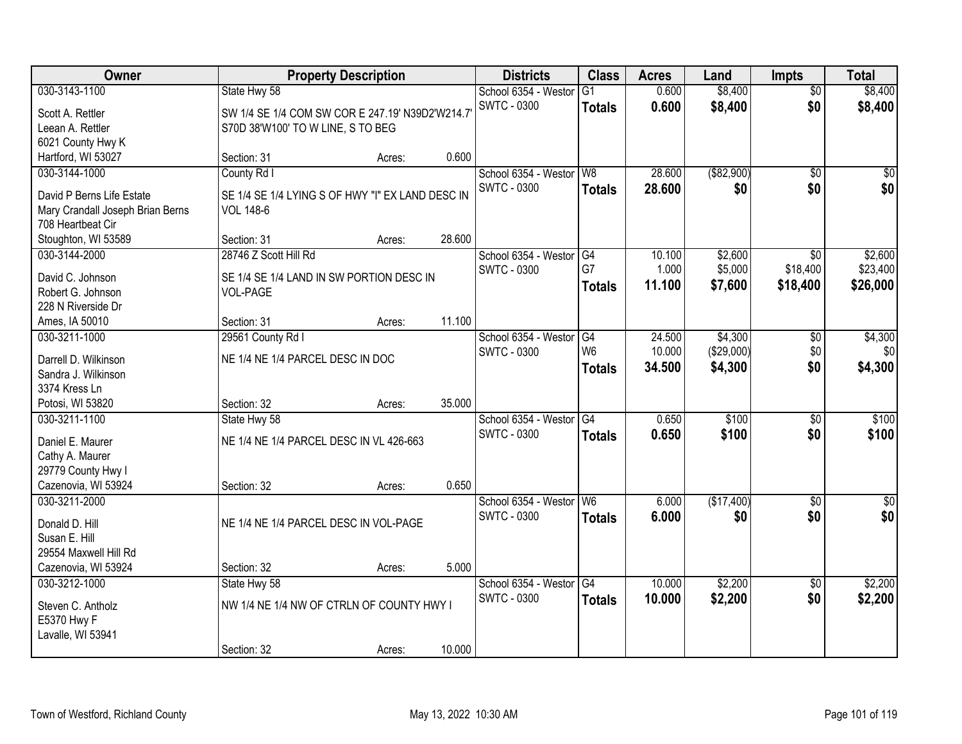| Owner                                        |                                                  | <b>Property Description</b> |        | <b>Districts</b>        | <b>Class</b>    | <b>Acres</b> | Land        | <b>Impts</b>    | <b>Total</b>     |
|----------------------------------------------|--------------------------------------------------|-----------------------------|--------|-------------------------|-----------------|--------------|-------------|-----------------|------------------|
| 030-3143-1100                                | State Hwy 58                                     |                             |        | School 6354 - Westor    | G1              | 0.600        | \$8,400     | $\overline{50}$ | \$8,400          |
| Scott A. Rettler                             | SW 1/4 SE 1/4 COM SW COR E 247.19' N39D2'W214.7' |                             |        | <b>SWTC - 0300</b>      | <b>Totals</b>   | 0.600        | \$8,400     | \$0             | \$8,400          |
| Leean A. Rettler                             | S70D 38'W100' TO W LINE, S TO BEG                |                             |        |                         |                 |              |             |                 |                  |
| 6021 County Hwy K                            |                                                  |                             |        |                         |                 |              |             |                 |                  |
| Hartford, WI 53027                           | Section: 31                                      | Acres:                      | 0.600  |                         |                 |              |             |                 |                  |
| 030-3144-1000                                | County Rd I                                      |                             |        | School 6354 - Westor    | W <sub>8</sub>  | 28.600       | ( \$82,900) | $\overline{50}$ | \$0              |
| David P Berns Life Estate                    | SE 1/4 SE 1/4 LYING S OF HWY "I" EX LAND DESC IN |                             |        | <b>SWTC - 0300</b>      | <b>Totals</b>   | 28.600       | \$0         | \$0             | \$0              |
| Mary Crandall Joseph Brian Berns             | <b>VOL 148-6</b>                                 |                             |        |                         |                 |              |             |                 |                  |
| 708 Heartbeat Cir                            |                                                  |                             |        |                         |                 |              |             |                 |                  |
| Stoughton, WI 53589                          | Section: 31                                      | Acres:                      | 28.600 |                         |                 |              |             |                 |                  |
| 030-3144-2000                                | 28746 Z Scott Hill Rd                            |                             |        | School 6354 - Westor    | G4              | 10.100       | \$2,600     | \$0             | \$2,600          |
| David C. Johnson                             | SE 1/4 SE 1/4 LAND IN SW PORTION DESC IN         |                             |        | <b>SWTC - 0300</b>      | G7              | 1.000        | \$5,000     | \$18,400        | \$23,400         |
| Robert G. Johnson                            | VOL-PAGE                                         |                             |        |                         | <b>Totals</b>   | 11.100       | \$7,600     | \$18,400        | \$26,000         |
| 228 N Riverside Dr                           |                                                  |                             |        |                         |                 |              |             |                 |                  |
| Ames, IA 50010                               | Section: 31                                      | Acres:                      | 11.100 |                         |                 |              |             |                 |                  |
| 030-3211-1000                                | 29561 County Rd I                                |                             |        | School 6354 - Weston    | G4              | 24.500       | \$4,300     | \$0             | \$4,300          |
|                                              |                                                  |                             |        | <b>SWTC - 0300</b>      | W <sub>6</sub>  | 10.000       | (\$29,000)  | \$0             | \$0              |
| Darrell D. Wilkinson<br>Sandra J. Wilkinson  | NE 1/4 NE 1/4 PARCEL DESC IN DOC                 |                             |        |                         | <b>Totals</b>   | 34.500       | \$4,300     | \$0             | \$4,300          |
| 3374 Kress Ln                                |                                                  |                             |        |                         |                 |              |             |                 |                  |
| Potosi, WI 53820                             | Section: 32                                      | Acres:                      | 35.000 |                         |                 |              |             |                 |                  |
| 030-3211-1100                                | State Hwy 58                                     |                             |        | School 6354 - Westor    | $\overline{G4}$ | 0.650        | \$100       | $\overline{50}$ | \$100            |
|                                              |                                                  |                             |        | SWTC - 0300             | <b>Totals</b>   | 0.650        | \$100       | \$0             | \$100            |
| Daniel E. Maurer                             | NE 1/4 NE 1/4 PARCEL DESC IN VL 426-663          |                             |        |                         |                 |              |             |                 |                  |
| Cathy A. Maurer<br>29779 County Hwy I        |                                                  |                             |        |                         |                 |              |             |                 |                  |
| Cazenovia, WI 53924                          | Section: 32                                      | Acres:                      | 0.650  |                         |                 |              |             |                 |                  |
| 030-3211-2000                                |                                                  |                             |        | School 6354 - Westor W6 |                 | 6.000        | (\$17,400)  | $\overline{30}$ | $\overline{\$0}$ |
|                                              |                                                  |                             |        | SWTC - 0300             | <b>Totals</b>   | 6.000        | \$0         | \$0             | \$0              |
| Donald D. Hill                               | NE 1/4 NE 1/4 PARCEL DESC IN VOL-PAGE            |                             |        |                         |                 |              |             |                 |                  |
| Susan E. Hill                                |                                                  |                             |        |                         |                 |              |             |                 |                  |
| 29554 Maxwell Hill Rd<br>Cazenovia, WI 53924 | Section: 32                                      |                             | 5.000  |                         |                 |              |             |                 |                  |
| 030-3212-1000                                |                                                  | Acres:                      |        | School 6354 - Westor    | G4              | 10.000       | \$2,200     | $\overline{50}$ | \$2,200          |
|                                              | State Hwy 58                                     |                             |        | SWTC - 0300             | <b>Totals</b>   | 10.000       | \$2,200     | \$0             | \$2,200          |
| Steven C. Antholz                            | NW 1/4 NE 1/4 NW OF CTRLN OF COUNTY HWY I        |                             |        |                         |                 |              |             |                 |                  |
| E5370 Hwy F                                  |                                                  |                             |        |                         |                 |              |             |                 |                  |
| Lavalle, WI 53941                            |                                                  |                             |        |                         |                 |              |             |                 |                  |
|                                              | Section: 32                                      | Acres:                      | 10.000 |                         |                 |              |             |                 |                  |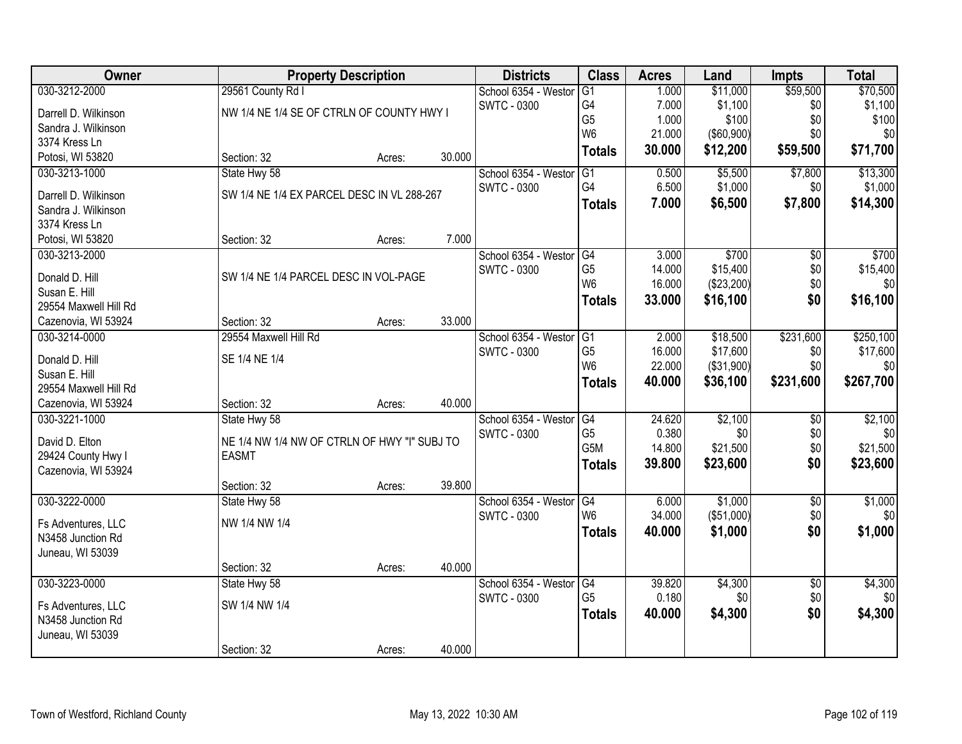| Owner                                     | <b>Property Description</b>                  |        |        | <b>Districts</b>        | <b>Class</b>   | <b>Acres</b> | Land              | <b>Impts</b>    | <b>Total</b> |
|-------------------------------------------|----------------------------------------------|--------|--------|-------------------------|----------------|--------------|-------------------|-----------------|--------------|
| 030-3212-2000                             | 29561 County Rd I                            |        |        | School 6354 - Westor    | G1             | 1.000        | \$11,000          | \$59,500        | \$70,500     |
| Darrell D. Wilkinson                      | NW 1/4 NE 1/4 SE OF CTRLN OF COUNTY HWY I    |        |        | <b>SWTC - 0300</b>      | G4             | 7.000        | \$1,100           | \$0             | \$1,100      |
| Sandra J. Wilkinson                       |                                              |        |        |                         | G <sub>5</sub> | 1.000        | \$100             | \$0             | \$100        |
| 3374 Kress Ln                             |                                              |        |        |                         | W <sub>6</sub> | 21.000       | $($ \$60,900) $ $ | \$0             | \$0          |
| Potosi, WI 53820                          | Section: 32                                  | Acres: | 30.000 |                         | <b>Totals</b>  | 30.000       | \$12,200          | \$59,500        | \$71,700     |
| 030-3213-1000                             | State Hwy 58                                 |        |        | School 6354 - Westor    | G1             | 0.500        | \$5,500           | \$7,800         | \$13,300     |
| Darrell D. Wilkinson                      | SW 1/4 NE 1/4 EX PARCEL DESC IN VL 288-267   |        |        | <b>SWTC - 0300</b>      | G4             | 6.500        | \$1,000           | \$0             | \$1,000      |
| Sandra J. Wilkinson                       |                                              |        |        |                         | <b>Totals</b>  | 7.000        | \$6,500           | \$7,800         | \$14,300     |
| 3374 Kress Ln                             |                                              |        |        |                         |                |              |                   |                 |              |
| Potosi, WI 53820                          | Section: 32                                  | Acres: | 7.000  |                         |                |              |                   |                 |              |
| 030-3213-2000                             |                                              |        |        | School 6354 - Westor G4 |                | 3.000        | \$700             | $\overline{50}$ | \$700        |
| Donald D. Hill                            | SW 1/4 NE 1/4 PARCEL DESC IN VOL-PAGE        |        |        | <b>SWTC - 0300</b>      | G <sub>5</sub> | 14.000       | \$15,400          | \$0             | \$15,400     |
| Susan E. Hill                             |                                              |        |        |                         | W <sub>6</sub> | 16.000       | (\$23,200)        | \$0             | \$0          |
| 29554 Maxwell Hill Rd                     |                                              |        |        |                         | <b>Totals</b>  | 33.000       | \$16,100          | \$0             | \$16,100     |
| Cazenovia, WI 53924                       | Section: 32                                  | Acres: | 33.000 |                         |                |              |                   |                 |              |
| 030-3214-0000                             | 29554 Maxwell Hill Rd                        |        |        | School 6354 - Westor    | G1             | 2.000        | \$18,500          | \$231,600       | \$250,100    |
|                                           | SE 1/4 NE 1/4                                |        |        | <b>SWTC - 0300</b>      | G <sub>5</sub> | 16.000       | \$17,600          | \$0             | \$17,600     |
| Donald D. Hill<br>Susan E. Hill           |                                              |        |        |                         | W <sub>6</sub> | 22.000       | (\$31,900)        | \$0             | \$0          |
| 29554 Maxwell Hill Rd                     |                                              |        |        |                         | <b>Totals</b>  | 40.000       | \$36,100          | \$231,600       | \$267,700    |
| Cazenovia, WI 53924                       | Section: 32                                  | Acres: | 40.000 |                         |                |              |                   |                 |              |
| 030-3221-1000                             | State Hwy 58                                 |        |        | School 6354 - Westor    | G4             | 24.620       | \$2,100           | $\overline{50}$ | \$2,100      |
|                                           |                                              |        |        | <b>SWTC - 0300</b>      | G <sub>5</sub> | 0.380        | \$0               | \$0             | \$0          |
| David D. Elton                            | NE 1/4 NW 1/4 NW OF CTRLN OF HWY "I" SUBJ TO |        |        |                         | G5M            | 14.800       | \$21,500          | \$0             | \$21,500     |
| 29424 County Hwy I<br>Cazenovia, WI 53924 | <b>EASMT</b>                                 |        |        |                         | <b>Totals</b>  | 39.800       | \$23,600          | \$0             | \$23,600     |
|                                           | Section: 32                                  | Acres: | 39.800 |                         |                |              |                   |                 |              |
| 030-3222-0000                             | State Hwy 58                                 |        |        | School 6354 - Westor    | G4             | 6.000        | \$1,000           | $\overline{50}$ | \$1,000      |
|                                           |                                              |        |        | <b>SWTC - 0300</b>      | W <sub>6</sub> | 34.000       | (\$51,000)        | \$0             | \$0          |
| Fs Adventures, LLC                        | NW 1/4 NW 1/4                                |        |        |                         | <b>Totals</b>  | 40.000       | \$1,000           | \$0             | \$1,000      |
| N3458 Junction Rd                         |                                              |        |        |                         |                |              |                   |                 |              |
| Juneau, WI 53039                          | Section: 32                                  | Acres: | 40.000 |                         |                |              |                   |                 |              |
| 030-3223-0000                             | State Hwy 58                                 |        |        | School 6354 - Westor    | G4             | 39.820       | \$4,300           | $\overline{50}$ | \$4,300      |
|                                           |                                              |        |        | <b>SWTC - 0300</b>      | G <sub>5</sub> | 0.180        | \$0               | \$0             | \$0          |
| Fs Adventures, LLC                        | SW 1/4 NW 1/4                                |        |        |                         | <b>Totals</b>  | 40.000       | \$4,300           | \$0             | \$4,300      |
| N3458 Junction Rd                         |                                              |        |        |                         |                |              |                   |                 |              |
| Juneau, WI 53039                          |                                              |        | 40.000 |                         |                |              |                   |                 |              |
|                                           | Section: 32                                  | Acres: |        |                         |                |              |                   |                 |              |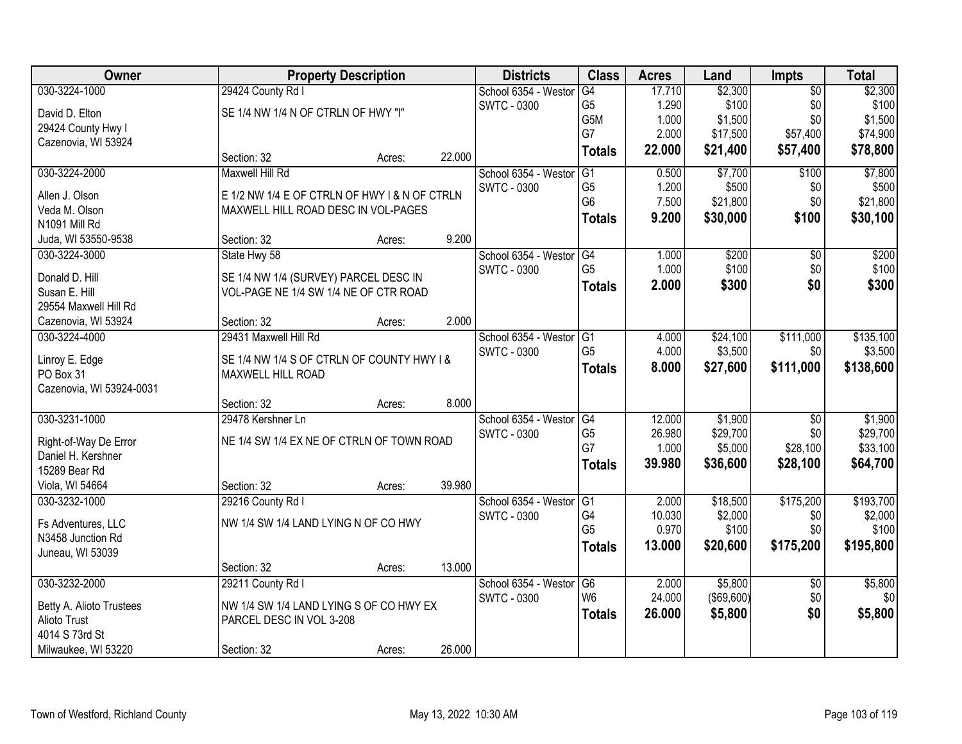| Owner                                  |                                               | <b>Property Description</b> |        | <b>Districts</b>     | <b>Class</b>    | <b>Acres</b> | Land       | <b>Impts</b>    | <b>Total</b> |
|----------------------------------------|-----------------------------------------------|-----------------------------|--------|----------------------|-----------------|--------------|------------|-----------------|--------------|
| 030-3224-1000                          | 29424 County Rd I                             |                             |        | School 6354 - Weston | G4              | 17.710       | \$2,300    | $\overline{50}$ | \$2,300      |
| David D. Elton                         | SE 1/4 NW 1/4 N OF CTRLN OF HWY "I"           |                             |        | <b>SWTC - 0300</b>   | G <sub>5</sub>  | 1.290        | \$100      | \$0             | \$100        |
| 29424 County Hwy I                     |                                               |                             |        |                      | G5M             | 1.000        | \$1,500    | \$0             | \$1,500      |
| Cazenovia, WI 53924                    |                                               |                             |        |                      | G7              | 2.000        | \$17,500   | \$57,400        | \$74,900     |
|                                        | Section: 32                                   | Acres:                      | 22.000 |                      | <b>Totals</b>   | 22.000       | \$21,400   | \$57,400        | \$78,800     |
| 030-3224-2000                          | Maxwell Hill Rd                               |                             |        | School 6354 - Weston | $\overline{G1}$ | 0.500        | \$7,700    | \$100           | \$7,800      |
| Allen J. Olson                         | E 1/2 NW 1/4 E OF CTRLN OF HWY I & N OF CTRLN |                             |        | <b>SWTC - 0300</b>   | G <sub>5</sub>  | 1.200        | \$500      | \$0             | \$500        |
| Veda M. Olson                          | MAXWELL HILL ROAD DESC IN VOL-PAGES           |                             |        |                      | G <sub>6</sub>  | 7.500        | \$21,800   | \$0             | \$21,800     |
| N1091 Mill Rd                          |                                               |                             |        |                      | <b>Totals</b>   | 9.200        | \$30,000   | \$100           | \$30,100     |
| Juda, WI 53550-9538                    | Section: 32                                   | Acres:                      | 9.200  |                      |                 |              |            |                 |              |
| 030-3224-3000                          | State Hwy 58                                  |                             |        | School 6354 - Westor | G4              | 1.000        | \$200      | $\overline{50}$ | \$200        |
|                                        |                                               |                             |        | <b>SWTC - 0300</b>   | G <sub>5</sub>  | 1.000        | \$100      | \$0             | \$100        |
| Donald D. Hill                         | SE 1/4 NW 1/4 (SURVEY) PARCEL DESC IN         |                             |        |                      | <b>Totals</b>   | 2.000        | \$300      | \$0             | \$300        |
| Susan E. Hill<br>29554 Maxwell Hill Rd | VOL-PAGE NE 1/4 SW 1/4 NE OF CTR ROAD         |                             |        |                      |                 |              |            |                 |              |
| Cazenovia, WI 53924                    | Section: 32                                   | Acres:                      | 2.000  |                      |                 |              |            |                 |              |
| 030-3224-4000                          | 29431 Maxwell Hill Rd                         |                             |        | School 6354 - Weston | G <sub>1</sub>  | 4.000        | \$24,100   | \$111,000       | \$135,100    |
|                                        |                                               |                             |        | <b>SWTC - 0300</b>   | G <sub>5</sub>  | 4.000        | \$3,500    | \$0             | \$3,500      |
| Linroy E. Edge                         | SE 1/4 NW 1/4 S OF CTRLN OF COUNTY HWY I &    |                             |        |                      |                 | 8.000        | \$27,600   | \$111,000       | \$138,600    |
| PO Box 31                              | MAXWELL HILL ROAD                             |                             |        |                      | <b>Totals</b>   |              |            |                 |              |
| Cazenovia, WI 53924-0031               |                                               |                             |        |                      |                 |              |            |                 |              |
|                                        | Section: 32                                   | Acres:                      | 8.000  |                      |                 |              |            |                 |              |
| 030-3231-1000                          | 29478 Kershner Ln                             |                             |        | School 6354 - Weston | G4              | 12.000       | \$1,900    | $\overline{30}$ | \$1,900      |
| Right-of-Way De Error                  | NE 1/4 SW 1/4 EX NE OF CTRLN OF TOWN ROAD     |                             |        | SWTC - 0300          | G <sub>5</sub>  | 26.980       | \$29,700   | \$0             | \$29,700     |
| Daniel H. Kershner                     |                                               |                             |        |                      | G7              | 1.000        | \$5,000    | \$28,100        | \$33,100     |
| 15289 Bear Rd                          |                                               |                             |        |                      | <b>Totals</b>   | 39.980       | \$36,600   | \$28,100        | \$64,700     |
| Viola, WI 54664                        | Section: 32                                   | Acres:                      | 39.980 |                      |                 |              |            |                 |              |
| 030-3232-1000                          | 29216 County Rd I                             |                             |        | School 6354 - Westor | IG1             | 2.000        | \$18,500   | \$175,200       | \$193,700    |
|                                        |                                               |                             |        | <b>SWTC - 0300</b>   | G4              | 10.030       | \$2,000    | \$0             | \$2,000      |
| Fs Adventures, LLC                     | NW 1/4 SW 1/4 LAND LYING N OF CO HWY          |                             |        |                      | G <sub>5</sub>  | 0.970        | \$100      | \$0             | \$100        |
| N3458 Junction Rd                      |                                               |                             |        |                      | <b>Totals</b>   | 13.000       | \$20,600   | \$175,200       | \$195,800    |
| Juneau, WI 53039                       |                                               |                             |        |                      |                 |              |            |                 |              |
|                                        | Section: 32                                   | Acres:                      | 13.000 |                      |                 |              |            |                 |              |
| 030-3232-2000                          | 29211 County Rd I                             |                             |        | School 6354 - Weston | G6              | 2.000        | \$5,800    | $\overline{30}$ | \$5,800      |
| Betty A. Alioto Trustees               | NW 1/4 SW 1/4 LAND LYING S OF CO HWY EX       |                             |        | <b>SWTC - 0300</b>   | W <sub>6</sub>  | 24.000       | (\$69,600) | \$0             | \$0          |
| Alioto Trust                           | PARCEL DESC IN VOL 3-208                      |                             |        |                      | <b>Totals</b>   | 26.000       | \$5,800    | \$0             | \$5,800      |
| 4014 S 73rd St                         |                                               |                             |        |                      |                 |              |            |                 |              |
| Milwaukee, WI 53220                    | Section: 32                                   | Acres:                      | 26.000 |                      |                 |              |            |                 |              |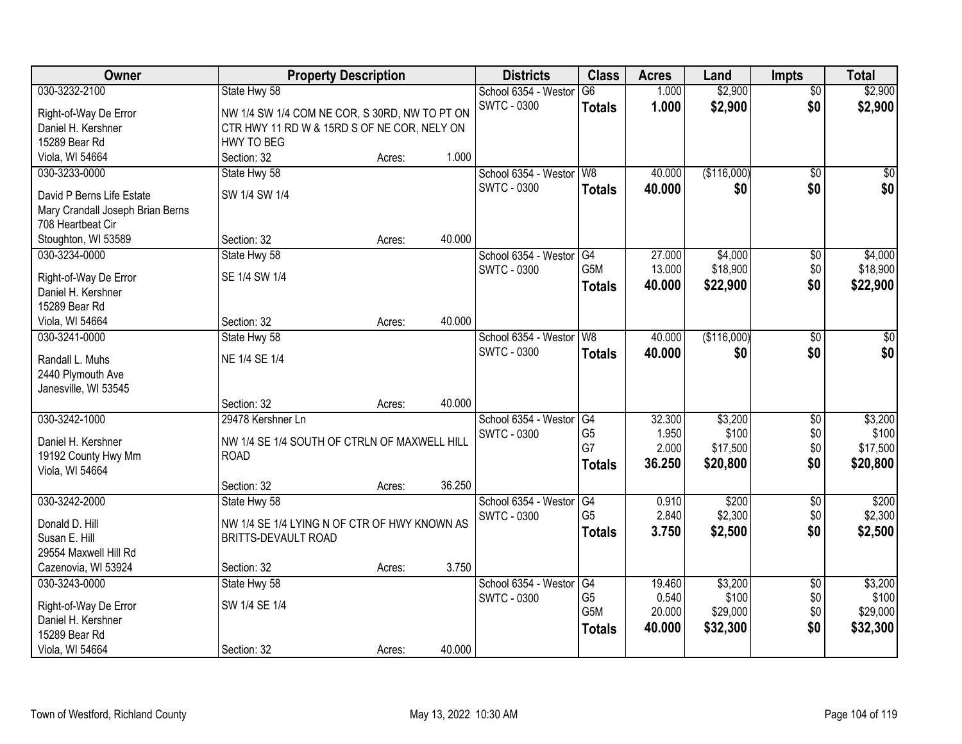| Owner                                                 |                                               | <b>Property Description</b> |        | <b>Districts</b>     | <b>Class</b>     | <b>Acres</b> | Land        | <b>Impts</b>    | <b>Total</b> |
|-------------------------------------------------------|-----------------------------------------------|-----------------------------|--------|----------------------|------------------|--------------|-------------|-----------------|--------------|
| 030-3232-2100                                         | State Hwy 58                                  |                             |        | School 6354 - Westor | G6               | 1.000        | \$2,900     | $\overline{50}$ | \$2,900      |
| Right-of-Way De Error                                 | NW 1/4 SW 1/4 COM NE COR, S 30RD, NW TO PT ON |                             |        | <b>SWTC - 0300</b>   | <b>Totals</b>    | 1.000        | \$2,900     | \$0             | \$2,900      |
| Daniel H. Kershner                                    | CTR HWY 11 RD W & 15RD S OF NE COR, NELY ON   |                             |        |                      |                  |              |             |                 |              |
| 15289 Bear Rd                                         | <b>HWY TO BEG</b>                             |                             |        |                      |                  |              |             |                 |              |
| Viola, WI 54664                                       | Section: 32                                   | Acres:                      | 1.000  |                      |                  |              |             |                 |              |
| 030-3233-0000                                         | State Hwy 58                                  |                             |        | School 6354 - Westor | W <sub>8</sub>   | 40.000       | (\$116,000) | $\overline{50}$ | \$0          |
|                                                       | SW 1/4 SW 1/4                                 |                             |        | <b>SWTC - 0300</b>   | <b>Totals</b>    | 40.000       | \$0         | \$0             | \$0          |
| David P Berns Life Estate                             |                                               |                             |        |                      |                  |              |             |                 |              |
| Mary Crandall Joseph Brian Berns<br>708 Heartbeat Cir |                                               |                             |        |                      |                  |              |             |                 |              |
| Stoughton, WI 53589                                   | Section: 32                                   | Acres:                      | 40.000 |                      |                  |              |             |                 |              |
| 030-3234-0000                                         | State Hwy 58                                  |                             |        | School 6354 - Westor | G4               | 27.000       | \$4,000     | \$0             | \$4,000      |
|                                                       |                                               |                             |        | SWTC - 0300          | G5M              | 13.000       | \$18,900    | \$0             | \$18,900     |
| Right-of-Way De Error                                 | SE 1/4 SW 1/4                                 |                             |        |                      | <b>Totals</b>    | 40.000       | \$22,900    | \$0             | \$22,900     |
| Daniel H. Kershner                                    |                                               |                             |        |                      |                  |              |             |                 |              |
| 15289 Bear Rd                                         |                                               |                             |        |                      |                  |              |             |                 |              |
| Viola, WI 54664                                       | Section: 32                                   | Acres:                      | 40.000 |                      |                  |              |             |                 |              |
| 030-3241-0000                                         | State Hwy 58                                  |                             |        | School 6354 - Westor | W <sub>8</sub>   | 40.000       | (\$116,000) | \$0             | \$0          |
| Randall L. Muhs                                       | NE 1/4 SE 1/4                                 |                             |        | <b>SWTC - 0300</b>   | <b>Totals</b>    | 40.000       | \$0         | \$0             | \$0          |
| 2440 Plymouth Ave                                     |                                               |                             |        |                      |                  |              |             |                 |              |
| Janesville, WI 53545                                  |                                               |                             |        |                      |                  |              |             |                 |              |
|                                                       | Section: 32                                   | Acres:                      | 40.000 |                      |                  |              |             |                 |              |
| 030-3242-1000                                         | 29478 Kershner Ln                             |                             |        | School 6354 - Westor | G4               | 32.300       | \$3,200     | $\overline{50}$ | \$3,200      |
|                                                       |                                               |                             |        | <b>SWTC - 0300</b>   | G <sub>5</sub>   | 1.950        | \$100       | \$0             | \$100        |
| Daniel H. Kershner                                    | NW 1/4 SE 1/4 SOUTH OF CTRLN OF MAXWELL HILL  |                             |        |                      | G7               | 2.000        | \$17,500    | \$0             | \$17,500     |
| 19192 County Hwy Mm                                   | <b>ROAD</b>                                   |                             |        |                      | <b>Totals</b>    | 36.250       | \$20,800    | \$0             | \$20,800     |
| Viola, WI 54664                                       |                                               |                             |        |                      |                  |              |             |                 |              |
|                                                       | Section: 32                                   | Acres:                      | 36.250 |                      |                  |              |             |                 |              |
| 030-3242-2000                                         | State Hwy 58                                  |                             |        | School 6354 - Westor | G4               | 0.910        | \$200       | \$0             | \$200        |
| Donald D. Hill                                        | NW 1/4 SE 1/4 LYING N OF CTR OF HWY KNOWN AS  |                             |        | <b>SWTC - 0300</b>   | G <sub>5</sub>   | 2.840        | \$2,300     | \$0             | \$2,300      |
| Susan E. Hill                                         | BRITTS-DEVAULT ROAD                           |                             |        |                      | <b>Totals</b>    | 3.750        | \$2,500     | \$0             | \$2,500      |
| 29554 Maxwell Hill Rd                                 |                                               |                             |        |                      |                  |              |             |                 |              |
| Cazenovia, WI 53924                                   | Section: 32                                   | Acres:                      | 3.750  |                      |                  |              |             |                 |              |
| 030-3243-0000                                         | State Hwy 58                                  |                             |        | School 6354 - Westor | G4               | 19.460       | \$3,200     | $\overline{60}$ | \$3,200      |
|                                                       |                                               |                             |        | <b>SWTC - 0300</b>   | G <sub>5</sub>   | 0.540        | \$100       | \$0             | \$100        |
| Right-of-Way De Error                                 | SW 1/4 SE 1/4                                 |                             |        |                      | G <sub>5</sub> M | 20.000       | \$29,000    | \$0             | \$29,000     |
| Daniel H. Kershner                                    |                                               |                             |        |                      | <b>Totals</b>    | 40.000       | \$32,300    | \$0             | \$32,300     |
| 15289 Bear Rd                                         |                                               |                             |        |                      |                  |              |             |                 |              |
| Viola, WI 54664                                       | Section: 32                                   | Acres:                      | 40.000 |                      |                  |              |             |                 |              |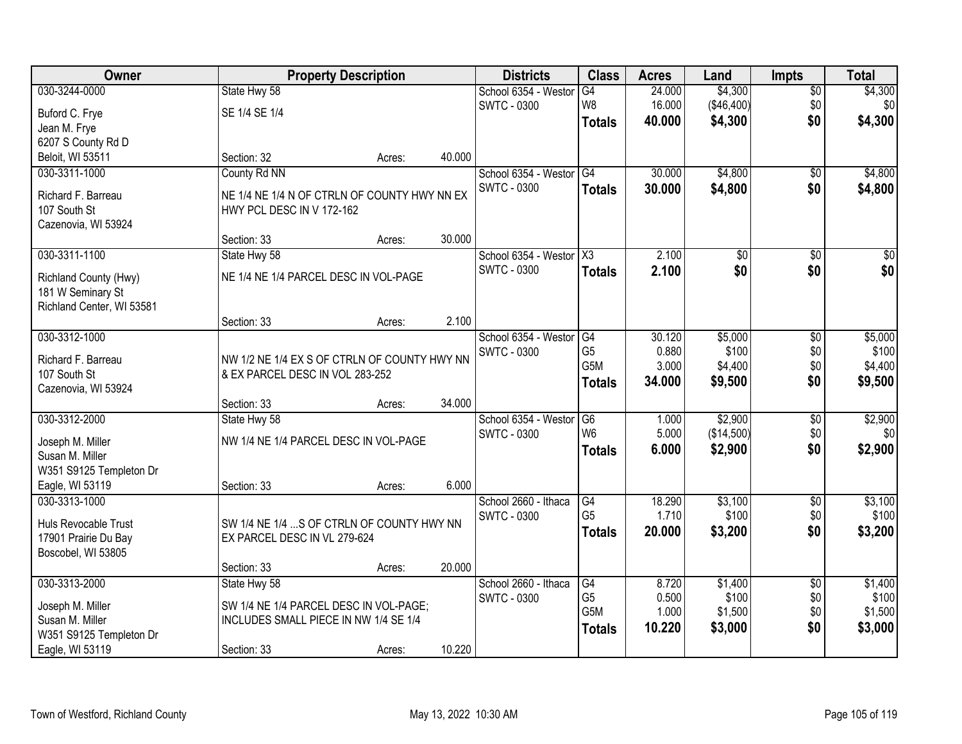| Owner                              |                                                                           | <b>Property Description</b> |        | <b>Districts</b>        | <b>Class</b>     | <b>Acres</b> | Land       | <b>Impts</b>    | <b>Total</b>     |
|------------------------------------|---------------------------------------------------------------------------|-----------------------------|--------|-------------------------|------------------|--------------|------------|-----------------|------------------|
| 030-3244-0000                      | State Hwy 58                                                              |                             |        | School 6354 - Westor    | G4               | 24.000       | \$4,300    | $\overline{50}$ | \$4,300          |
| Buford C. Frye                     | SE 1/4 SE 1/4                                                             |                             |        | <b>SWTC - 0300</b>      | W <sub>8</sub>   | 16.000       | (\$46,400) | \$0             | \$0 <sub>1</sub> |
| Jean M. Frye                       |                                                                           |                             |        |                         | <b>Totals</b>    | 40.000       | \$4,300    | \$0             | \$4,300          |
| 6207 S County Rd D                 |                                                                           |                             |        |                         |                  |              |            |                 |                  |
| Beloit, WI 53511                   | Section: 32                                                               | Acres:                      | 40.000 |                         |                  |              |            |                 |                  |
| 030-3311-1000                      | County Rd NN                                                              |                             |        | School 6354 - Westor    | G4               | 30.000       | \$4,800    | $\overline{30}$ | \$4,800          |
|                                    |                                                                           |                             |        | <b>SWTC - 0300</b>      | <b>Totals</b>    | 30.000       | \$4,800    | \$0             | \$4,800          |
| Richard F. Barreau<br>107 South St | NE 1/4 NE 1/4 N OF CTRLN OF COUNTY HWY NN EX<br>HWY PCL DESC IN V 172-162 |                             |        |                         |                  |              |            |                 |                  |
| Cazenovia, WI 53924                |                                                                           |                             |        |                         |                  |              |            |                 |                  |
|                                    | Section: 33                                                               | Acres:                      | 30.000 |                         |                  |              |            |                 |                  |
| 030-3311-1100                      | State Hwy 58                                                              |                             |        | School 6354 - Westor X3 |                  | 2.100        | \$0        | \$0             | $\overline{\$0}$ |
|                                    |                                                                           |                             |        | <b>SWTC - 0300</b>      | <b>Totals</b>    | 2.100        | \$0        | \$0             | \$0              |
| Richland County (Hwy)              | NE 1/4 NE 1/4 PARCEL DESC IN VOL-PAGE                                     |                             |        |                         |                  |              |            |                 |                  |
| 181 W Seminary St                  |                                                                           |                             |        |                         |                  |              |            |                 |                  |
| Richland Center, WI 53581          | Section: 33                                                               | Acres:                      | 2.100  |                         |                  |              |            |                 |                  |
| 030-3312-1000                      |                                                                           |                             |        | School 6354 - Weston    | G4               | 30.120       | \$5,000    | \$0             | \$5,000          |
|                                    |                                                                           |                             |        | <b>SWTC - 0300</b>      | G <sub>5</sub>   | 0.880        | \$100      | \$0             | \$100            |
| Richard F. Barreau                 | NW 1/2 NE 1/4 EX S OF CTRLN OF COUNTY HWY NN                              |                             |        |                         | G5M              | 3.000        | \$4,400    | \$0             | \$4,400          |
| 107 South St                       | & EX PARCEL DESC IN VOL 283-252                                           |                             |        |                         | <b>Totals</b>    | 34.000       | \$9,500    | \$0             | \$9,500          |
| Cazenovia, WI 53924                |                                                                           |                             |        |                         |                  |              |            |                 |                  |
|                                    | Section: 33                                                               | Acres:                      | 34.000 |                         |                  |              |            |                 |                  |
| 030-3312-2000                      | State Hwy 58                                                              |                             |        | School 6354 - Weston    | G6               | 1.000        | \$2,900    | \$0             | \$2,900          |
| Joseph M. Miller                   | NW 1/4 NE 1/4 PARCEL DESC IN VOL-PAGE                                     |                             |        | <b>SWTC - 0300</b>      | W <sub>6</sub>   | 5.000        | (\$14,500) | \$0             | \$0              |
| Susan M. Miller                    |                                                                           |                             |        |                         | Totals           | 6.000        | \$2,900    | \$0             | \$2,900          |
| W351 S9125 Templeton Dr            |                                                                           |                             |        |                         |                  |              |            |                 |                  |
| Eagle, WI 53119                    | Section: 33                                                               | Acres:                      | 6.000  |                         |                  |              |            |                 |                  |
| 030-3313-1000                      |                                                                           |                             |        | School 2660 - Ithaca    | G4               | 18.290       | \$3,100    | $\sqrt{$0}$     | \$3,100          |
| Huls Revocable Trust               | SW 1/4 NE 1/4  S OF CTRLN OF COUNTY HWY NN                                |                             |        | <b>SWTC - 0300</b>      | G <sub>5</sub>   | 1.710        | \$100      | \$0             | \$100            |
| 17901 Prairie Du Bay               | EX PARCEL DESC IN VL 279-624                                              |                             |        |                         | <b>Totals</b>    | 20.000       | \$3,200    | \$0             | \$3,200          |
| Boscobel, WI 53805                 |                                                                           |                             |        |                         |                  |              |            |                 |                  |
|                                    | Section: 33                                                               | Acres:                      | 20.000 |                         |                  |              |            |                 |                  |
| 030-3313-2000                      | State Hwy 58                                                              |                             |        | School 2660 - Ithaca    | G4               | 8.720        | \$1,400    | $\overline{50}$ | \$1,400          |
| Joseph M. Miller                   | SW 1/4 NE 1/4 PARCEL DESC IN VOL-PAGE;                                    |                             |        | <b>SWTC - 0300</b>      | G <sub>5</sub>   | 0.500        | \$100      | \$0             | \$100            |
| Susan M. Miller                    | INCLUDES SMALL PIECE IN NW 1/4 SE 1/4                                     |                             |        |                         | G <sub>5</sub> M | 1.000        | \$1,500    | \$0             | \$1,500          |
| W351 S9125 Templeton Dr            |                                                                           |                             |        |                         | <b>Totals</b>    | 10.220       | \$3,000    | \$0             | \$3,000          |
| Eagle, WI 53119                    | Section: 33                                                               | Acres:                      | 10.220 |                         |                  |              |            |                 |                  |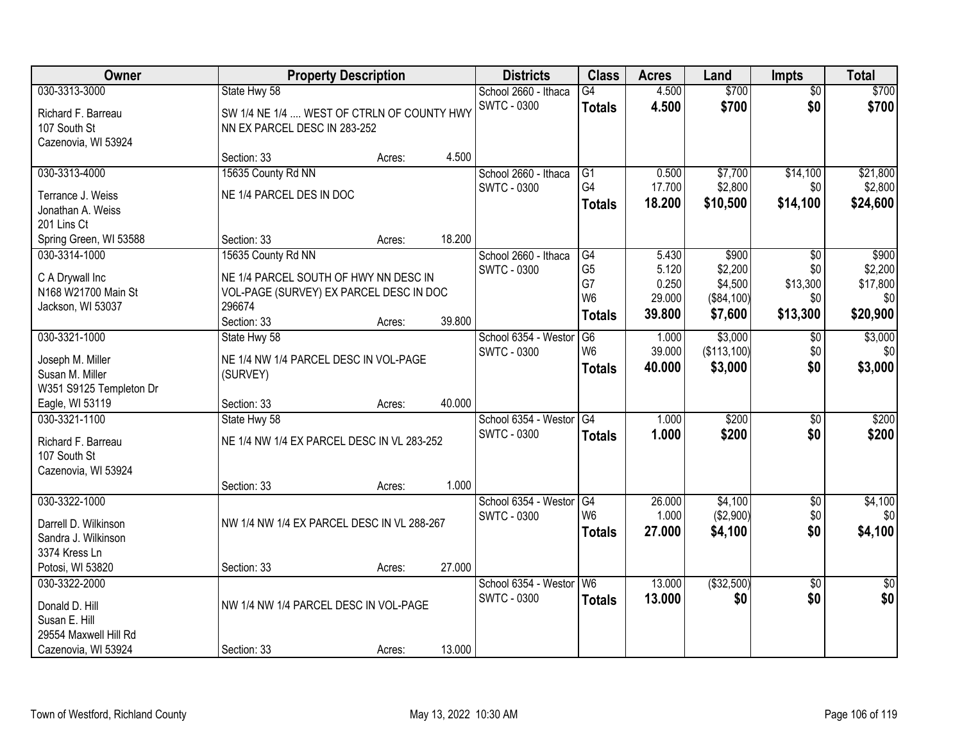| Owner                                                                         |                                                                                            | <b>Property Description</b> |        | <b>Districts</b>                           | <b>Class</b>                                              | <b>Acres</b>                       | Land                                        | <b>Impts</b>                       | <b>Total</b>                           |
|-------------------------------------------------------------------------------|--------------------------------------------------------------------------------------------|-----------------------------|--------|--------------------------------------------|-----------------------------------------------------------|------------------------------------|---------------------------------------------|------------------------------------|----------------------------------------|
| 030-3313-3000                                                                 | State Hwy 58                                                                               |                             |        | School 2660 - Ithaca                       | $\overline{G4}$                                           | 4.500                              | \$700                                       | $\overline{50}$                    | \$700                                  |
| Richard F. Barreau<br>107 South St<br>Cazenovia, WI 53924                     | SW 1/4 NE 1/4  WEST OF CTRLN OF COUNTY HWY<br>NN EX PARCEL DESC IN 283-252                 |                             |        | <b>SWTC - 0300</b>                         | <b>Totals</b>                                             | 4.500                              | \$700                                       | \$0                                | \$700                                  |
|                                                                               | Section: 33                                                                                | Acres:                      | 4.500  |                                            |                                                           |                                    |                                             |                                    |                                        |
| 030-3313-4000                                                                 | 15635 County Rd NN                                                                         |                             |        | School 2660 - Ithaca                       | G1                                                        | 0.500                              | \$7,700                                     | \$14,100                           | \$21,800                               |
| Terrance J. Weiss<br>Jonathan A. Weiss                                        | NE 1/4 PARCEL DES IN DOC                                                                   |                             |        | <b>SWTC - 0300</b>                         | G4<br><b>Totals</b>                                       | 17.700<br>18.200                   | \$2,800<br>\$10,500                         | \$0<br>\$14,100                    | \$2,800<br>\$24,600                    |
| 201 Lins Ct<br>Spring Green, WI 53588                                         | Section: 33                                                                                | Acres:                      | 18.200 |                                            |                                                           |                                    |                                             |                                    |                                        |
| 030-3314-1000                                                                 | 15635 County Rd NN                                                                         |                             |        | School 2660 - Ithaca                       | G4                                                        | 5.430                              | \$900                                       | \$0                                | \$900                                  |
| C A Drywall Inc<br>N168 W21700 Main St<br>Jackson, WI 53037                   | NE 1/4 PARCEL SOUTH OF HWY NN DESC IN<br>VOL-PAGE (SURVEY) EX PARCEL DESC IN DOC<br>296674 |                             |        | <b>SWTC - 0300</b>                         | G <sub>5</sub><br>G7<br>W <sub>6</sub><br><b>Totals</b>   | 5.120<br>0.250<br>29.000<br>39.800 | \$2,200<br>\$4,500<br>(\$84,100)<br>\$7,600 | \$0<br>\$13,300<br>\$0<br>\$13,300 | \$2,200<br>\$17,800<br>\$0<br>\$20,900 |
| 030-3321-1000                                                                 | Section: 33                                                                                | Acres:                      | 39.800 |                                            |                                                           |                                    |                                             |                                    |                                        |
| Joseph M. Miller<br>Susan M. Miller<br>W351 S9125 Templeton Dr                | State Hwy 58<br>NE 1/4 NW 1/4 PARCEL DESC IN VOL-PAGE<br>(SURVEY)                          |                             |        | School 6354 - Weston<br><b>SWTC - 0300</b> | G <sub>6</sub><br>W <sub>6</sub><br><b>Totals</b>         | 1.000<br>39.000<br>40.000          | \$3,000<br>(\$113,100)<br>\$3,000           | $\sqrt[6]{3}$<br>\$0<br>\$0        | \$3,000<br>\$0<br>\$3,000              |
| Eagle, WI 53119                                                               | Section: 33                                                                                | Acres:                      | 40.000 |                                            |                                                           |                                    |                                             |                                    |                                        |
| 030-3321-1100<br>Richard F. Barreau<br>107 South St                           | State Hwy 58<br>NE 1/4 NW 1/4 EX PARCEL DESC IN VL 283-252                                 |                             |        | School 6354 - Westor<br><b>SWTC - 0300</b> | $\overline{G4}$<br><b>Totals</b>                          | 1.000<br>1.000                     | \$200<br>\$200                              | \$0<br>\$0                         | \$200<br>\$200                         |
| Cazenovia, WI 53924                                                           |                                                                                            |                             |        |                                            |                                                           |                                    |                                             |                                    |                                        |
|                                                                               | Section: 33                                                                                | Acres:                      | 1.000  |                                            |                                                           |                                    |                                             |                                    |                                        |
| 030-3322-1000<br>Darrell D. Wilkinson<br>Sandra J. Wilkinson<br>3374 Kress Ln | NW 1/4 NW 1/4 EX PARCEL DESC IN VL 288-267                                                 |                             |        | School 6354 - Westor<br><b>SWTC - 0300</b> | $\overline{\text{G4}}$<br>W <sub>6</sub><br><b>Totals</b> | 26.000<br>1.000<br>27,000          | \$4,100<br>(\$2,900)<br>\$4,100             | $\sqrt{$0}$<br>\$0<br>\$0          | \$4,100<br>\$0 <sub>1</sub><br>\$4,100 |
| Potosi, WI 53820                                                              | Section: 33                                                                                | Acres:                      | 27.000 |                                            |                                                           |                                    |                                             |                                    |                                        |
| 030-3322-2000<br>Donald D. Hill<br>Susan E. Hill                              | NW 1/4 NW 1/4 PARCEL DESC IN VOL-PAGE                                                      |                             |        | School 6354 - Weston<br><b>SWTC - 0300</b> | W6<br><b>Totals</b>                                       | 13.000<br>13.000                   | ( \$32,500)<br>\$0                          | $\overline{50}$<br>\$0             | $\overline{50}$<br>\$0                 |
| 29554 Maxwell Hill Rd<br>Cazenovia, WI 53924                                  | Section: 33                                                                                | Acres:                      | 13.000 |                                            |                                                           |                                    |                                             |                                    |                                        |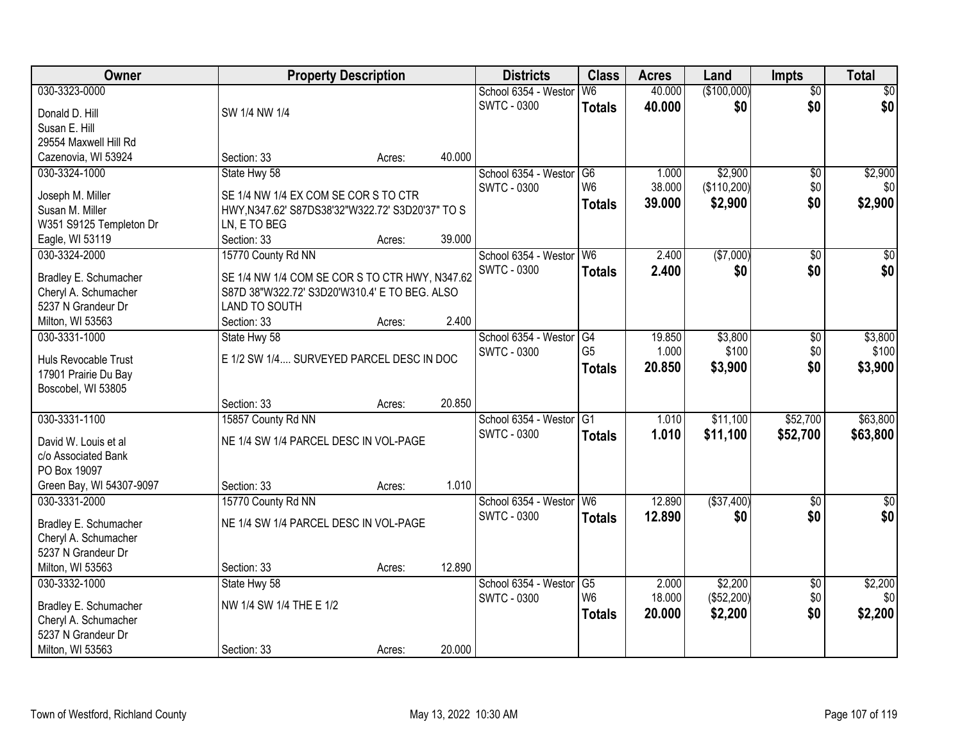| Owner                    | <b>Property Description</b>                      |        |        | <b>Districts</b>        | <b>Class</b>    | <b>Acres</b> | Land        | <b>Impts</b>    | <b>Total</b>     |
|--------------------------|--------------------------------------------------|--------|--------|-------------------------|-----------------|--------------|-------------|-----------------|------------------|
| 030-3323-0000            |                                                  |        |        | School 6354 - Westor    | W <sub>6</sub>  | 40.000       | (\$100,000) | $\overline{50}$ | \$0              |
| Donald D. Hill           | SW 1/4 NW 1/4                                    |        |        | <b>SWTC - 0300</b>      | <b>Totals</b>   | 40.000       | \$0         | \$0             | \$0              |
| Susan E. Hill            |                                                  |        |        |                         |                 |              |             |                 |                  |
| 29554 Maxwell Hill Rd    |                                                  |        |        |                         |                 |              |             |                 |                  |
| Cazenovia, WI 53924      | Section: 33                                      | Acres: | 40.000 |                         |                 |              |             |                 |                  |
| 030-3324-1000            | State Hwy 58                                     |        |        | School 6354 - Westor    | G6              | 1.000        | \$2,900     | $\overline{50}$ | \$2,900          |
|                          |                                                  |        |        | <b>SWTC - 0300</b>      | W <sub>6</sub>  | 38.000       | (\$110,200) | \$0             | \$0              |
| Joseph M. Miller         | SE 1/4 NW 1/4 EX COM SE COR S TO CTR             |        |        |                         | <b>Totals</b>   | 39.000       | \$2,900     | \$0             | \$2,900          |
| Susan M. Miller          | HWY, N347.62' S87DS38'32"W322.72' S3D20'37" TO S |        |        |                         |                 |              |             |                 |                  |
| W351 S9125 Templeton Dr  | LN, E TO BEG                                     |        |        |                         |                 |              |             |                 |                  |
| Eagle, WI 53119          | Section: 33                                      | Acres: | 39.000 |                         |                 |              |             |                 |                  |
| 030-3324-2000            | 15770 County Rd NN                               |        |        | School 6354 - Westor W6 |                 | 2.400        | ( \$7,000)  | \$0             | $\overline{50}$  |
| Bradley E. Schumacher    | SE 1/4 NW 1/4 COM SE COR S TO CTR HWY, N347.62   |        |        | <b>SWTC - 0300</b>      | <b>Totals</b>   | 2.400        | \$0         | \$0             | \$0              |
| Cheryl A. Schumacher     | S87D 38"W322.72' S3D20'W310.4' E TO BEG. ALSO    |        |        |                         |                 |              |             |                 |                  |
| 5237 N Grandeur Dr       | LAND TO SOUTH                                    |        |        |                         |                 |              |             |                 |                  |
| Milton, WI 53563         | Section: 33                                      | Acres: | 2.400  |                         |                 |              |             |                 |                  |
| 030-3331-1000            | State Hwy 58                                     |        |        | School 6354 - Weston    | G4              | 19.850       | \$3,800     | $\sqrt[6]{3}$   | \$3,800          |
|                          |                                                  |        |        | <b>SWTC - 0300</b>      | G <sub>5</sub>  | 1.000        | \$100       | \$0             | \$100            |
| Huls Revocable Trust     | E 1/2 SW 1/4 SURVEYED PARCEL DESC IN DOC         |        |        |                         | <b>Totals</b>   | 20.850       | \$3,900     | \$0             | \$3,900          |
| 17901 Prairie Du Bay     |                                                  |        |        |                         |                 |              |             |                 |                  |
| Boscobel, WI 53805       | Section: 33                                      |        | 20.850 |                         |                 |              |             |                 |                  |
| 030-3331-1100            | 15857 County Rd NN                               | Acres: |        | School 6354 - Westor    | $\overline{G1}$ | 1.010        | \$11,100    | \$52,700        | \$63,800         |
|                          |                                                  |        |        | <b>SWTC - 0300</b>      |                 |              |             |                 |                  |
| David W. Louis et al     | NE 1/4 SW 1/4 PARCEL DESC IN VOL-PAGE            |        |        |                         | <b>Totals</b>   | 1.010        | \$11,100    | \$52,700        | \$63,800         |
| c/o Associated Bank      |                                                  |        |        |                         |                 |              |             |                 |                  |
| PO Box 19097             |                                                  |        |        |                         |                 |              |             |                 |                  |
| Green Bay, WI 54307-9097 | Section: 33                                      | Acres: | 1.010  |                         |                 |              |             |                 |                  |
| 030-3331-2000            | 15770 County Rd NN                               |        |        | School 6354 - Westor W6 |                 | 12.890       | ( \$37,400) | $\overline{30}$ | $\overline{\$0}$ |
| Bradley E. Schumacher    | NE 1/4 SW 1/4 PARCEL DESC IN VOL-PAGE            |        |        | <b>SWTC - 0300</b>      | <b>Totals</b>   | 12.890       | \$0         | \$0             | \$0              |
| Cheryl A. Schumacher     |                                                  |        |        |                         |                 |              |             |                 |                  |
| 5237 N Grandeur Dr       |                                                  |        |        |                         |                 |              |             |                 |                  |
| Milton, WI 53563         | Section: 33                                      | Acres: | 12.890 |                         |                 |              |             |                 |                  |
| 030-3332-1000            | State Hwy 58                                     |        |        | School 6354 - Westor    | G5              | 2.000        | \$2,200     | $\overline{60}$ | \$2,200          |
|                          |                                                  |        |        | <b>SWTC - 0300</b>      | W <sub>6</sub>  | 18.000       | (\$52,200)  | \$0             | \$0              |
| Bradley E. Schumacher    | NW 1/4 SW 1/4 THE E 1/2                          |        |        |                         | <b>Totals</b>   | 20.000       | \$2,200     | \$0             | \$2,200          |
| Cheryl A. Schumacher     |                                                  |        |        |                         |                 |              |             |                 |                  |
| 5237 N Grandeur Dr       |                                                  |        |        |                         |                 |              |             |                 |                  |
| Milton, WI 53563         | Section: 33                                      | Acres: | 20.000 |                         |                 |              |             |                 |                  |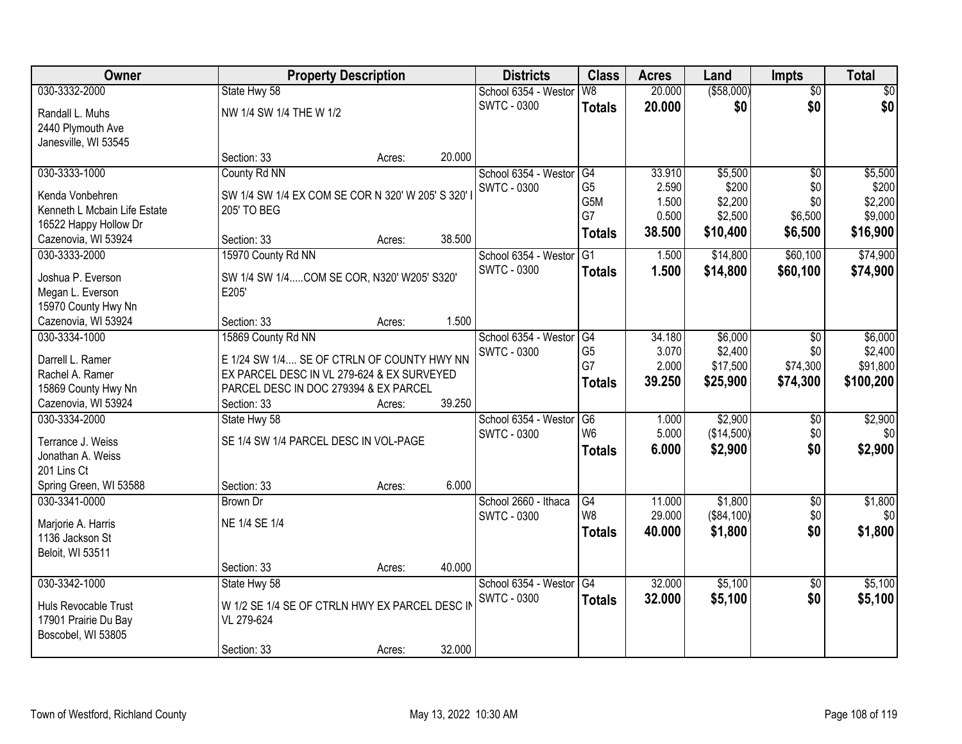| Owner                        |                                                  | <b>Property Description</b> |        | <b>Districts</b>     | <b>Class</b>    | <b>Acres</b> | Land        | <b>Impts</b>    | <b>Total</b> |
|------------------------------|--------------------------------------------------|-----------------------------|--------|----------------------|-----------------|--------------|-------------|-----------------|--------------|
| 030-3332-2000                | State Hwy 58                                     |                             |        | School 6354 - Westor | W8              | 20.000       | ( \$58,000) | $\overline{50}$ | \$0          |
| Randall L. Muhs              | NW 1/4 SW 1/4 THE W 1/2                          |                             |        | <b>SWTC - 0300</b>   | <b>Totals</b>   | 20.000       | \$0         | \$0             | \$0          |
| 2440 Plymouth Ave            |                                                  |                             |        |                      |                 |              |             |                 |              |
| Janesville, WI 53545         |                                                  |                             |        |                      |                 |              |             |                 |              |
|                              | Section: 33                                      | Acres:                      | 20.000 |                      |                 |              |             |                 |              |
| 030-3333-1000                | County Rd NN                                     |                             |        | School 6354 - Westor | G4              | 33.910       | \$5,500     | \$0             | \$5,500      |
| Kenda Vonbehren              | SW 1/4 SW 1/4 EX COM SE COR N 320' W 205' S 320' |                             |        | <b>SWTC - 0300</b>   | G <sub>5</sub>  | 2.590        | \$200       | \$0             | \$200        |
| Kenneth L Mcbain Life Estate | 205' TO BEG                                      |                             |        |                      | G5M             | 1.500        | \$2,200     | \$0             | \$2,200      |
| 16522 Happy Hollow Dr        |                                                  |                             |        |                      | G7              | 0.500        | \$2,500     | \$6,500         | \$9,000      |
| Cazenovia, WI 53924          | Section: 33                                      | Acres:                      | 38.500 |                      | <b>Totals</b>   | 38.500       | \$10,400    | \$6,500         | \$16,900     |
| 030-3333-2000                | 15970 County Rd NN                               |                             |        | School 6354 - Westor | G1              | 1.500        | \$14,800    | \$60,100        | \$74,900     |
| Joshua P. Everson            | SW 1/4 SW 1/4COM SE COR, N320' W205' S320'       |                             |        | <b>SWTC - 0300</b>   | <b>Totals</b>   | 1.500        | \$14,800    | \$60,100        | \$74,900     |
| Megan L. Everson             | E205'                                            |                             |        |                      |                 |              |             |                 |              |
| 15970 County Hwy Nn          |                                                  |                             |        |                      |                 |              |             |                 |              |
| Cazenovia, WI 53924          | Section: 33                                      | Acres:                      | 1.500  |                      |                 |              |             |                 |              |
| 030-3334-1000                | 15869 County Rd NN                               |                             |        | School 6354 - Weston | G4              | 34.180       | \$6,000     | $\sqrt[6]{3}$   | \$6,000      |
| Darrell L. Ramer             | E 1/24 SW 1/4 SE OF CTRLN OF COUNTY HWY NN       |                             |        | <b>SWTC - 0300</b>   | G <sub>5</sub>  | 3.070        | \$2,400     | \$0             | \$2,400      |
| Rachel A. Ramer              | EX PARCEL DESC IN VL 279-624 & EX SURVEYED       |                             |        |                      | G7              | 2.000        | \$17,500    | \$74,300        | \$91,800     |
| 15869 County Hwy Nn          | PARCEL DESC IN DOC 279394 & EX PARCEL            |                             |        |                      | <b>Totals</b>   | 39.250       | \$25,900    | \$74,300        | \$100,200    |
| Cazenovia, WI 53924          | Section: 33                                      | Acres:                      | 39.250 |                      |                 |              |             |                 |              |
| 030-3334-2000                | State Hwy 58                                     |                             |        | School 6354 - Weston | $\overline{G6}$ | 1.000        | \$2,900     | \$0             | \$2,900      |
|                              |                                                  |                             |        | <b>SWTC - 0300</b>   | W <sub>6</sub>  | 5.000        | (\$14,500)  | \$0             | \$0          |
| Terrance J. Weiss            | SE 1/4 SW 1/4 PARCEL DESC IN VOL-PAGE            |                             |        |                      | <b>Totals</b>   | 6.000        | \$2,900     | \$0             | \$2,900      |
| Jonathan A. Weiss            |                                                  |                             |        |                      |                 |              |             |                 |              |
| 201 Lins Ct                  |                                                  |                             |        |                      |                 |              |             |                 |              |
| Spring Green, WI 53588       | Section: 33                                      | Acres:                      | 6.000  |                      |                 |              |             |                 |              |
| 030-3341-0000                | Brown Dr                                         |                             |        | School 2660 - Ithaca | G4              | 11.000       | \$1,800     | $\sqrt{6}$      | \$1,800      |
| Marjorie A. Harris           | NE 1/4 SE 1/4                                    |                             |        | <b>SWTC - 0300</b>   | W <sub>8</sub>  | 29.000       | (\$84,100)  | \$0             | \$0          |
| 1136 Jackson St              |                                                  |                             |        |                      | <b>Totals</b>   | 40.000       | \$1,800     | \$0             | \$1,800      |
| Beloit, WI 53511             |                                                  |                             |        |                      |                 |              |             |                 |              |
|                              | Section: 33                                      | Acres:                      | 40.000 |                      |                 |              |             |                 |              |
| 030-3342-1000                | State Hwy 58                                     |                             |        | School 6354 - Weston | G4              | 32.000       | \$5,100     | $\overline{30}$ | \$5,100      |
| Huls Revocable Trust         | W 1/2 SE 1/4 SE OF CTRLN HWY EX PARCEL DESC IN   |                             |        | <b>SWTC - 0300</b>   | <b>Totals</b>   | 32.000       | \$5,100     | \$0             | \$5,100      |
| 17901 Prairie Du Bay         | VL 279-624                                       |                             |        |                      |                 |              |             |                 |              |
| Boscobel, WI 53805           |                                                  |                             |        |                      |                 |              |             |                 |              |
|                              | Section: 33                                      | Acres:                      | 32.000 |                      |                 |              |             |                 |              |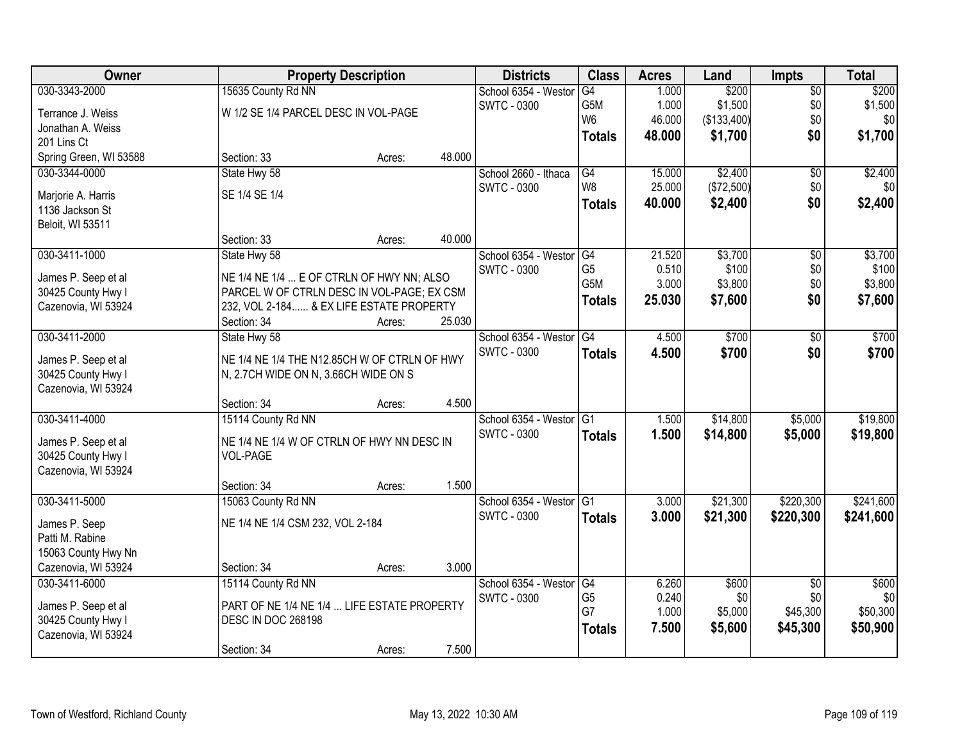| Owner                                      |                                                                                      | <b>Property Description</b> |        | <b>Districts</b>        | <b>Class</b>    | <b>Acres</b> | Land        | Impts           | <b>Total</b> |
|--------------------------------------------|--------------------------------------------------------------------------------------|-----------------------------|--------|-------------------------|-----------------|--------------|-------------|-----------------|--------------|
| 030-3343-2000                              | 15635 County Rd NN                                                                   |                             |        | School 6354 - Westor    | G4              | 1.000        | \$200       | $\overline{50}$ | \$200        |
| Terrance J. Weiss                          | W 1/2 SE 1/4 PARCEL DESC IN VOL-PAGE                                                 |                             |        | <b>SWTC - 0300</b>      | G5M             | 1.000        | \$1,500     | \$0             | \$1,500      |
| Jonathan A. Weiss                          |                                                                                      |                             |        |                         | W <sub>6</sub>  | 46.000       | (\$133,400) | \$0             | \$0          |
| 201 Lins Ct                                |                                                                                      |                             |        |                         | <b>Totals</b>   | 48.000       | \$1,700     | \$0             | \$1,700      |
| Spring Green, WI 53588                     | Section: 33                                                                          | Acres:                      | 48.000 |                         |                 |              |             |                 |              |
| 030-3344-0000                              | State Hwy 58                                                                         |                             |        | School 2660 - Ithaca    | G4              | 15.000       | \$2,400     | $\overline{50}$ | \$2,400      |
| Marjorie A. Harris                         | SE 1/4 SE 1/4                                                                        |                             |        | <b>SWTC - 0300</b>      | W <sub>8</sub>  | 25.000       | (\$72,500)  | \$0             | \$0          |
| 1136 Jackson St                            |                                                                                      |                             |        |                         | <b>Totals</b>   | 40.000       | \$2,400     | \$0             | \$2,400      |
| Beloit, WI 53511                           |                                                                                      |                             |        |                         |                 |              |             |                 |              |
|                                            | Section: 33                                                                          | Acres:                      | 40.000 |                         |                 |              |             |                 |              |
| 030-3411-1000                              | State Hwy 58                                                                         |                             |        | School 6354 - Westor    | $\overline{G4}$ | 21.520       | \$3,700     | $\overline{50}$ | \$3,700      |
| James P. Seep et al                        | NE 1/4 NE 1/4  E OF CTRLN OF HWY NN; ALSO                                            |                             |        | <b>SWTC - 0300</b>      | G <sub>5</sub>  | 0.510        | \$100       | \$0             | \$100        |
| 30425 County Hwy I                         | PARCEL W OF CTRLN DESC IN VOL-PAGE; EX CSM                                           |                             |        |                         | G5M             | 3.000        | \$3,800     | \$0             | \$3,800      |
| Cazenovia, WI 53924                        | 232, VOL 2-184  & EX LIFE ESTATE PROPERTY                                            |                             |        |                         | <b>Totals</b>   | 25.030       | \$7,600     | \$0             | \$7,600      |
|                                            | Section: 34                                                                          | Acres:                      | 25.030 |                         |                 |              |             |                 |              |
| 030-3411-2000                              | State Hwy 58                                                                         |                             |        | School 6354 - Westor    | G4              | 4.500        | \$700       | $\overline{50}$ | \$700        |
|                                            |                                                                                      |                             |        | <b>SWTC - 0300</b>      | <b>Totals</b>   | 4.500        | \$700       | \$0             | \$700        |
| James P. Seep et al<br>30425 County Hwy I  | NE 1/4 NE 1/4 THE N12.85CH W OF CTRLN OF HWY<br>N, 2.7CH WIDE ON N, 3.66CH WIDE ON S |                             |        |                         |                 |              |             |                 |              |
| Cazenovia, WI 53924                        |                                                                                      |                             |        |                         |                 |              |             |                 |              |
|                                            | Section: 34                                                                          | Acres:                      | 4.500  |                         |                 |              |             |                 |              |
| 030-3411-4000                              | 15114 County Rd NN                                                                   |                             |        | School 6354 - Westor    | $\overline{G1}$ | 1.500        | \$14,800    | \$5,000         | \$19,800     |
|                                            |                                                                                      |                             |        | <b>SWTC - 0300</b>      | <b>Totals</b>   | 1.500        | \$14,800    | \$5,000         | \$19,800     |
| James P. Seep et al                        | NE 1/4 NE 1/4 W OF CTRLN OF HWY NN DESC IN                                           |                             |        |                         |                 |              |             |                 |              |
| 30425 County Hwy I<br>Cazenovia, WI 53924  | <b>VOL-PAGE</b>                                                                      |                             |        |                         |                 |              |             |                 |              |
|                                            | Section: 34                                                                          | Acres:                      | 1.500  |                         |                 |              |             |                 |              |
| 030-3411-5000                              | 15063 County Rd NN                                                                   |                             |        | School 6354 - Westor G1 |                 | 3.000        | \$21,300    | \$220,300       | \$241,600    |
|                                            |                                                                                      |                             |        | <b>SWTC - 0300</b>      | <b>Totals</b>   | 3.000        | \$21,300    | \$220,300       | \$241,600    |
| James P. Seep                              | NE 1/4 NE 1/4 CSM 232, VOL 2-184                                                     |                             |        |                         |                 |              |             |                 |              |
| Patti M. Rabine                            |                                                                                      |                             |        |                         |                 |              |             |                 |              |
| 15063 County Hwy Nn<br>Cazenovia, WI 53924 | Section: 34                                                                          |                             | 3.000  |                         |                 |              |             |                 |              |
| 030-3411-6000                              | 15114 County Rd NN                                                                   | Acres:                      |        | School 6354 - Westor    | G4              | 6.260        | \$600       | $\overline{50}$ | \$600        |
|                                            |                                                                                      |                             |        | <b>SWTC - 0300</b>      | G <sub>5</sub>  | 0.240        | \$0         | \$0             | \$0          |
| James P. Seep et al                        | PART OF NE 1/4 NE 1/4  LIFE ESTATE PROPERTY                                          |                             |        |                         | G7              | 1.000        | \$5,000     | \$45,300        | \$50,300     |
| 30425 County Hwy I                         | <b>DESC IN DOC 268198</b>                                                            |                             |        |                         | <b>Totals</b>   | 7.500        | \$5,600     | \$45,300        | \$50,900     |
| Cazenovia, WI 53924                        |                                                                                      |                             |        |                         |                 |              |             |                 |              |
|                                            | Section: 34                                                                          | Acres:                      | 7.500  |                         |                 |              |             |                 |              |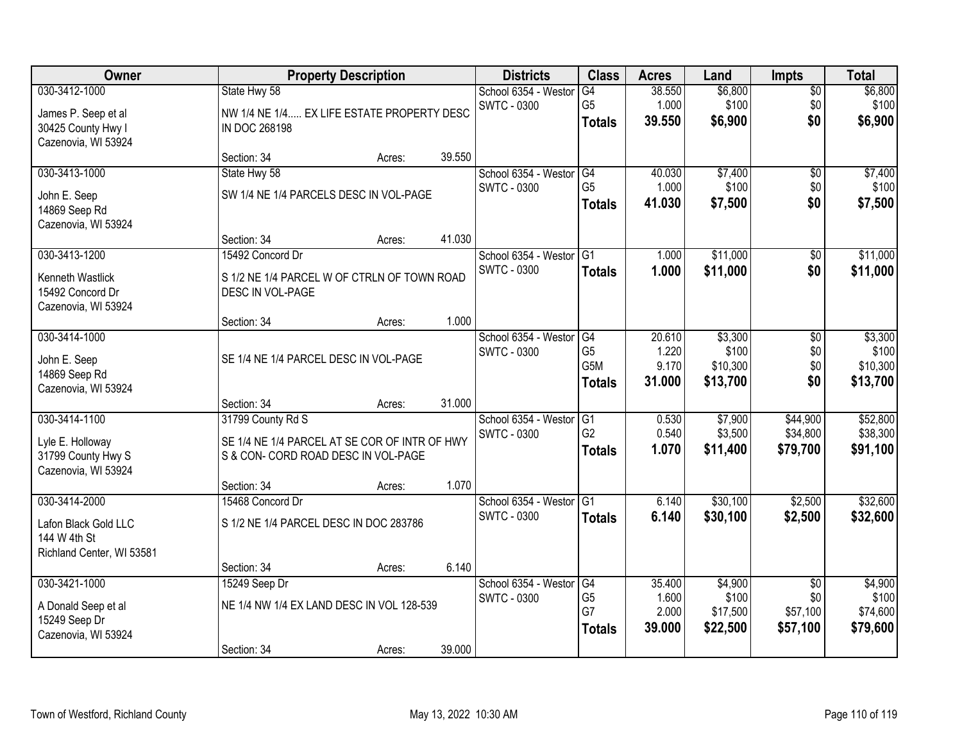| Owner                                                                             |                                                                                                           | <b>Property Description</b> |        | <b>Districts</b>                           | <b>Class</b>                                              | <b>Acres</b>                       | Land                                     | <b>Impts</b>                                   | <b>Total</b>                             |
|-----------------------------------------------------------------------------------|-----------------------------------------------------------------------------------------------------------|-----------------------------|--------|--------------------------------------------|-----------------------------------------------------------|------------------------------------|------------------------------------------|------------------------------------------------|------------------------------------------|
| 030-3412-1000<br>James P. Seep et al<br>30425 County Hwy I<br>Cazenovia, WI 53924 | State Hwy 58<br>NW 1/4 NE 1/4 EX LIFE ESTATE PROPERTY DESC<br><b>IN DOC 268198</b>                        |                             |        | School 6354 - Weston<br><b>SWTC - 0300</b> | G4<br>G <sub>5</sub><br><b>Totals</b>                     | 38.550<br>1.000<br>39.550          | \$6,800<br>\$100<br>\$6,900              | $\overline{50}$<br>\$0<br>\$0                  | \$6,800<br>\$100<br>\$6,900              |
|                                                                                   | Section: 34                                                                                               | Acres:                      | 39.550 |                                            |                                                           |                                    |                                          |                                                |                                          |
| 030-3413-1000<br>John E. Seep<br>14869 Seep Rd<br>Cazenovia, WI 53924             | State Hwy 58<br>SW 1/4 NE 1/4 PARCELS DESC IN VOL-PAGE                                                    |                             | 41.030 | School 6354 - Westor<br><b>SWTC - 0300</b> | G4<br>G <sub>5</sub><br><b>Totals</b>                     | 40.030<br>1.000<br>41.030          | \$7,400<br>\$100<br>\$7,500              | $\overline{50}$<br>\$0<br>\$0                  | \$7,400<br>\$100<br>\$7,500              |
| 030-3413-1200                                                                     | Section: 34<br>15492 Concord Dr                                                                           | Acres:                      |        | School 6354 - Westor G1                    |                                                           | 1.000                              | \$11,000                                 | \$0                                            | \$11,000                                 |
| Kenneth Wastlick<br>15492 Concord Dr<br>Cazenovia, WI 53924                       | S 1/2 NE 1/4 PARCEL W OF CTRLN OF TOWN ROAD<br>DESC IN VOL-PAGE                                           |                             |        | <b>SWTC - 0300</b>                         | <b>Totals</b>                                             | 1.000                              | \$11,000                                 | \$0                                            | \$11,000                                 |
|                                                                                   | Section: 34                                                                                               | Acres:                      | 1.000  |                                            |                                                           |                                    |                                          |                                                |                                          |
| 030-3414-1000<br>John E. Seep<br>14869 Seep Rd<br>Cazenovia, WI 53924             | SE 1/4 NE 1/4 PARCEL DESC IN VOL-PAGE                                                                     |                             |        | School 6354 - Weston<br><b>SWTC - 0300</b> | G4<br>G <sub>5</sub><br>G <sub>5</sub> M<br><b>Totals</b> | 20.610<br>1.220<br>9.170<br>31.000 | \$3,300<br>\$100<br>\$10,300<br>\$13,700 | \$0<br>\$0<br>\$0<br>\$0                       | \$3,300<br>\$100<br>\$10,300<br>\$13,700 |
|                                                                                   | Section: 34                                                                                               | Acres:                      | 31.000 |                                            |                                                           |                                    |                                          |                                                |                                          |
| 030-3414-1100<br>Lyle E. Holloway<br>31799 County Hwy S<br>Cazenovia, WI 53924    | 31799 County Rd S<br>SE 1/4 NE 1/4 PARCEL AT SE COR OF INTR OF HWY<br>S & CON- CORD ROAD DESC IN VOL-PAGE |                             |        | School 6354 - Weston<br><b>SWTC - 0300</b> | $\overline{G1}$<br>G <sub>2</sub><br><b>Totals</b>        | 0.530<br>0.540<br>1.070            | \$7,900<br>\$3,500<br>\$11,400           | \$44,900<br>\$34,800<br>\$79,700               | \$52,800<br>\$38,300<br>\$91,100         |
| 030-3414-2000                                                                     | Section: 34<br>15468 Concord Dr                                                                           | Acres:                      | 1.070  | School 6354 - Westor                       | $\overline{G1}$                                           | 6.140                              | \$30,100                                 | \$2,500                                        | \$32,600                                 |
| Lafon Black Gold LLC<br>144 W 4th St<br>Richland Center, WI 53581                 | S 1/2 NE 1/4 PARCEL DESC IN DOC 283786                                                                    |                             |        | <b>SWTC - 0300</b>                         | <b>Totals</b>                                             | 6.140                              | \$30,100                                 | \$2,500                                        | \$32,600                                 |
|                                                                                   | Section: 34                                                                                               | Acres:                      | 6.140  |                                            |                                                           |                                    |                                          |                                                |                                          |
| 030-3421-1000<br>A Donald Seep et al<br>15249 Seep Dr<br>Cazenovia, WI 53924      | 15249 Seep Dr<br>NE 1/4 NW 1/4 EX LAND DESC IN VOL 128-539<br>Section: 34                                 | Acres:                      | 39.000 | School 6354 - Westor<br><b>SWTC - 0300</b> | G4<br>G <sub>5</sub><br>G7<br><b>Totals</b>               | 35.400<br>1.600<br>2.000<br>39.000 | \$4,900<br>\$100<br>\$17,500<br>\$22,500 | $\overline{30}$<br>\$0<br>\$57,100<br>\$57,100 | \$4,900<br>\$100<br>\$74,600<br>\$79,600 |
|                                                                                   |                                                                                                           |                             |        |                                            |                                                           |                                    |                                          |                                                |                                          |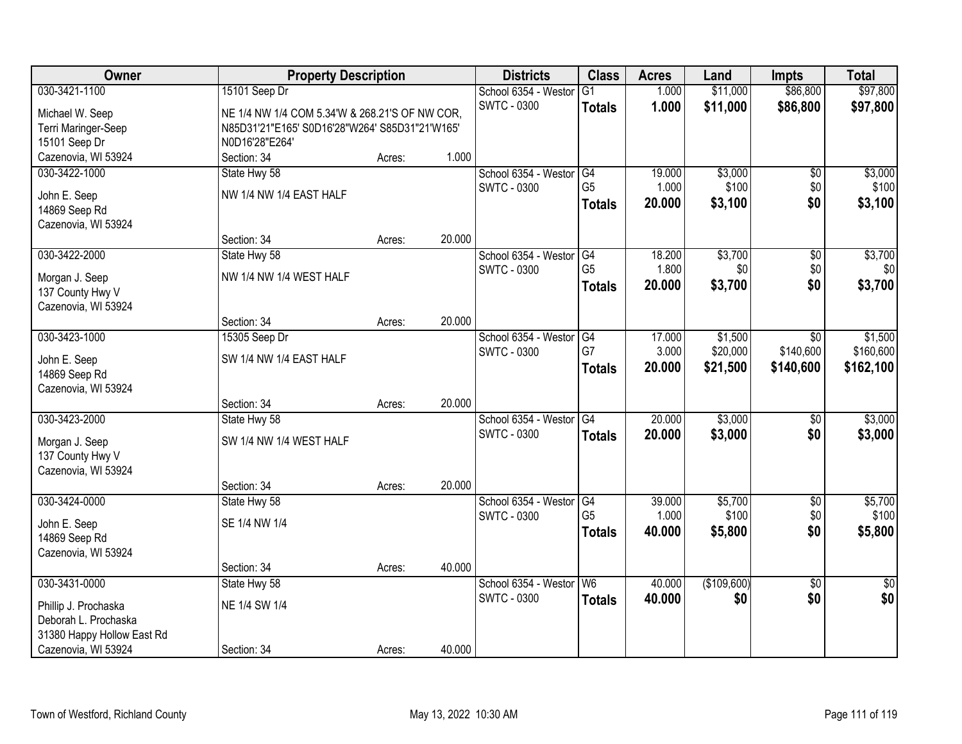| Owner                                        | <b>Property Description</b>                    |        |        | <b>Districts</b>        | <b>Class</b>    | <b>Acres</b> | Land        | <b>Impts</b>    | <b>Total</b>    |
|----------------------------------------------|------------------------------------------------|--------|--------|-------------------------|-----------------|--------------|-------------|-----------------|-----------------|
| 030-3421-1100                                | 15101 Seep Dr                                  |        |        | School 6354 - Westor    | $\overline{G1}$ | 1.000        | \$11,000    | \$86,800        | \$97,800        |
| Michael W. Seep                              | NE 1/4 NW 1/4 COM 5.34'W & 268.21'S OF NW COR, |        |        | <b>SWTC - 0300</b>      | <b>Totals</b>   | 1.000        | \$11,000    | \$86,800        | \$97,800        |
| Terri Maringer-Seep                          | N85D31'21"E165' S0D16'28"W264' S85D31"21'W165' |        |        |                         |                 |              |             |                 |                 |
| 15101 Seep Dr                                | N0D16'28"E264'                                 |        |        |                         |                 |              |             |                 |                 |
| Cazenovia, WI 53924                          | Section: 34                                    | Acres: | 1.000  |                         |                 |              |             |                 |                 |
| 030-3422-1000                                | State Hwy 58                                   |        |        | School 6354 - Westor    | G4              | 19.000       | \$3,000     | \$0             | \$3,000         |
|                                              |                                                |        |        | SWTC - 0300             | G <sub>5</sub>  | 1.000        | \$100       | \$0             | \$100           |
| John E. Seep                                 | NW 1/4 NW 1/4 EAST HALF                        |        |        |                         | <b>Totals</b>   | 20.000       | \$3,100     | \$0             | \$3,100         |
| 14869 Seep Rd                                |                                                |        |        |                         |                 |              |             |                 |                 |
| Cazenovia, WI 53924                          |                                                |        |        |                         |                 |              |             |                 |                 |
|                                              | Section: 34                                    | Acres: | 20.000 |                         |                 |              |             |                 |                 |
| 030-3422-2000                                | State Hwy 58                                   |        |        | School 6354 - Westor G4 |                 | 18.200       | \$3,700     | $\overline{50}$ | \$3,700         |
| Morgan J. Seep                               | NW 1/4 NW 1/4 WEST HALF                        |        |        | <b>SWTC - 0300</b>      | G <sub>5</sub>  | 1.800        | \$0         | \$0             | \$0             |
| 137 County Hwy V                             |                                                |        |        |                         | <b>Totals</b>   | 20.000       | \$3,700     | \$0             | \$3,700         |
| Cazenovia, WI 53924                          |                                                |        |        |                         |                 |              |             |                 |                 |
|                                              | Section: 34                                    | Acres: | 20.000 |                         |                 |              |             |                 |                 |
| 030-3423-1000                                | 15305 Seep Dr                                  |        |        | School 6354 - Westor    | G4              | 17.000       | \$1,500     | $\overline{30}$ | \$1,500         |
| John E. Seep                                 | SW 1/4 NW 1/4 EAST HALF                        |        |        | <b>SWTC - 0300</b>      | G7              | 3.000        | \$20,000    | \$140,600       | \$160,600       |
| 14869 Seep Rd                                |                                                |        |        |                         | <b>Totals</b>   | 20.000       | \$21,500    | \$140,600       | \$162,100       |
| Cazenovia, WI 53924                          |                                                |        |        |                         |                 |              |             |                 |                 |
|                                              | Section: 34                                    | Acres: | 20.000 |                         |                 |              |             |                 |                 |
| 030-3423-2000                                | State Hwy 58                                   |        |        | School 6354 - Westor    | G4              | 20.000       | \$3,000     | \$0             | \$3,000         |
|                                              |                                                |        |        | <b>SWTC - 0300</b>      | <b>Totals</b>   | 20.000       | \$3,000     | \$0             | \$3,000         |
| Morgan J. Seep                               | SW 1/4 NW 1/4 WEST HALF                        |        |        |                         |                 |              |             |                 |                 |
| 137 County Hwy V                             |                                                |        |        |                         |                 |              |             |                 |                 |
| Cazenovia, WI 53924                          |                                                |        |        |                         |                 |              |             |                 |                 |
|                                              | Section: 34                                    | Acres: | 20.000 |                         |                 |              |             |                 |                 |
| 030-3424-0000                                | State Hwy 58                                   |        |        | School 6354 - Westor G4 |                 | 39.000       | \$5,700     | $\overline{50}$ | \$5,700         |
| John E. Seep                                 | SE 1/4 NW 1/4                                  |        |        | <b>SWTC - 0300</b>      | G <sub>5</sub>  | 1.000        | \$100       | \$0             | \$100           |
| 14869 Seep Rd                                |                                                |        |        |                         | <b>Totals</b>   | 40.000       | \$5,800     | \$0             | \$5,800         |
| Cazenovia, WI 53924                          |                                                |        |        |                         |                 |              |             |                 |                 |
|                                              | Section: 34                                    | Acres: | 40.000 |                         |                 |              |             |                 |                 |
| 030-3431-0000                                | State Hwy 58                                   |        |        | School 6354 - Westor    | W <sub>6</sub>  | 40.000       | (\$109,600) | $\overline{50}$ | $\overline{50}$ |
|                                              | NE 1/4 SW 1/4                                  |        |        | <b>SWTC - 0300</b>      | <b>Totals</b>   | 40.000       | \$0         | \$0             | \$0             |
| Phillip J. Prochaska<br>Deborah L. Prochaska |                                                |        |        |                         |                 |              |             |                 |                 |
| 31380 Happy Hollow East Rd                   |                                                |        |        |                         |                 |              |             |                 |                 |
| Cazenovia, WI 53924                          | Section: 34                                    | Acres: | 40.000 |                         |                 |              |             |                 |                 |
|                                              |                                                |        |        |                         |                 |              |             |                 |                 |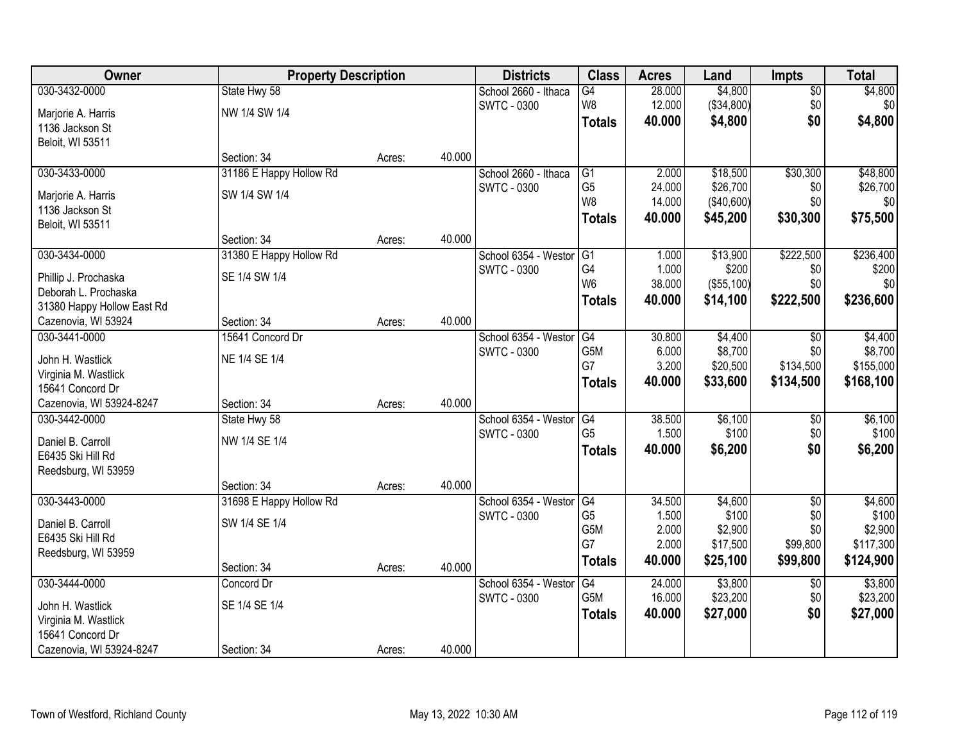| Owner                      | <b>Property Description</b> |        |        | <b>Districts</b>     | <b>Class</b>    | <b>Acres</b> | Land       | <b>Impts</b>    | <b>Total</b> |
|----------------------------|-----------------------------|--------|--------|----------------------|-----------------|--------------|------------|-----------------|--------------|
| 030-3432-0000              | State Hwy 58                |        |        | School 2660 - Ithaca | $\overline{G4}$ | 28.000       | \$4,800    | \$0             | \$4,800      |
| Marjorie A. Harris         | NW 1/4 SW 1/4               |        |        | <b>SWTC - 0300</b>   | W8              | 12.000       | (\$34,800) | \$0             | \$0          |
| 1136 Jackson St            |                             |        |        |                      | <b>Totals</b>   | 40.000       | \$4,800    | \$0             | \$4,800      |
| Beloit, WI 53511           |                             |        |        |                      |                 |              |            |                 |              |
|                            | Section: 34                 | Acres: | 40.000 |                      |                 |              |            |                 |              |
| 030-3433-0000              | 31186 E Happy Hollow Rd     |        |        | School 2660 - Ithaca | G1              | 2.000        | \$18,500   | \$30,300        | \$48,800     |
| Marjorie A. Harris         | SW 1/4 SW 1/4               |        |        | <b>SWTC - 0300</b>   | G <sub>5</sub>  | 24.000       | \$26,700   | \$0             | \$26,700     |
| 1136 Jackson St            |                             |        |        |                      | W8              | 14.000       | (\$40,600) | \$0             | \$0          |
| Beloit, WI 53511           |                             |        |        |                      | <b>Totals</b>   | 40.000       | \$45,200   | \$30,300        | \$75,500     |
|                            | Section: 34                 | Acres: | 40.000 |                      |                 |              |            |                 |              |
| 030-3434-0000              | 31380 E Happy Hollow Rd     |        |        | School 6354 - Westor | G <sub>1</sub>  | 1.000        | \$13,900   | \$222,500       | \$236,400    |
| Phillip J. Prochaska       | SE 1/4 SW 1/4               |        |        | <b>SWTC - 0300</b>   | G4              | 1.000        | \$200      | \$0             | \$200        |
| Deborah L. Prochaska       |                             |        |        |                      | W <sub>6</sub>  | 38.000       | (\$55,100) | \$0             | \$0          |
| 31380 Happy Hollow East Rd |                             |        |        |                      | <b>Totals</b>   | 40.000       | \$14,100   | \$222,500       | \$236,600    |
| Cazenovia, WI 53924        | Section: 34                 | Acres: | 40.000 |                      |                 |              |            |                 |              |
| 030-3441-0000              | 15641 Concord Dr            |        |        | School 6354 - Weston | G4              | 30.800       | \$4,400    | $\sqrt[6]{3}$   | \$4,400      |
| John H. Wastlick           | NE 1/4 SE 1/4               |        |        | <b>SWTC - 0300</b>   | G5M             | 6.000        | \$8,700    | \$0             | \$8,700      |
| Virginia M. Wastlick       |                             |        |        |                      | G7              | 3.200        | \$20,500   | \$134,500       | \$155,000    |
| 15641 Concord Dr           |                             |        |        |                      | <b>Totals</b>   | 40.000       | \$33,600   | \$134,500       | \$168,100    |
| Cazenovia, WI 53924-8247   | Section: 34                 | Acres: | 40.000 |                      |                 |              |            |                 |              |
| 030-3442-0000              | State Hwy 58                |        |        | School 6354 - Weston | G4              | 38.500       | \$6,100    | \$0             | \$6,100      |
| Daniel B. Carroll          | NW 1/4 SE 1/4               |        |        | <b>SWTC - 0300</b>   | G <sub>5</sub>  | 1.500        | \$100      | \$0             | \$100        |
| E6435 Ski Hill Rd          |                             |        |        |                      | <b>Totals</b>   | 40.000       | \$6,200    | \$0             | \$6,200      |
| Reedsburg, WI 53959        |                             |        |        |                      |                 |              |            |                 |              |
|                            | Section: 34                 | Acres: | 40.000 |                      |                 |              |            |                 |              |
| 030-3443-0000              | 31698 E Happy Hollow Rd     |        |        | School 6354 - Westor | G4              | 34.500       | \$4,600    | $\sqrt{6}$      | \$4,600      |
| Daniel B. Carroll          | SW 1/4 SE 1/4               |        |        | <b>SWTC - 0300</b>   | G5              | 1.500        | \$100      | \$0             | \$100        |
| E6435 Ski Hill Rd          |                             |        |        |                      | G5M             | 2.000        | \$2,900    | \$0             | \$2,900      |
| Reedsburg, WI 53959        |                             |        |        |                      | G7              | 2.000        | \$17,500   | \$99,800        | \$117,300    |
|                            | Section: 34                 | Acres: | 40.000 |                      | <b>Totals</b>   | 40.000       | \$25,100   | \$99,800        | \$124,900    |
| 030-3444-0000              | Concord Dr                  |        |        | School 6354 - Weston | G4              | 24.000       | \$3,800    | $\overline{60}$ | \$3,800      |
| John H. Wastlick           | SE 1/4 SE 1/4               |        |        | <b>SWTC - 0300</b>   | G5M             | 16.000       | \$23,200   | \$0             | \$23,200     |
| Virginia M. Wastlick       |                             |        |        |                      | <b>Totals</b>   | 40.000       | \$27,000   | \$0             | \$27,000     |
| 15641 Concord Dr           |                             |        |        |                      |                 |              |            |                 |              |
| Cazenovia, WI 53924-8247   | Section: 34                 | Acres: | 40.000 |                      |                 |              |            |                 |              |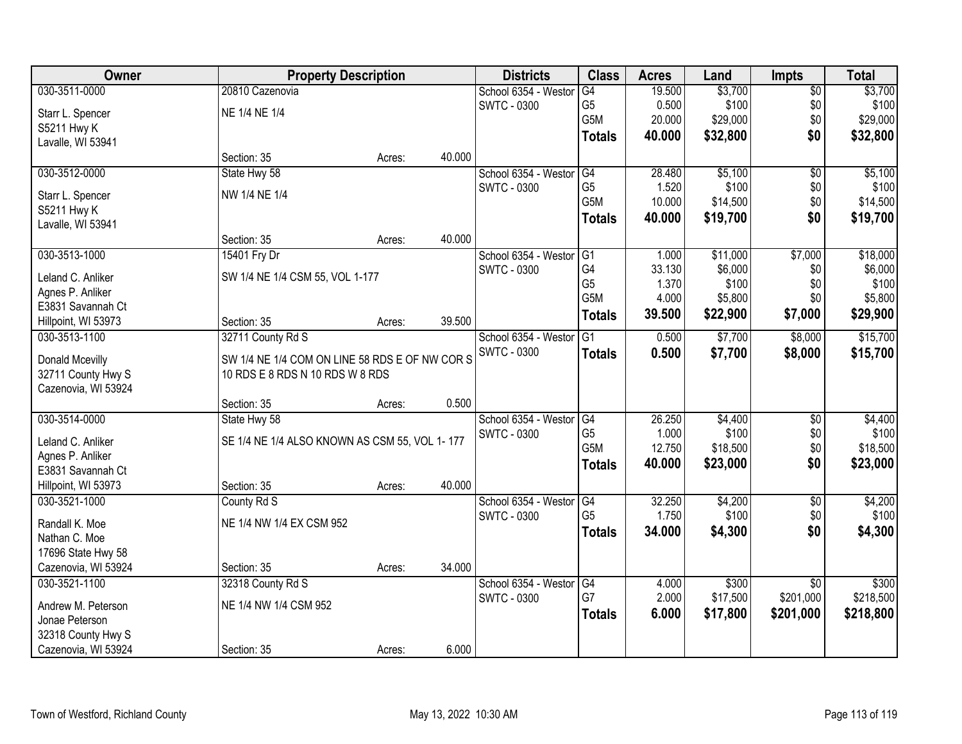| Owner               | <b>Property Description</b>                    |        |        | <b>Districts</b>     | <b>Class</b>   | <b>Acres</b> | Land     | <b>Impts</b>    | <b>Total</b> |
|---------------------|------------------------------------------------|--------|--------|----------------------|----------------|--------------|----------|-----------------|--------------|
| 030-3511-0000       | 20810 Cazenovia                                |        |        | School 6354 - Westor | G4             | 19.500       | \$3,700  | \$0             | \$3,700      |
| Starr L. Spencer    | NE 1/4 NE 1/4                                  |        |        | <b>SWTC - 0300</b>   | G <sub>5</sub> | 0.500        | \$100    | \$0             | \$100        |
| S5211 Hwy K         |                                                |        |        |                      | G5M            | 20.000       | \$29,000 | \$0             | \$29,000     |
| Lavalle, WI 53941   |                                                |        |        |                      | <b>Totals</b>  | 40.000       | \$32,800 | \$0             | \$32,800     |
|                     | Section: 35                                    | Acres: | 40.000 |                      |                |              |          |                 |              |
| 030-3512-0000       | State Hwy 58                                   |        |        | School 6354 - Westor | G4             | 28.480       | \$5,100  | \$0             | \$5,100      |
| Starr L. Spencer    | NW 1/4 NE 1/4                                  |        |        | <b>SWTC - 0300</b>   | G <sub>5</sub> | 1.520        | \$100    | \$0             | \$100        |
| S5211 Hwy K         |                                                |        |        |                      | G5M            | 10.000       | \$14,500 | \$0             | \$14,500     |
| Lavalle, WI 53941   |                                                |        |        |                      | <b>Totals</b>  | 40.000       | \$19,700 | \$0             | \$19,700     |
|                     | Section: 35                                    | Acres: | 40.000 |                      |                |              |          |                 |              |
| 030-3513-1000       | 15401 Fry Dr                                   |        |        | School 6354 - Westor | G1             | 1.000        | \$11,000 | \$7,000         | \$18,000     |
| Leland C. Anliker   | SW 1/4 NE 1/4 CSM 55, VOL 1-177                |        |        | SWTC - 0300          | G4             | 33.130       | \$6,000  | \$0             | \$6,000      |
| Agnes P. Anliker    |                                                |        |        |                      | G <sub>5</sub> | 1.370        | \$100    | \$0             | \$100        |
| E3831 Savannah Ct   |                                                |        |        |                      | G5M            | 4.000        | \$5,800  | \$0             | \$5,800      |
| Hillpoint, WI 53973 | Section: 35                                    | Acres: | 39.500 |                      | <b>Totals</b>  | 39.500       | \$22,900 | \$7,000         | \$29,900     |
| 030-3513-1100       | 32711 County Rd S                              |        |        | School 6354 - Weston | G1             | 0.500        | \$7,700  | \$8,000         | \$15,700     |
|                     |                                                |        |        | <b>SWTC - 0300</b>   | <b>Totals</b>  | 0.500        | \$7,700  | \$8,000         | \$15,700     |
| Donald Mcevilly     | SW 1/4 NE 1/4 COM ON LINE 58 RDS E OF NW COR S |        |        |                      |                |              |          |                 |              |
| 32711 County Hwy S  | 10 RDS E 8 RDS N 10 RDS W 8 RDS                |        |        |                      |                |              |          |                 |              |
| Cazenovia, WI 53924 |                                                |        |        |                      |                |              |          |                 |              |
|                     | Section: 35                                    | Acres: | 0.500  |                      |                |              |          |                 |              |
| 030-3514-0000       | State Hwy 58                                   |        |        | School 6354 - Westor | G4             | 26.250       | \$4,400  | $\overline{50}$ | \$4,400      |
| Leland C. Anliker   | SE 1/4 NE 1/4 ALSO KNOWN AS CSM 55, VOL 1-177  |        |        | <b>SWTC - 0300</b>   | G <sub>5</sub> | 1.000        | \$100    | \$0             | \$100        |
| Agnes P. Anliker    |                                                |        |        |                      | G5M            | 12.750       | \$18,500 | \$0             | \$18,500     |
| E3831 Savannah Ct   |                                                |        |        |                      | <b>Totals</b>  | 40.000       | \$23,000 | \$0             | \$23,000     |
| Hillpoint, WI 53973 | Section: 35                                    | Acres: | 40.000 |                      |                |              |          |                 |              |
| 030-3521-1000       | County Rd S                                    |        |        | School 6354 - Westor | G4             | 32.250       | \$4,200  | $\sqrt{6}$      | \$4,200      |
| Randall K. Moe      | NE 1/4 NW 1/4 EX CSM 952                       |        |        | <b>SWTC - 0300</b>   | G <sub>5</sub> | 1.750        | \$100    | \$0             | \$100        |
| Nathan C. Moe       |                                                |        |        |                      | <b>Totals</b>  | 34.000       | \$4,300  | \$0             | \$4,300      |
| 17696 State Hwy 58  |                                                |        |        |                      |                |              |          |                 |              |
| Cazenovia, WI 53924 | Section: 35                                    | Acres: | 34.000 |                      |                |              |          |                 |              |
| 030-3521-1100       | 32318 County Rd S                              |        |        | School 6354 - Westor | G4             | 4.000        | \$300    | $\overline{50}$ | \$300        |
|                     |                                                |        |        | SWTC - 0300          | G7             | 2.000        | \$17,500 | \$201,000       | \$218,500    |
| Andrew M. Peterson  | NE 1/4 NW 1/4 CSM 952                          |        |        |                      | Totals         | 6.000        | \$17,800 | \$201,000       | \$218,800    |
| Jonae Peterson      |                                                |        |        |                      |                |              |          |                 |              |
| 32318 County Hwy S  |                                                |        |        |                      |                |              |          |                 |              |
| Cazenovia, WI 53924 | Section: 35                                    | Acres: | 6.000  |                      |                |              |          |                 |              |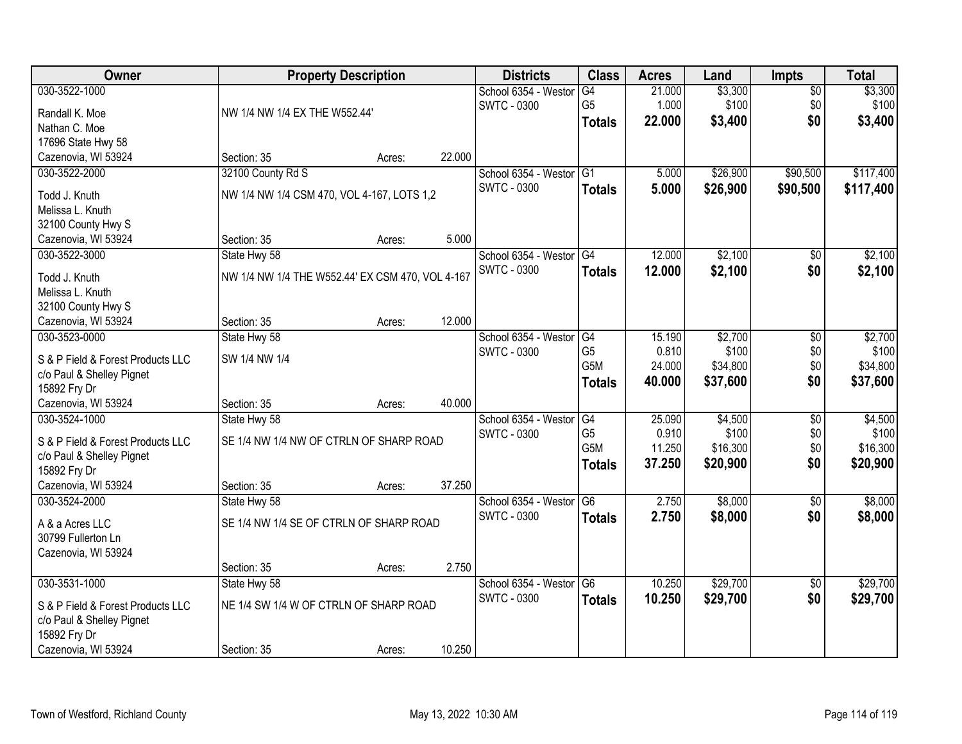| Owner                                |                                                  | <b>Property Description</b> |        | <b>Districts</b>     | <b>Class</b>     | <b>Acres</b> | Land     | <b>Impts</b>    | <b>Total</b> |
|--------------------------------------|--------------------------------------------------|-----------------------------|--------|----------------------|------------------|--------------|----------|-----------------|--------------|
| 030-3522-1000                        |                                                  |                             |        | School 6354 - Westor | G4               | 21.000       | \$3,300  | $\overline{50}$ | \$3,300      |
| Randall K. Moe                       | NW 1/4 NW 1/4 EX THE W552.44'                    |                             |        | <b>SWTC - 0300</b>   | G <sub>5</sub>   | 1.000        | \$100    | \$0             | \$100        |
| Nathan C. Moe                        |                                                  |                             |        |                      | <b>Totals</b>    | 22,000       | \$3,400  | \$0             | \$3,400      |
| 17696 State Hwy 58                   |                                                  |                             |        |                      |                  |              |          |                 |              |
| Cazenovia, WI 53924                  | Section: 35                                      | Acres:                      | 22.000 |                      |                  |              |          |                 |              |
| 030-3522-2000                        | 32100 County Rd S                                |                             |        | School 6354 - Westor | $\overline{G1}$  | 5.000        | \$26,900 | \$90,500        | \$117,400    |
| Todd J. Knuth                        | NW 1/4 NW 1/4 CSM 470, VOL 4-167, LOTS 1,2       |                             |        | <b>SWTC - 0300</b>   | <b>Totals</b>    | 5.000        | \$26,900 | \$90,500        | \$117,400    |
| Melissa L. Knuth                     |                                                  |                             |        |                      |                  |              |          |                 |              |
| 32100 County Hwy S                   |                                                  |                             |        |                      |                  |              |          |                 |              |
| Cazenovia, WI 53924                  | Section: 35                                      | Acres:                      | 5.000  |                      |                  |              |          |                 |              |
| 030-3522-3000                        | State Hwy 58                                     |                             |        | School 6354 - Westor | $\overline{G4}$  | 12.000       | \$2,100  | $\overline{50}$ | \$2,100      |
|                                      |                                                  |                             |        | <b>SWTC - 0300</b>   | <b>Totals</b>    | 12.000       | \$2,100  | \$0             | \$2,100      |
| Todd J. Knuth                        | NW 1/4 NW 1/4 THE W552.44' EX CSM 470, VOL 4-167 |                             |        |                      |                  |              |          |                 |              |
| Melissa L. Knuth                     |                                                  |                             |        |                      |                  |              |          |                 |              |
| 32100 County Hwy S                   |                                                  |                             | 12.000 |                      |                  |              |          |                 |              |
| Cazenovia, WI 53924<br>030-3523-0000 | Section: 35<br>State Hwy 58                      | Acres:                      |        | School 6354 - Westor | G4               | 15.190       | \$2,700  | \$0             | \$2,700      |
|                                      |                                                  |                             |        | <b>SWTC - 0300</b>   | G <sub>5</sub>   | 0.810        | \$100    | \$0             | \$100        |
| S & P Field & Forest Products LLC    | SW 1/4 NW 1/4                                    |                             |        |                      | G <sub>5</sub> M | 24.000       | \$34,800 | \$0             | \$34,800     |
| c/o Paul & Shelley Pignet            |                                                  |                             |        |                      | <b>Totals</b>    | 40.000       | \$37,600 | \$0             | \$37,600     |
| 15892 Fry Dr                         |                                                  |                             |        |                      |                  |              |          |                 |              |
| Cazenovia, WI 53924                  | Section: 35                                      | Acres:                      | 40.000 |                      |                  |              |          |                 |              |
| 030-3524-1000                        | State Hwy 58                                     |                             |        | School 6354 - Weston | $\overline{G4}$  | 25.090       | \$4,500  | $\overline{30}$ | \$4,500      |
| S & P Field & Forest Products LLC    | SE 1/4 NW 1/4 NW OF CTRLN OF SHARP ROAD          |                             |        | <b>SWTC - 0300</b>   | G <sub>5</sub>   | 0.910        | \$100    | \$0             | \$100        |
| c/o Paul & Shelley Pignet            |                                                  |                             |        |                      | G <sub>5</sub> M | 11.250       | \$16,300 | \$0             | \$16,300     |
| 15892 Fry Dr                         |                                                  |                             |        |                      | <b>Totals</b>    | 37.250       | \$20,900 | \$0             | \$20,900     |
| Cazenovia, WI 53924                  | Section: 35                                      | Acres:                      | 37.250 |                      |                  |              |          |                 |              |
| 030-3524-2000                        | State Hwy 58                                     |                             |        | School 6354 - Westor | G <sub>6</sub>   | 2.750        | \$8,000  | $\sqrt{$0}$     | \$8,000      |
| A & a Acres LLC                      | SE 1/4 NW 1/4 SE OF CTRLN OF SHARP ROAD          |                             |        | <b>SWTC - 0300</b>   | <b>Totals</b>    | 2.750        | \$8,000  | \$0             | \$8,000      |
| 30799 Fullerton Ln                   |                                                  |                             |        |                      |                  |              |          |                 |              |
| Cazenovia, WI 53924                  |                                                  |                             |        |                      |                  |              |          |                 |              |
|                                      | Section: 35                                      | Acres:                      | 2.750  |                      |                  |              |          |                 |              |
| 030-3531-1000                        | State Hwy 58                                     |                             |        | School 6354 - Westor | G6               | 10.250       | \$29,700 | $\overline{50}$ | \$29,700     |
|                                      |                                                  |                             |        | <b>SWTC - 0300</b>   | <b>Totals</b>    | 10.250       | \$29,700 | \$0             | \$29,700     |
| S & P Field & Forest Products LLC    | NE 1/4 SW 1/4 W OF CTRLN OF SHARP ROAD           |                             |        |                      |                  |              |          |                 |              |
| c/o Paul & Shelley Pignet            |                                                  |                             |        |                      |                  |              |          |                 |              |
| 15892 Fry Dr                         |                                                  |                             | 10.250 |                      |                  |              |          |                 |              |
| Cazenovia, WI 53924                  | Section: 35                                      | Acres:                      |        |                      |                  |              |          |                 |              |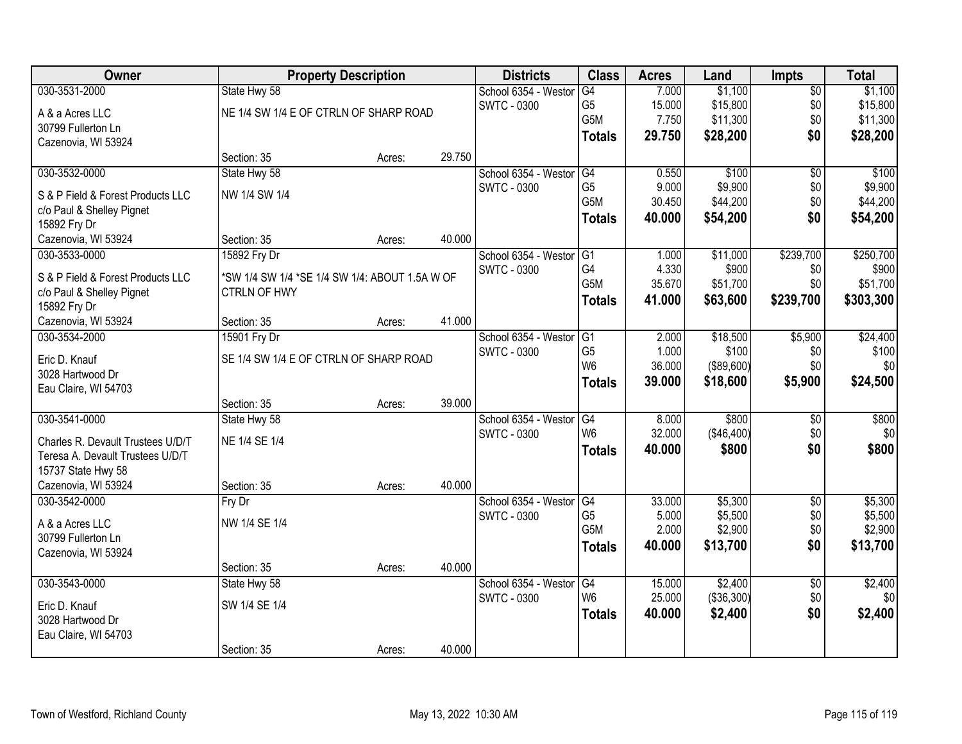| <b>Owner</b>                         |                                                | <b>Property Description</b> |        | <b>Districts</b>     | <b>Class</b>     | <b>Acres</b>    | Land               | Impts                  | <b>Total</b>       |
|--------------------------------------|------------------------------------------------|-----------------------------|--------|----------------------|------------------|-----------------|--------------------|------------------------|--------------------|
| 030-3531-2000                        | State Hwy 58                                   |                             |        | School 6354 - Westor | G4               | 7.000           | \$1,100            | $\overline{50}$        | \$1,100            |
| A & a Acres LLC                      | NE 1/4 SW 1/4 E OF CTRLN OF SHARP ROAD         |                             |        | <b>SWTC - 0300</b>   | G <sub>5</sub>   | 15.000          | \$15,800           | \$0                    | \$15,800           |
| 30799 Fullerton Ln                   |                                                |                             |        |                      | G5M              | 7.750           | \$11,300           | \$0                    | \$11,300           |
| Cazenovia, WI 53924                  |                                                |                             |        |                      | <b>Totals</b>    | 29.750          | \$28,200           | \$0                    | \$28,200           |
|                                      | Section: 35                                    | Acres:                      | 29.750 |                      |                  |                 |                    |                        |                    |
| 030-3532-0000                        | State Hwy 58                                   |                             |        | School 6354 - Westor | G4               | 0.550           | \$100              | $\overline{50}$        | \$100              |
| S & P Field & Forest Products LLC    | NW 1/4 SW 1/4                                  |                             |        | <b>SWTC - 0300</b>   | G <sub>5</sub>   | 9.000           | \$9,900            | \$0                    | \$9,900            |
| c/o Paul & Shelley Pignet            |                                                |                             |        |                      | G5M              | 30.450          | \$44,200           | \$0                    | \$44,200           |
| 15892 Fry Dr                         |                                                |                             |        |                      | <b>Totals</b>    | 40.000          | \$54,200           | \$0                    | \$54,200           |
| Cazenovia, WI 53924                  | Section: 35                                    | Acres:                      | 40.000 |                      |                  |                 |                    |                        |                    |
| 030-3533-0000                        | 15892 Fry Dr                                   |                             |        | School 6354 - Westor | IG <sub>1</sub>  | 1.000           | \$11,000           | \$239,700              | \$250,700          |
| S & P Field & Forest Products LLC    | *SW 1/4 SW 1/4 *SE 1/4 SW 1/4: ABOUT 1.5A W OF |                             |        | <b>SWTC - 0300</b>   | G4               | 4.330           | \$900              | \$0                    | \$900              |
| c/o Paul & Shelley Pignet            | <b>CTRLN OF HWY</b>                            |                             |        |                      | G <sub>5</sub> M | 35.670          | \$51,700           | \$0                    | \$51,700           |
| 15892 Fry Dr                         |                                                |                             |        |                      | <b>Totals</b>    | 41.000          | \$63,600           | \$239,700              | \$303,300          |
| Cazenovia, WI 53924                  | Section: 35                                    | Acres:                      | 41.000 |                      |                  |                 |                    |                        |                    |
| 030-3534-2000                        | 15901 Fry Dr                                   |                             |        | School 6354 - Westor | G1               | 2.000           | \$18,500           | \$5,900                | \$24,400           |
|                                      |                                                |                             |        | <b>SWTC - 0300</b>   | G <sub>5</sub>   | 1.000           | \$100              | \$0                    | \$100              |
| Eric D. Knauf<br>3028 Hartwood Dr    | SE 1/4 SW 1/4 E OF CTRLN OF SHARP ROAD         |                             |        |                      | W <sub>6</sub>   | 36.000          | (\$89,600)         | \$0                    | \$0                |
| Eau Claire, WI 54703                 |                                                |                             |        |                      | <b>Totals</b>    | 39.000          | \$18,600           | \$5,900                | \$24,500           |
|                                      | Section: 35                                    | Acres:                      | 39.000 |                      |                  |                 |                    |                        |                    |
| 030-3541-0000                        | State Hwy 58                                   |                             |        | School 6354 - Westor | G4               | 8.000           | \$800              | $\overline{50}$        | \$800              |
|                                      |                                                |                             |        | <b>SWTC - 0300</b>   | W <sub>6</sub>   | 32.000          | (\$46,400)         | \$0                    | \$0                |
| Charles R. Devault Trustees U/D/T    | NE 1/4 SE 1/4                                  |                             |        |                      | <b>Totals</b>    | 40.000          | \$800              | \$0                    | \$800              |
| Teresa A. Devault Trustees U/D/T     |                                                |                             |        |                      |                  |                 |                    |                        |                    |
| 15737 State Hwy 58                   |                                                |                             | 40.000 |                      |                  |                 |                    |                        |                    |
| Cazenovia, WI 53924<br>030-3542-0000 | Section: 35                                    | Acres:                      |        | School 6354 - Westor | $\overline{G4}$  |                 |                    |                        |                    |
|                                      | Fry Dr                                         |                             |        | <b>SWTC - 0300</b>   | G <sub>5</sub>   | 33.000<br>5.000 | \$5,300<br>\$5,500 | $\overline{60}$<br>\$0 | \$5,300<br>\$5,500 |
| A & a Acres LLC                      | NW 1/4 SE 1/4                                  |                             |        |                      | G5M              | 2.000           | \$2,900            | \$0                    | \$2,900            |
| 30799 Fullerton Ln                   |                                                |                             |        |                      | <b>Totals</b>    | 40.000          | \$13,700           | \$0                    | \$13,700           |
| Cazenovia, WI 53924                  |                                                |                             |        |                      |                  |                 |                    |                        |                    |
|                                      | Section: 35                                    | Acres:                      | 40.000 |                      |                  |                 |                    |                        |                    |
| 030-3543-0000                        | State Hwy 58                                   |                             |        | School 6354 - Westor | G4               | 15.000          | \$2,400            | $\overline{50}$        | \$2,400            |
| Eric D. Knauf                        | SW 1/4 SE 1/4                                  |                             |        | <b>SWTC - 0300</b>   | W <sub>6</sub>   | 25.000          | (\$36,300)         | \$0                    | \$0                |
| 3028 Hartwood Dr                     |                                                |                             |        |                      | <b>Totals</b>    | 40.000          | \$2,400            | \$0                    | \$2,400            |
| Eau Claire, WI 54703                 |                                                |                             |        |                      |                  |                 |                    |                        |                    |
|                                      | Section: 35                                    | Acres:                      | 40.000 |                      |                  |                 |                    |                        |                    |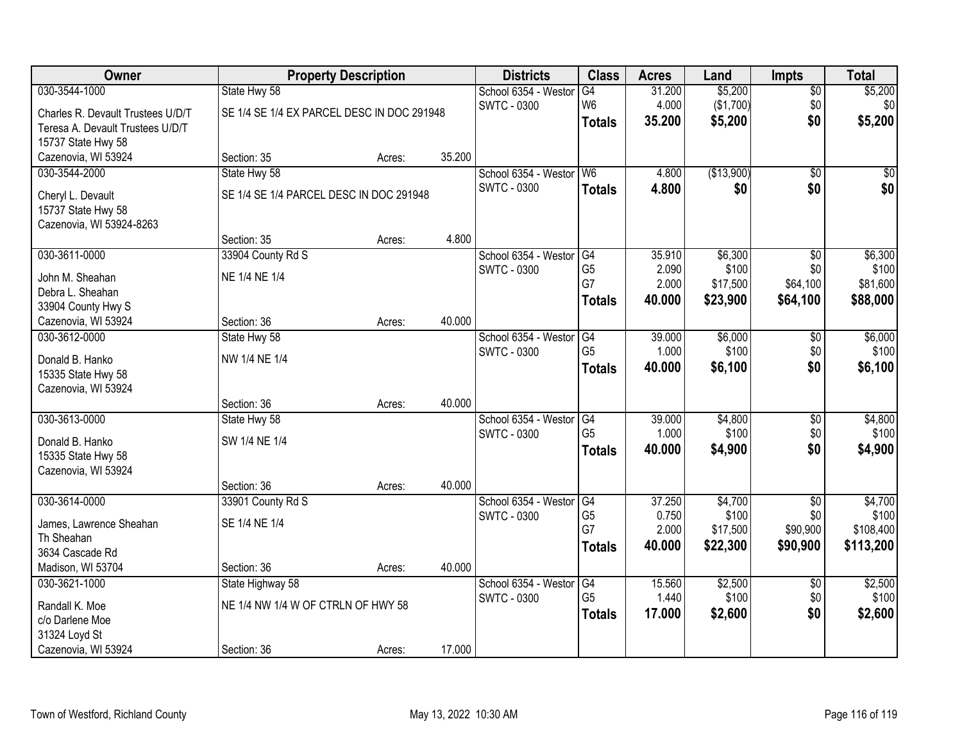| Owner                             |                                            | <b>Property Description</b> |        | <b>Districts</b>     | <b>Class</b>    | <b>Acres</b> | Land       | <b>Impts</b>    | <b>Total</b> |
|-----------------------------------|--------------------------------------------|-----------------------------|--------|----------------------|-----------------|--------------|------------|-----------------|--------------|
| 030-3544-1000                     | State Hwy 58                               |                             |        | School 6354 - Westor | G4              | 31.200       | \$5,200    | $\sqrt{$0}$     | \$5,200      |
| Charles R. Devault Trustees U/D/T | SE 1/4 SE 1/4 EX PARCEL DESC IN DOC 291948 |                             |        | <b>SWTC - 0300</b>   | W <sub>6</sub>  | 4.000        | (\$1,700)  | \$0             | \$0          |
| Teresa A. Devault Trustees U/D/T  |                                            |                             |        |                      | <b>Totals</b>   | 35.200       | \$5,200    | \$0             | \$5,200      |
| 15737 State Hwy 58                |                                            |                             |        |                      |                 |              |            |                 |              |
| Cazenovia, WI 53924               | Section: 35                                | Acres:                      | 35.200 |                      |                 |              |            |                 |              |
| 030-3544-2000                     | State Hwy 58                               |                             |        | School 6354 - Westor | W <sub>6</sub>  | 4.800        | (\$13,900) | $\overline{50}$ | \$0          |
| Cheryl L. Devault                 | SE 1/4 SE 1/4 PARCEL DESC IN DOC 291948    |                             |        | <b>SWTC - 0300</b>   | <b>Totals</b>   | 4.800        | \$0        | \$0             | \$0          |
| 15737 State Hwy 58                |                                            |                             |        |                      |                 |              |            |                 |              |
| Cazenovia, WI 53924-8263          |                                            |                             |        |                      |                 |              |            |                 |              |
|                                   | Section: 35                                | Acres:                      | 4.800  |                      |                 |              |            |                 |              |
| 030-3611-0000                     | 33904 County Rd S                          |                             |        | School 6354 - Westor | G4              | 35.910       | \$6,300    | $\overline{50}$ | \$6,300      |
| John M. Sheahan                   | NE 1/4 NE 1/4                              |                             |        | <b>SWTC - 0300</b>   | G <sub>5</sub>  | 2.090        | \$100      | \$0             | \$100        |
| Debra L. Sheahan                  |                                            |                             |        |                      | G7              | 2.000        | \$17,500   | \$64,100        | \$81,600     |
| 33904 County Hwy S                |                                            |                             |        |                      | <b>Totals</b>   | 40.000       | \$23,900   | \$64,100        | \$88,000     |
| Cazenovia, WI 53924               | Section: 36                                | Acres:                      | 40.000 |                      |                 |              |            |                 |              |
| 030-3612-0000                     | State Hwy 58                               |                             |        | School 6354 - Weston | G4              | 39.000       | \$6,000    | $\sqrt[6]{3}$   | \$6,000      |
| Donald B. Hanko                   | NW 1/4 NE 1/4                              |                             |        | <b>SWTC - 0300</b>   | G <sub>5</sub>  | 1.000        | \$100      | \$0             | \$100        |
| 15335 State Hwy 58                |                                            |                             |        |                      | <b>Totals</b>   | 40.000       | \$6,100    | \$0             | \$6,100      |
| Cazenovia, WI 53924               |                                            |                             |        |                      |                 |              |            |                 |              |
|                                   | Section: 36                                | Acres:                      | 40.000 |                      |                 |              |            |                 |              |
| 030-3613-0000                     | State Hwy 58                               |                             |        | School 6354 - Weston | $\overline{G4}$ | 39.000       | \$4,800    | $\overline{50}$ | \$4,800      |
| Donald B. Hanko                   | SW 1/4 NE 1/4                              |                             |        | <b>SWTC - 0300</b>   | G <sub>5</sub>  | 1.000        | \$100      | \$0             | \$100        |
| 15335 State Hwy 58                |                                            |                             |        |                      | <b>Totals</b>   | 40.000       | \$4,900    | \$0             | \$4,900      |
| Cazenovia, WI 53924               |                                            |                             |        |                      |                 |              |            |                 |              |
|                                   | Section: 36                                | Acres:                      | 40.000 |                      |                 |              |            |                 |              |
| 030-3614-0000                     | 33901 County Rd S                          |                             |        | School 6354 - Westor | G4              | 37.250       | \$4,700    | $\sqrt{$0}$     | \$4,700      |
| James, Lawrence Sheahan           | SE 1/4 NE 1/4                              |                             |        | <b>SWTC - 0300</b>   | G <sub>5</sub>  | 0.750        | \$100      | \$0             | \$100        |
| Th Sheahan                        |                                            |                             |        |                      | G7              | 2.000        | \$17,500   | \$90,900        | \$108,400    |
| 3634 Cascade Rd                   |                                            |                             |        |                      | <b>Totals</b>   | 40,000       | \$22,300   | \$90,900        | \$113,200    |
| Madison, WI 53704                 | Section: 36                                | Acres:                      | 40.000 |                      |                 |              |            |                 |              |
| 030-3621-1000                     | State Highway 58                           |                             |        | School 6354 - Weston | G4              | 15.560       | \$2,500    | $\overline{60}$ | \$2,500      |
| Randall K. Moe                    | NE 1/4 NW 1/4 W OF CTRLN OF HWY 58         |                             |        | <b>SWTC - 0300</b>   | G <sub>5</sub>  | 1.440        | \$100      | \$0             | \$100        |
| c/o Darlene Moe                   |                                            |                             |        |                      | <b>Totals</b>   | 17.000       | \$2,600    | \$0             | \$2,600      |
| 31324 Loyd St                     |                                            |                             |        |                      |                 |              |            |                 |              |
| Cazenovia, WI 53924               | Section: 36                                | Acres:                      | 17.000 |                      |                 |              |            |                 |              |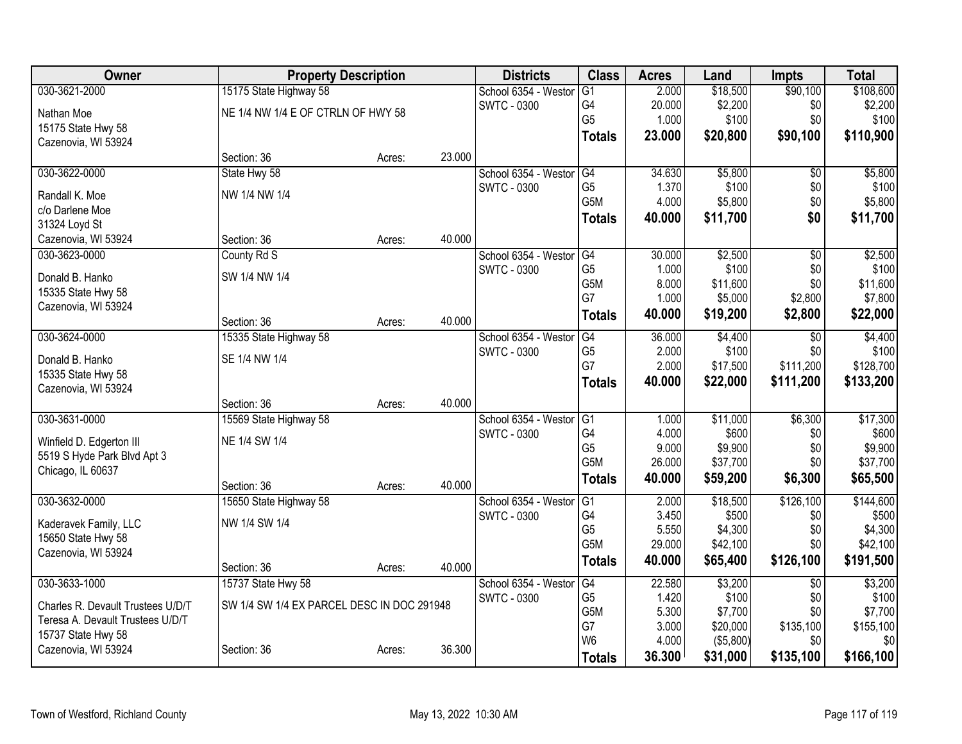| Owner                                     |                                            | <b>Property Description</b> |        | <b>Districts</b>     | <b>Class</b>         | <b>Acres</b>    | Land                | <b>Impts</b>    | <b>Total</b>     |
|-------------------------------------------|--------------------------------------------|-----------------------------|--------|----------------------|----------------------|-----------------|---------------------|-----------------|------------------|
| 030-3621-2000                             | 15175 State Highway 58                     |                             |        | School 6354 - Weston | $\overline{G1}$      | 2.000           | \$18,500            | \$90,100        | \$108,600        |
| Nathan Moe                                | NE 1/4 NW 1/4 E OF CTRLN OF HWY 58         |                             |        | <b>SWTC - 0300</b>   | G4                   | 20.000          | \$2,200             | \$0             | \$2,200          |
| 15175 State Hwy 58                        |                                            |                             |        |                      | G <sub>5</sub>       | 1.000           | \$100               | \$0             | \$100            |
| Cazenovia, WI 53924                       |                                            |                             |        |                      | <b>Totals</b>        | 23.000          | \$20,800            | \$90,100        | \$110,900        |
|                                           | Section: 36                                | Acres:                      | 23.000 |                      |                      |                 |                     |                 |                  |
| 030-3622-0000                             | State Hwy 58                               |                             |        | School 6354 - Weston | G4                   | 34.630          | \$5,800             | \$0             | \$5,800          |
| Randall K. Moe                            | NW 1/4 NW 1/4                              |                             |        | <b>SWTC - 0300</b>   | G <sub>5</sub>       | 1.370           | \$100               | \$0             | \$100            |
| c/o Darlene Moe                           |                                            |                             |        |                      | G5M                  | 4.000           | \$5,800             | \$0             | \$5,800          |
| 31324 Loyd St                             |                                            |                             |        |                      | <b>Totals</b>        | 40.000          | \$11,700            | \$0             | \$11,700         |
| Cazenovia, WI 53924                       | Section: 36                                | Acres:                      | 40.000 |                      |                      |                 |                     |                 |                  |
| 030-3623-0000                             | County Rd S                                |                             |        | School 6354 - Weston | G4                   | 30.000          | \$2,500             | $\overline{50}$ | \$2,500          |
| Donald B. Hanko                           | SW 1/4 NW 1/4                              |                             |        | SWTC - 0300          | G <sub>5</sub>       | 1.000           | \$100               | \$0             | \$100            |
| 15335 State Hwy 58                        |                                            |                             |        |                      | G5M                  | 8.000           | \$11,600            | \$0             | \$11,600         |
| Cazenovia, WI 53924                       |                                            |                             |        |                      | G7                   | 1.000           | \$5,000             | \$2,800         | \$7,800          |
|                                           | Section: 36                                | Acres:                      | 40.000 |                      | <b>Totals</b>        | 40.000          | \$19,200            | \$2,800         | \$22,000         |
| 030-3624-0000                             | 15335 State Highway 58                     |                             |        | School 6354 - Weston | G4                   | 36.000          | \$4,400             | \$0             | \$4,400          |
|                                           | SE 1/4 NW 1/4                              |                             |        | SWTC - 0300          | G <sub>5</sub>       | 2.000           | \$100               | \$0             | \$100            |
| Donald B. Hanko                           |                                            |                             |        |                      | G7                   | 2.000           | \$17,500            | \$111,200       | \$128,700        |
| 15335 State Hwy 58<br>Cazenovia, WI 53924 |                                            |                             |        |                      | <b>Totals</b>        | 40.000          | \$22,000            | \$111,200       | \$133,200        |
|                                           | Section: 36                                | Acres:                      | 40.000 |                      |                      |                 |                     |                 |                  |
| 030-3631-0000                             | 15569 State Highway 58                     |                             |        | School 6354 - Weston | G <sub>1</sub>       | 1.000           | \$11,000            | \$6,300         | \$17,300         |
|                                           |                                            |                             |        | SWTC - 0300          | G4                   | 4.000           | \$600               | \$0             | \$600            |
| Winfield D. Edgerton III                  | NE 1/4 SW 1/4                              |                             |        |                      | G <sub>5</sub>       | 9.000           | \$9,900             | \$0             | \$9,900          |
| 5519 S Hyde Park Blvd Apt 3               |                                            |                             |        |                      | G5M                  | 26.000          | \$37,700            | \$0             | \$37,700         |
| Chicago, IL 60637                         |                                            |                             |        |                      | <b>Totals</b>        | 40.000          | \$59,200            | \$6,300         | \$65,500         |
|                                           | Section: 36                                | Acres:                      | 40.000 |                      |                      |                 |                     |                 |                  |
| 030-3632-0000                             | 15650 State Highway 58                     |                             |        | School 6354 - Westor | G1                   | 2.000           | \$18,500            | \$126,100       | \$144,600        |
| Kaderavek Family, LLC                     | NW 1/4 SW 1/4                              |                             |        | <b>SWTC - 0300</b>   | G4<br>G <sub>5</sub> | 3.450           | \$500               | \$0<br>\$0      | \$500<br>\$4,300 |
| 15650 State Hwy 58                        |                                            |                             |        |                      | G5M                  | 5.550<br>29.000 | \$4,300<br>\$42,100 | \$0             | \$42,100         |
| Cazenovia, WI 53924                       |                                            |                             |        |                      |                      |                 |                     |                 |                  |
|                                           | Section: 36                                | Acres:                      | 40.000 |                      | <b>Totals</b>        | 40.000          | \$65,400            | \$126,100       | \$191,500        |
| 030-3633-1000                             | 15737 State Hwy 58                         |                             |        | School 6354 - Weston | G4                   | 22.580          | \$3,200             | $\overline{50}$ | \$3,200          |
| Charles R. Devault Trustees U/D/T         | SW 1/4 SW 1/4 EX PARCEL DESC IN DOC 291948 |                             |        | <b>SWTC - 0300</b>   | G <sub>5</sub>       | 1.420           | \$100               | \$0             | \$100            |
| Teresa A. Devault Trustees U/D/T          |                                            |                             |        |                      | G5M                  | 5.300           | \$7,700             | \$0             | \$7,700          |
| 15737 State Hwy 58                        |                                            |                             |        |                      | G7                   | 3.000           | \$20,000            | \$135,100       | \$155,100        |
| Cazenovia, WI 53924                       | Section: 36                                | Acres:                      | 36.300 |                      | W <sub>6</sub>       | 4.000           | (\$5,800)           | \$0             | \$0              |
|                                           |                                            |                             |        |                      | <b>Totals</b>        | 36.300          | \$31,000            | \$135,100       | \$166,100        |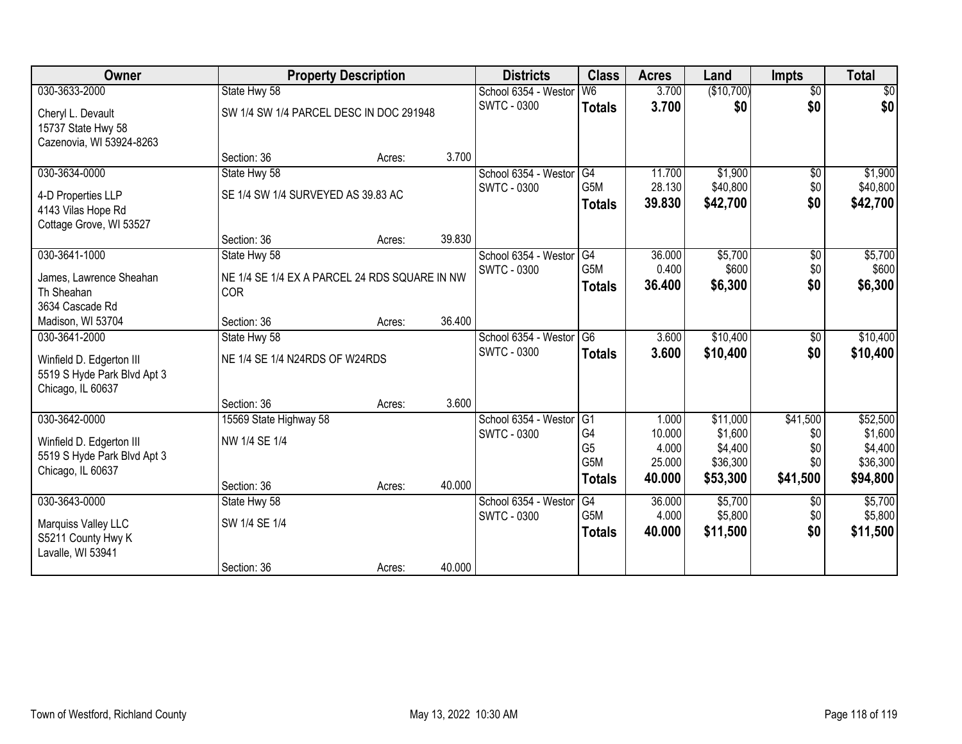| Owner                       | <b>Property Description</b>                   |        |        | <b>Districts</b>                           | <b>Class</b>     | <b>Acres</b>    | Land             | <b>Impts</b>    | <b>Total</b>     |
|-----------------------------|-----------------------------------------------|--------|--------|--------------------------------------------|------------------|-----------------|------------------|-----------------|------------------|
| 030-3633-2000               | State Hwy 58                                  |        |        | School 6354 - Westor                       | W <sub>6</sub>   | 3.700           | (\$10,700)       | $\overline{60}$ | $\sqrt{50}$      |
| Cheryl L. Devault           | SW 1/4 SW 1/4 PARCEL DESC IN DOC 291948       |        |        | SWTC - 0300                                | <b>Totals</b>    | 3.700           | \$0              | \$0             | \$0              |
| 15737 State Hwy 58          |                                               |        |        |                                            |                  |                 |                  |                 |                  |
| Cazenovia, WI 53924-8263    |                                               |        |        |                                            |                  |                 |                  |                 |                  |
|                             | Section: 36                                   | Acres: | 3.700  |                                            |                  |                 |                  |                 |                  |
| 030-3634-0000               | State Hwy 58                                  |        |        | School 6354 - Westor                       | G4               | 11.700          | \$1,900          | $\sqrt{6}$      | \$1,900          |
| 4-D Properties LLP          | SE 1/4 SW 1/4 SURVEYED AS 39.83 AC            |        |        | <b>SWTC - 0300</b>                         | G5M              | 28.130          | \$40,800         | \$0<br>\$0      | \$40,800         |
| 4143 Vilas Hope Rd          |                                               |        |        |                                            | <b>Totals</b>    | 39.830          | \$42,700         |                 | \$42,700         |
| Cottage Grove, WI 53527     |                                               |        |        |                                            |                  |                 |                  |                 |                  |
|                             | Section: 36                                   | Acres: | 39.830 |                                            |                  |                 |                  |                 |                  |
| 030-3641-1000               | State Hwy 58                                  |        |        | School 6354 - Westor                       | G4<br>G5M        | 36.000<br>0.400 | \$5,700<br>\$600 | \$0<br>\$0      | \$5,700<br>\$600 |
| James, Lawrence Sheahan     | NE 1/4 SE 1/4 EX A PARCEL 24 RDS SQUARE IN NW |        |        | <b>SWTC - 0300</b>                         | <b>Totals</b>    | 36.400          | \$6,300          | \$0             | \$6,300          |
| Th Sheahan                  | COR                                           |        |        |                                            |                  |                 |                  |                 |                  |
| 3634 Cascade Rd             |                                               |        |        |                                            |                  |                 |                  |                 |                  |
| Madison, WI 53704           | Section: 36                                   | Acres: | 36.400 |                                            |                  |                 |                  |                 |                  |
| 030-3641-2000               | State Hwy 58                                  |        |        | School 6354 - Westor<br><b>SWTC - 0300</b> | G <sub>6</sub>   | 3.600           | \$10,400         | \$0<br>\$0      | \$10,400         |
| Winfield D. Edgerton III    | NE 1/4 SE 1/4 N24RDS OF W24RDS                |        |        |                                            | <b>Totals</b>    | 3.600           | \$10,400         |                 | \$10,400         |
| 5519 S Hyde Park Blvd Apt 3 |                                               |        |        |                                            |                  |                 |                  |                 |                  |
| Chicago, IL 60637           |                                               |        |        |                                            |                  |                 |                  |                 |                  |
| 030-3642-0000               | Section: 36<br>15569 State Highway 58         | Acres: | 3.600  | School 6354 - Weston                       | G <sub>1</sub>   | 1.000           | \$11,000         | \$41,500        | \$52,500         |
|                             |                                               |        |        | <b>SWTC - 0300</b>                         | G <sub>4</sub>   | 10.000          | \$1,600          | \$0             | \$1,600          |
| Winfield D. Edgerton III    | NW 1/4 SE 1/4                                 |        |        |                                            | G <sub>5</sub>   | 4.000           | \$4,400          | \$0             | \$4,400          |
| 5519 S Hyde Park Blvd Apt 3 |                                               |        |        |                                            | G <sub>5</sub> M | 25.000          | \$36,300         | \$0             | \$36,300         |
| Chicago, IL 60637           |                                               |        | 40.000 |                                            | <b>Totals</b>    | 40.000          | \$53,300         | \$41,500        | \$94,800         |
| 030-3643-0000               | Section: 36<br>State Hwy 58                   | Acres: |        | School 6354 - Westor                       | G4               | 36.000          | \$5,700          |                 | \$5,700          |
|                             |                                               |        |        | <b>SWTC - 0300</b>                         | G5M              | 4.000           | \$5,800          | \$0<br>\$0      | \$5,800          |
| Marquiss Valley LLC         | SW 1/4 SE 1/4                                 |        |        |                                            | <b>Totals</b>    | 40.000          | \$11,500         | \$0             | \$11,500         |
| S5211 County Hwy K          |                                               |        |        |                                            |                  |                 |                  |                 |                  |
| Lavalle, WI 53941           | Section: 36                                   |        | 40.000 |                                            |                  |                 |                  |                 |                  |
|                             |                                               | Acres: |        |                                            |                  |                 |                  |                 |                  |